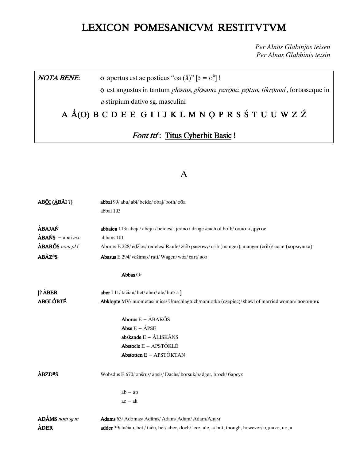# LEXICON POMESANICVM RESTITVTVM

Per Alnōs Glabinjōs teisen Per Alnas Glabbinis teīsin

#### $\bar{\mathbf{o}}$  apertus est ac posticus "oa  $(\hat{\mathbf{a}})$ "  $[\bar{\mathbf{o}} = \bar{\mathbf{o}}^{\mathbf{a}}]$ ! **NOTA BENE:**

**ộ** est angustus in tantum *gl*ộsnīs, glộsanô, perộnê, pộtun, tikrộmai, fortasseque in a-stirpium dativo sg. masculini

# A Å(O) B C D E Ē G I Ī J K L M N O P R S Ś T U Ū W Z Ź

# Font ttf: Titus Cyberbit Basic!

## $\overline{A}$

| AB <u>ÕI</u> (ÀBÃI ?)                   | abbai 99/ abu/ abi/ beide/ obaj/ both/ oba                                                        |  |  |
|-----------------------------------------|---------------------------------------------------------------------------------------------------|--|--|
|                                         | abbai 103                                                                                         |  |  |
| ÀBAJAŃ                                  | abbaien 113/abeja/abeju/beides/i jedno i druge/each of both/одно и другое                         |  |  |
| $\angle$ <b>ABAŃS</b> – abai <i>acc</i> | abbans 101                                                                                        |  |  |
| $\triangle$ BARŐS nom pl f              | Aboros E 228/ edžios/ redeles/ Raufe/ złób paszowy/ crib (manger), manger (crib)/ ясли (кормушка) |  |  |
| <b>ABÀZ<sup>a</sup>S</b>                | Abasus E 294/vežimas/rati/Wagen/wóz/cart/Bo3                                                      |  |  |
|                                         | Abbas Gr                                                                                          |  |  |
| $[? \overrightarrow{A} BER]$            | aber I 11/ tačiau/ bet/ aber/ ale/ but/ a ]                                                       |  |  |
| <b>ABGLÓBTÉ</b>                         | Abklopte MV/ nuometas/ mice/ Umschlagtuch/namiotka (czepiec)/ shawl of married woman/ повойник    |  |  |
|                                         | Aboros $E - \hat{A}BAR\tilde{O}S$                                                                 |  |  |
|                                         | Abse $E - \angle APSE$                                                                            |  |  |
|                                         | abskande $E - \hat{A}LISK\tilde{A}NS$                                                             |  |  |
|                                         | Abstocle E - APSTÓKLĒ                                                                             |  |  |
|                                         | Abstotten $E - A$ PSTÓKTAN                                                                        |  |  |
| <b>ABZD<sup>u</sup>S</b>                | Wobsdus E 670/ opšrus/ āpsis/ Dachs/ borsuk/badger, brock/ барсук                                 |  |  |
|                                         | $ab - ap$                                                                                         |  |  |
|                                         | $ac - ak$                                                                                         |  |  |
| ADAMS nom sg m                          | Adams 63/ Adomas/ Adāms/ Adam/ Adam/ Adam/Адам                                                    |  |  |
| ÀDER                                    | adder 39/ tačiau, bet / taču, bet/ aber, doch/ lecz, ale, a/ but, though, however/ однако, но, а  |  |  |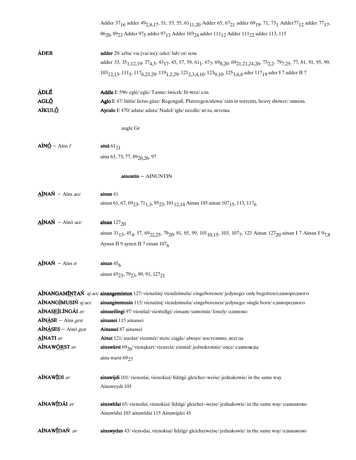|                                      | Adder 37 <sub>16</sub> adder 49 <sub>2,8,17</sub> , 51, 53, 55, 61 <sub>11,20</sub> Adder 65, 67 <sub>21</sub> adder 69 <sub>19</sub> , 71, 73 <sub>1</sub> Adder77 <sub>12</sub> adder 77 <sub>17</sub> ,                             |
|--------------------------------------|----------------------------------------------------------------------------------------------------------------------------------------------------------------------------------------------------------------------------------------|
|                                      | 86 <sub>20</sub> , 89 <sub>23</sub> Adder 97 <sub>5</sub> adder 97 <sub>13</sub> Adder 103 <sub>24</sub> adder 111 <sub>12</sub> Adder 111 <sub>22</sub> adder 113, 115                                                                |
| ÀDER                                 | adder 29/ arba/vai (vai nu)/oder/lub/or/или                                                                                                                                                                                            |
|                                      | adder 33, 35 <sub>1,12,19</sub> , 37 <sub>4,5</sub> , 43 <sub>17</sub> , 45, 57, 59, 61 <sub>1</sub> , 67 <sub>7</sub> , 69 <sub>8,20</sub> , 69 <sub>21,21,24,26</sub> , 73 <sub>2,2</sub> , 79 <sub>7,25</sub> , 77, 81, 91, 95, 99, |
|                                      | 103 <sub>12,13</sub> , 111 <sub>5</sub> , 117 <sub>8,23,29</sub> , 119 <sub>1,2,29</sub> , 121 <sub>2,3,4,10</sub> , 123 <sub>9,10</sub> , 125 <sub>3,6,8</sub> ader 117 <sub>19</sub> ader I 7 adder II 7                             |
| <b>ADLÉ</b>                          | Addle E 596/ egle/ egle/ Tanne/ świerk/ fir +ree/ ель                                                                                                                                                                                  |
| AGLÓ                                 | Aglo E 47/ liūtis/ lietus gāze/ Regenguß, Platzregen/ulewa/ rain in torrents, heavy shower/ ливень                                                                                                                                     |
| AÍKULÓ                               | Ayculo E 470/ adata/ adata/ Nadel/ igła/ needle/ игла, иголка                                                                                                                                                                          |
|                                      | augle Gr                                                                                                                                                                                                                               |
| $\angle AIN\angle O - \angle Ainsf$  | ainā $61_{21}$                                                                                                                                                                                                                         |
|                                      | aina 63, 73, 77, 89 <sub>20, 26</sub> , 97                                                                                                                                                                                             |
|                                      | ainontin - AINUNTIN                                                                                                                                                                                                                    |
| $\angle{AINAN}$ - Ains acc           | ainan 41                                                                                                                                                                                                                               |
|                                      | ainan 61, 67, 69 <sub>23</sub> , 71 <sub>1,3</sub> , 95 <sub>23</sub> , 101 <sub>12,14</sub> Ainan 105 ainan 107 <sub>15</sub> , 113, 117 <sub>6</sub>                                                                                 |
| AÍNAŃ - Aīnō acc                     | aīnan $127_{20}$                                                                                                                                                                                                                       |
|                                      | ainan 31 <sub>13</sub> , 45 <sub>4</sub> , 57, 69 <sub>22,25</sub> , 79 <sub>20</sub> , 81, 85, 99, 101 <sub>10,15</sub> , 103, 107 <sub>7</sub> , 123 Ainan 127 <sub>20</sub> ainan I 7 Ainan I 9 <sub>7,8</sub>                      |
|                                      | Aynan II 9 aynen II 7 einan 1076                                                                                                                                                                                                       |
| $\Delta$ INAN – Ains n               | ainan $456$                                                                                                                                                                                                                            |
|                                      | ainan 45 <sub>23</sub> , 79 <sub>23</sub> , 89, 91, 127 <sub>21</sub>                                                                                                                                                                  |
|                                      | AÍNANGAMINTAŃ aj acc ainangeminton 127/vienatini/viendzimušu/eingeborenen/jedynego/onlybegotten/единородного                                                                                                                           |
| AÍNANGÌMUSIŃ aj acc                  | ainangimmusin 113/vienatini/viendzimušu/eingeborenen/jedynego/single born/единородного                                                                                                                                                 |
| AÍNASEÍLÍNGÃI av                     | ainaseilingi 97/vienišaĩ/vientuligi/einsam/samotnie/lonely/одиноко                                                                                                                                                                     |
| $AIN \triangle SE - Ains gen$        | ainassei 115 ainassei                                                                                                                                                                                                                  |
| $AIN \triangle SES - Ain \delta gen$ | Ainassei 87 ainassei                                                                                                                                                                                                                   |
| <b>AINATI</b> av                     | Ainat 121/ nuolat/vienmer/stets/ciagle/always/ постоянно, всегда                                                                                                                                                                       |
| AÍNAW <u>ŐR</u> ST av                | <b>ainawārst</b> 69 $_{26}$ /vienąkart/vienreiz/einmal/jednokrotnie/once/единожды                                                                                                                                                      |
|                                      | aina warst 6927                                                                                                                                                                                                                        |
| AÍNAWÍDI av                          | <b>ainawijdi</b> 101/vienodai, vienokiai/līdzīgi/gleicher–weise/jednakowie/in the same way<br>Ainaweydi 103                                                                                                                            |
| AÍNAWÍDÃI av                         | <b>ainawīdai</b> 65/vienodai, vienokiai/līdzīgi/gleicher–weise/jednakowie/ in the same way/ одинаково<br>Ainawīdai 103 ainawīdai 115 Ainawijdei 45                                                                                     |
| AÍNAWÍDAŃ av                         | ainawydan 43/vienodai, vienokiai/ līdzīgi/ gleicherweise/jednakowie/ in the same way/ одинаково                                                                                                                                        |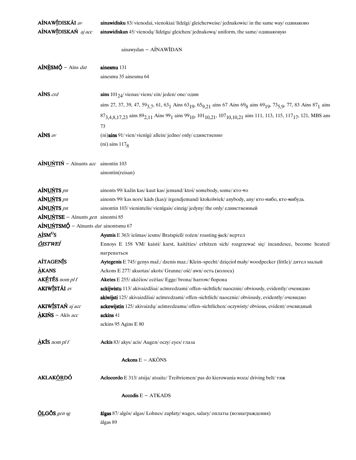| AÍNAWÍDISKÃI av                                      | <b>ainawidisku</b> 83/vienodai, vienokiai/līdzīgi/gleicherweise/jednakowie/in the same way/одинаково                                                                                                              |  |  |  |  |
|------------------------------------------------------|-------------------------------------------------------------------------------------------------------------------------------------------------------------------------------------------------------------------|--|--|--|--|
| AÍNAWÍDISKAŃ aj acc                                  | ainawidiskan 45/vienodą/līdzīgu/gleichen/jednakową/uniform, the same/одинаковую                                                                                                                                   |  |  |  |  |
|                                                      |                                                                                                                                                                                                                   |  |  |  |  |
|                                                      | ainawydan - AINAWIDAN                                                                                                                                                                                             |  |  |  |  |
| $A$ INESMÓ – Aīns dat                                | ainesmu 131                                                                                                                                                                                                       |  |  |  |  |
|                                                      | ainesmu 35 ainesmu 64                                                                                                                                                                                             |  |  |  |  |
| AÍNS crd                                             | <b>ains</b> $101_{24}$ /vienas/viens/ein/jeden/one/один                                                                                                                                                           |  |  |  |  |
|                                                      | ains 27, 37, 39, 47, 59 <sub>3,7</sub> , 61, 63 <sub>1</sub> Ains 63 <sub>19</sub> , 65 <sub>9,21</sub> ains 67 Ains 69 <sub>8</sub> ains 69 <sub>19</sub> , 73 <sub>5,9</sub> , 77, 83 Ains 87 <sub>1</sub> ains |  |  |  |  |
|                                                      | 87 <sub>3,4,8,17,23</sub> ains 89 <sub>2,11</sub> Ains 99 <sub>1</sub> ains 99 <sub>10</sub> , 101 <sub>10,21</sub> , 107 <sub>10,10,21</sub> ains 111, 113, 115, 117 <sub>17</sub> , 121, MBS ans                |  |  |  |  |
|                                                      | 73                                                                                                                                                                                                                |  |  |  |  |
| $A$ INS av                                           |                                                                                                                                                                                                                   |  |  |  |  |
|                                                      | (ni)ains 91/vien/vienīgi/allein/jedno/only/единственно                                                                                                                                                            |  |  |  |  |
|                                                      | (ni) ains $1178$                                                                                                                                                                                                  |  |  |  |  |
| $\angle$ AÍNUŃ – Ainunts acc ainontin 103            |                                                                                                                                                                                                                   |  |  |  |  |
|                                                      | ainontin(reisan)                                                                                                                                                                                                  |  |  |  |  |
|                                                      |                                                                                                                                                                                                                   |  |  |  |  |
| AÍNUNTS pn                                           | ainonts 99/ kažin kas/ kaut kas/ jemand/ ktoś/ somebody, some/ kro-ro                                                                                                                                             |  |  |  |  |
| AÍNUŃTS pn                                           | ainonts 99/ kas nors/ kads (kas)/irgendjemand/ktokolwiek/anybody, any/кто-нибо, кто-нибудь                                                                                                                        |  |  |  |  |
| AÍNUŃTS pn                                           | ainontin 103/vienintelis/vienīgais/einzig/jedyny/the only/единственный                                                                                                                                            |  |  |  |  |
| $AÍNUNTSE - Aīnunts gen$ ainontsi 85                 |                                                                                                                                                                                                                   |  |  |  |  |
| $\Lambda$ ÍNUŃTSMÓ – Aīnunts <i>dat</i> ainontsmu 67 |                                                                                                                                                                                                                   |  |  |  |  |
| AÍSM <sup>U</sup> S                                  | Aysmis E 363/ iešmas/ iesms/ Bratspieß/ rożen/ roasting-jack/ вертел                                                                                                                                              |  |  |  |  |
| <u>ÕI</u> STWEÍ                                      | Ennoys E 158 VM/ kaisti/ karst, kaitēties/ erhitzen sich/ rozgrzewać się/ incandesce, become heated/                                                                                                              |  |  |  |  |
|                                                      | нагреваться                                                                                                                                                                                                       |  |  |  |  |
| <b>AÍTAGENIS</b>                                     | Aytegenis E 745/ genys maž./ dzenis maz./ Klein-specht/ dzięcioł mały/ woodpecker (little)/ дятел малый                                                                                                           |  |  |  |  |
| $\triangle$ KANS                                     | Ackons E 277/ akuotas/ akots/ Granne/ ość/ awn/ ость (колоса)                                                                                                                                                     |  |  |  |  |
| AKÉTÉS nom pl f                                      | Aketes E 255/ akėčios/ ecēšas/ Egge/ brona/ harrow/ борона                                                                                                                                                        |  |  |  |  |
| <b>AKIWÍSTÁI</b> av                                  | ackijwistu 113/akivaizdžiai/acīmredzami/offen-sichtlich/naocznie/obviously, evidently/очевидно                                                                                                                    |  |  |  |  |
|                                                      | akiwijsti 125/ akivaizdžiai/ acīmredzami/ offen-sichtlich/ naocznie/ obviously, evidently/ очевидно                                                                                                               |  |  |  |  |
| <b>AKIWÍSTAŃ</b> aj acc                              | ackewijstin 125/akivaizdu/acīmredzamu/offen-sichtlichen/oczywisty/obvious, evident/очевидный                                                                                                                      |  |  |  |  |
| $\angle$ KIŃS – Akīs acc                             | ackins 41                                                                                                                                                                                                         |  |  |  |  |
|                                                      | ackins 95 Agins E 80                                                                                                                                                                                              |  |  |  |  |
| $\Delta$ KIS nom pl f                                | Ackis 83/ akys/ acis/ Augen/ oczy/ eyes/ глаза                                                                                                                                                                    |  |  |  |  |
|                                                      | Ackons $E - AK\tilde{O}NS$                                                                                                                                                                                        |  |  |  |  |
|                                                      |                                                                                                                                                                                                                   |  |  |  |  |
| <b>AKLAKŐRDÓ</b>                                     | Aclocordo E 313/ atsija/ atsaite/ Treibriemen/ pas do kierowania woza/ driving belt/ TRX                                                                                                                          |  |  |  |  |
|                                                      | $According E - ATKADS$                                                                                                                                                                                            |  |  |  |  |
| $OLGOS$ gen sg                                       | algas 87/ algos/ algas/ Lohnes/ zapłaty/ wages, salary/ оплаты (вознаграждения)                                                                                                                                   |  |  |  |  |
|                                                      | ālgas 89                                                                                                                                                                                                          |  |  |  |  |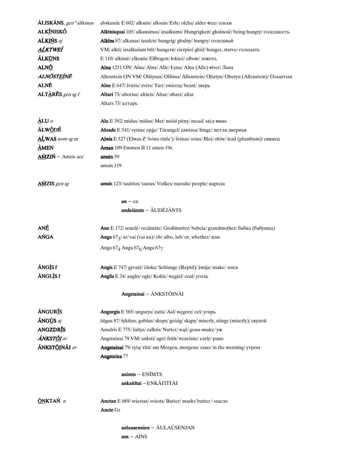| <b>ÀLISKÃNS</b> , gen*aliksnas       | abskande E 602/ alksnis/ alksnis/ Erle/ olcha/ alder + ree/ ольхи                     |  |  |  |
|--------------------------------------|---------------------------------------------------------------------------------------|--|--|--|
| <b>ALKÍNISKÓ</b>                     | Alkinisquai 105/alkanumas/izsalkums/ Hungrigkeit/ głodność/being hungry/ голодность   |  |  |  |
| AĹKIŃS aj                            | Alkins 87/ alkanas/ izsalcis/ hungrig/ głodny/ hungry/ голодный                       |  |  |  |
| AĹKTWEÍ                              | VM/ alkti/ izsalkušam būt/ hungern/ cierpieć głód/ hunger, starve/ голодать           |  |  |  |
| <b>ÁLKÚNS</b>                        | E 110/ alkūnė/ elkonis/ Ellbogen/ łokieć/ elbow/ локоть                               |  |  |  |
| ALNÓ                                 | Alna 1251 ON/ Alna/ Alna/ Alle/ Łyna/ Alna (Alle) +iver/ Лава                         |  |  |  |
| ALNŐST <u>EÍ</u> NÉ                  | Allenstein ON VM/Olštynas/Olština/Allenstein/Olsztyn/Olsztyn (Allenstein)/Ольштын     |  |  |  |
| <b>ALNĒ</b>                          | Alne E 647/ žvėris/ zvērs/ Tier/ zwierzę/ beast/ зверь                                |  |  |  |
| $ALT\triangle RES$ gen sg f          | Altari 73/ altorius/ altāris/ Altar/ ołtarz/ altar                                    |  |  |  |
|                                      | Altars 73/ алтарь                                                                     |  |  |  |
|                                      |                                                                                       |  |  |  |
| $\Delta$ LU n                        | Alu E 392/ midus/ midus/ Met/ miód pitny/ mead/ $m\ddot{\text{e}}$ $\text{m}$ muso    |  |  |  |
| ÃLW <u>Õ</u> DÉ                      | Aloade E 541/ vyrius/ enge/ Türangel/ zawiasa/ hinge/ петля дверная                   |  |  |  |
| ALWAS nom sg m                       | Alwis E 527 (Elwas Z 'švino rūda')/ švinas/ svins/ Blei/ ołów/ lead (plumbum)/ свинец |  |  |  |
| $\mathbf{\dot{\mathbf{\Delta}}}$ MEN | Aman 109 Emmen II 11 amen 19x                                                         |  |  |  |
| $\Delta M/ZIN$ - Amzis acc           | amsin 59                                                                              |  |  |  |
|                                      | amsin 119                                                                             |  |  |  |
|                                      |                                                                                       |  |  |  |
| <b>AMZIS</b> gen sg                  | amsis 123/ tautõos/ tautas/ Volkes/ narodu/ people/ народа                            |  |  |  |
|                                      |                                                                                       |  |  |  |
|                                      | $an - en$<br>$and$ eiānsts $ \tilde{A}$ UDĒJ $\tilde{A}NTS$                           |  |  |  |
|                                      |                                                                                       |  |  |  |
| ANÉ                                  | Ane E 172/ senelė/ vecāmāte/ Großmutter/ babcia/ grandmother/ бабка (бабушка)         |  |  |  |
| AŃGA                                 | <b>Anga</b> 67 $\frac{1}{3}$ ar/vai (vai nu)/ob/ albo, lub/ or, whether/ или          |  |  |  |
|                                      | Anga 67 <sub>4</sub> Anga 67 <sub>6</sub> Anga 67 <sub>7</sub>                        |  |  |  |
|                                      |                                                                                       |  |  |  |
| <b>ÃNGÌS f</b>                       | Angis E 747/ gyvatė/ čūska/ Schlange (Reptil)/ żmija/ snake/ змея                     |  |  |  |
| <b>ÁNGLÌS f</b>                      | Anglis E 34/ anglis/ ogle/ Kohle/ węgiel/ coal/ уголь                                 |  |  |  |
|                                      | Angstainai - ÃNKSTÕINÃI                                                               |  |  |  |
|                                      |                                                                                       |  |  |  |
| <b>ÃNGURIS</b>                       | Angurgis E 565/ ungurys/ zutis/ Aal/ wegorz/ eel/ угорь                               |  |  |  |
| <b>ÄNG<u>Ù</u>S</b> aj               | āūgus 87/ šykštus, gobšus/ skops/ geizig/ skąpy/ miserly, stingy (miserly)/ скупой    |  |  |  |
| <b>ANGZDRIS</b>                      | Anxdris E 775/ žaltys/ zalktis/ Natter/wąż/ grass snake/ yx                           |  |  |  |
| <b>ÁNKST<u>ŐI</u></b> av             | Angstainai 79 VM/ anksti/ agri/ früh/ wcześnie/ early/ рано                           |  |  |  |
| <b>ÁNKSTŐINÁI</b> av                 | Angstainai 79/ rytą/ rītā/ am Morgen, morgens/ rano/ in the morning/ утром            |  |  |  |
|                                      | Angsteina 77                                                                          |  |  |  |
|                                      |                                                                                       |  |  |  |
|                                      | $\text{animts} - \text{ENIMTS}$                                                       |  |  |  |
|                                      | ankaitītai - ENKĀITĪTĀI                                                               |  |  |  |
| ÖNKTAŃ n                             | <b>Anctan</b> E 689/ sviestas/ sviests/ Butter/ maslo/ butter / масло                 |  |  |  |
|                                      | <b>Ancte</b> Gr                                                                       |  |  |  |
|                                      |                                                                                       |  |  |  |
|                                      | $anlausennien - \tilde{A}ULAÚSENJAN$                                                  |  |  |  |
|                                      | $ans - AINS$                                                                          |  |  |  |
|                                      |                                                                                       |  |  |  |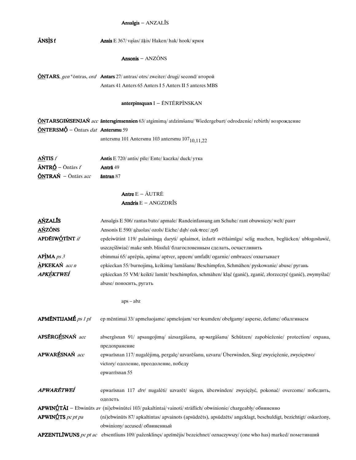## Ansalgis - ANZALĪS

| <b>ÃNSÌS</b> f                           | Ansis E 367/ vašas/ āķis/ Haken/ hak/ hook/ крюк                                                                                                                                   |  |  |  |
|------------------------------------------|------------------------------------------------------------------------------------------------------------------------------------------------------------------------------------|--|--|--|
|                                          | Ansonis $-$ ANZONS                                                                                                                                                                 |  |  |  |
|                                          | <b>ÖNTARS</b> , gen *öntras, ord Antars 27/ antras/ otrs/ zweiter/ drugi/ second/ второй                                                                                           |  |  |  |
|                                          | Antars 41 Anters 65 Anters I 5 Anters II 5 anteres MBS                                                                                                                             |  |  |  |
|                                          | $\mathbf{anterpinsquant} \mathbf{I} - \mathbf{ENTERPI} \mathbf{NSKAN}$                                                                                                             |  |  |  |
|                                          | <b>ÖNTARSGIMSENJAN</b> acc āntersgimsennien 63/atgimima/atdzimšanu/Wiedergeburt/odrodzenie/rebirth/возрождение                                                                     |  |  |  |
| <b>ÓNTERSMÓ</b> – Ontars dat Antersmu 59 |                                                                                                                                                                                    |  |  |  |
|                                          | antersmu 101 Antersmu 103 antersmu 107 <sub>10.11.22</sub>                                                                                                                         |  |  |  |
| $\Delta N$ TIS $f$                       | Antis E 720/ antis/ pile/ Ente/ kaczka/ duck/ утка                                                                                                                                 |  |  |  |
| $\tilde{A}NTRO$ - Ontārs f               | Antrā 49                                                                                                                                                                           |  |  |  |
| <b>ÖNTRAŃ</b> - Ōntārs acc               | <b>antran 87</b>                                                                                                                                                                   |  |  |  |
|                                          | Antre $E - \tilde{A} U T R \tilde{E}$                                                                                                                                              |  |  |  |
|                                          | <b>Anxdris</b> $E - ANGZDR\overline{I}S$                                                                                                                                           |  |  |  |
| <b>AŃZALĪS</b>                           | Ansalgis E 506/rantas bato/apmale/Randeinfassung am Schuhe/rant obuwniczy/welt/paнr                                                                                                |  |  |  |
| <b>AŃZÕNS</b>                            | Ansonis E 590/ ąžuolas/ ozols/ Eiche/ dąb/ oak + ree/ дуб                                                                                                                          |  |  |  |
| APDÉIWÓTÍNT if                           | epdeiwūtint 119/ palaimingą daryti/ aplaimot, izdarīt svētlaimīgu/ selig machen, beglücken/ ubłogosławić,<br>uszczęśliwiać/make smb. blissful/благословенным сделать, осчастливить |  |  |  |
| $AP$ <sup><i>MA</i></sup> $ps 3$         | ebimmai 65/ aprėpia, apima/ aptver, apņem/ umfaßt/ ogarnie/ embraces/ охватывает                                                                                                   |  |  |  |
| <b>APKEKAŃ</b> acc n                     | epkieckan 55/burnojimą, keikimą/lamāšanu/Beschimpfen, Schmähen/pyskowanie/abuse/pyraнь                                                                                             |  |  |  |
| APKÈKTWEÍ                                | epkieckan 55 VM/ keikti/ lamāt/ beschimpfen, schmähen/ kląć (ganić), zganić, złorzeczyć (ganić), zwymyślać/                                                                        |  |  |  |
|                                          | abuse/поносить, ругать                                                                                                                                                             |  |  |  |
|                                          | $aps - abz$                                                                                                                                                                        |  |  |  |
| APMÉNTIJAMÉ ps 1 pl                      | ep mēntimai 33/apmeluojame/apmelojam/ver-leumden/obelgamy/asperse, defame/обалгиваем                                                                                               |  |  |  |
| APSÉRGÉSNAŃ acc                          | absergīsnan 91/ apsaugojima/ aizsargāšanu, ap-sargāšanu/ Schützen/ zapobieżenie/ protection/ oxpana,                                                                               |  |  |  |
| APWARÉSNAŃ acc                           | предохранение<br>epwarīsnan 117/ nugalėjimą, pergalę/ uzvarēšanu, uzvaru/ Überwinden, Sieg/ zwyciężenie, zwycięstwo/                                                               |  |  |  |
|                                          | victory/ одоление, преодоление, победу                                                                                                                                             |  |  |  |
|                                          | epwarrisnan 55                                                                                                                                                                     |  |  |  |
| APWARĒTWEÍ                               | epwarīsnan 117 drv/ nugalėti/ uzvarēt/ siegen, überwinden/ zwyciężyć, pokonać/ overcome/ победить,                                                                                 |  |  |  |
|                                          | одолеть                                                                                                                                                                            |  |  |  |
|                                          | <b>APWINÚTÃI</b> – Ebwinūts av (ni)ebwinūtei 103/ pakaltintai/vainoti/sträflich/obwinionie/chargeably/обвиненно                                                                    |  |  |  |
| APWIN $f$ IS pc pt pa                    | (ni)ebwinūts 87/ apkaltintas/ apvainots (apsūdzēts), apsūdzēts/ angeklagt, beschuldigt, bezichtigt/ oskarżony,<br>obwiniony/accused/обвиненный                                     |  |  |  |
|                                          | APZENTLIWUNS pc pt ac ebsentliuns 109/ paženklinęs/ apzīmējis/ bezeichnet/ oznaczywszy/ (one who has) marked/ пометивший                                                           |  |  |  |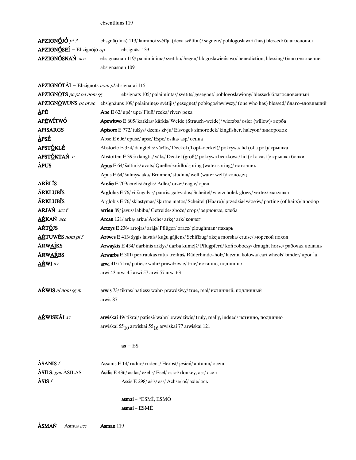| APZIGNÓJÓ pt 3                          | ebsgnā(dins) 113/laimino/svētīja (deva svētību)/segnete/poblogosławił/(has) blessed/благословил       |
|-----------------------------------------|-------------------------------------------------------------------------------------------------------|
| <b>APZIGNÓSEÍ</b> – Ebzignōjō <i>op</i> | ebsignāsi 133                                                                                         |
| APZIGNÓSNAŃ acc                         | ebsignäsnan 119/ palaiminima/ svētību/ Segen/ błogosławieństwo/ benediction, blessing/ благо еловение |
|                                         | absignasnen 109                                                                                       |
|                                         |                                                                                                       |

APZIGNÓTÃI - Ebzignōts nom plabsignātai 115

| <b>APZIGNÓTS</b> pc pt pa nom sg | ebsignāts 105/palaimintas/svētīts/gesegnet/poblogosławiony/blessed/благословенный                             |  |  |
|----------------------------------|---------------------------------------------------------------------------------------------------------------|--|--|
| <b>APZIGNÓWUNS</b> pc pt ac      | ebsignāuns 109/palaiminęs/svētījis/gesegnet/poblogosławiwszy/(one who has) blessed/благо еловивший            |  |  |
| ÀPÉ                              | Ape E 62/ upė/ upe/ Fluß/ rzeka/ river/ река                                                                  |  |  |
| APÉWÍTWÓ                         | Apewitwo E 605/karklas/kārkls/Weide (Strauch–weide)/wierzba/osier (willow)/ верба                             |  |  |
| <b>APISARGS</b>                  | Apisorx E 772/ tulžys/ dzenis zivju/ Eisvogel/ zimorodek/ kingfisher, halcyon/ зимородок                      |  |  |
| <u>À</u> PSÉ                     | Abse E 606/ epušė/ apse/ Espe/ osika/ asp/ осина                                                              |  |  |
| APSTÓKLÉ                         | Abstocle E 354/ dangtelis/ vācītis/ Deckel (Topf-deckel)/ pokrywa/ lid (of a pot)/ крышка                     |  |  |
| APSTÓKTAŃ n                      | Abstotten E 395/dangtis/vāks/Deckel (groß)/pokrywa beczkowa/lid (of a cask)/крышка бочки                      |  |  |
| <b>APUS</b>                      | <b>Apus</b> E 64/ šaltinis/ avots/ Quelle/ źródło/ spring (water spring)/ источник                            |  |  |
|                                  | Apus E 64/ šulinys/ aka/ Brunnen/ studnia/ well (water well)/ колодец                                         |  |  |
| <b>ARÈLIS</b>                    | Arelie E 709/ erelis/ ērglis/ Adler/ orzeł/ eagle/ орел                                                       |  |  |
| <b>ÄRKLUBIS</b>                  | Arglobis E 76/ viršugalvis/ pauris, galvvidus/ Scheitel/ wierzchołek głowy/ vertex/ макушка                   |  |  |
| <b>ÄRKLUBIS</b>                  | Arglobis E 76/ sklastymas/ šķirtne matos/ Scheitel (Haare)/ przedział włosów/ parting (of hairs)/ пробор      |  |  |
| <b>ARJAŃ</b> acc f               | arrien 89/ javus/ labību/ Getreide/ zboże/ crops/ зерновые, хлеба                                             |  |  |
| AŔKAŃ acc                        | Arcan 121/ arka/ arku/ Arche/ arke/ ark/ ковчег                                                               |  |  |
| AŔTÓJS                           | Artoys E 236/ artojas/ arajs/ Pflüger/ oracz/ ploughman/ пахарь                                               |  |  |
| ARTUWES nom pl f                 | <b>Artwes</b> E 413/ žygis laivais/ kuģu gājiens/ Schiffzug/ akcja morska/ cruise/ морской поход              |  |  |
| <b>ÃRWAÍKS</b>                   | Arwaykis E 434/ darbinis arklys/ darba kumeļš/ Pflugpferd/ koń roboczy/ draught horse/ рабочая лощадь         |  |  |
| <b>ÁRWAŔBS</b>                   | Arwarbs E 301/ pertraukas ratų/ treilinš/ Räderbinde-holz/ łącznia kołowa/ cart wheels' binder/ <i>Apor</i> a |  |  |
| <b>AŔWI</b> av                   | arwi 41/t'ikra/patiesi/wahr/prawdziwie/true/истинно, подлинно                                                 |  |  |
|                                  | arwi 43 arwi 45 arwi 57 arwi 57 arwi 63                                                                       |  |  |
| <b>ARWIS</b> aj nom sg m         | arwis 73/ tikras/ patiess/ wahr/ prawdziwy/ true, real/ истинный, подлинный                                   |  |  |
|                                  | arwis 87                                                                                                      |  |  |
| <b>AŔWISKÃI</b> av               | arwiskai 49/ tikrai/ patiesi/ wahr/ prawdziwie/ truly, really, indeed/ истинно, подлинно                      |  |  |
|                                  | arwiskai 55 <sub>10</sub> arwiskai 55 <sub>16</sub> arwiskai 77 arwiskai 121                                  |  |  |
|                                  | $as - ES$                                                                                                     |  |  |
| $\Lambda$ SANIS $f$              | Assanis E 14/ruduo/rudens/Herbst/jesien/autumn/осень                                                          |  |  |
| $\triangle$ SILS, gen ASILAS     | Asilis E 436/ asilas/ ēzelis/ Esel/ osioł/ donkey, ass/ осел                                                  |  |  |
| $\angle$ ASIS $f$                | Assis E 298/ ašis/ ass/ Achse/ oś/ axle/ ось                                                                  |  |  |
|                                  | asmai - *ESMÌ, ESMÓ                                                                                           |  |  |
|                                  | $\textbf{asmai}-\text{ESM}\acute{\text{E}}$                                                                   |  |  |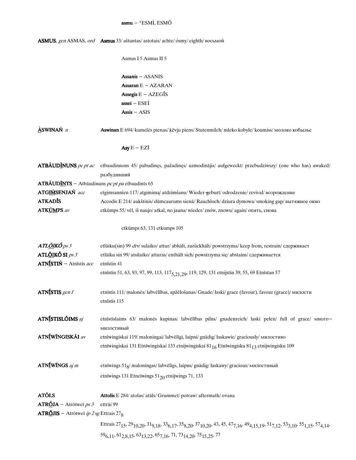## asmu - \*ESMÌ, ESMÓ

|                                                                  | ASMUS, gen ASMAS, ord Asmus 33/ aštuntas/ astotais/ achte/ ósmy/ eighth/ восьмой                                                                                                                                                                                               |
|------------------------------------------------------------------|--------------------------------------------------------------------------------------------------------------------------------------------------------------------------------------------------------------------------------------------------------------------------------|
|                                                                  | Asmus I 5 Asmus II 5                                                                                                                                                                                                                                                           |
|                                                                  | Assanis - ASANIS                                                                                                                                                                                                                                                               |
|                                                                  | Assaran $E - AZARAN$                                                                                                                                                                                                                                                           |
|                                                                  | Assegis $E - AZEGI$ <sup>S</sup>                                                                                                                                                                                                                                               |
|                                                                  | $\textbf{assei} - \text{ESE} \hat{\textbf{I}}$                                                                                                                                                                                                                                 |
|                                                                  | $Assis - ASIS$                                                                                                                                                                                                                                                                 |
| $\Delta$ SWINAŃ $n$                                              | Aswinan E 694/ kumelės pienas/ kēvju piens/ Stutenmilch/ mleko kobyle/ koumiss/ молоко кобылье                                                                                                                                                                                 |
|                                                                  | Asy $E - EZI$                                                                                                                                                                                                                                                                  |
| $ATB\tilde{A}UD\tilde{N}UNS$ pc pt ac                            | etbaudinnons 45/ pabudinęs, pažadinęs/ uzmodinājis/ aufgeweckt/ przebudziwszy/ (one who has) awaked/<br>разбудивший                                                                                                                                                            |
| <b>ATBÃUDINTS</b> - Atbāudinuns pc pt pa etbaudints 65           |                                                                                                                                                                                                                                                                                |
| ATGIMSENJAŃ acc                                                  | etgimsannien 117/atgimima/atdzimšanu/Wieder-geburt/odrodzenie/revival/возрождение                                                                                                                                                                                              |
| <b>ATKADIS</b>                                                   | Accodis E 214/aukštinis/dūmcaurums sienā/Rauchloch/dziura dymowa/smoking gap/вытяжное окно                                                                                                                                                                                     |
| <b>ATKÚMPS</b> av                                                | etkūmps 55/vėl, iš naujo/atkal, no jauna/wieder/znów, znowu/again/опять, снова                                                                                                                                                                                                 |
|                                                                  | etkūmps 63, 131 etkumps 105                                                                                                                                                                                                                                                    |
| <b>ATL<u>ÕI</u>KÓ</b> ps 3                                       | etlāiku(sin) 99 drv/ sulaiko/ attur/ abhält, zurückhält/ powstrzyma/ keep from, restrain/ сдерживает                                                                                                                                                                           |
| ATL <b>ÓIKÓ</b> SI <i>ps 3</i>                                   | etlāiku sin 99/atsilaiko/atturas/enthält sich/powstrzyma się/abstains/сдерживается                                                                                                                                                                                             |
| ATNÍSTIŃ – Atnīstis acc                                          | etnīstin 41                                                                                                                                                                                                                                                                    |
|                                                                  | etnīstin 51, 63, 93, 97, 99, 113, 117 <sub>5, 21, 29</sub> , 119, 129, 131 etnijstin 39, 55, 69 Etnīstan 57                                                                                                                                                                    |
| ATNÍSTIS gen f                                                   | etnīstis 111/ malonės/ labvēlības, apžēlošanas/ Gnade/łaski/ grace (favour), favour (grace)/ милости<br>etnīstis 115                                                                                                                                                           |
| ATNÍSTISLÕIMS aj                                                 | etnīstislaims 63/ malonės kupinas/ labvēlības pilns/ gnadenreich/ łaski pełen/ full of grace/ много-<br>милостивый                                                                                                                                                             |
| ATNÍWÍNGISKÁI av                                                 | etnīwingiskai 119/ maloningai/ labvēlīgi, laipni/ gnädig/ łaskawie/ graciously/ милостиво                                                                                                                                                                                      |
|                                                                  | etnīwingiskai 131 Etnīwingiskai 133 etnijwingiskai 81 <sub>16</sub> Etnīwingisku 81 <sub>13</sub> etnijwingisku 109                                                                                                                                                            |
| $ATN1fW1NGS$ aj m                                                | etnīwings 51g/maloningas/labvēlīgs, laipns/gnädig/łaskawy/gracious/милостивый                                                                                                                                                                                                  |
|                                                                  | etnīwings 131 Etneīwings $51_{20}$ etnijwings 71, 133                                                                                                                                                                                                                          |
| <b>ATÕLS</b><br>$ATR\'{QJA}$ – Atrōtwei ps 3                     | Attolis E 284/ atolas/ atals/ Grummet/ potraw/ aftermath/ отава<br>ettrāi 99                                                                                                                                                                                                   |
| <b>ATRÓJIS</b> – Atrōtweī <i>ip 2 sg</i> Ettrais 27 <sub>8</sub> |                                                                                                                                                                                                                                                                                |
|                                                                  |                                                                                                                                                                                                                                                                                |
|                                                                  | Ettrais 27 <sub>15</sub> , 29 <sub>10,20</sub> , 31 <sub>9,18</sub> , 33 <sub>6,17</sub> , 35 <sub>8,20</sub> , 37 <sub>10,20</sub> , 43, 45, 47 <sub>7,16</sub> , 49 <sub>4,15,19</sub> , 51 <sub>7,12</sub> , 53 <sub>3,10</sub> , 55 <sub>1,15</sub> , 57 <sub>4,14</sub> , |
|                                                                  | 59 <sub>6,11</sub> , 61 <sub>2,8,15</sub> , 63 <sub>13,22</sub> , 65 <sub>7,16</sub> , 71, 73 <sub>14,20</sub> , 75 <sub>15,25</sub> , 77                                                                                                                                      |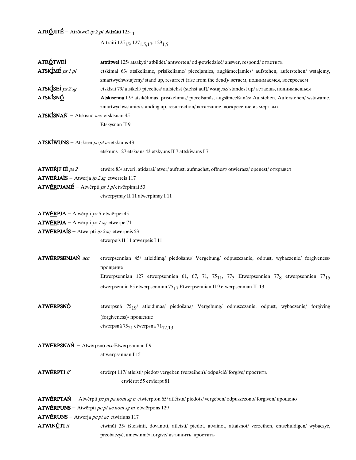# **ATRÓJITÉ** – Atrōtweī *ip 2 pl* **Attrāiti** 125 $_{11}$

Attrāiti 125 $_{\rm 15},$  127 $_{\rm 1,5,17},$  129 $_{\rm 1,5}$ 

| ATRÓTWEÍ                                                                 | attrātwei 125/atsakyti/atbildēt/antworten/od-powiedzieć/answer, respond/ответить                                    |  |  |  |
|--------------------------------------------------------------------------|---------------------------------------------------------------------------------------------------------------------|--|--|--|
| $ATSKIMÉ$ ps 1 pl                                                        | etskīmai 63/ atsikeliame, prisikeliame/ pieceļamies, augšāmceļamies/ aufstehen, auferstehen/ wstajemy,              |  |  |  |
|                                                                          | zmartwychwstajemy/stand up, resurrect (rise from the dead)/ встаем, поднимаемся, воскресаем                         |  |  |  |
| ATSKÍSEÍ ps 2 sg                                                         | etskīsai 79/atsikeli/piecelies/aufstehst (stehst auf)/wstajesz/standest up/встаешь, поднимаешься                    |  |  |  |
| <b>ATSKÍSNÓ</b>                                                          | Atskisenna I 9/ atsikėlimas, prisikėlimas/ piecelšanās, augšāmcelšanās/ Aufstehen, Auferstehen/ wstawanie,          |  |  |  |
|                                                                          | zmartwychwstanie/standing up, resurrection/вста вание, воскресение из мертвых                                       |  |  |  |
|                                                                          | ATSKÍSNAŃ – Atskisnō acc etskisnan 45                                                                               |  |  |  |
|                                                                          | Etskysnan II 9                                                                                                      |  |  |  |
| $ATSK\underline{\textbf{I}}$ WUNS – Atskīseī <i>pc pt ac</i> etskīuns 43 |                                                                                                                     |  |  |  |
|                                                                          | etskīuns 127 etskīans 43 etskyuns II 7 attskiwuns I 7                                                               |  |  |  |
| ATWEK[J]EÍ <i>ps 2</i>                                                   | etwēre 83/atveri, atidarai/atver/auftust, aufmachst, öffnest/otwierasz/openest/открывет                             |  |  |  |
| <b>ATWERJAIS</b> – Atwerja ip 2 sg etwerreis 117                         |                                                                                                                     |  |  |  |
| ATWÉRPJAMÉ - Atwērpti ps 1 pletwērpimai 53                               |                                                                                                                     |  |  |  |
|                                                                          | etwerpymay II 11 atwerpimay I 11                                                                                    |  |  |  |
| $ATWÉRPJA - Atwērpti ps 3 etwērpei 45$                                   |                                                                                                                     |  |  |  |
| $ATWERPJA - Atwērpti ps 1 sg etwerpe 71$                                 |                                                                                                                     |  |  |  |
| <b>ATWÉRPJAÍS</b> – Atwērpti $ip 2 sg$ etwerpeis 53                      |                                                                                                                     |  |  |  |
|                                                                          | etwerpeis II 11 atwerpeis I 11                                                                                      |  |  |  |
| ATWÉRPSENJAŃ acc                                                         | etwerpsennian 45/ atleidimą/ piedošanu/ Vergebung/ odpuszczanie, odpust, wybaczenie/ forgiveness/<br>прощение       |  |  |  |
|                                                                          | Etwerpsennian 127 etwerpsennien 61, 67, 71, 75 $_{11}$ , 77 $_{3}$ Etwerpsennien 77 $_{8}$ etwerpsennien 77 $_{15}$ |  |  |  |
|                                                                          | etwerpsennin 65 etwerpsenninn 75 $_{17}$ Etwerpsennian II 9 etwerpsennian II 13                                     |  |  |  |
| <b>ATWÉRPSNÓ</b>                                                         | etwerpsnā 7519/ atleidimas/ piedošana/ Vergebung/ odpuszczanie, odpust, wybaczenie/ forgiving                       |  |  |  |
|                                                                          | (forgiveness)/прощение                                                                                              |  |  |  |
|                                                                          | etwerpsnä $75_{21}$ etwerpsna $71_{12,13}$                                                                          |  |  |  |
| ATWÉRPSNAŃ - Atwērpsnō accEtwerpsannan I 9                               |                                                                                                                     |  |  |  |
|                                                                          | attwerpsannan I 15                                                                                                  |  |  |  |
| <b>ATWÉRPTI</b> if                                                       | etwērpt 117/atleisti/piedot/vergeben (verzeihen)/odpuścić/forgive/простить<br>etwierpt 55 etwierpt 81               |  |  |  |
|                                                                          |                                                                                                                     |  |  |  |
|                                                                          | <b>ATWÉRPTAŃ</b> – Atwērpti pc pt pa nom sg n etwierpton 65/atléista/piedots/vergeben/odpuszczono/forgiven/прощено  |  |  |  |
|                                                                          | <b>ATWÉRPUNS</b> – Atwērpti pc pt ac nom sg m etwiērpons 129                                                        |  |  |  |
| <b>ATWÉRUNS</b> – Atwerja pc pt ac etwiriuns 117                         |                                                                                                                     |  |  |  |
| ATWINÚTI if                                                              | etwinūt 35/ išteisinti, dovanoti, atleisti/ piedot, atvainot, attaisnot/ verzeihen, entschuldigen/ wybaczyć,        |  |  |  |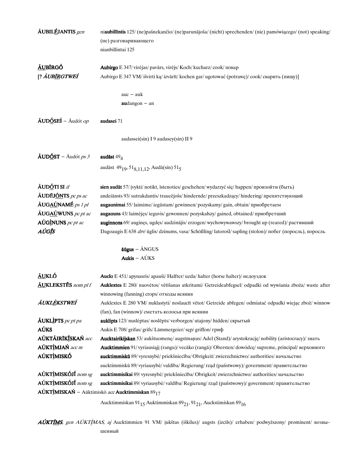| <b>ÄUBILÉJANTIS</b> gen                                      | niaubillīntis 125/(ne)pašnekančio/(ne)parunājoša/(nicht) sprechenden/(nie) pamówiącego/(not) speaking/                                               |  |  |  |
|--------------------------------------------------------------|------------------------------------------------------------------------------------------------------------------------------------------------------|--|--|--|
|                                                              | (не) разговаривающего                                                                                                                                |  |  |  |
|                                                              | nianbillintai 125                                                                                                                                    |  |  |  |
|                                                              |                                                                                                                                                      |  |  |  |
| <u>ÃU</u> BÍRGÓ                                              | Aubirgo E 347/ virėjas/ pavārs, virējs/ Koch/ kucharz/ cook/ повар                                                                                   |  |  |  |
| [? ÁUB <u>ÍR</u> GTWEÍ                                       | Aubirgo E 347 VM/išvirti ka/izvārīt/kochen gar/ugotować (potrawe)/cook/сварить (пищу)]                                                               |  |  |  |
|                                                              |                                                                                                                                                      |  |  |  |
|                                                              | $auc - auk$                                                                                                                                          |  |  |  |
|                                                              | $audangon - an$                                                                                                                                      |  |  |  |
|                                                              |                                                                                                                                                      |  |  |  |
| $\tilde{A}$ UDÓSEÍ – Audót op                                | audasei 71                                                                                                                                           |  |  |  |
|                                                              |                                                                                                                                                      |  |  |  |
|                                                              | audassei(sin) I 9 audasey(sin) II 9                                                                                                                  |  |  |  |
|                                                              |                                                                                                                                                      |  |  |  |
| $\tilde{A}$ UDÓST – Audót ps 3                               | audāst $49_4$                                                                                                                                        |  |  |  |
|                                                              |                                                                                                                                                      |  |  |  |
|                                                              | audāst 49 <sub>19</sub> , 51 <sub>8,11,12</sub> , Audā(sin) 51 <sub>5</sub>                                                                          |  |  |  |
|                                                              |                                                                                                                                                      |  |  |  |
| <b>ÃUDÓTI SI</b> if                                          | sien audāt 57/ įvykti/ notikt, īstenoties/ geschehen/ wydarzyć się/ happen/ произойти (быть)                                                         |  |  |  |
| <b>ÃUDĒJ<u>ÕN</u>TS</b> pc ps ac                             | andeiānsts 93/sutrukdantis/traucējošs/hindernde/przeszkadzący/hindering/препятствующий                                                               |  |  |  |
| <b>ÄUGAÚNAMÉ</b> ps 1 pl                                     | augaunimai 55/laimime/iegūstam/gewinnen/pozyskamy/gain, obtain/приобретаем                                                                           |  |  |  |
| $\tilde{A} U G \underline{A} \underline{U} W U N S$ pc pt ac | augauuns 43/laimėjęs/ieguvis/gewonnen/pozyskałszy/gained, obtained/приобретший                                                                       |  |  |  |
| $A\acute{U}G\acute{I}NUNS$ pc pt ac                          | auginnons 69/ auginęs, ugdęs/ audzinājis/ erzogen/ wychowywawszy/ brought up (reared)/ растивший                                                     |  |  |  |
| AÚGĪS                                                        | Dagoaugis E 638 drv/ ūglis/ dzinums, vasa/ Schößling/ latorośl/ sapling (stolon)/ побег (поросль), поросль                                           |  |  |  |
|                                                              |                                                                                                                                                      |  |  |  |
|                                                              | $\bar{a} \bar{u} gus - \tilde{A} NGUS$                                                                                                               |  |  |  |
|                                                              | Aukis $-$ AUKS                                                                                                                                       |  |  |  |
|                                                              |                                                                                                                                                      |  |  |  |
| <u>ÃUKLÓ</u>                                                 | Auclo E 451/ apynasris/ apauši/ Halfter/ uzda/ halter (horse halter)/ недоуздок                                                                      |  |  |  |
| ÄUKLEKSTĒS nom pl f                                          | Auklextes E 280/ nuovėtos/ vētīšanas atkritumi/ Getreideabfegsel/ odpadki od wywiania zboża/ waste after<br>winnowing (fanning) сгорs/ отходы веяния |  |  |  |
| ÁUKLÈKSTWEÍ                                                  | Auklextes E 280 VM/ nuklastyti/ noslaucīt vētot/ Getreide abfegen/ odmiatać odpadki wiejąc zboż/ winnow                                              |  |  |  |
|                                                              | (fan), fan (winnow)/ сметать колосья при веянии                                                                                                      |  |  |  |
| $\tilde{A}$ UKLIPTS pc pt pa                                 | auklipts 123/nuslėptas/noslēpts/verborgen/utajony/hidden/скрытый                                                                                     |  |  |  |
| <b>AÚKS</b>                                                  | Aukis E 708/ grifas/ grifs/ Lämmergeier/ sęp/ griffon/ гриф                                                                                          |  |  |  |
| AÚKTÁIRIKÍSKAŃ acc                                           | Aucktairikijskan 53/ aukštuomenę/ augstmaņus/ Adel (Stand)/ arystokrację/ nobility (aristocracy)/ знать                                              |  |  |  |
| AÚKTÌMJAŃ acc m                                              | Aucktimmien 91/ vyriausiąjį (rangu)/ vecāko (rangā)/ Obersten/ dowódcę/ supreme, principal/ верховного                                               |  |  |  |
| <b>AÚKTÌMISKÓ</b>                                            | aucktimmiskū 89/ vyresnybė/ priekšniecība/ Obrigkeit/ zwierzchnictwo/ authorities/ начальство                                                        |  |  |  |
|                                                              | aucktimmiskū 89/vyriausybė/valdība/Regierung/rząd (państwowy)/government/правительство                                                               |  |  |  |
| AÚKTÌMISKÓJÍ nom sg                                          | aucktimmisikai 89/vyresnybė/ priekšniecība/ Obrigkeit/ zwierzchnictwo/ authorities/ начальство                                                       |  |  |  |
| AÚKTÌMISKÓJÍ nom sg                                          | aucktimmisikai 89/vyriausybė/valdība/Regierung/rząd (państwowy)/government/правительство                                                             |  |  |  |
|                                                              | $\widehat{\textbf{A}\textbf{U}}$ KTÌMISKAŃ – Aūktimiskō acc Aucktimmiskan $89_{17}$                                                                  |  |  |  |
|                                                              |                                                                                                                                                      |  |  |  |

Aucktimmiska<br/>n $91_{15}$ Auktimmiskan $89_{21}, 91_{21}, \mbox{Auckstimiskan} \; 89_{16}$ 

AÚKTÍMS, gen AÚKTÍMAS, aj Aucktimmien 91 VM/ įukštas (iškilus)/ augsts (izcils)/ erhaben/ podwyższony/ prominent/ возвышенный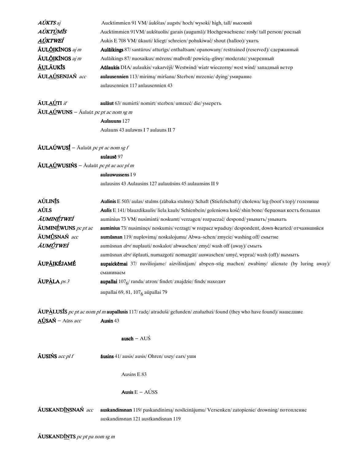| <b>AÚKTS</b> aj                                                                       | Aucktimmien 91 VM/ áukštas/ augsts/ hoch/ wysoki/ high, tall/ высокий                                                              |  |  |  |  |
|---------------------------------------------------------------------------------------|------------------------------------------------------------------------------------------------------------------------------------|--|--|--|--|
| AÚKT <u>Ù</u> MĨS                                                                     | Aucktimmien 91VM/ aukštuolis/ garais (augumā)/ Hochgewachsene/ rosły/ tall person/ рослый                                          |  |  |  |  |
| AÚKTWEÍ                                                                               | Aukis E 708 VM/ ūkauti/ kliegt/ schreien/ pohukiwać/ shout (halloo)/ укать                                                         |  |  |  |  |
| <b>ÃUL<u>ÕI</u>KÍNGS</b> aj m                                                         | Aulaikings 87/ santūrus/ atturīgs/ enthaltsam/ opanowany/ restrained (reserved)/ сдержанный                                        |  |  |  |  |
| <b>ÄULŐIKÍNGS</b> aj m                                                                | Aulaikings 87/ nuosaikus/ mērens/ maßvoll/ powścią-gliwy/ moderate/ умеренный                                                      |  |  |  |  |
| <u>ÃU</u> LÃUKĪS                                                                      | Aūlaukis DIA/ aulaukis/ vakarvējš/ Westwind/ wiatr wieczorny/ west wind/ западный ветер                                            |  |  |  |  |
| <b>ÃULAÚSENJAŃ</b> acc                                                                | aulausennien 113/mirima/miršanu/Sterben/mrzenie/dying/умирание                                                                     |  |  |  |  |
|                                                                                       | aulausennien 117 anlausennien 43                                                                                                   |  |  |  |  |
| <b>ÄULAÚTI</b> if                                                                     | aulāut 63/ numirti/ nomirt/sterben/ umrzeć/die/ умереть                                                                            |  |  |  |  |
| <b>ÃUL<u>AÚ</u>WUNS</b> – Āulaūt <i>pc pt ac nom sg m</i>                             |                                                                                                                                    |  |  |  |  |
|                                                                                       | <b>Aulauuns</b> 127                                                                                                                |  |  |  |  |
|                                                                                       | Aulauns 43 aulawns I 7 aulauns II 7                                                                                                |  |  |  |  |
| $\tilde{A}ULA\acute{U}WUS\acute{I}$ – Aulaūt pc pt ac nom sg f                        |                                                                                                                                    |  |  |  |  |
|                                                                                       | aulausē 97                                                                                                                         |  |  |  |  |
| $\tilde{A}UL \Delta U$ WUSIŃS – $\tilde{A}$ ulaūt <i>pc pt ac acc pl m</i>            |                                                                                                                                    |  |  |  |  |
|                                                                                       | aulauwussens I 9                                                                                                                   |  |  |  |  |
|                                                                                       | aulausins 43 Aulausins 127 aulauūsins 45 aulaunsins II 9                                                                           |  |  |  |  |
| <b>AÚLINIS</b>                                                                        | Aulinis E 503/aulas/stulms (zābaka stulms)/ Schaft (Stiefelschaft)/cholewa/leg (boot's top)/ голенище                              |  |  |  |  |
| AÚLS                                                                                  | Aulis E 141/blauzdikaulis/liela kauls/Schienbein/goleniowa kość/shin bone/берцовая кость большая                                   |  |  |  |  |
| ÃUMINÉTWEÍ                                                                            | auminius 73 VM/nusiminti/noskumt/verzagen/rozpaczać/despond/унывать/унывать                                                        |  |  |  |  |
| $\tilde{A}$ UMINÉWUNS pc pt ac                                                        | auminius 73/ nusiminęs/ noskumis/ verzagt/ w rozpacz wpadszy/ despondent, down hearted/ отчаявшийся                                |  |  |  |  |
| ÄUMÚSNAŃ acc                                                                          | aumūsnan 119/ nuplovimą/ noskalojumu/ Abwa-schen/ zmycie/ washing off/ смытие                                                      |  |  |  |  |
| ÁUMÚTWEÍ<br>aumūsnan drv/ nuplauti/ noskalot/ abwaschen/ zmyć/ wash off (аway)/ смыть |                                                                                                                                    |  |  |  |  |
|                                                                                       | aumūsnan drv/ išplauti, numazgoti/ nomazgāt/ auswaschen/ umyć, wyprać/ wash (off)/ вымыть                                          |  |  |  |  |
| ÁUP <u>ÁI</u> KÉJAMÉ                                                                  | aupaickēmai 37/ nuviliojame/ aizvilinājam/ abspen-stig machen/ zwabimy/ alienate (by luring away)/<br>сманиваем                    |  |  |  |  |
| $\mathbf{\tilde{A}UP\tilde{A}}LA$ ps 3                                                | aupallai $1076$ / randa/ atron/ findet/ znajdzie/ finds/ находит                                                                   |  |  |  |  |
|                                                                                       | aupallai 69, 81, 107 <sub>6</sub> aūpallai 79                                                                                      |  |  |  |  |
|                                                                                       | ÂUPALUSIS pc pt ac nom pl m aupallusis 117/ radę/ atraduši/ gefunden/ znałazłszi/ found (they who have found)/ нашедшие            |  |  |  |  |
| <b>AÚSAŃ</b> – Aūss acc                                                               | Ausin 43                                                                                                                           |  |  |  |  |
|                                                                                       | ausch - $AU\acute{S}$                                                                                                              |  |  |  |  |
| <b>ÄUSIŃS</b> acc pl f                                                                | <b>āusins</b> 41/ ausis/ ausis/ Ohren/ uszy/ ears/ уши                                                                             |  |  |  |  |
|                                                                                       | Ausins E 83                                                                                                                        |  |  |  |  |
|                                                                                       | Ausis $E - A \hat{U}SS$                                                                                                            |  |  |  |  |
| ÁUSKAND <u>ÍN</u> SNAŃ acc                                                            | auskandinsnan 119/ paskandinimą/ noslīcinājumu/ Versenken/ zatopienie/ drowning/ потопление<br>auskandinsnan 121 austkandisnan 119 |  |  |  |  |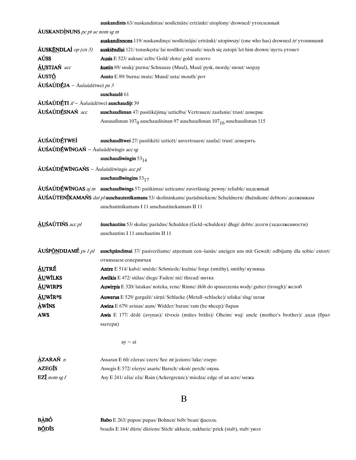| <b>auskandints</b> 63/ nuskandintas/ noslicinats/ ertränkt/ utoplony/ drowned/ утопленный |  |  |  |
|-------------------------------------------------------------------------------------------|--|--|--|
|-------------------------------------------------------------------------------------------|--|--|--|

| $\tilde{A}$ USKANDINUNS pc pt ac nom sg m                                          |                                                                                                                                      |
|------------------------------------------------------------------------------------|--------------------------------------------------------------------------------------------------------------------------------------|
|                                                                                    | <b>auskandinnons</b> 119/ nuskandinęs/ noslicinajis/ ertrankt/ utopiwszy/ (one who has) drowned $tr$ / утопивший                     |
| $\tilde{A}$ USKĒNDLAÍ op (cn 3)                                                    | auskiendlai 121/ tenuskęsta/ lai noslīkst/ ersaufe/ niech się zatopi/ let him drown/ пусть утонет                                    |
| AÚSS                                                                               | Ausis E 523/ auksas/ zelts/ Gold/ złoto/ gold/ золото                                                                                |
| <b>AUSTJAŃ</b> acc                                                                 | <b>āustin</b> 89/ snuki/ purnu/ Schnauze (Maul), Maul/ pysk, morde/ snout/ морду                                                     |
| ÁUSTÓ                                                                              | Austo E 89/ burna/ mute/ Mund/ usta/ mouth/ por                                                                                      |
| $\tilde{A}U\acute{S}A\acute{U}D\underline{\acute{E}}JA - \bar{A}$ ušaūdētweī $ps3$ |                                                                                                                                      |
|                                                                                    | auschaudē 61                                                                                                                         |
| AUŚAÚDÉTI if - Aušaūdētweī auschaudijt 39                                          |                                                                                                                                      |
| ĀUŚAÚDÉSNAŃ acc                                                                    | auschaudīsnan 47/ pasitikėjimą/ uzticību/ Vertrauen/ zaufanie/ trust/ доверие                                                        |
|                                                                                    | Ausaudīsnan 107 <sub>9</sub> auschaudisinan 97 auschaudīsnan 107 <sub>16</sub> auschaudisnan 115                                     |
| <b>AUSAÚDÉTWEI</b>                                                                 | auschaudītwei 27/ pasitikėti/ uzticēt/ anvertrauen/ zaufać/ trust/ доверять                                                          |
| AUŚAÚDÉWINGAŃ – Aušaūdēwīngis acc sg                                               |                                                                                                                                      |
|                                                                                    | auschaudiwingin $53_{14}$                                                                                                            |
| <b>ÃUŚAÚDÉWÍNGAŃS</b> – Āušaūdēwīngis acc pl                                       |                                                                                                                                      |
|                                                                                    | auschaudīwingins $53_{17}$                                                                                                           |
|                                                                                    | AUSAUDÉWINGAS aj m auschaudīwings 57/ patikimas/ uzticams/ zuverlässig/ pewny/ reliable/ надежный                                    |
|                                                                                    | ÁUŚAÚTENÍKAMAŃS <i>dat pl</i> auschautenīkamans 53/skolininkams/parādniekiem/Schuldnern/dłużnikom/debtors/должникам                  |
|                                                                                    | auschantnikamans I 11 anschautinekamans II 11                                                                                        |
| <b>ÄUŚAÚTIŃS</b> acc pl                                                            | āuschautins 53/ skolas/ parādus/ Schulden (Geld-schulden)/ długi/ debts/ долги (задолженности)<br>auschautins I 11 anschautins II 11 |
| ÃUŚP <u>ÕN</u> DIJAMÉ <i>ps 1 pl</i>                                               | auschpāndimai 37/ pasiveržiame/ atņemam cen-šanās/ aneigen uns mit Gewalt/ odbijamy dla sobie/ extort/<br>отнимаем соперничая        |
| <u>ÃU</u> TRÉ                                                                      | <b>Antre</b> E 514/ kalvė/ smēde/ Schmiede/ kuźnia/ forge (smithy), smithy/ кузница                                                  |
| <b>ÄUWÍLKS</b>                                                                     | Awilkis E 472/ siūlas/ diegs/ Faden/ nić/ thread/ нитка                                                                              |
| <b>ÃUWIRPS</b>                                                                     | Auwirpis E 320/latakas/noteka, rene/Rinne/ żłób do spuszczenia wody/gutter (trough)/ желоб                                           |
| <b>AUWIR<sup>a</sup>S</b>                                                          | Auwerus E 529/ gargažė/ sārņi/ Schlacke (Metall–schlacke)/ szlaka/ slag/ шлак                                                        |
| $\mathbf{\dot{\Delta}}$ WĪNS                                                       | Awins E 679/ avinas/ auns/ Widder/ baran/ ram (he sheep)/ баран                                                                      |
| <b>AWS</b>                                                                         | Awis E 177/ dėdė (avynas)/ tēvocis (mātes brālis)/ Oheim/ wuj/ uncle (mother's brother)/ дядя (брат                                  |
|                                                                                    | матери)                                                                                                                              |
|                                                                                    | $ay - ai$                                                                                                                            |
| $\Delta$ ZARAŃ $n$                                                                 | Assaran E 60/ ežeras/ ezers/ See m/ jezioro/ lake/ osepo                                                                             |
| <b>AZEGĪS</b>                                                                      | Assegis E 572/ ešerys/ asaris/ Barsch/ okoń/ perch/ окунь                                                                            |
| $EZ_1$ nom sg f                                                                    | Asy E 241/ežia/eža/Rain (Ackergrenze)/miedza/edge of an acre/Mexa                                                                    |
|                                                                                    | Β                                                                                                                                    |

**BÀBÓ** Babo E 263/ pupos/ pupas/ Bohnen/ bób/ bean/ фасоль **BÕDĪS** boadis E 164/ dūris/ dūriens/ Stich/ ukłucie, nakłucie/ prick (stab), stab/ укол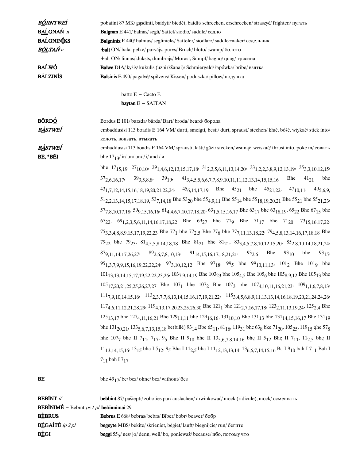| BÓJINTWEÍ         | pobaiint 87 MK/ gasdinti, baidyti/biedēt, baidīt/ schrecken, erschrecken/ straszyć/ frighten/ пугать                                                                                                                        |
|-------------------|-----------------------------------------------------------------------------------------------------------------------------------------------------------------------------------------------------------------------------|
| <b>BALGNAŃ</b> n  | <b>Balgnan</b> E 441/balnas/segli/Sattel/siodlo/saddle/седло                                                                                                                                                                |
| <b>BALGNINIKS</b> | <b>Balgninix</b> E 440/balnius/seglinieks/Satteler/siodlarz/saddle-maker/седельник                                                                                                                                          |
| B <u>ÕL</u> TAŃ n | <b>balt</b> ON/bala, pelkė/ purvājs, purvs/ Bruch/błoto/ swamp/болото                                                                                                                                                       |
|                   | balt ON/liūnas/dūksts, dumbrājs/Morast, Sumpf/bagno/quag/трясина                                                                                                                                                            |
| BAĹWÓ             | Balwe DIA/ kyšis/ kukulis (uzpirkšanai)/ Schmiergeld/ łapówka/ bribe/ взятка                                                                                                                                                |
| <b>BÁLZINIS</b>   | Balsinis E 490/ pagalvė/ spilvens/ Kissen/ poduszka/ pillow/ подушка                                                                                                                                                        |
|                   | batto E - Cacto E                                                                                                                                                                                                           |
|                   | baytan $E - SAITAN$                                                                                                                                                                                                         |
| <b>BŐRDÓ</b>      | Bordus E 101/barzda/bārda/Bart/broda/beard/борода                                                                                                                                                                           |
| <b>BÀSTWEI</b>    | embaddusisi 113 boadis E 164 VM/durti, smeigti, besti/durt, spraust/stechen/kłuć, bóść, wtykać/stick into/                                                                                                                  |
|                   | колоть, вонзать, втыкать                                                                                                                                                                                                    |
| <b>BASTWEI</b>    | embaddusisi 113 boadis E 164 VM/sprausti, kišti/gāzt/stecken/wsunąć, wciskać/thrust into, poke in/совать                                                                                                                    |
| BE, *BÉI          | bhe $17_1 \frac{3}{\text{ in}}$ ir/ un/ und/ i/ and / u                                                                                                                                                                     |
|                   | bhe $17_{15,19}$ , $27_{10,10}$ , $29_{1,4,6,12,13,15,17,18}$ , $31_{2,3,5,6,11,13,14,20}$ , $33_{1,2,2,3,8,9,12,13,19}$ , $35_{3,3,10,12,15}$                                                                              |
|                   | $37_{2,6,16,17}$ , $39_{3,5,8,8}$ , $39_{19}$ , $41_{3,4,5,5,6,6,7,7,8,9,10,11,11,12,13,14,15,15,16}$ Bhe $41_{21}$ bhe                                                                                                     |
|                   | $43_{1,7,12,14,15,16,18,19,20,21,22,24}$ , $45_{6,14,17,19}$ Bhe $45_{21}$ bhe $45_{21,22}$ , $47_{10,11}$ , $49_{5,6,9}$                                                                                                   |
|                   | $51_{2,2,13,14,15,17,18,19}$ , $53_{7,14,18}$ Bhe $53_{20}$ bhe $55_{4,9,11}$ Bhe $55_{14}$ bhe $55_{18,19,20,21}$ Bhe $55_{21}$ bhe $55_{21,23}$ ,                                                                         |
|                   | $577,8,10,17,18$ , $599,15,16,16$ , $614,4,6,7,10,17,18,20$ , $631,5,15,16,17$ Bhe $6317$ bhe $6318,19$ , $6522$ Bhe $6715$ bhe                                                                                             |
|                   | $67_{22}$ , $69_{1,2,3,5,6,11,14,16,17,18,22}$ Bhe $69_{27}$ bhe $71_{9}$ Bhe $71_{17}$ bhe $71_{20}$ , $73_{15,16,17,22}$ ,                                                                                                |
|                   |                                                                                                                                                                                                                             |
|                   | 753,3,4,8,8,9,15,17,19,22,23 Bhe 77 <sub>1</sub> bhe 77 <sub>2,5</sub> Bhe 77 <sub>6</sub> bhe 77 <sub>7,11,13,18,22</sub> , 79 <sub>4,5,8,13,14,16,17,18,18</sub> Bhe                                                      |
|                   | $79_{22}$ bhe $79_{23}$ , $81_{4,5,5,8,14,18,18}$ Bhe $81_{21}$ bhe $81_{21}$ , $83_{3,4,5,7,8,10,12,15,20}$ , $85_{2,8,10,14,18,21,24}$ ,                                                                                  |
|                   | $879,11,14,17,26,27$ , $892,6,7,8,10,13$ , $9114,15,16,17,18,21,21$ , $932,6$ Bhe $9310$ bhe<br>$93_{15}$                                                                                                                   |
|                   | $95_{1,3,7,9,9,15,16,19,22,22,24}$ , $97_{3,10,12,12}$ Bhe $97_{18}$ , $99_5$ bhe $99_{10,11,13}$ , $101_2$ Bhe $101_9$ bhe                                                                                                 |
|                   | $101_{13,13,14,15,17,19,22,22,23,26}$ , $103_{7,9,14,19}$ Bhe $103_{23}$ bhe $105_{4,5}$ Bhe $105_{6}$ bhe $105_{8,9,12}$ Bhe $105_{13}$ bhe                                                                                |
|                   | $105_{17,20,21,25,25,26,27,27}$ Bhe $107_1$ bhe $107_2$ Bhe $107_3$ bhe $107_{4,10,11,16,21,23}$ , $109_{1,1,6,7,8,13}$ ,                                                                                                   |
|                   | $1117,9,10,14,15,16$ , $1132,3,7,7,8,13,14,15,16,17,19,21,22$ , $1153,4,5,6,8,9,11,13,13,14,16,18,19,20,21,24,24,26$                                                                                                        |
|                   | $117_{4,6,11,12,21,28,29}$ , $119_{4,13,17,20,23,25,26,30}$ Bhe $121_1$ bhe $121_{2,7,16,17,18}$ , $123_{2,11,13,19,24}$ , $125_{2,4}$ Bhe                                                                                  |
|                   | $125_{13,17}$ bhe $127_{4,11,16,21}$ Bhe $129_{11,11}$ bhe $129_{16,16}$ , $131_{10,10}$ Bhe $131_{13}$ bhe $131_{14,15,16,17}$ Bhe $131_{19}$                                                                              |
|                   | bhe $131_{20,21}$ , $133_{5,6,7,13,15,18}$ be (bille) $93_{14}$ Bbe $65_{11}$ , $81_{16}$ , $119_{31}$ bhc $63_8$ bke $71_{20}$ , $105_{25}$ , $119_{15}$ qhe $57_8$                                                        |
|                   | hhe 1077 bhe II 7 <sub>11</sub> , 7 <sub>17</sub> , 9 <sub>5</sub> Bhe II 9 <sub>10</sub> bhe II 13 <sub>5, 6</sub> 7, 8, 14, 16 bhe II 5 <sub>12</sub> Bhe II 7 <sub>11</sub> , 11 <sub>2, 5</sub> bhe II                  |
|                   | 11 <sub>13,14,15,16</sub> , 13 <sub>15</sub> bha I 5 <sub>12</sub> , 9 <sub>5</sub> Bha I 11 <sub>2,5</sub> bha I 11 <sub>12,13,13,14</sub> , 13 <sub>6,6,7,14,15,16</sub> Ba I 9 <sub>10</sub> bah I 7 <sub>11</sub> Bah I |
|                   | $7_{11}$ bah I $7_{17}$                                                                                                                                                                                                     |
| BE                | bhe $4917/$ be/ bez/ ohne/ bez/ without/ $6e3$                                                                                                                                                                              |

| <b>BEBINT</b> if                                             | <b>bebbint</b> 87/ pašiepti/ zoboties par/ auslachen/ drwinkować/ mock (ridicule), mock/ осмеивать                      |
|--------------------------------------------------------------|-------------------------------------------------------------------------------------------------------------------------|
| <b>BEBINIMÉ</b> – Bebīnt <i>ps 1 pl</i> <b>bebinnimai</b> 29 |                                                                                                                         |
| <b>BEBRUS</b>                                                | <b>Bebrus</b> E 668/bebras/bebrs/Biber/bóbr/beaver/606p                                                                 |
| <b>BÉGAITÉ</b> ip $2$ pl                                     | <b>begeyte</b> MBS/bekite/skrieniet, begiet/lauft/biegnijcie/run/бегите                                                 |
| <b>BÈGI</b>                                                  | <b>beggi</b> $55\frac{1}{2}$ nes/jo/denn, weil/bo, ponieważ/because/ $\frac{1}{2}$ neto, $\frac{1}{2}$ no $\frac{1}{2}$ |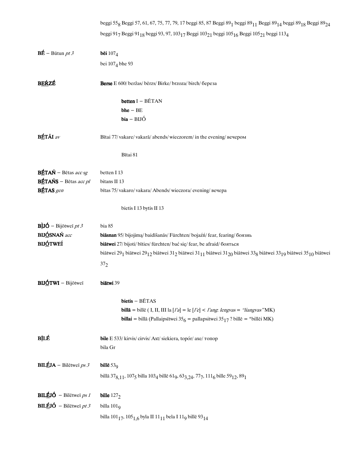|                                         | beggi 55 <sub>8</sub> Beggi 57, 61, 67, 75, 77, 79, 17 beggi 85, 87 Beggi 89 <sub>1</sub> beggi 89 <sub>11</sub> Beggi 89 <sub>14</sub> beggi 89 <sub>18</sub> Beggi 89 <sub>24</sub>                        |
|-----------------------------------------|--------------------------------------------------------------------------------------------------------------------------------------------------------------------------------------------------------------|
|                                         | beggi 917 Beggi 91 <sub>18</sub> beggi 93, 97, 103 <sub>17</sub> Beggi 103 <sub>21</sub> beggi 105 <sub>16</sub> Beggi 105 <sub>21</sub> beggi 113 <sub>4</sub>                                              |
| $B\vec{E}$ – Būtun <i>pt 3</i>          | bēi $107_4$                                                                                                                                                                                                  |
|                                         | bei 107 <sub>4</sub> bhe 93                                                                                                                                                                                  |
| <b>BERZÉ</b>                            | Berse E 600/ beržas/ bērzs/ Birke/ brzoza/ birch/ береза                                                                                                                                                     |
|                                         | betten I - BĒTAN                                                                                                                                                                                             |
|                                         | $b$ he $-$ BE                                                                                                                                                                                                |
|                                         | $bia - BIJ$ Ó                                                                                                                                                                                                |
| <b>BÉTÃI</b> av                         | Bītai 77/vakare/vakarā/abends/wieczorem/in the evening/вечером                                                                                                                                               |
|                                         | Bītai 81                                                                                                                                                                                                     |
| $B\acute{E}T A\acute{N}$ – Bētas acc sg | betten I 13                                                                                                                                                                                                  |
| <b>BÉTAŃS</b> – Bētas acc pl            | bitans II 13                                                                                                                                                                                                 |
| <b>BÉTAS</b> gen                        | bītas 75/vakaro/vakara/Abends/wieczora/evening/вечера                                                                                                                                                        |
|                                         | bietis I 13 bytis II 13                                                                                                                                                                                      |
| <b>B</b> iJÓ – Bijōtweī pt 3            | bia 85                                                                                                                                                                                                       |
| <b>BIJÓSNAŃ</b> acc                     | biāsnan 95/bijojimą/baidīšanās/Fürchten/bojaźń/fear, fearing/боязнь                                                                                                                                          |
| <b>BIJÓTWEÍ</b>                         | biātwei 27/ bijoti/ bīties/ fürchten/ bać się/ fear, be afraid/ бояться                                                                                                                                      |
|                                         | biātwei 29 <sub>1</sub> biātwei 29 <sub>12</sub> biātwei 31 <sub>2</sub> biātwei 31 <sub>11</sub> biātwei 31 <sub>20</sub> biātwei 33 <sub>8</sub> biātwei 33 <sub>19</sub> biātwei 35 <sub>10</sub> biātwei |
|                                         | $37_{2}$                                                                                                                                                                                                     |
| <b>BIJÓTWI</b> – Bijōtweī               | biātwi 39                                                                                                                                                                                                    |
|                                         | bietis - BĒTAS                                                                                                                                                                                               |
|                                         | billā = billē (I, II, III la [ $l'a$ ] = le [ $l'e$ ] < $l'a$ g. lengvas = "liangvas" MK)                                                                                                                    |
|                                         | <b>billai</b> = billā (Pallaipsītwei 35 <sub>6</sub> = pallapsitwei 35 <sub>17</sub> ? billē = *billēi MK)                                                                                                   |
| BILÉ                                    | bile E 533/ kirvis/ cirvis/ Axt/ siekiera, topór/ axe/ топор                                                                                                                                                 |
|                                         | bila Gr                                                                                                                                                                                                      |
| <b>BILÉJA</b> – Bilētweī ps 3           | bille $539$                                                                                                                                                                                                  |
|                                         | billā 378,11, 1075 billa 1034 billē 619, 633,24, 777, 1116 bille 5912, 891                                                                                                                                   |
| <b>BILÉJÓ</b> – Bilētweī ps 1           | bille $1272$                                                                                                                                                                                                 |
| <b>BILÉJÓ</b> – Bilētweī pt 3           | billa $1019$                                                                                                                                                                                                 |
|                                         | billa 101 <sub>17</sub> , 105 <sub>1,6</sub> byla II 11 <sub>11</sub> bela I 11 <sub>9</sub> billē 93 <sub>14</sub>                                                                                          |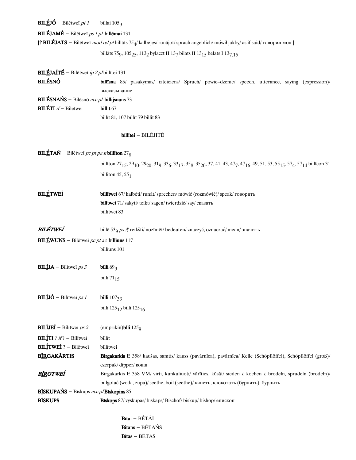**BILÉJÓ** – Bilētweī *pt 1* billai 105<sub>9</sub>

 $BILÉJAMÉ - Bilētweīps1pl billēmai 131$ 

**[? BILĒJATS** – Bilētweī *mod rel pt* billāts 75<sub>4</sub>/ kalbėjęs/ runājot/ sprach angeblich/ mówił jakby/ as if said/ говорил мол **]** 

billāts 75 $_9$ , 105 $_{25}$ , 113 $_2$  bylaczt II 13 $_7$  bilats II 13 $_{15}$  belats I 13 $_{7,15}$ 

| <b>BILÉJAÍTÉ</b> – Bilētweī <i>ip 2 p</i> /billītei 131                |                                                                                                                                                                                                                                                                                              |  |
|------------------------------------------------------------------------|----------------------------------------------------------------------------------------------------------------------------------------------------------------------------------------------------------------------------------------------------------------------------------------------|--|
| <b>BILÉSNÓ</b>                                                         | billisna 85/ pasakymas/ izteiciens/ Spruch/ powie-dzenie/ speech, utterance, saying (expression)/<br>высказывание                                                                                                                                                                            |  |
| <b>BILÉSNAŃS</b> – Bilēsnō acc pl billijsnans 73                       |                                                                                                                                                                                                                                                                                              |  |
| BILÉTI if-Bilētweī                                                     | billīt 67                                                                                                                                                                                                                                                                                    |  |
|                                                                        | billīt 81, 107 bīllīt 79 billit 83                                                                                                                                                                                                                                                           |  |
|                                                                        | billītei - BILĒJITĒ                                                                                                                                                                                                                                                                          |  |
| <b>BILÉTAŃ</b> – Bilētweī <i>pc pt pa n</i> billīton 27 <sub>8</sub>   |                                                                                                                                                                                                                                                                                              |  |
|                                                                        | billīton 27 <sub>15</sub> , 29 <sub>10</sub> , 29 <sub>20</sub> , 31 <sub>9</sub> , 33 <sub>6</sub> , 33 <sub>17</sub> , 35 <sub>8</sub> , 35 <sub>20</sub> , 37, 41, 43, 47 <sub>7</sub> , 47 <sub>16</sub> , 49, 51, 53, 55 <sub>15</sub> , 57 <sub>4</sub> , 57 <sub>14</sub> billīcon 31 |  |
|                                                                        | billiton $45,551$                                                                                                                                                                                                                                                                            |  |
| <b>BILÉTWEÍ</b>                                                        | billītwei 67/ kalbėti/ runāt/ sprechen/ mówić (rozmówić)/ speak/ говорить                                                                                                                                                                                                                    |  |
|                                                                        | bilītwei 71/sakyti/teikt/sagen/twierdzić/say/сказать<br>billitwei 83                                                                                                                                                                                                                         |  |
|                                                                        |                                                                                                                                                                                                                                                                                              |  |
| BILÉTWEÍ                                                               | billē 53 <sub>9</sub> ps 3/ reikšti/ nozīmēt/ bedeuten/ znaczyć, oznaczać/ mean/ значить                                                                                                                                                                                                     |  |
| BILÉWUNS - Bilētweī pc pt ac billīuns 117                              |                                                                                                                                                                                                                                                                                              |  |
|                                                                        | billīuns 101                                                                                                                                                                                                                                                                                 |  |
| <b>BILÌJA</b> – Bilītweī $ps3$                                         | billi $69Q$                                                                                                                                                                                                                                                                                  |  |
|                                                                        | billi $71_{15}$                                                                                                                                                                                                                                                                              |  |
| <b>BILÌJÓ</b> – Bilītweī <i>ps 1</i>                                   | billi $107_{33}$                                                                                                                                                                                                                                                                             |  |
|                                                                        | billi 125 <sub>12</sub> billi 125 <sub>16</sub>                                                                                                                                                                                                                                              |  |
| <b>BILLIEI</b> – Bilītweī <i>ps 2</i> (emprīkin) bili 125 <sub>9</sub> |                                                                                                                                                                                                                                                                                              |  |
| <b>BILÍTI</b> ? $if$ ? - Bilītweī                                      | billīt                                                                                                                                                                                                                                                                                       |  |
| <b>BILÍTWEÍ</b> ? - Bilētweī                                           | billītwei                                                                                                                                                                                                                                                                                    |  |
| <b>BÍRGAKÁRTIS</b>                                                     | Birgakarkis E 358/ kaušas, samtis/ kauss (pavārnīca), pavārnīca/ Kelle (Schöpflöffel), Schöpflöffel (groß)/                                                                                                                                                                                  |  |
|                                                                        | czerpak/dipper/ковш                                                                                                                                                                                                                                                                          |  |
| <b>B<u>ÍR</u>GTWEÍ</b>                                                 | Birgakarkis E 358 VM/ virti, kunkuliuoti/ vārīties, kūsāt/ sieden i, kochen i, brodeln, sprudeln (brodeln)/                                                                                                                                                                                  |  |
|                                                                        | bulgotać (woda, zupa)/ seethe, boil (seethe)/ кипеть, клокотать (бурлить), бурлить                                                                                                                                                                                                           |  |
| BĪSKUPAŃS - Bīskups acc p/Bīskopins 85                                 |                                                                                                                                                                                                                                                                                              |  |
| <b>B<i>BBBBBB</i></b>                                                  | Biskops 87/ vyskupas/biskaps/ Bischof/biskup/bishop/епископ                                                                                                                                                                                                                                  |  |
|                                                                        | $B$ ītai - $BÉTÅI$                                                                                                                                                                                                                                                                           |  |

 $Bitans-BÉTAÑS$  $B$ ītas - BÉTAS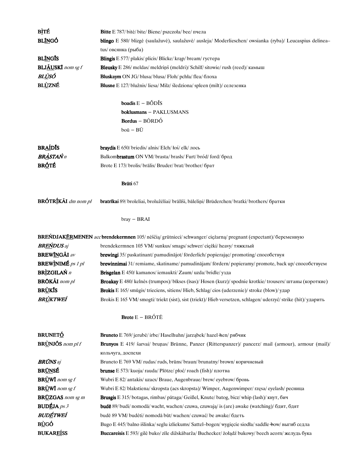| <b>BITÉ</b>                     | Bitte E 787/ bite/ bite/ Biene/ pszczoła/ bee/ пчела                                                                    |
|---------------------------------|-------------------------------------------------------------------------------------------------------------------------|
| <b>BLÍNGÓ</b>                   | blingo E 580/ blizgė (saulažuvė), saulažuvė/ ausleja/ Moderlieschen/ owsianka (ryba)/ Leucaspius delinea-               |
|                                 | tus/ овсянка (рыба)                                                                                                     |
| <b>BLÍNGIS</b>                  | <b>Blingis</b> E 577/ plakis/ plicis/ Blicke/ krap/ bream/ rycrepa                                                      |
| <b>BLJ<u>ÃU</u>SKĪ</b> nom sg f | Bleusky E 286/ meldas/ meldrins (meldri)/ Schilf/ sitowie/ rush (reed)/ камыш                                           |
| BL <u>Ù</u> SÓ                  | Bluskaym ON JG/blusa/blusa/Floh/pchła/flea/блоха                                                                        |
| <b>BLÙZNÉ</b>                   | Blusne E 127/ blužnis/ liesa/ Milz/ śledziona/ spleen (milt)/ селезенка                                                 |
|                                 |                                                                                                                         |
|                                 | <b>boadis</b> $E - B\tilde{O}D\tilde{I}S$                                                                               |
|                                 | boklusmans - PAKLUSMANS                                                                                                 |
|                                 | Bordus - BÔRDÔ                                                                                                          |
|                                 | boū - BŪ                                                                                                                |
| <b>BRADIS</b>                   | braydis E 650/ briedis/ alnis/ Elch/ łoś/ elk/ лось                                                                     |
| <b>BRASTAŃ</b> n                | Balkombrastum ON VM/brasta/brasls/Furt/bród/ford/брод                                                                   |
| <b>BRÓTÉ</b>                    | Brote E 173/brolis/bralis/Bruder/brat/brother/брат                                                                      |
|                                 |                                                                                                                         |
|                                 | Brati 67                                                                                                                |
| <b>BRÓTRÍKÃI</b> dm nom pl      | bratrīkai 89/broleliai, brolužėliai/brālīši, bāleliņi/Brüderchen/bratki/brothers/братки                                 |
|                                 | $bray - BRAI$                                                                                                           |
|                                 | <b>BREŃDJAKÉRMENEN</b> acc <b>brendekermnen</b> 105/neščią/grūtnieci/schwanger/ciężarną/pregnant (ехресtant)/беременную |
| <b>BREŃDUS</b> aj               | brendekermnen 105 VM/sunkus/smags/schwer/ciężki/heavy/тяжклый                                                           |
| <b>BREWÍNGÃI</b> av             | brewingi 35/ paskatinant/ pamudinājot/ förderlich/ popierając/ promoting/ способствуя                                   |
| BREWINIMÉ ps 1 pl               | brewinnimai 31/ remiame, skatiname/ pamudinājam/ fördern/ popieramy/ promote, back up/ способствуем                     |
| <b>BRÌZGILAŃ</b> n              | Brisgelan E 450/ kamanos/iemaukti/ Zaum/ uzda/bridle/ узда                                                              |
| <b>BRŌKÃI</b> nom pl            | Broakay E 480/ kelnes (trumpos)/bikses (isas)/ Hosen (kurz)/ spodnie krotkie/ trousers/ штаны (короткие)                |
| BR <u>Ù</u> KIS                 | Brokis E 165/smūgis/trieciens, sitiens/Hieb, Schlag/cios (uderzenie)/stroke (blow)/yaap                                 |
| <b>BRÙKTWEÍ</b>                 | Brokis E 165 VM/smogti/triekt (sist), sist (triekt)/Hieb versetzen, schlagen/uderzyć/strike (hit)/ ударить              |
|                                 |                                                                                                                         |
|                                 | <b>Brote</b> $E - BR$ $\acute{o}T\acute{E}$                                                                             |
| <b>BRUNETÓ</b>                  | <b>Bruneto</b> E 769/ jerubė/ irbe/ Haselhuhn/ jarząbek/ hazel + hen/ рябчик                                            |
| $BRUNJ$ ŐS nom pl f             | Brunyos E 419/ šarvai/ brunas/ Brünne, Panzer (Ritterspanzer)/ pancerz/ mail (armour), armour (mail)/                   |
|                                 | кольчуга, доспехи                                                                                                       |
| <b>BRÚNS</b> aj                 | Bruneto E 769 VM/rudas/ruds, brūns/braun/brunatny/brown/коричневый                                                      |
| <b>BRUNSE</b>                   | <b>brunse</b> $E$ 573/kuoja/rauda/Plötze/płoć/roach (fish)/плотва                                                       |
| <b>BRUWI</b> nom sg $f$         | Wubri E 82/ antakis/ uzacs/ Braue, Augenbraue/ brew/ eyebrow/ бровь                                                     |
| <b>BRUWI</b> nom sg $f$         | Wubri E 82/ blakstiena/ skropsta (acs skropsta)/ Wimper, Augenwimper/ rzęsa/ eyelash/ ресница                           |
| <b>BRUZGAS</b> nom sg m         | Brusgis E 315/botagas, rimbas/pataga/Geißel, Knute/batog, bicz/whip (lash)/кнут, бич                                    |
| <b>BUDÉJA</b> ps $3$            | <b>bude</b> 89/ budi/ nomodā/ wacht, wachen/ czuwa, czuwają/ is (are) awake (watching)/ $6\pi$ $\mu$ , $6\pi$ $\sigma$  |
| BUDÉTWEÍ                        | budē 89 VM/budėti/ nomodā būt/wachen/ сzuwać/be awake/бдеть                                                             |
| <b>BÙGÓ</b>                     | Bugo E 445/balno išlinka/seglu izliekums/Sattel-bogen/wygięcie siodła/saddle bow/выгиб седла                            |
| <b>BUKAREISS</b>                | Buccareisis E 593/ gilė buko/ zile dižskābarža/ Buchecker/ żołądź bukowy/ beech acorn/ желудь бука                      |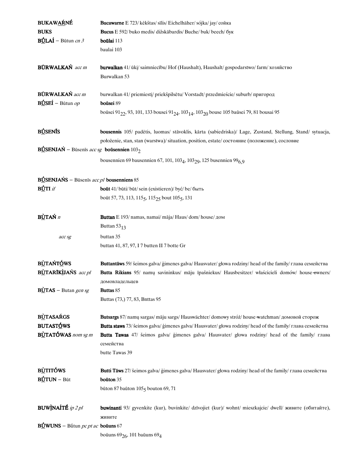| <b>BUKAWAŔNÉ</b>                                               | Bucawarne E 723/ kėkštas/ sīlis/ Eichelhäher/ sójka/ jay/ сойка                                                                          |
|----------------------------------------------------------------|------------------------------------------------------------------------------------------------------------------------------------------|
| <b>BUKS</b>                                                    | Bucus E 592/ buko medis/ dižskābardis/ Buche/ buk/ beech/ бук                                                                            |
| $\text{BÚLAÍ} - \text{Būtun } cn3$                             | boūlai 113                                                                                                                               |
|                                                                | baulai 103                                                                                                                               |
|                                                                |                                                                                                                                          |
| <b>BÜRWALKAŃ</b> acc m                                         | <b>burwalkan</b> 41/ūki/saimniecību/ Hof (Haushalt), Haushalt/gospodarstwo/farm/хозяйство                                                |
|                                                                | Burwalkan 53                                                                                                                             |
|                                                                |                                                                                                                                          |
| <b>BŪRWALKAŃ</b> acc m                                         | burwalkan 41/ priemiestį/ priekšpilsētu/ Vorstadt/ przedmieście/ suburb/ пригород                                                        |
| $B\acute{b}S$ $E\acute{b}$ – Būtun $op$                        | boūsei 89                                                                                                                                |
|                                                                | boūsei 91 <sub>22</sub> , 93, 101, 133 bousei 91 <sub>24</sub> , 103 <sub>14</sub> , 103 <sub>20</sub> bouse 105 baūsei 79, 81 bousai 95 |
|                                                                |                                                                                                                                          |
| <b>BÚSENÍS</b>                                                 | bousennis 105/ padėtis, luomas/ stāvoklis, kārta (sabiedriska)/ Lage, Zustand, Stellung, Stand/ sytuacja,                                |
|                                                                |                                                                                                                                          |
| <b>BÚSENJAŃ</b> – Būsenīs acc sg <b>boūsennien</b> $1032$      | położenie, stan, stan (warstwa)/ situation, position, estate/ состояние (положение), сословие                                            |
|                                                                |                                                                                                                                          |
|                                                                | bousennien 69 bausennien 67, 101, 103 <sub>4</sub> , 103 <sub>29</sub> , 125 busennien 99 <sub>6.9</sub>                                 |
|                                                                |                                                                                                                                          |
| <b>BÚSENJAŃS</b> – Būsenīs <i>acc pl</i> bousenniens 85        |                                                                                                                                          |
| $B\acute{D}T$ I <i>if</i>                                      | boūt 41/būti/būt/sein (existieren)/być/be/быть                                                                                           |
|                                                                | boūt 57, 73, 113, 115 <sub>5</sub> , 115 <sub>25</sub> bout 105 <sub>5</sub> , 131                                                       |
|                                                                |                                                                                                                                          |
| <b>BÙTAŃ</b> n                                                 | Buttan E 193/ namas, namai/ māja/ Haus/ dom/ house/ дом                                                                                  |
|                                                                | Buttan $53_{13}$                                                                                                                         |
| acc sg                                                         | buttan 35                                                                                                                                |
|                                                                |                                                                                                                                          |
|                                                                | buttan 41, 87, 97, I 7 butten II 7 botte Gr                                                                                              |
| BÙTAŃTÓWS                                                      |                                                                                                                                          |
| BÙTARIKÙANS acc pl                                             | Buttantāws 59/ šeimos galva/ ģimenes galva/ Hausvater/ głowa rodziny/ head of the family/ глава семейства                                |
|                                                                | Butta Rikians 95/ namų savininkus/ māju īpašniekus/ Hausbesitzer/ właścicieli domów/ house-owners/                                       |
|                                                                | домовладельцев                                                                                                                           |
| $\overrightarrow{B\cup}$ TAS – Butan gen sg                    | Buttas 85                                                                                                                                |
|                                                                | Buttas (73,) 77, 83, Bnttas 95                                                                                                           |
|                                                                |                                                                                                                                          |
| <b>BÙTASAŔGS</b>                                               | Butsargs 87/ namų sargas/ māju sargs/ Hauswächter/ domowy stróż/ house watchman/ домовой сторож                                          |
| <b>BUTASTÓWS</b>                                               | Butta staws 73/ šeimos galva/ ģimenes galva/ Hausvater/ głowa rodziny/ head of the family/ глава семейства                               |
| <b>BÙTATÓWAS</b> nom sg m                                      | Butta Tawas 47/ šeimos galva/ ģimenes galva/ Hausvater/ głowa rodziny/ head of the family/ глава                                         |
|                                                                | семейства                                                                                                                                |
|                                                                | butte Tawas 39                                                                                                                           |
|                                                                |                                                                                                                                          |
| <b>BÙTITÓWS</b>                                                | Butti Tāws 27/ šeimos galva/ ģimenes galva/ Hausvater/ głowa rodziny/ head of the family/ глава семейства                                |
| $B_{\text{U}}$ TUN – Būt                                       | boūton 35                                                                                                                                |
|                                                                | būton 87 baūton $1055$ bouton 69, 71                                                                                                     |
|                                                                |                                                                                                                                          |
| <b>BUWINAITÉ</b> ip 2 pl                                       | buwinanti 93/ gyvenkite (kur), buvinkite/ dzīvojiet (kur)/ wohnt/ mieszkajcie/ dwell/ живите (обитайте),                                 |
|                                                                | живите                                                                                                                                   |
| $B\underline{\dot{U}}$ WUNS – Bū́tun <i>pc pt ac</i> boūuns 67 |                                                                                                                                          |
|                                                                | boūuns $69_{26}$ , 101 baūuns $69_{4}$                                                                                                   |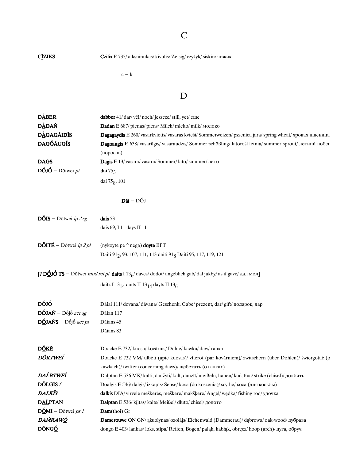# C

C**ZIKS** Czilix E 735/alksninukas/ kivulis/ Zeisig/ сzyżyk/ siskin/ чижик

 $c - k$ 

## D

| <b>DABER</b>                                     | dabber 41/dar/vēl/noch/jeszcze/still, yet/eme                                                                      |
|--------------------------------------------------|--------------------------------------------------------------------------------------------------------------------|
| <b>DÀDAŃ</b>                                     | Dadan E 687/ pienas/ piens/ Milch/ mleko/ milk/ молоко                                                             |
| <b>DÀGAGÃIDIS</b>                                | Dagagaydis E 260/ vasarkvietis/ vasaras kvieši/ Sommerweizen/ pszenica jara/ spring wheat/ яровая пшеница          |
| <b>DAGÓÃUGIS</b>                                 | Dagoaugis E 638/ vasarūgis/ vasaraudzis/ Sommer schößling/ latorośl letnia/ summer sprout/ летний побег            |
|                                                  | (поросль)                                                                                                          |
| <b>DAGS</b>                                      | Dagis E 13/vasara/vasara/Sommer/lato/summer/лето                                                                   |
| $D\acute{0}J\acute{0}$ – Dōtwei pt               | dai $753$                                                                                                          |
|                                                  | dai 75g, 101                                                                                                       |
|                                                  |                                                                                                                    |
|                                                  | $D\bar{a}i - D\bar{O}J$                                                                                            |
| $\overline{\text{DÓIS}}$ – Dōtwei <i>ip 2 sg</i> | dais 53                                                                                                            |
|                                                  | dais 69, I 11 days II 11                                                                                           |
| $\overrightarrow{DQITE}$ – Dōtwei <i>ip 2 pl</i> | (nykoyte pe $\hat{ }$ nega) doyte BPT                                                                              |
|                                                  | Dāiti 91 <sub>2</sub> , 93, 107, 111, 113 daiti 91 <sub>8</sub> Daiti 95, 117, 119, 121                            |
|                                                  | [? DÔJÓ TS – Dōtwei <i>mod rel pt</i> daits I $13_6$ / davęs/dodot/ angeblich gab/ dał jakby/ as if gave/ дал мол] |
|                                                  |                                                                                                                    |
|                                                  | daitz I 13 <sub>14</sub> daits II 13 <sub>14</sub> dayts II 13 <sub>6</sub>                                        |
| DÓJ <u>Ó</u>                                     | Dāiai 111/ dovana/ dāvana/ Geschenk, Gabe/ prezent, dar/ gift/ подарок, дар                                        |
| $D\acute{O}JAN - D\acute{O}j\acute{o}$ acc sg    | Dāian 117                                                                                                          |
| $D\acute{O}JANS - D\acute{O}j\acute{o}$ acc pl   | Dāians 45                                                                                                          |
|                                                  | Dāians 83                                                                                                          |
| D <u>Ŏ</u> KĒ                                    | Doacke E 732/ kuosa/ kovārnis/ Dohle/ kawka/ daw/ галка                                                            |
| D <u>Ő</u> KTWEÍ                                 | Doacke E 732 VM/ ulbeti (apie kuosas)/ vīterot (par kovārniem)/ zwitschern (über Dohlen)/ świergotać (o            |
|                                                  | kawkach)/ twitter (concerning daws)/ щебетать (о галках)                                                           |
| D <u>AĹ</u> BTWEÍ                                | Dalptan E 536 MK/kalti, daužyti/kalt, dauzīt/meißeln, hauen/kuć, tłuc/strike (chisel)/долбить                      |
| D <u>ÕL</u> GIS f                                | Doalgis E 546/dalgis/izkapts/Sense/kosa (do koszenia)/scythe/коса (для косьбы)                                     |
| <b>DALKIS</b>                                    | dalkis DIA/ virvelė meškerės, meškerė/ makšķere/ Angel/ wędka/ fishing rod/ удочка                                 |
| <b>DALPTAN</b>                                   | Dalptan E 536/ kiltas/ kalts/ Meißel/ dłuto/ chisel/ долото                                                        |
| $D\acute{O}MI - D\tilde{o}$ twei <i>ps 1</i>     | Dam(thoi) Gr                                                                                                       |
| DAŃRAWÓ                                          | Damerouwe ON GN/ ąžuolynas/ ozolājs/ Eichenwald (Dammerau)/ dąbrowa/ oak-wood/ дубрава                             |
| DÔNGÓ                                            | dongo E 403/lankas/loks, stīpa/ Reifen, Bogen/pałąk, kabłąk, obręcz/hoop (arch)/дуга, обруч                        |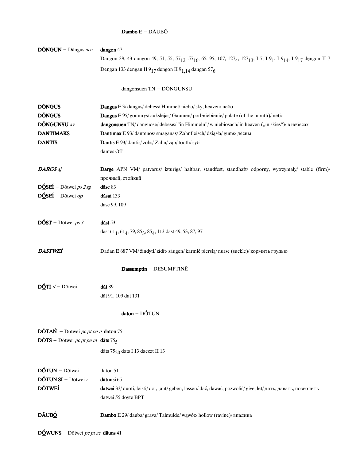#### $\textbf{Dambo}\,\text{E}-\text{D\tilde{A}UB}\acute{\text{O}}$

| $D\tilde{O}NGUN - D\tilde{a}ngus acc$                          | dangon 47                                                                                                                                                                                            |
|----------------------------------------------------------------|------------------------------------------------------------------------------------------------------------------------------------------------------------------------------------------------------|
|                                                                | Dangon 39, 43 dangon 49, 51, 55, 57 <sub>12</sub> , 57 <sub>16</sub> , 65, 95, 107, 127 <sub>4</sub> , 127 <sub>13</sub> , I 7, I 9 <sub>1</sub> , I 9 <sub>14</sub> , I 9 <sub>17</sub> dengon II 7 |
|                                                                | Dengan 133 dengan II 9 <sub>17</sub> dengon II 9 <sub>1,14</sub> dangan 57 <sub>6</sub>                                                                                                              |
|                                                                | dangonsuen TN - DÕNGUNSU                                                                                                                                                                             |
| <b>DÔNGUS</b>                                                  | Dangus E 3/ dangus/ debess/ Himmel/ niebo/ sky, heaven/ небо                                                                                                                                         |
| <b>DÔNGUS</b>                                                  | Dangus E 95/ gomurys/ aukslējas/ Gaumen/ pod-niebienie/ palate (of the mouth)/ нёбо                                                                                                                  |
| <b>DÔNGUNSU</b> av                                             | dangonsuen TN/danguose/debesīs/"in Himmeln"/w niebiosach/in heaven ("in skies")/ в небесах                                                                                                           |
| <b>DANTIMAKS</b>                                               | Dantimax E 93/dantenos/smaganas/Zahnfleisch/dziąsła/gums/дёсны                                                                                                                                       |
| <b>DANTIS</b>                                                  | Dantis E 93/ dantis/ zobs/ Zahn/ ząb/ tooth/ 3y6                                                                                                                                                     |
|                                                                | dantes OT                                                                                                                                                                                            |
| <b>DARGS</b> aj                                                | Darge APN VM/ patvarus/ izturīgs/ haltbar, standfest, standhaft/ odporny, wytrzymały/ stable (firm)/                                                                                                 |
|                                                                | прочный, стойкий                                                                                                                                                                                     |
| $D\acute{O}SE\acute{I} - D\ddot{o}$ twei <i>ps 2 sg</i>        | däse 83                                                                                                                                                                                              |
| $D\acute{O}SE\acute{I} - D\ddot{o}$ twei op                    | dāsai 133                                                                                                                                                                                            |
|                                                                | dase 99, 109                                                                                                                                                                                         |
| $\overline{\text{DOST}}$ – Dōtwei ps 3                         | $d$ āst 53                                                                                                                                                                                           |
|                                                                | dāst 61 <sub>1</sub> , 61 <sub>4</sub> , 79, 85 <sub>3</sub> , 85 <sub>4</sub> , 113 dast 49, 53, 87, 97                                                                                             |
| DASTWEÍ                                                        | Dadan E 687 VM/žindyti/zīdīt/säugen/karmić piersią/nurse (suckle)/кормить грудью                                                                                                                     |
|                                                                | Dassumptin - DESUMPTINĒ                                                                                                                                                                              |
| $D\acute{Q}T I$ <i>if</i> - Dōtwei                             | dāt 89                                                                                                                                                                                               |
|                                                                | dāt 91, 109 dat 131                                                                                                                                                                                  |
|                                                                | $daton - DÓTUN$                                                                                                                                                                                      |
| $D\acute{Q}TAN$ – Dōtwei pc pt pa n dāton 75                   |                                                                                                                                                                                                      |
| $D\acute{Q}TS$ – Dōtwei <i>pc pt pa m</i> dāts 75 <sub>5</sub> |                                                                                                                                                                                                      |
|                                                                | dāts 75 <sub>20</sub> dats I 13 daeczt II 13                                                                                                                                                         |
| DÓTUN - Dōtwei                                                 | daton 51                                                                                                                                                                                             |
| $D\acute{o}$ TUN SI – Dōtwei $r$                               | dātunsi 65                                                                                                                                                                                           |
| <b>DÓTWEÍ</b>                                                  | dātwei 33/ duoti, leisti/dot, ļaut/ geben, lassen/dać, dawać, pozwolić/ give, let/ дать, давать, позволить                                                                                           |
|                                                                | datwei 55 doyte BPT                                                                                                                                                                                  |
| DÃUBÓ                                                          | Dambo E 29/ dauba/ grava/ Talmulde/ wąwóz/ hollow (ravine)/ впадина                                                                                                                                  |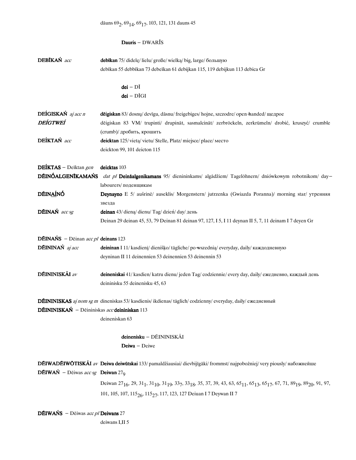## Dauris - DWARĪS

| DEBIKAŃ acc                                       | debīkan 75/ didelę/ lielu/ große/ wielką/ big, large/ большую                                                                                                                                                                                                 |
|---------------------------------------------------|---------------------------------------------------------------------------------------------------------------------------------------------------------------------------------------------------------------------------------------------------------------|
|                                                   | debīkan 55 debbīkan 73 debeīkan 61 debijkan 115, 119 debijkun 113 debica Gr                                                                                                                                                                                   |
|                                                   | $dei - D\overline{l}$                                                                                                                                                                                                                                         |
|                                                   | $dei - D\bar{I}GI$                                                                                                                                                                                                                                            |
| DEÍGISKAŃ aj acc n                                | dēigiskan 83/dosnų/devīgu, dāsnu/freigebiges/hojne, szczodre/open-handed/щедрое                                                                                                                                                                               |
| <b>DEÍGTWEÍ</b>                                   | dēigiskan 83 VM/ trupinti/ drupināt, sasmalcināt/ zerbröckeln, zerkrümeln/ drobić, kruszyć/ crumble                                                                                                                                                           |
|                                                   | (crumb)/ дробить, крошить                                                                                                                                                                                                                                     |
| DEÍKTAŃ acc                                       | deicktan 125/vietą/vietu/Stelle, Platz/miejsce/place/место                                                                                                                                                                                                    |
|                                                   | deickton 99, 101 deicton 115                                                                                                                                                                                                                                  |
| DEÍKTAS - Deīktan gen                             | deicktas 103                                                                                                                                                                                                                                                  |
|                                                   | DÉINÓALGENĪKAMAŃS dat pl Deināalgenikamans 95/ dienininkams/ algādžiem/ Tagelöhnern/ dniówkowym robotnikom/ day-                                                                                                                                              |
|                                                   | labourers/поденщикам                                                                                                                                                                                                                                          |
| DÉINAÍNÓ                                          | Deynayno E 5/ aušrinė/ auseklis/ Morgenstern/ jutrzenka (Gwiazda Poranna)/ morning star/ утренняя                                                                                                                                                             |
|                                                   | звезда                                                                                                                                                                                                                                                        |
| DÉINAŃ acc sg                                     | deinan 43/ diena/ dienu/ Tag/ dzień/ day/ день                                                                                                                                                                                                                |
|                                                   | Deinan 29 deinan 45, 53, 79 Deinan 81 deinan 97, 127, I 5, I 11 deynan II 5, 7, 11 deinam I 7 deyen Gr                                                                                                                                                        |
| <b>DÉINAŃS</b> - Déinan <i>acc pl</i> deinans 123 |                                                                                                                                                                                                                                                               |
| DÉININAŃ aj acc                                   | deininan I 11/ kasdienį/ dienišķo/ tägliche/po-wszednią/ everyday, daily/ каждодневную                                                                                                                                                                        |
|                                                   | deyninan II 11 deinennien 53 deinennien 53 deinennin 53                                                                                                                                                                                                       |
| <b>DÉININISKÁI</b> av                             | deineniskai 41/ kasdien/ katru dienu/ jeden Tag/ codziennie/ every day, daily/ ежедневно, каждый день                                                                                                                                                         |
|                                                   | deininisku 55 deinenisku 45, 63                                                                                                                                                                                                                               |
|                                                   | <b>DÉININISKAS</b> aj nom sg m dineniskas 53/ kasdienis/ ikdienas/ täglich/ codzienny/ everyday, daily/ ежедневный                                                                                                                                            |
| DÉININISKAŃ - Dēininiskas acc deininiskan 113     |                                                                                                                                                                                                                                                               |
|                                                   | deineniskan 63                                                                                                                                                                                                                                                |
|                                                   | deinenisku - DÉININISKÁI                                                                                                                                                                                                                                      |
|                                                   | $Deiwa - Deiwe$                                                                                                                                                                                                                                               |
|                                                   | <b>DÉIWADÉIWOTISKÁI</b> av Deiwa deiwūtskai 133/ pamaldžiausiai/ dievbijīgāki/ frommst/ najpobożniej/ very piously/ набожнейше                                                                                                                                |
| <b>DÉIWAŃ</b> – Dēiwas acc sg <b>Deiwan</b> $279$ |                                                                                                                                                                                                                                                               |
|                                                   | Deiwan 27 <sub>16</sub> , 29, 31 <sub>1</sub> , 31 <sub>10</sub> , 31 <sub>19</sub> , 33 <sub>7</sub> , 33 <sub>18</sub> , 35, 37, 39, 43, 63, 65 <sub>11</sub> , 65 <sub>13</sub> , 65 <sub>17</sub> , 67, 71, 89 <sub>19</sub> , 89 <sub>20</sub> , 91, 97, |
|                                                   | 101, 105, 107, 115 <sub>26</sub> , 115 <sub>27</sub> , 117, 123, 127 Deiuan I 7 Deywan II 7                                                                                                                                                                   |
| <b>DÉIWAŃS</b> - Déiwas acc pl Deiwans 27         |                                                                                                                                                                                                                                                               |

deiwans I,II<sub>5</sub>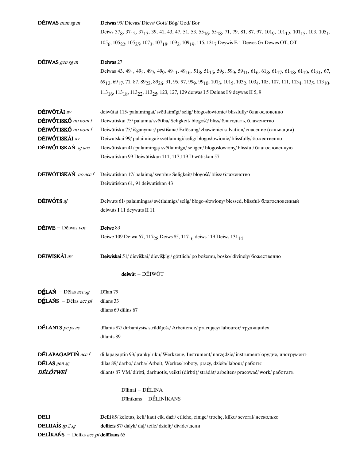| <b>DÉIWAS</b> nom sg m                                | Deiwas 99/ Dievas/ Dievs/ Gott/ Bóg/ God/ Бог                                                                                                                                                                                                                                                                                           |
|-------------------------------------------------------|-----------------------------------------------------------------------------------------------------------------------------------------------------------------------------------------------------------------------------------------------------------------------------------------------------------------------------------------|
|                                                       | Deiws 37 <sub>8</sub> , 37 <sub>12</sub> , 37 <sub>13</sub> , 39, 41, 43, 47, 51, 53, 55 <sub>16</sub> , 55 <sub>18</sub> , 71, 79, 81, 87, 97, 101 <sub>9</sub> , 101 <sub>12</sub> , 101 <sub>15</sub> , 103, 105 <sub>1</sub> ,                                                                                                      |
|                                                       | 105 <sub>6</sub> , 105 <sub>22</sub> , 105 <sub>25</sub> , 107 <sub>3</sub> , 107 <sub>18</sub> , 109 <sub>2</sub> , 109 <sub>19</sub> , 115, 131 <sub>7</sub> Deywis E 1 Dewes Gr Dewes OT, OT                                                                                                                                         |
| <b>DÉIWAS</b> gen sg m                                | Deiwas 27                                                                                                                                                                                                                                                                                                                               |
|                                                       | Deiwas 43, 49 <sub>1</sub> , 49 <sub>5</sub> , 49 <sub>7</sub> , 49 <sub>9</sub> , 49 <sub>11</sub> , 49 <sub>16</sub> , 51 <sub>8</sub> , 51 <sub>15</sub> , 59 <sub>8</sub> , 59 <sub>9</sub> , 59 <sub>11</sub> , 61 <sub>6</sub> , 61 <sub>3</sub> , 61 <sub>17</sub> , 61 <sub>18</sub> , 61 <sub>19</sub> , 61 <sub>21</sub> , 67 |
|                                                       | 69 <sub>12</sub> , 69 <sub>17</sub> , 71, 87, 89 <sub>22</sub> , 89 <sub>26</sub> , 91, 95, 97, 99 <sub>9</sub> , 99 <sub>10</sub> , 101 <sub>3</sub> , 101 <sub>5</sub> , 103 <sub>2</sub> , 103 <sub>4</sub> , 105, 107, 111, 113 <sub>4</sub> , 113 <sub>5</sub> , 113 <sub>10</sub> ,                                               |
|                                                       | 113 <sub>16</sub> , 113 <sub>18</sub> , 113 <sub>22</sub> , 113 <sub>25</sub> , 123, 127, 129 deiwas I 5 Deiuas I 9 deywas II 5, 9                                                                                                                                                                                                      |
| <b>DÉIWÖTÁI</b> av                                    | deiwūtai 115/palaimingai/svētlaimīgi/selig/błogosłowionie/blissfully/благословенно                                                                                                                                                                                                                                                      |
| DÉIWÓTISKÓ no nom f                                   | Deiwutiskai 75/ palaima/svētība/ Seligkeit/ błogość/ bliss/ благодать, блаженство                                                                                                                                                                                                                                                       |
| DÉIWÓTISKÓ no nom f                                   | Deiwūtisku 75/ išganymas/ pestīšana/ Erlösung/ zbawienie/ salvation/ спасение (сальвация)                                                                                                                                                                                                                                               |
| <b>DÉIWÓTISKÁI</b> av                                 | Deiwutskai 99/ palaimingai/ svētlaimīgi/ selig/ błogosłowionie/ blissfully/ божественно                                                                                                                                                                                                                                                 |
| DÉIWÓTISKAŃ aj acc                                    | Deiwūtiskan 41/ palaiminga/ svētlaimīgu/ seligen/ błogosłowiony/ blissful/ благословенную                                                                                                                                                                                                                                               |
|                                                       | Deiwutiskan 99 Deiwūtiskan 111, 117,119 Diwūtiskan 57                                                                                                                                                                                                                                                                                   |
| DÉIWÓTISKAŃ no acc f                                  | Deiwūtiskan 17/ palaimą/ svētību/ Seligkeit/ błogość/ bliss/ блаженство                                                                                                                                                                                                                                                                 |
|                                                       | Deiwütiskan 61, 91 deiwutiskan 43                                                                                                                                                                                                                                                                                                       |
| DÉIWÓTS aj                                            | Deiwuts 61/palaimingas/svētlaimīgs/selig/błogo-słowiony/blessed, blissful/благословенный                                                                                                                                                                                                                                                |
|                                                       | deiwuts I 11 deywuts II 11                                                                                                                                                                                                                                                                                                              |
| $D\bar{E}IWE - Deiwas$ voc                            | Deiwe 83                                                                                                                                                                                                                                                                                                                                |
|                                                       | Deiwe 109 Deiwa 67, 117 <sub>28</sub> Deiws 85, 117 <sub>16</sub> deiws 119 Deiws 131 <sub>14</sub>                                                                                                                                                                                                                                     |
| <b>DÉIWISKÁI</b> av                                   | Deiwiskai 51/dieviškai/dievišķīgi/göttlich/po bożemu, bosko/divinely/божественно                                                                                                                                                                                                                                                        |
|                                                       | $dev\bar{u}t - D\bar{E}IW\bar{O}T$                                                                                                                                                                                                                                                                                                      |
| $D \underline{\mathbf{\acute{E}}}$ LAŃ – Dēlas acc sg | Dīlan 79                                                                                                                                                                                                                                                                                                                                |
| DÉLAŃS - Dēlas acc pl                                 | dīlans 33                                                                                                                                                                                                                                                                                                                               |
|                                                       | dīlans 69 dīlins 67                                                                                                                                                                                                                                                                                                                     |
| DÉLÂNTS pc ps ac                                      | dīlants 87/ dirbantysis/ strādājošs/ Arbeitende/ pracujący/ labourer/ трудящийся                                                                                                                                                                                                                                                        |
|                                                       | dīlants 89                                                                                                                                                                                                                                                                                                                              |
| DÉLAPAGAPTIŃ acc f                                    | dijlapagaptin 93/ įrankį/ rīku/ Werkzeug, Instrument/ narzędzie/ instrument/ орудие, инструмент                                                                                                                                                                                                                                         |
| DÉLAS gen sg                                          | dīlas 89/darbo/darba/Arbeit, Werkes/roboty, pracy, dzieła/labour/работы                                                                                                                                                                                                                                                                 |
| DÉLÓTWEÍ                                              | dīlants 87 VM/dirbti, darbuotis, veikti (dirbti)/strādāt/arbeiten/pracować/work/paботать                                                                                                                                                                                                                                                |
|                                                       | Dīlinai - DÉLINA                                                                                                                                                                                                                                                                                                                        |
|                                                       | Dīlnikans - DÉLINĪKANS                                                                                                                                                                                                                                                                                                                  |
| <b>DELI</b>                                           | <b>Delli</b> 85/ keletas, keli/ kaut cik, daži/ etliche, einige/ trochę, kilku/ several/ несколько                                                                                                                                                                                                                                      |
| <b>DELIJAÍS</b> ip $2$ sg                             | dellieis 87/ dalyk/ dal/ teile/ dzielij/ divide/ дели                                                                                                                                                                                                                                                                                   |
| DELĪKAŃS - Delīks acc pl dellīkans 65                 |                                                                                                                                                                                                                                                                                                                                         |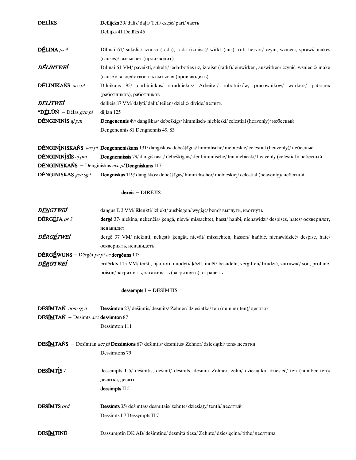| <b>DELIKS</b>                                    | Dellijcks 39/ dalis/ daļa/ Teil/ część/ part/ часть                                                                |
|--------------------------------------------------|--------------------------------------------------------------------------------------------------------------------|
|                                                  | Dellijks 41 Dellīks 45                                                                                             |
| $D \underline{\underline{\mathbf{f}}}$ LINA ps 3 | Dīlinai 61/ sukelia/ izraisa (rada), rada (izraisa)/ wirkt (aus), ruft hervor/ czyni, wznieci, sprawi/ makes       |
|                                                  | (causes)/ вызывает (производит)                                                                                    |
| DÉLÍNTWEÍ                                        | Dīlinai 61 VM/ paveikti, sukelti/ iedarboties uz, izraisīt (radīt)/ einwirken, auswirken/ czynić, wzniecić/ make   |
|                                                  | (cause)/ воздействовать вызывая (производить)                                                                      |
| DÉLINIKAŃS acc pl                                | Dīlnikans 95/ darbininkus/ strādniekus/ Arbeiter/ robotników, pracowników/ workers/ рабочих                        |
|                                                  | (работников), работников                                                                                           |
| <i><b>DELITWEÍ</b></i>                           | dellieis 87 VM/ dalyti/ dalīt/ teilen/ dzielić/ divide/ делить                                                     |
| *DÉLÚŃ – Dēlas gen pl                            | dijlan 125                                                                                                         |
| DÉNGININÍS aj pm                                 | <b>Dengenennis</b> 49/ dangiškas/ debešķīgs/ himmlisch/ niebieski/ celestial (heavenly)/ небесный                  |
|                                                  | Dengenennis 81 Dengnennis 49, 83                                                                                   |
|                                                  | DÉNGININISKAŃS acc pl Dengenneniskans 131/dangiškus/debešķīgus/himmlische/niebieskie/celestial (heavenly)/небесные |
| DÉNGININISIS aj pm                               | Dengnennissis 79/ dangiškasis/ debešķīgais/ der himmlische/ ten niebieski/ heavenly (celestial)/ небесный          |
|                                                  | DÉNGINISKAŃS - Dēnginiskas acc pl Dengniskans 117                                                                  |
| DÉNGINISKAS gen sg f                             | <b>Dengniskas</b> 119/dangiškos/debešķīgas/himm +ischer/niebieskiej/celestial (heavenly)/небесной                  |
|                                                  | dereis - DIRĒJIS                                                                                                   |
| D <u>ĔN</u> GTWEÍ                                | dangus E 3 VM/išlenkti/izliekt/ausbiegen/wygiąć/bend/выгнуть, изогнуть                                             |
| $D\bar{E}RG\underline{\acute{E}}JA$ ps 3         | dergē 37/ niekina, nekenčia/ ķengā, nievā/ missachtet, hasst/ hańbi, nienawidzi/ despises, hates/ оскверняет,      |
|                                                  | ненавидит                                                                                                          |
| DĚRGÉTWEÍ                                        | dergē 37 VM/ niekinti, nekęsti/ kengāt, nievāt/ missachten, hassen/ hańbić, nienawidzieć/ despise, hate/           |
|                                                  | осквернять, ненавидеть                                                                                             |
| DÉRGÉWUNS – Dērgēi <i>pc pt ac</i> dergēuns 103  |                                                                                                                    |
| D <u>ĔR</u> GTWEÍ                                | erdērkts 115 VM/teršti, bjauroti, nuodyti/ ķēzīt, indēt/besudeln, vergiften/brudzić, zatruwać/soil, profane,       |
|                                                  | poison/загрязнять, загаживать (загрязнять), отравить                                                               |
|                                                  | $dessempts I - DESIMTIS$                                                                                           |
| DESIMTAŃ nom sg n                                | <b>Dessimton</b> 27/ dešimtis/ desmits/ Zehner/ dziesiątka/ ten (number ten)/ десяток                              |
| <b>DESIMTAŃ</b> - Desimts acc dessimton 87       |                                                                                                                    |
|                                                  | Dessimton 111                                                                                                      |
|                                                  | DESIMTAŃS - Desimtan acc pl Dessimtons 67/ dešimtis/ desmitus/ Zehner/ dziesiątki/ tens/ десятки                   |
|                                                  | Dessimtons 79                                                                                                      |
| <b>DESÍMTÌS</b> f                                | dessempts I 5/ dešimtis, dešimt/ desmits, desmit/ Zehner, zehn/ dziesiątka, dziesięć/ ten (number ten)/            |
|                                                  | десятка, десять                                                                                                    |
|                                                  | dessimpts II 5                                                                                                     |
| DESIMTS ord                                      | Dessimts 35/ dešimtas/ desmitais/ zehnte/ dziesiąty/ tenth/ десятый                                                |
|                                                  | Dessimts I 7 Dessympts II 7                                                                                        |
| <b>DESIMTINE</b>                                 | Dassumptin DK AB/dešimtinė/desmitā tiesa/Zehnte/dziesięcina/tithe/десятина                                         |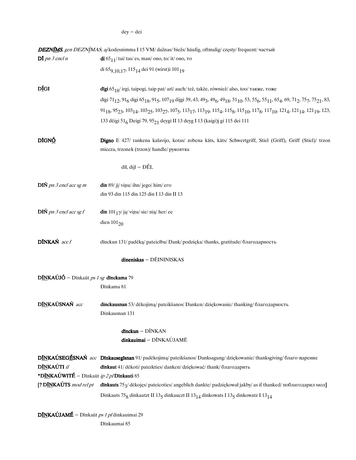$\text{dey}-\text{dei}$ 

|                                               | <b>DEZNIMS</b> , gen DEZNIMAS, aj kodesnimma I 15 VM/dažnas/biežs/häufig, oftmalig/częsty/frequent/частый                                                                                                                                                                                                                     |
|-----------------------------------------------|-------------------------------------------------------------------------------------------------------------------------------------------------------------------------------------------------------------------------------------------------------------------------------------------------------------------------------|
| $D\bar{I}$ pn 3 encl n                        | $\frac{di}{65}$ 65 <sub>11</sub> /tai/tas/es, man/ono, to/it/ono, to                                                                                                                                                                                                                                                          |
|                                               | di 65 <sub>9,10,17</sub> , 115 <sub>14</sub> dei 91 (wirst)i 101 <sub>19</sub>                                                                                                                                                                                                                                                |
| DÍGI                                          | dīgi 65 $_{18}$ / irgi, taipogi, taip pat/ arī/ auch/ też, także, również/ also, too/ также, тоже                                                                                                                                                                                                                             |
|                                               | dīgi 71 <sub>12</sub> , 91 <sub>6</sub> digi 65 <sub>18</sub> , 91 <sub>5</sub> , 107 <sub>19</sub> dijgi 39, 43, 49 <sub>3</sub> , 49 <sub>6</sub> , 49 <sub>18</sub> , 51 <sub>10</sub> , 53, 55 <sub>6</sub> , 55 <sub>11</sub> , 65 <sub>4</sub> , 69, 71 <sub>2</sub> , 75 <sub>7</sub> , 75 <sub>21</sub> , 83,         |
|                                               | 91 <sub>18</sub> , 95 <sub>23</sub> , 103 <sub>14</sub> , 103 <sub>25</sub> , 103 <sub>27</sub> , 107 <sub>5</sub> , 113 <sub>17</sub> , 113 <sub>19</sub> , 115 <sub>4</sub> , 115 <sub>8</sub> , 115 <sub>10</sub> , 117 <sub>8</sub> , 117 <sub>10</sub> , 121 <sub>4</sub> , 121 <sub>14</sub> , 121 <sub>19</sub> , 123, |
|                                               | 133 dēigi 51 <sub>6</sub> Deigi 79, 95 <sub>21</sub> deygi II 13 deyg I 13 (kaigi)j gi 115 dei 111                                                                                                                                                                                                                            |
| DĪGN <u>Ó</u>                                 | Digno E 427/ rankena kalavijo, kotas/ zobena kāts, kāts/ Schwertgriff, Stiel (Griff), Griff (Stiel)/ trzon                                                                                                                                                                                                                    |
|                                               | miecza, trzonek (trzon)/handle/рукоятка                                                                                                                                                                                                                                                                                       |
|                                               | $d\overline{\textbf{i}}$ l, $d\overline{\textbf{i}}$ l – DÉL                                                                                                                                                                                                                                                                  |
| $\overline{DIN}$ pn 3 encl acc sg m           | $\dim 89$ / jį/ viņu/ ihn/ jego/ him/ ero                                                                                                                                                                                                                                                                                     |
|                                               | din 93 din 115 din 125 din I 13 din II 13                                                                                                                                                                                                                                                                                     |
| $\overline{D}I\acute{N}$ pn 3 encl acc sg f   | $\dim 101_{17}/j$ a/viņu/sie/nią/her/ee                                                                                                                                                                                                                                                                                       |
|                                               | dien $101_{20}$                                                                                                                                                                                                                                                                                                               |
| DÍNKAŃ acc f                                  | dinckun 131/ padėką/ pateicību/ Dank/ podzięka/ thanks, gratitude/ благодарность                                                                                                                                                                                                                                              |
|                                               | dineniskas - DÉININISKAS                                                                                                                                                                                                                                                                                                      |
| $D$ INKAÚJÓ – Dīnkaūt ps 1 sg dīnckama 79     |                                                                                                                                                                                                                                                                                                                               |
|                                               | Dīnkama 81                                                                                                                                                                                                                                                                                                                    |
| DÍNKAÚSNAŃ acc                                | dinckausnan 53/dėkojimą/ pateikšanos/ Danken/dziękowanie/ thanking/ благодарность                                                                                                                                                                                                                                             |
|                                               | Dinkausnan 131                                                                                                                                                                                                                                                                                                                |
|                                               | $d$ inckun – $D\tilde{I}NKAN$                                                                                                                                                                                                                                                                                                 |
|                                               | dinkauimai - DĨNKAÚJAMĒ                                                                                                                                                                                                                                                                                                       |
|                                               | DINKAÚSEGÉSNAŃ acc Dinkausegisnan 91/padėkojimą/pateikšanos/Danksagung/dziękowanie/thanksgiving/благо-дарение                                                                                                                                                                                                                 |
| <b>DÍNKAÚTI</b> if                            | dinkaut 41/dėkoti/pateikties/danken/dziękować/thank/благодарить                                                                                                                                                                                                                                                               |
| *DĪNKAÚWITÉ - Dīnkaūt $ip$ 2 p/Dīnkauti 85    |                                                                                                                                                                                                                                                                                                                               |
|                                               | [? DINKAUTS mod rel pt dinkauts 75 <sub>3</sub> /dekojęs/ pateicoties/ angeblich dankte/ padziękował jakby/as if thanked/ поблагодарил мол]                                                                                                                                                                                   |
|                                               | Dinkauts 75 <sub>8</sub> dinkautzt II 13 <sub>5</sub> dinkauczt II 13 <sub>14</sub> dinkowats I 13 <sub>5</sub> dinkowatz I 13 <sub>14</sub>                                                                                                                                                                                  |
| $D$ INKAÚJAMÉ – Dīnkaūt ps 1 pl dinkauimai 29 |                                                                                                                                                                                                                                                                                                                               |

Dīnkaumai $85\,$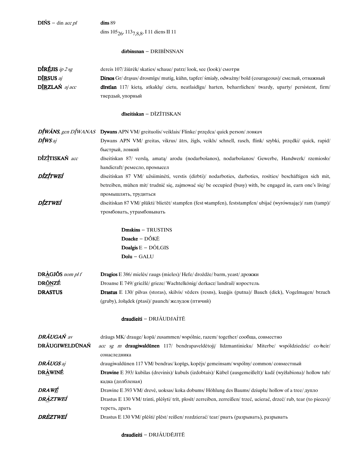$\,$ dins $89$ 

 $\text{DINS}$  – din *acc pl* 

dins 105<sub>26</sub>, 113<sub>7,8,8</sub>, I 11 diens II 11

#### dirbinsnan - DRIBĨNSNAN

| <b>DIREJIS</b> ip $2$ sg           | dereis 107/žiūrėk/skaties/schaue/patrz/look, see (look)/смотри                                                   |
|------------------------------------|------------------------------------------------------------------------------------------------------------------|
| D <sup>T</sup> RSUS a <sub>i</sub> | Dirsos Gr/ drasus/ drosmīgs/ mutig, kühn, tapfer/ śmiały, odważny/ bold (courageous)/ смелый, отважный           |
| $DIRZLAN$ aj acc                   | <b>dirstlan</b> 117/ kieta, atkaklu/ cietu, neatlaidīgu/ harten, beharrlichen/ twardy, uparty/ persistent, firm/ |
|                                    | твердый, упорный                                                                                                 |

#### dīseitiskan - DĪZĪTISKAN

|                | $D\llbracket W\text{ANS},\text{gen}\,D\llbracket W\text{ANAS}\,$ Dywans APN VM/greituolis/veiklais/Flinke/przędca/quick person/ловкач |
|----------------|---------------------------------------------------------------------------------------------------------------------------------------|
| <b>DÍWS</b> aj | Dywans APN VM/ greitas, vikrus/ ātrs, žigls, veikls/ schnell, rasch, flink/ szybki, przędki/ quick, rapid/                            |
|                | быстрый, ловкий                                                                                                                       |
| DÍZÍTISKAŃ acc | dīseitiskan 87/ versla, amata/ arodu (nodarbošanos), nodarbošanos/ Gewerbe, Handwerk/ rzemiosło/                                      |
|                | handicraft/ ремесло, промысел                                                                                                         |
| DÍZÍTWEÍ       | diseitiskan 87 VM/ užsiiminėti, verstis (dirbti)/ nodarboties, darboties, rosities/ beschäftigen sich mit,                            |
|                | betreiben, mühen mit/ trudnić się, zajmować się/ be occupied (busy) with, be engaged in, earn one's living/                           |
|                | промышлять, трудиться                                                                                                                 |
| DÍZTWEÍ        | diseitiskan 87 VM/ plūkti/ blietēt/ stampfen (fest-stampfen), feststampfen/ ubijać (wyrównając)/ ram (tamp)/                          |
|                | тромбовать, утрамбовывать                                                                                                             |

**Dmskins** - TRUSTINS  $\mathbf{Doacke} - \mathrm{D} \tilde{\mathrm{O}} \mathrm{K} \bar{\mathrm{E}}$ Doalgis  $E - D\tilde{O}LGIS$  $Dolu - GALU$ 

| $DR\hat{A}GJ\tilde{O}S$ nom pl f | <b>Dragios</b> E 386/ mielės/ raugs (mieles)/ Hefe/ drożdże/ barm, yeast/ дрожжи                                |
|----------------------------------|-----------------------------------------------------------------------------------------------------------------|
| DRŐNZÉ                           | Droanse E 749/griežlė/grieze/Wachtelkönig/derkacz/landrail/коростель                                            |
| <b>DRASTUS</b>                   | <b>Drastus</b> E 130/ pilvas (storas), skilvis/vēders (resns), kuņģis (putna)/ Bauch (dick), Vogelmagen/ brzuch |
|                                  | (gruby), żołądek (ptasi)/ paunch/ желудок (птичий)                                                              |

## draudieiti - DRJÃUDJAÍTĒ

| <b>DRÁUGAŃ</b> av | drāugs MK/ drauge/ kopā/ zusammen/ wspólnie, razem/ together/ сообща, совместно                                    |
|-------------------|--------------------------------------------------------------------------------------------------------------------|
| DRÃUGIWELDŪNAŃ    | acc sg m draugiwaldūnen 117/ bendrapaveldėtoji/ līdzmantinieku/ Miterbe/ współdziedzic/ co-heir/                   |
|                   | сонаследника                                                                                                       |
| <b>DRÃUGS</b> aj  | draugiwaldūnen 117 VM/bendras/kopīgs, kopējs/gemeinsam/wspólny/common/совместный                                   |
| <b>DRÀWINÉ</b>    | <b>Drawine</b> E 393/ kubilas (drevinis)/ kubuls (izdobtais)/ Kübel (ausgemeißelt)/ kadź (wyżłabiona)/ hollow tub/ |
|                   | кадка (долбленая)                                                                                                  |
| DRAWÉ             | Drawine E 393 VM/ drevė, uoksas/ koka dobums/ Höhlung des Baums/ dziupła/ hollow of a tree/ дупло                  |
| DRÀZTWEÍ          | Drastus E 130 VM/trinti, plėšyti/trīt, plosīt/zerreiben, zerreißen/trzeć, ucierać, drzeć/rub, tear (to pieces)/    |
|                   | тереть, драть                                                                                                      |
| DRÈZTWEÍ          | Drastus E 130 VM/ plėšti/ plēst/ reißen/ rozdzierać/ tear/ рвать (разрывать), разрывать                            |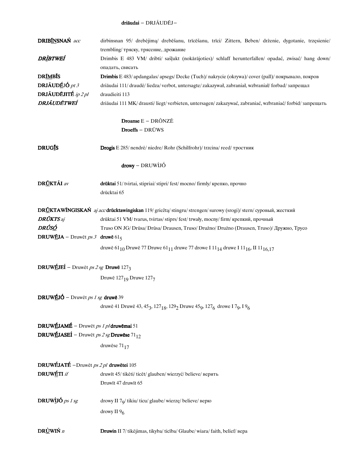### driāudai - DRJÃUDĒJ-

| <b>DRIBÍNSNAŃ</b> acc                                              | dirbinsnan 95/ drebėjimą/ drebėšanu, trīcēšanu, trīci/ Zittern, Beben/ drženie, dygotanie, trzęsienie/                                                      |
|--------------------------------------------------------------------|-------------------------------------------------------------------------------------------------------------------------------------------------------------|
|                                                                    | trembling/ тряску, трясение, дрожание                                                                                                                       |
| DRÌBTWEÍ                                                           | Drimbis E 483 VM/ dribti/ sašļukt (nokārājoties)/ schlaff herunterfallen/ opadać, zwisać/ hang down/                                                        |
| <b>DRIMBIS</b>                                                     | опадать, свисать<br>Drimbis E 483/ apdangalas/ apsegs/ Decke (Tuch)/ nakrycie (okrywa)/ cover (pall)/ покрывало, покров                                     |
| DRJÃUDÉJÓ pt 3                                                     | driāudai 111/draudė/liedza/verbot, untersagte/zakazywał, zabraniał, wzbraniał/forbad/запрещал                                                               |
| DRJÃUDĒJITÉ $ip 2pl$                                               | draudieiti 113                                                                                                                                              |
| DRJÁUDĒTWEÍ                                                        | driāudai 111 MK/ drausti/ liegt/ verbieten, untersagen/zakazywać, zabraniać, wzbraniać/ forbid/ запрещать                                                   |
|                                                                    | Droanse $E - DR\tilde{O}NZE$                                                                                                                                |
|                                                                    | Droeffs - DRŪWS                                                                                                                                             |
| <b>DRUGIS</b>                                                      | Drogis E 285/ nendrė/ niedre/ Rohr (Schilfrohr)/ trzcina/ reed/ тростник                                                                                    |
|                                                                    | drowy – DRUWIJÓ                                                                                                                                             |
| <b>DRŮKTÁI</b> av                                                  | drūktai 51/ tvirtai, stipriai/ stipri/ fest/ mocno/ firmly/ крепко, прочно<br>drūcktai 65                                                                   |
|                                                                    | DRÚKTAWÍNGISKAŃ aj acc drūcktawingiskan 119/griežtą/stingru/strengen/surowy (srogi)/stern/суровый, жесткий                                                  |
| <b>DRŪKTS</b> aj                                                   | drūktai 51 VM/ tvarus, tvirtas/ stiprs/ fest/ trwały, mocny/ firm/ крепкий, прочный                                                                         |
| DRÚSÓ                                                              | Truso ON JG/ Drūsa/ Drūsa/ Drausen, Truso/ Drużno/ Drużno (Drausen, Truso)/ Дружно, Трусо                                                                   |
| <b>DRUWEJA</b> – Druwēt ps 3 druwē 615                             |                                                                                                                                                             |
|                                                                    | druwē 61 <sub>10</sub> Druwē 77 Druwe 61 <sub>11</sub> druwe 77 drowe I 11 <sub>14</sub> druwe I 11 <sub>16</sub> , II 11 <sub>16,17</sub>                  |
| <b>DRUWÉJEÍ</b> – Druwēt ps 2 sg <b>Druwē</b> 1273                 |                                                                                                                                                             |
|                                                                    | Druwē 127 <sub>19</sub> Druwe 1277                                                                                                                          |
| <b>DRUWÉJÓ</b> – Druwět ps 1 sg druwē 39                           |                                                                                                                                                             |
|                                                                    | druwē 41 Druwē 43, 45 <sub>3</sub> , 127 <sub>18</sub> , 129 <sub>2</sub> Druwe 45 <sub>9</sub> , 127 <sub>6</sub> drowe I 7 <sub>9</sub> , 19 <sub>6</sub> |
| DRUWÉJAMÉ – Druwēt ps 1 p/druwēmai 51                              |                                                                                                                                                             |
| <b>DRUWÉJASEÍ</b> – Druwēt <i>ps 2 sg</i> Druwēse 71 <sub>12</sub> |                                                                                                                                                             |
|                                                                    | druwēse $71_{17}$                                                                                                                                           |
| DRUWÉJATÉ - Druwēt ps 2 pl druwētei 105                            |                                                                                                                                                             |
| <b>DRUWETI</b> if                                                  | druwīt 45/tikėti/ticēt/glauben/wierzyć/believe/верить                                                                                                       |
|                                                                    | Druwīt 47 druwīt 65                                                                                                                                         |
| DRUWIJÓ <i>ps 1 sg</i>                                             | drowy II $79$ / tikiu/ ticu/ glaube/ wierzę/ believe/ верю                                                                                                  |
|                                                                    | drowy II $96$                                                                                                                                               |
| DR <u>Ù</u> WIŃ n                                                  | Druwin II 7/ tikėjimas, tikyba/ ticība/ Glaube/ wiara/ faith, belief/ вера                                                                                  |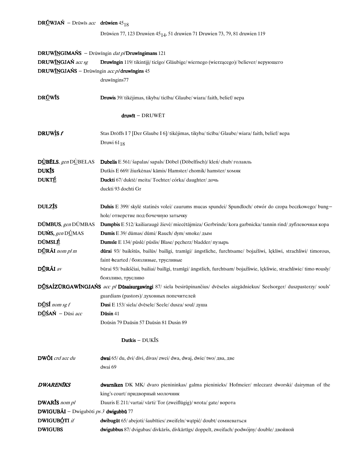# DRUWJAŃ - Drūwīs acc drūwien  $45_{18}$ Drūwien 77, 123 Druwien  $45_{14}$ , 51 druwien 71 Druwien 73, 79, 81 druwien 119 DRUW**ĨNGIMAŃS** - Drūwīngin  $dat$  pl**Druwīngimans** 121 DRUWĨNGJAŃ acc sg Druwīngin 119/tikintijį/ticīgo/Gläubige/wiernego (wierzącego)/believer/верующего DRUWĨNGJAŃS - Drūwīngin acc pl druwīngins 45 druwīngins77 DRŪWĪS Druwis 39/tikėjimas, tikyba/ticība/Glaube/wiara/faith, belief/вера druwīt - DRUWĒT **DRUWÌS** *f* Stas Dröffs I 7 [Der Glaube I 6]/ tikėjimas, tikyba/ ticība/ Glaube/ wiara/ faith, belief/ вера Druwi $61_{18}$ DÙBĒLS, gen DÙBELAS Dubelis E 561/ šapalas/ sapals/ Döbel (Döbelfisch)/ kleń/ chub/ голавль DUKIS Dutkis E 669/ žiurkėnas/kāmis/ Hamster/chomik/ hamster/ хомяк DUKTÉ Duckti 67/duktė/meita/Tochter/córka/daughter/дочь duckti 93 dochti Gr DULZ<sup>T</sup><sub>S</sub> Dulsis E 399/skylė statinės volei/caurums mucas spundei/Spundloch/otwórdo czopa beczkowego/ bunghole/ отверстие под бочечную затычку DŪMBUS, genDŪMBAS Dumpbis E 512/kailiaraugė žievė/miecētājmiza/Gerbrinde/kora garbnicka/tannin rind/дублевочная кора **DUMS,** gen DUMAS **Dumis** E 39/dūmas/dūmi/Rauch/dym/smoke/ $\mu$ ым DŪMSLÉ Dumsle E 134/pūslė/pūslis/Blase/pęcherz/bladder/пузырь DŪRÃI nom pl m dūrai 93/ baikštūs, bailūs/ bailīgi, tramīgi/ ängstliche, furchtsame/ bojaźliwi, lękliwi, strachliwi/ timorous, faint-hearted / боязливые, трусливые DŪRÃI av būrai 93/ baikščiai, bailiai/bailīgi, tramīgi/ ängstlich, furchtsam/ bojaźliwie, lękliwie, strachliwie/ timo-rously/ боязливо, трусливо DŪSAÍZŪRGAWĨNGJAŃS acc pl Dūsaisurgawingi 87/ siela besirūpinančius/ dvēseles aizgādniekus/ Seelsorger/ duszpasterzy/ souls' guardians (pastors)/ духовных попечителей  $\overline{\text{DUs}}\hat{\text{I}}$  nom sg f Dusi E 153/siela/dvēsele/Seele/dusza/soul/душа  $D\overrightarrow{U}S\overrightarrow{AN}$  -  $D\overrightarrow{u}Si$  acc Dūsin 41 Doūsin79Daūsin57Daūsin81Dusin89 Dutkis - DUKĪS DWÕI crd acc du dwai 65/du, dvi/divi, divas/zwei/dwa, dwaj, dwie/ two/два, две dwai 69 DWARENIKS dwarniken DK MK/ dvaro pienininkas/ galma pieninieks/ Hofmeier/ mleczarz dworski/ dairyman of the king's court/придворный молочник DWARIS nom pl Dauris E 211/vartai/vārti/Tor (zweiflügig)/wrota/gate/ворота DWIGUBÃI - Dwigubōti  $ps3$  dwigubbū 77 **DWIGUBÓTI** if dwibugūt 65/abejoti/šaubīties/zweifeln/wątpić/doubt/coмневаться DWIGUBS dwigubbus 87/dvigubas/divkāršs, divkārtīgs/doppelt, zweifach/podwójny/double/двойной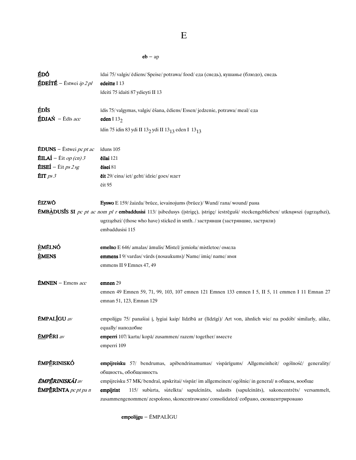${\bf E}$ 

 ${\bf e}{\bf b}$  –  ${\bf a}{\bf p}$ 

| ÉDÓ<br>$\angle$ <b>ÉDEÍTÉ</b> – Éstwei <i>ip 2 pl</i>                                                                   | īdai 75/valgis/ēdiens/Speise/potrawa/food/еда (снедь), кушанье (блюдо), снедь<br>edeitte I 13<br>īdeiti 75 idaiti 87 ydieyti II 13                                                                                                                                                                                                                                                                                      |
|-------------------------------------------------------------------------------------------------------------------------|-------------------------------------------------------------------------------------------------------------------------------------------------------------------------------------------------------------------------------------------------------------------------------------------------------------------------------------------------------------------------------------------------------------------------|
| ÉDIS<br>$\angle$ <b>EDJAŃ</b> – Ēdīs acc                                                                                | īdis 75/valgymas, valgis/ēšana, ēdiens/Essen/jedzenie, potrawa/meal/еда<br>eden I $132$<br>īdin 75 idin 83 ydi II 13 <sub>2</sub> ydi II 13 <sub>13</sub> eden I 13 <sub>13</sub>                                                                                                                                                                                                                                       |
| <b>EDUNS</b> – Estwei pc pt ac<br><b>ÉILAÍ</b> – Éit op (cn) 3<br>$\mathbf{\tilde{E}}$ ISEI $-$ Eit ps 2 sg<br>EIT ps 3 | īduns 105<br>ēilai 121<br>ēisei 81<br>ēit 29/ eina/ iet/ geht/ idzie/ goes/ идет<br>ēit 95                                                                                                                                                                                                                                                                                                                              |
| ÉIZWŌ                                                                                                                   | Eyswo E 159/ žaizda/ brūce, ievainojums (brūce)/ Wund/rana/wound/ рана<br><b>ÉMBÀDUSIS SI</b> pc pt ac nom pl r embaddusisi 113/ įsibedusys (įstrigę), įstrigę/ iestrēguši/ steckengeblieben/ utknąwszi (ugrzązłszi),<br>ugrzązłszi/ (those who have) sticked in smth. / застрявши (застрявшие, застряли)<br>embaddusisi 115                                                                                            |
| <b>EMÉLNÓ</b><br><b>EMENS</b>                                                                                           | <b>emelno</b> E 646/ amalas/ āmulis/ Mistel/ jemioła/ mistletoe/ омела<br>emmens I 9/ vardas/ vārds (nosaukums)/ Name/imię/ name/ имя<br>emmens II 9 Emnes 47, 49                                                                                                                                                                                                                                                       |
| <b>ÉMNEN</b> – Emens acc                                                                                                | emnen 29<br>emnen 49 Emnen 59, 71, 99, 103, 107 emnen 121 Emnen 133 emnen I 5, II 5, 11 emmen I 11 Emnan 27<br>emnan 51, 123, Emnan 129                                                                                                                                                                                                                                                                                 |
| <b>ÉMPALÍGU</b> av<br><b>ÉMPËRI</b> av                                                                                  | empolijgu 75/ panašiai į, lygiai kaip/ līdzībā ar (līdzīgi)/ Art von, ähnlich wie/ na podób/ similarly, alike,<br>equally/ наподобие<br>emperri 107/ kartu/ kopā/ zusammen/ razem/ together/ вместе<br>emperri 109                                                                                                                                                                                                      |
| <b>ĔMPĒRINISKÓ</b><br><b>ÉMPÉRINISKÁI</b> av<br><b>ÉMPERÍNTA</b> pc pt pa n                                             | empijreisku 57/ bendrumas, apibendrinamumas/ vispārīgums/ Allgemeinheit/ ogólność/ generality/<br>общность, обобщенность<br>empijreisku 57 MK/bendrai, apskritai/vispār/im allgemeinen/ogólnie/in general/ в общем, вообще<br>115/ subùrta, sùtelkta/ sapulcināts, salasīts (sapulcināts), sakoncentrēts/ versammelt,<br>empijrint<br>zusammengenommen/zespolono, skoncentrowano/consolidated/собрано, сконцентрировано |

empolijgu - ÉMPALĪGU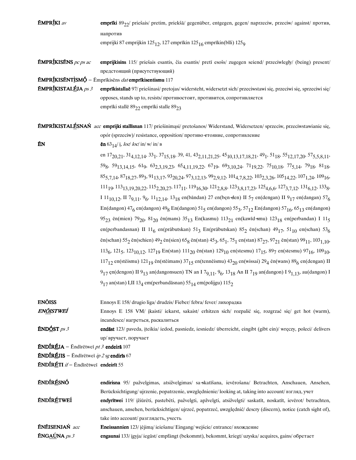| <b>ÉMPRÍKI</b> av                                | emprīki $8922$ / priešais/ pretim, priekšā/ gegenüber, entgegen, gegen/ naprzeciw, przeciw/ against/ против,                                                                                                                                                        |
|--------------------------------------------------|---------------------------------------------------------------------------------------------------------------------------------------------------------------------------------------------------------------------------------------------------------------------|
|                                                  | напротив                                                                                                                                                                                                                                                            |
|                                                  | emprijki 87 emprijkin 125 <sub>12</sub> , 127 emprikin 125 <sub>16</sub> emprikin(blli) 125 <sub>9</sub>                                                                                                                                                            |
|                                                  |                                                                                                                                                                                                                                                                     |
| <b>ÉMPRÍKISÉNS</b> pc ps ac                      | emprijkisins 115/ priešais esantis, čia esantis/ pretī esošs/ zugegen seiend/ przeciwległy/ (being) present/                                                                                                                                                        |
|                                                  | предстоящий (присутствующий)                                                                                                                                                                                                                                        |
|                                                  | <b>ÉMPRÍKISÉNTÌSMÓ</b> - Émprīkisēns dat emprīkisentismu 117                                                                                                                                                                                                        |
| $EMPR$ [KISTALÉJA ps 3                           | emprīkistallaē 97/ priešinasi/ pretojas/ widersteht, widersetzt sich/ przeciwstawi się, przeciwi się, sprzeciwi się/                                                                                                                                                |
|                                                  | opposes, stands up to, resists/ противостоит, противится, сопротивляется                                                                                                                                                                                            |
|                                                  | emprīki stallē 89 <sub>22</sub> emprīki stalle 89 <sub>23</sub>                                                                                                                                                                                                     |
|                                                  | ÉMPRĪKISTALÉSNAŃ acc emprijki stallīsnan 117/ priešinimąsi/ pretošanos/ Widerstand, Widersetzen/ sprzeciw, przeciwstawianie się,                                                                                                                                    |
|                                                  | opór (sprzeciw)/ resistance, opposition/ противо етояние, сопротивление                                                                                                                                                                                             |
| ÉN                                               | <b>en</b> 63 <sub>14</sub> / <i>i</i> , <i>loc</i> / <i>loc</i> / in/ <i>w</i> / in/ <i>B</i>                                                                                                                                                                       |
|                                                  | en 17 <sub>20,21</sub> , 31 <sub>4,12,14</sub> , 33 <sub>1</sub> , 37 <sub>15,18</sub> , 39, 41, 43 <sub>2,11,21,25</sub> , 45 <sub>10,13,17,18,21</sub> , 49 <sub>1</sub> , 51 <sub>18</sub> , 55 <sub>12,17,20</sub> , 57 <sub>5,5,8,11</sub> ,                   |
|                                                  | 59 <sub>8</sub> , 59 <sub>13,14,15</sub> , 61 <sub>9</sub> , 63 <sub>2,3,19,23</sub> , 65 <sub>4,11,19,22</sub> , 67 <sub>19</sub> , 69 <sub>3,10,24</sub> , 71 <sub>19,22</sub> , 75 <sub>10,18</sub> , 77 <sub>5,14</sub> , 79 <sub>18</sub> , 81 <sub>18</sub> , |
|                                                  | $85_{5,7,14}$ , $87_{18,27}$ , $89_3$ , $91_{13,17}$ , $93_{20,24}$ , $97_{3,12,13}$ , $99_{2,9,12}$ , $101_{4,7,8,22}$ , $103_{2,3,26}$ , $105_{14,22}$ , $107_{1,24}$ , $109_{16}$ ,                                                                              |
|                                                  |                                                                                                                                                                                                                                                                     |
|                                                  | $111_{19}$ , $113_{13,19,20,22}$ , $115_{2,20,27}$ , $117_{11}$ , $119_{16,30}$ , $121_{2,8,8}$ , $123_{3,8,17,23}$ , $125_{4,6,6}$ , $127_{3,7,12}$ , $131_{6,12}$ , $133_{8}$ ,                                                                                   |
|                                                  | I 11 <sub>10,12</sub> , II 7 <sub>9,11</sub> , 9 <sub>6</sub> , 11 <sub>12,14</sub> , 13 <sub>18</sub> en(bāndan) 27 en(ben-den) II 5 <sub>7</sub> en(dengan) II 9 <sub>17</sub> en(dangan) 57 <sub>6</sub>                                                         |
|                                                  | En(dangon) $47_6$ en(dangon) $49_8$ En(dangon) $51_5$ en(dangon) $55_3$ , $57_{12}$ En(dangon) $57_{16}$ , $65_{13}$ en(dangon)                                                                                                                                     |
|                                                  | 95 <sub>23</sub> en(mien) 79 <sub>20</sub> , 81 <sub>20</sub> en(mans) 35 <sub>13</sub> En(kasmu) 113 <sub>21</sub> en(kawīd smu) 123 <sub>18</sub> en(perbandan) I 11 <sub>5</sub>                                                                                 |
|                                                  | en(perbandasnan) II 11 <sub>6</sub> en(prābutskan) 51 <sub>3</sub> En(prābutskan) 85 <sub>2</sub> ēn(schan) 49 <sub>17</sub> , 51 <sub>10</sub> en(schan) 53 <sub>6</sub>                                                                                           |
|                                                  | en(schan) 55 <sub>2</sub> en(schien) 49 <sub>2</sub> en(sien) 65 <sub>8</sub> en(stan) 45 <sub>3</sub> , 65 <sub>1</sub> , 75 <sub>1</sub> en(stan) 87 <sub>27</sub> , 97 <sub>21</sub> en(stan) 99 <sub>11</sub> , 103 <sub>1,10</sub> ,                           |
|                                                  | 113 <sub>6</sub> , 121 <sub>5</sub> , 123 <sub>10,12</sub> , 127 <sub>19</sub> En(stan) 111 <sub>20</sub> en(stan) 129 <sub>10</sub> en(stesmu) 17 <sub>15</sub> , 89 <sub>7</sub> en(stesmu) 97 <sub>16</sub> , 109 <sub>10</sub> ,                                |
|                                                  | $117_{12}$ en(stēismu) $121_{19}$ ēn(stēimans) $37_{15}$ en(tennēismu) $43_{20}$ en(wissai) $29_4$ ēn(wans) $89_6$ en(dengan) II                                                                                                                                    |
|                                                  | $9_{17}$ en(dengon) II $9_{13}$ an(dangonsuen) TN an I $7_{9,11}$ , $9_6$ , $13_{18}$ An II $7_{19}$ an(dangon) I $9_{1,13}$ , au(dangon) I                                                                                                                         |
|                                                  | $9_{17}$ an(stan) I,II 13 <sub>4</sub> em(perbandāsnan) 55 <sub>14</sub> em(polijgu) 115 <sub>2</sub>                                                                                                                                                               |
|                                                  |                                                                                                                                                                                                                                                                     |
| <b>ENÕISS</b><br>EN <u>ői</u> stweí              | Ennoys E 158/drugio liga/drudzis/Fieber/febra/fever/лихорадка<br>Ennoys E 158 VM/ įkaisti/ iekarst, sakaist/ erhitzen sich/ rozpalić się, rozgrzać się/ get hot (warm),                                                                                             |
|                                                  | incandesce/нагреться, раскалиться                                                                                                                                                                                                                                   |
| END <u>Ó</u> ST <i>ps 3</i>                      | endāst 123/ paveda, iteikia/ iedod, pasniedz, iesniedz/ überreicht, eingibt (gibt ein)/ wręczy, poleci/ delivers                                                                                                                                                    |
|                                                  | up/ вручает, поручает                                                                                                                                                                                                                                               |
| <b>ÉNDÍRÉJA</b> – Endiretwei pt 3 endeira 107    |                                                                                                                                                                                                                                                                     |
| <b>ÉNDÍRÉJIS</b> – Endiretwei ip 2 sg endiris 67 |                                                                                                                                                                                                                                                                     |
| <b>ÉNDÍRÉTI</b> if - Endīrētwei endeirīt 55      |                                                                                                                                                                                                                                                                     |
| <b>ÉNDÍRÉSNÓ</b>                                 | endirisna 95/ pažvelgimas, atsižvelgimas/ sa-skatīšana, ievērošana/ Betrachten, Anschauen, Ansehen,                                                                                                                                                                 |
|                                                  | Berücksichtigung/ ujrzenie, popatrzenie, uwzględnienie/ looking at, taking into account/ взгляд, учет                                                                                                                                                               |
| <b>ÉNDÍRÉTWEÍ</b>                                | endyrītwei 119/ įžiūrėti, pastebėti, pažvelgti, apžvelgti, atsižvelgti/ saskatīt, noskatīt, ievērot/ betrachten,                                                                                                                                                    |

anschauen, ansehen, berücksichtigen/ ujrzeć, popatrzeć, uwzględnić/ descry (discern), notice (catch sight of), take into account/ разглядеть, учесть

 $\tilde{\textbf{E}}\textbf{N}\tilde{\textbf{E}}\textbf{I}\textbf{S}\textbf{E}\textbf{N}\textbf{J}\textbf{A}\textbf{\acute{N}}$ acc Eneissannien 123/ įėjimą/ ieiešanu/ Eingang/ wejście/ entrance/ вхождение  $\mathbf{\tilde{E}NGA} \mathbf{\underline{\acute{U}}} NA$  ps 3 engaunai 133/ įgyja/ iegūst/ empfängt (bekommt), bekommt, kriegt/ uzyska/ acquires, gains/ обретает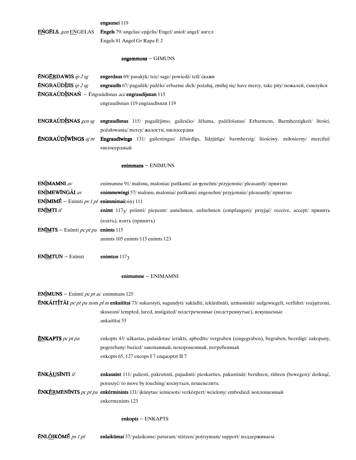#### engaunei 119

**EŃGĔLS**, gen EŃGELAS Engels 79/ angelas/ engelis/ Engel/ anioł/ angel/ ангел Engels 81 Angol Gr Rapa E 2

#### $engemmons - GIMUNS$

**ÉNGÉRDAWIS** ip  $2sg$ engerdaus 69/ pasakyk/teic/sage/powiedź/tell/скажи **ÉNGRAÚDÍJIS** ip  $2$  sg engraudīs 67/ pagailėk/ pažēlo/ erbarme dich/ požałuj, zmiłuj się/ have mercy, take pity/ пожалей, смилуйся **ÉNGRAÚDÍSNAŃ** - Engraūdīsnas accengraudijsnan 113 engraudīsnan 119 engraudīsnan 119

ENGRAÚDÍSNAS gen sg engraudīsnas 115/ pagailėjimo, gailesčio/ žēluma, pažēlošanas/ Erbarmens, Barmherzigkeit/ litości, pożałowania/mercy/жалости, милосердия

**ÉNGRAÚDÍWÍNGS**  $ajm$ Engraudīwings 131/ gailestingas/ žēlsirdīgs, līdzjūtīgs/ barmherzig/ litościwy, miłosierny/ merciful/ милосердный

#### $enimmans - ENIMUNS$

| <b>ENIMAMNI</b> av                                     | enimumne 91/ malonu, maloniai/ patīkami/ an-genehm/ przyjemnie/ pleasantly/ приятно                                                                                                                              |  |
|--------------------------------------------------------|------------------------------------------------------------------------------------------------------------------------------------------------------------------------------------------------------------------|--|
| ENÌMEWÍNGÃI av                                         | enimmewingi 57/ malonu, maloniai/ patīkami/ angenehm/ przyjemnie/ pleasantly/ приятно                                                                                                                            |  |
| $EN1†$ MIMÉ – Enīmti <i>ps 1 pl</i> enimmimai(sin) 111 |                                                                                                                                                                                                                  |  |
| ENIMTI if                                              | enimt 117 <sub>5</sub> / priimti/ pieņemt/ annehmen, aufnehmen (empfangen)/ przyjąć/ receive, accept/ принять                                                                                                    |  |
|                                                        | (взять), взять (принять)                                                                                                                                                                                         |  |
| <b>ENÍMTS</b> – Enīmti pc pt pa                        | enimts 115                                                                                                                                                                                                       |  |
|                                                        | animts 105 enimts 115 enimts 123                                                                                                                                                                                 |  |
| ENIMTUN - Enīmti                                       | enimton $117_3$                                                                                                                                                                                                  |  |
|                                                        | $enimumne - ENIMAMNI$                                                                                                                                                                                            |  |
| <b>ENIMUNS</b> – Enimti <i>pc pt ac</i> enimmans 125   |                                                                                                                                                                                                                  |  |
|                                                        | ENKĀITĪTĀI <i>pc pt pa nom pl m</i> enkaitītai 73/ sukurstyti, sugundyti/ sakūdīti, iekārdināti, uzmusināti/ aufgewiegelt, verführt/ rozjątrzoni,                                                                |  |
|                                                        | skuszoni/tempted, lured, instigated/подстреченные (подстрекнутые), искушаемые                                                                                                                                    |  |
|                                                        | ankaitītai 55                                                                                                                                                                                                    |  |
| <b>ENKAPTS</b> pc pt pa                                | enkopts 43/ užkastas, palaidotas/ierakts, apbedīts/vergraben (eingegraben), begraben, beerdigt/zakopany,<br>pogrzebany/buried/закопанный, похороненный, погребенный<br>enkopts 65, 127 encops I 7 enquoptzt II 7 |  |
| <b>ÉNKÁUSÍNTI</b> if                                   | enkausint 111/ paliesti, pakrutinti, pajudinti/ pieskarties, pakustināt/ berühren, rühren (bewegen)/ dotknąć,                                                                                                    |  |
|                                                        | poruszyć/ to move by touching/ коснуться, пошевелить                                                                                                                                                             |  |
|                                                        | <b>ÉNKÉRMENÍNTS</b> pc pt pa enkērminints 131/ įkūnytas/iemiesots/verkörpert/wcielony/embodied/воплощенный<br>enkermenints 123                                                                                   |  |

#### $enkopts - ENKAPTS$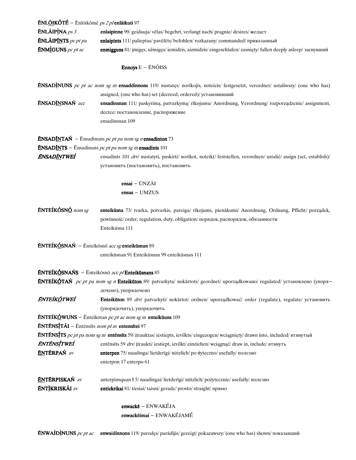| <b>ÉNLŐIKÓTÉ</b> – Ēnlõikōmē ps 2 pl <b>enläikuti</b> 97 |                                                                                                                                                                                          |
|----------------------------------------------------------|------------------------------------------------------------------------------------------------------------------------------------------------------------------------------------------|
| <b>ÉNLÃIPÌNA</b> ps 3                                    | enlaipinne 99/ geidauja/ vēlas/ begehrt, verlangt nach/ pragnie/ desires/ желает                                                                                                         |
| <b>ÉNLÃIPINTS</b> pc pt pa                               | enlaipints 111/ palieptas/ pavēlēts/ befohlen/ rozkazany/ commanded/ приказанный                                                                                                         |
| <b>ÉNMIGUNS</b> pc pt ac                                 | enmigguns 81/ imiges, užmiges/ iemidzis, aizmidzis/ eingeschlafen/ zasnięty/ fallen deeply asleep/ заснувший                                                                             |
|                                                          | <b>Ennoys</b> $E - \tilde{E}N\tilde{O}ISS$                                                                                                                                               |
|                                                          | <b>ENSADINUNS</b> pc pt ac nom sg m ensaddinnons 119/ nustates/ norikojis, noteicis/ festgesetzt, verordnet/ ustaliwszy/ (one who has)                                                   |
|                                                          | assigned, (one who has) set (decreed, ordered)/ установивший                                                                                                                             |
| ÉNSAD <u>ÍN</u> SNAŃ acc                                 | ensadinsnan 111/ paskyrimą, patvarkymą/ rīkojumu/ Anordnung, Verordnung/ rozporządzenie/ assignment,                                                                                     |
|                                                          | decree/ постановление, распоряжение                                                                                                                                                      |
|                                                          | ensadinsnan 109                                                                                                                                                                          |
|                                                          | <b>ÉNSADÍNTAN</b> - Ensadinuns pc pt pa nom sg n ensadinton 73                                                                                                                           |
|                                                          | <b>ÉNSADÍNTS</b> - Ensadinuns pc pt pa nom sg m ensadints 101                                                                                                                            |
| ÉNSAD <u>ÍN</u> TWEÍ                                     | ensadints 101 drv/ nustatyti, paskirti/ norīkot, noteikt/ feststellen, verordnen/ ustalić/ assign (set, establish)/                                                                      |
|                                                          | установить (постановить), постановить                                                                                                                                                    |
|                                                          | $ensai - UNZ\tilde{A}I$                                                                                                                                                                  |
|                                                          | $ensus - UMZUS$                                                                                                                                                                          |
| <b>ÉNTEÍKÓSNÓ</b> nom sg                                 | enteikūsna 73/ tvarka, potvarkis, pareiga/ rīkojums, pienākumi/ Anordnung, Ordnung, Pflicht/ porządek,<br>powinność/order, regulation, duty, obligation/порядок, распорядок, обязанности |
|                                                          | Enteikūsna 111                                                                                                                                                                           |
|                                                          | <b>ÉNTEÍKÓSNAŃ</b> – Ēnteīkōsnō acc sg enteikūsnan 89                                                                                                                                    |
|                                                          | enteikūsnan 91 Enteikūsnan 99 enteikūsnan 111                                                                                                                                            |
|                                                          | ENTEÍKÓSNAŃS - Enteīkōsnō acc pl Enteikūsnans 85                                                                                                                                         |
|                                                          | <b>ENTEÍKÓTAŃ</b> pc pt pa nom sg n Enteikūton 89/ patvarkyta/ nokārtots/ geordnet/ uporządkowano/ regulated/ установлено (упоря-<br>дочено), упорядочено                                |
| énteíkótweí                                              | Enteikūton 89 drv/ patvarkyti/ nokārtot/ ordnen/ uporządkować/ order (regulate), regulate/ установить                                                                                    |
|                                                          | (упорядочить), упорядочить                                                                                                                                                               |
|                                                          | <b>ÉNTEÍKÓWUNS</b> – Enteīkōtan pc pt ac nom sg m enteikūuns 109                                                                                                                         |
| <b>ÉNTÉNSÍTÁI</b> – Entēnsīts nom pl m entensītei 97     |                                                                                                                                                                                          |
|                                                          | <b>ENTENSITS</b> pc pt pa nom sg m entensits 59/ įtrauktas/ iestiepts, ievilkts/ eingezogen/wciągnięty/ drawn into, included/ втянутый                                                   |
| <b>ÉNTÉNSÍTWEÍ</b>                                       | entēnsīts 59 drv/ įtraukti/ iestiept, ievilkt/ einziehen/ wciągnąć/ draw in, include/ втянуть                                                                                            |
| <b>ÉNTÉRPAŃ</b> av                                       | enterpen 75/ naudinga/ lietderīgi/ nützlich/ po <del>ż</del> yteczno/ usefully/ полезно                                                                                                  |
|                                                          | enterpon 17 enterpo 61                                                                                                                                                                   |
| <b>ÉNTÉRPISKAŃ</b> av                                    | anterpinsquan I 5/ naudingai/lietderīgi/ nützlich/pożytecznie/usefully/полезно                                                                                                           |
| <b>ÉNTÌKRISKÃI</b> av                                    | entickrikai 81/ tiesiai/ taisni/ gerade/ prosto/ straight/ прямо                                                                                                                         |
|                                                          | $enwack\bar{e}$ – $ENWAK\acute{E}JA$                                                                                                                                                     |
|                                                          | enwackēimai - ENWAKÉJAMÉ                                                                                                                                                                 |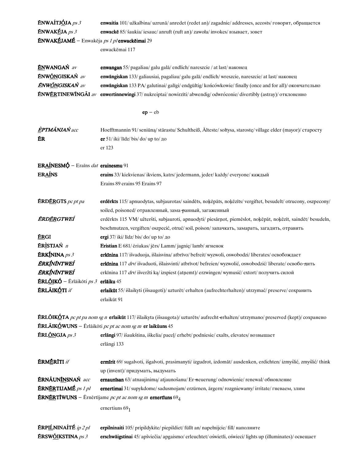| <b>ÉNWAÍTJÓJA</b> ps 3                                                                                                           | enwaitia 101/ užkalbina/ uzrunā/ anredet (redet an)/ zagadnie/ addresses, accosts/ говорит, обращается                                      |
|----------------------------------------------------------------------------------------------------------------------------------|---------------------------------------------------------------------------------------------------------------------------------------------|
| $ENWAKÉJA$ ps 3                                                                                                                  | enwackē 85/ šaukia/ iesauc/ anruft (ruft an)/ zawoła/ invokes/ взывает, зовет                                                               |
| $\textbf{\textup{ENWAK}}\pmb{\acute{\textbf{E}}}$ JAM $\pmb{\acute{\textbf{E}}}$ – Enwakēja <i>ps 1 pl</i> <b>enwackējmai</b> 29 |                                                                                                                                             |
|                                                                                                                                  | enwackēmai 117                                                                                                                              |
|                                                                                                                                  |                                                                                                                                             |
| <b>ÉNWANGAŃ</b> av                                                                                                               | enwangan 55/ pagaliau/ galu galā/ endlich/ nareszcie / at last/ наконец                                                                     |
| ÉNWŐNGISKAŃ av                                                                                                                   | enwängiskan 133/ galiausiai, pagaliau/ galu galā/ endlich/ wreszcie, nareszcie/ at last/ наконец                                            |
| <b>ÉNW<u>ŐN</u>GISKAŃ</b> av                                                                                                     | enwangiskan 133 PA/ galutinai/ galīgi/ endgültig/ końcówkowie/ finally (once and for all)/ окончательно                                     |
|                                                                                                                                  | <b>ÉNWÉRTINEWÍNGÃI</b> av enwertinnewingi 37/ nukreiptai/ nowirzīti/ abwendig/ odwróconie/ divertibly (astray)/ отклоненно                  |
|                                                                                                                                  | $ep - eb$                                                                                                                                   |
|                                                                                                                                  |                                                                                                                                             |
| <b>ÈPTMÃNJAŃ</b> acc                                                                                                             | Hoefftmannin 91/seniūną/stārastu/Schultheiß, Älteste/sołtysa, starostę/village elder (mayor)/ crapocry                                      |
| ÉR                                                                                                                               | er 51/ iki/ līdz/ bis/ do/ up to/ $\mu$ o                                                                                                   |
|                                                                                                                                  | er 123                                                                                                                                      |
|                                                                                                                                  |                                                                                                                                             |
| ERAÍNESMÓ - Erains dat erainesmu 91                                                                                              |                                                                                                                                             |
| <b>ERAINS</b>                                                                                                                    | erains 33/ kiekvienas/ ikviens, katrs/ jedermann, jeder/ każdy/ everyone/ каждый                                                            |
|                                                                                                                                  | Erains 89 erains 95 Erains 97                                                                                                               |
| <b>ÉRDÉRGTS</b> pc pt pa                                                                                                         | erdērkts 115/ apnuodytas, subjaurotas/ saindēts, noķēpāts, noķēzīts/ vergiftet, besudelt/ otrucony, oszpecony/                              |
|                                                                                                                                  | soiled, poisoned/ отравленный, зама-ранный, загаженный                                                                                      |
| ÉRD <u>ÉR</u> GTWEÍ                                                                                                              | erdērkts 115 VM/ užteršti, subjauroti, apnuodyti/ piesārņot, piemēslot, noķēpāt, noķēzīt, saindēt/ besudeln,                                |
|                                                                                                                                  | beschmutzen, vergiften/oszpecić, otruć/soil, poison/запачкать, замарать, загадить, отравить                                                 |
| ÉRGI                                                                                                                             | ergi 37/ iki/ līdz/ bis/ do/ up to/ до                                                                                                      |
| <b>ÉRISTJAŃ</b> n                                                                                                                | Eristian E 681/ eriukas/jers/ Lamm/jagnie/lamb/ ягненок                                                                                     |
| $ERK1fNINA ps 3$                                                                                                                 | erkīnina 117/ išvaduoja, išlaisvina/ atbrīvo/ befreit/ wyzwoli, oswobodzi/ liberates/ освобождает                                           |
| ÉRKÍNÍNTWEÍ                                                                                                                      | erkīnina 117 drv/ išvaduoti, išlaisvinti/atbrīvot/befreien/wyzwolić, oswobodzić/liberate/освобо-дить                                        |
| <b>ÉRKÍNÍNTWEÍ</b>                                                                                                               | erkīnina 117 drv/ išveržti ka/ izspiest (atņemt)/ erzwingen/ wymusić/ extort/ получить силой                                                |
| $\overline{\text{ERL}\underline{\text{O}}\text{IK}}\hat{\text{O}}$ – Ērlāikōti ps 3 erlāiku 45                                   |                                                                                                                                             |
| <b>ÉRLÂIKÓTI</b> if                                                                                                              | erlaikūt 55/išlaikyti (išsaugoti)/uzturēt/erhalten (aufrechterhalten)/utrzymać/preserve/сохранить                                           |
|                                                                                                                                  | erlaikūt 91                                                                                                                                 |
|                                                                                                                                  | <b>ÉRLŐIKÓTA</b> pc pt pa nom sg n erlaikūt 117/ išlaikyta (išsaugota)/ uzturēts/ aufrecht-erhalten/ utrzymano/ preserved (kept)/ сохранено |
|                                                                                                                                  | $\overline{\text{ERLÄIK}\acute{O}}$ WUNS – Ērlāikōti <i>pc pt ac nom sg m</i> er laikūuns 45                                                |
| ÉRL <u>ÓN</u> GJA ps 3                                                                                                           |                                                                                                                                             |
|                                                                                                                                  | erlāngi 97/ išaukština, iškelia/ paceļ/ erhebt/ podniesie/ exalts, elevates/ возвышает<br>erlāngi 133                                       |
|                                                                                                                                  |                                                                                                                                             |
| <b>ÉRMÉRITI</b> if                                                                                                               | ermīrit 69/ sugalvoti, išgalvoti, prasimanyti/ izgudrot, izdomāt/ ausdenken, erdichten/ izmyślić, zmyślić/ think                            |
|                                                                                                                                  | up (invent)/ придумать, выдумать                                                                                                            |
| ÉRNÁUNÍNSNAŃ acc                                                                                                                 | ernaunīsan 63/atnaujinima/atjaunošanu/Er-neuerung/odnowienie/renewal/обновление                                                             |
| $\mathbf{\tilde{E}}$ RN $\mathbf{\tilde{E}}$ RTIJAM $\mathbf{\tilde{E}}$ ps 1 pl                                                 | ernertimai 31/supykdome/sadusmojam/erzürnen, ärgern/rozgniewamy/irritate/гневаем, злим                                                      |
|                                                                                                                                  | <b>ÉRNÉRTIWUNS</b> – Ernērtījame <i>pc pt ac nom sg m</i> ernertīuns $69_4$                                                                 |
|                                                                                                                                  | ernertiuns $691$                                                                                                                            |
|                                                                                                                                  |                                                                                                                                             |
| <b>ERPILNINAITÉ</b> ip 2 pl                                                                                                      | erpilninaiti 105/ pripildykite/ piepildiet/ füllt an/ napełnijcie/ fill/ наполните                                                          |

**ÉRSW<u>ŐI</u>KSTINA** ps 3 erschwāigstinai 45/ apšviečia/ apgaismo/ erleuchtet/ oświetli, oświeci/ lights up (illuminates)/ освещает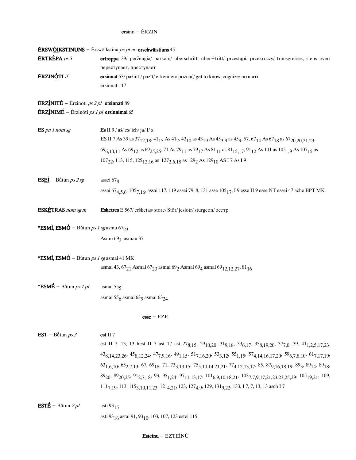## $ersinn - ÉRZIN$

|                                                                 | <b>ÉRSW<u>ÓI</u>KSTINUNS</b> – Ērswōikstina <i>pc pt ac</i> erschwāistiuns 45                                                                                                                                                       |
|-----------------------------------------------------------------|-------------------------------------------------------------------------------------------------------------------------------------------------------------------------------------------------------------------------------------|
| ERTR <u>È</u> PA ps 3                                           | ertreppa 39/ peržengia/ pārkāpj/ überschritt, über-tritt/ przestąpi, przekroczy/ transgresses, steps over/                                                                                                                          |
|                                                                 | переступает, преступает                                                                                                                                                                                                             |
| <b>ÉRZINÓTI</b> if                                              | ersinnat 53/ pažinti/ pazīt/ erkennen/ poznać/ get to know, cognize/ познать                                                                                                                                                        |
|                                                                 | ersinnat 117                                                                                                                                                                                                                        |
| $\textbf{ERZ}$ NITÉ – Erzinōti ps 2 pl ersinnati 89             |                                                                                                                                                                                                                                     |
| <b>ÉRZÌNIMÉ</b> – Erzinōti <i>ps 1 pl</i> ersinnimai 65         |                                                                                                                                                                                                                                     |
| ES pn 1 nom sg                                                  | <b>Es</b> II 9 / аš/ es/ ich/ ja/ I/ я                                                                                                                                                                                              |
|                                                                 | ES II 7 As 39 as 37 <sub>12,18</sub> , 41 <sub>15</sub> As 41 <sub>2</sub> , 43 <sub>10</sub> as 43 <sub>19</sub> As 45 <sub>3,9</sub> as 45 <sub>9</sub> , 57, 67 <sub>14</sub> As 67 <sub>18</sub> as 67 <sub>20,20,21,23</sub> , |
|                                                                 | 69 <sub>6,10,11</sub> As 69 <sub>12</sub> as 69 <sub>25,25</sub> , 71 As 79 <sub>11</sub> as 79 <sub>17</sub> As 81 <sub>11</sub> as 81 <sub>15,17</sub> , 91 <sub>12</sub> As 101 as 105 <sub>1,9</sub> As 107 <sub>15</sub> as    |
|                                                                 | 107 <sub>22</sub> , 113, 115, 125 <sub>12,16</sub> as 127 <sub>2,6,18</sub> as 129 <sub>2</sub> As 129 <sub>10</sub> AS I 7 As I 9                                                                                                  |
| $ESE1 - B$ útun <i>ps 2 sg</i>                                  | assei $678$                                                                                                                                                                                                                         |
|                                                                 | assai 67 <sub>4,5,6</sub> , 105 <sub>7,16</sub> , assai 117, 119 assei 79, 8, 131 asse 105 <sub>17</sub> , I 9 esse II 9 esse NT essei 47 ache BPT MK                                                                               |
| <b>ESKETRAS</b> nom sg m                                        | Esketres E 567/ eršketas/ store/ Stör/ jesiotr/ sturgeon/ ocerp                                                                                                                                                                     |
| <b>*ESMÌ, ESMÓ</b> – Būtun <i>ps 1 sg</i> asmu 67 <sub>23</sub> |                                                                                                                                                                                                                                     |
|                                                                 | Asmu 693 asmau 37                                                                                                                                                                                                                   |
| <b>*ESMÌ, ESMÓ</b> – Bū́tun <i>ps 1 sg</i> asmai 41 MK          |                                                                                                                                                                                                                                     |
|                                                                 | asmai 43, 67 <sub>21</sub> Asmai 67 <sub>23</sub> asmai 69 <sub>2</sub> Asmai 69 <sub>4</sub> asmai 69 <sub>12,12,27</sub> , 81 <sub>16</sub>                                                                                       |
| *ESMÉ – Bůtun ps 1 pl                                           | asmai $555$                                                                                                                                                                                                                         |
|                                                                 | asmai 55 <sub>6</sub> asmai 63 <sub>9</sub> asmai 63 <sub>24</sub>                                                                                                                                                                  |
|                                                                 | $\text{esse} - \text{EZE}$                                                                                                                                                                                                          |
| EST – Bůtun $ps3$                                               | est II <sub>7</sub>                                                                                                                                                                                                                 |
|                                                                 | est II 7, 13, 13 hest II 7 ast 17 ast $278,15$ , $2910,20$ , $319,18$ , $336,17$ , $358,19,20$ , $377,0$ , $39$ , $411,2,5,17,23$ ,                                                                                                 |
|                                                                 | 438, 14, 23, 26, 458, 12, 24, 477, 9, 16, 491, 15, 517, 16, 20, 533, 12, 551, 15, 574, 14, 16, 17, 20, 596, 7, 8, 10, 617, 17, 19,                                                                                                  |
|                                                                 | $63_{1,6,10}$ , $65_{2,7,13}$ , $67$ , $69_{18}$ , $71$ , $73_{3,13,15}$ , $75_{5,10,14,21,21}$ , $77_{4,12,13,17}$ , $85$ , $87_{9,16,18,19}$ , $89_{3}$ , $89_{14}$ , $89_{18}$ ,                                                 |
|                                                                 | 89 <sub>20</sub> , 89 <sub>20,25</sub> , 91 <sub>2,7,18</sub> , 93, 95 <sub>1,24</sub> , 97 <sub>11,13,17</sub> , 101 <sub>6,9,10,18,21</sub> , 103 <sub>7,7,9,17,21,23,23,25,29</sub> , 105 <sub>19,21</sub> , 109,                |
|                                                                 | 111 <sub>7,19</sub> , 113, 115 <sub>3,10,11,23</sub> , 121 <sub>4,21</sub> , 123, 127 <sub>4,9</sub> , 129, 131 <sub>9,22</sub> , 133, 17, 7, 13, 13 asch I7                                                                        |
| <b>ESTÉ</b> – Bůtun $2pl$                                       | asti 93 <sub>15</sub>                                                                                                                                                                                                               |

asti 93 $\mathstrut_{16}$ asta<br/>i 91, 93 $\mathstrut_{10},$  103, 107, 123 este<br/>i 115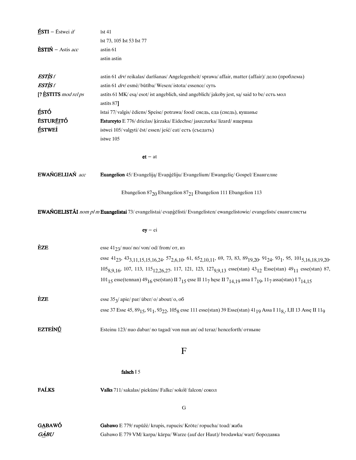| $\mathbf{\hat{E}STI}$ – Estwei if  | īst 41                                                                                                                                                                                                                |
|------------------------------------|-----------------------------------------------------------------------------------------------------------------------------------------------------------------------------------------------------------------------|
|                                    | īst 73, 105 Ist 53 Ist 77                                                                                                                                                                                             |
| $\dot{\textbf{ESTIN}}$ - Astis acc | astin 61                                                                                                                                                                                                              |
|                                    | astin astin                                                                                                                                                                                                           |
| ESTÌS f                            | astin 61 drv/ reikalas/ darīšanas/ Angelegenheit/ sprawa/ affair, matter (affair)/ дело (проблема)                                                                                                                    |
| <b>ESTISf</b>                      | astin 61 drv/ esmė/ būtība/ Wesen/ istota/ essence/ суть                                                                                                                                                              |
| [? $\dot{E}$ STITS mod rel ps      | astits 61 MK/ esa/ esot/ ist angeblich, sind angeblich/ jakoby jest, sa/ said to be/ есть мол<br>astits 87]                                                                                                           |
| ÉSTÓ                               | īstai 77/ valgis/ ēdiens/ Speise/ potrawa/ food/ снедь, еда (снедь), кушанье                                                                                                                                          |
| <b>ESTUREITÓ</b>                   | <b>Estureyto</b> E 776/ driežas/ kirzaka/ Eidechse/ jaszczurka/ lizard/ ящерица                                                                                                                                       |
| ÉSTWEÍ                             | istwei 105/valgyti/ēst/essen/jeść/eat/есть (съедать)                                                                                                                                                                  |
|                                    | istwe 105                                                                                                                                                                                                             |
|                                    | $et - at$                                                                                                                                                                                                             |
| EWAŃGELIJAŃ acc                    | Euangelion 45/ Evangelija/ Evangeliju/ Evangelium/ Ewangelie/ Gospel/ Евангелие                                                                                                                                       |
|                                    | Ebangelion $87_{20}$ Ebangelion $87_{21}$ Ebangelion 111 Ebangelion 113                                                                                                                                               |
|                                    | <b>EWAŃGELISTÃI</b> nom pl m Euangelistai 73/ evangelistai/ evangelisti/ Evangelisten/ ewangelistowie/ evangelists/ евангелисты                                                                                       |
|                                    | $ey - ei$                                                                                                                                                                                                             |
| <b>ÈZE</b>                         | esse $41_{23}$ / nuo/ no/ von/ od/ from/ or, из                                                                                                                                                                       |
|                                    | esse 41 <sub>23</sub> , 43 <sub>3,11,15,15,16,24</sub> , 57 <sub>2,6,10</sub> , 61, 65 <sub>2,10,11</sub> , 69, 73, 83, 89 <sub>19,20</sub> , 91 <sub>24</sub> , 93 <sub>1</sub> , 95, 101 <sub>5,16,18,19,20</sub> , |
|                                    | $1058,9,16$ , 107, 113, 115 <sub>12,26,27</sub> , 117, 121, 123, 127 <sub>9,9,13</sub> esse(stan) $43_{12}$ Esse(stan) $49_{11}$ esse(stan) 87,                                                                       |
|                                    | 101 <sub>15</sub> esse(tennan) 49 <sub>16</sub> ese(stan) II 7 <sub>15</sub> esse II 117 hese II 7 <sub>14,19</sub> assa I 7 <sub>19</sub> , 117 assa(stan) I 7 <sub>14,15</sub>                                      |
| <b>ÈZE</b>                         | esse 353/ apie/ par/ über/ o/ about/ o, oб                                                                                                                                                                            |
|                                    | esse 37 Esse 45, 89 <sub>15</sub> , 91 <sub>1</sub> , 93 <sub>22</sub> , 105 <sub>8</sub> esse 111 esse(stan) 39 Esse(stan) 41 <sub>19</sub> Assa I 11 <sub>8</sub> , I,II 13 Asse II 11 <sub>9</sub>                 |
| <b>EZTEÍNÚ</b>                     | Esteinu 123/nuo dabar/no tagad/von nun an/od teraz/henceforth/отныне                                                                                                                                                  |
|                                    | $\mathbf F$                                                                                                                                                                                                           |
|                                    | falsch I 5                                                                                                                                                                                                            |
| <b>FALKS</b>                       | Valks 711/sakalas/piekūns/Falke/sokół/falcon/сокол                                                                                                                                                                    |
|                                    | G                                                                                                                                                                                                                     |
| GABAWÓ                             | Gabawo E 779/ rupūžė/ krupis, rupucis/ Kröte/ ropucha/ toad/ жаба                                                                                                                                                     |
| $G \triangle B U$                  | Gabawo E 779 VM/karpa/karpa/Warze (auf der Haut)/brodawka/wart/бородавка                                                                                                                                              |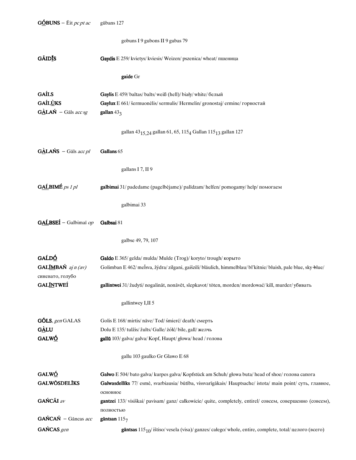|                                                                              | gobuns I 9 gubons II 9 gubas 79                                                                                                                                                                                            |
|------------------------------------------------------------------------------|----------------------------------------------------------------------------------------------------------------------------------------------------------------------------------------------------------------------------|
| <b>GÃIDIS</b>                                                                | Gaydis E 259/ kvietys/ kviesis/ Weizen/ pszenica/ wheat/ пшеница                                                                                                                                                           |
|                                                                              | gaide Gr                                                                                                                                                                                                                   |
| <b>GAÍLS</b><br><b>GAÍLUKS</b><br>$G\triangle LAN - G\overline{a}$ ls acc sg | Gaylis E 459/baltas/balts/weiß (hell)/biały/white/белый<br>Gaylux E 661/ šermuonėlis/ sermulis/ Hermelin/ gronostaj/ ermine/ горностай<br>gallan $433$                                                                     |
|                                                                              | gallan 43 $_{\rm 15,24}$ gallan 61, 65, 115 $_{\rm 4}$ Gallan 115 $_{\rm 13}$ gallan 127                                                                                                                                   |
| $G\triangle LANS - G\overline{a}$ ls acc pl                                  | Gallans 65                                                                                                                                                                                                                 |
|                                                                              | gallans I 7, II 9                                                                                                                                                                                                          |
| GALBIMÉ ps 1 pl                                                              | galbimai 31/ padedame (pagelbėjame)/ palīdzam/ helfen/ pomogamy/ help/ помогаем                                                                                                                                            |
|                                                                              | galbimai 33                                                                                                                                                                                                                |
| GALBSEI - Galbimai op                                                        | Galbsai 81                                                                                                                                                                                                                 |
|                                                                              | galbse 49, 79, 107                                                                                                                                                                                                         |
| GAĹDÓ<br><b>GALIMBAŃ</b> $ajn (av)$<br>синевато, голубо                      | Galdo E 365/ gelda/ mulda/ Mulde (Trog)/ koryto/ trough/ корыто<br>Golimban E 462/melsva, žýdra/zilgani, gaišzili/bläulich, himmelblau/bl'kitnie/bluish, pale blue, sky-blue/                                              |
| <b>GAL<u>ÍN</u>TWEÍ</b>                                                      | gallintwei 31/ žudyti/ nogalināt, nonāvēt, slepkavot/töten, morden/mordować/ kill, murder/ убивать                                                                                                                         |
|                                                                              | gallintwey I, II 5                                                                                                                                                                                                         |
| GÔLS, gen GALAS<br><b>GÀLU</b><br>GALWÓ                                      | Golis E 168/mirtis/nave/Tod/śmierć/death/смерть<br>Dolu E 135/ tulžis/ žults/ Galle/ żółć/ bile, gall/ желчь<br>gallū 103/ galva/ galva/ Kopf, Haupt/ głowa/ head / голова                                                 |
|                                                                              | gallu 103 gaulko Gr Glawo E 68                                                                                                                                                                                             |
| GALWÓ<br><b>GALWÖSDELĪKS</b>                                                 | Galwo E 504/bato galva/ kurpes galva/ Kopfstück am Schuh/głowa buta/ head of shoe/голова сапога<br>Galwasdellīks 77/ esmė, svarbiausia/ būtība, vissvarīgākais/ Hauptsache/ istota/ main point/ суть, главное,<br>основное |
| GAŃCÃI av                                                                    | gantzei 133/ visiškai/ pavisam/ ganz/ całkowicie/ quite, completely, entirel/ совсем, совершенно (совсем),<br>полностью                                                                                                    |
| GAŃCAŃ - Gāncas acc                                                          | gāntsan $1157$                                                                                                                                                                                                             |
| GAŃCAS gen                                                                   | gāntsas $115_{10}$ / ištiso/vesela (visa)/ganzes/całego/whole, entire, complete, total/uenoro (всего)                                                                                                                      |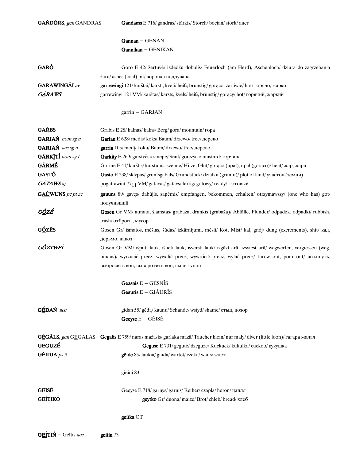| GAŃDÓRS, gen GAŃDRAS                        | Gandams E 716/ gandras/ stārķis/ Storch/ bocian/ stork/ аист                                                                                                                                                                                                      |  |
|---------------------------------------------|-------------------------------------------------------------------------------------------------------------------------------------------------------------------------------------------------------------------------------------------------------------------|--|
|                                             | $Gannan - GENAN$                                                                                                                                                                                                                                                  |  |
|                                             | Gannikan - GENIKAN                                                                                                                                                                                                                                                |  |
| GARÓ                                        | Goro E 42/ žertuvė/ izdedžu dobulis/ Feuerloch (am Herd), Aschenloch/ dziura do zagrzebania                                                                                                                                                                       |  |
|                                             | żaru/ashes (coal) pit/воронка поддувала                                                                                                                                                                                                                           |  |
| <b>GARAWÍNGÃI</b> av                        | garrewingi 121/ karštai/ karsti, kvēli/ heiß, brünstig/ gorąco, żarliwie/ hot/ горячо, жарко                                                                                                                                                                      |  |
| GARAWS                                      | garrewingi 121 VM/karštas/karsts, kvēls/heiß, brünstig/gorący/hot/горячий, жаркий                                                                                                                                                                                 |  |
|                                             | $garrin - GARJAN$                                                                                                                                                                                                                                                 |  |
| <b>GAŔBS</b>                                | Grabis E 28/ kalnas/ kalns/ Berg/ góra/ mountain/ ropa                                                                                                                                                                                                            |  |
| GARJAŃ nom sg n                             | Garian E 628/ medis/ koks/ Baum/ drzewo/ tree/ дерево                                                                                                                                                                                                             |  |
| GARJAŃ acc sg n                             | garrin 105/ medi/ koku/ Baum/ drzewo/ tree/ дерево                                                                                                                                                                                                                |  |
| GÃRKITÍ nom sg f                            | Garkity E 269/ garstyčia/ sinepe/ Senf/ gorczyca/ mustard/ горчица                                                                                                                                                                                                |  |
| <b>GÁRMÉ</b>                                | Gorme E 41/ karštis/ karstums, svelme/ Hitze, Glut/goraco (upał), upał (goraco)/ heat/ xxap, xxapa                                                                                                                                                                |  |
| GASTÓ                                       | Gasto E 238/sklypas/gruntsgabals/Grundstück/działka (gruntu)/plot of land/участок (земли)                                                                                                                                                                         |  |
| $G\triangle TAWS$ aj                        | pogattawint 77 <sub>11</sub> VM/gatavas/gatavs/fertig/gotowy/ready/готовый                                                                                                                                                                                        |  |
| $G\underline{A}\underline{U}$ WUNS pc pt ac | gauuns 89/ gavęs/ dabūjis, saņēmis/ empfangen, bekommen, erhalten/ otrzymawszy/ (one who has) got/<br>получивший                                                                                                                                                  |  |
| G <u>Ó</u> ZÉ<br>                           | Gosen Gr VM/ atmata, šlamštas/ grabaža, drankis (grabaža)/ Abfälle, Plunder/ odpadek, odpadki/ rubbish,<br>trash/ отбросы, мусор                                                                                                                                  |  |
| GÓZÉS                                       | Gosen Gr/ išmatos, mėšlas, šūdas/ izkārnījumi, mēsli/ Kot, Mist/ kał, gnój/ dung (excrements), shit/ кал,<br>дерьмо, навоз                                                                                                                                        |  |
| <u>GÓ</u> ZTWEÍ                             | Gosen Gr VM/ išpilti lauk, išlieti lauk, išversti lauk/ izgāzt arā, izsviest arā/ wegwerfen, vergiessen (weg,<br>hinaus)/ wyrzucić precz, wywalić precz, wywrócić precz, wylać precz/ throw out, pour out/ выкинуть,<br>выбросить вон, выворотить вон, вылить вон |  |
|                                             | Geasnis $E - G\bar{E}SN\bar{I}S$                                                                                                                                                                                                                                  |  |
|                                             | Geauris E - GJÃURĪS                                                                                                                                                                                                                                               |  |
| GÉDAŃ acc                                   | gīdan 55/ gėdą/ kaunu/ Schande/ wstyd/ shame/ стыд, позор<br>Geeyse E - GÉISĒ                                                                                                                                                                                     |  |
| GEGUZÉ                                      | GÈGÃLS, gen GÈGALAS Gegalis E 759/ naras mažasis/garlaka mazā/Taucher klein/nur mały/diver (little loon)/ гагара малая<br>Geguse E 731/ gegutė/ dzeguze/ Kuckuck/ kukułka/ cuckoo/ кукушка                                                                        |  |
| GÉIDJA $ps 3$                               | gēide 85/laukia/gaida/wartet/czeka/waits/ждет                                                                                                                                                                                                                     |  |
|                                             | giēidi 83                                                                                                                                                                                                                                                         |  |
| GÉISÉ                                       | Geeyse E 718/ garnys/ gārnis/ Reiher/ czapla/ heron/ цапля                                                                                                                                                                                                        |  |
| <b>GEÍTIKÓ</b>                              | geytko Gr/ duona/ maize/ Brot/ chleb/ bread/ хлеб                                                                                                                                                                                                                 |  |
|                                             | geitka OT                                                                                                                                                                                                                                                         |  |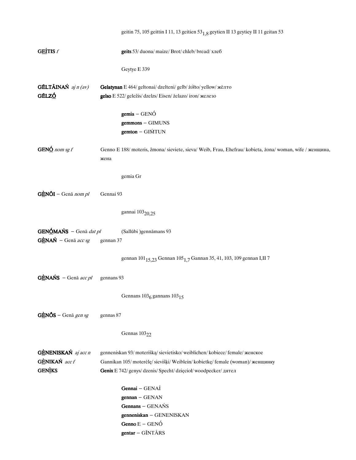|                                          | geitin 75, 105 geittin I 11, 13 geitien 53 <sub>1,8</sub> geytien II 13 geytiey II 11 geitan 53                  |
|------------------------------------------|------------------------------------------------------------------------------------------------------------------|
| GEÍTIS f                                 | geits 53/ duona/ maize/ Brot/ chleb/ bread/ хлеб                                                                 |
|                                          | Geytye E 339                                                                                                     |
| <b>GÉLTÁINAŃ</b> $ajn (av)$              | Gelatynan E 464/ geltonai/ dzelteni/ gelb/ żółto/ yellow/ жёлто                                                  |
| GÉLZÓ                                    | gelso E 522/ geležis/ dzelzs/ Eisen/ żelazo/ iron/ железо                                                        |
|                                          | $gemia - GENÓ$                                                                                                   |
|                                          | gemmons - GIMUNS                                                                                                 |
|                                          | gemton - GIŃTUN                                                                                                  |
| GEN $\underline{\underline{6}}$ nom sg f | Genno E 188/ moteris, žmona/ sieviete, sieva/ Weib, Frau, Ehefrau/ kobieta, żona/ woman, wife / женщина,<br>жена |
|                                          | gemia Gr                                                                                                         |
| $G\triangle N\tilde{O}I$ – Genā nom pl   | Gennai 93                                                                                                        |
|                                          | gannai 103 <sub>20,25</sub>                                                                                      |
| GENÓMAŃS - Genā dat pl                   | (Sallūbi )gennāmans 93                                                                                           |
| $G\triangle NAN$ - Genā acc sg           | gennan 37                                                                                                        |
|                                          | gennan 101 <sub>15,23</sub> Gennan 105 <sub>1,7</sub> Gannan 35, 41, 103, 109 gennan I,II 7                      |
| $GENANS - Genā accpl$                    | gennans 93                                                                                                       |
|                                          | Gennans $1036$ gannans $10315$                                                                                   |
| $G\triangle N\tilde{O}S$ – Genā gen sg   | gennas 87                                                                                                        |
|                                          | Gennas $103_{22}$                                                                                                |
| GÈNENISKAŃ aj acc n                      | genneniskan 93/ moterišką/ sievietisko/ weiblichen/ kobiece/ female/ женское                                     |
| GÈNIKAŃ acc f                            | Gannikan 105/moterėlę/sievišķi/ Weiblein/kobietkę/female (woman)/женщинку                                        |
| <b>GENIKS</b>                            | Genix E 742/ genys/ dzenis/ Specht/ dzięcioł/ woodpecker/ дятел                                                  |
|                                          | Gennai - GENAÍ                                                                                                   |
|                                          | $gennan - GENAN$                                                                                                 |
|                                          | Gennans - GENAŃS                                                                                                 |
|                                          | genneniskan - GENENISKAN                                                                                         |
|                                          | Genno $E - GENO$                                                                                                 |
|                                          | gentar - GÍNTÃRS                                                                                                 |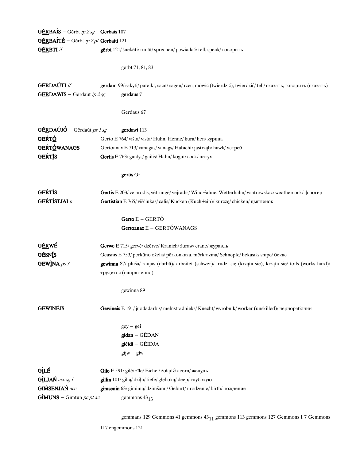| <b>GÉRBAÍS</b> – Gērbt ip $2 sg$ <b>Gerbais</b> 107 |                                                                                                                  |
|-----------------------------------------------------|------------------------------------------------------------------------------------------------------------------|
| GÉRBAÍTÉ - Gērbt ip 2 pl Gerbaiti 121               |                                                                                                                  |
| <b>GÉRBTI</b> if                                    | gērbt 121/ šnekėti/ runāt/ sprechen/ powiadać/ tell, speak/ говорить                                             |
|                                                     |                                                                                                                  |
|                                                     | gerbt 71, 81, 83                                                                                                 |
| <b>GÉRDAÚTI</b> if                                  | gerdant 99/ sakyti/ pateikt, sacīt/ sagen/ rzec, mówić (twierdzić), twierdzić/ tell/ сказать, говорить (сказать) |
| <b>GÉRDAWIS</b> - Gērdaūt ip $2 sg$                 | gerdaus 71                                                                                                       |
|                                                     |                                                                                                                  |
|                                                     | Gerdaus 67                                                                                                       |
|                                                     |                                                                                                                  |
| $GÉRDAÚJÓ - Gērdaūt ps 1 sg$                        | gerdawi 113                                                                                                      |
| <b>GEŔTÓ</b>                                        | Gerto E 764/višta/vista/ Huhn, Henne/kura/hen/курица                                                             |
| GEŔTÓWANAGS                                         | Gertoanax E 713/vanagas/vanags/Habicht/jastrząb/hawk/ястреб                                                      |
| <b>GEŔTĪS</b>                                       | Gertis E 763/ gaidys/ gailis/ Hahn/ kogut/ cock/ neryx                                                           |
|                                                     | gertis Gr                                                                                                        |
|                                                     |                                                                                                                  |
| GEŔTĪS                                              | Gertis E 203/ vėjarodis, vėtrungė/ vējrādis/ Wind fahne, Wetterhahn/ wiatrowskaz/ weathercock/ флюгер            |
| GEŔTÌSTJAÏ n                                        | Gertistian E 765/ viščiukas/ cālis/ Kücken (Küch +ein)/ kurczę/ chicken/ цыпленок                                |
|                                                     |                                                                                                                  |
|                                                     | Gerto $E - GERTO$                                                                                                |
|                                                     | Gertoanax E - GERTÓWANAGS                                                                                        |
| GÉRWÉ                                               | Gerwe E 715/ gervė/ dzērve/ Kranich/ żuraw/ crane/ журавль                                                       |
| <b>GÉSNÍS</b>                                       | Geasnis E 753/ perkūno oželis/ pērkonkaza, mērk-aziņa/ Schnepfe/ bekasik/ snipe/ бекас                           |
| GEWINA $ps 3$                                       | gewinna 87/ pluša/ raujas (darbā)/ arbeitet (schwer)/ trudzi się (krząta się), krząta się/ toils (works hard)/   |
|                                                     | трудится (напряженно)                                                                                            |
|                                                     |                                                                                                                  |
|                                                     | gewinna 89                                                                                                       |
| <b>GEWINÉJS</b>                                     | Gewineis E 191/ juodadarbis/ mēlnstrādnieks/ Knecht/ wyrobnik/ worker (unskilled)/ чернорабочий                  |
|                                                     |                                                                                                                  |
|                                                     | $gey - gei$                                                                                                      |
|                                                     | gīdan - GĒDAN                                                                                                    |
|                                                     | giēidi - GĒIDJA                                                                                                  |
|                                                     | $gijw - giw$                                                                                                     |
| GÌLÉ                                                | Gile E 591/ gilė/ zīle/ Eichel/ żołądź/ acorn/ желудь                                                            |
| GÌLJAŃ acc sg f                                     | gillin 101/ gilią/ dziļu/ tiefe/ głęboką/ deep/ глубокую                                                         |
| <b>GIŃSENJAŃ</b> acc                                | gimsenin 63/ gimima/ dzimšanu/ Geburt/ urodzenie/ birth/ рождение                                                |
| <b>G</b> IMUNS – Gīmtun <i>pc pt ac</i>             | gemmons $43_{13}$                                                                                                |
|                                                     |                                                                                                                  |

gemmans 129 Gemmons 41 gemmons  $43_{11}$  gemmons 113 gemmons 127 Gemmons I 7 Gemmons

II<sub>7</sub> engemmons 121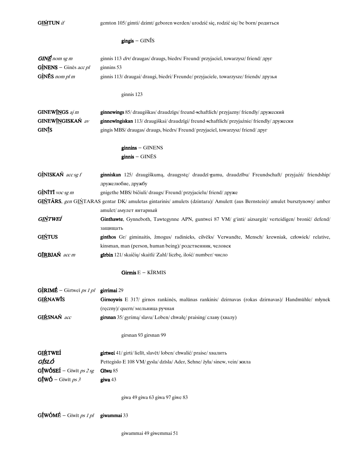**GIMTUN** if

gemton 105/gimti/dzimt/geboren werden/urodzić się, rodzić się/be born/родиться

## $gingis - \text{GIN}\$

| $GINE$ nom sg m                           | ginnis 113 drv/ draugas/ draugs, biedrs/ Freund/ przyjaciel, towarzysz/ friend/ друг                                         |
|-------------------------------------------|------------------------------------------------------------------------------------------------------------------------------|
| $GINENS - Gin\bar{e}s accpl$              | ginnins 53                                                                                                                   |
| $G\subseteq NES$ nom pl m                 | ginnis 113/draugai/draugi, biedri/Freunde/przyjaciele, towarzysze/friends/друзья                                             |
|                                           | ginnis 123                                                                                                                   |
|                                           |                                                                                                                              |
| <b>GINEWINGS</b> aj m                     | <b>ginnewings</b> 85/draugiškas/draudzīgs/freund-schaftlich/przyjazny/friendly/дружеский                                     |
| GINEWINGISKAŃ av                          | ginnewīngiskan 113/ draugiškai/ draudzīgi/ freund schaftlich/ przyjaźnie/ friendly/ дружески                                 |
| GINIS                                     | gingis MBS/ draugas/ draugs, biedrs/ Freund/ przyjaciel, towarzysz/ friend/ друг                                             |
|                                           | $ginnins - GINENS$                                                                                                           |
|                                           | $ginnis - GINES$                                                                                                             |
| GÌNISKAŃ acc sg f                         | ginniskan 125/ draugiškumą, draugystę/ draudzī-gumu, draudzību/ Freundschaft/ przyjaźn/ friendship/<br>дружелюбие, дружбу    |
| $G$ INITI voc sg m                        | gnigethe MBS/bičiuli/draugs/Freund/przyjacielu/friend/друже                                                                  |
|                                           | GIŃTÃRS, gen GIŃTARAS gentar DK/ amuletas gintarinis/ amulets (dzintara)/ Amulett (aus Bernstein)/ amulet bursztynowy/ amber |
|                                           | amulet/ амулет янтарный                                                                                                      |
| G <u>IŃ</u> TWEÍ                          | Ginthawte, Gynneboth, Tawtegynne APN, guntwei 87 VM/ g'inti/ aizsargāt/ verteidigen/ bronić/ defend/<br>защищать             |
| <b>GIŃTUS</b>                             | ginthos Gr/ giminaitis, žmogus/ radinieks, cilvēks/ Verwandte, Mensch/ krewniak, człowiek/ relative,                         |
|                                           | kinsman, man (person, human being)/ родственник, человек                                                                     |
| GÍRBJAŃ acc m                             | <b>gīrbin</b> 121/skaičių/skaitli/Zahl/liczbę, ilość/number/число                                                            |
|                                           | Girmis E - KĨRMIS                                                                                                            |
| $G\hat{I}RIME - Girtwei ps 1 pl$          | girrimai 29                                                                                                                  |
| <b>GIŔNAWIS</b>                           | Girnoywis E 317/ girnos rankinės, malūnas rankinis/ dzirnavas (rokas dzirnavas)/ Handmühle/ młynek                           |
|                                           | (ręczny)/ quern/ мельница ручная                                                                                             |
| GIŔSNAŃ acc                               | girsnan 35/ gyrimą/ slavu/ Loben/ chwałę/ praising/ славу (хвалу)                                                            |
|                                           |                                                                                                                              |
|                                           | girsnan 93 girsnan 99                                                                                                        |
| <b>GIŔTWEÍ</b>                            | girtwei 41/ girti/ lielīt, slavēt/ loben/ chwalić/ praise/ хвалить                                                           |
| GÍSLÓ                                     | Pettegislo E 108 VM/gysla/dzīsla/Ader, Sehne/żyła/sinew, vein/жила                                                           |
| $G_2^{\dagger}$ WÓSEÍ – Gīwīt ps 2 sg     | Gīwu 85                                                                                                                      |
| $G_1^{\text{f}} W \acute{O}$ – Giwit ps 3 | $g$ iwa 43                                                                                                                   |
|                                           |                                                                                                                              |
|                                           | giwa 49 giwa 63 giwa 97 giwe 83                                                                                              |

 $G_1^{\dagger}$ WÓMÉ – Gīwīt ps 1 pl giwammai 33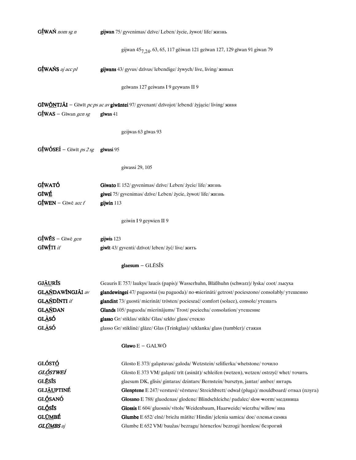| GÍWAŃ nom sg n                                                   | gijwan 75/ gyvenimas/ dzīve/ Leben/ życie, żywot/ life/ жизнь                                           |
|------------------------------------------------------------------|---------------------------------------------------------------------------------------------------------|
|                                                                  | gijwan 45 <sub>7,24</sub> , 63, 65, 117 gēiwan 121 geīwan 127, 129 gīwan 91 giwan 79                    |
| GÍWAŃS aj acc pl                                                 | gijwans 43/ gyvus/ dzīvus/ lebendige/ żywych/ live, living/ живых                                       |
|                                                                  | geīwans 127 geiwans I 9 geywans II 9                                                                    |
|                                                                  | GIWÕNTJÃI - Gīwīt pc ps ac av giwāntei 97/ gyvenant/ dzīvojot/ lebend/ żyjącie/ living/ живя            |
| $GfWAS - Giwan gen sg$                                           | $g$ īwas 41                                                                                             |
|                                                                  | geijwas 63 gīwas 93                                                                                     |
| $G\underline{\mathbf{f}}$ WÓSEÍ – Gīwīt <i>ps 2 sg</i> gīwasi 95 |                                                                                                         |
|                                                                  | giwassi 29, 105                                                                                         |
| GÍWATÓ                                                           | Giwato E 152/ gyvenimas/ dzīve/ Leben/ życie/ life/ жизнь                                               |
| GĪWÉ                                                             | giwei 75/ gyvenimas/ dzīve/ Leben/ życie, żywot/ life/ жизнь                                            |
| $G_1^{\text{f}}$ WEN – Gīwē acc f                                | gijwin 113                                                                                              |
|                                                                  | geiwin I 9 geywien II 9                                                                                 |
| $G_1^{\dagger}$ WĒS – Gīwē gen                                   | gijwis 123                                                                                              |
| GĪWÍTI if                                                        | giwīt 43/ gyventi/ dzīvot/ leben/ żyć/ live/ жить                                                       |
|                                                                  | $glassum - GLESS$                                                                                       |
| <b>GJÁURÍS</b>                                                   | Geauris E 757/laukys/laucis (papis)/ Wasserhuhn, Bläßhuhn (schwarz)/łyska/coot/лысуха                   |
| GLAŃDAWÍNGJÃI av                                                 | <b>glandewingei</b> 47/ paguostai (su paguoda)/ no mierināti/ getrost/ pocieszono/ consolably/ утешенно |
| <b>GLAŃDÍNTI</b> if                                              | glandint 73/ guosti/mierināt/ trösten/ pocieszać/ comfort (solace), console/ утешать                    |
| <b>GLAŃDAN</b>                                                   | Glands 105/ paguoda/ mierinājums/ Trost/ pociecha/ consolation/ утешение                                |
| GLÀSÓ                                                            | glasso Gr/ stiklas/ stikls/ Glas/ szkło/ glass/ стекло                                                  |
| GLÀSÓ                                                            | glasso Gr/ stiklinė/ glāze/ Glas (Trinkglas)/ szklanka/ glass (tumbler)/ стакан                         |
|                                                                  | Glawo E - GALWŌ                                                                                         |
| GLÓSTÓ                                                           | Glosto E 373/ galastuvas/ galoda/ Wetzstein/ szlifierka/ whetstone/ точило                              |
| GLÓSTWEÍ                                                         | Glosto E 373 VM/ galąsti/ trīt (asināt)/ schleifen (wetzen), wetzen/ ostrzyć/ whet/ точить              |
| GLÉSÍS                                                           | glaesum DK, glīsis/ gintaras/ dzintars/ Bernstein/ bursztyn, jantar/ amber/ янтарь                      |
| <b>GLJÁUPTINÉ</b>                                                | Glenptene E 247/ verstuve/vērstuve/Streichbrett/ odwał (pluga)/mouldboard/or Ban (плуга)                |
| <b>GLÓSANÓ</b>                                                   | Glosano E 788/ gluodenas/ glodene/ Blindschleiche/ padalec/ slow worm/ медяница                         |
| GLÓSÍS                                                           | Glossis E 604/ gluosnis/ vītols/ Weidenbaum, Haarweide/ wierzba/ willow/ ива                            |
| <b>GL<u>ÚM</u>BÉ</b>                                             | <b>Glumbe</b> E 652/ elnė/ briežu mātīte/ Hindin/ jelenia samica/ doe/ оленья самка                     |
| <b>GL<u>ÚM</u>BS</b> aj                                          | Glumbe E 652 VM/baužas/bezragu/hörnerlos/bezrogi/hornless/безрогий                                      |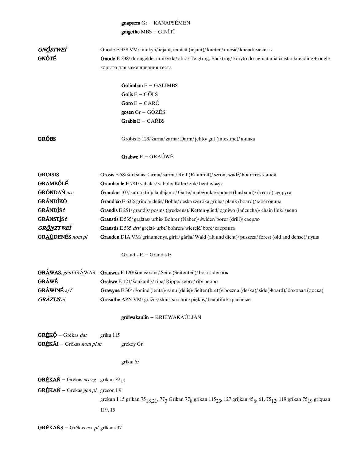# $\mathbf{gnapsem}$  Gr – KANAPSÉMEN gnigethe  $MBS - GINITI$

| GNÓSTWEÍ                                                     | Gnode E 338 VM/ minkyti/iejaut, iemīcīt (iejaut)/kneten/miesić/knead/месить                                                                                                                   |
|--------------------------------------------------------------|-----------------------------------------------------------------------------------------------------------------------------------------------------------------------------------------------|
| GN <u>Ó</u> TÉ                                               | Gnode E 338/ duongeldė, minkykla/ abra/ Teigtrog, Backtrog/ koryto do ugniatania ciasta/ kneading +rough/                                                                                     |
|                                                              | корыто для замешивания теста                                                                                                                                                                  |
|                                                              |                                                                                                                                                                                               |
|                                                              | Golimban $E - GALIMBS$                                                                                                                                                                        |
|                                                              | Golis $E - G\tilde{O}LS$                                                                                                                                                                      |
|                                                              | Goro $E - GAR\acute{O}$                                                                                                                                                                       |
|                                                              | gosen $Gr - G\acute{O}Z\tilde{E}S$                                                                                                                                                            |
|                                                              | Grabis E - GAŔBS                                                                                                                                                                              |
| <b>GRÓBS</b>                                                 | Grobis E 129/ žarna/ zarna/ Darm/ jelito/ gut (intestine)/ кишка                                                                                                                              |
|                                                              | Grabwe $E - GRAÚWE$                                                                                                                                                                           |
| <b>GRÕISIS</b>                                               | Grosis E 58/ šerkšnas, šarma/ sarma/ Reif (Rauhreif)/ szron, szadź/ hoar frost/ иней                                                                                                          |
| <b>GRÃMBỐLÉ</b>                                              | Gramboale E 781/vabalas/vabole/Käfer/żuk/beetle/жук                                                                                                                                           |
| <b>GR<u>ÕN</u>DAŃ</b> acc                                    | Grandan 107/ sutuoktini/ laulājamo/ Gatte/ mał żonka/ spouse (husband)/ (этого) супруга                                                                                                       |
| <b>GRÁNDÌKÓ</b>                                              | <b>Grandico</b> E 632/ grinda/ dēlis/ Bohle/ deska szeroka gruba/ plank (board)/ мостовина                                                                                                    |
| GRÃNDÌS f                                                    | Grandis E 251/grandis/posms (gredzens)/Ketten-glied/ogniwo (łańcucha)/chain link/3 вено                                                                                                       |
| GRÃNSTÌS f                                                   | Granstis E 535/ grąžtas/ urbis/ Bohrer (Näber)/ świder/borer (drill)/ сверло                                                                                                                  |
| GR <u>ÕN</u> ZTWEÍ                                           | Granstis E 535 drv/ gręžti/ urbt/ bohren/wiercić/ bore/ сверлить                                                                                                                              |
| <b>GRAÚDENÉS</b> nom pl                                      | Grauden DIA VM/ griaumenys, giria/ gārša/ Wald (alt und dicht)/ puszcza/ forest (old and dense)/ пуща                                                                                         |
|                                                              | Graudis E - Grandis E                                                                                                                                                                         |
| <b>GRÀWAS</b> , gen GRÀWAS                                   | Grauwus E 120/ šonas/ sāns/ Seite (Seitenteil)/ bok/ side/ бок                                                                                                                                |
| <b>GRÀWÉ</b>                                                 | Grabwe E 121/ šonkaulis/riba/ Rippe/ żebro/ rib/ ребро                                                                                                                                        |
| <b>GRÀWINÉ</b> aj f                                          | Grawyne E 304/ šoninė (lenta)/ sānu (dēlis)/ Seiten(brett)/ boczna (deska)/ side( +board)/ боковая (доска)                                                                                    |
| <b>GRÀZUS</b> aj                                             | Grasuthe APN VM/ gražus/ skaists/ schön/ piękny/ beautiful/ красивый                                                                                                                          |
|                                                              | grēiwakaulin - KRĒIWAKAÚLJAN                                                                                                                                                                  |
| GRĚKÓ - Grēkas dat                                           | grīku 115                                                                                                                                                                                     |
| GRĒKÃI - Grēkas nom pl m                                     | grekoy Gr                                                                                                                                                                                     |
|                                                              |                                                                                                                                                                                               |
|                                                              | grīkai 65                                                                                                                                                                                     |
| <b>GRĒKAŃ</b> – Grēkas <i>acc sg</i> grīkan 79 <sub>15</sub> |                                                                                                                                                                                               |
| $GREKAÑ - Grēkas gen pl$ grecon I 9                          |                                                                                                                                                                                               |
|                                                              | grekun I 15 grīkan 75 $_{18,21}$ , 77 <sub>3</sub> Grīkan 77 <sub>8</sub> grīkan 115 <sub>23</sub> , 127 grijkan 45 <sub>6</sub> , 61, 75 <sub>12</sub> , 119 grikan 75 <sub>19</sub> griquan |
|                                                              | II 9, 15                                                                                                                                                                                      |
|                                                              |                                                                                                                                                                                               |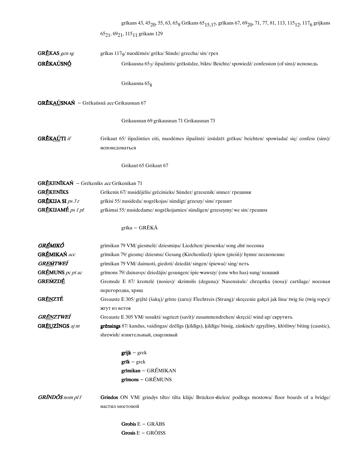|                                          | grīkans 43, 45 <sub>20</sub> , 55, 63, 65 <sub>9</sub> Grīkans 65 <sub>15,17</sub> , grīkans 67, 69 <sub>20</sub> , 71, 77, 81, 113, 115 <sub>12</sub> , 117 <sub>6</sub> grijkans |
|------------------------------------------|------------------------------------------------------------------------------------------------------------------------------------------------------------------------------------|
|                                          | 65 <sub>21</sub> , 69 <sub>21</sub> , 115 <sub>11</sub> grikans 129                                                                                                                |
|                                          |                                                                                                                                                                                    |
| GRĒKAS gen sg                            | grīkas 117 <sub>9</sub> / nuodėmės/ grēka/ Sünde/ grzecha/ sin/ rpex                                                                                                               |
| GRĔKAÚSNÓ                                | Grikausna 657/išpažintis/grēksūdze, bikts/Beichte/spowiedź/confession (of sins)/исповедь                                                                                           |
|                                          | Grikausna 65 <sub>8</sub>                                                                                                                                                          |
| GRĒKAÚSNAŃ - Grēkaūsnā acc Grikausnan 67 |                                                                                                                                                                                    |
|                                          | Grikausnan 69 grikausnan 71 Grikausnan 73                                                                                                                                          |
| GRĚKAÚTI if                              | Grikaut 65/ išpažinties eiti, nuodėmes išpažinti/ izsūdzēt grēkus/ beichten/ spowiadać się/ confess (sins)/                                                                        |
|                                          | исповедоваться                                                                                                                                                                     |
|                                          | Grikaut 65 Grikaut 67                                                                                                                                                              |
| GRĒKENĪKAŃ - Grēkenīks acc Grīkenikan 71 |                                                                                                                                                                                    |
| <b>GRĒKENĪKS</b>                         | Grīkenix 67/ nusidėjėlis/ grēcinieks/ Sünder/ grzesznik/ sinner/ грешник                                                                                                           |
| GRĒKIJA SI ps 3 r                        | grīkisi 55/nusideda/nogrēkojas/sündigt/grzeszy/sins/грешит                                                                                                                         |
| GRĒKIJAMÉ ps 1 pl                        | grīkimai 55/ nusidedame/ nogrēkojamies/ sündigen/ grzeszymy/ we sin/ грешим                                                                                                        |
|                                          | grīku - GRĒKĀ                                                                                                                                                                      |
|                                          |                                                                                                                                                                                    |
| GRÉMIKÓ                                  | grīmikan 79 VM/ giesmelė/ dziesmiņa/ Liedchen/ piosenka/ song dm/ песенка                                                                                                          |
| <b>GRÉMIKAŃ</b> acc                      | grīmikan 79/giesmę/dziesmu/Gesang (Kirchenlied)/ spiew (piesn)/ hymn/песнопение                                                                                                    |
| GREMTWEI                                 | grīmikan 79 VM/ dainuoti, giedoti/ dziedāt/ singen/ śpiewać/ sing/ петь                                                                                                            |
| GRÉMUNS pc pt ac                         | grīmons 79/dainavęs/dziedājis/gesungen/śpie-wawszy/ (one who has) sung/певший                                                                                                      |
| <b>GREMZDÉ</b>                           | Gremsde E 87/ kremzlė (nosies)/ skrimslis (deguna)/ Nasensäule/ chrząstka (nosa)/ cartilage/ носовая                                                                               |
|                                          | перегородка, хрящ                                                                                                                                                                  |
| <b>GRÉNZTÉ</b>                           | Greauste E 305/grįžtė (šakų)/grīste (zaru)/ Flechtreis (Strang)/ skręcenie gałęzi jak lina/ twig tie (twig rope)/                                                                  |
|                                          | жгут из веток                                                                                                                                                                      |
| GRÉNZTWEÍ                                | Greauste E 305 VM/susukti/sagriezt (savīt)/zusammendrehen/skręcić/wind up/скрутить                                                                                                 |
| <b>GREUZÍNGS</b> aj m                    | grēnsings 87/ kandus, vaidingas/ dzēlīgs (kildīgs), kildīgs/ bissig, zänkisch/ zgryźliwy, kłótliwy/ biting (caustic),                                                              |
|                                          | shrewish/ язвительный, сварливый                                                                                                                                                   |
|                                          | $grijk - grek$                                                                                                                                                                     |
|                                          | $grik - grek$                                                                                                                                                                      |
|                                          | grīmikan - GRÉMIKAN                                                                                                                                                                |
|                                          | $grimons - GRÉMUNS$                                                                                                                                                                |
| <b>GRÍNDÓS</b> nom pl f                  | Grindos ON VM/ grindys tilto/ tilta klājs/ Brücken-dielen/ podłoga mostowa/ floor boards of a bridge/                                                                              |
|                                          | настил мостовой                                                                                                                                                                    |
|                                          | Grobis $E - GR\overline{A}BS$                                                                                                                                                      |
|                                          | Grosis $E - GROISS$                                                                                                                                                                |
|                                          |                                                                                                                                                                                    |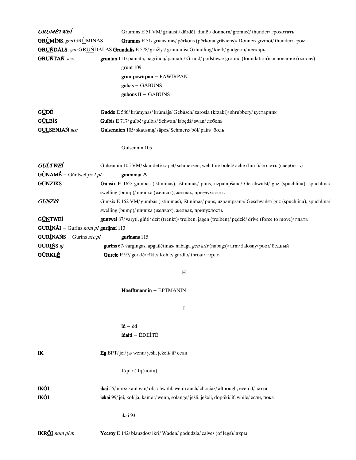| GRUMĒTWEÍ                            | Grumins E 51 VM/ griausti/ dardet, dunet/ donnern/ grzmieć/ thunder/ грохотать                            |
|--------------------------------------|-----------------------------------------------------------------------------------------------------------|
| <b>GRÙMÍNS</b> , gen GRÙMINAS        | Grumins E 51/ griaustinis/ pērkons (pērkona grāviens)/ Donner/ grzmot/ thunder/ гром                      |
|                                      | GRUŃDÃLS, gen GRUŃDALAS Grundalis E 578/ gružlys/ grundulis/ Gründling/ kiełb/ gudgeon/ пескарь           |
| GRUŃTAŃ acc                          | <b>gruntan</b> 111/ pamatą, pagrindą/ pamatu/ Grund/ podstawa/ ground (foundation)/ основание (основу)    |
|                                      | grunt 109                                                                                                 |
|                                      | gruntpowirpun - PAWIRPAN                                                                                  |
|                                      | gubas - GĀBUNS                                                                                            |
|                                      | gubons II - GĀBUNS                                                                                        |
| G <u>Ù</u> DÉ                        | Gudde E 586/krūmynas/krūmājs/Gebüsch/zarośla (krzaki)/shrubbery/кустарник                                 |
| <b>GULBIS</b>                        | Gulbis E 717/ gulbė/ gulbis/ Schwan/ łabędź/ swan/ лебедь                                                 |
| GUĹSENJAŃ acc                        | Gulsennien 105/skausmą/sāpes/Schmerz/ból/pain/боль                                                        |
|                                      | Gulsennin 105                                                                                             |
| G <u>UĹ</u> TWEÍ                     | Gulsennin 105 VM/skaudėti/sāpēt/schmerzen, weh tun/boleć/ache (hurt)/болеть (свербить)                    |
| $G\angle NAME - G$ ūntweī ps 1 pl    | gunnimai 29                                                                                               |
| <b>GÚNZIKS</b>                       | Gunsix E 162/ gumbas (ištinimas), ištinimas/ puns, uzpampšana/ Geschwulst/ guz (spuchlina), spuchlina/    |
|                                      | swelling (bump)/ шишка (желвак), желвак, при-нухлость                                                     |
| GŨNZIS                               | Gunsix E 162 VM/ gumbas (ištinimas), ištinimas/ puns, uzpampšana/ Geschwulst/ guz (spuchlina), spuchlina/ |
|                                      | swelling (bump)/ шишка (желвак), желвак, припухлость                                                      |
| <b>GÚNTWEÍ</b>                       | guntwei 87/varyti, gińti/dzīt (trenkt)/treiben, jagen (treiben)/pędzić/drive (force to move)/гнать        |
| GURÍNÃI - Gurīns nom pl gurijnai 113 |                                                                                                           |
| GURÍNAŃS - Gurīns acc pl             | gurīnans 115                                                                                              |
| GURIŃS aj                            | gurīns 67/ vargingas, apgailėtinas/ nabaga gen attr (nabags)/ arm/ żałosny/ poor/ бедный                  |
| <b>GÚRKLÉ</b>                        | Gurcle E 97/ gerklė/ rīkle/ Kehle/ gardło/ throat/ горло                                                  |
|                                      | $\boldsymbol{\mathrm{H}}$                                                                                 |
|                                      | Hoefftmannin - EPTMANIN                                                                                   |
|                                      | I                                                                                                         |
|                                      | $id - ed$                                                                                                 |
|                                      | idaiti - ĒDEÍTĒ                                                                                           |
| IK                                   | Eg BPT/jei/ja/wenn/jeśli, jeżeli/if/если                                                                  |
|                                      | I(quoi) Iq(uoitu)                                                                                         |
| IK <u>ÕI</u>                         | ikai 55/nors/kaut gan/ob, obwohl, wenn auch/chociaż/although, even if/ хотя                               |
| IK <u>ÕI</u>                         | ickai 99/jei, kol/ja, kamēr/wenn, solange/jeśli, jeżeli, dopóki/if, while/если, пока                      |
|                                      | ikai 93                                                                                                   |
| <b>IKR<u>ÔI</u></b> nom pl m         | Yccroy E 142/blauzdos/ikri/ Waden/podudzia/calves (of legs)/икры                                          |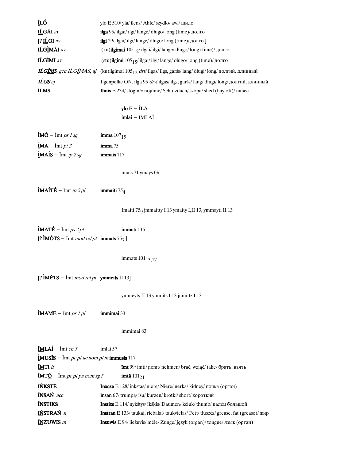| ÍLÓ                                                                                      | ylo E 510/yla/ilens/ Ahle/szydło/awl/шило                                                                                 |
|------------------------------------------------------------------------------------------|---------------------------------------------------------------------------------------------------------------------------|
| IĹGÃI av                                                                                 | ilga 95/ ilgai/ ilgi/ lange/ długo/ long (time)/ долго                                                                    |
| [? $\underline{\textbf{I} \textbf{L}}$ GI av                                             | ilgi 29/ ilgai/ ilgi/ lange/ długo/ long (time)/ долго ]                                                                  |
| <b>IĹGÌMÃI</b> av                                                                        | (ku) <b>ilgimai</b> $105_{12}$ / ilgai/ ilgi/ lange/ długo/ long (time)/ долго                                            |
| <b>ILGIMI</b> av                                                                         | (stu)ilgimi $105_{15}$ / ilgai/ ilgi/ lange/ długo/ long (time)/ долго                                                    |
|                                                                                          | <b>ILGIMS</b> , gen ILGIMAS, aj (ku)ilgimai 105 <sub>12</sub> drv/ ilgas/ ilgs, garšs/ lang/ długi/ long/ долгий, длинный |
| ILGS aj                                                                                  | Ilgenpelke ON, ilga 95 drv/ ilgas/ ilgs, garšs/ lang/ długi/ long/ долгий, длинный                                        |
| <b>ILMS</b>                                                                              | Ilmis E 234/stoginė/nojume/Schutzdach/szopa/shed (hayloft)/навес                                                          |
|                                                                                          |                                                                                                                           |
|                                                                                          | ylo $E - \hat{I}L\overline{A}$<br>imlai - ĨMLAÍ                                                                           |
|                                                                                          |                                                                                                                           |
| $\underline{\mathbf{i}}\mathbf{M}\mathbf{O}$ – $\overline{\mathbf{I}}$ mt <i>ps 1 sg</i> | imma $107_{15}$                                                                                                           |
| $\hat{\mathbf{I}}$ MA – $\mathbf{I}$ mt <i>pt 3</i>                                      | imma 75                                                                                                                   |
| $\hat{\mathbf{l}}$ MAÍS – $\overline{\mathbf{l}}$ mt <i>ip 2 sg</i>                      | immais 117                                                                                                                |
|                                                                                          |                                                                                                                           |
|                                                                                          | imais 71 ymays Gr                                                                                                         |
|                                                                                          |                                                                                                                           |
| $\hat{\mathbf{l}}$ MAÍTÉ – Īmt <i>ip 2 pl</i> immaiti 75 <sub>4</sub>                    |                                                                                                                           |
|                                                                                          |                                                                                                                           |
|                                                                                          | Imaiti 75 <sub>9</sub> jmmaitty I 13 ymaity I,II 13, ymmayti II 13                                                        |
|                                                                                          |                                                                                                                           |
| $\hat{\mathbf{I}}$ MATÉ – $\bar{\mathbf{I}}$ mt <i>ps 2 pl</i>                           | immati 115                                                                                                                |
| [? $\text{IMÓTS}$ – $\text{Imt} \text{ mod relpt}$ immats 757]                           |                                                                                                                           |
|                                                                                          |                                                                                                                           |
|                                                                                          | immats 101 <sub>13,17</sub>                                                                                               |
|                                                                                          |                                                                                                                           |
| [? $\text{IMETS} - \text{Imt} \text{ mod relpt}$ ymmeits II 13]                          |                                                                                                                           |
|                                                                                          |                                                                                                                           |
|                                                                                          | ymmeyts II 13 ymmits I 13 jmmitz I 13                                                                                     |
| $\hat{I}$ MAMÉ – $\bar{I}$ mt <i>ps 1 pl</i>                                             | immimai 33                                                                                                                |
|                                                                                          |                                                                                                                           |
|                                                                                          | immimai 83                                                                                                                |
|                                                                                          |                                                                                                                           |
| $\overline{\text{IMLA}}\textbf{I} - \overline{\text{Imt}}$ cn 3                          | imlai 57                                                                                                                  |
| $\text{IMUS}$ <b>IS</b> – Imt <i>pc pt ac nom pl m</i> immusis 117                       |                                                                                                                           |
| <b>IMTI</b> if                                                                           | <b>imt</b> 99/imti/ nemt/ nehmen/ brać, wziąć/ take/ брать, взять                                                         |
| $\overline{\text{IMT}\underline{\text{O}}}$ – $\overline{\text{Imt}}$ pc pt pa nom sg f  | <b>imtä</b> $101_{21}$                                                                                                    |
| <b>IŃKSTĒ</b>                                                                            | Inxcze E 128/ inkstas/ niere/ Niere/ nerka/ kidney/ почка (орган)                                                         |
| <b>INSAN</b> acc                                                                         | <b>insan</b> 67/trumpa/isu/kurzen/krótki/short/короткий                                                                   |
| <b>ÍNSTIKS</b>                                                                           | <b>Instixs</b> E 114/ nykštys/ īkšķis/ Daumen/ kciuk/ thumb/ палец большой                                                |
| IŃSTRAŃ n                                                                                | Instran E 133/taukai, riebalai/taukvielas/Fett/tłuszcz/grease, fat (grease)/ жир                                          |
| <b>INZUWIS</b> m                                                                         | Insuwis E 94/liežuvis/mēle/Zunge/język (organ)/tongue/язык (орган)                                                        |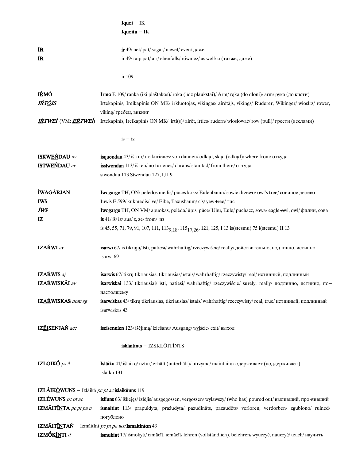|                                                     | $I$ quoi $-$ IK                                                                                                                |
|-----------------------------------------------------|--------------------------------------------------------------------------------------------------------------------------------|
|                                                     | Iquoitu $-$ IK                                                                                                                 |
|                                                     |                                                                                                                                |
| ĨR                                                  | ir 49/ net/ pat/ sogar/ nawet/ even/ даже                                                                                      |
| ĨR                                                  | ir 49/ taip pat/ arī/ ebenfalls/ również/ as well/ $\mu$ (также, даже)                                                         |
|                                                     |                                                                                                                                |
|                                                     | ir 109                                                                                                                         |
|                                                     |                                                                                                                                |
| <b>IŔMÓ</b>                                         | <b>Irmo</b> E 109/ranka (iki plaštakos)/roka (līdz plaukstai)/ Arm/ręka (do dłoni)/ arm/ рука (до кисти)                       |
| IŔTÓJS                                              | Irtekapinis, Ireikapinis ON MK/ irkluotojas, vikingas/ airētājs, vikings/ Ruderer, Wikinger/ wiosłrz/ rower,                   |
|                                                     | viking/ гребец, викинг                                                                                                         |
| IŔTWEÍ (VM: EŔTWEÍ)                                 | Irtekapinis, Ireikapinis ON MK/ 'irti(s)/ airet, irties/ rudern/wiosłować/ row (pull)/ грести (веслами)                        |
|                                                     |                                                                                                                                |
|                                                     | $is - iz$                                                                                                                      |
|                                                     |                                                                                                                                |
| ISKWEŃDAU av                                        | <b>isquendau</b> 43/iš kur/no kurienes/von dannen/odkąd, skąd (odkąd)/where from/откуда                                        |
| <b>ISTWEŃDAU</b> av                                 | isstwendan 113/iš ten/no turienes/daraus/stamtad/from there/оттуда                                                             |
|                                                     | stwendau 113 Stwendau 127, I,II 9                                                                                              |
|                                                     |                                                                                                                                |
| ÍWAGÃRJAN                                           | Iwogarge TH, ON/ pelėdos medis/ pūces koks/ Eulenbaum/ sowie drzewo/ owl's tree/ совиное дерево                                |
| <b>IWS</b>                                          | Iuwis E 599/ kukmedis/ īve/ Eibe, Taxusbaum/ cis/ yew + ree/ тис                                                               |
| fws                                                 | Iwogarge TH, ON VM/ apuokas, pelėda/ ūpis, pūce/ Uhu, Eule/ puchacz, sowa/ eagle-owl, owl/ филин, сова                         |
| IZ                                                  | is $41/\overline{\text{is}}/\overline{\text{iz}}/\overline{\text{aus}}/\overline{\text{z}}$ , ze/from/ $\overline{\text{u}}$   |
|                                                     | is 45, 55, 71, 79, 91, 107, 111, 113 <sub>9, 18</sub> , 115 <sub>17, 26</sub> , 121, 125, I 13 is (stesmu) 75 i (stesmu) II 13 |
| IZAŔWI av                                           | isarwi 67/iš tikrųjų/ īsti, patiesi/ wahrhaftig/ rzeczywiście/ really/ действительно, подлинно, истинно                        |
|                                                     | isarwi 69                                                                                                                      |
|                                                     |                                                                                                                                |
| IZAŔWIS aj                                          | isarwis 67/ tikrų tikriausias, tikriausias/ īstais/ wahrhaftig/ rzeczywisty/ real/ истинный, подлинный                         |
| IZAŔWISKÃI av                                       | isarwiskai 133/ tikriausiai/ īsti, patiesi/ wahrhaftig/ rzeczywiście/ surely, really/ подлинно, истинно, по-                   |
|                                                     | настоящему                                                                                                                     |
| IZAŔWISKAS nom sg                                   | isarwiskas 43/ tikrų tikriausias, tikriausias/ īstais/ wahrhaftig/ rzeczywisty/ real, true/ истинный, подлинный                |
|                                                     | isarwiskas 43                                                                                                                  |
|                                                     |                                                                                                                                |
| IZÉISENJAŃ acc                                      | iseisennien 123/išėjimą/iziešanu/Ausgang/wyjście/exit/выход                                                                    |
|                                                     | isklaitints - IZSKLÕITĨNTS                                                                                                     |
|                                                     |                                                                                                                                |
| IZLÕIKÓ $ps3$                                       | Islaika 41/išlaiko/uztur/erhält (unterhält)/utrzyma/maintain/содерживает (поддерживает)                                        |
|                                                     | islāiku 131                                                                                                                    |
|                                                     |                                                                                                                                |
| IZLĀIKÓWUNS - Izlāikā pc pt ac islaikūuns 119       |                                                                                                                                |
| <b>IZLÉWUNS</b> pc pt ac                            | isliuns 63/išliejęs/izlējis/ausgegossen, vergossen/wylawszy/ (who has) poured out/ выливший, про-нивший                        |
| IZMÃIT <u>ÍN</u> TA pc pt pa n                      | ismaitint 113/ prapuldyta, pražudyta/ pazudināts, pazaudēts/ verloren, verdorben/ zgubiono/ ruined/                            |
|                                                     | погублено                                                                                                                      |
| IZMÃITÍNTAŃ – Izmāitīnt pc pt pa acc Ismaitinton 43 |                                                                                                                                |
| <b>IZMÓK<u>ÍN</u>TI</b> if                          | ismukint 17/išmokyti/izmācīt, iemācīt/lehren (vollständlich), belehren/wyuczyć, nauczyć/teach/научить                          |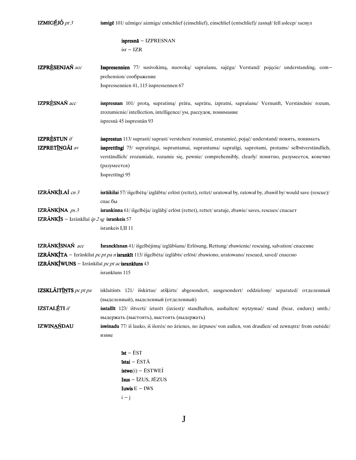| IZMIGÉJÓ $pt\beta$                                                          | ismigē 101/užmigo/aizmiga/entschlief (einschlief), einschlief (entschlief)/zasnał/fell asleep/заснул                                                                                                                                                                                                                                                      |
|-----------------------------------------------------------------------------|-----------------------------------------------------------------------------------------------------------------------------------------------------------------------------------------------------------------------------------------------------------------------------------------------------------------------------------------------------------|
|                                                                             | $is presnā - IZPRESNAN$<br>$isr - IZR$                                                                                                                                                                                                                                                                                                                    |
| IZPRÈSENJAŃ acc                                                             | Isspresennien 77/ susivokimą, nuovoką/ saprašanu, sajėgu/ Verstand/ pojęcie/ understanding, com-<br>prehension/ соображение<br>Isspressennien 41, 115 isspressennen 67                                                                                                                                                                                    |
| IZPRÈSNAŃ acc                                                               | isspresnan 101/ protą, supratimą/ prātu, saprātu, izpratni, saprašanu/ Vernunft, Verständnis/ rozum,<br>zrozumienie/intellection, intelligence/ ум, рассудок, понимание<br>ispresnā 45 isspresnān 93                                                                                                                                                      |
| <b>IZPRESTUN</b> if<br>IZPRETÍNGÃI av                                       | issprestun 113/suprasti/saprast/verstehen/rozumieć, zrozumieć, pojąć/ understand/понять, понимать<br>issprettingi 75/ supratingai, suprantamai, suprantama/ sapratīgi, saprotami, protams/ selbstverständlich,<br>verständlich/ zrozumiale, rozumie się, pewnie/ comprehensibly, clearly/ понятно, разумеется, конечно<br>(разумеется)<br>Issprettīngi 95 |
| IZRÃNKÍLAÍ cn 3                                                             | isrāikilai 57/išgelbėtų/izglābtu/erlöst (rettet), rettet/uratował by, ratował by, zbawił by/would save (rescue)/<br>спас бы                                                                                                                                                                                                                               |
| IZRÁNKINA $ps3$                                                             | isrankinna 61/išgelbėja/izglābj/erlöst (rettet), rettet/uratuje, zbawie/saves, rescues/cnacaer                                                                                                                                                                                                                                                            |
| IZRÃNKIS - Izrãnkilai ip 2 sg isrankeis 57                                  |                                                                                                                                                                                                                                                                                                                                                           |
|                                                                             | isrankeis I,II 11                                                                                                                                                                                                                                                                                                                                         |
| IZRÁNKÍSNAŃ acc<br>IZRĀNKĪWUNS $-$ Izrānkīlaī <i>pc pt ac</i> isrankīuns 43 | Isranckīsnan 41/ išgelbėjimą/ izglābšanu/ Erlösung, Rettung/ zbawienie/ rescuing, salvation/ спасение<br>IZRĀNKĪTA - Izrānkīlaī <i>pc pt pa n</i> isrankīt 113/ išgelbėta/ izglābts/ erlöst/ zbawiono, uratowano/ rescued, saved/ спасено<br>isrankīuns 115                                                                                               |
| <b>IZSKLÃITÍNTS</b> pc pt pa                                                | isklaitints 121/ išskirtas/ atšķirts/ abgesondert, ausgesondert/ oddzielony/ separated/ отделенный<br>(выделенный), выделенный (отделенный)                                                                                                                                                                                                               |
| <b>IZSTALÉTI</b> if                                                         | isstallīt 123/ ištverti/ izturēt (izciest)/ standhalten, aushalten/ wytzymać/ stand (bear, endure) smth./<br>выдержать (выстоять), выстоять (выдержать)                                                                                                                                                                                                   |
| <b>IZWINAŃDAU</b>                                                           | <b>iswinadu</b> 77/ iš lauko, iš išorės/ no ārienes, no ārpuses/ von außen, von draußen/ od zewnątrz/ from outside/<br>извне                                                                                                                                                                                                                              |
|                                                                             | $ist - ÉST$<br>īstai - ĒSTĀ<br>$\mathbf{istwe}(\mathbf{i}) - \mathbf{ESTWE}(\mathbf{i})$<br>$Isus - \overline{I}ZUS, J\overline{E}ZUS$<br>Iuwis $E - IWS$<br>$i - j$                                                                                                                                                                                      |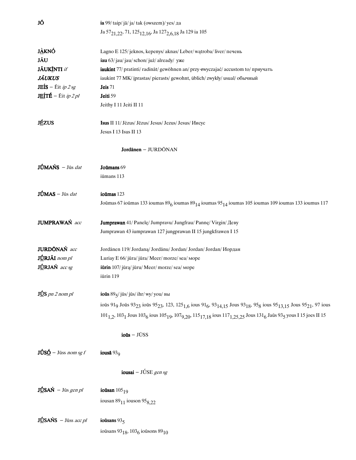| JÕ                                                                     | ia 99/ taip/ja/ja/tak (owszem)/ yes/ да                                                                                                                                                                                                |
|------------------------------------------------------------------------|----------------------------------------------------------------------------------------------------------------------------------------------------------------------------------------------------------------------------------------|
|                                                                        | Ja 57 <sub>21,22</sub> , 71, 125 <sub>12,16</sub> , Ja 127 <sub>2,6,18</sub> Ja 129 ia 105                                                                                                                                             |
| J <u>À</u> KNÓ                                                         | Lagno E 125/jeknos, kepenys/aknas/Leber/wątroba/liver/печень                                                                                                                                                                           |
| JÃU                                                                    | iau 63/jau/jau/schon/już/already/ уже                                                                                                                                                                                                  |
| <b>JÃUKÍNTI</b> if                                                     | iaukint 77/ pratinti/ radināt/ gewöhnen an/ przy-zwyczajać/ accustom to/ приучать                                                                                                                                                      |
| <b>JÃUKUS</b>                                                          | iaukint 77 MK/ įprastas/ pierasts/ gewohnt, üblich/ zwykły/ usual/ обычный                                                                                                                                                             |
| <b>JEÍS</b> – Ēit <i>ip 2 sg</i>                                       | Jeis 71                                                                                                                                                                                                                                |
| <b>JEÍTÉ</b> – Éit <i>ip 2 pl</i>                                      | Jeiti 59                                                                                                                                                                                                                               |
|                                                                        | Jeithy I 11 Jeiti II 11                                                                                                                                                                                                                |
| <b>JÉZUS</b>                                                           | Isus II 11/ Jėzus/ Jēzus/ Jesus/ Jezus/ Jesus/ Иисус                                                                                                                                                                                   |
|                                                                        | Jesus I 13 Isus II 13                                                                                                                                                                                                                  |
|                                                                        | Jordanen – JURDŌNAN                                                                                                                                                                                                                    |
| JÚMAŃS - Jūs dat                                                       | Joumans 69                                                                                                                                                                                                                             |
|                                                                        | iūmans 113                                                                                                                                                                                                                             |
| $J\hat{U}$ MAS – Jūs dat                                               | ioūmas 123                                                                                                                                                                                                                             |
|                                                                        | Joūmas 67 ioūmas 133 ioumas $896$ ioumas $8914$ ioumas $9514$ ioumas 105 ioumas 109 ioumas 133 ioumus 117                                                                                                                              |
| JUMPRAWAŃ acc                                                          | Jumprawan 41/ Panelę/ Jumpravu/ Jungfrau/ Pannę/ Virgin/ Деву                                                                                                                                                                          |
|                                                                        | Jumprawan 43 iumprawan 127 jungprawan II 15 jungkfrawen I 15                                                                                                                                                                           |
| JURDONAŃ acc                                                           | Jordānen 119/Jordana/Jordānu/Jordan/Jordan/Jordan/Иордан                                                                                                                                                                               |
| JÚRJÁI nom pl                                                          | Luriay E 66/ jūra/ jūra/ Meer/ morze/ sea/ mope                                                                                                                                                                                        |
| JÚRJAŃ acc sg                                                          | iūrin 107/ jūrą/ jūru/ Meer/ morze/ sea/ mope                                                                                                                                                                                          |
|                                                                        | iūrin 119                                                                                                                                                                                                                              |
| $J\underline{U}S$ pn 2 nom pl                                          | ioūs $895$ / jūs/ jūs/ ihr/ wy/ you/ вы                                                                                                                                                                                                |
|                                                                        | ioūs 91 <sub>9</sub> Joūs 93 <sub>23</sub> ioūs 95 <sub>23</sub> , 123, 125 <sub>1,6</sub> ious 91 <sub>6</sub> , 93 <sub>14,15</sub> Jous 93 <sub>18</sub> , 95 <sub>8</sub> ious 95 <sub>13,15</sub> Jous 95 <sub>21</sub> , 97 ious |
|                                                                        | 101 <sub>1.2</sub> , 103 <sub>1</sub> Jous 103 <sub>6</sub> ious 105 <sub>19</sub> , 107 <sub>9.20</sub> , 115 <sub>17.18</sub> ious 117 <sub>1.25.25</sub> Jous 131 <sub>6</sub> Jaūs 93 <sub>5</sub> yous I 15 joes II 15            |
|                                                                        | $ioūs - JUSS$                                                                                                                                                                                                                          |
| $J\dot{\mathbf{U}}$ S $\underline{\mathbf{\acute{O}}}$ – Jūss nom sg f | iousā $93q$                                                                                                                                                                                                                            |
|                                                                        | iousai – JÚSE gen sg                                                                                                                                                                                                                   |
| $J\underline{\textbf{U}}$ SAŃ – Jūs gen pl                             | ioūsan $105_{19}$                                                                                                                                                                                                                      |
|                                                                        | iousan $89_{11}$ iouson $95_{8,22}$                                                                                                                                                                                                    |
| $J\underline{\text{ }U}$ SAŃS – Jūss acc pl                            | ioūsans $935$                                                                                                                                                                                                                          |
|                                                                        | ioūsans 93 <sub>18</sub> , 103 <sub>6</sub> ioūsons 89 <sub>10</sub>                                                                                                                                                                   |
|                                                                        |                                                                                                                                                                                                                                        |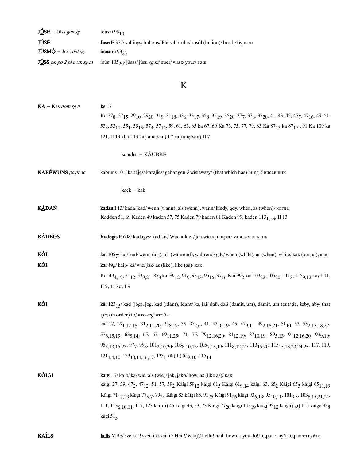| $J\dot{U}SE$ – Jūss gen sg                   | iousai $95_{10}$                                                                  |
|----------------------------------------------|-----------------------------------------------------------------------------------|
| JÚSÉ                                         | <b>Juse</b> E 377/ sultinys/ buljons/ Fleischbrühe/ rosół (bulion)/ broth/ бульон |
| $J\hat{U}$ SM $\hat{O}$ – Jūss <i>dat sg</i> | iousmu $93_{23}$                                                                  |
| <b>JUSS</b> pn po $2$ pl nom sg m            | ioūs $105_{20}$ / jūsas/ jūsu sg m/ euer/wasz/your/ ваш                           |

# $\mathbf K$

| $KA - Kas nom sg n$      | <b>ka</b> 17                                                                                                                                                                                                                                                                                      |
|--------------------------|---------------------------------------------------------------------------------------------------------------------------------------------------------------------------------------------------------------------------------------------------------------------------------------------------|
|                          | Ka $27_8$ , $27_{15}$ , $29_{10}$ , $29_{20}$ , $31_9$ , $31_{18}$ , $33_6$ , $33_{17}$ , $35_8$ , $35_{19}$ , $35_{20}$ , $37_7$ , $37_8$ , $37_{20}$ , $41$ , $43$ , $45$ , $47_7$ , $47_{16}$ , $49$ , $51$ ,                                                                                  |
|                          | 533, 5311, 551, 5515, 574, 5714, 59, 61, 63, 65 ka 67, 69 Ka 73, 75, 77, 79, 83 Ka 8713 ka 8717, 91 Ka 109 ka                                                                                                                                                                                     |
|                          | 121, II 13 kha I 13 ka(tanassen) I 7 ka(tanęssen) II 7                                                                                                                                                                                                                                            |
|                          | kaāubri - KÃUBRĒ                                                                                                                                                                                                                                                                                  |
| <b>KABÉWUNS</b> pc pt ac | kabīuns 101/kabėjęs/karājies/gehangen i/wisiewszy/(that which has) hung i/висевший                                                                                                                                                                                                                |
|                          | $kack - kak$                                                                                                                                                                                                                                                                                      |
| <b>KÀDAŃ</b>             | kadan I 13/ kada/ kad/ wenn (wann), als (wenn), wann/ kiedy, gdy/ when, as (when)/ когда                                                                                                                                                                                                          |
|                          | Kadden 51, 69 Kaden 49 kaden 57, 75 Kaden 79 kaden 81 Kaden 99, kaden 113 <sub>1.23</sub> , II 13                                                                                                                                                                                                 |
| <b>KADEGS</b>            | Kadegis E 608/ kadagys/ kadiķis/ Wacholder/ jałowiec/ juniper/ можжевельник                                                                                                                                                                                                                       |
| KÕI                      | kai 1057/ kai/ kad/ wenn (als), als (während), während/ gdy/ when (while), as (when), while/ как (когда), как                                                                                                                                                                                     |
| KÕI                      | kai 496/ kaip/ kā/ wie/ jak/ as (like), like (as)/ как                                                                                                                                                                                                                                            |
|                          | Kai 49 <sub>4,19</sub> , 51 <sub>12</sub> , 53 <sub>9,21</sub> , 87 <sub>3</sub> kai 89 <sub>12</sub> , 91 <sub>9</sub> , 93 <sub>13</sub> , 95 <sub>16</sub> , 97 <sub>16</sub> Kai 99 <sub>2</sub> kai 103 <sub>22</sub> , 105 <sub>20</sub> , 111 <sub>3</sub> , 115 <sub>9,12</sub> kay I 11, |
|                          | II 9, 11 key I 9                                                                                                                                                                                                                                                                                  |
| KÕI                      | kāi 123 <sub>15</sub> /kad (jog), jog, kad (idant), idant/ka, lai/daß, daß (damit, um), damit, um (zu)/że, żeby, aby/ that                                                                                                                                                                        |
|                          | cjn; (in order) to/ что спј, чтобы                                                                                                                                                                                                                                                                |
|                          | kai 17, 29 <sub>1,12,18</sub> , 31 <sub>2,11,20</sub> , 33 <sub>8,19</sub> , 35, 37 <sub>2,6</sub> , 41, 43 <sub>10,19</sub> , 45, 47 <sub>9,11</sub> , 49 <sub>2,18,21</sub> , 51 <sub>10</sub> , 53, 55 <sub>2,17,18,22</sub> ,                                                                 |
|                          | $57_{6,15,19}$ , $63_{8,14}$ , $65$ , $67$ , $69_{11,25}$ , $71$ , $75$ , $79_{12,16,20}$ , $81_{12,19}$ , $87_{10,19}$ , $89_{5,13}$ , $91_{12,16,20}$ , $93_{9,19}$ ,                                                                                                                           |
|                          | 95 <sub>3,13,15,23</sub> , 97 <sub>7</sub> , 99 <sub>8</sub> , 101 <sub>2,10,20</sub> , 103 <sub>8,10,13</sub> , 105 <sub>7,15,19</sub> , 111 <sub>8,12,21</sub> , 113 <sub>15,20</sub> , 115 <sub>15,18,23,24,25</sub> , 117, 119,                                                               |
|                          | $121_{1,4,10}$ , $123_{10,11,16,17}$ , $133_1$ kāi(di) $65_{9,10}$ , $115_{14}$                                                                                                                                                                                                                   |
| K <u>ÕI</u> GI           | kāigi 17/ kaip/ kā/ wie, als (wie)/ jak, jako/ how, as (like as)/ как                                                                                                                                                                                                                             |
|                          | kāigi 27, 39, 47 <sub>2</sub> , 47 <sub>12</sub> , 51, 57, 59 <sub>2</sub> Kāigi 59 <sub>12</sub> kāigi 61 <sub>5</sub> Kāigi 61 <sub>9, 14</sub> kāigi 63, 65 <sub>2</sub> Kāigi 65 <sub>5</sub> kāigi 65 <sub>11,19</sub>                                                                       |
|                          | Kāigi 71 <sub>17,23</sub> kāigi 77 <sub>5,7</sub> , 79 <sub>24</sub> Kāigi 83 kāigi 85, 91 <sub>25</sub> Kāigi 91 <sub>26</sub> kāigi 93 <sub>6,13</sub> , 95 <sub>10,11</sub> , 101 <sub>3,5</sub> , 103 <sub>6,15,21,24</sub> ,                                                                 |
|                          | 111, 113 <sub>6,10,11</sub> , 117, 123 kaī(di) 45 kaigi 43, 53, 73 Kaigi 77 <sub>20</sub> kaigi 103 <sub>19</sub> kaigi 95 <sub>12</sub> kaigi(j gi) 115 kaige 93 <sub>8</sub>                                                                                                                    |
|                          | kāgi 515                                                                                                                                                                                                                                                                                          |
| <b>KAÍLS</b>             | kails MBS/ sveikas! sveiki!/ sveiki!/ Heil!/ witaj!/ hello! hail! how do you do!/ здравствуй! здрав етвуйте                                                                                                                                                                                       |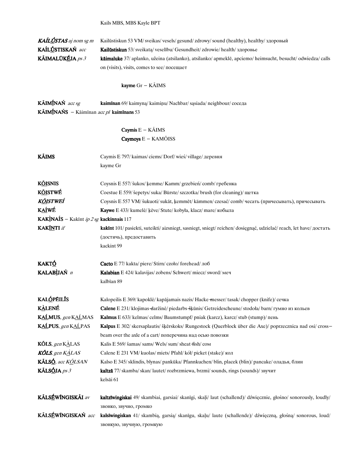Kails MBS, MBS Kayle BPT

| KAÍLÚSTAS aj nom sg m<br>KAÍLÚSTISKAŃ acc<br>KÃIMALŪKÉJA ps 3<br>KÃIMÍNAŃ acc sg | Kailūstiskun 53 VM/ sveikas/ vesels/ gesund/ zdrowy/ sound (healthy), healthy/ здоровый<br>Kailūstiskun 53/ sveikatą/ veselību/ Gesundheit/ zdrowie/ health/ здоровье<br>kāimaluke 37/ aplanko, užeina (atsilanko), atsilanko/ apmeklē, apciemo/ heimsucht, besucht/ odwiedza/ calls<br>on (visits), visits, comes to see/ посещает<br>kayme $Gr - K\tilde{A}IMS$<br>kaimīnan 69/ kaimyną/ kaimiņu/ Nachbar/ sąsiada/ neighbour/ соседа |
|----------------------------------------------------------------------------------|-----------------------------------------------------------------------------------------------------------------------------------------------------------------------------------------------------------------------------------------------------------------------------------------------------------------------------------------------------------------------------------------------------------------------------------------|
| <b>KÃIMÍNAŃS</b> – Kāimīnan $acc$ pl <b>kaimīnans</b> 53                         |                                                                                                                                                                                                                                                                                                                                                                                                                                         |
|                                                                                  | Caymis $E - K\tilde{A}$ IMS<br>Caymoys E - KAMÕISS                                                                                                                                                                                                                                                                                                                                                                                      |
|                                                                                  |                                                                                                                                                                                                                                                                                                                                                                                                                                         |
| <b>KÃIMS</b>                                                                     | Caymis E 797/ kaimas/ ciems/ Dorf/ wieś/ village/ деревня<br>kayme Gr                                                                                                                                                                                                                                                                                                                                                                   |
| <b>KÕISNIS</b>                                                                   | Coysnis E 557/ šukos/ kemme/ Kamm/ grzebień/ comb/ гребенка                                                                                                                                                                                                                                                                                                                                                                             |
| <b>KÖISTWÉ</b>                                                                   | Coestue E 559/ šepetys/ suka/ Bürste/ szczotka/ brush (for cleaning)/ щетка                                                                                                                                                                                                                                                                                                                                                             |
| K <u>õi</u> stweí                                                                | Coysnis E 557 VM/šukuoti/sukāt, ķemmēt/kämmen/czesać/comb/чесать (причесывать), причесывать                                                                                                                                                                                                                                                                                                                                             |
| <b>KAÍWÉ</b>                                                                     | Кауwe E 433/ kumelė/ keve/ Stute/ kobyła, klacz/ mare/ кобыла                                                                                                                                                                                                                                                                                                                                                                           |
| KAKINAIS - Kakīnt ip 2 sg kackinnais 117                                         |                                                                                                                                                                                                                                                                                                                                                                                                                                         |
| <b>KAKÍNTI</b> if                                                                | kakīnt 101/ pasiekti, suteikti/ aizsniegt, sasniegt, sniegt/ reichen/ dosięgnąć, udzielać/ reach, let have/ достать                                                                                                                                                                                                                                                                                                                     |
|                                                                                  | (достичь), предоставить                                                                                                                                                                                                                                                                                                                                                                                                                 |
|                                                                                  | kackint 99                                                                                                                                                                                                                                                                                                                                                                                                                              |
| <u>KAKTÓ</u>                                                                     | Cacto E 77/ kakta/ piere/ Stirn/ czoło/ forehead/ лоб                                                                                                                                                                                                                                                                                                                                                                                   |
| KALABÙAŃ n                                                                       | Kalabian E 424/ kalavijas/ zobens/ Schwert/ miecz/ sword/ меч                                                                                                                                                                                                                                                                                                                                                                           |
|                                                                                  | kalbīan 89                                                                                                                                                                                                                                                                                                                                                                                                                              |
| <b>KALÓPÉILIS</b>                                                                | Kalopeilis E 369/ kapoklė/ kapājamais nazis/ Hacke messer/ tasak/ chopper (knife)/ сечка                                                                                                                                                                                                                                                                                                                                                |
| <b>KALENÉ</b>                                                                    | Calene E 231/klojimas-daržinė/piedarbs-šķūnis/Getreidescheune/stodoła/barn/гумно из кольев                                                                                                                                                                                                                                                                                                                                              |
| KALMUS, gen KALMAS                                                               | Kalmus E 633/ kelmas/ celms/ Baumstumpf/ pniak (karcz), karcz/ stub (stump)/ пень                                                                                                                                                                                                                                                                                                                                                       |
| KALPUS, gen KALPAS                                                               | Kalpus E 302/ skersaplautis/ šķērskoks/ Rungestock (Querblock über die Axe)/ poprzecznica nad osi/ cross-                                                                                                                                                                                                                                                                                                                               |
|                                                                                  | beam over the axle of a cart/поперечина над осью повозки                                                                                                                                                                                                                                                                                                                                                                                |
| <b>KÕLS</b> , gen K $\triangle$ LAS                                              | Kalis E 569/ šamas/ sams/ Wels/ sum/ sheat fish/ сом                                                                                                                                                                                                                                                                                                                                                                                    |
| KÕLS, gen KALAS                                                                  | Calene E 231 VM/kuolas/miets/ Pfahl/kół/picket (stake)/кол                                                                                                                                                                                                                                                                                                                                                                              |
| KÃLSÓ, acc KÕLSAN                                                                | Kalso E 345/sklindis, blynas/pankūka/Pfannkuchen/blin, placek (blin)/pancake/оладья, блин                                                                                                                                                                                                                                                                                                                                               |
| KÃLSÓJA ps 3                                                                     | kaltzā 77/ skamba/ skan/ lautet/ rozbrzmiewa, brzmi/ sounds, rings (sounds)/ звучит<br>kelsāi 61                                                                                                                                                                                                                                                                                                                                        |
| KÃLSÉWÍNGISKÃI av                                                                | kaltzīwingiskai 49/ skambiai, garsiai/ skanīgi, skaļi/ laut (schallend)/ dźwięcznie, głośno/ sonorously, loudly/<br>звонко, звучно, громко                                                                                                                                                                                                                                                                                              |
| KÃLSÉWÍNGISKAŃ acc                                                               | kalsīwingiskan 41/ skambią, garsią/ skanīgu, skaļu/ laute (schallende)/ dźwięczną, głośną/ sonorous, loud/<br>звонкую, звучную, громкую                                                                                                                                                                                                                                                                                                 |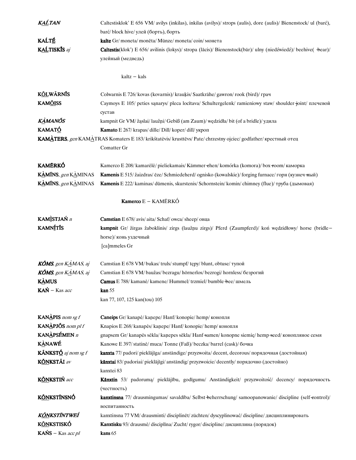| <u>KAĹ</u> TAN                                            | Caltestisklok' E 656 VM/ avilys (inkilas), inkilas (avilys)/ strops (aulis), dore (aulis)/ Bienenstock/ ul (barć), |
|-----------------------------------------------------------|--------------------------------------------------------------------------------------------------------------------|
|                                                           | barć/block hive/ улей (борть), борть                                                                               |
| KAĹTÉ                                                     | kalte Gr/moneta/moneta/Münze/moneta/coin/монета                                                                    |
| KALTISKIS aj                                              | Caltestis(klok') E 656/ avilinis (lokys)/ stropa (lācis)/ Bienenstock(bär)/ ulny (niedźwiedź)/ beehive( +bear)/    |
|                                                           | улейный (медведь)                                                                                                  |
|                                                           |                                                                                                                    |
|                                                           | $kaltz - kals$                                                                                                     |
|                                                           |                                                                                                                    |
| <b>KÕLWÃRNÍS</b>                                          | Colwarnis E 726/ kovas (kovarnis)/ kraukis/ Saatkrähe/ gawron/rook (bird)/ грач                                    |
| <b>KAMÕISS</b>                                            | Caymoys E 105/ peties sanarys/ pleca locītava/ Schultergelenk/ ramieniowy staw/ shoulder joint/ плечевой           |
|                                                           | сустав                                                                                                             |
| <b>KAMANÕS</b>                                            | kampnit Gr VM/ žąslai/ laužņi/ Gebiß (am Zaum)/ wędzidła/ bit (of a bridle)/ удила                                 |
| <b>KAMATÓ</b>                                             | Kamato E 267/ krapas/ dille/ Dill/ koper/ dill/ укроп                                                              |
|                                                           | KAMATERS, gen KAMATRAS Komaters E 183/ krikštatėvis/ krusttēvs/ Pate/ chrzestny ojciec/ godfather/ крестный отец   |
|                                                           | Comatter Gr                                                                                                        |
|                                                           |                                                                                                                    |
| <b>KAMÉRKÓ</b>                                            | Kamerco E 208/ kamarėlė/ pieliekamais/ Kämmer -ehen/ komórka (komora)/ box -room/ каморка                          |
| KAMINS, gen KAMINAS                                       | Kamenis E 515/ žaizdras/ ēze/ Schmiedeherd/ ognisko (kowalskie)/ forging furnace/ горн (кузнеч-ный)                |
| KAMINS, gen KAMINAS                                       | Kamenis E 222/ kaminas/ dūmenis, skurstenis/ Schornstein/ komin/ chimney (flue)/ труба (дымовая)                   |
|                                                           |                                                                                                                    |
|                                                           | Kamerco E - KAMÉRKÓ                                                                                                |
| KAMÌSTJAŃ n                                               | Camstian E 678/ avis/ aita/ Schaf/ owca/ sheep/ овца                                                               |
| <b>KAMNTTIS</b>                                           | kampnit Gr/ žirgas žaboklinis/ zirgs (laužņu zirgs)/ Pferd (Zaumpferd)/ koń wędzidłowy/ horse (bridle-             |
|                                                           | horse)/ конь уздечный                                                                                              |
|                                                           | [ca]mmeles Gr                                                                                                      |
|                                                           |                                                                                                                    |
| <b>KÔMS</b> , gen $K\triangle MAS$ , aj                   | Camstian E 678 VM/ bukas/ truls/ stumpf/ tępy/ blunt, obtuse/ тупой                                                |
| <b>KÔMS</b> , gen $K\overset{\rightharpoonup}{A}$ MAS, aj | Camstian E 678 VM/baužas/bezragu/hörnerlos/bezrogi/hornless/безрогий                                               |
| <b>KAMUS</b>                                              | Camus E 788/ kamanė/ kamene/ Hummel/ trzmiel/ bumble + bee/ шмель                                                  |
| $KAN - Kas$ acc                                           | $\mathrm{kan}~55$                                                                                                  |
|                                                           | kan 77, 107, 125 kan(tou) 105                                                                                      |
| <b>KANAPIS</b> nom sg f                                   | Caneips Gr/ kanapė/ kanepe/ Hanf/ konopie/ hemp/ конопля                                                           |
| KANAPJÕS nom pl f                                         | Knapios E 268/ kanapės/ kanepe/ Hanf/ konopie/ hemp/ конопля                                                       |
| KANÀPSÉMEN n                                              | gnapsem Gr/ kanapės sėkla/ kanepes sēkla/ Hanf-samen/ konopne siemię/ hemp-seed/ конопляное семя                   |
| <b>KANAWÉ</b>                                             | Kanowe E 397/ statinė/ muca/ Tonne (Faß)/ beczka/ barrel (cask)/ бочка                                             |
| KÃNKSTÓ aj nom sg f                                       | kanxta 77/ padori/ pieklājīga/ anständige/ przyzwoita/ decent, decorous/ порядочная (достойная)                    |
| KŐNKSTÁI av                                               | kānxtai 83/ padoriai/ pieklājīgi/ anständig/ przyzwoicie/ decently/ порядочно (достойно)                           |
|                                                           | kanxtei 83                                                                                                         |
| KÖNKSTIŃ acc                                              |                                                                                                                    |
|                                                           | Kānxtin 53/ padoruma/ pieklājību, godīgumu/ Anständigkeit/ przyzwoitość/ decency/ порядочность                     |
| <b>K<u>ÕN</u>KSTĨNSNÓ</b>                                 | (честность)                                                                                                        |
|                                                           | kanxtinsna 77/ drausmingumas/ savaldība/ Selbst-beherrschung/ samoopanowanie/ discipline (self-control)/           |
|                                                           | воспитанность                                                                                                      |
| K <u>ÕN</u> KSTĨNTWEÍ                                     | kanxtinsna 77 VM/drausminti/disciplinet/züchten/dyscyplinować/discipline/дисциплинировать                          |
| <b>KÓNKSTISKÓ</b>                                         | Kanxtisku 93/ drausmė/ disciplīna/ Zucht/rygor/ discipline/ дисциплина (порядок)                                   |
| $KANS - Kas accpl$                                        | kans 65                                                                                                            |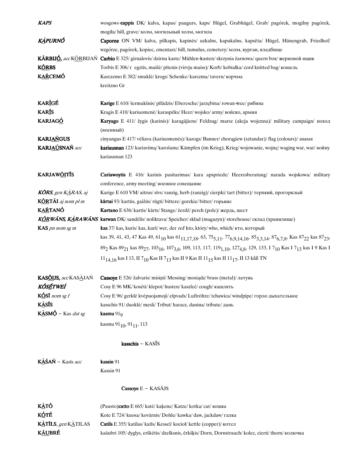| <b>KAPS</b>                                  | wosgows-cappis DK/ kalva, kapas/ paugurs, kaps/ Hügel, Grabhügel, Grab/ pagórek, mogilny pagórek,                                                                                                                    |
|----------------------------------------------|----------------------------------------------------------------------------------------------------------------------------------------------------------------------------------------------------------------------|
|                                              | mogiła/ hill, grave/ холм, могильный холм, могила                                                                                                                                                                    |
| KÀPURNÓ                                      | Caporne ON VM/ kalva, pilkapis, kapinės/ uzkalns, kapukalns, kapsēta/ Hügel, Hünengrab, Friedhof/                                                                                                                    |
|                                              | wzgórze, pagórek, kopiec, cmentarz/hill, tumulus, cemetery/холм, курган, кладбище                                                                                                                                    |
|                                              | <b>KÁRBIJÓ</b> , accKÓRBIJAŃ <b>Carbio</b> E 325/girnalovis/dzirnu kaste/Mühlen kasten/skrzynia żarnowa/quern box/жерновой ящик                                                                                      |
| <b>KÖRBS</b>                                 | Torbis E 306/r egztis, maišė/ pītenis (virvju maiss)/ Korb/ kobiałka/ cord knitted bag/ кошель                                                                                                                       |
| <b>KAŔCEMÓ</b>                               | Karczemo E 382/ smuklė/ krogs/ Schenke/ karczma/ tavern/ корчма                                                                                                                                                      |
|                                              | kreitzno Gr                                                                                                                                                                                                          |
|                                              |                                                                                                                                                                                                                      |
| <b>KARÍGÉ</b>                                | Karige E 610/ šermukšnis/ pīlādzis/ Eberesche/ jarzębina/ rowan +ree/ рябина                                                                                                                                         |
| <b>KARĪS</b>                                 | Kragis E 410/ kariuomenė/ karaspēks/ Heer/ wojsko/ army/ войско, армия                                                                                                                                               |
| <b>KARJAGÓ</b>                               | Karyago E 411/ žygis (karinis)/ karagājiens/ Feldzug/ marsz (akcja wojenna)/ military campaign/ поход                                                                                                                |
|                                              | (военный)                                                                                                                                                                                                            |
| <b>KARJAŃGUS</b>                             | cinyangus E 417/vėliava (kariuomenės)/karogs/Banner/choragiew (sztandar)/flag (colours)/знамя                                                                                                                        |
| KARJAÚSNAŃ acc                               | kariausnan 123/ kariavima/ karošanu/ Kämpfen (im Krieg), Krieg/ wojowanie, wojnę/ waging war, war/ войну                                                                                                             |
|                                              | kariausnan 123                                                                                                                                                                                                       |
|                                              |                                                                                                                                                                                                                      |
| <b>KARJAW<u>ÕI</u>TIS</b>                    | Cariawoytis E 416/ karinis pasitarimas/ kara apspriede/ Heeresberatung/ narada wojskowa/ military                                                                                                                    |
|                                              |                                                                                                                                                                                                                      |
|                                              | conference, army meeting/ военное совещание                                                                                                                                                                          |
| <b>KORS</b> , gen $K\triangle RAS$ , aj      | Karige E 610 VM/aitrus/sīvs/ranzig, herb (ranzig)/cierpki/tart (bitter)/ терпкий, прогорклый                                                                                                                         |
| KÖRTÃI aj nom pl m                           | kārtai 93/ kartūs, gaižūs/ rūgti/ bittere/ gorzkie/ bitter/ горькие                                                                                                                                                  |
| <b>KAŔTANÓ</b>                               | Kartano E 636/ kartis/ kārts/ Stange/ żerdź/ perch (pole)/ жердь, шест                                                                                                                                               |
|                                              | KÓRWÁNS, KÀRAWÁNS karwan DK/sandelis/noliktava/Speicher/skład (magazyn)/storehouse/склад (хранилище)                                                                                                                 |
| KAS pn nom sg m                              | kas 37/ kas, kuris/ kas, kurš/ wer, der rel/ kto, który/ who, which/ кто, который                                                                                                                                    |
|                                              | kas 39, 41, 43, 47 Kas 49, 61 <sub>10</sub> kas 61 <sub>11,17,18</sub> , 63, 75 <sub>5,11</sub> , 77 <sub>6,9,14,16</sub> , 85 <sub>3,3,14</sub> , 87 <sub>6,7,8</sub> , Kas 87 <sub>22</sub> kas 87 <sub>23</sub> , |
|                                              | $89_2$ Kas $89_{21}$ kas $89_{27}$ , $103_{16}$ , $107_{3,6}$ , $109$ , $113$ , $117$ , $119_{1,10}$ , $127_{4,8}$ , $129$ , $133$ , I $7_{10}$ Kas I $7_{13}$ kas I $9$ Kas I                                       |
|                                              | 11 <sub>14.16</sub> kas I 13, II 7 <sub>10</sub> Kas II 7 <sub>13</sub> kas II 9 Kas II 11 <sub>15</sub> kas II 11 <sub>17</sub> , II 13 kåß TN                                                                      |
|                                              |                                                                                                                                                                                                                      |
| <b>KASÕIJS</b> , acc KASÀJAŃ                 | Cassoye E 526/ žalvaris/ misiņš/ Messing/ mosiądz/ brass (metal)/ латунь                                                                                                                                             |
| KÓSÉTWEÍ                                     | Cosy E 96 MK/ kosėti/ klepot/ husten/ kaszleć/ cough/ кашлять                                                                                                                                                        |
| KÓSI nom sg f                                | Cosy E 96/ gerklė kvėpuojamoji/ elpvads/ Luftröhre/ tchawica/ windpipe/ горло дыхательное                                                                                                                            |
| <b>KASIS</b>                                 | kasschis 91/duoklė/mesli/Tribut/haracz, danina/tribute/дань                                                                                                                                                          |
| $K\triangle S M\acute{\varphi}$ – Kas dat sg | kasmu $91Q$                                                                                                                                                                                                          |
|                                              | kasmu 91 $_{10}$ , 91 $_{11}$ , 113                                                                                                                                                                                  |
|                                              |                                                                                                                                                                                                                      |
|                                              | kasschis - KASĪS                                                                                                                                                                                                     |
| KÀŚAŃ – Kasīs acc                            | kassin 91                                                                                                                                                                                                            |
|                                              | Kassin 91                                                                                                                                                                                                            |
|                                              |                                                                                                                                                                                                                      |
|                                              | Cassoye $E - KAS\overline{A}JS$                                                                                                                                                                                      |
|                                              |                                                                                                                                                                                                                      |
| <u>KÀ</u> TỐ                                 | (Pausto)catto E 665/ katė/ kaķene/ Katze/ kotka/ cat/ кошка                                                                                                                                                          |
| <b>KÓTÉ</b>                                  | Kote E 724/kuosa/kovārnis/Dohle/kawka/daw, jackdaw/галка                                                                                                                                                             |
| KATILS, gen KATILAS                          | <b>Catils</b> E 355/ katilas/ katls/ Kessel/ kocioł/ kettle (соррег)/ котел                                                                                                                                          |
| KÃUBRÉ                                       | kaāubri 105/ dyglys, erškėtis/ dzelksnis, ērkšķis/ Dorn, Dornstrauch/ kolec, ciern / thorn / колючка                                                                                                                 |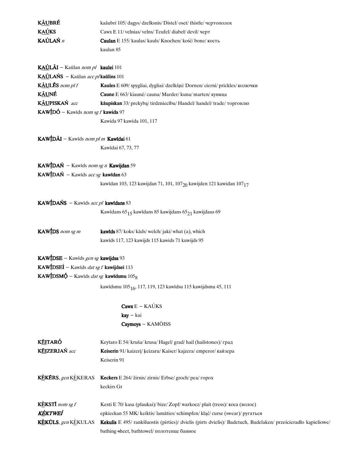| <b>KÃUBRÉ</b>                                           | kaāubri 105/dagys/dzelksnis/Distel/oset/thistle/чертополох                                                    |
|---------------------------------------------------------|---------------------------------------------------------------------------------------------------------------|
| <b>KAÚKS</b>                                            | Cawx E 11/ velnias/ velns/ Teufel/ diabeł/ devil/ черт                                                        |
| <b>KAÚLAŃ</b> $n$                                       | Caulan E 155/ kaulas/ kauls/ Knochen/ kość/ bone/ кость                                                       |
|                                                         | kaulan 85                                                                                                     |
|                                                         |                                                                                                               |
| KAÚLÃI - Kaūlan nom pl kaulei 101                       |                                                                                                               |
| KAÚLAŃS - Kaūlan acc p/kaūlins 101                      |                                                                                                               |
| KÃULĒS nom pl f                                         | Kaules E 609/ spygliai, dygliai/ dzelkšņi/ Dornen/ cierni/ prickles/ колючки                                  |
| K <u>ÃU</u> NÉ                                          | Caune E 663/ kiaunė/ cauna/ Marder/ kuna/ marten/ куница                                                      |
| KÁUPISKAŃ acc                                           | kāupiskan 33/ prekybą/ tirdzniecību/ Handel/ handel/ trade/ торговлю                                          |
| $\text{KAW}$ [DÓ – Kawīds nom sg f kawida 97            |                                                                                                               |
|                                                         | Kawida 97 kawida 101, 117                                                                                     |
| KAWÍDÁI - Kawids nom pl m Kawidai 61                    |                                                                                                               |
|                                                         |                                                                                                               |
|                                                         | Kawidai 67, 73, 77                                                                                            |
| <b>KAWÍDAŃ</b> – Kawids nom sg n <b>Kawijdan</b> 59     |                                                                                                               |
| <b>KAWÍDAŃ</b> – Kawīds acc sg kawīdan 63               |                                                                                                               |
|                                                         | kawidan 103, 123 kawijdan 71, 101, 107 $_{20}$ kawijden 121 kawidan 107 <sub>17</sub>                         |
|                                                         |                                                                                                               |
| <b>KAWÍDAŃS</b> – Kawids $accpl$ <b>kawidans</b> 83     |                                                                                                               |
|                                                         | Kawidans 65 <sub>15</sub> kawidans 85 kawijdans 65 <sub>21</sub> kawijdaus 69                                 |
| <b>KAW</b> IDS nom sg m                                 | <b>kawids</b> 87/ koks/ kāds/ welch/ jaki/ what (a), which                                                    |
|                                                         | kawīds 117, 123 kawijds 115 kawids 71 kuwijds 95                                                              |
|                                                         |                                                                                                               |
| KAW <i>IDSE</i> – Kawids gen sg kawijdsa 93             |                                                                                                               |
| KAW <b>IDSEI</b> – Kawids <i>dat sg f</i> kawijdsei 113 |                                                                                                               |
| KAWÍDSMÓ – Kawids <i>dat sg</i> kawidsmu $1058$         |                                                                                                               |
|                                                         | kawidsmu 105 <sub>16</sub> , 117, 119, 123 kawidsu 115 kawijdsmu 45, 111                                      |
|                                                         | $Caws E - KAÚKS$                                                                                              |
|                                                         | $kay - kai$                                                                                                   |
|                                                         | Caymoys - KAMÕISS                                                                                             |
|                                                         |                                                                                                               |
| KÉITARÓ                                                 | Keytaro E 54/ kruša/ krusa/ Hagel/ grad/ hail (hailstones)/ град                                              |
| <b>KÉIZERJAŃ</b> acc                                    | Keiserin 91/ kaizeri/ keizaru/ Kaiser/ kajzera/ emperor/ кайзера                                              |
|                                                         | Keiserin 91                                                                                                   |
|                                                         |                                                                                                               |
| KEKERS, gen KEKERAS                                     | Keckers E 264/ žirnis/ zirnis/ Erbse/ groch/ pea/ ropox                                                       |
|                                                         | keckirs Gr                                                                                                    |
|                                                         |                                                                                                               |
| <b>KEKSTI</b> nom sg $f$                                | Kexti E 70/ kasa (plaukai)/bize/ Zopf/warkocz/ plait (tress)/ коса (волос)                                    |
| KÈKTWEÍ                                                 | epkieckan 55 MK/ keiktis/ lamāties/ schimpfen/ kląć/ curse (swear)/ ругаться                                  |
| KEKULS, gen KEKULAS                                     | Kekulis E 495/rankšluostis (pirties)/ dvielis (pirts dvielis)/ Badetuch, Badelaken/ prześcieradło kąpieliowe/ |
|                                                         | bathing-sheet, bathtowel/полотенце банное                                                                     |
|                                                         |                                                                                                               |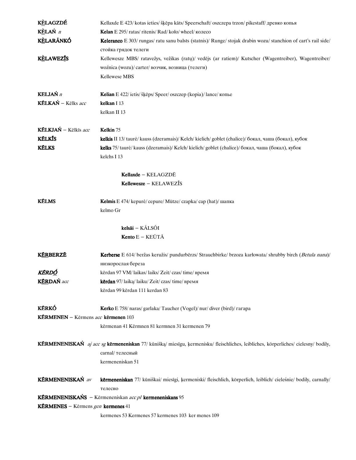| <b>KELAGZDÉ</b>                                    | Kellaxde E 423/ kotas ieties/ šķēpa kāts/ Speerschaft/ oszczepa trzon/ pikestaff/ древко копья                                     |
|----------------------------------------------------|------------------------------------------------------------------------------------------------------------------------------------|
| KÈLAŃ n                                            | <b>Kelan</b> E 295/ratas/ritenis/Rad/koło/wheel/колесо                                                                             |
| <b>KÈLARÃNKÓ</b>                                   | Keleranco E 303/ rungas/ ratu sanu balsts (statnis)/ Runge/ stojak drabin wozu/ stanchion of cart's rail side/                     |
|                                                    | стойка грядок телеги                                                                                                               |
| <b>KELAWEZIS</b>                                   | Kellewesze MBS/ ratavežys, vežikas (ratų)/ vedējs (ar ratiem)/ Kutscher (Wagentreiber), Wagentreiber/                              |
|                                                    | woźnica (wozu)/ carter/ возчик, возница (телеги)                                                                                   |
|                                                    | Kellewese MBS                                                                                                                      |
|                                                    |                                                                                                                                    |
| <b>KELJAŃ</b> n                                    | Kelian E 422/ ietis/ šķēps/ Speer/ oszczep (kopia)/ lance/ копье                                                                   |
| KÉLKAŃ – Kēlks acc                                 | kelkan I 13                                                                                                                        |
|                                                    | kelkan II 13                                                                                                                       |
| KÉLKJAŃ – Kēlkīs acc                               | Kelkin 75                                                                                                                          |
| <b>KÉLKÍS</b>                                      |                                                                                                                                    |
|                                                    | kelkis II 13/ taurė/ kauss (dzeramais)/ Kelch/ kielich/ goblet (chalice)/ бокал, чаша (бокал), кубок                               |
| <b>KÉLKS</b>                                       | kelks 75/ taurė/ kauss (dzeramais)/ Kelch/ kielich/ goblet (chalice)/ бокал, чаша (бокал), кубок                                   |
|                                                    | kelchs I 13                                                                                                                        |
|                                                    | Kellaxde - KELAGZDĒ                                                                                                                |
|                                                    | Kellewesze – KELAWEZIS                                                                                                             |
|                                                    |                                                                                                                                    |
| <b>KÉLMS</b>                                       | Kelmis E 474/ kepurė/ cepure/ Mütze/ czapka/ cap (hat)/ шапка                                                                      |
|                                                    | kelmo Gr                                                                                                                           |
|                                                    |                                                                                                                                    |
|                                                    | kelsāi - KÁLSÕI                                                                                                                    |
|                                                    | <b>Kento</b> $E - KEUTA$                                                                                                           |
| KÉRBERZÉ                                           | Kerberse E 614/ beržas keružis/ pundurbērzs/ Strauchbirke/ brzoza karłowata/ shrubby birch (Betula nana)/                          |
|                                                    | низкорослая береза                                                                                                                 |
| KÉRD <u>Ó</u>                                      | kērdan 97 VM/laikas/laiks/ Zeit/ czas/ time/ время                                                                                 |
| <b>KÉRDAŃ</b> acc                                  | kērdan 97/laiką/laiku/ Zeit/ czas/ time/ время                                                                                     |
|                                                    | kērdan 99 kērdan 111 kerdan 83                                                                                                     |
|                                                    |                                                                                                                                    |
| <b>KÉRKÓ</b>                                       | Kerko E 758/ naras/ garlaka/ Taucher (Vogel)/ nur/ diver (bird)/ rarapa                                                            |
| <b>KÉRMENEN</b> – Kērmens acc k <b>ērmenen</b> 103 |                                                                                                                                    |
|                                                    | kērmenan 41 Kērmnen 81 kermnen 31 kermenen 79                                                                                      |
|                                                    |                                                                                                                                    |
|                                                    | KÉRMENENISKAŃ aj acc sg kērmeneniskan 77/ kūnišką/ miesīgu, ķermenisku/ fleischliches, leibliches, körperliches/ cielesny/ bodily, |
|                                                    | carnal/ телесный                                                                                                                   |
|                                                    | kermeneniskan 51                                                                                                                   |
| KÉRMENENISKAŃ av                                   | kērmeneniskan 77/ kūniškai/ miesīgi, ķermeniski/ fleischlich, körperlich, leiblich/ cieleśnie/ bodily, carnally/                   |
|                                                    | телесно                                                                                                                            |
|                                                    | KÉRMENENISKAŃS – Kērmeneniskan acc pl kermeneniskans 95                                                                            |
| KÉRMENES – Kērmens gen kermenes 41                 |                                                                                                                                    |
|                                                    |                                                                                                                                    |
|                                                    | kermenes 53 Kermenes 57 kermenes 103 ker menes 109                                                                                 |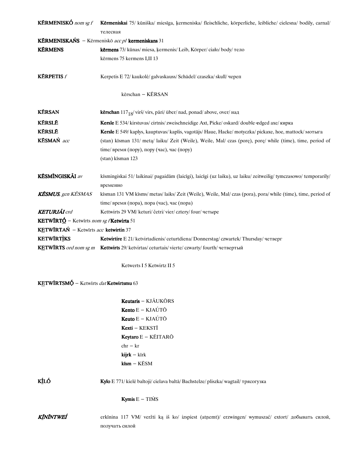| <b>KÉRMENISKÓ</b> nom sg f                             | Kērmeniskai 75/ kūniška/ miesīga, ķermeniska/ fleischliche, körperliche, leibliche/ cielesna/ bodily, carnal/<br>телесная |
|--------------------------------------------------------|---------------------------------------------------------------------------------------------------------------------------|
|                                                        | KÉRMENISKAŃS – Kērmeniskō acc pl kermeniskans 31                                                                          |
| <b>KÉRMENS</b>                                         | kērmens 73/ kūnas/ miesa, ķermenis/ Leib, Körper/ ciało/ body/ тело                                                       |
|                                                        | kērmens 75 kermens I, II 13                                                                                               |
|                                                        |                                                                                                                           |
| <b>KÉRPETIS</b> f                                      | Kerpetis E 72/ kaukolė/ galvaskauss/ Schädel/ czaszka/ skull/ череп                                                       |
|                                                        |                                                                                                                           |
|                                                        | kērschan - KĒRSAN                                                                                                         |
| <b>KÉRSAN</b>                                          | kērschan 117 <sub>18</sub> /virš/virs, pāri/über/nad, ponad/above, over/над                                               |
| <b>KÉRSLE</b>                                          | Kersle E 534/ kirstuvas/ cirtnis/ zweischneidige Axt, Picke/ oskard/ double-edged axe/ кирка                              |
| <b>KÉRSLE</b>                                          | Kersle E 549/ kaplys, kauptuvas/ kaplis, vagotājs/ Haue, Hacke/ motyczka/ pickaxe, hoe, mattock/ мотыга                   |
| KESMAŃ acc                                             | (stan) kīsman 131/ meta/ laiku/ Zeit (Weile), Weile, Mal/ czas (porę), porę/ while (time), time, period of                |
|                                                        | time/время (пору), пору (час), час (пору)                                                                                 |
|                                                        | (stan) kīsman 123                                                                                                         |
|                                                        |                                                                                                                           |
| <b>KĒSMÍNGISKÃI</b> av                                 | kīsmingiskai 51/laikinai/pagaidām (laicīgi), laicīgi (uz laiku), uz laiku/zeitweilig/tymczasowo/temporarily/              |
|                                                        | временно                                                                                                                  |
| <b>KĒSMUS</b> , gen KĒSMAS                             | kīsman 131 VM kīsms/ metas/ laiks/ Zeit (Weile), Weile, Mal/ czas (pora), pora/ while (time), time, period of             |
| <b>KETURJÃI</b> crd                                    | time/время (пора), пора (час), час (пора)                                                                                 |
| <b>KETWIRTÓ</b> – Ketwirts nom sg f <b>Ketwirta</b> 51 | Kettwirts 29 VM/keturi/četri/vier/cztery/four/четыре                                                                      |
| KETWĪRTAŃ - Ketwīrts acc ketwirtin 37                  |                                                                                                                           |
| <b>KETWIRTIKS</b>                                      | Ketwirtire E 21/ ketvirtadienis/ ceturtdiena/ Donnerstag/ czwartek/ Thursday/ четверг                                     |
|                                                        | KETWIRTS ord nom sg m Kettwirts 29/ ketvirtas/ ceturtais/ vierte/ czwarty/ fourth/ четвертый                              |
|                                                        |                                                                                                                           |
|                                                        | Ketwerts I 5 Ketwirtz II 5                                                                                                |
| <b>KETWÍRTSMÓ</b> – Ketwirts dat Ketwirtsmu 63         |                                                                                                                           |
|                                                        | Keutaris - KJÃUKŌRS                                                                                                       |
|                                                        | <b>Kento</b> $E - KJAÚTÖ$                                                                                                 |
|                                                        | <b>Keuto</b> $E - KJAÚTÖ$                                                                                                 |
|                                                        | Kexti - KEKSTĪ                                                                                                            |
|                                                        | Keytaro E - KÉITARŌ                                                                                                       |
|                                                        | $chr - kr$                                                                                                                |
|                                                        | $kijrk - kirk$                                                                                                            |
|                                                        | $kism - KESM$                                                                                                             |
|                                                        |                                                                                                                           |
| <b>KÍLÓ</b>                                            | Kylo E 771/ kielė baltoji/ cielava baltā/ Bachstelze/ pliszka/ wagtail/ трясогузка                                        |
|                                                        | <b>Kymis</b> $E - TIMS$                                                                                                   |
| KĨNĨNTWEÍ                                              | erkīnina 117 VM/ veržti ką iš ko/ izspiest (atņemt)/ erzwingen/ wymuszać/ extort/ добывать силой,<br>получать силой       |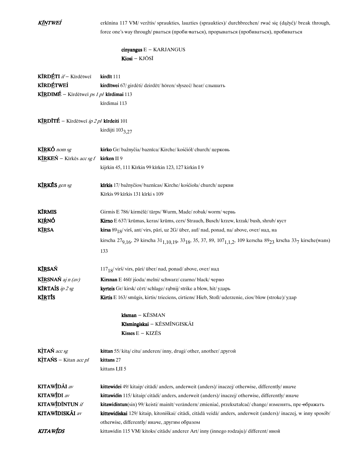| KÍNTWEÍ                                         | erkīnina 117 VM/ veržtis/ spraukties, lauzties (spraukties)/ durchbrechen/ rwać się (dążyć)/ break through,<br>force one's way through/ рваться (проби-ваться), прорываться (пробиваться), пробиваться |
|-------------------------------------------------|--------------------------------------------------------------------------------------------------------------------------------------------------------------------------------------------------------|
|                                                 | $cinyangus E - KARIANGUS$<br>Kiosi - KJŌSĪ                                                                                                                                                             |
|                                                 |                                                                                                                                                                                                        |
| KÍRDÉTI <i>if</i> - Kīrdētweī                   | kirdīt 111                                                                                                                                                                                             |
| <b>KÍRDÉTWEÍ</b>                                | kirdītwei 67/ girdėti/ dzirdēt/ hören/ słyszeć/ hear/ слышать                                                                                                                                          |
| KIRDIMÉ – Kīrdētweī ps 1 pl kīrdimai 113        |                                                                                                                                                                                                        |
|                                                 | kīrdimai 113                                                                                                                                                                                           |
| <b>KÍRDĪTÉ</b> – Kirdētwei ip 2 pl kirdeiti 101 |                                                                                                                                                                                                        |
|                                                 | kirdijti 1033,27                                                                                                                                                                                       |
| KIRKÓ nom sg                                    | kirko Gr/bažnyčia/baznīca/Kirche/kośćiół/church/церковь                                                                                                                                                |
| <b>KÍRKEŃ</b> – Kīrkēs acc sg f                 | kirken II 9                                                                                                                                                                                            |
|                                                 | kijrkin 45, 111 Kīrkin 99 kīrkin 123, 127 kirkin I 9                                                                                                                                                   |
| KIRKĒS gen sg                                   | kīrkis 17/bažnyčios/baznīcas/Kirche/kośćioła/church/церкви                                                                                                                                             |
|                                                 | Kīrkis 99 kīrkis 131 kīrki s 109                                                                                                                                                                       |
| <b>KÍRMIS</b>                                   | Girmis E 786/ kirmėlė/ tārps/ Wurm, Made/ robak/ worm/ червь                                                                                                                                           |
| K <u>IŔ</u> NÓ                                  | Kirno E 637/ krūmas, keras/ krūms, cers/ Strauch, Busch/ krzew, krzak/ bush, shrub/ куст                                                                                                               |
| <b>KIRSA</b>                                    | <b>kirsa</b> $89_{18}$ /virš, ant/virs, pāri, uz 2G/über, auf/nad, ponad, na/above, over/над, на                                                                                                       |
|                                                 | kirscha 27 <sub>9,16</sub> , 29 kirscha 31 <sub>1,10,19</sub> , 33 <sub>18</sub> , 35, 37, 89, 107 <sub>1,1,2</sub> , 109 kerscha 89 <sub>23</sub> krscha 33 <sub>7</sub> kirsche(wans)                |
|                                                 | 133                                                                                                                                                                                                    |
| <b>KÍRSAŃ</b>                                   | $117_{18}/$ virš/virs, pāri/ über/ nad, ponad/ above, over/ над                                                                                                                                        |
| <b>K<u>IR</u>SNAŃ</b> aj n (av)                 | Kirsnan E 460/ jśoda/ melni/ schwarz/ czarno/ black/ черно                                                                                                                                             |
| <b>KÍRTAÍS</b> ip $2$ sg                        | kyrteis Gr/kirsk/cērt/schlage/rabnij/strike a blow, hit/ударь                                                                                                                                          |
| <b>K<u>ÍR</u>TIS</b>                            | Kirtis E 163/smūgis, kirtis/trieciens, cirtiens/Hieb, Stoß/uderzenie, cios/blow (stroke)/yaap                                                                                                          |
|                                                 | kīsman - KĒSMAN                                                                                                                                                                                        |
|                                                 | Kīsmingiskai - KĒSMĨNGISKÃI                                                                                                                                                                            |
|                                                 | Kisses $E - KIZES$                                                                                                                                                                                     |
| KITAŃ acc sg                                    | kittan 55/ kita/ citu/ anderen/ inny, drugi/ other, another/ другой                                                                                                                                    |
| <b>KITAŃS</b> – Kitan <i>acc pl</i>             | kittans 27                                                                                                                                                                                             |
|                                                 | kittans I,II 5                                                                                                                                                                                         |
| KITAWÍDÃI av                                    | kittewidei 49/ kitaip/citādi/ anders, anderweit (anders)/ inaczej/ otherwise, differently/ иначе                                                                                                       |
| <b>KITAWIDI</b> av                              | kittawidin 115/ kitaip/ citādi/ anders, anderweit (anders)/ inaczej/ otherwise, differently/ иначе                                                                                                     |
| KITAWÍDÍNTUN if                                 | kitawidintun(sin) 99/ keisti/ mainīt/ verändern/ zmieniać, przekształcać/ change/ изменять, пре өбражать                                                                                               |
| KITAWĪDISKĀI av                                 | kittewidiskai 129/ kitaip, kitoniškai/ citādi, citādā veidā/ anders, anderweit (anders)/ inaczej, w inny sposób/                                                                                       |
|                                                 | otherwise, differently/ иначе, другим образом                                                                                                                                                          |
| KITAWÍDS                                        | kittawidin 115 VM/ kitoks/ citāds/ anderer Art/ inny (innego rodzaju)/ different/ иной                                                                                                                 |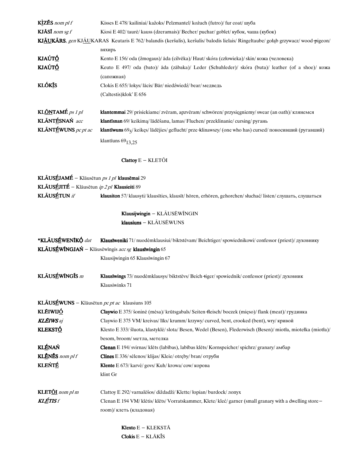| <b>KJÅSI</b> nom sg $f$                       | Kisses E 478/ kailiniai/ kažoks/ Pelzmantel/ kożuch (futro)/ fur coat/ myba                                                       |
|-----------------------------------------------|-----------------------------------------------------------------------------------------------------------------------------------|
|                                               | Kiosi E 402/taurė/kauss (dzeramais)/ Becher/puchar/goblet/кубок, чаша (кубок)                                                     |
|                                               | KJÁUKÁRS, gen KJÁUKARAS Keutaris E 762/ balandis (keršulis), keršulis/ balodis lielais/ Ringeltaube/ gołąb grzywacz/ wood-pigeon/ |
|                                               | вяхирь                                                                                                                            |
| KJAÚTÓ                                        | Kento E 156/oda (žmogaus)/āda (cilvēka)/ Haut/skóra (człowieka)/skin/кожа (человека)                                              |
| KJAÚTÓ                                        | Keuto E 497/ oda (bato)/ āda (zābaka)/ Leder (Schuhleder)/ skóra (buta)/ leather (of a shoe)/ кожа                                |
|                                               | (сапожная)                                                                                                                        |
| <b>KLÓKÍS</b>                                 | Clokis E 655/lokys/lācis/Bär/niedźwiedź/bear/медведь                                                                              |
|                                               | (Caltestis) klok' E 656                                                                                                           |
|                                               |                                                                                                                                   |
| KL <u>ÕN</u> TAMÉ ps 1 pl                     | klantemmai 29/ prisiekiame/ zvēram, apzvēram/ schwören/ przysięgniemy/ swear (an oath)/ клянемся                                  |
| KLÁNTÉSNAŃ acc                                | klantīsnan 69/ keikima/ lādēšanu, lamas/ Fluchen/ przeklinanie/ cursing/ ругань                                                   |
| KLÃNTÉWUNS pc pt ac                           | klantīwuns 695/ keikęs/ lādējies/ geflucht/ prze-klinawszy/ (one who has) cursed/ поносивший (ругавший)                           |
|                                               | klantīuns $69_{13,25}$                                                                                                            |
|                                               | $Clattoy E - KLET\ddot{O}I$                                                                                                       |
| KLÃUSÉJAMÉ – Klāusētun ps 1 pl klausēmai 29   |                                                                                                                                   |
| KLÃUSÉJITÉ - Klāusētun ip 2 pl Klausieiti 89  |                                                                                                                                   |
| KLÃUSÉTUN if                                  | klausiton 57/ klausyti/ klausīties, klausīt/ hören, erhören, gehorchen/ słuchać/ listen/ слушать, слушаться                       |
|                                               |                                                                                                                                   |
|                                               | Klausijwingin - KLAUSĒWĪNGIN                                                                                                      |
|                                               | klausiuns - KLÃUSĒWUNS                                                                                                            |
| *KLÁUSÉWENIKÓ dat                             | Klausīweniki 71/ nuodėmklausiui/ biktstēvam/ Beichtiger/ spowiednikowi/ confessor (priest)/ духовнику                             |
|                                               |                                                                                                                                   |
|                                               |                                                                                                                                   |
|                                               | <b>KLÃUSÉWĨNGJAŃ</b> – Klāusēwīngis acc sg klausīwingin 65                                                                        |
|                                               | Klausijwingin 65 Klausīwingin 67                                                                                                  |
| KLÃUSÉWĪNGĪS m                                | Klausīwings 73/ nuodėmklausys/ biktstēvs/ Beich +iger/ spowiednik/ confessor (priest)/ духовник                                   |
|                                               | Klausiwinks 71                                                                                                                    |
|                                               |                                                                                                                                   |
| KLÃUSÉWUNS – Klāusētun pc pt ac klausiuns 105 |                                                                                                                                   |
| <b>KLÉIWIJÓ</b>                               | Claywio E 375/sonine (mesa)/ krūtsgabals/ Seiten fleisch/boczek (mięso)/ flank (meat)/ грудинка                                   |
| <b>KLÉIWS</b> aj                              | Claywio E 375 VM/ kreivas/ līks/ krumm/ krzywy/ curved, bent, crooked (bent), wry/ кривой                                         |
| <b>KLEKSTÓ</b>                                | Klexto E 333/ šluota, klastyklė/ slota/ Besen, Wedel (Besen), Flederwisch (Besen)/ miotła, miotełka (miotła)/                     |
|                                               | besom, broom/метла, метелка                                                                                                       |
| <b>KLÉNAŃ</b>                                 | Clenan E 194/svirnas/klēts (labības), labības klēts/Kornspeicher/spichrz/granary/amosap                                           |
| KLĒNĒS nom pl f                               | Clines E 336/ sėlenos/ klijas/ Kleie/ otręby/ bran/ отруби                                                                        |
| <b>KLEŃTÉ</b>                                 | Klente E 673/ karvė/ govs/ Kuh/ krowa/ cow/ корова                                                                                |
|                                               | klint Gr                                                                                                                          |
| <b>KLET<u>ÕI</u></b> nom pl m                 | Clattoy E 292/ varnalėšos/ diždadži/ Klette/ łopian/ burdock/ лопух                                                               |
| <b>KLÉTIS</b> f                               | Clenan E 194 VM/ klėtis/ klėts/ Vorratskammer, Klete/ kleć/ garner (small granary with a dwelling store -                         |
|                                               | room)/ клеть (кладовая)                                                                                                           |
|                                               | <b>Klexto</b> $E - KLEKST\overline{A}$                                                                                            |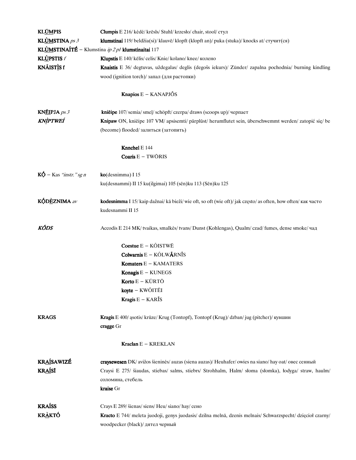| <b>KLÚMPIS</b>                            | Clumpis E 216/ kėdė/ krēsls/ Stuhl/ krzesło/ chair, stool/ стул                                               |
|-------------------------------------------|---------------------------------------------------------------------------------------------------------------|
| <b>KLÙMSTINA</b> $ps3$                    | klumstinai 119/beldžia(si)/klauvē/klopft (klopft an)/puka (stuka)/knocks at/ стучит(ся)                       |
|                                           | KLÙMSTINAÍTÉ - Klumstina ip 2 pl klumstinaitai 117                                                            |
| <b>KLÙPSTIS</b> $f$                       | Klupstis E 140/ kẽlis/ celis/ Knie/ kolano/ knee/ колено                                                      |
| KNÃISTÌS f                                | Knaistis E 36/ degtuvas, uždegalas/ deglis (degošs iekurs)/ Zünder/ zapalna pochodnia/ burning kindling       |
|                                           | wood (ignition torch)/ запал (для растопки)                                                                   |
|                                           |                                                                                                               |
|                                           | <b>Knapios</b> $E - KANAPJ\ddot{\theta}S$                                                                     |
| <b>KNÉIPJA</b> $ps 3$                     | knieipe 107/semia/smel/schöpft/czerpa/draws (scoops up)/черпает                                               |
| KNÌPTWEÍ                                  | Knipaw ON, knieipe 107 VM/ apsisemti/ pārplūst/ herumflutet sein, überschwemmt werden/ zatopić się/ be        |
|                                           | (become) flooded/залиться (затопить)                                                                          |
|                                           | Knnchel E 144                                                                                                 |
|                                           | Coaris E - TWŌRIS                                                                                             |
| $K\acute{\mathrm{Q}}$ – Kas "instr." sg n | ko(desnimma) I 15                                                                                             |
|                                           | ku(desnammi) II 15 ku(ilgimai) 105 (sēn)ku 113 (Sēn)ku 125                                                    |
| <b>KÓDÈZNIMA</b> av                       | kodesnimma I 15/ kaip dažnai/ kā bieži/ wie oft, so oft (wie oft)/ jak często/ as often, how often/ как часто |
|                                           | kudesnammi II 15                                                                                              |
| KÕDS                                      | Accodis E 214 MK/ tvaikas, smalkes/ tvans/ Dunst (Kohlengas), Qualm/ czad/ fumes, dense smoke/ чад            |
|                                           | Coestue $E - K\tilde{O}$ ISTWĒ                                                                                |
|                                           | Colwarnis $E - K\tilde{O}LW\tilde{A}RN\tilde{I}S$                                                             |
|                                           | <b>Komaters <math>E - KAMATERS</math></b>                                                                     |
|                                           | Konagis $E - KUNEGS$                                                                                          |
|                                           | Korto E - KŪRTŌ                                                                                               |
|                                           | koyte – KWŐITÉI                                                                                               |
|                                           | Kragis $E - KAR\$ IS                                                                                          |
| <b>KRAGS</b>                              | Kragis E 400/ ąsotis/ krūze/ Krug (Tontopf), Tontopf (Krug)/ dzban/jug (pitcher)/ кувшин                      |
|                                           | cragge Gr                                                                                                     |
|                                           | <b>Kraclan</b> $E - KREKLAN$                                                                                  |
| <b>KRAÍSAWIZÉ</b>                         | craysewesen DK/avižos šieninės/ auzas (siena auzas)/ Heuhafer/owies na siano/ hay oat/ овес сенный            |
| <b>KRAÍSĪ</b>                             | Craysi E 275/ šiaudas, stiebas/ salms, stiebrs/ Strohhalm, Halm/ słoma (słomka), łodyga/ straw, haulm/        |
|                                           | соломина, стебель                                                                                             |
|                                           | kraise Gr                                                                                                     |
| <b>KRAÍSS</b>                             | Crays E 289/ šienas/ siens/ Heu/ siano/ hay/ сено                                                             |
| <u>KRÀKTÓ</u>                             | Kracto E 744/ meleta juodoji, genys juodasis/ dzilna melnā, dzenis melnais/ Schwarzspecht/ dzięcioł czarny/   |
|                                           | woodpecker (black)/ дятел черный                                                                              |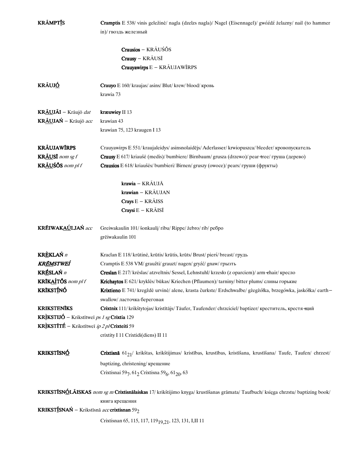| <b>KRÁMPTÍS</b>                                                | Cramptis E 538/ vinis geležinė/ nagla (dzelzs nagla)/ Nagel (Eisennagel)/ gwóźdź żelazny/ nail (to hammer                         |
|----------------------------------------------------------------|-----------------------------------------------------------------------------------------------------------------------------------|
|                                                                | in)/ гвоздь железный                                                                                                              |
|                                                                |                                                                                                                                   |
|                                                                | Crausios - KRÃUŚŌS                                                                                                                |
|                                                                | Crausy - KRÃUSĪ                                                                                                                   |
|                                                                | Crauyawirps E - KRÃUJAWĨRPS                                                                                                       |
| <b>KRÃUJÓ</b>                                                  | <b>Crauyo</b> E 160/ kraujas/ asins/ Blut/ krew/ blood/ кровь                                                                     |
|                                                                | krawia 73                                                                                                                         |
| KRÁUJÁI – Krāujō dat                                           | kræuwiey II 13                                                                                                                    |
| KRÁUJAŃ – Krāujō acc                                           | krawian 43                                                                                                                        |
|                                                                | krawian 75, 123 kraugen I 13                                                                                                      |
| <b>KRÃUJAWÍRPS</b>                                             | Crauyawirps E 551/ kraujaleidys/ asinsnolaidējs/ Aderlasser/ krwiopuszca/ bleeder/ кровопускатель                                 |
| KRÂUSĪ nom sg f                                                | Crausy E 617/ kriaušė (medis)/ bumbiere/ Birnbaum/ grusza (drzewo)/ pear +ree/ rpyma (дерево)                                     |
| KRÁUŚŐS nom pl f                                               | Crausios E 618/ kriaušės/ bumbieri/ Birnen/ gruszy (owoce)/ реагs/ груши (фрукты)                                                 |
|                                                                | krawia - KRÁUJĀ                                                                                                                   |
|                                                                | krawian - KRÃUJAN                                                                                                                 |
|                                                                | <b>Crays</b> $E - KR\tilde{A}ISS$                                                                                                 |
|                                                                | Craysi E - KRÃISĪ                                                                                                                 |
| KRÉIWAKAÚLJAŃ acc                                              | Greiwakaulin 101/ šonkaulį/ ribu/ Rippe/ żebro/ rib/ ребро                                                                        |
|                                                                | grēiwakaulin 101                                                                                                                  |
| KRÈKLAŃ n                                                      | Kraclan E 118/ krūtinė, krūtis/ krūtis, krūts/ Brust/ pierś/ breast/ грудь                                                        |
| KR <u>ém</u> stweí                                             | Cramptis E 538 VM/ graužti/ grauzt/ nagen/ gryźć/ gnaw/ грызть                                                                    |
| <b>KRÉSLAŃ</b> n                                               | Creslan E 217/ krėslas/ atzveltnis/ Sessel, Lehnstuhl/ krzesło (z oparciem)/ arm ehair/ кресло                                    |
| KRĪKAÍTÕS nom pl f                                             | Krichaytos E 621/ kryklės/ būkas/ Kriechen (Pflaumen)/ tarniny/ bitter plums/ сливы горькие                                       |
| <b>KRĪKSTÍNÓ</b>                                               | Krixtieno E 741/ kregždė urvinė/ alene, krasta čurkste/ Erdschwalbe/ gżegżółka, brzegówka, jaskółka/ earth-                       |
|                                                                | swallow/ ласточка береговая                                                                                                       |
| <b>KRIKSTENĪKS</b>                                             | Crixtnix 111/ krikštytojas/ kristītājs/ Täufer, Taufender/ chrzciciel/ baptizer/ креститель, крестя ний                           |
| KRÌKSTIJÓ - Krikstītweī ps 1 sg Crixtia 129                    |                                                                                                                                   |
| KRIKSTĪTÉ - Krikstītweī ip 2 p/Crixteiti 59                    |                                                                                                                                   |
|                                                                | crixtity I 11 Crixtidi(diens) II 11                                                                                               |
| <b>KRIKSTISNÓ</b>                                              | Crixtisnā 61 <sub>21</sub> / krikštas, krikštijimas/ kristības, krustības, kristīšana, krustīšana/ Taufe, Taufen/ chrzest/        |
|                                                                | baptizing, christening/крещение                                                                                                   |
|                                                                | Crixtisnai 597, 612 Crixtisna 59 <sub>6</sub> , 61 <sub>20</sub> , 63                                                             |
|                                                                | KRIKSTĪSNÓLĀISKAS nom sg m Crixtisnālaiskas 17/ krikštijimo knyga/ krustīšanas grāmata/ Taufbuch/ księga chrzstu/ baptizing book/ |
|                                                                | книга крещения                                                                                                                    |
| <b>KRIKSTÍSNAŃ</b> – Krikstīsnā acc crixtisnan 59 <sub>2</sub> |                                                                                                                                   |
|                                                                | Crixtisnan 65, 115, 117, 119 <sub>19.21</sub> , 123, 131, I,II 11                                                                 |
|                                                                |                                                                                                                                   |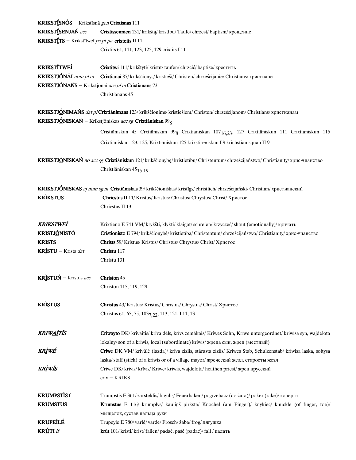| KRIKSTÍSNÓS – Krikstīsnā gen Crixtisnas 111       |                                                                                                                                  |  |
|---------------------------------------------------|----------------------------------------------------------------------------------------------------------------------------------|--|
| KRIKSTÍSENJAŃ acc                                 | Crixtissennien 131/krikštą/kristību/Taufe/chrzest/baptism/крещение                                                               |  |
| KRIKSTÍTS - Krikstītweī pc pt pa crixteits II 11  |                                                                                                                                  |  |
|                                                   | Crixtits 61, 111, 123, 125, 129 crixtits I 11                                                                                    |  |
| KRIKSTÍTWEÍ                                       | Crixtitwi 111/ krikštyti/ kristīt/ taufen/ chrzcić/ baptize/ крестить                                                            |  |
| KRIKSTJÓNÁI nom pl m                              | Crixtianai 87/ krikščionys/ kristieši/ Christen/ chrześcijanie/ Christians/ христиане                                            |  |
|                                                   | KRIKSTJÓNAŃS – Krikstjönäi acc pl m Crixtiānans 73                                                                               |  |
|                                                   | Christiānans 45                                                                                                                  |  |
|                                                   | KRIKSTJÓNIMAŃS dat plCrixtiānimans 123/krikščionims/kristiešiem/Christen/chrześcijanom/Christians/христианам                     |  |
|                                                   | <b>KRIKSTJÓNISKAŃ</b> – Krikstjöniskas acc sg Crixtiāniskan 99 <sub>8</sub>                                                      |  |
|                                                   | Cristiāniskan 45 Crxtiāniskan 99 <sub>8</sub> Crixtianiskan 107 <sub>16,23</sub> , 127 Crixtiāniskun 111 Crixtianiskun 115       |  |
|                                                   | Crixtiāniskan 123, 125, Krixtiāniskan 125 krixstia-niskun I 9 krichstianisquan II 9                                              |  |
|                                                   | KRIKSTJÓNISKAŃ no acc sg Crixtiāniskun 121/ krikščionybę/ kristietību/ Christentum/ chrześcijaństwo/ Christianity/ хрис-тианство |  |
|                                                   | Christiāniskan 45 <sub>15.19</sub>                                                                                               |  |
|                                                   | KRIKSTJÓNISKAS aj nom sg m Cristiāniskas 39/ krikščioniškas/ kristīgs/ christlich/ chrześcijański/ Christian/ христианский       |  |
| <b>KRIKSTUS</b>                                   | Chricstus II 11/ Kristus/ Kristus/ Christus/ Chrystus/ Christ/ Христос                                                           |  |
|                                                   | Chricstus II 13                                                                                                                  |  |
| KRĪKSTWEÍ                                         | Krixtieno E 741 VM/ krykšti, klykti/ klaigāt/ schreien/ krzyczeć/ shout (emotionally)/ кричать                                   |  |
| KRISTJÓNISTÓ                                      | Cristionisto E 794/ krikščionybė/ kristietība/ Christentum/ chrześcijaństwo/ Christianity/ хрис-тианство                         |  |
| <b>KRISTS</b>                                     | Christs 59/ Kristus/ Kristus/ Christus/ Chrystus/ Christ/ Христос                                                                |  |
| KRISTU – Krists dat                               | Christu 117                                                                                                                      |  |
|                                                   | Christu 131                                                                                                                      |  |
| <b>KRISTUŃ</b> – Kristus $acc$ <b>Christon</b> 45 |                                                                                                                                  |  |
|                                                   | Christon 115, 119, 129                                                                                                           |  |
| <b>KRISTUS</b>                                    | Christus 43/ Kristus/ Kristus/ Christus/ Chrystus/ Christ/ Христос                                                               |  |
|                                                   | Christus 61, 65, 75, 103 <sub>7,22</sub> , 113, 121, I 11, 13                                                                    |  |
| KRIW <u>AÍ</u> TÍS                                | Criwayto DK/ krivaitis/ krīva dēls, krīvs zemākais/ Kriwes Sohn, Kriwe untergeordnet/ kriwisa syn, wajdelota                     |  |
|                                                   | lokalny/son of a kriwis, local (subordinate) kriwis/ жреца сын, жрец (местный)                                                   |  |
| <u>KRÌWÉ</u>                                      | Criwe DK VM/ krivūlė (lazda)/ krīva zizlis, stārasta zizlis/ Kriwes Stab, Schulzenstab/ kriwisa laska, sołtysa                   |  |
|                                                   | laska/staff (stick) of a kriwis or of a village mayor/ жреческий жезл, старосты жезл                                             |  |
| KRÌWÍS                                            | Criwe DK/ krivis/ krīvis/ Kriwe/ kriwis, wajdelota/ heathen priest/ жрец прусский                                                |  |
|                                                   | crix - KRIKS                                                                                                                     |  |
| KRŨMPST <u>Ì</u> S f                              | Trumpstis E 361/ žarsteklis/ bigulis/ Feuerhaken/ pogrzebacz (do żara)/ poker (rake)/ kovepra                                    |  |
| <b>KRÚMSTUS</b>                                   | Krumstus E 116/ krumplys/ kaulinš pirksta/ Knöchel (am Finger)/ knykieć/ knuckle (of finger, toe)/                               |  |
|                                                   | мыщелок, сустав пальца руки                                                                                                      |  |
| KRUP <u>EÍ</u> LÉ                                 | Trupeyle E 780/ varlė/ varde/ Frosch/ żaba/ frog/ лягушка                                                                        |  |
| KRÚTI íf                                          | krūt 101/ kristi/ krist/ fallen/ padać, paść (padać)/ fall / падать                                                              |  |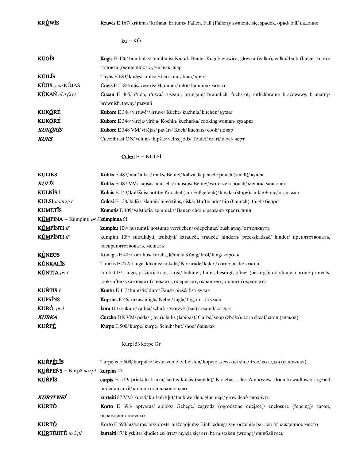KRÚWÍS Kruwis E 167/kritimas/krišana, kritums/Fallen, Fall (Fallen)/zwalenie się, spadek, opad/fall/падение  $ku - K\bar{O}$ KŪGĪS Kugis E 426/ bumbulas/ bumbulis/ Knauf, Beule, Kugel/ głowica, główka (gałka), gałka/ bulb (bulge, knob)/ головка(оконечность),желвак,шар **KŪILĪS** Tuylis E 683/kuilys/kuilis/Eber/knur/boar/хряк KÚJIS, gen KÚJAS Cugis E 518/kūjis/ veseris/ Hammer/młot/hammer/ молот KÙKAŃ aj n (av) Cucan E 465/ r'uda, r'usva/ rūsgani, brūngani/ bräunlich, fuchsrot, rötlichbraun/ brązowawy, brunatny/ brownish, tawny/ рыжий KUKORĖ<br>Kukore E 348/virtuvė/virtuve/Küche/kuchnia/kitchen/кухня **KUKÕRÉ** Kukore E 348/virėja/virēja/Köchin/kucharka/cooking woman/ кухарка **KUKORIS** Kukore E 348 VM/virėjas/pavārs/Koch/kucharz/cook/повар KUKS CucenbrastON/velnias,kipšas/velns,jods/Teufel/czart/devil/черт CulcziE-KULSĪ KULIKS Kuliks E 487/maišiukas/maks/Beutel/kabza, kapciuch/pouch (small)/ кулек **KULIS** Kuliks E 487 VM/kapšas, maišelis/maisiņš/Beutel/woreczek/pouch/мешок, мешочек KŪLNÌS f Kulnis E 143/kulkšnis/potīte/Knöchel (am Fußgelenk)/kostka (stopy)/ ankle-bone/лодыжка **KULSĪ** nom sg f **Culczi** E 138/kulšis, šlaunis/augšstilbs, ciska/Hüfte/udo/hip (haunch), thigh/бедро KUMETIS Kumetis E 409/valstietis/zemnieks/Bauer/chłop/peasant/крестьянин KŪMPINA - Kūmpīnti  $ps\beta$  kūmpinna 51 KŨMPĨNTI *if* kumpint 109/nustumti/nostumt/verrücken/odepchnąć/ push away/ оттолкнуть KŨMPĨNTI if kumpint 109/ sutrukdyti, trukdyti/ iztraucēt, traucēt/ hindern/ przeszkadzać/ hinder/ препятствовать, воспрепятствовать, мешать KÙNEGS Konagis E 405/karalius/karalis, ķēniņš/König/król/king/король KŪNKALĪS Tunclis E 272/ raugė, kūkalis/ kokalis/ Kornrade/ kakol/ corn-eockle/ куколь **KŪNTJA** ps 3 kūnti 103/saugo, prižiūri/ kopj, sargā/ behütet, hütet, besorgt, pflegt (besorgt)/ dopilnuje, chroni/ protects, looks after/ухаживает (опекает), оберегает, охраня-ет, хранит (охраняет) **KUŃTIS**  $f$  **Kuntis** E 113/kumštis/dūre/Faust/pięść/fist/кулак **KUPSINS** Kupsins E 46/rūkas/migla/Nebel/mgła/fog, mist/туман **KŪRÓ** *pt 3* kūra 101/sukūrė/radīja/schuf/stworzył/(has) created/создал **KURKĀ** Curcho DK VM/pėdas (javų)/kūlis (labības)/Garbe/s nop(zboża)/cornsheaf/сноп(злаков) KUŔPÉ Kurpe E 500/kurpė/kurpe/Schuh/but/shoe/башмак Kurpi53korpeGr **KUŔPÈLĪS** Turpelis E 509/ kurpalis/ lieste, veidole/ Leisten/ kopyto szewskie/ shoe-tree/ колодка (сапожная) KUŔPEŃS – Kurpē  $accpl$  kurpins 41 KUŔPĪS curpis E 519/ priekalo trinka/ laktas klucis (smēdē)/ Klotzbasis des Ambosses/ kłoda kowadłowa/ log-bed under an anvil/колода под наковальню KŨRSTWEÍ kurteiti 87 VM/kursti/kurlam kļūt/taubwerden/głuchnąć/growdeaf/глохнуть KŪRTÓ Korto E 698/ aptvaras/ aploks/ Gehege/ zagroda (ogrodzone miejsce)/ enclosure (fencing)/ загон, огражденное место KŪRTÓ Korto E 698/užtvaras/aizsprosts, aizžogojums/Einfriedung/zagrodzenie/barrier/огражденное место

**KÜRTĒJITÉ** ip 2 pl kurteiti 87/klyskite/kļūdieties/irret/mylcie się/err, be mistaken (wrong)/ошибайтесь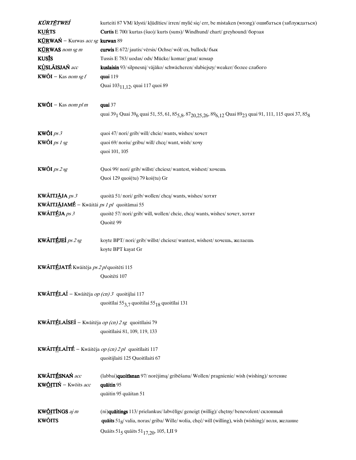| KŨRTĒTWEÍ                                                    | kurteiti 87 VM/ klysti/ kļūdīties/ irren/ mylić się/ err, be mistaken (wrong)/ ошибаться (заблуждаться)                                                                                         |
|--------------------------------------------------------------|-------------------------------------------------------------------------------------------------------------------------------------------------------------------------------------------------|
| <b>KUŔTS</b>                                                 | Curtis E 700/ kurtas (šuo)/ kurts (suns)/ Windhund/ chart/ greyhound/ борзая                                                                                                                    |
| KÚRWAŃ – Kurwas acc sg kurwan 89                             |                                                                                                                                                                                                 |
| KURWAS nom sg m                                              | <b>curwis</b> E 672/ jautis/ vērsis/ Ochse/ wół/ ox, bullock/ бык                                                                                                                               |
| <b>KUS</b> IS                                                | Tussis E 783/ uodas/ ods/ Mücke/ komar/ gnat/ комар                                                                                                                                             |
| KÙSLÃISJAŃ acc                                               | kuslaisin 93/silpnesnį/ vājāko/ schwächeren/słabiejszy/ weaker/ более слабого                                                                                                                   |
| $KW\tilde{O}I -$ Kas nom sg f                                | quai 119                                                                                                                                                                                        |
|                                                              | Quai 103 <sub>11,12</sub> , quai 117 quoi 89                                                                                                                                                    |
|                                                              |                                                                                                                                                                                                 |
| $KW\tilde{O}I -$ Kas nom pl m                                | quai 37                                                                                                                                                                                         |
|                                                              | quai 39 <sub>1</sub> Quai 39 <sub>6</sub> quai 51, 55, 61, 85 <sub>5, 8</sub> , 87 <sub>20, 25, 26</sub> , 89 <sub>6, 12</sub> Quai 89 <sub>23</sub> quai 91, 111, 115 quoi 37, 85 <sub>8</sub> |
| <b>KWŐI</b> $ps 3$                                           | quoi 47/ nori/ grib/ will/ chcie/ wants, wishes/ хочет                                                                                                                                          |
| <b>KWŐI</b> ps $1$ sg                                        | quoi 69/ noriu/ gribu/ will/ chce/ want, wish/ xouy                                                                                                                                             |
|                                                              | quoi 101, 105                                                                                                                                                                                   |
|                                                              |                                                                                                                                                                                                 |
| <b>KWÖI</b> ps $2$ sg                                        | Quoi 99/ nori/ grib/ willst/ chciesz/ wantest, wishest/ хочешь                                                                                                                                  |
|                                                              | Quoi 129 quoi(tu) 79 koi(tu) Gr                                                                                                                                                                 |
|                                                              |                                                                                                                                                                                                 |
| KWÃITJĀJA ps 3                                               | quoitā 51/nori/grib/wollen/chca/wants, wishes/хотят                                                                                                                                             |
| <b>KWÃITJĀJAMÉ</b> - Kwāitāi <i>ps 1 pl</i> quoitāmai 55     |                                                                                                                                                                                                 |
| KWÃITÉJA $ps 3$                                              | quoitē 57/ nori/ grib/ will, wollen/ chcie, chca/ wants, wishes/ хочет, хотят                                                                                                                   |
|                                                              | Quoitē 99                                                                                                                                                                                       |
| KWÃITÉJEÍ $ps2sg$                                            | koyte BPT/ nori/ grib/ willst/ chciesz/ wantest, wishest/ хочешь, желаешь                                                                                                                       |
|                                                              | koyte BPT kayat Gr                                                                                                                                                                              |
|                                                              |                                                                                                                                                                                                 |
| KWĀITÉJATÉ Kwāitēja ps 2 pl quoitēti 115                     |                                                                                                                                                                                                 |
|                                                              | Quoitēti 107                                                                                                                                                                                    |
|                                                              |                                                                                                                                                                                                 |
| <b>KWÃITÉLAÍ</b> – Kwāitēja op (cn) 3 quoitijlai 117         |                                                                                                                                                                                                 |
|                                                              | quoitīlai 553,7 quoitilai 5518 quoitīlai 131                                                                                                                                                    |
| <b>KWÃITÉLAÍSEÍ</b> – Kwāitēja op (cn) $2$ sg quoitīlaisi 79 |                                                                                                                                                                                                 |
|                                                              |                                                                                                                                                                                                 |
|                                                              | quoitīlaisi 81, 109, 119, 133                                                                                                                                                                   |
| <b>KWÃITÉLAÍTÉ</b> – Kwāitēja op (cn) 2 pl quoitīlaiti 117   |                                                                                                                                                                                                 |
|                                                              | quoitijlaiti 125 Quoitīlaiti 67                                                                                                                                                                 |
|                                                              |                                                                                                                                                                                                 |
| KWÃITÉSNAŃ acc                                               | (labbai)quoitīsnan 97/ norėjimą/ gribēšanu/ Wollen/ pragnienie/ wish (wishing)/ хотение                                                                                                         |
| KWŐITIŃ – Kwōits acc                                         | quāitin 95                                                                                                                                                                                      |
|                                                              | quāitin 95 quāitan 51                                                                                                                                                                           |
|                                                              |                                                                                                                                                                                                 |
| <b>KW<u>ÕI</u>TÍNGS</b> aj m                                 | (ni) <b>quāitings</b> 113/ prielankus/ labvēlīgs/ geneigt (willig)/ chętny/ benevolent/ склонный                                                                                                |
| <b>KWŐITS</b>                                                | quaits 51g/valia, noras/griba/ Wille/wolia, chęć/will (willing), wish (wishing)/ воля, желание                                                                                                  |
|                                                              | Quāits 51 <sub>5</sub> quāits 51 <sub>17,20</sub> , 105, I,II 9                                                                                                                                 |
|                                                              |                                                                                                                                                                                                 |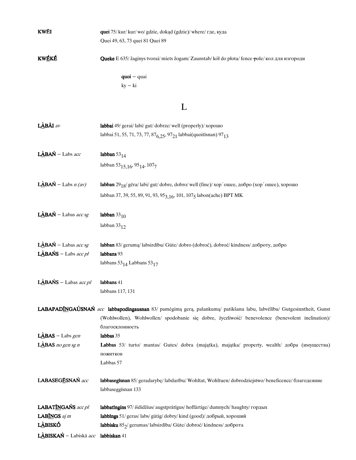| KWÉI                                | quei 75/ kur/ kur/ wo/ gdzie, dokąd (gdzie)/ where/ где, куда                                                         |
|-------------------------------------|-----------------------------------------------------------------------------------------------------------------------|
|                                     | Quei 49, 63, 73 quei 81 Quei 89                                                                                       |
| <b>KWÉKÉ</b>                        | <b>Queke</b> E 635/ žaginys tvorai/ miets žogam/ Zaunstab/ kół do płota/ fence pole/ кол для изгороди                 |
|                                     | $quoi - quai$                                                                                                         |
|                                     | $ky - ki$                                                                                                             |
|                                     | L                                                                                                                     |
| LÀBÃI av                            | labbai 49/ gerai/labi/gut/dobrze/well (properly)/ хорошо                                                              |
|                                     | labbai 51, 55, 71, 73, 77, 87 <sub>6, 25</sub> , 97 <sub>21</sub> labbai(quoitisnan) 97 <sub>13</sub>                 |
| $L\angle ABAN$ - Labs acc           | labban $53_{14}$                                                                                                      |
|                                     | labban 53 <sub>15,16</sub> , 95 <sub>14</sub> , 107 <sub>7</sub>                                                      |
| <b>LÀBAŃ</b> – Labs $n (av)$        | labban $29_{18}$ / géra/labi/ gut/dobre, dobro/well (fine)/xop/omee, добро (хор/отее), хорошо                         |
|                                     | labban 37, 39, 55, 89, 91, 93, 95 <sub>3,16</sub> , 101, 107 <sub>5</sub> labon(ache) BPT MK                          |
| LABAŃ – Labas acc sg                | labban $33_{10}$                                                                                                      |
|                                     | labban $33_{12}$                                                                                                      |
| LABAŃ – Labas $accsg$               | labban 83/ geruma/ labsirdību/ Güte/ dobro (dobroć), dobroć/ kindness/ доброту, добро                                 |
| <b>LABAŃS</b> – Labs $accpl$        | labbans 93                                                                                                            |
|                                     | labbans $53_{14}$ Labbans $53_{17}$                                                                                   |
| <b>LÀBAŃS</b> – Labas <i>acc pl</i> | labbans 41                                                                                                            |
|                                     | labbans 117, 131                                                                                                      |
|                                     | LABAPADĪNGAÚSNAŃ acc labbapodingausnan 83/ pamėgimą gerą, palankumą/ patikšanu labu, labvēlību/ Gutgesinntheit, Gunst |
|                                     | (Wohlwollen), Wohlwollen/ spodobanie się dobre, życzliwość/ benevolence (benevolent inclination)/<br>благосклонность  |
| <b>LABAS</b> – Labs gen             | labbas 35                                                                                                             |
| $L\angle$ BAS no gen sg n           | Labbas 53/ turto/ mantas/ Gutes/ dobra (majątka), majątka/ property, wealth/ добра (имущества)                        |
|                                     | пожитков                                                                                                              |
|                                     | Labbas 57                                                                                                             |
| LABASEGĒSNAŃ acc                    | labbasegisnan 85/geradarybę/labdarību/ Wohltat, Wohltuen/dobrodziejstwo/beneficence/благодеяние                       |
|                                     | labbaseggisnan 133                                                                                                    |
| LABATINGANS acc pl                  | labbatīngins 97/ išdidžius/ augstprātīgus/ hoffärtige/ dumnych/ haughty/ гордых                                       |
| LABINGS aj m                        | labbings 51/ geras/ labs/ gütig/ dobry/ kind (good)/ добрый, хороший                                                  |
| L <u>À</u> BISKÓ                    | labbisku 85 <sub>2</sub> /gerumas/labsirdība/Güte/dobroć/kindness/доброта                                             |
| LÀBISKAŃ - Labiskā acc              | labbiskan 41                                                                                                          |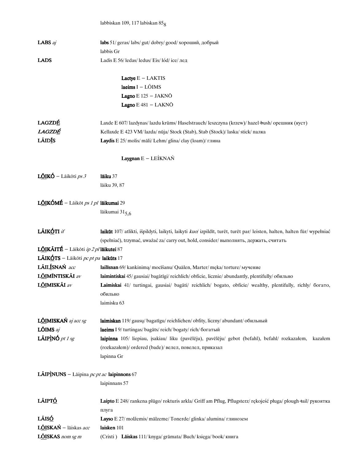|                                                          | labbiskan 109, 117 labiskan $858$                                                                                        |
|----------------------------------------------------------|--------------------------------------------------------------------------------------------------------------------------|
|                                                          |                                                                                                                          |
| LABS aj                                                  | labs 51/ geras/ labs/ gut/ dobry/ good/ хороший, добрый                                                                  |
|                                                          | labbis Gr                                                                                                                |
| <b>LADS</b>                                              | Ladis E 56/ ledas/ ledus/ Eis/ lód/ ice/ лед                                                                             |
|                                                          |                                                                                                                          |
|                                                          | Lactye $E - LAKTIS$                                                                                                      |
|                                                          | laeims $I - L\tilde{O}IMS$                                                                                               |
|                                                          | Lagno $E$ 125 - JAKNO                                                                                                    |
|                                                          | Lagno E 481 - LAKNŌ                                                                                                      |
| <b>LAGZDÉ</b>                                            | Laxde E 607/lazdynas/lazdu krūms/ Haselstrauch/leszczyna (krzew)/hazel-bush/орешник (куст)                               |
| LAGZDÉ                                                   | Kellaxde E 423 VM/lazda/ nūja/ Stock (Stab), Stab (Stock)/laska/ stick/ палка                                            |
| LÃIDĪS                                                   | Laydis E 25/ molis/ māli/ Lehm/ glina/ clay (loam)/ глина                                                                |
|                                                          |                                                                                                                          |
|                                                          | Laygnan $E - LEÍKNAÑ$                                                                                                    |
| $L\tilde{O}$ IKÓ – Lāikōti ps 3                          | lāiku 37                                                                                                                 |
|                                                          | lāiku 39, 87                                                                                                             |
|                                                          |                                                                                                                          |
| LÕIKÓMÉ - Lāikōt ps 1 pl lāikumai 29                     |                                                                                                                          |
|                                                          | lāikumai 315.6                                                                                                           |
|                                                          |                                                                                                                          |
| LÃIKÓTI if                                               | laikūt 107/ atlikti, išpildyti, laikyti, laikyti kuo/ izpildīt, turēt, turēt par/ leisten, halten, halten für/ wypełniać |
|                                                          | (spełniać), trzymać, uważać za/carry out, hold, consider/выполнять, держать, считать                                     |
| LÕIKÃITÉ – Lāikōti ip 2 pl lāikutei 87                   |                                                                                                                          |
| LÃIKÓTS - Lāikōti pc pt pa laikūts 17                    |                                                                                                                          |
| LÃILÍSNAŃ acc                                            | lailīsnan 69/ kankinima/ mocīšanu/ Quälen, Marter/ męka/ torture/ мучение                                                |
| <b>LÕIMÍNTISKÃI</b> av                                   | laimintiskai 45/ gausiai/ bagātīgi/ reichlich/ obficie, licznie/ abundantly, plentifully/ обильно                        |
| LÕIMISKÃI av                                             | Laimiskai 41/ turtingai, gausiai/ bagāti/ reichlich/ bogato, obficie/ wealthy, plentifully, richly/ богато,              |
|                                                          | обильно                                                                                                                  |
|                                                          | laimisku 63                                                                                                              |
|                                                          |                                                                                                                          |
| LÕIMISKAŃ aj acc sg                                      | laimiskan 119/ gausu/ bagatīgu/ reichlichen/ obfity, liczny/ abundant/ обильный                                          |
| <b>LÕIMS</b> $aj$                                        | laeims I 9/ turtingas/ bagāts/ reich/ bogaty/ rich/ богатый                                                              |
| <b>LÃIPÌNÓ</b> pt 1 sg                                   | laipinna 105/ liepiau, įsakiau/ liku (pavēlēju), pavēlēju/ gebot (befahl), befahl/ rozkazałem,<br>kazałem                |
|                                                          | (rozkazałem)/ordered (bade)/ велел, повелел, приказал                                                                    |
|                                                          | lapinna Gr                                                                                                               |
| <b>LÃIPÌNUNS</b> - Lāipina <i>pc pt ac</i> laipinnons 67 |                                                                                                                          |
|                                                          | laipinnans 57                                                                                                            |
| LÃIPT <u>Ó</u>                                           | Laipto E 248/ rankena plūgo/ rokturis arkla/ Griff am Pflug, Pflugsterz/ rękojeść pługa/ plough +ail/ рукоятка           |
|                                                          |                                                                                                                          |
| LÃISÓ                                                    | плуга<br>Layso E 27/ molžemis/ mālzeme/ Tonerde/ glinka/ alumina/ глинозем                                               |
| LÕISKAŃ – lāiskas acc                                    | laisken $101$                                                                                                            |
| LÕISKAS nom sg m                                         |                                                                                                                          |
|                                                          | (Crixti) Laiskas 111/knyga/grāmata/Buch/księga/book/книга                                                                |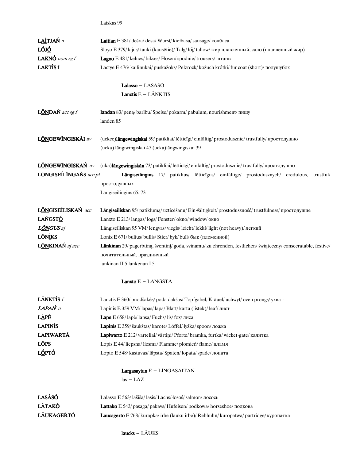Laiskas 99

| LAÍTJAŃ n               | Laitian E 381/dešra/desa/Wurst/kiełbasa/sausage/колбаса                                                                                         |
|-------------------------|-------------------------------------------------------------------------------------------------------------------------------------------------|
| LÓJ <u>Ó</u>            | Sloyo E 379/lajus/tauki (kausētie)/Talg/łój/tallow/жир плавленный, сало (плавленный жир)                                                        |
| <b>LAKNÓ</b> nom sg f   | Lagno E 481/ kelnės/ bikses/ Hosen/ spodnie/ trousers/ штаны                                                                                    |
| LAKTISf                 | Lactye E 476/ kailinukai/ puskažoks/ Pelzrock/ kożuch krótki/ fur coat (short)/ полушубок                                                       |
|                         | Lalasso $-$ LASASO                                                                                                                              |
|                         | Lanctis $E - L\tilde{A}NKTIS$                                                                                                                   |
| <b>LÕNDAŃ</b> acc sg f  | landan 83/ peną/ barību/ Speise/ pokarm/ pabulum, nourishment/ пищу<br>landen 85                                                                |
| LÕNGEWĪNGISKÃI av       | (uckce)langewingiskai 59/patikliai/lētticīgi/einfältig/prostodusznie/trustfully/простодушно<br>(ucka) lāngiwingiskai 47 (ucka) lāngwingiskai 39 |
| LÕNGEWÍNGISKAŃ av       | (uka)langewingiskan 73/ patikliai/ lētticīgi/ einfältig/ prostodusznie/ trustfully/ простодушно                                                 |
| LÓNGISEÍLÍNGAŃS acc pl  | Langiseilingins 17/ patiklius/ letticigus/ einfältige/ prostodusznych/ credulous,<br>trustful/                                                  |
|                         | простодушных                                                                                                                                    |
|                         | Lāngiseilingins 65, 73                                                                                                                          |
| LÕNGISEÍLISKAŃ acc      | Längiseiliskan 95/ patiklumą/ uzticēšanu/ Ein-fältigkeit/ prostoduszność/ trustfulness/ простодушие                                             |
| LAŃGSTÓ                 | Lanxto E 213/langas/logs/Fenster/okno/window/окно                                                                                               |
| <b>L<u>ÕN</u>GUS</b> aj | Lāngiseiliskan 95 VM/lengvas/viegls/leicht/lekki/light (not heavy)/легкий                                                                       |
| <b>LÕNÌKS</b>           | Lonix E 671/ bulius/ bullis/ Stier/ byk/ bull/ бык (племенной)                                                                                  |
| LÕNKINAŃ aj acc         | Länkinan 29/ pagerbtiną, šventinį/ goda, svinamu/ zu ehrenden, festlichen/ świąteczny/ consecratable, festive/                                  |
|                         | почитательный, праздничный                                                                                                                      |
|                         | lankinan II 5 lankenan I 5                                                                                                                      |
|                         | <b>Lanxto</b> $E -$ LANGST $\overline{A}$                                                                                                       |
| <b>LÃNKTÌS</b> f        | Lanctis E 360/ puodšakės/ poda dakšas/ Topfgabel, Kräuel/ uchwyt/ oven prongs/ ухват                                                            |
| <b>LAPAŃ</b> n          | Lapinis E 359 VM/lapas/lapa/Blatt/karta (listek)/leaf/лист                                                                                      |
| LÀPÉ                    | Lape E 658/lape/lapsa/Fuchs/lis/fox/лиса                                                                                                        |
| <b>LAPINIS</b>          | Lapinis E 359/ šaukštas/ karote/ Löffel/ łyżka/ spoon/ ложка                                                                                    |
| LAPIWARTĀ               | Lapiwarto E 212/ varteliai/ vārtiņi/ Pforte/ bramka, furtka/ wicket-gate/ калитка                                                               |
| <b>LŌPS</b>             | Lopis E 44/liepsna/liesma/Flamme/płomień/flame/пламя                                                                                            |
| L <u>Ó</u> PTÓ          | Lopto E 548/ kastuvas/ lāpsta/ Spaten/ łopata/ spade/ лопата                                                                                    |
|                         | Largasaytan E - LĨNGASÃITAN<br>$las - LAZ$                                                                                                      |
| LAS <u>À</u> SÓ         | Lalasso E 563/lašiša/lasis/Lachs/łosoś/salmon/лосось                                                                                            |
| <b>LÀTAKÓ</b>           | Lattako E 543/ pasaga/ pakavs/ Hufeisen/ podkowa/ horseshoe/ подкова                                                                            |
| L <u>ÃU</u> KAGEŔTÓ     | Laucagerto E 768/ kurapka/ irbe (lauku irbe)/ Rebhuhn/ kuropatwa/ partridge/ куропатка                                                          |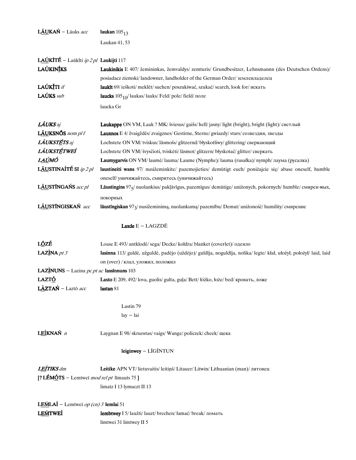| LÃUKAŃ – Lāuks acc                                 | laukan $105_{13}$                                                                                                  |
|----------------------------------------------------|--------------------------------------------------------------------------------------------------------------------|
|                                                    | Laukan 41, 53                                                                                                      |
|                                                    |                                                                                                                    |
| LAÚKITÉ - Laūkíti ip 2 pl Laukijti 117             |                                                                                                                    |
| <b>LAÚKINÍKS</b>                                   | Laukinikis E 407/ žemininkas, žemvaldys/ zemturis/ Grundbesitzer, Lehnsmannn (des Deutschen Ordens)/               |
|                                                    | posiadacz ziemski/landowner, landholder of the German Order/землевладелец                                          |
| LAÚKÍTI <i>if</i>                                  | laukīt 69/ ieškoti/ meklēt/ suchen/ poszukiwać, szukać/ search, look for/ искать                                   |
| LAÚKS sub                                          | laucks $105_{10}$ / laukas/ lauks/ Feld/ pole/ field/ поле                                                         |
|                                                    | laucka Gr                                                                                                          |
| <b>LÃUKS</b> aj                                    | Laukappe ON VM, Laak ? MK/ šviesus/ gaišs/ hell/ jasny/ light (bright), bright (light)/ светлый                    |
| LÃUKSNỐS nom pl f                                  | Lauxnos E 4/ žvaigždės/ zvaigznes/ Gestirne, Sterne/ gwiazdy/ stars/ созвездия, звезды                             |
| LÁUKSTÉTS aj                                       | Lochstete ON VM/tviskus/lāsmošs/glitzernd/błyskotliwy/glittering/сверкающий                                        |
| LÃUKSTÉTWEÍ                                        | Lochstete ON VM/ švysčioti, tviskėti/ lāsmot/ glitzern/ błyskotać/ glitter/ сверкать                               |
| L <u>AÚ</u> MÓ                                     | Laumygarvis ON VM/laumė/lauma/Laume (Nymphe)/lauma (rusałka)/ nymph/лаума (русалка)                                |
| LÃUSTINAÍTÉ SI ip 2 pl                             | laustineiti wans 97/ nusižeminkite/ pazemojieties/ demütigt euch/ ponizajcie się/ abase oneself, humble            |
|                                                    | oneself/ уничижайтесь, смиритесь (уничижайтесь)                                                                    |
| LÃUSTÍNGAŃS acc pl                                 | Lāustingins 975/ nuolankius/ pakļāvīgus, pazemīgus/ demütige/ uniżonych, pokornych/ humble/ смирен ных,            |
|                                                    | покорных                                                                                                           |
| LÃUSTÍNGISKAŃ acc                                  | lāustīngiskan 97 <sub>3</sub> / nusižeminimą, nuolankumą/ pazemību/ Demut/ uniżoność/ humility/ смирение           |
|                                                    |                                                                                                                    |
|                                                    | <b>Laxde</b> $E - LAGZD\bar{E}$                                                                                    |
| L <u>Ŏ</u> ZÉ                                      | Loase E 493/ antklodė/ sega/ Decke/ kołdra/ blanket (coverlet)/ одеяло                                             |
| LAZÌNA pt $3$                                      | lasinna 113/ guldė, užguldė, padėjo (uždėjo)/ guldīja, noguldīja, nolika/ legte/ kłał, ułożył, położył/ laid, laid |
|                                                    | on (over) / клал, уложил, положил                                                                                  |
| <b>LAZINUNS</b> – Lazina pc pt ac lassinnuns 103   |                                                                                                                    |
| <b>LAZTÓ</b>                                       | Lasto E 209, 492/lova, guolis/ gulta, gula/ Bett/ łóżko, łoże/ bed/ кровать, ложе                                  |
| LÀZTAŃ – Laztō acc                                 | lastan 81                                                                                                          |
|                                                    | Lastin 79                                                                                                          |
|                                                    | $lay - lai$                                                                                                        |
|                                                    |                                                                                                                    |
| LEÍKNAŃ n                                          | Laygnan E 98/ skruostas/ vaigs/ Wange/ policzek/ cheek/ щека                                                       |
|                                                    | leiginwey - LĪGĨNTUN                                                                                               |
| <b>LEÍTIKS</b> dm                                  | Leitike APN VT/lietuvaitis/leitiņš/Litauer/Litwin/Lithuanian (man)/литовец                                         |
| [? LÉMÓTS – Lemtwei <i>mod rel pt</i> limauts 75 ] |                                                                                                                    |
|                                                    | limatz I 13 lymuczt II 13                                                                                          |
|                                                    |                                                                                                                    |
| <b>LEḾLAÍ</b> – Lemtweī op (cn) 3 lemlai 51        |                                                                                                                    |
| <b>LEMTWEI</b>                                     | lembtwey I 5/ laužti/ lauzt/ brechen/ łamać/ break/ ломать                                                         |
|                                                    | limtwei 31 limtwey II 5                                                                                            |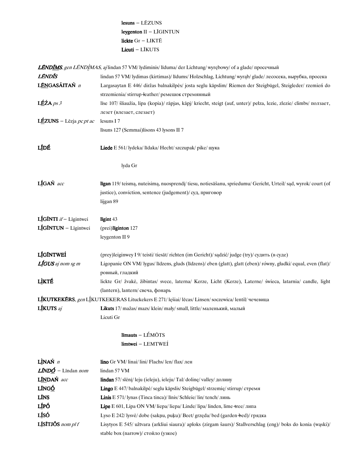# $lesuns - L\bar{E}ZUNS$ leygenton II - LĪGINTUN lickte  $Gr - LIKT\bar{E}$ Licuti - LĪKUTS

LÉNDIMS, gen LÉNDIMAS, aj lindan 57 VM/ lydiminis/ līduma/ der Lichtung/ wyrębowy/ of a glade/ просечный

| LÉNDÍS                                                                                              | lindan 57 VM/ lydimas (kirtimas)/ līdums/ Holzschlag, Lichtung/ wyrab/ glade/ лесосека, вырубка, просека             |
|-----------------------------------------------------------------------------------------------------|----------------------------------------------------------------------------------------------------------------------|
| LÉNGASÁITAŃ n                                                                                       | Largasaytan E 446/ diržas balnakilpės/ josta seglu kāpslim/ Riemen der Steigbügel, Steigleder/ rzemień do            |
|                                                                                                     | strzemienia/stirrup-leather/ремешок стремянный                                                                       |
| $L$ ÉŹA ps 3                                                                                        | līse 107/ šliaužia, lipa (kopia)/ rāpjas, kāpj/ kriecht, steigt (auf, unter)/ pełza, lezie, zlezie/ climbs/ nonsaer, |
|                                                                                                     | лезет (влезает, слезает)                                                                                             |
| LÉZUNS – Lēzja pc pt ac                                                                             | lesuns I7                                                                                                            |
|                                                                                                     | līsuns 127 (Semmai)lisons 43 lysons II 7                                                                             |
| LÍDÉ                                                                                                | Liede E 561/ lydeka/ līdaka/ Hecht/ szczupak/ pike/ щука                                                             |
|                                                                                                     | lyda Gr                                                                                                              |
| LÍGAŃ acc                                                                                           | līgan 119/ teismą, nuteisimą, nuosprendį/ tiesu, notiesāšanu, spriedumu/ Gericht, Urteil/sąd, wyrok/court (of        |
|                                                                                                     | justice), conviction, sentence (judgement)/ суд, приговор                                                            |
|                                                                                                     | lijgan 89                                                                                                            |
| LÍGÍNTI if - Līgintwei                                                                              | līgint 43                                                                                                            |
| LIGINTUN - Līgintwei                                                                                | (prei)liginton 127                                                                                                   |
|                                                                                                     | leygenton II 9                                                                                                       |
| LÍGÍNTWEÍ                                                                                           | (prey)leiginwey I 9/ teisti/ tiesāt/ richten (im Gericht)/ sądzić/ judge (try)/ судить (в суде)                      |
| LÍGUS aj nom sg m                                                                                   | Ligopanie ON VM/ lygus/ līdzens, gluds (līdzens)/ eben (glatt), glatt (eben)/ równy, gładki/ equal, even (flat)/     |
|                                                                                                     | ровный, гладкий                                                                                                      |
| LÌKTÉ                                                                                               | lickte Gr/ žvakė, žibintas/ svece, laterna/ Kerze, Licht (Kerze), Laterne/ świeca, latarnia/ candle, light           |
|                                                                                                     | (lantern), lantern/ свеча, фонарь                                                                                    |
| LIKUTKEKERS, gen LIKUTKEKERAS Lituckekers E 271/ lęšiai/ lēcas/ Linsen/ soczewica/ lentil/ чечевица |                                                                                                                      |
| LÍKUTS aj                                                                                           | Likuts 17/ mažas/ mazs/ klein/ mały/ small, little/ маленький, малый                                                 |
|                                                                                                     | Licuti Gr                                                                                                            |
|                                                                                                     | līmauts - LÉMŌTS                                                                                                     |
|                                                                                                     | limtwei - LEMTWEI                                                                                                    |
| $\mathbf{L}$ ÌNAŃ $n$                                                                               | lino Gr VM/linai/lini/Flachs/len/flax/лен                                                                            |
| $L\tilde{I}NDO$ - Lindan <i>nom</i>                                                                 | lindan 57 VM                                                                                                         |
| LÍNDAŃ acc                                                                                          | lindan 57/slėnį/ leju (ieleju), ieleju/Tal/dolinę/valley/ долину                                                     |
| LÍNGÓ                                                                                               | Lingo E 447/ balnakilpė/ seglu kāpslis/ Steigbügel/ strzemię/ stirrup/ стремя                                        |
| LÍNS                                                                                                | Linis E 571/ lynas (Tinca tinca)/ līnis/ Schleie/ lin/ tench/ линь                                                   |
| LÍPÓ                                                                                                | Lipe E 601, Lipa ON VM/liepa/liepa/ Linde/lipa/linden, lime +ree/липа                                                |
| LÍSÓ                                                                                                | Lyso E 242/ lysvė/ dobe (sakņu, puķu)/ Beet/ grzęda/ bed (garden-bed)/ грядка                                        |
| LISITJÕS nom pl f                                                                                   | Lisytyos E 545/ užtvara (arkliui siaura)/ aploks (zirgam šaurs)/ Stallverschlag (eng)/ boks do konia (wąski)/        |
|                                                                                                     | stable box (narrow)/ стойло (узкое)                                                                                  |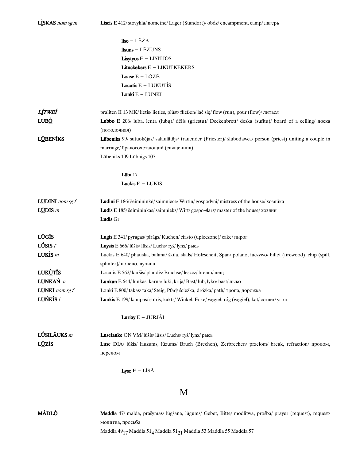| LISKAS nom sg m          | Liscis E 412/ stovykla/ nometne/ Lager (Standort)/ obóz/ encampment, camp/ лагерь                                                                    |
|--------------------------|------------------------------------------------------------------------------------------------------------------------------------------------------|
|                          | līse - LĒŹA                                                                                                                                          |
|                          | līsuns - LĒZUNS                                                                                                                                      |
|                          | <b>Lisytyos</b> $E - L\overline{I}S\overline{I}TJ\overline{O}S$                                                                                      |
|                          | Lituckekers $E - LIKUTKEKERS$                                                                                                                        |
|                          | <b>Loase</b> $E - L\bar{O}Z\bar{E}$                                                                                                                  |
|                          | <b>Locutis</b> $E - LUKUT\$ {IS}                                                                                                                     |
|                          | Lonki E - LUNKĪ                                                                                                                                      |
|                          |                                                                                                                                                      |
| <b>LÍTWEÍ</b>            | praliten II 13 MK/lietis/lieties, plūst/fließen/lać się/flow (run), pour (flow)/литься                                                               |
| LUBÓ                     | Lubbo E 206/ luba, lenta (lubu)/ dēlis (griestu)/ Deckenbrett/ deska (sufitu)/ board of a ceiling/ доска                                             |
|                          | (потолочная)                                                                                                                                         |
| <b>LÜBENĪKS</b>          | Lübeniks 99/ sutuokėjas/ salaulātājs/ trauender (Priester)/ ślubodawca/ person (priest) uniting a couple in<br>marriage/ бракосочетающий (священник) |
|                          |                                                                                                                                                      |
|                          | Lūbeniks 109 Lūbnigs 107                                                                                                                             |
|                          | Lübi 17                                                                                                                                              |
|                          | Luckis $E - LUKIS$                                                                                                                                   |
| <b>LÜDINI</b> nom sg $f$ | Ludini E 186/ šeimininkė/ saimniece/ Wirtin/ gospodyni/ mistress of the house/ хозяйка                                                               |
| $LCDIS$ <i>m</i>         | Ludis E 185/ šeimininkas/ saimnieks/ Wirt/ gospo-darz/ master of the house/ хозяин                                                                   |
|                          | Ludis Gr                                                                                                                                             |
| LŪGĪS                    |                                                                                                                                                      |
| <b>LÚSIS</b> $f$         | Lugis E 341/ pyragas/ pīrāgs/ Kuchen/ ciasto (upieczone)/ cake/ пирог<br>Luysis E 666/ lūšis/ lūsis/ Luchs/ ryś/ lynx/ рысь                          |
| LUKIS $m$                | Luckis E 640/ pliauska, balana/ šķila, skals/ Holzscheit, Span/ polano, łuczywo/ billet (firewood), chip (spill,                                     |
|                          | splinter)/полено, лучина                                                                                                                             |
| <b>LUKUTIS</b>           | Locutis E 562/ karšis/ plaudis/ Brachse/ leszcz/ bream/ лещ                                                                                          |
| LUNKAŃ n                 | Lunkan E 644/ lunkas, karna/ lūki, krija/ Bast/ łub, łyko/ bast/ лыко                                                                                |
| <b>LUNKI</b> nom sg $f$  | Lonki E 800/ takas/ taka/ Steig, Pfad/ ścieżka, dróżka/ path/ тропа, дорожка                                                                         |
| LUŃKIS $f$               | Lunkis E 199/kampas/stūris, kakts/Winkel, Ecke/wegieł, róg (wegieł), kąt/corner/угол                                                                 |
|                          |                                                                                                                                                      |
|                          | Luriay E - JŪRJÃI                                                                                                                                    |
| LÚSILÃUKS m              | Luselauke ON VM/lūšis/lūsis/ Luchs/ ryś/ lynx/ рысь                                                                                                  |
| LUZIS                    | Luse DIA/ lūžis/ lauzums, lūzums/ Bruch (Brechen), Zerbrechen/ przełom/ break, refraction/ пролом,                                                   |
|                          | перелом                                                                                                                                              |
|                          | <b>Lyso</b> $E - L\overline{I}S\overline{A}$                                                                                                         |
|                          | M                                                                                                                                                    |
|                          |                                                                                                                                                      |

Maddla 47/ malda, prašymas/ lūgšana, lūgums/ Gebet, Bitte/ modlitwa, prośba/ prayer (request), request/ <u>MÀDLÓ</u> молитва, просьба Maddla $49_{17}\,$ Maddla $51_4\,$ Maddla $51_{21}\,$ Maddla $53\,$ Maddla $55\,$ Maddla $57\,$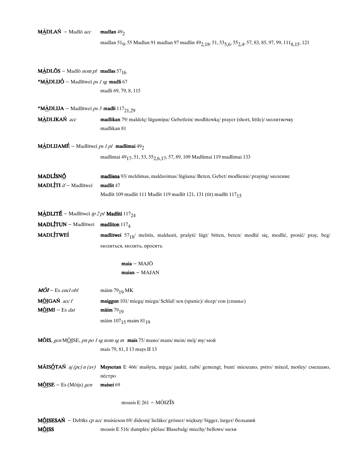# $M\triangle DLAN - Madlo$ acc madlan 49<sub>2</sub>

madlan 51<sub>9</sub>, 55 Madlan 91 madlan 97 madlin 49<sub>2,18</sub>, 51, 53<sub>5,6</sub>, 55<sub>2,4</sub>, 57, 83, 85, 97, 99, 111<sub>8,15</sub>, 121

| <b>M</b> ADLÕS – Madlõ nom pl madlas 57 <sub>16</sub>                      |                                                                                                                      |
|----------------------------------------------------------------------------|----------------------------------------------------------------------------------------------------------------------|
| *MÀDLIJÓ – Madlītweī ps 1 sg madli 67                                      |                                                                                                                      |
|                                                                            | madli 69, 79, 8, 115                                                                                                 |
| <b>*MÀDLIJA</b> – Madlītweī <i>ps 3</i> madli 117 <sub>21,29</sub>         |                                                                                                                      |
| MÀDLIKAŃ acc                                                               | madlikan 79/ maldelę/ lūgumiņu/ Gebetlein/ modlitewkę/ prayer (short, little)/ молитвочку<br>madlikan $81\,$         |
| <b>MÀDLIJAMÉ</b> – Madlītweī <i>ps 1 pl</i> madlimai 49 <sub>2</sub>       |                                                                                                                      |
|                                                                            | madlimai 49 $_{\rm 17},$ 51, 53, 55 $_{\rm 2,6,17},$ 57, 89, 109 Madlimai 119 madlimai 133                           |
| MADLÍSNÓ<br>MADLITI if - Madlītweī                                         | madlisna 93/ meldimas, maldavimas/ lūgšana/ Beten, Gebet/ modlienie/ praying/ моление<br>madlit 47                   |
|                                                                            | Madlit 109 madlit 111 Madlit 119 madlit 121, 131 (tīt) madlīt 11715                                                  |
| <b>MÀDLITÉ</b> – Madlītweī <i>ip 2 pl</i> <b>Madliti</b> 117 <sub>24</sub> |                                                                                                                      |
| <b>MADLITUN</b> – Madlitwei madliton $117_4$                               |                                                                                                                      |
| <b>MADLÍTWEÍ</b>                                                           | madlitwei 57 <sub>18</sub> / melstis, maldauti, prašyti/ lūgt/ bitten, beten/ modlić się, modlić, prosić/ pray, beg/ |
|                                                                            | молиться, молить, просить                                                                                            |
|                                                                            | $maia - MAJ\bar{O}$                                                                                                  |
|                                                                            | $main - MAJAN$                                                                                                       |
| $M\tilde{O}I$ – Es encl obl                                                | māim $79_{19}$ MK                                                                                                    |
| MÕIGAŃ acc f                                                               | maiggun 101/miegą/miegu/Schlaf/sen (spanie)/sleep/сон (спанье)                                                       |
| $M\tilde{O}$ IMI – Es dat                                                  | <b>mäim</b> $79_{19}$                                                                                                |
|                                                                            | māim $107_{15}$ maim $81_{19}$                                                                                       |
|                                                                            | <b>MÕIS</b> , gen MÕISE, pn po 1 sg nom sg m <b>mais</b> 75/ mano/ mans/ mein/ mój/ my/ Mon                          |
|                                                                            | mais 79, 81, I 13 mays II 13                                                                                         |
| <b>MÃISÓTAŃ</b> aj (pc) n (av)                                             | Maysotan E 466/ maišyta, mirga/ jaukti, raibi/ gemengt, bunt/ mieszano, pstro/ mixed, motley/ смешано,<br>пёстро     |
| $MOLSE - Es (Mõijs) gen$                                                   | maisei 69                                                                                                            |
|                                                                            | moasis $E 261 - M\tilde{O}IZ\tilde{I}S$                                                                              |
|                                                                            | MOISESAŃ - Debīks cp acc muisieson 69/ didesni/ lielāko/ grösser/ większy/ bigger, larger/ больший                   |

MÕISS moasis E 516/dumplės/plēšas/Blasebalg/miechy/bellows/мехи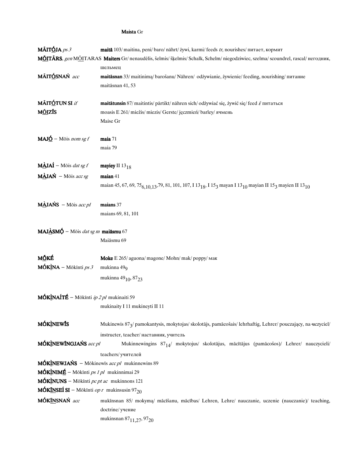#### Maista Gr

| <b>MÃITÓJA</b> ps 3                                                         | maitā 103/ maitina, peni/baro/ nährt/ żywi, karmi/feeds tr, nourishes/ питает, кормит                                                                                              |
|-----------------------------------------------------------------------------|------------------------------------------------------------------------------------------------------------------------------------------------------------------------------------|
|                                                                             | MÕITÄRS, gen MÕITARAS Maiters Gr/ nenaudėlis, šelmis/ šķelmis/ Schalk, Schelm/ niegodziwiec, szelma/ scoundrel, rascal/ негодник,                                                  |
|                                                                             | шельмец                                                                                                                                                                            |
| MÃITÓSNAŃ acc                                                               | maitāsnan 33/ maitinima/ barošanu/ Nähren/ odżywianie, żywienie/ feeding, nourishing/ питание                                                                                      |
|                                                                             | maitāsnan 41, 53                                                                                                                                                                   |
| <b>MÃITÓTUN SI</b> if                                                       | maitātunsin 87/ maitintis/ pārtikt/ nähren sich/ odżywiać się, żywić się/ feed i/ питаться                                                                                         |
| <b>M<u>ÕI</u>ZĪS</b>                                                        | moasis E 261/miežis/miezis/Gerste/jęczmień/barley/ячмень                                                                                                                           |
|                                                                             | Maise Gr                                                                                                                                                                           |
| <b>MAJ<math>\acute{\textbf{O}}</math></b> – Mōis nom sg f                   | maia 71                                                                                                                                                                            |
|                                                                             | maia 79                                                                                                                                                                            |
| $M\angle A\acute{I}$ – Mōis dat sg f                                        | mayiey II $13_{18}$                                                                                                                                                                |
| $M\angle{d}JAN - M\ddot{o}$ is acc sg                                       | maian 41                                                                                                                                                                           |
|                                                                             | maian 45, 67, 69, 75 <sub>6, 10, 1</sub> 3, 79, 81, 101, 107, I 13 <sub>18</sub> , I 15 <sub>3</sub> mayan I 13 <sub>10</sub> mayian II 15 <sub>3</sub> mayien II 13 <sub>10</sub> |
| $M\angle JANS - M\ddot{o}$ is acc pl                                        | maians 37                                                                                                                                                                          |
|                                                                             | maians 69, 81, 101                                                                                                                                                                 |
| MAJÀSMÓ - Mōis dat sg m maiāsmu 67                                          |                                                                                                                                                                                    |
|                                                                             | Maiāsmu 69                                                                                                                                                                         |
| <b>M<u>Õ</u>KÉ</b>                                                          | Moke E 265/ aguona/ magone/ Mohn/ mak/ poppy/ мак                                                                                                                                  |
| $MÓKÌNA - Mōkīnti ps 3$                                                     | mukinna $49Q$                                                                                                                                                                      |
|                                                                             | mukinna 49 <sub>10</sub> , 87 <sub>23</sub>                                                                                                                                        |
| <b>MÓKÌNAÍTÉ</b> – Mōkīnti <i>ip 2 pl</i> mukinaiti 59                      |                                                                                                                                                                                    |
|                                                                             | mukinaity I 11 mukineyti II 11                                                                                                                                                     |
| <b>MÓKINEWIS</b>                                                            | Mukinewis 873/ pamokantysis, mokytojas/ skolotājs, pamācošais/ lehrhaftig, Lehrer/ pouczający, na uczyciel/                                                                        |
|                                                                             | instructer, teacher/наставник, учитель                                                                                                                                             |
| MÓKINEWÍNGJAŃS acc pl                                                       | Mukinnewingins 8714/ mokytojus/ skolotājus, mācītājus (pamācošos)/ Lehrer/ nauczycieli/                                                                                            |
|                                                                             | teachers/ учителей                                                                                                                                                                 |
|                                                                             | <b>MÓKINEWJAŃS</b> – Mōkinewis acc pl mukinnewins 89                                                                                                                               |
| $MÓK)$ NIMÉ – Mōkīnti ps 1 pl mukinnimai 29                                 |                                                                                                                                                                                    |
| $MóklNUNS - Móklnti pc pt ac mukinnons 121$                                 |                                                                                                                                                                                    |
| <b>MÓK<u>ÍN</u>SEÍ SI</b> – Mōkīnti <i>op r</i> mukinsusin 97 <sub>20</sub> |                                                                                                                                                                                    |
| MÓKÍNSNAŃ acc                                                               | mukīnsnan 85/ mokymą/ mācīšanu, mācības/ Lehren, Lehre/ nauczanie, uczenie (nauczanie)/ teaching,                                                                                  |
|                                                                             | doctrine/ учение                                                                                                                                                                   |
|                                                                             | mukinsnan 87 <sub>11,27</sub> , 97 <sub>20</sub>                                                                                                                                   |
|                                                                             |                                                                                                                                                                                    |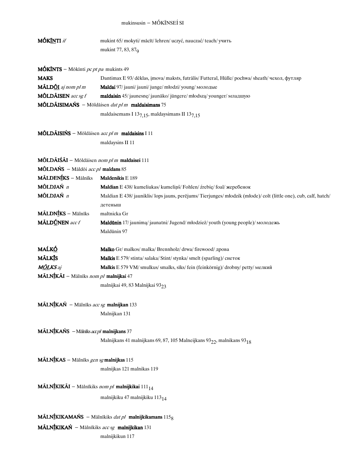#### mukinsusin - MÓKĨNSEÍ SI

MÓKĪNTI *if* mukint 65/mokyti/mācīt/lehren/uczyć, nauczać/teach/учить mukint 77, 83, 87<sub>9</sub>

 $MÓKÍNTS - Mōkīnti p<sub>C</sub> pt pa mukints 49$ 

| <b>MAKS</b>                                                     | Dantimax E 93/deklas, imova/maksts, futralis/ Futteral, Hülle/pochwa/sheath/ чехол, футляр |  |
|-----------------------------------------------------------------|--------------------------------------------------------------------------------------------|--|
| MÃLDÕI aj nom pl m                                              | <b>Maldai</b> 97/jauni/jauni/junge/młodzi/young/молодые                                    |  |
| <b>MÕLDÃISEN</b> acc sg $f$                                     | <b>maldaisin</b> 45/jaunesne/jaunāko/jüngere/młodsza/younger/младшую                       |  |
| <b>MÕLDÃISIMAŃS</b> – Mōldāisen <i>dat pl m</i> maldaisimans 75 |                                                                                            |  |
| maldaisemans I $137,15$ , maldaysimans II $137,15$              |                                                                                            |  |

## MÕLDÃISIŃS - Mōldāisen acc pl m maldaisins I 11

maldaysins II 11 $\,$ 

| MÕLDÃIŚÃI - Mōldāisen nom pl m maldaisei 111                            |                                                                                                              |  |
|-------------------------------------------------------------------------|--------------------------------------------------------------------------------------------------------------|--|
| MÕLDAŃS - Māldōi acc pl maldans 85                                      |                                                                                                              |  |
| MÃLDENÍKS - Mālnīks                                                     | Maldenikis E 189                                                                                             |  |
| MÕLDJAŃ n                                                               | Maldian E 438/ kumeliukas/ kumeliņš/ Fohlen/ źrebię/ foal/ жеребенок                                         |  |
| MÕLDJAŃ n                                                               | Maldian E 438/jauniklis/lops jauns, perējums/Tierjunges/młodzik (młode)/colt (little one), cub, calf, hatch/ |  |
|                                                                         | детеныш                                                                                                      |  |
| <b>MÃLDNÍKS</b> - Mālnīks                                               | maltnicka Gr                                                                                                 |  |
| MÃLDÚNEN acc f                                                          | Maldūnin 17/ jaunimą/ jaunatni/ Jugend/ młodzież/ youth (young people)/ молодежь                             |  |
|                                                                         | Maldūnin 97                                                                                                  |  |
| <u>MAĹKÓ</u>                                                            | <b>Malko</b> Gr/malkos/malka/Brennholz/drwa/firewood/дрова                                                   |  |
| <b>MÃLKĪS</b>                                                           | <b>Malkis</b> E 579/stinta/salaka/Stint/stynka/smelt (sparling)/ снеток                                      |  |
| <b>M<u>ÕL</u>KS</b> aj                                                  | Malkis E 579 VM/ smulkus/ smalks, sīks/ fein (feinkörnig)/ drobny/ petty/ мелкий                             |  |
| MÃLNÍKÃI - Mālnīks nom pl malnijkai 47                                  |                                                                                                              |  |
|                                                                         | malnijkai 49, 83 Malnijkai 93 <sub>23</sub>                                                                  |  |
| MÃLNÍKAŃ - Mālnīks acc sg malnijkan 133                                 |                                                                                                              |  |
|                                                                         | Malnijkan 131                                                                                                |  |
| <b>MÃLNÍKAŃS</b> - Mālnīks $acpl$ malnijkans 37                         |                                                                                                              |  |
|                                                                         | Malnijkans 41 malnijkans 69, 87, 105 Malneijkans 93 <sub>22</sub> , malnikans 93 <sub>18</sub>               |  |
| MĀLNĪKAS - Mālnīks gen sg malnijkas 115                                 |                                                                                                              |  |
|                                                                         | malnijkas 121 malnikas 119                                                                                   |  |
| <b>MÃLNÍKIKÃI</b> - Mālnīkiks nom pl <b>malnijkikai</b> $111_{14}$      |                                                                                                              |  |
|                                                                         | malnijkiku 47 malnijkiku 113 <sub>14</sub>                                                                   |  |
|                                                                         | <b>MÄLNÍKIKAMAŃS</b> – Mālnīkiks <i>dat pl</i> malnijkikamans $1158$                                         |  |
| $M\tilde{A}LN\tilde{I}KIKA\acute{N}$ – Mālnīkiks acc sg malnijkikan 131 |                                                                                                              |  |
|                                                                         |                                                                                                              |  |
|                                                                         | malnijkikun 117                                                                                              |  |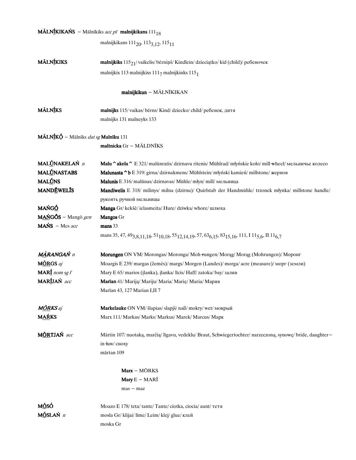# $\textbf{M}$ ĀLN**ÍKIKAŃS** – Mālnīkiks *acc pl* malnijkikans  $111_{18}$

malnijkikans  $111_{20}$ ,  $113_{3,12}$ ,  $115_{11}$ 

| MÃLNÍKIKS | malnijkiks $115_{21}/$ vaikelis/bērniņš/Kindlein/dzieciątko/kid (child)/ребеночек |
|-----------|-----------------------------------------------------------------------------------|
|           | malnijkix 113 malnijkixs 111 $_7$ malnijkinks 115 $_1$                            |

# malnijkikun - MÃLNĪKIKAN

| MÃLNÍKS | malnijks 115/vaikas/berns/Kind/dziecko/child/ребенок, дитя |
|---------|------------------------------------------------------------|
|         | malnijks 131 malneyks 133                                  |

# $\text{MÁLN} \text{\underline{\textit{f}}K} \text{\underline{\textit{h}}} - \text{Mālnīks}\ \textit{dat}\ \textit{sg} \text{M} \text{alnīku}$ 131

maltnicka Gr - MÃLDNĪKS

| MALÚNAKELAŃ n              | Malu ^akela ^ E 321/ malūnratis/ dzirnavu ritenis/ Mühlrad/ młyńskie koło/ mill wheel/ мельничье колесо                                                                              |
|----------------------------|--------------------------------------------------------------------------------------------------------------------------------------------------------------------------------------|
| <b>MALÚNASTABS</b>         | Malunasta ^b E 319/ girna/ dzirnakmens/ Mühlstein/ młyński kamień/ millstone/ жернов                                                                                                 |
| <b>MALÚNS</b>              | Malunis E 316/ malūnas/ dzirnavas/ Mühle/ młyn/ mill/ мельница                                                                                                                       |
| <b>MANDEWELIS</b>          | Mandiwelis E 318/ milinys/ milna (dzirnu)/ Quirlstab der Handmühle/ trzonek młynka/ millstone handle/                                                                                |
|                            | рукоять ручной мельницы                                                                                                                                                              |
| <b>MAŃGÓ</b>               | Manga Gr/ kekšė/ ielasmeita/ Hure/ dziwka/ whore/ шлюха                                                                                                                              |
| MAŃGŎS – Mangō gen         | <b>Mangos</b> Gr                                                                                                                                                                     |
| $MANS - Mes$ <i>acc</i>    | mans 33                                                                                                                                                                              |
|                            | mans 35, 47, 49 <sub>3,8,11,18</sub> , 51 <sub>10,18</sub> , 55 <sub>12,14,19</sub> , 57, 63 <sub>6,15</sub> , 83 <sub>15,16</sub> , 111, I 11 <sub>5,6</sub> , II 11 <sub>6,7</sub> |
| MÀRANGAŃ n                 | Morungen ON VM/Morongas/Moronga/Moh-rungen/Morag/Morag (Mohrungen)/Mopoнг                                                                                                            |
| MÔRGS aj                   | Moargis E 239/ margas (žemės)/ margs/ Morgen (Landes)/ morga/ acre (measure)/ морг (земли)                                                                                           |
| MAR $\frac{f}{m}$ nom sg f | Mary E 65/ marios (įlanka), įlanka/ līcis/ Haff/ zatoka/ bay/ залив                                                                                                                  |
| MARÍJAŃ acc                | Marian 41/ Marija/ Mariju/ Maria/ Marie/ Maria/ Мария                                                                                                                                |
|                            | Marian 43, 127 Marian I,II 7                                                                                                                                                         |
| <b>M<u>ÕR</u>KS</b> aj     | Markelauke ON VM/ šlapias/ slapjš/ naß/ mokry/ wet/ мокрый                                                                                                                           |
| <b>MAŔKS</b>               | Marx 111/ Markas/ Marks/ Markus/ Marek/ Marcus/ Марк                                                                                                                                 |
| MÔRTJAŃ acc                | Mārtin 107/nuotaką, marčią/līgavu, vedeklu/Braut, Schwiegertochter/narzeczoną, synowę/bride, daughter-<br>in $+$ аw/ сноху                                                           |
|                            | mārtan 109                                                                                                                                                                           |
|                            | $Marx - M\bar{O}RKS$                                                                                                                                                                 |
|                            | Mary $E - MARI$                                                                                                                                                                      |
|                            | $mas - max$                                                                                                                                                                          |
| <u>MÓ</u> SÓ               | Moazo E 178/ teta/ tante/ Tante/ ciotka, ciocia/ aunt/ тетя                                                                                                                          |
| MÓSLAŃ n                   | mosla Gr/klijai/līme/Leim/klej/glue/клей                                                                                                                                             |
|                            | moska Gr                                                                                                                                                                             |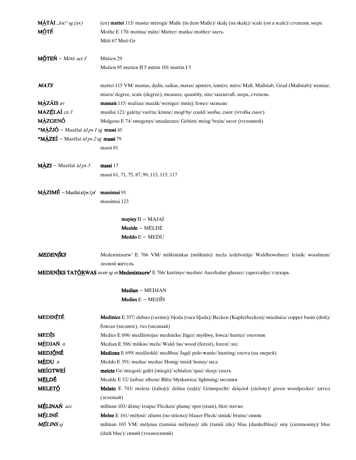| $M\triangle T\AA I$ , loc" sg (av)           | (en) mattei 115/mastu/mērogā/ Maße (in dem Maße)/ skalę (na skalę)/ scale (on a scale)/ степени, мере        |
|----------------------------------------------|--------------------------------------------------------------------------------------------------------------|
| MÓTÉ                                         | Mothe E 170/ motina/ māte/ Mutter/ matka/ mother/ мать                                                       |
|                                              | Mūti 67 Muti Gr                                                                                              |
|                                              |                                                                                                              |
| MÓTEŃ – Mōtē acc f                           | Mūtien 29                                                                                                    |
|                                              | Mutien 95 mutien II 5 mūtin 101 muttin I 5                                                                   |
| <b>MATS</b>                                  | mattei 115 VM/ mastas, dydis, saikas, matas/ apmērs, izmērs, mērs/ Maß, Maßstab, Grad (Maßstab)/ wymiar,     |
|                                              | miara/degree, scale (degree), measure, quantity, size/ масштаб, мера, степень                                |
| MÀZÃIS av                                    | massais 115/mažiau/mazāk/weniger/mniej/fewer/меньше                                                          |
| MAZÉLAÍ cn 3                                 | musīlai 121/ galėtų/ varētu/ könne/ mogł by/ could/ мобы, смог (чтобы смог)                                  |
| <b>MÀZGENÓ</b>                               | Mulgeno E 74/ smegenys/ smadzenes/ Gehirn/ mózg/ brain/ мозг (головной)                                      |
| *MÀŹJÓ – Mazēlaī <i>id ps 1 sg</i> massi 45  |                                                                                                              |
| *MÀZEÍ – Mazēlaī id ps 2 sg massi 79         |                                                                                                              |
|                                              | massi 81                                                                                                     |
| $M\angle ZI$ – Mazēlaī <i>id ps 3</i>        | massi 17                                                                                                     |
|                                              | massi 61, 71, 75, 87, 99, 113, 115, 117                                                                      |
|                                              |                                                                                                              |
| $M\triangle ZIME -$ Mazēlaī <i>idps 1 pl</i> | massimai 91                                                                                                  |
|                                              | massimai 123                                                                                                 |
|                                              | $mayley II - MAJAI$                                                                                          |
|                                              | Mealde - MÉLDE                                                                                               |
|                                              | $Meddo E - MEDU$                                                                                             |
| MEDENÍKS                                     | Medenixtaurw' E 766 VM/ miškininkas (miškinis)/ meža iedzīvotājs/ Waldbewohner/ leśnik/ woodman/             |
|                                              | лесной житель                                                                                                |
|                                              | MEDENÍKS TATÓRWAS nom sg m Medenixtaurw' E 766/ kurtinys/ mednis/ Auerhahn/ gluszec/ capercailye/ глухарь    |
|                                              |                                                                                                              |
|                                              | Median - MEDJAN                                                                                              |
|                                              | Medies $E - MED\$ IS                                                                                         |
| <b>MEDINITÉ</b>                              | <b>Medinice</b> E 357/dubuo (varinis)/bloda (vara bloda)/Becken (Kupferbecken)/miednica/copper basin (dish)/ |
|                                              | блюдо (медное), таз (медный)                                                                                 |
| <b>MED</b> <sup><i>is</i></sup>              | Medies E 696/ medžiotojas/ mednieks/ Jäger/ myśliwy, łowca/ hunter/ охотник                                  |
| MÈDJAŃ n                                     | Median E 586/ miškas/ mežs/ Wald/las/ wood (forest), forest/ лес                                             |
| <b>MEDJŐNÉ</b>                               | Medione E 699/ medžioklė/ medibas/ Jagd/ polo wanie/ hunting/ охота (на зверей)                              |
| $M\dot{E}DU$ <i>n</i>                        | Meddo E 391/medus/medus/Honig/miód/honey/мед                                                                 |
| <b>MEÍGTWEÍ</b>                              | meicte Gr/miegoti/ gulēt (miegā)/ schlafen/ spać/ sleep/ спать                                               |
| MÉLDÉ                                        | Mealde E 52/ žaibas/ zibens/ Blitz/ błyskawica/ lightning/ молния                                            |
| <b>MELETÓ</b>                                | Melato E 743/ meleta (žalioji)/ dzilna (zaļā)/ Grünspecht/ dzięcioł (zielony)/ green woodpecker/ дятел       |
|                                              | (зеленый)                                                                                                    |
| MÉLINAŃ acc                                  | mīlinan 103/dėmę/traipu/Flecken/plamę/spot (stain), blot/пятно                                               |
| <b>MÉLINÉ</b>                                | <b>Melne</b> E 161/melyne/zilums (no sitiena)/blauer Fleck/siniak/bruise/синяк                               |
| <b>MÉLINS</b> aj                             | mīlinan 103 VM/ mėlynas (tamsiai mėlynas)/ zils (tumši zils)/ blau (dunkelblau)/ siny (ciemnosiny)/ blue     |
|                                              | (dark blue)/ синий (темносиний)                                                                              |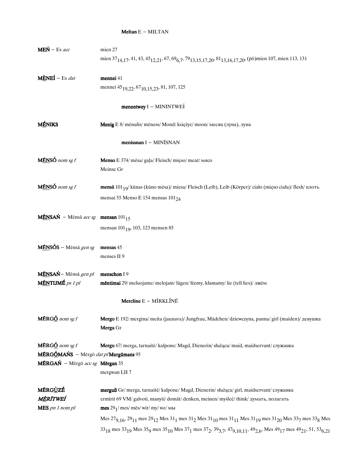#### Meltan  $E - MILTAN$

| $MEN - Es acc$                                                 | mien 27                                                                                                                                                                                                                                                     |
|----------------------------------------------------------------|-------------------------------------------------------------------------------------------------------------------------------------------------------------------------------------------------------------------------------------------------------------|
|                                                                | mien 37 <sub>14,17</sub> , 41, 43, 45 <sub>12,21</sub> , 67, 69 <sub>6,7</sub> , 79 <sub>13,15,17,20</sub> , 8 <sup>1</sup> <sub>13,16,17,20</sub> , (pō)mien 107, mien 113, 131                                                                            |
|                                                                |                                                                                                                                                                                                                                                             |
| $M \times EI - Es$ dat                                         | mennei 41                                                                                                                                                                                                                                                   |
|                                                                | mennei 45 <sub>19,22</sub> , 67 <sub>10,15,23</sub> , 81, 107, 125                                                                                                                                                                                          |
|                                                                |                                                                                                                                                                                                                                                             |
|                                                                | menentwey I - MININTWEI                                                                                                                                                                                                                                     |
|                                                                |                                                                                                                                                                                                                                                             |
| <b>MÉNIKS</b>                                                  | Menig E 8/ mėnulis/ mēness/ Mond/ księżyc/ moon/ месяц (луна), луна                                                                                                                                                                                         |
|                                                                | menissnan I - MINĪSNAN                                                                                                                                                                                                                                      |
| $M\tilde{E}NS\acute{O}$ nom sg f                               | Menso E 374/ mėsa/ gaļa/ Fleisch/ mięso/ meat/ мясо                                                                                                                                                                                                         |
|                                                                | Meinse Gr                                                                                                                                                                                                                                                   |
|                                                                |                                                                                                                                                                                                                                                             |
| MÉNSÓ nom sg f                                                 | mensā 101 <sub>19</sub> / kūnas (kūno mėsa)/ miesa/ Fleisch (Leib), Leib (Körper)/ ciało (mięso ciała)/ flesh/ плоть                                                                                                                                        |
|                                                                | mensai 55 Menso E 154 mensas 101 <sub>24</sub>                                                                                                                                                                                                              |
|                                                                |                                                                                                                                                                                                                                                             |
| $M\bar{E}NSA\acute{N}$ – Mēnsā acc sg mensan 101 <sub>15</sub> |                                                                                                                                                                                                                                                             |
|                                                                | mensan 101 <sub>19</sub> , 103, 123 mensen 85                                                                                                                                                                                                               |
|                                                                |                                                                                                                                                                                                                                                             |
| $M\tilde{E}NSOS - M\tilde{e}ns\tilde{a}gensg$                  | mensas 45                                                                                                                                                                                                                                                   |
|                                                                | menses II 9                                                                                                                                                                                                                                                 |
|                                                                |                                                                                                                                                                                                                                                             |
| MĒNSAŃ - Mēnsā gen pl                                          | menschon I 9                                                                                                                                                                                                                                                |
| M <u>ÉN</u> TIJMÉ p <sub>S</sub> 1 pl                          | mēntimai 29/ meluojame/ melojam/ lügen/ łżemy, kłamamy/ lie (tell lies)/ лжём                                                                                                                                                                               |
|                                                                | Mercline E - MĨRKLÍNĒ                                                                                                                                                                                                                                       |
|                                                                |                                                                                                                                                                                                                                                             |
| <b>MÉRG<math>\underline{\acute{o}}</math></b> nom sg f         | Mergo E 192/ mergina/ meita (jaunava)/ Jungfrau, Mädchen/ dziewczyna, panna/ girl (maiden)/ девушка                                                                                                                                                         |
|                                                                | Merga Gr                                                                                                                                                                                                                                                    |
| <b>MÉRG<math>\acute{\textbf{O}}</math></b> nom sg f            |                                                                                                                                                                                                                                                             |
| MÉRGÓMAŃS - Mērgō dat p/Mergūmans 95                           | Mergu 67/ merga, tarnaitė/ kalpone/ Magd, Dienerin/ służąca/ maid, maidservant/ служанка                                                                                                                                                                    |
| MÉRGAŃ - Mērgō acc sg Mērgan 35                                |                                                                                                                                                                                                                                                             |
|                                                                | mergwan I,II 7                                                                                                                                                                                                                                              |
|                                                                |                                                                                                                                                                                                                                                             |
| <b>MÉRGÙZÉ</b>                                                 | merguß Gr/merga, tarnaitė/kalpone/Magd, Dienerin/służąca/girl, maidservant/служанка                                                                                                                                                                         |
| MĒRĪTWEÍ                                                       | ermīrit 69 VM/ galvoti, manyti/ domāt/ denken, meinen/ myśleć/ think/ думать, полагать                                                                                                                                                                      |
| MES pn 1 nom pl                                                | mes $291$ / mes/ mēs/ wir/ my/ we/ мы                                                                                                                                                                                                                       |
|                                                                | Mes $27_{9,16}$ , $29_{11}$ mes $29_{12}$ Mes $31_1$ mes $31_2$ Mes $31_{10}$ mes $31_{11}$ Mes $31_{19}$ mes $31_{20}$ Mes $33_7$ mes $33_8$ Mes                                                                                                           |
|                                                                | 33 <sub>18</sub> mes 33 <sub>19</sub> Mes 35 <sub>9</sub> mes 35 <sub>10</sub> Mes 37 <sub>1</sub> mes 37 <sub>2</sub> , 39 <sub>3,7</sub> , 47 <sub>9,10,11</sub> , 49 <sub>2,6</sub> , Mes 49 <sub>17</sub> mes 49 <sub>21</sub> , 51, 53 <sub>6,21</sub> |
|                                                                |                                                                                                                                                                                                                                                             |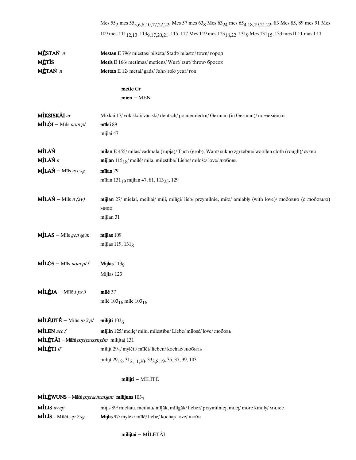|                                                       | Mes $55_2$ mes $55_{5,6,8,10,17,22,22}$ , Mes 57 mes $63_8$ Mes $63_{24}$ mes $65_{4,18,19,21,22}$ , 83 Mes 85, 89 mes 91 Mes                                          |
|-------------------------------------------------------|------------------------------------------------------------------------------------------------------------------------------------------------------------------------|
|                                                       | 109 mes 111 <sub>12,13</sub> , 113 <sub>9,17,20,21</sub> , 115, 117 Mes 119 mes 123 <sub>18,22</sub> , 131 <sub>9</sub> Mes 131 <sub>15</sub> , 133 mes II 11 mas I 11 |
|                                                       |                                                                                                                                                                        |
| MĒSTAŃ n                                              | Mestan E 796/ miestas/ pilsēta/ Stadt/ miasto/ town/ город                                                                                                             |
| <b>MĒTĪS</b>                                          | Metis E 166/ metimas/ metiens/ Wurf/rzut/throw/ бросок                                                                                                                 |
| MÈTAŃ n                                               | Mettan E 12/ metai/ gads/ Jahr/ rok/ year/ год                                                                                                                         |
|                                                       | mette Gr                                                                                                                                                               |
|                                                       | $mien - MEN$                                                                                                                                                           |
| MÌKSISKÃI av                                          | Mixkai 17/vokiškai/vāciski/deutsch/poniemiecku/German (in German)/по-немецки                                                                                           |
| $MILÕI - Mils nom pl$                                 | mīlai 89                                                                                                                                                               |
|                                                       | mijlai 47                                                                                                                                                              |
| <b>MÌLAŃ</b>                                          | milan E 455/milas/vadmala (rupja)/Tuch (grob), Want/sukno zgrzebne/woollen cloth (rough)/ сукно                                                                        |
| MÍLAŃ n                                               |                                                                                                                                                                        |
|                                                       | mijlan $115_{18}$ / meilė/ mīla, mīlestība/ Liebe/ miłość/love/любовь                                                                                                  |
| $MILA$ Ń – Mīls acc sg                                | mīlan 79                                                                                                                                                               |
|                                                       | mīlan 131 <sub>19</sub> mijlan 47, 81, 113 <sub>25</sub> , 129                                                                                                         |
| <b>MÍLAŃ</b> – Mīls $n (av)$                          | mijlan 27/ mielai, meiliai/ mīļi, mīlīgi/ lieb/ przymilnie, miło/ amiably (with love)/ любовно (с любовью)                                                             |
|                                                       | мило                                                                                                                                                                   |
|                                                       | mijlan 31                                                                                                                                                              |
| $MILAS - Mils gen sgm$                                | mijlas 109                                                                                                                                                             |
|                                                       | mijlas 119, 131 $_8$                                                                                                                                                   |
|                                                       |                                                                                                                                                                        |
| $MILOS - Mils$ nom pl f                               | Mijlas $1139$                                                                                                                                                          |
|                                                       | Mijlas 123                                                                                                                                                             |
| <b>MÍLÉJA</b> – Mīlēti ps 3                           | mile 37                                                                                                                                                                |
|                                                       | milē 103 <sub>16</sub> mile 103 <sub>16</sub>                                                                                                                          |
| <b>MÍLÉJITÉ</b> – Mīlīs <i>ip 2 pl</i>                | milijti $1036$                                                                                                                                                         |
| MILEN acc f                                           | mijlin 125/ meilę/ mīlu, mīlestību/ Liebe/ miłość/ love/ любовь                                                                                                        |
| MÍLÉTÃI - Milēti <i>pcpt pa nom pl m</i> milijtai 131 |                                                                                                                                                                        |
| <b>MÍLÉTI</b> if                                      |                                                                                                                                                                        |
|                                                       | milijt 291/ mylėti/ mīlēt/ lieben/ kochać/ любить                                                                                                                      |
|                                                       | milijt 29 <sub>12</sub> , 31 <sub>2,11,20</sub> , 33 <sub>3,8,19</sub> , 35, 37, 39, 103                                                                               |
|                                                       | milijti - MÍLĪTĒ                                                                                                                                                       |
|                                                       |                                                                                                                                                                        |

MİLÉWUNS – Mīlēti *pcptacnomsgm* milijuns  $103<sub>7</sub>$ 

| <b>M</b> ILIS av cp                      | mijls 89/ mieliau, meiliau/ mīļāk, mīlīgāk/ lieber/ przymilniej, milej/ more kindly/ милее |
|------------------------------------------|--------------------------------------------------------------------------------------------|
| $MILIS - Mil \ddot{e}$ ti <i>ip 2 sg</i> | <b>Mijlis</b> 97/ mylėk/ mīlē/ liebe/ kochaj/ love/ люби                                   |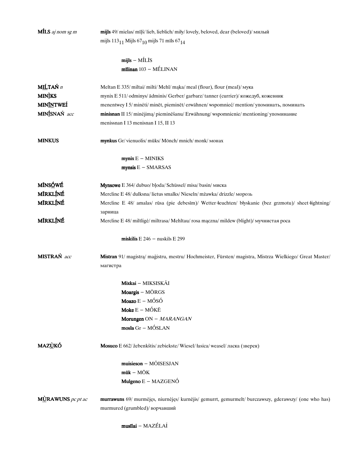| <b>MILS</b> aj nom sg m    | mijls 49/ mielas/ mīļš/ lieb, lieblich/ miły/ lovely, beloved, dear (beloved)/ милый                                                    |
|----------------------------|-----------------------------------------------------------------------------------------------------------------------------------------|
|                            | mijls 113 <sub>11</sub> Mijls 67 <sub>10</sub> mijls 71 mīls 67 <sub>14</sub>                                                           |
|                            | $mijls - MÍLIS$                                                                                                                         |
|                            | $m$ īlinan $103 - MÉLINAN$                                                                                                              |
| MILTAŃ n                   | Meltan E 335/ miltai/ milti/ Mehl/ maka/ meal (flour), flour (meal)/ мука                                                               |
| <b>MIN</b> <sub>I</sub> KS | mynix E 511/ odminys/ ādminis/ Gerber/ garbarz/ tanner (currier)/ кожедуб, кожевник                                                     |
| <b>MIN<u>ÍN</u>TWEÍ</b>    | menentwey I 5/mineti/minet, pieminet/erwähnen/wspomnieć/mention/упоминать, поминать                                                     |
| MINÍSNAŃ acc               | minisnan II 15/minėjimą/pieminėšanu/Erwähnung/wspomnienie/mentioning/упоминание                                                         |
|                            | menissnan I 13 menisnan I 15, II 13                                                                                                     |
| <b>MINKUS</b>              | mynkus Gr/vienuolis/ mūks/ Mönch/ mnich/ monk/ монах                                                                                    |
|                            | $mynix E - MINIKS$                                                                                                                      |
|                            | $mynsis E - SMARSAS$                                                                                                                    |
| <b>MÍNSÓWÉ</b>             | Mynsowe E 364/ dubuo/ bļoda/ Schüssel/ misa/ basin/ миска                                                                               |
| MÍRKLÍNÉ                   | Mercline E 48/ dulksna/lietus smalks/Nieseln/mżawka/drizzle/морозь                                                                      |
| <b>MÍRKLÍNÉ</b>            | Mercline E 48/ amalas/ rūsa (pie debesīm)/ Wetter leuchten/ blyskanie (bez grzmotu)/ sheet lightning/                                   |
|                            | зарница                                                                                                                                 |
| MÍRKLÍNÉ                   | Mercline E 48/ miltligė/ miltrasa/ Mehltau/ rosa mączna/ mildew (blight)/ мучнистая роса                                                |
|                            | miskilis $E$ 246 - nuskils $E$ 299                                                                                                      |
| MISTRAŃ acc                | Mistran 91/ magistra/ magistru, mestru/ Hochmeister, Fürsten/ magistra, Mistrza Wielkiego/ Great Master/<br>магистра                    |
|                            | Mixkai - MIKSISKÃI                                                                                                                      |
|                            | Moargis - MŌRGS                                                                                                                         |
|                            | Moazo $E - M\acute{O}S\acute{O}$                                                                                                        |
|                            | Moke $E - M$ ÓKĒ                                                                                                                        |
|                            | Morungen ON - MARANGAN                                                                                                                  |
|                            | mosla Gr - MÓSLAN                                                                                                                       |
| <b>MAZÙKÓ</b>              | Mosuco E 662/ žebenkštis/ zebiekste/ Wiesel/ łasica/ weasel/ ласка (зверек)                                                             |
|                            | $muisieson - MÕISESJAN$                                                                                                                 |
|                            | $m\ddot{u}k - M\ddot{O}K$                                                                                                               |
|                            | Mulgeno E - MAZGENÓ                                                                                                                     |
| $M\angle$ RAWUNS pc pt ac  | murrawuns 69/ murmėjęs, niurnėjęs/ kurnėjis/ gemurrt, gemurmelt/ burczawszy, gderawszy/ (one who has)<br>murmured (grumbled)/ ворчавший |
|                            | musīlai - MAZÉLAÍ                                                                                                                       |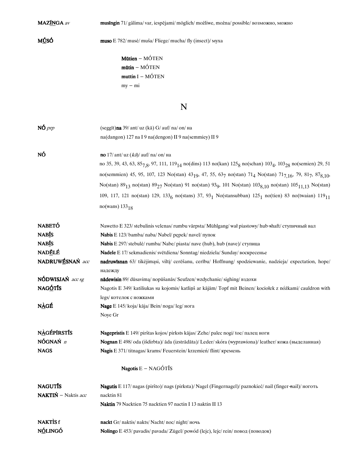MAZĪNGA av

# **MÚSÓ**

 ${\rm muso} \to 782/\,$ musė/ ${\rm mu}$ sa/Fliege/mucha/fly (insect)/ ${\rm My}$ 

Mütien --  $M\acute{\mathrm{O}}\mathrm{TEM}$  $\text{mūtin}$  –  $\text{M}\acute{\text{O}}\text{T}\text{EN}$  $\mbox{\bf {muttin}}$  I – MÓTEN  $\mathbf{m} \mathbf{y} - \mathbf{m} \mathbf{i}$ 

# $\overline{\mathbf{N}}$

| $N\acute{O}$ prp           | (seggīt) <b>na</b> 39/ ant/ uz (kā) G/ auf/ na/ on/ на                                                                                                                             |
|----------------------------|------------------------------------------------------------------------------------------------------------------------------------------------------------------------------------|
|                            | na(dangon) 127 na I 9 na(dengon) II 9 na(semmiey) II 9                                                                                                                             |
| NÓ                         | no 17/ ant/ uz $(k\vec{a})$ / auf/ na/ on/ на                                                                                                                                      |
|                            | no 35, 39, 43, 63, 85 <sub>7,8</sub> , 97, 111, 119 <sub>14</sub> no(dins) 113 no(kan) 125 <sub>8</sub> no(schan) 103 <sub>4</sub> , 103 <sub>28</sub> no(semien) 29, 51           |
|                            | no(semmien) 45, 95, 107, 123 No(stan) 43 <sub>19</sub> , 47, 55, 63 <sub>7</sub> no(stan) 71 <sub>4</sub> No(stan) 71 <sub>7,16</sub> , 79, 81 <sub>7</sub> , 87 <sub>8,10</sub> , |
|                            | No(stan) 89 <sub>13</sub> no(stan) 89 <sub>27</sub> No(stan) 91 no(stan) 93 <sub>9</sub> , 101 No(stan) 103 <sub>8.10</sub> no(stan) 105 <sub>11.13</sub> No(stan)                 |
|                            | 109, 117, 121 no(stan) 129, 133 <sub>6</sub> no(stans) 37, 93 <sub>1</sub> No(stansubban) 125 <sub>1</sub> no(tien) 83 no(twaian) 119 <sub>11</sub>                                |
|                            | $no(wans)$ 133 <sub>18</sub>                                                                                                                                                       |
| <b>NABETÓ</b>              | Nawetto E 323/ stebulinis velenas/ rumbu vārpsta/ Mühlgang/ wał piastowy/ hub shaft/ ступичный вал                                                                                 |
| <b>NAB</b> IS              | Nabis E 123/bamba/naba/Nabel/pepek/navel/пупок                                                                                                                                     |
| <b>NABIS</b>               | Nabis E 297/ stebulė/ rumba/ Nabe/ piasta/ nave (hub), hub (nave)/ ступица                                                                                                         |
| <b>NADĒLÉ</b>              | <b>Nadele</b> E 17/ sekmadienis/ svētdiena/ Sonntag/ niedziela/ Sunday/ воскресенье                                                                                                |
| NADRUWÉSNAŃ acc            | nadruwisnan 63/ tikėjimąsi, viltį/ cerėšanu, cerību/ Hoffnung/ spodziewanie, nadzieja/ expectation, hope/<br>надежду                                                               |
| NÓDWISJAŃ acc sg           | nādewisin 89/ dūsavima/ nopūšanās/ Seufzen/ wzdychanie/ sighing/ вздохи                                                                                                            |
| <b>NAGÓTÍS</b>             | Nagotis E 349/ katiliukas su kojomis/ katliņš ar kājām/ Topf mit Beinen/ kociołek z nóżkami/ cauldron with                                                                         |
|                            | legs/ котелок с ножками                                                                                                                                                            |
| NÀGÉ                       | Nage E 145/ koja/ kāja/ Bein/ noga/ leg/ нога                                                                                                                                      |
|                            | Noye Gr                                                                                                                                                                            |
| <b>NAGÉPIRSTIS</b>         | Nagepristis E 149/ pirštas kojos/ pirksts kājas/ Zehe/ palec nogi/ toe/ палец ноги                                                                                                 |
| NÓGNAŃ n                   | Nognan E 498/oda (išdirbta)/ āda (izstrādāta)/ Leder/ skóra (wyprawiona)/ leather/ кожа (выделанная)                                                                               |
| <b>NAGS</b>                | Nagis E 371/titnagas/krams/Feuerstein/krzemień/flint/кремень                                                                                                                       |
|                            | <b>Nagotis</b> $E - NAGÓT\$ IS                                                                                                                                                     |
| <b>NAGUTIS</b>             | Nagutis E 117/ nagas (piršto)/ nags (pirksta)/ Nagel (Fingernagel)/ paznokieć/ nail (finger-nail)/ ноготь                                                                          |
| <b>NAKTIŃ</b> – Naktis acc | nacktin 81                                                                                                                                                                         |
|                            | Naktin 79 Nacktien 75 nacktien 97 nactin I 13 naktin II 13                                                                                                                         |
| <b>NAKTISf</b>             | nackt Gr/ naktis/ nakts/ Nacht/ noc/ night/ ночь                                                                                                                                   |
| NÓLINGÓ                    | Nolingo E 453/ pavadis/ pavada/ Zügel/ powód (lejc), lejc/ rein/ повод (поводок)                                                                                                   |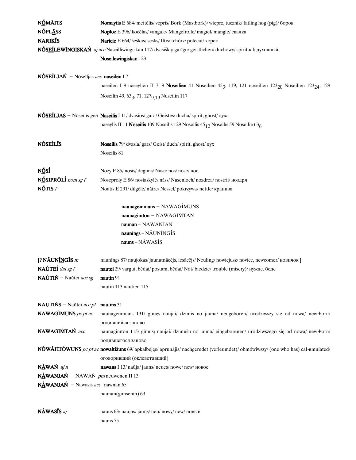| NÓMÁITS                                           | Nomaytis E 684/ meitėlis/vepris/Bork (Mastbork)/wieprz, tucznik/fatling hog (pig)/боров                                                        |
|---------------------------------------------------|------------------------------------------------------------------------------------------------------------------------------------------------|
| <b>NÓPLĀSS</b>                                    | Noploz E 396/ kočėlas/ vangale/ Mangelrolle/ magiel/ mangle/ скалка                                                                            |
| <b>NARIKIS</b>                                    | Naricie E 664/ šeškas/ sesks/ Iltis/ tchórz/ polecat/ хорек                                                                                    |
|                                                   | NÓSEÍLEWÍNGISKAŃ aj acc Naseilliwingiskan 117/ dvasišką/ garīgu/ geistlichen/ duchowy/ spiritual/ духовный                                     |
|                                                   | Noseilewingiskan 123                                                                                                                           |
|                                                   |                                                                                                                                                |
| NÓSEÍLJAŃ – Nōseīljas acc naseilen I 7            |                                                                                                                                                |
|                                                   | naseilen I 9 naseylien II 7, 9 Noseilien 41 Noseilien 45 <sub>3</sub> , 119, 121 noseilien 123 <sub>20</sub> Noseilien 123 <sub>24</sub> , 129 |
|                                                   | Noseilin 49, 63 <sub>3</sub> , 71, 127 <sub>9, 19</sub> Nuseilin 117                                                                           |
|                                                   |                                                                                                                                                |
|                                                   | NÓSEÍLJAS - Nōseīlīs gen Naseilis I 11/ dvasios/ gara/ Geistes/ ducha/ spirit, ghost/ gyxa                                                     |
|                                                   | naseylis II 11 Noseilis 109 Noseilis 129 Noseilis 45 <sub>12</sub> Noseilis 59 Noseilie 63 <sub>6</sub>                                        |
|                                                   |                                                                                                                                                |
| <b>NÓSEÍLÍS</b>                                   | Noseilis 79/ dvasia/ gars/ Geist/ duch/ spirit, ghost/ $\alpha$ yx                                                                             |
|                                                   | Noseilis 81                                                                                                                                    |
|                                                   |                                                                                                                                                |
| NÓSÍ                                              | Nozy E 85/ nosis/ deguns/ Nase/ nos/ nose/ нос                                                                                                 |
| NÓSIPRÖLÍ nom sg f                                | Noseproly E 86/ nosiaskylė/ nāss/ Nasenloch/ nozdrza/ nostril/ ноздря                                                                          |
| $N\acute{O}TISf$                                  | Noatis E 291/dilgele/natre/Nessel/pokrzywa/nettle/крапива                                                                                      |
|                                                   |                                                                                                                                                |
|                                                   | naunagemmans - NAWAGIMUNS                                                                                                                      |
|                                                   | naunagimton - NAWAGIŃTAN                                                                                                                       |
|                                                   | $naunan - NÀWANJAN$                                                                                                                            |
|                                                   | naunīngs - NAUNĪNGĪS                                                                                                                           |
|                                                   | nauns-NAWASĪS                                                                                                                                  |
|                                                   |                                                                                                                                                |
| [? NÃUN <u>ĨN</u> GĪS m                           | naunīngs 87/ naujokas/ jaunatnācējs, iesācējs/ Neuling/ nowicjusz/ novice, newcomer/ новичок ]                                                 |
| NAÚTEÍ dat sg f                                   | nautei 29/vargui, bėdai/postam, bėdai/Not/biedzie/trouble (misery)/нужде, беде                                                                 |
| NAÚTIŃ – Naūtei acc sg                            | nautin $91$                                                                                                                                    |
|                                                   | nautin 113 nautien 115                                                                                                                         |
|                                                   |                                                                                                                                                |
| <b>NAUTIŃS</b> – Naūtei <i>acc pl</i> nautins 31  |                                                                                                                                                |
| NAWAGIMUNS pc pt ac                               | naunagemmans 131/ gimes naujai/ dzimis no jauna/ neugeboren/ urodziwszy się od nowa/ new-born/                                                 |
|                                                   | родившийся заново                                                                                                                              |
| NAWAGIMTAN acc                                    | naunagimton 115/ gimusį naujai/ dzimušu no jauna/ eingeborenen/ urodziwszego się od nowa/ new born/                                            |
|                                                   | родившегося заново                                                                                                                             |
|                                                   | NÓWÃITJÓWUNS pc pt ac nowaitiāuns 69/ apkalbėjęs/ aprunājis/ nachgeredet (verleumdet)/ obmówiwszy/ (one who has) cal umniated/                 |
|                                                   | оговоривший (оклеветавший)                                                                                                                     |
| $N\triangle WAN$ aj n                             | nawans I 13/ naŭja/jauns/neues/nowe/new/новое                                                                                                  |
| $N\angle AWMAN - NAWA\acute{N}$ pn/neuwenen II 13 |                                                                                                                                                |
| NÀWANJAŃ – Nawasis acc nawnan 65                  |                                                                                                                                                |
|                                                   | naunan(gimsenin) 63                                                                                                                            |
|                                                   |                                                                                                                                                |
| $N\triangle WAS\bar{I}S$ aj                       | nauns 63/ naujas/ jauns/ neu/ nowy/ new/ новый                                                                                                 |
|                                                   | nauns 75                                                                                                                                       |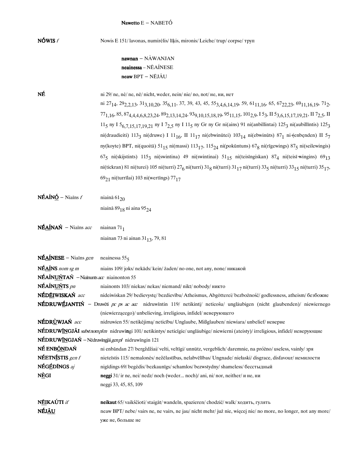| NÓWIS $f$                                                                         | Nowis E 151/lavonas, numirėlis/līķis, mironis/Leiche/trup/corpse/rpyn                                                                                                                                                                     |
|-----------------------------------------------------------------------------------|-------------------------------------------------------------------------------------------------------------------------------------------------------------------------------------------------------------------------------------------|
|                                                                                   | $nawnan - NÀWANJAN$                                                                                                                                                                                                                       |
|                                                                                   | neainessa – NĒAÍNESE                                                                                                                                                                                                                      |
|                                                                                   | neaw BPT - NĒJÃU                                                                                                                                                                                                                          |
| NÉ                                                                                | ni 29/ ne, nė/ ne, nē/ nicht, weder, nein/ nie/ no, not/ не, ни, нет                                                                                                                                                                      |
|                                                                                   | ni 27 <sub>14</sub> , 29 <sub>2,2,13</sub> , 31 <sub>3,10,20</sub> , 35 <sub>6,11</sub> , 37, 39, 43, 45, 55 <sub>3,4,6,14,19</sub> , 59, 61 <sub>11,16</sub> , 65, 67 <sub>22,23</sub> , 69 <sub>11,16</sub> ,19, 71 <sub>2</sub> ,      |
|                                                                                   | 77 <sub>1,16</sub> , 85, 87 <sub>4,4,4,6,8,23,24</sub> , 89 <sub>2,13,14,24</sub> , 93 <sub>9,10,15,18,19</sub> , 95 <sub>11,15</sub> , 101 <sub>2,9</sub> , 15 <sub>3</sub> , II 5 <sub>3,6,15,17,19,21</sub> , II 7 <sub>2,5</sub> , II |
|                                                                                   | 115 ny I 5 <sub>6,7,15,17,19,21</sub> ny I 7 <sub>2,5</sub> ny I 11 <sub>5</sub> ny Gr ny Gr ni(ains) 91 ni(anbillintai) 125 <sub>3</sub> ni(aubillintis) 125 <sub>3</sub>                                                                |
|                                                                                   | ni(draudieiti) 1133 ni(druwe) I 11 <sub>16</sub> , II 11 <sub>17</sub> ni(ebwinūtei) 103 <sub>14</sub> ni(ebwinūts) 87 <sub>1</sub> ni (enbenden) II 5 <sub>7</sub>                                                                       |
|                                                                                   | ny(koyte) BPT, ni(quoitā) $51_{15}$ ni(massi) $113_{17}$ , $115_{24}$ ni(pokūntuns) $67_8$ ni(rīgewings) $87_5$ ni(seilewingis)                                                                                                           |
|                                                                                   | $675$ ni(skijstints) $1153$ ni(swintina) 49 ni(swintinai) $5115$ ni(teisīngiskan) $874$ ni(teisī wingins) $6913$                                                                                                                          |
|                                                                                   | ni(tickran) 81 ni(turei) 105 ni(turri) 27 <sub>6</sub> ni(turri) 31 <sub>8</sub> ni(turri) 31 <sub>17</sub> ni(turri) 33 <sub>5</sub> ni(turri) 33 <sub>15</sub> ni(turri) 35 <sub>17</sub> ,                                             |
|                                                                                   | $69_{21}$ ni(turrīlai) 103 ni(wertīngs) 77 <sub>17</sub>                                                                                                                                                                                  |
| $N\hat{E}A\hat{N}\hat{O}$ – Niains f                                              | niainā $61_{20}$                                                                                                                                                                                                                          |
|                                                                                   | niainā 89 <sub>18</sub> ni aina 95 <sub>24</sub>                                                                                                                                                                                          |
| NÉAÍNAN - Niains acc                                                              | niainan $711$                                                                                                                                                                                                                             |
|                                                                                   | niainan 73 ni ainan 31 <sub>13</sub> , 79, 81                                                                                                                                                                                             |
| $N\hat{\mathbf{E}}$ $\mathbf{\underline{A}}$ $\hat{\mathbf{I}}$ NESE – Niains gen | neainessa $555$                                                                                                                                                                                                                           |
| $N\hat{\mathbf{E}}\underline{\mathbf{A}}\hat{\mathbf{I}}$ NS nom sg m             | niains 109/joks/nekāds/kein/żaden/no one, not any, none/никакой                                                                                                                                                                           |
| <b>NÉAÍNUŃTAŃ</b> - Niainunts $ac$ niainonton 55                                  |                                                                                                                                                                                                                                           |
| NÉAÍNUŃTS pn                                                                      | niainonts 103/niekas/nekas/niemand/nikt/nobody/никто                                                                                                                                                                                      |
| NÉD <u>ÉI</u> WISKAŃ acc                                                          | nideiwiskan 29/ bedievystę/ bezdievību/ Atheismus, Abgötterei/ bezbozność/ godlessness, atheism/ безбожие                                                                                                                                 |
|                                                                                   | <b>NÉDRUWÉJANTIŃ</b> – Druwěti pc ps ac acc nidruwintin 119/ netikinti/ neticošu/ ungläubigen (nicht glaubenden)/ niewiernego                                                                                                             |
|                                                                                   | (niewierzącego)/ unbelieving, irreligious, infidel/ неверующего                                                                                                                                                                           |
| NÉDRÙWJAŃ acc                                                                     | nidruwien 55/ netikėjimą/ neticību/ Unglaube, Mißglauben/ niewiara/ unbelief/ неверие                                                                                                                                                     |
|                                                                                   | NÉDRUWINGJÁI substnomplm nidruwingi 101/netikintys/neticigie/ungläubige/niewierni (ateisty)/irreligious, infidel/неверующие                                                                                                               |
|                                                                                   | NÉDRUWINGJAŃ – Nēdruwīngjāi gen pl nidruwīngin 121                                                                                                                                                                                        |
| NÉ ENBÓNDAŃ                                                                       | ni enbāndan 27/ bergždžiai/ velti, veltīgi/ unnütz, vergeblich/ daremnie, na próżno/ useless, vainly/ зря                                                                                                                                 |
| NÉETNÍSTIS gen f                                                                  | nieteīstis 115/nemalonės/nežēlastības, nelabvēlības/Ungnade/niełaski/disgrace, disfavour/немилости                                                                                                                                        |
| NÉGÉDÍNGS aj                                                                      | nigīdings 69/ begėdis/ bezkaunīgs/ schamlos/ bezwstydny/ shameless/ бесстыдный                                                                                                                                                            |
| NÈGI                                                                              | neggi 31/ir ne, nei/ nedz/ noch (weder noch)/ ani, ni/ nor, neither/ и не, ни                                                                                                                                                             |
|                                                                                   | neggi 33, 45, 85, 109                                                                                                                                                                                                                     |
| NÉIKAÚTI if                                                                       | neikaut 65/vaikščioti/staigāt/wandeln, spazieren/chodzić/walk/ходить, гулять                                                                                                                                                              |
| NÉJ <u>ÃU</u>                                                                     | neaw BPT/ nebe/ vairs ne, ne vairs, ne jau/ nicht mehr/ już nie, więcej nie/ no more, no longer, not any more/                                                                                                                            |
|                                                                                   | уже не, больше не                                                                                                                                                                                                                         |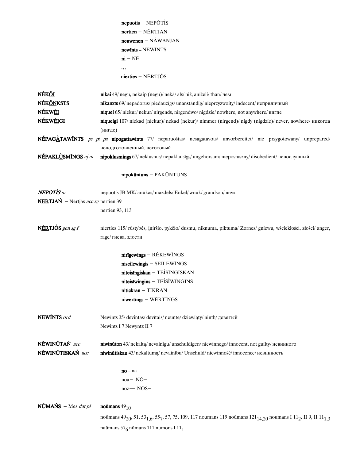| $n$ epuotis – NEPŌTÌS       |
|-----------------------------|
| $n$ ertien – NĚRTIAN        |
| $neuwenen - N\angle WANJAN$ |
| $newints - NEWINTS$         |
| $ni - NE$                   |
|                             |
| nierties - NÉRTJÓS          |

| NÉKŐI                                             | nikai 49/ negu, nekaip (negu)/ nekā/ als/ niż, aniżeli/ than/ чем                                                                                                                       |
|---------------------------------------------------|-----------------------------------------------------------------------------------------------------------------------------------------------------------------------------------------|
| <b>NÉKŐNKSTS</b>                                  | nikanxts 69/ nepadorus/ piedauzīgs/ unanständig/ nieprzyzwoity/ indecent/ неприличный                                                                                                   |
| NÉKWÉI                                            | niquei 65/ niekur/ nekur/ nirgends, nirgendwo/ nigdzie/ nowhere, not anywhere/ нигде                                                                                                    |
| NÉKW <u>éi</u> gi                                 | niqueigi 107/ niekad (niekur)/ nekad (nekur)/ nimmer (nirgend)/ nigdy (nigdzie)/ never, nowhere/ никогда                                                                                |
|                                                   | (нигде)                                                                                                                                                                                 |
|                                                   | NÉPAGÀTAWINTS pc pt pa nipogattawints 77/ neparuoštas/ nesagatavots/ unvorbereitet/ nie przygotowany/ unprepared/                                                                       |
|                                                   | неподготовленный, неготовый                                                                                                                                                             |
| NÉPAKLÙSMÍNGS aj m                                | nipoklusmings 67/ neklusnus/ nepaklausīgs/ ungehorsam/ nieposłuszny/ disobedient/ непослушный                                                                                           |
|                                                   | nipokūntuns - PAKŪNTUNS                                                                                                                                                                 |
| NEPŌTÌS m                                         | nepuotis JB MK/ anūkas/ mazdēls/ Enkel/ wnuk/ grandson/ внук                                                                                                                            |
| <b>NÉRTJAŃ</b> – Nērtjās <i>acc sg</i> nertien 39 |                                                                                                                                                                                         |
|                                                   | nertien 93, 113                                                                                                                                                                         |
| NÉRTJÓS gen sg f                                  | nierties 115/rūstybės, įniršio, pykčio/dusmu, niknuma, piktuma/Zornes/gniewu, wściekłości, złości/anger,<br>rage/ гнева, злости                                                         |
|                                                   |                                                                                                                                                                                         |
|                                                   | nirīgewings - RĒKEWĪNGS                                                                                                                                                                 |
|                                                   | $niseilewingis - SEÍLEWÍNGS$                                                                                                                                                            |
|                                                   | niteisīngiskan - TEÍSĨNGISKAN                                                                                                                                                           |
|                                                   | niteisīwingins - TEÍSÍWÍNGINS                                                                                                                                                           |
|                                                   | nitickran - TIKRAN                                                                                                                                                                      |
|                                                   | $niwertings - WERTINGS$                                                                                                                                                                 |
| <b>NEWINTS</b> ord                                | Newīnts 35/ devintas/ devītais/ neunte/ dziewiąty/ ninth/ девятый                                                                                                                       |
|                                                   | Newints I 7 Newyntz II 7                                                                                                                                                                |
| NĒWINŪTAŃ acc                                     | niwinūton 43/ nekaltą/ nevainīgu/ unschuldigen/ niewinnego/ innocent, not guilty/ невинного                                                                                             |
| NĒWINŪTISKAŃ acc                                  | niwinūtiskau 43/ nekaltumą/ nevainību/ Unschuld/ niewinność/ innocence/ невинность                                                                                                      |
|                                                   | $no-na$                                                                                                                                                                                 |
|                                                   | noa-NŌ-                                                                                                                                                                                 |
|                                                   | noz-NŌS-                                                                                                                                                                                |
| $N\underline{U}MANS - Mes \, dat \, pl$           | noūmans $49_{10}$                                                                                                                                                                       |
|                                                   | noūmans 49 <sub>20</sub> , 51, 53 <sub>1, 6</sub> , 55 <sub>7</sub> , 57, 75, 109, 117 noumans 119 noūmans 121 <sub>14, 20</sub> noumans I 11 <sub>2</sub> , II 9, II 11 <sub>1,3</sub> |
|                                                   | naūmans 57 <sub>6</sub> nūmans 111 numons I 11 <sub>1</sub>                                                                                                                             |
|                                                   |                                                                                                                                                                                         |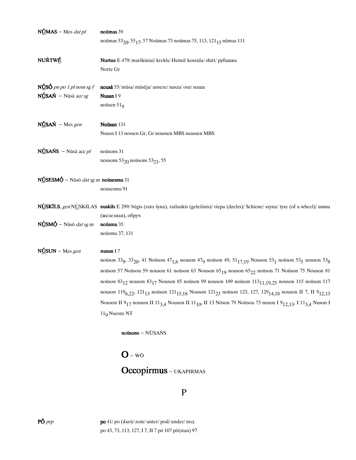| $N\underline{U}MAS - Mes \, dat \, pl$                                           | noūmas 39                                                                                                                                                                                          |
|----------------------------------------------------------------------------------|----------------------------------------------------------------------------------------------------------------------------------------------------------------------------------------------------|
|                                                                                  | noūmas 53 <sub>20</sub> , 55 <sub>17</sub> , 57 Noūmas 73 noūmas 75, 113, 121 <sub>15</sub> nūmas 111                                                                                              |
| NUŔTWÉ                                                                           | Nurtue E 479/ marškiniai/ krekls/ Hemd/ koszula/ shirt/ рубашка                                                                                                                                    |
|                                                                                  | Norte Gr                                                                                                                                                                                           |
| $N\angle$ SÓ pn po 1 pl nom sg f                                                 | nousā 55/mūsa/mūsēja/unsere/nasza/our/ наша                                                                                                                                                        |
| $N\underline{\textbf{U}}$ SAŃ – Nūsā acc sg                                      | Nusan I 9                                                                                                                                                                                          |
|                                                                                  | noūsen $519$                                                                                                                                                                                       |
| $N\underline{U}SAN - Mesgen$                                                     | Noūsan 131                                                                                                                                                                                         |
|                                                                                  | Nusen I 13 nossen Gr, Gr noussen MBS naussen MBS                                                                                                                                                   |
| $N\underline{\text{U}}$ SAŃS – Nūsā acc pl                                       | noūsons 31                                                                                                                                                                                         |
|                                                                                  | nousons $53_{20}$ nousons $53_{21}$ , 55                                                                                                                                                           |
| NÚSESMÓ - Nūsō dat sg m noūsesmu 31                                              |                                                                                                                                                                                                    |
|                                                                                  | nousesmu 91                                                                                                                                                                                        |
|                                                                                  | NUSKĪLS, gen NUSKILAS nuskils E 299/ bėgis (rato šyna), ratlankis (geležinis)/ riepa (dzelzs)/ Schiene/ szyna/ tyre (of a wheel)/ шина                                                             |
|                                                                                  | (железная), обруч                                                                                                                                                                                  |
| $N\underline{\acute{\mathbf{U}}}$ SM $\acute{\mathbf{Q}}$ – Nūsō <i>dat sg m</i> | noūsmu $35\,$                                                                                                                                                                                      |
|                                                                                  | noūsmu 37, 131                                                                                                                                                                                     |
| $N\underline{O}SUN - Mes\,gen$                                                   | nusun I 7                                                                                                                                                                                          |
|                                                                                  | noūson 33 <sub>9</sub> , 33 <sub>20</sub> , 41 Noūson 47 <sub>1,6</sub> nouson 47 <sub>9</sub> noūson 49, 51 <sub>17,19</sub> Nouson 53 <sub>1</sub> noūson 53 <sub>5</sub> nouson 53 <sub>8</sub> |
|                                                                                  | noüson 57 Noüson 59 nouson 61 noüson 63 Nouson 65 <sub>19</sub> nouson 65 <sub>22</sub> noüson 71 Noüson 75 Nouson 81                                                                              |
|                                                                                  | noūson $83_{12}$ nouson $83_{17}$ Nouson 85 noūson 99 nouson 109 noūson $113_{11,19,25}$ nouson 115 noūson 117                                                                                     |
|                                                                                  | nouson 119 <sub>6.22</sub> , 121 <sub>13</sub> noūson 121 <sub>15.18</sub> Nouson 121 <sub>23</sub> noūson 123, 127, 129 <sub>14.18</sub> nouson II 7, II 9 <sub>12.13</sub>                       |
|                                                                                  | Nouson II 9 <sub>17</sub> nouson II 11 <sub>3,4</sub> Nouson II 11 <sub>10</sub> , II 13 Nōson 79 Noūsou 73 nuson I 9 <sub>12,13</sub> , I 11 <sub>3,4</sub> Nuson I                               |
|                                                                                  | $119$ Nuesze NT                                                                                                                                                                                    |
|                                                                                  | noūsons - NŪSANS                                                                                                                                                                                   |
|                                                                                  | $\mathbf{O}$ – WO                                                                                                                                                                                  |
|                                                                                  | <b>Occopirmus</b> – UKAPIRMAS                                                                                                                                                                      |
|                                                                                  | P                                                                                                                                                                                                  |

**PÓ** *prp* **po** 41/ po (*kuo*)/ zem/ unter/pod/ under/ под po 43, 73, 113, 127, I 7, II 7 pō<br/> 107 pō(stan) 97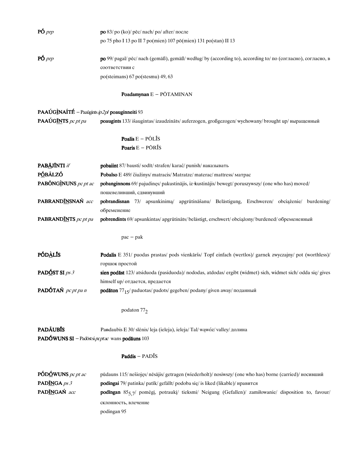| $P\acute{\mathrm{O}}$ <i>prp</i>                       | <b>ро</b> 83/ ро (ko)/ pēc/ nach/ ро/ after/ после                                                                             |
|--------------------------------------------------------|--------------------------------------------------------------------------------------------------------------------------------|
|                                                        | po 75 pho I 13 po II 7 po(mien) 107 pō(mien) 131 po(stan) II 13                                                                |
|                                                        |                                                                                                                                |
| $P\acute{\mathrm{O}}$ <i>prp</i>                       | po 99/ pagal/ pēc/ nach (gemäß), gemäß/ według/ by (according to), according to/ по (согласно), согласно, в                    |
|                                                        | соответствии с                                                                                                                 |
|                                                        | po(steimans) 67 po(stesmu) 49, 63                                                                                              |
|                                                        | Poadamynan E - PŌTAMINAN                                                                                                       |
| <b>PAAÚGINAÍTÉ</b> - Paaūgints $ip2pl$ poauginneiti 93 |                                                                                                                                |
| PAAÚGINTS pc pt pa                                     | poaugints 133/ išaugintas/ izaudzināts/ auferzogen, großgezogen/ wychowany/ brought up/ выращенный                             |
|                                                        |                                                                                                                                |
|                                                        | Poalis $E - P\tilde{O}L\tilde{I}S$                                                                                             |
|                                                        | Poaris $E - P\bar{O}R\tilde{I}S$                                                                                               |
|                                                        |                                                                                                                                |
| PABĀJĪNTI if                                           | pobaiint 87/ bausti/sodīt/strafen/karać/punish/наказывать                                                                      |
| <b>PÓBÁLZÓ</b><br>PABÓNGINUNS pc pt ac                 | Pobalso E 489/ čiužinys/ matracis/ Matratze/ materac/ mattress/ матрас                                                         |
|                                                        | pobanginnons 69/ pajudinęs/ pakustinājis, iz kustinājis/ bewegt/ poruszywszy/ (one who has) moved/<br>пошевеливший, сдвинувший |
| PABRANDINSNAŃ acc                                      | pobrandisnan 73/ apsunkinimą/ apgrūtināšanu/ Belästigung, Erschweren/ obciążenie/ burdening/                                   |
|                                                        | обременение                                                                                                                    |
| <b>PABRANDINTS</b> pc pt pa                            | pobrendints 69/ apsunkintas/ apgrūtināts/ belästigt, erschwert/ obciążony/ burdened/ обремененный                              |
|                                                        |                                                                                                                                |
|                                                        | $pac - pak$                                                                                                                    |
| <b>PÓDALIS</b>                                         | Podalis E 351/ puodas prastas/ pods vienkāršs/ Topf einfach (wertlos)/ garnek zwyczajny/ pot (worthless)/                      |
|                                                        | горшок простой                                                                                                                 |
| PADÓST SI $ps 3$                                       | sien podāst 123/atsiduoda (pasiduoda)/nododas, atdodas/ergibt (widmet) sich, widmet sich/odda się/gives                        |
|                                                        | himself up/ отдается, предается                                                                                                |
| PADÓTAŃ pc pt pa n                                     | podāton 77 <sub>15</sub> / paduotas/ padots/ gegeben/ podany/ given away/ поданный                                             |
|                                                        | podaton 772                                                                                                                    |
|                                                        |                                                                                                                                |
| <b>PADÁUBIS</b>                                        | Pandaubis E 30/ slėnis/ leja (ieleja), ieleja/ Tal/ wąwóz/valley/ долина                                                       |
| PADÓWUNS SI - Padōstsi pcptac wans podāuns 103         |                                                                                                                                |
|                                                        |                                                                                                                                |
|                                                        | Paddis - PADĪS                                                                                                                 |
| PÓDÓWUNS pc pt ac                                      | pūdauns 115/nešiojęs/nēsājis/getragen (wiederholt)/nosiwszy/ (one who has) borne (carried)/носивший                            |
| PADINGA ps 3                                           | <b>podingai</b> 79/ patinka/ patīk/ gefällt/ podoba się/ is liked (likable)/ нравится                                          |
| PADÍNGAŃ acc                                           | podingan 855,7/ pomėgį, potraukį/ tieksmi/ Neigung (Gefallen)/ zamiłowanie/ disposition to, favour/                            |
|                                                        | склонность, влечение                                                                                                           |
|                                                        | podingan 95                                                                                                                    |
|                                                        |                                                                                                                                |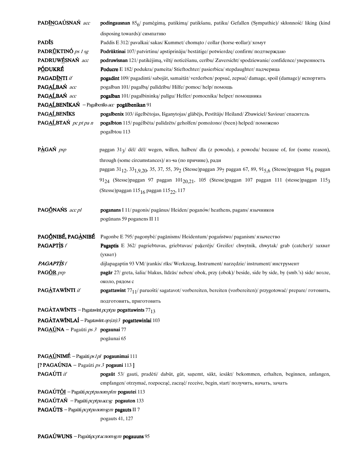| PADĪNGAÚSNAŃ acc                                                             | <b>podingausnan</b> $856$ pamėgimą, patikimą/ patikšanu, patiku/ Gefallen (Sympathie)/ skłonność/ liking (kind                                                                     |
|------------------------------------------------------------------------------|------------------------------------------------------------------------------------------------------------------------------------------------------------------------------------|
|                                                                              | disposing towards)/ симпатию                                                                                                                                                       |
| <b>PADIS</b>                                                                 | Paddis E 312/ pavalkai/ sakas/ Kummet/ chomato / collar (horse eollar)/ xomyr                                                                                                      |
| PADRŮKTINÓ ps 1 sg                                                           | <b>Podrūktinai</b> 107/patvirtinu/apstiprināju/bestätige/potwierdzę/confirm/подтверждаю                                                                                            |
| PADRUWÉSNAŃ acc                                                              | podruwīsnan 121/ patikėjimą, vilti/ noticēšanu, cerību/ Zuversicht/ spodziewanie/ confidence/ уверенность                                                                          |
| <b>PÓDUKRÉ</b>                                                               | <b>Poducre</b> E 182/podukra/pameita/Stieftochter/pasierbica/stepdaughter/падчерица                                                                                                |
| <b>PAGADÍNTI</b> if                                                          | <b>pogadint</b> 109/ pagadinti/ sabojāt, samaitāt/ verderben/ popsuć, zepsuć/ damage, spoil (damage)/ испортить                                                                    |
| PAGALBAŃ acc                                                                 | pogalban 101/ pagalbą/ palīdzību/ Hilfe/ pomoc/ help/ помощь                                                                                                                       |
| PAGALBAŃ acc                                                                 | pogalban 101/ pagalbininką/ palīgu/ Helfer/ pomocnika/ helper/ помощника                                                                                                           |
| PAGAĹBENĪKAŃ - Pagalbenīks acc pogālbenikan 91                               |                                                                                                                                                                                    |
| PAGALBENIKS                                                                  | <b>pogalbenix</b> 103/išgelbėtojas, Išganytojas/glābējs, Pestītājs/Heiland/Zbawiciel/Saviour/спаситель                                                                             |
| PAGALBTAŃ pc pt pa n                                                         | pogalbton 115/ pagélbėta/ palīdzēts/ geholfen/ pomożono/ (been) helped/ поможено<br>pogalbtou 113                                                                                  |
|                                                                              |                                                                                                                                                                                    |
| PÀGAŃ psp                                                                    | paggan 31 <sub>3</sub> / dėl/ dėl/ wegen, willen, halben/ dla (z powodu), z powodu/ because of, for (some reason),                                                                 |
|                                                                              | through (some circumstances)/ из за (по причине), ради                                                                                                                             |
|                                                                              | paggan 31 <sub>12</sub> , 33 <sub>1,9,20</sub> , 35, 37, 55, 39 <sub>2</sub> (Stesse)paggan 39 <sub>7</sub> paggan 67, 89, 91 <sub>5,6</sub> (Stesse)paggan 91 <sub>6</sub> paggan |
|                                                                              | 91 <sub>24</sub> (Stesse)paggan 97 paggan 101 <sub>20.21</sub> , 105 (Stesse)paggan 107 paggan 111 (stesse)paggan 115 <sub>3</sub>                                                 |
|                                                                              | (Stesse)paggan 115 <sub>16</sub> paggan 115 <sub>22</sub> , 117                                                                                                                    |
|                                                                              |                                                                                                                                                                                    |
| PAGÖNAŃS acc pl                                                              | <b>poganans</b> I 11/ pagonis/ paganus/ Heiden/ poganów/ heathens, pagans/ язычников                                                                                               |
|                                                                              | pogūnans 59 poganens II 11                                                                                                                                                         |
| PAGÓNIBÉ, PAGÀNIBÉ                                                           | Pagonbe E 795/ pagonybė/ pagānisms/ Heidentum/ pogaństwo/ paganism/ язычество                                                                                                      |
| <b>PAGAPTIS</b> f                                                            | Pagaptis E 362/ pagriebtuvas, griebtuvas/ pakerējs/ Greifer/ chwytnik, chwytak/ grab (catcher)/ захват                                                                             |
|                                                                              | (ухват)                                                                                                                                                                            |
| <b>PAGAPTISf</b>                                                             | dijlapagaptin 93 VM/ įrankis/ rīks/ Werkzeug, Instrument/ narzędzie/ instrument/ инструмент                                                                                        |
| PAGOR prp                                                                    | pagār 27/ greta, šalia/ blakus, līdzās/ neben/ obok, przy (obok)/ beside, side by side, by (smb.'s) side/ Bo3ne,                                                                   |
|                                                                              | около, рядом с                                                                                                                                                                     |
| PAGÀTAWÍNTI if                                                               | pogattawint 77 <sub>11</sub> / paruošti/ sagatavot/ vorbereiten, bereiten (vorbereiten)/ przygotować/ prepare/ готовить,                                                           |
|                                                                              | подготовить, приготовить                                                                                                                                                           |
| <b>PAGÀTAWĪNTS</b> - Pagatawīnt <i>pcpt pa</i> <b>pogattawints</b> $77_{13}$ |                                                                                                                                                                                    |
|                                                                              | <b>PAGÀTAWÍNLAÍ</b> - Pagatawint $op(cn)3$ pogattewinlai 103                                                                                                                       |
| <b>PAGAÚNA</b> – Pagaūti ps 3 <b>pogaunai</b> 77                             |                                                                                                                                                                                    |
|                                                                              | pogāunai 65                                                                                                                                                                        |
| PAGAÚNIMÉ - Pagaūti ps1 pl pogaunimai 111                                    |                                                                                                                                                                                    |
| [? PAGAÚNJA – Pagaūti $ps 3$ pogauni 113]                                    |                                                                                                                                                                                    |
| PAGAÚTI if                                                                   | pogaūt 53/ gauti, pradėti/ dabūt, gūt, saņemt, sākt, iesākt/ bekommen, erhalten, beginnen, anfangen,                                                                               |
|                                                                              | empfangen/otrzymać, rozpocząć, zacząć/ receive, begin, start/получить, начать, зачать                                                                                              |
| PAGAÚTÕI - Pagaūti <i>pcpt pa nom pl m</i> pogautei 113                      |                                                                                                                                                                                    |
| PAGAÚTAŃ - Pagaūti pcptpa accsg pogauton 133                                 |                                                                                                                                                                                    |
| PAGAÚTS - Pagaūti <i>pcpt pa nom sg m</i> pagauts II 7                       |                                                                                                                                                                                    |
|                                                                              | pogauts 41, 127                                                                                                                                                                    |
|                                                                              |                                                                                                                                                                                    |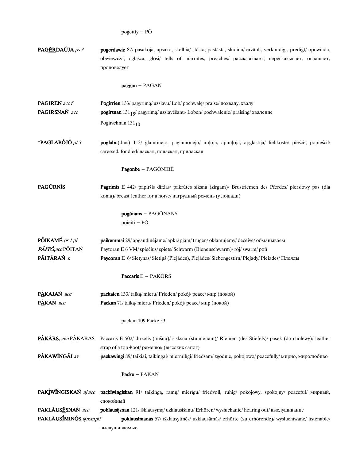| PAGÉRDAÚJA ps 3        | <b>pogerdawie</b> 87/ pasakoja, apsako, skelbia/ stāsta, pastāsta, sludina/ erzählt, verkündigt, predigt/ opowiada,<br>obwieszcza, ogłasza, głosi/ tells of, narrates, preaches/ рассказывает, пересказывает, оглашает,<br>проповедует |
|------------------------|----------------------------------------------------------------------------------------------------------------------------------------------------------------------------------------------------------------------------------------|
|                        | $paggan - PAGAN$                                                                                                                                                                                                                       |
| <b>PAGIREN</b> acc f   | Pogirrien 133/ pagyrimą/ uzslavu/ Lob/ pochwałę/ praise/ похвалу, хвалу                                                                                                                                                                |
| PAGIRSNAŃ acc          | <b>pogirsnan</b> $131_1$ <sub>5</sub> / pagyrimą/ uzslavēšanu/ Loben/ pochwalenie/ praising/ хваление                                                                                                                                  |
|                        | Pogirschnan 131 <sub>10</sub>                                                                                                                                                                                                          |
| *PAGLABÓJÓ pt 3        | poglabū(dins) 113/ glamonėjo, paglamonėjo/ mīļoja, apmīļoja, apglāstīja/ liebkoste/ pieścił, popieścił/<br>caressed, fondled/ ласкал, поласкал, приласкал                                                                              |
|                        | Pagonbe - PAGŌNIBĒ                                                                                                                                                                                                                     |
| <b>PAGURNIS</b>        | Pagrimis E 442/ papiršis diržas/ pakrūtes siksna (zirgam)/ Brustriemen des Pferdes/ piersiowy pas (dla<br>konia)/ breast leather for a horse/ нагрудный ремень (у лошади)                                                              |
|                        | pogūnans - PAGŌNANS<br>poieiti – PŌ                                                                                                                                                                                                    |
| PÔIKAMÉ ps 1 pl        | paikemmai 29/ apgaudinėjame/ apkrāpjam/ trügen/ okłamujemy/ deceive/ обманываем                                                                                                                                                        |
| PÁITÓ, acc PÓITAŃ      | Paytoran E 6 VM/ spiečius/ spiets/ Schwarm (Bienenschwarm)/ rój/ swarm/ рой                                                                                                                                                            |
| PÃIT <u>Ā</u> RAŃ n    | Paycoran E 6/ Sietynas/ Sietiņš (Plejādes), Plejādes/ Siebengestirn/ Plejady/ Pleiades/ Плеяды                                                                                                                                         |
|                        | Paccaris E - PAKŌRS                                                                                                                                                                                                                    |
| PÀKAJAŃ acc            | packaien 133/ taiką/ mieru/ Frieden/ pokój/ peace/ мир (покой)                                                                                                                                                                         |
| PÀKAŃ acc              | Packan 71/ taiką/ mieru/ Frieden/ pokój/ peace/ мир (покой)                                                                                                                                                                            |
|                        | packun 109 Packe 53                                                                                                                                                                                                                    |
| PÀKÃRS, gen PAKARAS    | Paccaris E 502/ dirželis (pušnų)/ sisksna (stulmeņam)/ Riemen (des Stiefels)/ pasek (do cholewy)/ leather                                                                                                                              |
|                        | strap of a top-boot/ ремешок (высоких сапог)                                                                                                                                                                                           |
| PÀKAWÍNGÃI av          | packawingi 89/taikiai, taikingai/miermīlīgi/friedsam/zgodnie, pokojowo/peacefully/мирно, миролюбиво                                                                                                                                    |
|                        | Packe - PAKAN                                                                                                                                                                                                                          |
|                        | PAKÍWÍNGISKAŃ aj acc packīwingiskan 91/ taikingą, ramų/ mierīgu/ friedvoll, ruhig/ pokojowy, spokojny/ peaceful/ мирный,<br>спокойный                                                                                                  |
| PAKLÃUSĒSNAŃ acc       | poklausijsnan 121/išklausymą/ uzklausīšanu/ Erhören/ wysłuchanie/ hearing out/ выслушивание                                                                                                                                            |
| PAKLÃUSÍMINÕS ajnomplf | poklausīmanas 57/ išklausytinės/ uzklausāmās/ erhörte (zu erhörende)/ wysłuchiwane/ listenable/                                                                                                                                        |
|                        | выслушиваемые                                                                                                                                                                                                                          |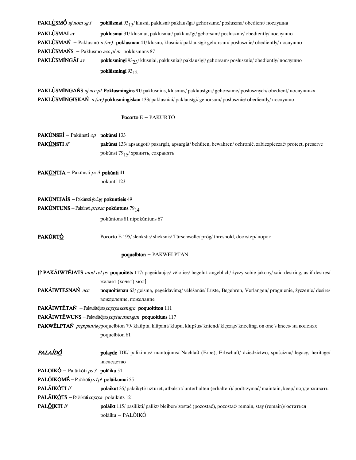|                                                            | poklūsmingi 93 <sub>12</sub>                                                                                                 |  |
|------------------------------------------------------------|------------------------------------------------------------------------------------------------------------------------------|--|
| PAKLÙSMÍNGÃI av                                            | <b>poklusmingi</b> $932\frac{\sqrt{3}}{2}$ klusniai, paklusniai/ paklausīgi/ gehorsam/ posłusznie/ obediently/ послушно      |  |
| <b>PAKLÙSMAŃS</b> – Paklusmõ <i>acc pl m</i> boklusmans 87 |                                                                                                                              |  |
|                                                            | <b>PAKLÙSMAŃ</b> – Paklusmō $n (av)$ <b>poklusman</b> 41/klusnu, klusniai/paklausīgi/gehorsam/posłusznie/obediently/nocnymno |  |
| PAKLÙSMÃI av                                               | <b>poklusmai</b> 31/ klusniai, paklusniai/ paklausīgi/ gehorsam/ posłusznie/ obediently/ послушно                            |  |
| <b>PAKLUSMO</b> aj nom sg f                                | <b>poklūsmai</b> 93 <sub>13</sub> /klusni, paklusni/paklausīga/gehorsame/posłuszna/obedient/послушна                         |  |

PAKLÙSMĨNGAŃS aj acc pl Poklusmingins 91/paklusnius, klusnius/paklausīgus/ gehorsame/posłusznych/obedient/послушных PAKLÙSMĨNGISKAŃ *n (av)* poklusmingiskan 133/paklusniai/paklausīgi/gehorsam/posłusznie/obediently/послушно

### Pocorto E - PAKŪRTÓ

PAKŪNSEÍ - Pakūnsti op pokūnsi 133 PAKŪNSTI if pakūnst 133/apsaugoti/pasargāt, apsargāt/behüten, bewahren/ochronić, zabiezpieczać/protect, preserve pokūnst  $79$ <sub>15</sub>/ хранить, сохранять

PAKŪNTJA - Pakūnsti  $ps3$  pokūnti 41 pokūnti 123

## PAKŪNTJAÍS - Pakūnsti  $ip2sg$  pokuntieis 49

PAK<u>ŪN</u>TUNS - Pakūnsti  $\rho cptac$  pokūntuns 79<sub>14</sub>

pokūntons 81 nipokūntuns 67

PAKŨRTÓ Pocorto E 195/slenkstis/slieksnis/Türschwelle/próg/threshold, doorstep/ ποροτ

#### poquelbton - PAKWÉLPTAN

| [? PAKÃIWTÉJATS <i>mod rel ps</i> poquoitēts 117/ pageidaująs/ vēloties/ begehrt angeblich/ życzy sobie jakoby/ said desiring, as if desires/ |                                                                                                              |  |
|-----------------------------------------------------------------------------------------------------------------------------------------------|--------------------------------------------------------------------------------------------------------------|--|
|                                                                                                                                               | желает (хочет) мол]                                                                                          |  |
| PAKÃIWTĒSNAŃ acc                                                                                                                              | poquoitīsnau 63/ geismą, pegeidavimą/ vēlēšanās/ Lüste, Begehren, Verlangen/ pragnienie, życzenie/ desire/   |  |
|                                                                                                                                               | вожделение, пожелание                                                                                        |  |
|                                                                                                                                               | $\mathbf{PAKÄIWTETA}\acute{\mathbf{N}}$ - Pakwäitējats $pcptpa$ nom sg n poquoitīton 111                     |  |
|                                                                                                                                               | PAKĀIWTĒWUNS – Pakwāitējats <i>pc pt ac nom sg m</i> poquoitīuns 117                                         |  |
| PAKWÉLPTAŃ pcptpan(av)poquelbton 79/ klaŭpta, klūpant/ klupu, klupšus/ kniend/ klęcząc/ kneeling, on one's knees/ на коленях                  |                                                                                                              |  |
|                                                                                                                                               | poquelbton 81                                                                                                |  |
|                                                                                                                                               |                                                                                                              |  |
| PALAÍDÓ                                                                                                                                       | polayde DK/ palikimas/ mantojums/ Nachlaß (Erbe), Erbschaft/ dziedzictwo, spuścizna/ legacy, heritage/       |  |
|                                                                                                                                               | наследство                                                                                                   |  |
| <b>PALÕIKÓ</b> – Palāikōti <i>ps 3</i> <b>polāiku</b> 51                                                                                      |                                                                                                              |  |
| <b>PALÕIKÕMÉ</b> – Palāikōti <i>ps 1 pl</i> pol <b>āikumai</b> 55                                                                             |                                                                                                              |  |
| PALÃIKÓTI <i>if</i>                                                                                                                           | polaikūt 35/ palaikyti/ uzturēt, atbalstīt/ unterhalten (erhalten)/ podtrzymać/ maintain, keep/ поддерживать |  |
| PALĀIK <u>Ó</u> TS – Palāikōti <i>peptpa</i> polaikūts 121                                                                                    |                                                                                                              |  |
| PAL <u>ÕI</u> KTI <i>if</i>                                                                                                                   | <b>polāikt</b> 115/pasilikti/palikt/bleiben/zostać (pozostać), pozostać/remain, stay (remain)/остаться       |  |
|                                                                                                                                               | polāiku - PALÕIKÓ                                                                                            |  |
|                                                                                                                                               |                                                                                                              |  |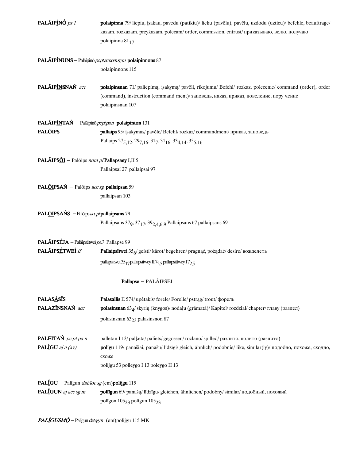| PALÃIPÌNÓ ps 1                                  | polaipinna 79/liepiu, įsakau, pavedu (patikiu)/lieku (pavēlu), pavēlu, uzdodu (uzticu)/befehle, beauftrage/<br>kazam, rozkazam, przykazam, polecam/order, commission, entrust/приказываю, велю, получаю               |
|-------------------------------------------------|-----------------------------------------------------------------------------------------------------------------------------------------------------------------------------------------------------------------------|
|                                                 | polaipinna 81 <sub>17</sub>                                                                                                                                                                                           |
|                                                 | PALÃIPÌNUNS - Palāipinō pcptacnomsgm polaipinnons 87                                                                                                                                                                  |
|                                                 | polaipinnons 115                                                                                                                                                                                                      |
| PALÃIPĨNSNAŃ acc                                | polaipīnsnan 71/ paliepimą, įsakymą/ pavēli, rīkojumu/ Befehl/ rozkaz, polecenie/ command (order), order<br>(command), instruction (command-ment)/ заповедь, наказ, приказ, повеление, пору-чение<br>polaipinsnan 107 |
| PALÃIPĨNTAŃ - Palāipinō pcptpan polaipinton 131 |                                                                                                                                                                                                                       |
| <b>PALOIPS</b>                                  | pallaips 95/ įsakymas/ pavēle/ Befehl/ rozkaz/ commandment/ приказ, заповедь                                                                                                                                          |
|                                                 | Pallaips 275, 12, 297, 16, 317, 3116, 334, 14, 355, 16                                                                                                                                                                |
| PALÃIPSÕI - Palõips nom p/Pallapsaey I,II 5     |                                                                                                                                                                                                                       |
|                                                 | Pallaipsai 27 pallaipsai 97                                                                                                                                                                                           |
| PALÕIPSAŃ - Palõips acc sg pallaipsan 59        |                                                                                                                                                                                                                       |
|                                                 | pallaipsan 103                                                                                                                                                                                                        |
| PALÕIPSAŃS - Palõips accp/pallaipsans 79        |                                                                                                                                                                                                                       |
|                                                 | Pallaipsans 37 <sub>9</sub> , 37 <sub>17</sub> , 39 <sub>2,4,6,9</sub> Pallaipsans 67 pallaipsans 69                                                                                                                  |
| PALÃIPSÉJA - Palāipsētweī ps 3 Pallapse 99      |                                                                                                                                                                                                                       |
| PALÃIPSÉTWEÍ if                                 | Pallaipsītwei $35/$ geisti/kārot/begehren/pragnąć, pożądać/desire/вожделеть                                                                                                                                           |
|                                                 | pallapsitwei 35 <sub>17</sub> pallapsitwey II 7 <sub>2,5</sub> pallapsittwey I 7 <sub>2,5</sub>                                                                                                                       |
|                                                 | Pallapse - PALÃIPSĒI                                                                                                                                                                                                  |
| <b>PALASASIS</b>                                | Palasallis E 574/ upėtakis/ forele/ Forelle/ pstrąg/ trout/ форель                                                                                                                                                    |
| PALAZINSNAŃ acc                                 | polasīnsnan 634/ skyrių (knygos)/ nodaļu (grāmatā)/ Kapitel/ rozdział/ chapter/ главу (раздел)                                                                                                                        |
|                                                 | polasinsnan 63 <sub>23</sub> palasinsnon 87                                                                                                                                                                           |
| PALÉITAŃ pc pt pa n                             | palletan I 13/ palķeta/ paliets/ gegossen/ rozlano/ spilled/ разлито, полито (разлито)                                                                                                                                |
| PALÍGU $ajn (av)$                               | polīgu 119/ panašiai, panašu/ līdzīgi/ gleich, ähnlich/ podobnie/ like, similar(ly)/ подобно, похоже, сходно,<br>схоже                                                                                                |
|                                                 | polijgu 53 polleygo I 13 poleygo II 13                                                                                                                                                                                |
| PALÍGU - Palīgun dat/loc sg (em)polijgu 115     |                                                                                                                                                                                                                       |
| <b>PAL</b> IGUN aj acc sg $m$                   | pollīgun 69/ panašų/ līdzīgu/ gleichen, ähnlichen/ podobny/ similar/ подобный, похожий                                                                                                                                |
|                                                 | poligon $105_{23}$ poligun $105_{23}$                                                                                                                                                                                 |

 $PAL*fGUSMO* - Palīgun *datsgm* (em)polijgu 115 MK$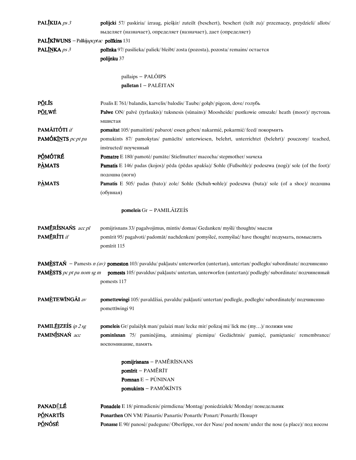| <b>PALIKIJA</b> $ps 3$                   | <b>polijcki</b> 57/ paskiria/ izraug, piešķir/ zuteilt (beschert), beschert (teilt zu)/ przeznaczy, przydzieli/ allots/                 |  |
|------------------------------------------|-----------------------------------------------------------------------------------------------------------------------------------------|--|
|                                          | выделяет (назначает), определяет (назначает), дает (определяет)                                                                         |  |
| PALĪKĪWUNS - Palīkijapcptac polīkins 131 |                                                                                                                                         |  |
| PALINKA ps 3                             | polinka 97/ pasilieka/ paliek/ bleibt/ zosta (pozosta), pozosta/ remains/ остается                                                      |  |
|                                          | polijnku 37                                                                                                                             |  |
|                                          |                                                                                                                                         |  |
|                                          | pallaips - PALÕIPS                                                                                                                      |  |
|                                          | palletan I - PALÉITAN                                                                                                                   |  |
|                                          |                                                                                                                                         |  |
| <b>PÕLĪS</b>                             | Poalis E 761/balandis, karvelis/balodis/Taube/gołąb/pigeon, dove/голубь                                                                 |  |
| P <u>ÕL</u> WÉ                           | Palwe ON/ palve (tyrlaukis)/ tuksnesis (sūnains)/ Moosheide/ pustkowie omszałe/ heath (moor)/ пустошь                                   |  |
|                                          | мшистая                                                                                                                                 |  |
| PAMÃITÓTI if                             | pomaitat 105/pamaitinti/pabarot/essen geben/nakarmić, pokarmić/feed/покормить                                                           |  |
| PAMÓKINTS pc pt pa                       | pomukints 87/ pamokytas/ pamācīts/ unterwiesen, belehrt, unterrichtet (belehrt)/ pouczony/ teached,                                     |  |
|                                          | instructed/поученный                                                                                                                    |  |
| PÓMÓTRÉ                                  | Pomatre E 180/ pamotė/ pamāte/ Stiefmutter/ macocha/ stepmother/ мачеха                                                                 |  |
| <b>PÀMATS</b>                            | Pamatis E 146/ padas (kojos)/ pēda (pēdas apakša)/ Sohle (Fußsohle)/ podeszwa (nogi)/ sole (of the foot)/                               |  |
|                                          | подошва (ноги)                                                                                                                          |  |
| <b>PAMATS</b>                            | Pamatis E 505/ padas (bato)/ zole/ Sohle (Schuh-sohle)/ podeszwa (buta)/ sole (of a shoe)/ подошва                                      |  |
|                                          | (обувная)                                                                                                                               |  |
|                                          |                                                                                                                                         |  |
|                                          | pomeleis Gr - PAMILÃIZEÍS                                                                                                               |  |
|                                          |                                                                                                                                         |  |
| PAMĒRÍSNAŃS acc pl                       | pomijrisnans 33/ pagalvojimus, mintis/ domas/ Gedanken/ myśli/ thoughts/ мысли                                                          |  |
| PAMĒRÍTI if                              | pomīrit 95/ pagalvoti/ padomāt/ nachdenken/ pomyśleć, rozmyślać/ have thought/ подумать, помыслить                                      |  |
|                                          | pomīrit 115                                                                                                                             |  |
|                                          |                                                                                                                                         |  |
|                                          | <b>PAMÈSTAN</b> – Pamests $n (av)$ pomeston 103/ pavaldu/ paklauts/ unterworfen (untertan), untertan/ podległo/ subordinate/ подчиненно |  |
|                                          | <b>PAMESTS</b> pc pt pa nom sg m pomests 105/ pavaldus/ paklauts/ untertan, unterworfen (untertan)/ podlegly/ subordinate/ подчиненный  |  |
|                                          | pomests 117                                                                                                                             |  |
|                                          |                                                                                                                                         |  |
| PAMÈTEWÍNGÃI av                          | pomettewingi 105/pavaldžiai, pavaldu/pakļauti/untertan/podlegle, podległo/subordinately/подчиненно                                      |  |
|                                          | pomettīwingi 91                                                                                                                         |  |
|                                          |                                                                                                                                         |  |
| PAMILÉIZEÍS ip 2 sg                      | pomeleis Gr/palaižyk man/palaizi man/lecke mir/polizaj mi/lick me (my)/полижи мне                                                       |  |
| PAMINÍSNAŃ acc                           | pominīsnan 75/ paminėjimą, atminimą/ piemiņu/ Gedächtnis/ pamięć, pamiętanie/ remembrance/                                              |  |
|                                          | воспоминание, память                                                                                                                    |  |
|                                          |                                                                                                                                         |  |
|                                          | pomijrisnans - PAMĒRĪSNANS                                                                                                              |  |
|                                          | pomīrit - PAMĒRĪT                                                                                                                       |  |
|                                          | <b>Pomnan</b> $E - P\hat{U}NINAN$                                                                                                       |  |
|                                          | pomukints - PAMÓKĨNTS                                                                                                                   |  |
|                                          |                                                                                                                                         |  |
| <b>PANADĒLÉ</b>                          | Ponadele E 18/ pirmadienis/ pirmdiena/ Montag/ poniedziałek/ Monday/ понедельник                                                        |  |
|                                          | <b>PÓNARTIS</b><br>Ponarthen ON VM/ Panartis/ Panartis/ Ponarth/ Ponart/ Ponarth/ Понарт                                                |  |
| <b>PÓNÓSÉ</b>                            | Ponasse E 90/ panose/ padegune/ Oberlippe, vor der Nase/ pod nosem/ under the nose (a place)/ под носом                                 |  |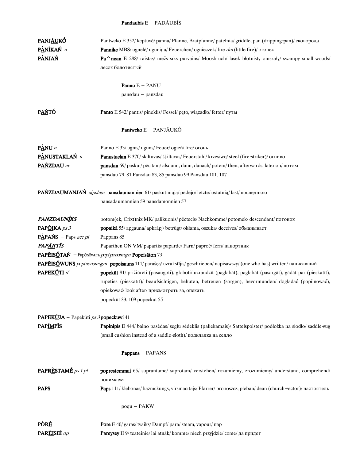## Pandaubis E - PADÃUBIS

| PANJ <u>ÃU</u> KÓ                            | Pantwcko E 352/ keptuvė/ panna/ Pfanne, Bratpfanne/ patelnia/ griddle, pan (dripping pan)/ сковорода                    |  |
|----------------------------------------------|-------------------------------------------------------------------------------------------------------------------------|--|
| PÀNÌKAŃ n                                    | Pannike MBS/ ugnelė/ uguniņa/ Feuerchen/ ognieczek/ fire dm (little fire)/ огонек                                       |  |
| PÀNJAŃ                                       | Pa nean E 288/ raistas/ mežs sīks purvains/ Moosbruch/ lasek błotnisty omszały/ swampy small woods/                     |  |
|                                              | лесок болотистый                                                                                                        |  |
|                                              |                                                                                                                         |  |
|                                              | Panno E - PANU                                                                                                          |  |
|                                              | pansdau - panzdau                                                                                                       |  |
| P <u>AŃ</u> TÓ                               | Panto E 542/ pantis/ pineklis/ Fessel/ pęto, wiązadło/ fetter/ путы                                                     |  |
|                                              | Pantwcko E - PANJÃUKÓ                                                                                                   |  |
| $P\triangle NU$ n                            | Panno E 33/ ugnis/ uguns/ Feuer/ ogien/ fire/ огонь                                                                     |  |
| PÀNUSTAKLAŃ n                                | <b>Panustacian</b> E 370/skiltuvas/šķiltavas/Feuerstahl/krzesiwo/steel (fire-striker)/огниво                            |  |
| PAŃZDAU av                                   | pansdau 69/ paskui/ pēc tam/ alsdann, dann, danach/ potem/ then, afterwards, later on/ потом                            |  |
|                                              | pansdau 79, 81 Pansdau 83, 85 pansdau 99 Pansdau 101, 107                                                               |  |
|                                              |                                                                                                                         |  |
|                                              | PAŃZDAUMANJAŃ ajpnlacc pansdaumannien 61/paskutiniąją/pēdējo/letzte/ostatnią/last/последнюю                             |  |
|                                              | pansadaumannien 59 pansdamonnien 57                                                                                     |  |
| PANZDAUNÍKS                                  | potom(ek, Crixt)nix MK/ palikuonis/ pēctecis/ Nachkomme/ potomek/ descendant/ потоиок                                   |  |
| PAPÕIKA ps 3                                 | popaikā 55/ apgauna/ apkrāpj/ betrügt/ okłama, oszuka/ deceives/ обманывает                                             |  |
| <b>PÀPAŃS</b> – Paps <i>acc pl</i>           | Pappans 85                                                                                                              |  |
| PAPÃRTIS                                     | Paparthen ON VM/papartis/paparde/Farn/paproć/fern/папортник                                                             |  |
|                                              | <b>PAPĒISÓTAŃ</b> - Papēisōwuns <i>pcpt pa nom sg n</i> Popeisāton 73                                                   |  |
|                                              | PAPÉISÓWUNS pcptacnomsgm popeisauns 111/ parašęs/ uzrakstījis/geschrieben/napisawszy/ (one who has) written/ написавший |  |
| PAPEKÚTI if                                  | popekūt 81/ prižiūrėti (pasaugoti), globoti/ uzraudzīt (paglabāt), paglabāt (pasargāt), gādāt par (pieskatīt),          |  |
|                                              | rūpēties (pieskatīt)/ beaufsichtigen, behüten, betreuen (sorgen), bevormunden/ doglądać (popilnować),                   |  |
|                                              | opiekować/look after/присмотреть за, опекать                                                                            |  |
|                                              | popeckūt 33, 109 popeckut 55                                                                                            |  |
|                                              |                                                                                                                         |  |
| <b>PAPEKÚJA</b> – Papekūti ps 3 popeckuwi 41 |                                                                                                                         |  |
| <b>PAPIMPIS</b>                              | Papinipis E 444/ balno pasėdas/ seglu sēdeklis (paliekamais)/ Sattelspolster/ podłożka na siodło/ saddle rug            |  |
|                                              | (small cushion instead of a saddle-eloth)/подкладка на седло                                                            |  |
|                                              | Pappans - PAPANS                                                                                                        |  |
| PAPRÈSTAMÉ ps 1 pl                           | poprestemmai 65/ suprantame/ saprotam/ verstehen/ rozumiemy, zrozumiemy/ understand, comprehend/                        |  |
|                                              | понимаем                                                                                                                |  |
| <b>PAPS</b>                                  | Paps 111/ klebonas/ baznīckungs, virsmācītājs/ Pfarrer/ proboszcz, pleban/ dean (church +ector)/ настоятель             |  |
|                                              | poqu - PAKW                                                                                                             |  |
| PÓRÉ                                         | Pore E 40/ garas/ tvaiks/ Dampf/ para/ steam, vapour/ nap                                                               |  |
| PAREISEÍ op                                  | Pareysey II 9/ teateinie/ lai atnāk/ komme/ niech przyjdzie/ come/ да придет                                            |  |
|                                              |                                                                                                                         |  |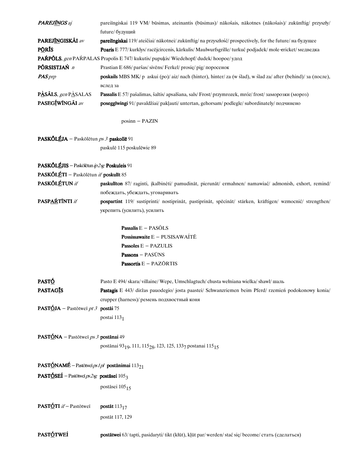| <b>PAREJINGS</b> aj                                                      | pareiīngiskai 119 VM/ būsimas, ateinantis (būsimas)/ nākošais, nākotnes (nākošais)/ zukünftig/ przyszły/   |
|--------------------------------------------------------------------------|------------------------------------------------------------------------------------------------------------|
|                                                                          | future/ будущий                                                                                            |
| PAREJ <u>ÍN</u> GISKÁI av                                                | pareiīngiskai 119/ateičiai/nākotnei/zukünftig/na przyszłość/prospectively, for the future/ на будущее      |
| PŌRĪS                                                                    | Poaris E 777/ kurklys/ racējcircenis, kārkulis/ Maulwurfsgrille/ turkuć podjadek/ mole-ericket/ медведка   |
|                                                                          | PAŔPÕLS, gen PAŔPALAS Prapolis E 747/ kukutis/ pupukis/ Wiedehopf/ dudek/ hoopoe/ удод                     |
| PÕRSISTJAŃ n                                                             | Prastian E 686/ paršas/ sivens/ Ferkel/ prosie/ pig/ поросенок                                             |
| <b>PAS</b> prp                                                           | poskails MBS MK/p askui (po)/aiz/nach (hinter), hinter/za (w ślad), w ślad za/after (behind)/ за (после),  |
|                                                                          | вслед за                                                                                                   |
| PÀSALS, gen PASALAS                                                      | Passalis E 57/ pašalimas, šaltis/ apsalšana, sals/ Frost/ przymrozek, mróz/ frost/ заморозки (мороз)       |
| PASEGÍWÍNGÃI av                                                          | poseggīwingi 91/ pavaldžiai/ pakļauti/ untertan, gehorsam/ podlegle/ subordinately/ подчинено              |
|                                                                          | posinn - PAZIN                                                                                             |
| PASKÕLÉJA – Paskölētun ps 3 paskollē 91                                  |                                                                                                            |
|                                                                          | paskulē 115 poskulēwie 89                                                                                  |
| PASKÕLÉJIS - Paskōlētun ip 2sg Poskuleis 91                              |                                                                                                            |
| PASKŐLÉTI – Pasköletun if poskulīt 85                                    |                                                                                                            |
| PASKŐLÉTUN if                                                            | paskulīton 87/ raginti, įkalbinėti/ pamudināt, pierunāt/ ermahnen/ namawiać/ admonish, exhort, remind/     |
|                                                                          | побеждать, убеждать, уговаривать                                                                           |
| PASPARTINTI if                                                           | pospartint 119/ sustiprinti/ nostiprināt, pastiprināt, spēcināt/ stärken, kräftigen/ wzmocnić/ strengthen/ |
|                                                                          | укрепить (усилить), усилить                                                                                |
|                                                                          |                                                                                                            |
|                                                                          | Passalis $E - PASÕLS$                                                                                      |
|                                                                          | <b>Possissawaite</b> $E - PUSISAWAITE$                                                                     |
|                                                                          | <b>Passoles</b> $E - PAZULIS$                                                                              |
|                                                                          | $Passons - PASUNS$                                                                                         |
|                                                                          | <b>Passortis</b> $E - PAZORTIS$                                                                            |
| <b>PASTÓ</b>                                                             | Pasto E 494/skara/villaine/ Wepe, Umschlagtuch/chusta wełniana wielka/shawl/шаль                           |
| <b>PASTAGIS</b>                                                          | Pastagis E 443/ diržas pauodegio/ josta paastei/ Schwanzriemen beim Pferd/ rzemień podokonowy konia/       |
|                                                                          | crupper (harness)/ ремень подхвостный коня                                                                 |
| <b>PASTÓJA</b> – Pastōtweī pt 3 postāi 75                                |                                                                                                            |
|                                                                          | postai 1131                                                                                                |
| <b>PASTÓNA</b> – Pastōtweī ps 3 postānai 49                              |                                                                                                            |
|                                                                          |                                                                                                            |
|                                                                          | postānai 93 <sub>19</sub> , 111, 115 <sub>28</sub> , 123, 125, 133 <sub>7</sub> postanai 115 <sub>15</sub> |
|                                                                          |                                                                                                            |
| <b>PASTÓNAMÉ</b> – Pastōtweī <i>ps 1 pl</i> postānimai 113 <sub>21</sub> |                                                                                                            |
| <b>PASTÓSEÍ</b> – Pastōtweī ps2sg <b>postāsei</b> 105 <sub>3</sub>       |                                                                                                            |
|                                                                          | postāsei 105 <sub>15</sub>                                                                                 |
| PASTÓTI if - Pastōtweī                                                   | postāt $113_{17}$                                                                                          |

PASTÓTWEÍ postātwei 63/tapti, pasidaryti/tikt (kłūt), kļūt par/werden/stać się/become/стать (сделаться)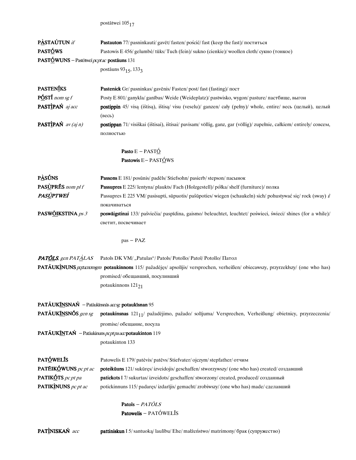```
postātwei105_{\small 17}
```

| PASTAÚTUN if                                          | Pastauton 77/ pasninkauti/ gavet/ fasten/ pościć/ fast (keep the fast)/ поститься                                                |
|-------------------------------------------------------|----------------------------------------------------------------------------------------------------------------------------------|
| PASTÓWS                                               | Pastowis E 456/gelumbė/tūks/Tuch (fein)/sukno (cienkie)/woollen cloth/сукно (тонкое)                                             |
| PASTÓWUNS - Pastōtweī pcpt ac postāuns 131            |                                                                                                                                  |
|                                                       | postāuns 93 <sub>15</sub> , 133 <sub>3</sub>                                                                                     |
|                                                       |                                                                                                                                  |
| <b>PASTENÍKS</b>                                      | Pastenick Gr/ pasninkas/ gavenis/ Fasten/ post/ fast (fasting)/ пост                                                             |
| $P\acute{O}ST\acute{I}$ nom sg f                      | Posty E 801/ ganykla/ ganības/ Weide (Weideplatz)/ pastwisko, wygon/ pasture/ пастбище, выгон                                    |
| PASTIPAŃ aj acc                                       | postippin 45/ visą (ištisą), ištisą/ visu (veselu)/ ganzen/ cały (pełny)/ whole, entire/ весь (целый), целый<br>(BeCD)           |
| <b>PASTIPAŃ</b> $av(ajn)$                             | postippan 71/ visiškai (ištisai), ištisai/ pavisam/ völlig, ganz, gar (völlig)/ zupełnie, całkiem/ entirely/ совсем,             |
|                                                       | полностью                                                                                                                        |
|                                                       |                                                                                                                                  |
|                                                       | Pasto $E - PASTÓ$                                                                                                                |
|                                                       | Pastowis $E - PAST@WS$                                                                                                           |
| <b>PASÚNS</b>                                         | Passons E 181/ posūnis/ padēls/ Stiefsohn/ pasierb/ stepson/ пасынок                                                             |
| PASUPRES nom pl f                                     | <b>Passupres</b> E 225/lentyna/plaukts/Fach (Holzgestell)/półka/shelf (furniture)/полка                                          |
| PASÙPTWEÍ                                             | Passupres E 225 VM/ pasisupti, sūpuotis/ pašūpoties/ wiegen (schaukeln) sich/ pohustywać się/ rock (sway) i/                     |
|                                                       | покачиваться                                                                                                                     |
| PASWÕIKSTINA ps 3                                     | poswäigstinai 133/ pašviečia/ paspīdina, gaismo/ beleuchtet, leuchtet/ poświeci, świeci/ shines (for a while)/                   |
|                                                       | светит, посвечивает                                                                                                              |
|                                                       |                                                                                                                                  |
|                                                       | pas - PAZ                                                                                                                        |
| PATÕLS, gen PATÀLAS                                   | Patols DK VM/ "Patulas"/ Patols/ Potollo/ Patol/ Potollo/ Патол                                                                  |
|                                                       | PATÃUKINUNS partacromagm potaukinnons 115/ pažadėjęs/ apsolijis/ versprochen, verheißen/ obiecawszy, przyrzekłszy/ (one who has) |
|                                                       | promised/ обещавший, посуливший                                                                                                  |
|                                                       | potaukinnons 121 <sub>21</sub>                                                                                                   |
|                                                       |                                                                                                                                  |
| PATÃUKÍNSNAŃ - Patāukīnsnās accsg potaukīsnan 95      |                                                                                                                                  |
| PATÃUKINSNÕS gen sg                                   | potaukinsnas 121 <sub>11</sub> / pažadėjimo, pažado/ solijuma/ Versprechen, Verheißung/ obietnicy, przyrzeczenia/                |
|                                                       | promise/ обещание, посула                                                                                                        |
| PATÃUKINTAŃ - Patāukinuns pcpt pa acc potaukinton 119 |                                                                                                                                  |
|                                                       | potaukinton 133                                                                                                                  |
| PATÓWELÍS                                             | Patowelis E 179/ patevis/ patevs/ Stiefvater/ ojczym/ stepfather/ отчим                                                          |
| PATÉIKÓWUNS pc pt ac                                  | poteikūuns 121/ sukūręs/ izveidojis/ geschaffen/ stworzywszy/ (one who has) created/ создавший                                   |
| PATIKÓTS pc pt pa                                     | patickots I 7/ sukurtas/ izveidots/ geschaffen/ stworzony/ created, produced/ созданный                                          |
| PATIKINUNS pc pt ac                                   | potickinnuns 115/ padaręs/ izdarījis/ gemacht/ zrobiwszy/ (one who has) made/ сделавший                                          |
|                                                       |                                                                                                                                  |
|                                                       | Patols $- PA TÔLS$                                                                                                               |
|                                                       | Patowelis - PATÓWELĪS                                                                                                            |
|                                                       |                                                                                                                                  |
| PATINISKAŃ acc                                        | pattiniskun I 5/santuoką/laulību/Ehe/małżeństwo/matrimony/брак (супружество)                                                     |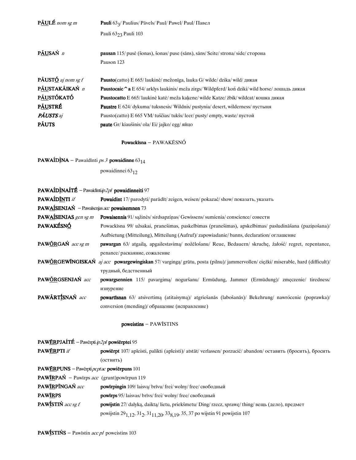| <b>PAULE</b> nom sg m | <b>Pauli</b> $63\frac{1}{2}$ Paulius Pavels Paul Pawel Paul Tabel                                        |  |
|-----------------------|----------------------------------------------------------------------------------------------------------|--|
|                       | Pauli 6323 Pauli 103                                                                                     |  |
| PÃUSAŃ n              | <b>pausan</b> 115/ pusė (šonas), šonas/ puse (sāns), sāns/ Seite/ strona/ side/ сторона                  |  |
|                       | Pauson 123                                                                                               |  |
| PÃUSTÓ aj nom sg f    | <b>Pausto</b> (catto) E 665/laukinė/mežonīga, lauka G/wilde/dzika/wild/ $\mu$ икая                       |  |
| PÃUSTAKÃIKAŃ n        | <b>Paustocaic ^ a</b> E 654/ arklys laukinis/ meža zirgs/ Wildpferd/ kon dziki/ wild horse/ лошадь дикая |  |
| P <u>ÃU</u> STÓKATÓ   | <b>Paustocatto</b> E 665/laukinė katė/meža kakene/wilde Katze/zbik/wildcat/кошка дикая                   |  |
| P <u>ÃU</u> STRÉ      | <b>Paustre</b> E 624/ dykuma/ tuksnesis/ Wildnis/ pustynia/ desert, wilderness/ пустыня                  |  |
| <b>PÁUSTS</b> aj      | Pausto(catto) E 665 VM/ tuščias/ tukšs/ leer/ pusty/ empty, waste/ пустой                                |  |
| <b>PÁUTS</b>          | <b>paute</b> Gr/kiaušinis/ola/Ei/jajko/egg/яйцо                                                          |  |
|                       |                                                                                                          |  |
|                       |                                                                                                          |  |

## Powackīsna - PAWAKĒSNÓ

PAWAÍDÌNA - Pawaīdīnti  $ps3$  powaidinne  $63_{14}$ 

powaidinnei 63<sub>12</sub>

| <b>PAWAÍDÌNAÍTÉ</b> - Pawaidinti $ip2pl$ powaidinneiti 97 |                                                                                                                            |  |
|-----------------------------------------------------------|----------------------------------------------------------------------------------------------------------------------------|--|
| <b>PAWAIDINTI</b> if                                      | Powaidint 17/ parodyti/ parādīt/ zeigen, weisen/ pokazać/ show/ показать, указать                                          |  |
| PAWAÍSENJAŃ - Pawaisenjas acc powaisemnen 73              |                                                                                                                            |  |
| <b>PAWAÍSENJAS</b> gen sg m                               | <b>Powaisennis</b> 91/sažinės/sirdsapzinas/Gewissens/sumienia/conscience/совести                                           |  |
| <b>PAWAKÉSNÓ</b>                                          | Powackisna 99/ užsakai, pranešimas, paskelbimas (pranešimas), apskelbimas/ pasludināšana (paziņošana)/                     |  |
|                                                           | Aufbietung (Mitteilung), Mitteilung (Aufruf)/ zapowiadanie/banns, declaration/ оглашение                                   |  |
| PAWÓRGAŃ acc sg m                                         | pawargan 63/ atgailą, apgailestavimą/ noželošanu/ Reue, Bedauern/ skruchę, żałość/ regret, repentance,                     |  |
|                                                           | penance/ раскаяние, сожаление                                                                                              |  |
|                                                           | PAWÓRGEWÍNGISKAŃ aj acc powargewingiskan 57/varginga/grūtu, posta (pilnu)/jammervollen/ciężki/miserable, hard (difficult)/ |  |
|                                                           | трудный, бедственный                                                                                                       |  |
| PAWÓRGSENJAŃ acc                                          | powargsennien 115/ pavargima/ noguršanu/ Ermüdung, Jammer (Ermüdung)/ zmęczenie/ tiredness/                                |  |
|                                                           | изнурение                                                                                                                  |  |
| PAWÃRTÍSNAŃ acc                                           | <b>powartisnan</b> 63/ atsivertima (atitaisyma)/ atgriešanās (labošanās)/ Bekehrung/ nawrócenie (poprawka)/                |  |
|                                                           | conversion (mending)/ обращение (исправление)                                                                              |  |

### poweistins - PAWĪSTINS

| <b>PAWÉRPJAÍTÉ</b> – Pawērpti $ip2pl$ powierptei 95      |                                                                                                                                |  |
|----------------------------------------------------------|--------------------------------------------------------------------------------------------------------------------------------|--|
| <b>PAWÉRPTI</b> if                                       | powiērpt 107/ apleisti, palikti (apleisti)/ atstāt/ verlassen/ porzucić/ abandon/ оставить (бросить), бросить                  |  |
|                                                          | (оствить)                                                                                                                      |  |
| PAWÉRPUNS - Pawérpti $\rho c$ ptac powierpuns 101        |                                                                                                                                |  |
| <b>PAWIRPAN</b> - Pawirps <i>acc</i> (grunt)powirpun 119 |                                                                                                                                |  |
| PAWIRPINGAŃ acc                                          | <b>powirpingin</b> 109/laisva/brīvu/frei/wolny/free/свободный                                                                  |  |
| <b>PAWIRPS</b>                                           | <b>powirps</b> 95/laisvas/brīvs/frei/wolny/free/свободный                                                                      |  |
| <b>PAWÍSTIŃ</b> $acc$ sg $f$                             | powijstin 27/ dalyką, daiktą/ lietu, priekšmetu/ Ding/ rzecz, sprawę/ thing/ вещь (дело), предмет                              |  |
|                                                          | powijstin 29 <sub>1,12</sub> , 31 <sub>2</sub> , 31 <sub>11,20</sub> , 33 <sub>8,19</sub> , 35, 37 po wijstin 91 powijstin 107 |  |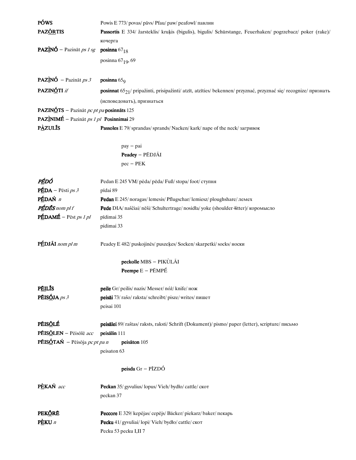| PÓWS                                                                              | Powis E 773/ povas/ pāvs/ Pfau/ paw/ peafowl/ павлин                                                                         |  |
|-----------------------------------------------------------------------------------|------------------------------------------------------------------------------------------------------------------------------|--|
| <b>PAZÓRTIS</b>                                                                   | Passortis E 334/ žarsteklis/ kruķis (bigulis), bigulis/ Schürstange, Feuerhaken/ pogrzebacz/ poker (rake)/                   |  |
|                                                                                   | кочерга                                                                                                                      |  |
| <b>PAZÌNÓ</b> – Pazināt <i>ps 1 sg</i>                                            | posinna $67_{18}$                                                                                                            |  |
|                                                                                   | posinna $67_{19}$ , 69                                                                                                       |  |
|                                                                                   |                                                                                                                              |  |
| <b>PAZÌNÓ</b> – Pazināt <i>ps</i> 3                                               | posinna $65q$                                                                                                                |  |
| PAZINÓTI if                                                                       | posinnat 65 <sub>21</sub> / pripažinti, prisipažinti/ atzīt, atzīties/ bekennen/ przyznać, przyznać się/ recognize/ признать |  |
|                                                                                   | (исповедовать), признаться                                                                                                   |  |
| <b>PAZINÓTS</b> – Pazināt <i>pc pt pa</i> posinnāts 125                           |                                                                                                                              |  |
| PAZÌNIMÉ - Pazināt ps 1 pl Posinnimai 29                                          |                                                                                                                              |  |
| <b>PAZULIS</b>                                                                    | Passoles E 79/ sprandas/ sprands/ Nacken/ kark/ nape of the neck/ загривок                                                   |  |
|                                                                                   | $pay - pai$                                                                                                                  |  |
|                                                                                   | Peadey - PĒDJÃI                                                                                                              |  |
|                                                                                   | $pec - PEK$                                                                                                                  |  |
|                                                                                   |                                                                                                                              |  |
| PÉDÓ                                                                              | Pedan E 245 VM/ pėda/ pēda/ Fuß/ stopa/ foot/ ступня                                                                         |  |
| $PÉDA - Pēsti ps 3$                                                               | pīdai 89                                                                                                                     |  |
| PÉDAŃ n                                                                           | Pedan E 245/noragas/lemesis/Pflugschar/lemiesz/ploughshare/лемех                                                             |  |
| PÉDÉS nom pl f                                                                    | Pede DIA/ naščiai/ nēši/ Schultertrage/ nosidła/ yoke (shoulder +itter)/ коромысло                                           |  |
| $P\hat{\underline{\mathbf{E}}}$ DAM $\hat{\underline{\mathbf{E}}}$ – Pēst ps 1 pl | pīdimai 35                                                                                                                   |  |
|                                                                                   | pidimai 33                                                                                                                   |  |
| PÉDJÃI nom pl m                                                                   | Peadey E 482/ puskojinės/ puszeķes/ Socken/ skarpetki/ socks/ носки                                                          |  |
|                                                                                   | peckolle MBS - PIKÙLÃI                                                                                                       |  |
|                                                                                   | <b>Peempe</b> $E - P\tilde{E}MP\tilde{E}$                                                                                    |  |
|                                                                                   |                                                                                                                              |  |
| <b>PÉILIS</b>                                                                     | peile Gr/ peilis/ nazis/ Messer/ nóż/ knife/ нож                                                                             |  |
| PÉISÓJA ps 3                                                                      | peisāi 73/ rašo/ raksta/ schreibt/ pisze/ writes/ пишет                                                                      |  |
|                                                                                   | peisai 101                                                                                                                   |  |
| PÉISÓLÉ                                                                           | peisālei 89/raštas/raksts, raksti/Schrift (Dokument)/pismo/paper (letter), scripture/письмо                                  |  |
| PÉISÕLEN - Pēisōlē acc                                                            | peisälin 111                                                                                                                 |  |
| <b>PÉISÓTAŃ</b> – Pēisōja <i>pc pt pa n</i>                                       | peisäton 105                                                                                                                 |  |
|                                                                                   | peisaton 63                                                                                                                  |  |
|                                                                                   | peisda $Gr - P\overline{I}ZD\acute{O}$                                                                                       |  |
|                                                                                   |                                                                                                                              |  |
| PÈKAŃ acc                                                                         | Peckan 35/ gyvulius/ lopus/ Vieh/ bydło/ cattle/ скот                                                                        |  |
|                                                                                   | peckan 37                                                                                                                    |  |
| <b>PEKŐRĒ</b>                                                                     | Peccore E 329/ kepėjas/ cepējs/ Bäcker/ piekarz/ baker/ пекарь                                                               |  |
| $P\triangle KU$ <i>n</i>                                                          | Pecku 41/ gyvuliai/ lopi/ Vieh/ bydło/ cattle/ скот                                                                          |  |
|                                                                                   | Pecku 53 pecku I,II 7                                                                                                        |  |
|                                                                                   |                                                                                                                              |  |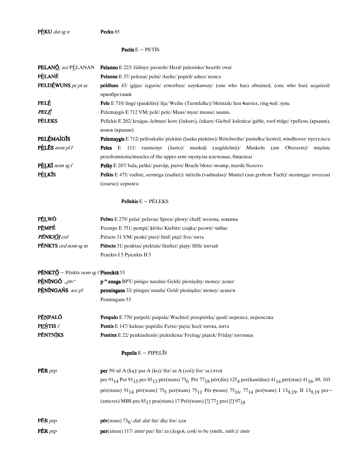$P\triangle KU$  dat sg n Pecku 85

### **Pectis**  $E - PET$ *i*S

|                                                     | <b>PELANÓ</b> , acc PELANAN Pelanno E 223/ židinys/ pavards/ Herd/ palenisko/ hearth/ ovar                               |  |
|-----------------------------------------------------|--------------------------------------------------------------------------------------------------------------------------|--|
| PÈLANÉ                                              | <b>Pelanne</b> E 37/ pelenai/ pelni/ Asche/ popiół/ ashes/ пепел                                                         |  |
| <b>PELDÉWUNS</b> pc pt ac                           | peldiuns 43/ igijęs/ ieguvis/ erworben/ uzyskawszy/ (one who has) obtained, (one who has) acquired/                      |  |
|                                                     | приобретший                                                                                                              |  |
| <b>PELÉ</b>                                         | Pele E 710/lingė (paukštis)/lija/Weihe (Turmfalke)/błotniak/hen-harrier, ring-tail/лунь                                  |  |
| PELÉ                                                | Pelemaygis E 712 VM/ pelė/ pele/ Maus/ mysz/ mouse/ мышь                                                                 |  |
| <b>PELEKS</b>                                       | Pellekis E 202/kraigas, šelmuo/kore (čukurs), čukurs/Giebel/kalenica/gable, roof-ridge/гребень (крыши),<br>конек (крыши) |  |
| <b>PELÉMAÍGIS</b>                                   | Pelemaygis E 712/ pelėsakalis/ piekūns (lauku piekūns)/ Rötelweihe/ pustułka/ kestrel, windhover/ пустельга              |  |
| $P\triangle L\triangle S$ nom pl f                  | 111/ raumenys (žasto)/ muskuļi (augšdelmā)/ Muskeln (am Oberarm)/ mieśnie<br>Peles E                                     |  |
|                                                     | przedramienia/muscles of the upper arm/ мускулы плечевые, бицепсы                                                        |  |
| $PELKI$ nom sg f                                    | <b>Pelky</b> E 287/bala, pelkė/purvājs, purvs/Bruch/bloto/swamp, marsh/болото                                            |  |
| <b>P</b> ELKIS                                      | Pelkis E 475/ rudinė, sermėga (rudinė)/ mētelis (vadmalas)/ Mantel (aus grobem Tuch)/ siermięga/ overcoat                |  |
|                                                     | (coarse)/ сермяга                                                                                                        |  |
|                                                     | <b>Pellekis</b> $E - PÉLEKS$                                                                                             |  |
| <b>PÉLWÖ</b>                                        | Pelwo E 279/ pelai/ pelavas/ Spreu/ plewy/ chaff/ полова, мякина                                                         |  |
| PÉMPÉ                                               | Peempe E 751/ pempė/ kīvīte/ Kiebitz/ czajka/ peewit/ чибис                                                              |  |
| $\bm{D}\tilde{\bm{E}}$ NIV I $\tilde{\bm{O}}$ I erd | $\frac{D_{i\alpha}^{i}}{D_{i\alpha}^{i}}$                                                                                |  |

| <b>PÉNKJŐI</b> crd         | Piencts 31 VM/ penki/ pieci/ fünf/ pięć/ five/ пять                     |
|----------------------------|-------------------------------------------------------------------------|
| <b>PENKTS</b> ord nom sg m | <b>Piencts</b> $31$ / penktas/ piektais/ fünfter/ piaty/ fifth/ $n \pi$ |
|                            | Penckts I 5 Pyienkts II 5                                               |

# **PÉNKTÓ** - Pēnkts nom sg f Piencktā 53

| $P\angle\text{ENINGÓ}$ "ptv" | $p^{\wedge}$ enega BPT/pinigo/naudas/Gelds/pieniędzy/money/ $p^{\wedge}$ енег          |  |
|------------------------------|----------------------------------------------------------------------------------------|--|
| PENÍNGAŃS acc pl             | <b>penningans</b> 33/ pinigus/ naudu/ Geld/ pieniadze/ money/ деньги                   |  |
|                              | Penningans 53                                                                          |  |
|                              |                                                                                        |  |
| PÉNPALÓ                      | <b>Penpalo</b> E 770/ putpelė/ paipala/ Wachtel/ przepiórka/ quail/ перепел, перепелка |  |
| <b>PEŃTIS f</b>              | <b>Pentis</b> E 147/kulnas/papedis/Ferse/pieta/heel/пятка, пята                        |  |
| <b>PÉNTNIKS</b>              | <b>Pentinx</b> E 22/ penktadienis/ piektdiena/ Freitag/ piatek/ Friday/ пятница        |  |

# **Pepelis**  $E - PIPELĨS$

| $P\bar{E}R$ <i>prp</i> | per 39/ už A (ka)/ par A (ko)/ für/ za A (coś)/ for/ sa ( $470$ )                                                                                                                                           |
|------------------------|-------------------------------------------------------------------------------------------------------------------------------------------------------------------------------------------------------------|
|                        | per 91 <sub>14</sub> Per 91 <sub>15</sub> per 85 <sub>13</sub> per(stans) 73 <sub>6</sub> Per 77 <sub>18</sub> per(din) 125 <sub>4</sub> per(kawidan) 41 <sub>14</sub> per(stan) 41 <sub>16</sub> , 89, 103 |
|                        | pēr(stans) 91 <sub>14</sub> pēr(wans) 75 <sub>5</sub> per(wans) 75 <sub>11</sub> Pēr (wans) 75 <sub>16</sub> , 77 <sub>14</sub> per(wans) I 13 <sub>9,19</sub> , II 13 <sub>9,19</sub> per-                 |
|                        | (anteres) MBS pra $85_{17}$ pra(stans) 17 Prēi(wans) [!] $77_2$ prei [!] $97_{18}$                                                                                                                          |
| $P\bar{E}R$ <i>prp</i> | <b>pēr</b> (stans) $736$ / dat/ dat/ für/ dla/ for/ для                                                                                                                                                     |
| <b>PÉR</b> <i>prp</i>  | $per(\text{ainan})$ 117/ <i>instr</i> / par/ für/ za ( <i>kogo</i> ś, coś)/ to be (smth., smb.)/ <i>instr</i>                                                                                               |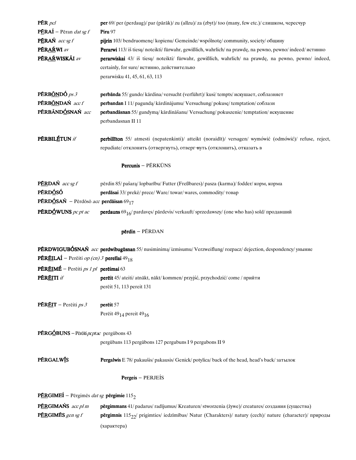| $P\bar{E}R$ pcl<br><b>PÉRAÍ</b> – Pēran <i>dat sg f</i>            | per 69/ per (perdaug)/ par (pārāk)/ zu (allzu)/ za (zbyt)/ too (many, few etc.)/ слишком, чересчур<br>Piru 97        |
|--------------------------------------------------------------------|----------------------------------------------------------------------------------------------------------------------|
| $P\hat{\mathbf{E}}$ RAŃ acc sg f                                   | pijrin 103/bendruomenę/kopienu/Gemeinde/wspólnotę/community, society/общину                                          |
| PÉRAŔWI av                                                         | <b>Perarwi</b> 113/iš tiesu/ noteikti/ fürwahr, gewißlich, wahrlich/ na prawdę, na pewno, pewno/indeed/ истинно      |
| PÉRAŔWISKÃI av                                                     | perarwiskai 43/ iš tiesų/ noteikti/ fürwahr, gewißlich, wahrlich/ na prawdę, na pewno, pewno/ indeed,                |
|                                                                    | certainly, for sure/ истинно, действительно                                                                          |
|                                                                    | perarwisku 41, 45, 61, 63, 113                                                                                       |
|                                                                    |                                                                                                                      |
| <b>PÉRB<u>ÓN</u>DÓ</b> $ps 3$                                      | perbānda 55/ gundo/ kārdina/ versucht (verführt)/ kusi/ tempts/ искушает, соблазняет                                 |
| PÉRBÓNDAŃ acc f                                                    | perbandan I 11/ pagundą/ kārdinājumu/ Versuchung/ pokusę/ temptation/ соблазн                                        |
| PÉRBÁNDÓSNAŃ acc                                                   | perbandāsnan 55/ gundyma/ kārdināšanu/ Versuchung/ pokuszenie/ temptation/ искушение                                 |
|                                                                    | perbandasnan II 11                                                                                                   |
|                                                                    |                                                                                                                      |
| PÉRBILÉTUN if                                                      | perbillīton 55/ atmesti (nepatenkinti)/ atteikt (noraidīt)/ versagen/ wymówić (odmówić)/ refuse, reject,             |
|                                                                    | repudiate/ отклонить (отвергнуть), отверг-нуть (отклонить), отказать в                                               |
|                                                                    |                                                                                                                      |
|                                                                    | Percunis - PÉRKŪNS                                                                                                   |
|                                                                    |                                                                                                                      |
| <b>PÉRDAŃ</b> $accsgf$                                             | pērdin 85/ pašarą/ lopbarību/ Futter (Freßbares)/ pasza (karma)/ fodder/ корм, корма                                 |
| <b>PÉRDÓSÓ</b>                                                     | perdāsai 33/ prekė/ prece/ Ware/ towar/ wares, commodity/ товар                                                      |
| <b>PÉRDÓSAŃ</b> – Pērdōsō acc perdāisan 69 <sub>17</sub>           |                                                                                                                      |
| <b>PÉRDÓWUNS</b> pc pt ac                                          | <b>perdauns</b> 69 <sub>16</sub> / pardavęs/ pārdevis/ verkauft/ sprzedawszy/ (one who has) sold/ продавший          |
|                                                                    |                                                                                                                      |
|                                                                    |                                                                                                                      |
|                                                                    | pērdin - PĒRDAN                                                                                                      |
|                                                                    | PÉRDWIGUBÓSNAŃ acc perdwibugūsnan 55/nusiminimą/izmisumu/Verzweiflung/rozpacz/dejection, despondency/уныние          |
| <b>PÉRÉILAÍ</b> – Perēiti op (cn) 3 pereilai 49 <sub>18</sub>      |                                                                                                                      |
| <b>PÉRÉIMÉ</b> – Perēiti ps 1 pl <b>perēimai</b> 63                |                                                                                                                      |
| PÉR <u>éi</u> ti <i>it</i>                                         | <b>perēit</b> 45/ ateiti/ atnākt, nākt/ kommen/ przyjść, przychodzić/ come / прийти                                  |
|                                                                    | perēit 51, 113 pereit 131                                                                                            |
|                                                                    |                                                                                                                      |
| <b>PÉRÉIT</b> – Pereiti ps 3                                       | pereit 57                                                                                                            |
|                                                                    | Perēit 49 <sub>14</sub> pereit 49 <sub>16</sub>                                                                      |
|                                                                    |                                                                                                                      |
| <b>PÉRGÓBUNS</b> – Pērēiti <i>pcptac</i> pergūbons 43              |                                                                                                                      |
|                                                                    | pergūbans 113 pergūbons 127 pergubuns I 9 pergubons II 9                                                             |
|                                                                    |                                                                                                                      |
| <b>PÉRGALWIS</b>                                                   | <b>Pergalwis</b> E 78/ pakaušis/ pakausis/ Genick/ potylica/ back of the head, head's back/ затылок                  |
|                                                                    |                                                                                                                      |
|                                                                    | <b>Pergeis</b> – PERJEÍS                                                                                             |
| <b>PÉRGIMEÍ</b> - Pērgimēs dat sg <b>pērgimie</b> 115 <sub>2</sub> |                                                                                                                      |
| PÉRGIMAŃS acc pl m                                                 | pērgimmans 41/ padarus/ radījumus/ Kreaturen/ stworzenia (żywe)/ creatures/ создания (существа)                      |
| PÉRGIMES gen sg f                                                  | pērgimnis 115 <sub>22</sub> / prigimties/ iedzīmības/ Natur (Charakters)/ natury (cech)/ nature (character)/ природы |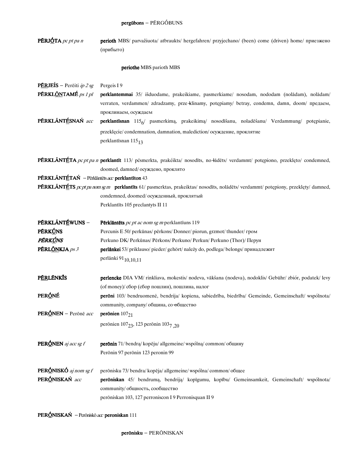PĒRJÓTA pc pt pa n perioth MBS/ parvažiuota/ atbraukts/ hergefahren/ przyjechano/ (been) come (driven) home/ приезжено (прибыто)

#### periothe MBS parioth MBS

**PĒRJEÍS** – Perēiti *ip 2 sg* Pergeis I 9

PĒRKLÕNTAMÉ ps 1 pl perklantemmai 35/ išduodame, prakeikiame, pasmerkiame/ nosodam, nododam (nolādam), nolādam/ verraten, verdammen/ zdradzamy, prze-klinamy, potępiamy/ betray, condemn, damn, doom/ предаем, проклинаем, осуждаем

PÉRKLÁNTÉSNAŃ acc perklantīsnan 115<sub>6</sub>/ pasmerkimą, prakeikimą/ nosodīšanu, noladēšanu/ Verdammung/ potępianie, przeklęcie/condemnation, damnation, malediction/осуждение, проклятие perklantīsnan  $115_{13}$ 

PÉRKLÁNTÉTA pc pt pa n perklantīt 113/ pćsmerkta, prakéikta/ nosodīts, no-lādēts/ verdammt/ potępiono, przeklęto/ condemned, doomed, damned/осуждено, проклято

PĒRKLÃNTÉTAŃ - Pērklāntēts a $\alpha$  perklantīton 43

**PĒRKLĀNTĒTS**  $perp$  nom sg m **perklantīts** 61/pasmerktas, prakeiktas/nosodīts, nolādēts/verdammt/potępiony, przeklęty/ damned, condemned, doomed/осужденный, проклятый Perklantīts 105 preclantyts II 11

**PĒRKLĀNTÉWUNS** - Pērklāntēts pc pt ac nom sg m perklantīuns 119 PĚRKÚNS Percunis E 50/perkūnas/pērkons/Donner/piorun, grzmot/thunder/гром PERKÚNS Perkuno DK/Perkūnas/Pērkons/Perkuno/Perkun/Perkuno (Thor)/Перун **PĒRL<u>ÕN</u>KJA** ps 3 perlānkei 53/priklauso/pieder/gehört/należydo, podlega/belongs/принадлежит perlānki  $91_{10,10,11}$ 

community, company/община, со-общество

PÉRLÉNKIS perlencke DIAVM/rinkliava, mokestis/nodeva, vākšana (nodeva), nodoklis/Gebühr/zbiór, podatek/levy (of money)/ сбор (сбор пошлин), пошлина, налог **PERÓNÉ** perōni 103/ bendruomenė, bendrija/ kopiena, sabiedrība, biedrība/ Gemeinde, Gemeinschaft/ wspólnota/

**PERÓNEN** – Perōnē acc perōnien  $107_{21}$ perōnien 107<sub>23</sub>, 123 perōnin 103<sub>7 20</sub> **PERÓNEN** aj acc sg f **perōnin** 71/bendrą/kopēju/allgemeine/wspólną/common/oбщину Perōnin 97 perōnin 123 peronin 99 **PERÓNISKÓ** aj nom sg f perōnisku 73/bendra/kopēja/allgemeine/wspólna/common/общее

PERÓNISKAŃ acc perōniskan 45/ bendrumą, bendriją/ kopīgumu, kopību/ Gemeinsamkeit, Gemeinschaft/ wspólnota/ community/ общность, сообщество perōniskan 103, 127 perroniscon I 9 Perronisquan II 9

**PERÓNISKAŃ** – Perōniskō acc peroniskan 111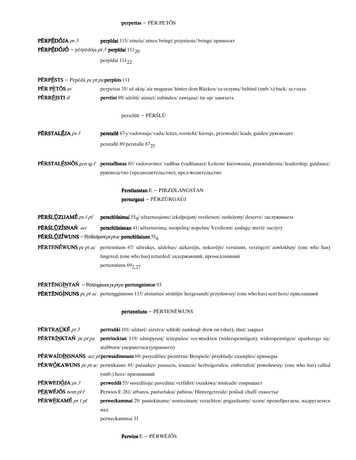# $\texttt{perpettas} - \texttt{P} \tilde{\texttt{ER}} \ \texttt{P} \texttt{E} \texttt{T} \acute{\texttt{O}} \texttt{S}$

| <b>PÉRPÉDÓJA</b> $ps 3$<br><b>PÉRPÉDÓJÓ</b> – pērpēdōja <i>pt 3</i> perpīdai $111_{20}$                  | perpīdai 115/atneša/atnes/bringt/przyniesie/brings/приносит                                                                                                                                                             |
|----------------------------------------------------------------------------------------------------------|-------------------------------------------------------------------------------------------------------------------------------------------------------------------------------------------------------------------------|
|                                                                                                          | perpīdai 111 <sub>22</sub>                                                                                                                                                                                              |
| <b>PÉRPÉSTS</b> - Pēpēdā <i>pc pt pa</i> perpīsts 111                                                    |                                                                                                                                                                                                                         |
| PÉR PÈTŐS av                                                                                             | perpettas 35/ už akių/aiz muguras/hinter dem Rücken/za oczyma/behind (smb.'s) back/за глаза                                                                                                                             |
| <b>PÉRRÉISTI</b> if                                                                                      | perrēist 89/ užrišti/aizsiet/zubinden/zawiązać/tie up/завязать                                                                                                                                                          |
|                                                                                                          | perschlū - PĒRŚLŪ                                                                                                                                                                                                       |
| PÉRSTALÉJA ps 3                                                                                          | perstallē 877/vadovauja/vada/leitet, vorsteht/kieruje, przewodzi/leads, guides/руководит                                                                                                                                |
|                                                                                                          | perstalle 89 perstalle 8725                                                                                                                                                                                             |
|                                                                                                          | PÉRSTALÉSNÕS gen sg f perstallisnas 85/vadovavimo/vadības (vadīšanas)/Leitens/kierowania, przewodzenia/leadership, guidance/<br>руководство (предводительство), пред-водительство                                       |
|                                                                                                          | Perstlanstan E - PIRZDLANGSTAN<br>persurgaui - PÉRZŪRGAÚJ                                                                                                                                                               |
| PÉRŚL <u>Ů</u> ZIJAMÉ ps 1 pl                                                                            | perschlūsimai 550/ užtarnaujame/ izkalpojam/ verdienen/ zasłużymy/ deserve/ заслуживаем                                                                                                                                 |
| PÉRŚLŪZÍSNAŃ acc<br><b>PĒRŚLŪZÍWUNS</b> – Pēršlūzijamē $\rho$ cptac <b>perschlūsiuns</b> 55 <sub>6</sub> | perschlūsisnan 41/ užtarnavimą, nuopelną/ nopelnu/ Verdienst/ zasługę/ merit/ заслугу                                                                                                                                   |
|                                                                                                          | PÉRTENÉWUNS pc pt ac pertennīuns 67/ užtrukęs, uždelsęs/ aizkavējis, nokavējis/ versäumt, verzögert/ zewlokłszy/ (one who has)<br>lingered, (one who has) retarded/задержавший, промедливший<br>pertenniums $69_{2,27}$ |
|                                                                                                          | <b>PÉRTÉNGINTAN</b> - Pērtēnginuns $pcptpa$ pertengninton 93                                                                                                                                                            |
|                                                                                                          | PÉRTÉNGÌNUNS pc pt ac pertengginnons 115/atsiuntęs/atsūtījis/hergesandt/przysławszy/ (one who has) sent here/приславший                                                                                                 |
|                                                                                                          | pertennīuns - PĒRTENĒWUNS                                                                                                                                                                                               |
| PÉRTRAÚKÉ pt 3                                                                                           | pertraūki 101/ uždarė/ aizvēra/ schloß/ zamknął/ drew on (shut), shut/ закрыл                                                                                                                                           |
| PÉRTRÍNKTAŃ pc pt pa                                                                                     | pertrincktan 119/ užsispyrusi/ ietiepušos/ ver stockten (widerspenstigen), widerspenstigen/ uparlszego się/<br>stubborn/ упершегося (упрямого)                                                                          |
|                                                                                                          | PÉRWAÍDÍNSNAŃS acc pl perwaidinsnans 69/ pavyzdžius/ piemērus/ Beispiele/ przykłady/ examples/ примеры                                                                                                                  |
|                                                                                                          | PÉRWÓKAWUNS pc pt ac perwūkauns 45/ pašaukęs/ pasaucis, iesaucis/ herbeigerufen, einberufen/ powoławszy/ (one who has) called                                                                                           |
|                                                                                                          |                                                                                                                                                                                                                         |
|                                                                                                          | (smb.) here/призвавший                                                                                                                                                                                                  |
| <b>PÉRWEDÓJA</b> ps 3                                                                                    | perweddā 55/ suvedžioja/ pavedina/ verführt/ oszukiwa/ misleads/ совращает                                                                                                                                              |
| PĒRWÉJŐS nom pl f<br>PÉRWÈKAMÉ ps 1 pl                                                                   | Perwios E 281/atbaros, pasturlakai/pabiras/Hintergetreide/poślad/chaff/охвостье                                                                                                                                         |
|                                                                                                          | perweckammai 29/ paniekiname/ noniecinam/ verachten/ pogardzamy/ scorn/ пренебрегаем, надругаемся<br>над                                                                                                                |

perweckammai 31

Perwios E - PÉRWĒJÓS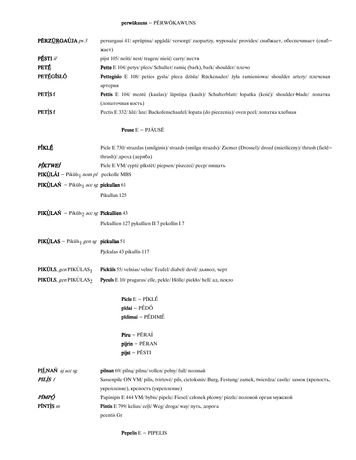#### perwūkauns - PĒRWŌKAWUNS

| PÉRZŰRGAÚJA ps 3                                                 | persurgaui 41/aprūpina/apgādā/versorgt/zaopartzy, wyposaża/provides/снабжает, обеспечивает (снаб-<br>жает)    |
|------------------------------------------------------------------|---------------------------------------------------------------------------------------------------------------|
| PÉSTI if                                                         | pijst 105/nešti/nest/tragen/nieść/carry/нести                                                                 |
| <b>PETÉ</b>                                                      | Pette E 104/ petys/ plecs/ Schulter/ ramię (bark), bark/ shoulder/ плечо                                      |
| <b>PETÉGÍSLÓ</b>                                                 | Pettegislo E 108/ peties gysla/ pleca dzīsla/ Rückenader/ żyła ramieniowa/ shoulder artery/ плечевая          |
|                                                                  | артерия                                                                                                       |
| PETISf                                                           | Pettis E 104/ mentė (kaulas)/ lāpstiņa (kauls)/ Schulterblatt/ łopatka (kość)/ shoulder-blade/ лопатка        |
|                                                                  | (лопаточная кость)                                                                                            |
| PETISf                                                           | Pectis E 332/ ližė/ lize/Backofenschaufel/ łopata (do pieczenia)/ oven peel/ лопатка хлебная                  |
|                                                                  | Peuse $E - PJ\tilde{A}USE$                                                                                    |
| PÍKLÉ                                                            | Picle E 730/strazdas (smilginis)/strazds (smilgu strazds)/Ziemer (Drossel)/drozd (mietliczny)/thrush (field-  |
|                                                                  | thrush)/ дрозд (деряба)                                                                                       |
| PÍKTWEÍ                                                          | Picle E VM/ cypti/ pīkstēt/ piepsen/ piszczeć/ реер/ пищать                                                   |
| <b>PIKÙLÃI</b> – Pikūls <sub>1</sub> nom pl peckolle MBS         |                                                                                                               |
| <b>PIKÙLAŃ</b> – Pikūls <sub>1</sub> acc sg <b>pickullan</b> 61  |                                                                                                               |
|                                                                  | Pikullan 125                                                                                                  |
| <b>PIKÙLAŃ</b> – Pikūls <sub>2</sub> acc sg <b>Pickullien</b> 43 |                                                                                                               |
|                                                                  | Pickullien 127 pykullien II 7 pekollin I 7                                                                    |
| <b>PIKULAS</b> – Pikūls <sub>1</sub> gen sg <b>pickullas</b> 51  |                                                                                                               |
|                                                                  | Pjckulas 43 pikullis 117                                                                                      |
| <b>PIKÚLS</b> , gen PIKÙLAS <sub>1</sub>                         | Pickūls 55/velnias/velns/Teufel/diabeł/devil/дьявол, черт                                                     |
| <b>PIKÚLS</b> , gen PIKÙLAS <sub>2</sub>                         | Pyculs E 10/ pragaras/ elle, pekle/ Hölle/ piekło/ hell/ ад, пекло                                            |
|                                                                  | $Picle E - PIRLÉ$                                                                                             |
|                                                                  | pīdai - PÉDÓ                                                                                                  |
|                                                                  | pīdimai - PÉDIMÉ                                                                                              |
|                                                                  | $Piru - PÉRAÍ$                                                                                                |
|                                                                  | pijrin - PÉRAN                                                                                                |
|                                                                  | pijst - PĒSTI                                                                                                 |
| PILNAŃ aj acc sg                                                 | pilnan 69/ pilna/ pilnu/ vollen/ pełny/ full/ полный                                                          |
| <b>PILIS</b> f                                                   | Sassenpile ON VM/ pilis, tvirtovė/ pils, cietoksnis/ Burg, Festung/ zamek, twierdza/ castle/ замок (крепость, |
|                                                                  | укрепление), крепость (укрепление)                                                                            |
| PĨMPÓ                                                            | Papinipis E 444 VM/ bybis/ pipele/ Fiesel/ członek płcowy/ pizzle/ половой орган мужской                      |
| $PINTis$ <i>m</i>                                                | Pintis E 799/ kelias/ ceļš/ Weg/ droga/ way/ путь, дорога                                                     |
|                                                                  | peentis Gr                                                                                                    |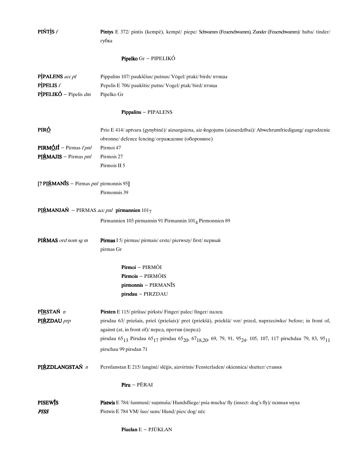| Pipelko Gr - PIPELIKÓ<br>PIPALENS acc pl<br>Pippalins 107/ paukščius/ putnus/ Vögel/ ptaki/ birds/ птицы<br><b>PIPELIS</b> $f$<br>Pepelis E 706/ paukštis/ putns/ Vogel/ ptak/ bird/ птица<br><b>PÌPELIKÓ</b> – Pipelis $dm$<br>Pipelko Gr<br>Pippalins - PIPALENS<br>PIR <u>Ó</u><br>obronne/ defence fencing/ ограждение (оборонное)<br><b>PIRMÓJÍ</b> – Pirmas f pnl<br>Pirmoi 47<br>PIŔMAJIS - Pirmas pnl<br>Pirmois 27<br>Pirmois II 5<br>[? PIŔMANĪS - Pirmas pnl pirmonnis 95]<br>Pirmonnis 39<br>PIŔMANJAŃ – PIRMAS acc pnl pirmannien $1017$<br>Pirmannien 103 pirmannin 91 Pirmannin 101 <sub>4</sub> Pirmonnien 89<br>PIŔMAS ord nom sg m<br>Pirmas I 5/ pirmas/ pirmais/ erste/ pierwszy/ first/ первый<br>pirmas Gr<br>Pirmoi - PIRMÕI<br>Pirmois - PIRMÕIS<br>pirmonnis – PIRMANĪS<br>pirsdau - PIRZDAU<br>PIRSTAŃ n<br>Pirsten E 115/ pirštas/ pirksts/ Finger/ palec/ finger/ палец<br>PIŔZDAU prp<br>against (at, in front of)/перед, против (перед)<br>pirschau 99 pirsdan 71<br>PIŔZDLANGSTAŃ n<br>Perstlanstan E 215/langinė/ slēģis, aizvirtnis/Fensterladen/okiennica/shutter/ставня<br>$Piru - PÉRAI$<br><b>PISEWIS</b><br>Pistwis E 784/ šunmusė/ sunmuša/ Hundsfliege/ psia mucha/ fly (insect: dog's fly)/ псиная муха<br><b>PISS</b><br>Pistwis E 784 VM/ šuo/ suns/ Hund/ pies/ dog/ πëc | <b>PIŃTÌS</b> f | Pintys E 372/ pintis (kempė), kempė/ piepe/ Schwamm (Feuerschwamm), Zunder (Feuerschwamm)/ huba/ tinder/<br>губка                                                                                                                                                                                    |
|----------------------------------------------------------------------------------------------------------------------------------------------------------------------------------------------------------------------------------------------------------------------------------------------------------------------------------------------------------------------------------------------------------------------------------------------------------------------------------------------------------------------------------------------------------------------------------------------------------------------------------------------------------------------------------------------------------------------------------------------------------------------------------------------------------------------------------------------------------------------------------------------------------------------------------------------------------------------------------------------------------------------------------------------------------------------------------------------------------------------------------------------------------------------------------------------------------------------------------------------------------------------------------------------------------------------|-----------------|------------------------------------------------------------------------------------------------------------------------------------------------------------------------------------------------------------------------------------------------------------------------------------------------------|
|                                                                                                                                                                                                                                                                                                                                                                                                                                                                                                                                                                                                                                                                                                                                                                                                                                                                                                                                                                                                                                                                                                                                                                                                                                                                                                                      |                 |                                                                                                                                                                                                                                                                                                      |
|                                                                                                                                                                                                                                                                                                                                                                                                                                                                                                                                                                                                                                                                                                                                                                                                                                                                                                                                                                                                                                                                                                                                                                                                                                                                                                                      |                 |                                                                                                                                                                                                                                                                                                      |
|                                                                                                                                                                                                                                                                                                                                                                                                                                                                                                                                                                                                                                                                                                                                                                                                                                                                                                                                                                                                                                                                                                                                                                                                                                                                                                                      |                 |                                                                                                                                                                                                                                                                                                      |
|                                                                                                                                                                                                                                                                                                                                                                                                                                                                                                                                                                                                                                                                                                                                                                                                                                                                                                                                                                                                                                                                                                                                                                                                                                                                                                                      |                 | Prio E 414/ aptvara (gynybinė)/ aizsargsiena, aiz žogojums (aizsardzībai)/ Abwehrumfriedigung/ zagrodzenie                                                                                                                                                                                           |
|                                                                                                                                                                                                                                                                                                                                                                                                                                                                                                                                                                                                                                                                                                                                                                                                                                                                                                                                                                                                                                                                                                                                                                                                                                                                                                                      |                 |                                                                                                                                                                                                                                                                                                      |
|                                                                                                                                                                                                                                                                                                                                                                                                                                                                                                                                                                                                                                                                                                                                                                                                                                                                                                                                                                                                                                                                                                                                                                                                                                                                                                                      |                 |                                                                                                                                                                                                                                                                                                      |
|                                                                                                                                                                                                                                                                                                                                                                                                                                                                                                                                                                                                                                                                                                                                                                                                                                                                                                                                                                                                                                                                                                                                                                                                                                                                                                                      |                 |                                                                                                                                                                                                                                                                                                      |
|                                                                                                                                                                                                                                                                                                                                                                                                                                                                                                                                                                                                                                                                                                                                                                                                                                                                                                                                                                                                                                                                                                                                                                                                                                                                                                                      |                 |                                                                                                                                                                                                                                                                                                      |
|                                                                                                                                                                                                                                                                                                                                                                                                                                                                                                                                                                                                                                                                                                                                                                                                                                                                                                                                                                                                                                                                                                                                                                                                                                                                                                                      |                 |                                                                                                                                                                                                                                                                                                      |
|                                                                                                                                                                                                                                                                                                                                                                                                                                                                                                                                                                                                                                                                                                                                                                                                                                                                                                                                                                                                                                                                                                                                                                                                                                                                                                                      |                 |                                                                                                                                                                                                                                                                                                      |
|                                                                                                                                                                                                                                                                                                                                                                                                                                                                                                                                                                                                                                                                                                                                                                                                                                                                                                                                                                                                                                                                                                                                                                                                                                                                                                                      |                 | pirsdau 63/ priešais, prieš (priešais)/ pret (priekšā), priekšā/ vor/ przed, naprzeciwko/ before; in front of,<br>pirsdau 65 <sub>13</sub> Pirsdau 65 <sub>17</sub> pirsdau 65 <sub>20</sub> , 67 <sub>18,20</sub> , 69, 79, 91, 95 <sub>24</sub> , 105, 107, 117 pirschdau 79, 83, 95 <sub>11</sub> |
|                                                                                                                                                                                                                                                                                                                                                                                                                                                                                                                                                                                                                                                                                                                                                                                                                                                                                                                                                                                                                                                                                                                                                                                                                                                                                                                      |                 |                                                                                                                                                                                                                                                                                                      |
|                                                                                                                                                                                                                                                                                                                                                                                                                                                                                                                                                                                                                                                                                                                                                                                                                                                                                                                                                                                                                                                                                                                                                                                                                                                                                                                      |                 |                                                                                                                                                                                                                                                                                                      |
| <b>Piuclan</b> $E - PJ\overline{U}KLAN$                                                                                                                                                                                                                                                                                                                                                                                                                                                                                                                                                                                                                                                                                                                                                                                                                                                                                                                                                                                                                                                                                                                                                                                                                                                                              |                 |                                                                                                                                                                                                                                                                                                      |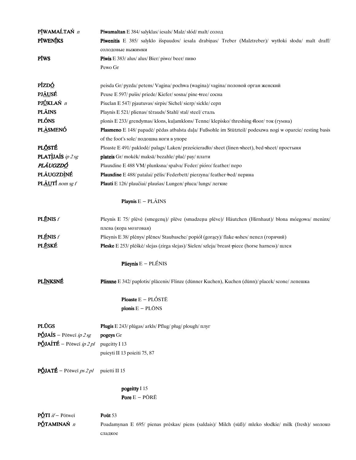| PĨWAMAĹTAŃ n                            | <b>Piwamaltan</b> E 384/salyklas/iesals/Malz/słód/malt/солод                                               |
|-----------------------------------------|------------------------------------------------------------------------------------------------------------|
| <b>PIWENIKS</b>                         | Piwenitis E 385/ salyklo išspaudos/ iesala drabinas/ Treber (Malztreber)/ wytłoki słodu/ malt draff/       |
|                                         | солодовые выжимки                                                                                          |
| PĨWS                                    | Piwis E 383/ alus/ alus/ Bier/ piwo/ beer/ пиво                                                            |
|                                         | Pewo Gr                                                                                                    |
|                                         |                                                                                                            |
| PÍZDÓ                                   | peisda Gr/pyzda/petens/Vagina/pochwa (wagina)/vagina/половой орган женский                                 |
| <b>PJÁUSÉ</b>                           | Peuse E 597/ pušis/ priede/ Kiefer/ sosna/ pine +ree/ сосна                                                |
| PJ <u>Ú</u> KLAŃ n                      | Piuclan E 547/ pjautuvas/ sirpis/ Sichel/ sierp/ sickle/ серп                                              |
| <b>PLÂINS</b>                           | Playnis E 521/ plienas/ tērauds/ Stahl/ stal/ steel/ сталь                                                 |
| <b>PLÓNS</b>                            | plonis E 233/ grendymas/ klons, kuļamklons/ Tenne/ klepisko/ threshing floor/ ток (гумна)                  |
| <b>PLÀSMENÓ</b>                         | Plasmeno E 148/ papadė/ pēdas atbalsta daļa/ Fußsohle im Stützteil/ podeszwa nogi w oparcie/ resting basis |
|                                         | of the foot's sole/подошва ноги в упоре                                                                    |
| <b>PLŐSTÉ</b>                           | Ploaste E 491/ paklodė/ palags/ Laken/ prześcieradło/ sheet (linen sheet), bed sheet/ простыня             |
| PLATIJAIS ip 2 sg                       | plateis Gr/mokėk/maksā/bezahle/płać/pay/плати                                                              |
| PLÁUGZDÓ                                | Plauxdine E 488 VM/plunksna/spalva/Feder/pióro/feather/nepo                                                |
| PLÁUGZDÌNÉ                              | <b>Plauxdine</b> E 488/ patalai/ pēlis/ Federbett/ pierzyna/ feather bed/ перина                           |
| PLÂUTÍ nom sg f                         | Plauti E 126/ plaučiai/ plaušas/ Lungen/ płuca/ lungs/ легкие                                              |
|                                         |                                                                                                            |
|                                         | <b>Playnis</b> $E - PL\tilde{A}INS$                                                                        |
| <b>PLĒNIS</b> f                         | Pleynis E 75/ plėvė (smegenų)/ plėve (smadzenu plėve)/ Häutchen (Hirnhaut)/ błona mózgowa/ meninx/         |
|                                         | плева (кора мозговая)                                                                                      |
| <b>PLÉNIS</b> f                         | Plieynis E 38/ plėnys/ plēnes/ Staubasche/ popiół (gorący)/ flake-ashes/ пепел (горячий)                   |
| <b>PLÉSKÉ</b>                           | Pleske E 253/ plėškė/ slejas (zirga slejas)/ Sielen/ szleja/ breast-piece (horse harness)/ шлея            |
|                                         | <b>Plieynis</b> $E - PLÉNIS$                                                                               |
|                                         |                                                                                                            |
| <b>PLÍNKSNÉ</b>                         | <b>Plinxne</b> E 342/ paplotis/ placenis/ Flinze (dünner Kuchen), Kuchen (dünn)/ placek/ scone/ лепешка    |
|                                         | Ploaste $E - PL\acute{o}STE$                                                                               |
|                                         | plonis $E - PL\bar{O}NS$                                                                                   |
|                                         |                                                                                                            |
| <b>PLŪGS</b>                            | Plugis E 243/plūgas/arkls/Pflug/pług/plough/myr                                                            |
| <b>PÓJAÍS</b> – Pōtweī ip 2 sg          | pogeys Gr                                                                                                  |
| <b>PÓJAÍTÉ</b> – Pōtweī ip 2 pl         | pugeitty I 13                                                                                              |
|                                         | puieyti II 13 poieiti 75, 87                                                                               |
| $\vec{PQ}$ JATÉ – Põtweī <i>ps 2 pl</i> | puietti II 15                                                                                              |
|                                         | pogeitty I 15                                                                                              |
|                                         | Pore $E - P\bar{O}R\bar{E}$                                                                                |
| $P\acute{Q}TI$ if - Põtwei              | Pout 53                                                                                                    |
| PÓTAMINAŃ n                             | Poadamynan E 695/ pienas prėskas/ piens (saldais)/ Milch (suß)/ mleko słodkie/ milk (fresh)/ молоко        |
|                                         | сладкое                                                                                                    |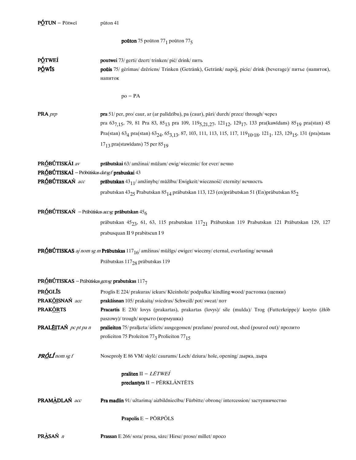**poūton** 75 poūton 77<sub>1</sub> poūton 77<sub>5</sub>

**PÓTWEÍ** poutwei 73/ gerti/ dzert/ trinken/ pić/ drink/ пить PÓWÍS poūis 75/ gėrimas/ dzēriens/ Trinken (Getränk), Getränk/ napój, picie/ drink (beverage)/ питье (напиток), напиток

 $po - PA$ 

PRA prp pra 51/ per, pro/ caur, ar (ar palīdzību), pa (caur), pāri/ durch/ przez/ through/ через pra 637,15, 79, 81 Pra 83, 85<sub>13</sub> pra 109, 119<sub>5,21,27</sub>, 121<sub>12</sub>, 129<sub>17</sub>, 133 pra(kawidans) 85<sub>19</sub> pra(stan) 45 Pra(stan) 63<sub>4</sub> pra(stan) 63<sub>24</sub>, 65<sub>3,13</sub>, 87, 103, 111, 113, 115, 117, 119<sub>10</sub>,<sub>18</sub>, 121<sub>1</sub>, 123, 129<sub>15</sub>, 131 (pra)stans  $17_{13}$  pra(stawidans) 75 per 85<sub>19</sub>

PRÓBÚTISKÁI av prābutskai 63/ amžinai/ mūžam/ ewig/ wiecznie/ for ever/ вечно PRÓBÚTISKAÍ - Prōbūtiskas datsgf prabuskai 43 PRÓBÚTISKAŃ acc prābutskan  $43_{11}$ / amžinybę/ mūžību/ Ewigkeit/ wieczność/ eternity/ вечность prabutskan 43 $_{25}$ Prabutskan  $85_{14}$ prābutskan 113, 123 (en)prābutskan 51 (En)prābutskan  $85_{2}$ 

### **PRÓBÚTISKAŃ** – Prābūtiskas *accsg* prābutskan 45<sub>6</sub>

prābutskan 45 $_{23},$ 61, 63, 115 prabutskan 117 $_{21}$  Prābutskan 119 Prabutskan 121 Prābutskan 129, 127 prabusquan II 9 prabitscun I 9

**PRÓBÚTISKAS** aj nom sg m **Prābutskas** 117<sub>16</sub>/ amžinas/ mūžīgs/ ewiger/ wieczny/ eternal, everlasting/ вечный Prābutskas 117<sub>28</sub> prābutskas 119

### **PRÓBÚTISKAS** – Prābūtiskas gensg **prabutskas** 1177

| PRÓGLÍS                     | Proglis E 224/ prakuras/ iekurs/ Kleinholz/ podpałka/ kindling <del>w</del> ood/ растопка (щепки)      |
|-----------------------------|--------------------------------------------------------------------------------------------------------|
| PRAK <u>ÕI</u> SNAŃ acc     | prakāisnan 105/ prakaita/ sviedrus/ Schweiß/ pot/ sweat/ ποτ                                           |
| PRAK <u>ÕR</u> TS           | Pracartis E 230/ lovys (prakartas), prakartas (lovys)/ sile (mulda)/ Trog (Futterkrippe)/ koryto (żłób |
|                             | paszowy)/trough/корыто (кормушка)                                                                      |
| <b>PRALÉITAŃ</b> pc pt pa n | <b>pralieiton</b> 75/ pralketa/ izliets/ ausgegossen/ przelano/ poured out, shed (poured out)/ пролито |
|                             | prolieiton 75 Proleiton 77 <sub>3</sub> Prolieiton 77 <sub>15</sub>                                    |
| <b>PRÓLÍ</b> nom sg f       | Noseproly E 86 VM/skyle/caurums/Loch/dziura/hole, opening/дырка, дыра                                  |
|                             | praliten $II - L\bar{E}TWE\acute{T}$                                                                   |
|                             | $predantyts II - PÉRKLÂNTÈTS$                                                                          |
| PRAMÀDLAŃ acc               | <b>Pra madlin</b> 91/užtarima/aizbildniecību/Fürbitte/obrone/intercession/заступничество               |
|                             | <b>Prapolis</b> $E - P\overline{O}RP\overline{O}LS$                                                    |
| $\sim$ $\sim$ $\sim$        |                                                                                                        |

**PRASAN** n Prassan E 266/sora/prosa, sare/Hirse/proso/millet/npoco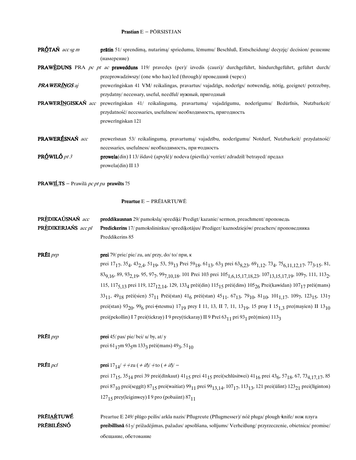### Prastian E - PŌRSISTJAN

| <b>PRÓTAŃ</b> $accsgm$ | <b>prātin</b> 51/ sprendimą, nutarimą/ spriedumu, lēmumu/ Beschluß, Entscheidung/ decyzję/ decision/ решение |
|------------------------|--------------------------------------------------------------------------------------------------------------|
|                        | (намерение)                                                                                                  |

PRAWÈDUNS PRA pc pt ac prawedduns 119/ pravedes (per)/ izvedis (cauri)/ durchgeführt, hindurchgeführt, geführt durch/ przeprowadziwszy/ (one who has) led (through)/проведший (через)

**PRA WERINGS** aj prewerīngiskan 41 VM/ reikalingas, pravartus/ vajadzīgs, noderīgs/ notwendig, nötig, geeignet/ potrzebny, przydatny/necessary, useful, needful/нужный, пригодный

PRAWERĪNGISKAŃ acc prewerīngiskan 41/ reikalingumą, pravartumą/ vajadzīgumu, noderīgumu/ Bedürfnis, Nutzbarkeit/ przydatność/necessaries, usefulness/необходимость, пригодность preweringiskan 121

PRAWERÉSNAŃ acc prewerīsnan 53/ reikalingumą, pravartumą/ vajadzību, noderīgumu/ Notdurf, Nutzbarkeit/ przydatność/ necessaries, usefulness/необходимость, при тодность PRÓWILÓ  $pt\,3$ prowela(din) I 13/išdavė (apvylė)/ nodeva (pievīla)/ verriet/zdradził/ betrayed/ предал prowela(din) II 13

**PRAWIĹTS** – Prawilā *pc pt pa* **prawilts** 75

### **Preartue E - PRÉIARTUWÉ**

| PRÈDIKAÚSNAŃ acc    | preddikausnan 29/ pamokslą/ sprediki/ Predigt/ kazanie/ sermon, preachment/ проповедь                                                                                                                                                                                                 |
|---------------------|---------------------------------------------------------------------------------------------------------------------------------------------------------------------------------------------------------------------------------------------------------------------------------------|
| PRÈDIKERJAŃS acc pl | Predickerins 17/ pamokslininkus/ spredikotājus/ Prediger/ kaznodziejów/ preachers/ проповедника                                                                                                                                                                                       |
|                     | Preddikerins 85                                                                                                                                                                                                                                                                       |
| PRÉI <i>prp</i>     | prei 79/ prie/ pie/ zu, an/ przy, do/ to/ при, к                                                                                                                                                                                                                                      |
|                     | prei 17 <sub>17</sub> , 35 <sub>4</sub> , 43 <sub>2,4</sub> , 51 <sub>19</sub> , 53, 59 <sub>13</sub> Prei 59 <sub>18</sub> , 61 <sub>13</sub> , 63 <sub>3</sub> prei 63 <sub>8,23</sub> , 69 <sub>1,12</sub> , 73 <sub>4</sub> , 75 <sub>6,11,12,17</sub> , 77 <sub>3</sub> ,15, 81, |
|                     | 83 <sub>9,16</sub> , 89, 93 <sub>2,19</sub> , 95, 97 <sub>7</sub> , 99 <sub>7,10,18</sub> , 101 Prei 103 prei 105 <sub>1,6,15,17,18,23</sub> , 107 <sub>13,15,17,19</sub> , 109 <sub>7</sub> , 111, 113 <sub>2</sub> ,                                                                |
|                     | 115, 117 <sub>5,13</sub> prei 119, 127 <sub>12,14</sub> , 129, 133 <sub>4</sub> prēi(din) 115 <sub>15</sub> prēi(dins) 105 <sub>26</sub> Prei(kawidan) 107 <sub>17</sub> prēi(mans)                                                                                                   |
|                     | 33 <sub>11</sub> , 49 <sub>18</sub> prēi(sien) 57 <sub>11</sub> Prēi(stan) 41 <sub>6</sub> prēi(stan) 45 <sub>11</sub> , 67 <sub>13</sub> , 79 <sub>10</sub> , 81 <sub>10</sub> , 101 <sub>1,17</sub> , 109 <sub>7</sub> , 123 <sub>15</sub> , 131 <sub>7</sub>                       |
|                     | prei(stan) 93 <sub>20</sub> , 99 <sub>6</sub> prei (stesmu) 17 <sub>19</sub> prey I 11, 13, II 7, 11, 13 <sub>19</sub> , 15 pray I 15 <sub>1,3</sub> pre(mayien) II 13 <sub>10</sub>                                                                                                  |
|                     | prei(pekollin) I 7 prei(tickray) I 9 prey(tickaray) II 9 Prei 63 <sub>11</sub> pri 93 <sub>1</sub> prē(mien) 113 <sub>3</sub>                                                                                                                                                         |
| PRÉI <i>prp</i>     | <b>prei</b> $45$ / pas/ pie/ bei/ $u$ / by, at/ y                                                                                                                                                                                                                                     |
|                     | prei 61 <sub>17</sub> m 93 <sub>5</sub> m 133 <sub>3</sub> prēi(mans) 49 <sub>3</sub> , 51 <sub>10</sub>                                                                                                                                                                              |
| <b>PRÉI</b> $pc1$   | <b>prei</b> $17_{14}/ + 2u ( + i\ell)/ +$ to $(+ i\ell)/ -$                                                                                                                                                                                                                           |
|                     | prei 17 <sub>15</sub> , 35 <sub>14</sub> prei 39 prei(dīnkaut) 41 <sub>15</sub> prei 41 <sub>15</sub> prei(schlüsitwei) 41 <sub>16</sub> prei 43 <sub>6</sub> , 57 <sub>18</sub> , 67, 73 <sub>4,17,17</sub> , 85                                                                     |
|                     | prei 87 <sub>10</sub> prei(seggīt) 87 <sub>15</sub> prei(waitiat) 99 <sub>11</sub> prei 99 <sub>13,14</sub> , 107 <sub>17</sub> , 113 <sub>13</sub> , 121 prei(ūlint) 123 <sub>21</sub> prei(līginton)                                                                                |
|                     | $12715$ prey(leiginwey) I 9 pro (pobaiint) 87 $_{11}$                                                                                                                                                                                                                                 |
| <b>PRÉIARTUWÉ</b>   | Preartue E 249/ plūgo peilis/ arkla nazis/ Pflugreute (Pflugmesser)/ nóż pługa/ plough knife/ нож плуга                                                                                                                                                                               |
| PRĒBILÉSNÓ          | preibillīsnā 617/ prižadėjimas, pažadas/ apsolīšana, solījums/ Verheißung/ przyrzeczenie, obietnica/ promise/                                                                                                                                                                         |
|                     | обещание, обетование                                                                                                                                                                                                                                                                  |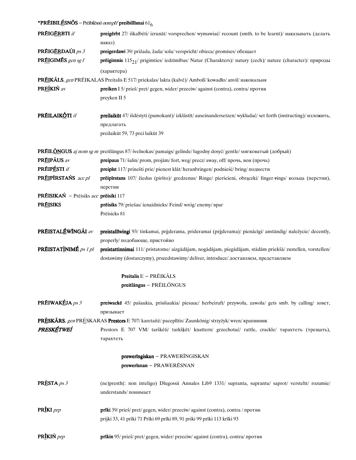| <b>*PRÉIBILÉSNŐS</b> – Prēibilēsnō <i>nomplf</i> preibillīsnai 61 <sub>6</sub> |                                                                                                                                |
|--------------------------------------------------------------------------------|--------------------------------------------------------------------------------------------------------------------------------|
| PRÉIGÉRBTI if                                                                  | preigerbt 27/ iškalbėti/ izrunāt/ vorsprechen/ wymawiać/ recount (smth. to be learnt)/ наказывать (делать<br>наказ)            |
| PRÉIGÉRDAÚI ps 3                                                               | <b>preigerdawi</b> 39/ prižada, žada/ sola/ verspricht/ obieca/ promises/ обещает                                              |
| PRÉIGIMÉS gen sg f                                                             | <b>prēigimnis</b> $115_{21}$ / prigimties/ iedzīmības/ Natur (Charakters)/ natury (cech)/ nature (character)/ природы          |
|                                                                                | (характера)                                                                                                                    |
|                                                                                | <b>PRÉIKÁLS</b> , gen PRÉIKALAS Preitalis E 517/ priekalas/ lakta (kalvē)/ Amboß/ kowadło/ anvil/ наковальня                   |
| PREÍKIŃ av                                                                     | preiken I 5/ prieš/ pret/ gegen, wider/ przeciw/ against (contra), contra/ против                                              |
|                                                                                | preyken II 5                                                                                                                   |
| PRÉILAIKÓTI if                                                                 | preilaikūt 47/ išdėstyti (pamokant)/ izklāstīt/ auseinandersetzen/ wykładać/ set forth (instructing)/ изложить,                |
|                                                                                | предлагать                                                                                                                     |
|                                                                                | preilaikūt 59, 73 prei laikūt 39                                                                                               |
|                                                                                | PRÉILONGUS aj nom sg m preitlāngus 87/ švelnokas/ pamaigs/ gelinde/ łagodny dosyć/ gentle/ мягковатый (добрый)                 |
| PRÉIPÂUS av                                                                    | preipaus 71/ šalin/ prom, projām/ fort, weg/ precz/ away, off/ прочь, вон (прочь)                                              |
| PRÉIPÉSTI if                                                                   | preipīst 117/ prinešti prie/ pienest klāt/ heranbringen/ podnieść/ bring/ поднести                                             |
| PREIPIRSTAŃS acc pl                                                            | prēipīrstans 107/ žiedus (piršto)/ gredzenus/ Ringe/ pierścieni, obrączki/ finger +ings/ кольца (перстни),                     |
|                                                                                | перстни                                                                                                                        |
| PRÉISIKAŃ – Prēisiks acc prēisiki 117                                          |                                                                                                                                |
| <b>PRÉISIKS</b>                                                                | prēisiks 79/ priešas/ ienaidnieks/ Feind/wróg/ enemy/ враг<br>Prēisicks 81                                                     |
| PRÉISTALÉWÍNGÃI av                                                             | preistallīwingi 93/ tinkamai, prģderama, prideramai (prģderama)/ pienācīgi/ anständig/ należycie/ decently,                    |
|                                                                                | properly/подобающе, пристойно                                                                                                  |
| <b>PRÉISTATINIMÉ</b> ps 1 pl                                                   | preistattinnimai 111/ pristatome/ aizgādājam, nogādājam, piegādājam, stādām priekšā/ zustellen, vorstellen/                    |
|                                                                                | dostawimy (dostarczymy), prszedstawimy/deliver, introduce/ доставляем, представляем                                            |
|                                                                                | Preitalis E - PRÉIKÃLS                                                                                                         |
|                                                                                | preitlängus - PRÉILÓNGUS                                                                                                       |
| PRÉIWAKÉJA ps 3                                                                | preiwackē 45/ pašaukia, prisišaukia/ piesauc/ herbeiruft/ przywoła, zawoła/ gets smb. by calling/ зовет,<br>призывает          |
|                                                                                | PRÈSKÂRS, gen PRÈSKARAS Prestors E 707/ karetaitė/ paceplītis/ Zaunkönig/ strzyżyk/ wren/ крапивник                            |
| PRESKÉTWEÍ                                                                     | Prestors E 707 VM/ tarškėti/ tarkšķēt/ knattern/ grzechotać/ rattle, crackle/ тарахтеть (трещать),                             |
|                                                                                | тарахтеть                                                                                                                      |
|                                                                                | preweringiskan - PRAWERÍNGISKAN                                                                                                |
|                                                                                | prewerisnan - PRAWERESNAN                                                                                                      |
| <b>PRESTA</b> ps 3                                                             | (ne)presth(: non inteligo) Dlugossii Annales Lib9 1331/ supranta, suprantu/ saprot/ versteht/ rozumie/<br>understands/понимает |
| PRÍKI prp                                                                      | <b>prīki</b> 39/ prieš/ pret/ gegen, wider/ przeciw/ against (contra), contra / против                                         |
|                                                                                | prijki 33, 41 prīki 71 Prīki 69 prīki 89, 91 priki 99 prīki 113 krīki 93                                                       |
| PRÍKIŃ prp                                                                     | prīkin 95/ prieš/ pret/ gegen, wider/ przeciw/ against (contra), contra/ против                                                |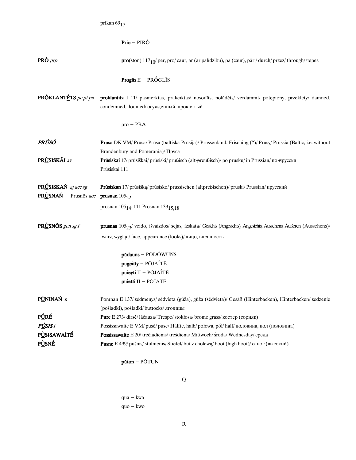|                                              | prīkan 6917                                                                                                                                                                                                  |
|----------------------------------------------|--------------------------------------------------------------------------------------------------------------------------------------------------------------------------------------------------------------|
|                                              |                                                                                                                                                                                                              |
|                                              | <b>Prio</b> – PIRÓ                                                                                                                                                                                           |
| $PRO$ <i>prp</i>                             | $\text{pro}(\text{ston}) 117_{10}/\text{per}, \text{pro} / \text{caur}, \text{ar} (\text{ar palidzību}), \text{pa} (\text{caur}), \text{pāri} / \text{durch} / \text{przez} / \text{through} / \text{vepe3}$ |
|                                              | <b>Proglis</b> $E - PRÓGL† S$                                                                                                                                                                                |
| PRÓKLÃNTÉTS pc pt pa                         | proklantitz I 11/ pasmerktas, prakeiktas/ nosodīts, nolādēts/ verdammt/ potępiony, przeklęty/ damned,<br>condemned, doomed/ осужденный, проклятый                                                            |
|                                              | $pro$ – PRA                                                                                                                                                                                                  |
| PRÚSÓ                                        | Prusa DK VM/ Prūsa/ Prūsa (baltiskā Prūsija)/ Prussenland, Frisching (?)/ Prusy/ Prussia (Baltic, i.e. without<br>Brandenburg and Pomerania)/Πργca                                                           |
| PRÚSISKÁI av                                 | Prūsiskai 17/ prūsiškai/ prūsiski/ prußisch (alt preußisch)/ po prusku/ in Prussian/ по -прусски<br>Prūsiskai 111                                                                                            |
| PRÚSISKAŃ aj acc sg<br>PRÙSNAŃ - Prusnōs acc | Prūsiskan 17/ prūsišką/ prūsisko/ prussischen (altpreßischen)/ pruski/ Prussian/ прусский<br>prusnan $105_{22}$                                                                                              |
|                                              | prosnan 105 <sub>14</sub> , 111 Prosnan 133 <sub>15,18</sub>                                                                                                                                                 |
| PRÙSNŐS gen sg f                             | <b>prusnas</b> $10523$ / veido, išvaizdos/ sejas, izskata/ Gesichts (Angesichts), Angesichts, Aussehens, Äußeren (Aussehens)/                                                                                |
|                                              | twarz, wygląd/face, appearance (looks)/лицо, внешность                                                                                                                                                       |
|                                              | $p\ddot{a}$ dauns – PÓDÓWUNS                                                                                                                                                                                 |
|                                              | pugeitty - PŌJAÍTĒ<br>puieyti II - PŌJAÍTĒ                                                                                                                                                                   |
|                                              | puietti II - PŌJATĒ                                                                                                                                                                                          |
| PÙNINAŃ n                                    | Pomnan E 137/sėdmenys/sėdvieta (gūža), gūža (sėdvieta)/ Gesäß (Hinterbacken), Hinterbacken/sedzenie<br>(pośladki), pośladki/buttocks/ягодицы                                                                 |
| PÚRÉ                                         | Pure E 273/dirsė/lāčauza/Trespe/stokłosa/brome grass/костер (сорняк)                                                                                                                                         |
| PÙSIS f                                      | Possissawaite E VM/ puse/ puse/ Hälfte, halb/ połowa, pół/ half/ половина, пол (половина)                                                                                                                    |
| PÙSISAWAÍTÉ                                  | Possissawaite E 20/ trečiadienis/trešdiena/Mittwoch/ środa/Wednesday/ среда                                                                                                                                  |
| <b>PÙSNÉ</b>                                 | <b>Pusne</b> E 499/ pušnis/ stulmenis/ Stiefel/ but z cholewa/ boot (high boot)/ сапог (высокий)                                                                                                             |
|                                              | $pūton - PÔTUN$                                                                                                                                                                                              |

 ${\bf Q}$ 

 $\rm{qua}$   $\rm{kwa}$  $quo - kwo$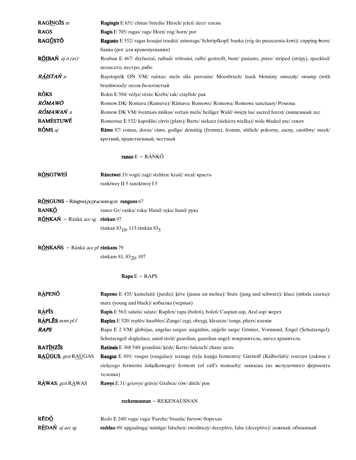| RAGINGIS m                                             | Ragingis E 651/elnias/briedis/Hirsch/jelen/deer/олень                                                             |
|--------------------------------------------------------|-------------------------------------------------------------------------------------------------------------------|
| <b>RAGS</b>                                            | Ragis E 705/ragas/rags/Horn/róg/horn/por                                                                          |
| RAG <u>Ú</u> STÓ                                       | Ragusto E 552/ ragas kraujui traukti/ asinsrags/ Schröpfkopf/ banka (róg do puszczenia krwi)/ cupping horn/       |
|                                                        | банка (рог для кровопускания)                                                                                     |
| $R\tilde{\text{O}}$ IBAŃ aj n (av)                     | Roaban E 467/ dryžuotai, raibaśi/ svītraini, raibi/ gestreift, bunt/ pasiasto, pstro/ striped (stripy), speckled/ |
|                                                        | полосато, пестро, рябо                                                                                            |
| RÁISTAŃ n                                              | Raystopelk ON VM/ raistas/ mežs sīks purvains/ Moosbruch/ lasek blotnisty omszały/ swamp (with                    |
|                                                        | brushwood)/ лесок болотистый                                                                                      |
| <b>RÓKS</b>                                            | Rokis E 584/ vėžys/ vēzis/ Krebs/ rak/ crayfish/ рак                                                              |
| <b>RÓMAWO</b>                                          | Romow DK/ Romava (Ramuva)/ Rāmava/ Romowe/ Romowa/ Romowe sanctuary/ PomoBa                                       |
| <b>RÓMAWAŃ</b> n                                       | Romow DK VM/ šventasis miškas/ svētais mežs/ heiliger Wald/ święty las/ sacred forest/ священный лес              |
| <b>RAMÈSTUWÉ</b>                                       | Romestue E 532/kapoklis/cirvis (plats)/Barte/siekacz (siekiera wielka)/wide-bladed axe/cekay                      |
| RÓMS aj                                                | Rāms 87/ romus, doras/ rāms, godīgs/ demütig (fromm), fromm, sittlich/ pokorny, zacny, cnotliwy/ meek/            |
|                                                        | кроткий, нравственный, честный                                                                                    |
|                                                        | ranco $E - R\tilde{A}NK\acute{O}$                                                                                 |
| <b>RÓNGTWEÍ</b>                                        | Rānctwei 33/vogti/zagt/stehlen/kraść/steal/красть                                                                 |
|                                                        | ranktwey II 5 rancktwey I 5                                                                                       |
| RÕNGUNS - Rāngtweī <i>pc pt ac nom sg m</i> ranguns 67 |                                                                                                                   |
| <b>RANKÓ</b>                                           | ranco Gr/ranka/roka/Hand/ręka/hand/рука                                                                           |
| RÓNKAŃ - Rānkā acc sg rānkan 97                        |                                                                                                                   |
|                                                        | rānkan $83_{10}$ , 113 rānkān $83_{5}$                                                                            |
| RÓNKAŃS - Rānkā acc pl rānkans 79                      |                                                                                                                   |
|                                                        | rānkans 81, 83 <sub>20</sub> , 107                                                                                |
|                                                        | $Rapa E - RAPS$                                                                                                   |

| <b>RÀPENÓ</b>              | Rapeno E 435/ kumelaitė (juoda)/ kėve (jauna un melna)/ Stute (jung und schwarz)/ klacz (młoda czarna)/ |
|----------------------------|---------------------------------------------------------------------------------------------------------|
|                            | mare (young and black)/ кобылка (черная)                                                                |
| <b>RÀPIS</b>               | Rapis E 563/salatis/salate/Rapfen/rapa (bolen), bolen/Caspian asp, Aral asp/ жерех                      |
| $R\$ text{APLES} nom pl f  | <b>Raples</b> E 520/ reples/ knaibles/ Zange/ cegi, obcegi, kleszcze/ tongs, pliers/ клещи              |
| <b>RAPS</b>                | Rapa E 2 VM/ globėjas, angelas sargas/ aizgādnis, engelis sargs/ Gönner, Vormund, Engel (Schutzengel),  |
|                            | Schutzengel/dogledacz, anioł stróż/guardian, guardian angel/покровитель, ангел хранитель                |
| <b>RATÍNZÍS</b>            | <b>Ratinsis</b> E 368 540/ grandinė/ kẽde/ Kette/ łańcuch/ chain/ цепь                                  |
| <b>RAÚGUS</b> , gen RAÚGAS | Raugus E 691/ raugas (raugalas)/ ieraugs (teļa kuņģa ferments)/ Gärstoff (Kälberlab)/ rozczyn (zakwas z |
|                            | cielecego fermenta żołądkowego)/ ferment (of calf's stomach)/ закваска (из желудочного фермента         |
|                            | теленка)                                                                                                |
| <b>RÀWAS</b> , gen RÀWAS   | <b>Rawys</b> E 31/ griovys/ grāvis/ Graben/ rów/ ditch/ pob                                             |
|                            | $reckenausnan - REKENAÚSNAN$                                                                            |

| RĒDÓ            | Redo E 240/vaga/vaga/Furche/bruzda/furrow/борозда                                                  |
|-----------------|----------------------------------------------------------------------------------------------------|
| RÈDAŃ aj acc sg | reddau 69/ apgaulinga/ mānīgu/ falschen/ zwodniczy/ deceptive, false (deceptive)/ ложный, обманный |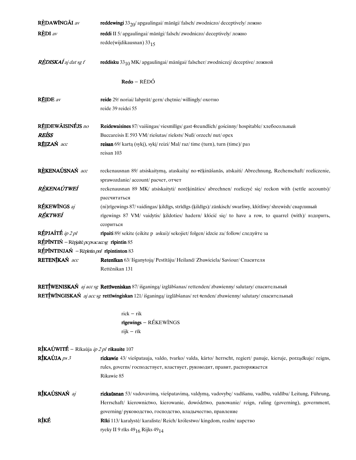| RÈDAWÍNGÃI av                                                              | reddewingi 33 <sub>20</sub> / apgaulingai/ mānīgi/ falsch/ zwodniczo/ deceptively/ ложно                                                         |
|----------------------------------------------------------------------------|--------------------------------------------------------------------------------------------------------------------------------------------------|
| $\mathbf{REDI}$ av                                                         | reddi II 5/ apgaulingai/ mānīgi/ falsch/ zwodniczo/ deceptively/ ложно                                                                           |
|                                                                            | redde(wijdikausnan) 3315                                                                                                                         |
| <b>RÈDISKAÍ</b> aj dat sg f                                                | reddisku 33 <sub>10</sub> MK/ apgaulingai/ mānīgai/ falscher/ zwodniczej/ deceptive/ ложной                                                      |
|                                                                            | $Redo - R\bar{E}D\acute{O}$                                                                                                                      |
| <b>RÉIDE</b> av                                                            | reide 29/ noriai/ labprāt/ gern/ chętnie/ willingly/ охотно                                                                                      |
|                                                                            | reide 39 reidei 55                                                                                                                               |
| RÉIDEWÃISINÉJS no                                                          | Reidewaisines 87/vaišingas/viesmīlīgs/gast-freundlich/gościnny/hospitable/хлебосольный                                                           |
| <b>REÍSS</b>                                                               | Buccareisis E 593 VM/riešutas/rieksts/Nuß/orzech/nut/opex                                                                                        |
| RÉIZAŃ acc                                                                 | reisan 69/ kartą (sykį), sykį/ reizi/ Mal/ raz/ time (turn), turn (time)/ pas                                                                    |
|                                                                            | reisan 103                                                                                                                                       |
| RÈKENAÚSNAŃ acc                                                            | reckenausnan 89/ atsiskaitymą, ataskaitą/ no rēķināšanās, atskaiti/ Abrechnung, Rechenschaft/ rozliczenie,<br>sprawozdanie/account/pacчет, отчет |
| RÈKENAÚTWEÍ                                                                | reckenausnan 89 MK/ atsiskaityti/ norēķināties/ abrechnen/ rozliczyć się/ reckon with (settle accounts)/<br>рассчитаться                         |
| RÉKEWINGS aj                                                               | (ni)rīgewings 87/vaidingas/kildīgs, strīdīgs (kildīgs)/zänkisch/swarliwy, kłótliwy/shrewish/сварливый                                            |
| RÉKTWEÍ                                                                    | rīgewings 87 VM/ vaidytis/ kildoties/ hadern/ kłócić się/ to have a row, to quarrel (with)/ вздорить,<br>ссориться                               |
| RÉPJAÍTÉ ip 2 pl                                                           | rīpaiti 89/ sekite (eikite p askui)/ sekojiet/ folgen/ idzcie za/ follow/ следуйте за                                                            |
| $R\triangle$ PĨNTIŃ – Rēpjaītē <i>pcpsacacosg</i> rīpintin 85              |                                                                                                                                                  |
| $R\triangle P\text{INTINJA}\acute{N}$ - Repintin <i>pnl</i> ripintinton 83 |                                                                                                                                                  |
| RETENIKAŃ acc                                                              | Retenīkan 63/ Išganytoją/ Pestītāju/ Heiland/ Zbawiciela/ Saviour/ Спасителя                                                                     |
|                                                                            | Rettēnikan 131                                                                                                                                   |
|                                                                            |                                                                                                                                                  |

RETÍWENISKAŃ aj acc sg Rettīweniskan 87/išganingą/izglābšanas/rettenden/zbawienny/salutary/спасительный RETÍWINGISKAŃ aj acc sg rettīwingiskan 121/išganingą/izglābšanas/ret-tenden/zbawienny/salutary/спасительный

> $rick - rik$ rīgewings  $RÉKEWÍNGS$ rijk — rīk

| $R\underline{\textbf{f}}$ KAÚWITÉ – Rīkaūja <i>ip 2 pl</i> rikauite 107 |                                                                                                                       |
|-------------------------------------------------------------------------|-----------------------------------------------------------------------------------------------------------------------|
| $R$ ÍKAÚJA <i>ps</i> 3                                                  | <b>rickawie</b> 43/ viešpatauja, valdo, tvarko/ valda, kārto/ herrscht, regiert/ panuje, kieruje, porządkuje/ reigns, |
|                                                                         | rules, governs/ господствует, властвует, руководит, правит, распоряжается                                             |
|                                                                         | Rikawie 85                                                                                                            |
| RÍKAÚSNAŃ aj                                                            | rickaūsnan 53/ vadovavimą, viešpatavimą, valdymą, vadovybę/ vadīšanu, vadību, valdību/ Leitung, Führung,              |
|                                                                         | Herrschaft/ kierownictwo, kierowanie, dowództwo, panowanie/ reign, ruling (governing), government,                    |
|                                                                         | governing/ руководство, господство, владычество, правление                                                            |
| RÍKÉ                                                                    | <b>Rīki</b> 113/karalystė/karaliste/Reich/królestwo/kingdom, realm/царство                                            |
|                                                                         | ryeky II 9 rīks 49 $_{16}$ Rijks 49 $_{14}$                                                                           |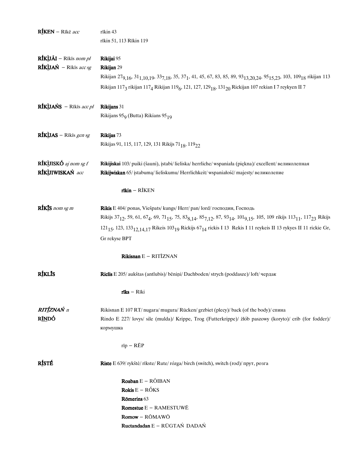| <b>RÍKEN</b> – Rīkē acc                   | rīkin 43<br>rīkin 51, 113 Rīkin 119                                                                                                                                                                                                |
|-------------------------------------------|------------------------------------------------------------------------------------------------------------------------------------------------------------------------------------------------------------------------------------|
| $RfKlJ\tilde{A}I - Rikis$ nom pl          | Rikijai 95                                                                                                                                                                                                                         |
| $RfK$ ijań – Rīkīs acc sg                 | Rikijan 29                                                                                                                                                                                                                         |
|                                           | Rikijan 27 <sub>9,16</sub> , 31 <sub>1,10,19</sub> , 33 <sub>7,18</sub> , 35, 37 <sub>1</sub> , 41, 45, 67, 83, 85, 89, 93 <sub>13,20,24</sub> , 95 <sub>15,23</sub> , 103, 109 <sub>18</sub> rikijan 113                          |
|                                           | Rikijan 117 <sub>3</sub> rikijan 117 <sub>4</sub> Rikijan 119 <sub>6</sub> , 121, 127, 129 <sub>18</sub> , 131 <sub>20</sub> Rickijan 107 rekian I 7 reykyen II 7                                                                  |
| $RfK$ <i>UANS</i> – Rīkīs <i>acc pl</i>   | Rikijans 31                                                                                                                                                                                                                        |
|                                           | Rikijans 95 <sub>9</sub> (Butta) Rikians 95 <sub>19</sub>                                                                                                                                                                          |
| RÍKÙAS – Rīkīs gen sg                     | Rikijas 73                                                                                                                                                                                                                         |
|                                           | Rikijas 91, 115, 117, 129, 131 Rikijs 71 <sub>18</sub> , 119 <sub>22</sub>                                                                                                                                                         |
| $Rf$ KLUISKÓ aj nom sg f                  | Rikijiskai 103/ puiki (šauni), įstabi/ lieliska/ herrliche/ wspaniała (piękna)/ excellent/ великолепная                                                                                                                            |
| RÍKÙJIWISKAŃ acc                          | Rikijwiskan 65/ įstabumą/ lieliskumu/ Herrlichkeit/ wspaniałość/ majesty/ великолепие                                                                                                                                              |
|                                           | $rikin - RIKEN$                                                                                                                                                                                                                    |
| $RfK$ <sup><i>s</i></sup> <i>nom sg m</i> | Rikis E 404/ ponas, Viešpats/kungs/ Herr/ pan/lord/ господин, Господь                                                                                                                                                              |
|                                           | Rikijs 37 <sub>12</sub> , 59, 61, 67 <sub>4</sub> , 69, 71 <sub>15</sub> , 75, 83 <sub>8,14</sub> , 85 <sub>7,12</sub> , 87, 93 <sub>14</sub> , 101 <sub>9,15</sub> , 105, 109 rikijs 113 <sub>11</sub> , 117 <sub>23</sub> Rikijs |
|                                           | 121 <sub>15</sub> , 123, 133 <sub>12,14,17</sub> Rikeis 103 <sub>19</sub> Rickijs 67 <sub>14</sub> rickis I 13 Rekis I 11 reykeis II 13 rykyes II 11 rickie Gr,                                                                    |
|                                           | Gr rekyse BPT                                                                                                                                                                                                                      |
|                                           | Rikisnan $E - RITIZNAN$                                                                                                                                                                                                            |
| <b>RÍKLÍS</b>                             | Riclis E 205/aukštas (antlubis)/bēniņi/Dachboden/strych (poddasze)/loft/чердак                                                                                                                                                     |
|                                           | $r\bar{\textbf{1}}\textbf{k}\textbf{s} - R\bar{\textbf{1}}\textbf{k}\textbf{i}$                                                                                                                                                    |
| RITÍZNAŃ n                                | Rikisnan E 107 RT/nugara/mugura/Rücken/grzbiet (plecy)/back (of the body)/ спина                                                                                                                                                   |
| R <u>ÍN</u> DÓ                            | Rindo E 227/ lovys/ sile (mulda)/ Krippe, Trog (Futterkrippe)/ żłób paszowy (koryto)/ crib (for fodder)/                                                                                                                           |
|                                           | кормушка                                                                                                                                                                                                                           |
|                                           | $rip - R\bar{E}P$                                                                                                                                                                                                                  |
| RÍSTÉ                                     | Riste E 639/ rykštė/ rīkste/ Rute/ rózga/ birch (switch), switch (rod)/ прут, розга                                                                                                                                                |
|                                           | Roaban $E - R\tilde{O}IBAN$                                                                                                                                                                                                        |
|                                           | Rokis $E - RÓKS$                                                                                                                                                                                                                   |
|                                           | Römerins 63                                                                                                                                                                                                                        |
|                                           | <b>Romestue</b> $E - RAMESTUWE$                                                                                                                                                                                                    |
|                                           | Romow - RŌMAWŌ                                                                                                                                                                                                                     |
|                                           | Ructandadan E - RŪGTAŃ DADAŃ                                                                                                                                                                                                       |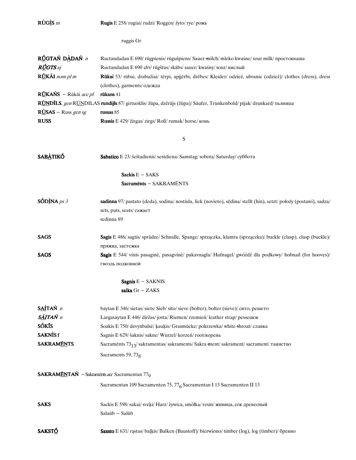| $\overrightarrow{RUG}$ <i>m</i>                                               | Rugis E 258/rugiai/rudzi/Roggen/żyto/rye/рожь                                                                                      |
|-------------------------------------------------------------------------------|------------------------------------------------------------------------------------------------------------------------------------|
|                                                                               | ruggis Gr                                                                                                                          |
| RÚGTAŃ DÀDAŃ n                                                                | Ructandadan E 690/rūgpienis/rūgušpiens/Sauer-milch/mleko kwaśne/sour milk/npocrokazuna                                             |
| RÚGTS aj                                                                      | Ructandadan E 690 drv/ rūgštus/ skābs/ sauer/ kwaśny/ sour/ кислый                                                                 |
| RŮKẤI nom pl m                                                                | Rūkai 53/ rūbai, drabužiai/ tērpi, apģērbi, drēbes/ Kleider/ odzież, ubranie (odzież)/ clothes (dress), dress                      |
|                                                                               | (clothes), garments/ одежда                                                                                                        |
| $R\angle LKANS - R\ddot{u}k\ddot{a}i accpl$                                   | rūkans $41$                                                                                                                        |
|                                                                               | RONDILS, gen RONDILAS rundijls 87/ girtuoklis/ žūpa, dzērājs (žūpa)/ Säufer, Trunkenbold/ pijak/ drunkard/ пьяница                 |
| $RUSAS - Russ gen sg$                                                         | russas $85$                                                                                                                        |
| <b>RUSS</b>                                                                   | Russis E 429/ žirgas/ zirgs/ Roß/ rumak/ horse/ конь                                                                               |
|                                                                               | S                                                                                                                                  |
| <b>SABÀTIKÓ</b>                                                               | Sabatico E 23/ šeštadienis/ sestdiena/ Samstag/ sobota/ Saturday/ суббота                                                          |
|                                                                               | Sackis $E - SAKS$                                                                                                                  |
|                                                                               | Sacraments - SAKRAMÉNTS                                                                                                            |
|                                                                               |                                                                                                                                    |
| $SOD$ INA $ps3$                                                               | sadinna 97/ pastato (deda), sodina/ nostāda, liek (novieto), sēdina/ stellt (hin), setzt/ położy (postawi), sadza/                 |
|                                                                               | sets, puts, seats/caxaer                                                                                                           |
|                                                                               | sedinna 89                                                                                                                         |
| <b>SAGS</b>                                                                   | Sagis E 486/ sagtis/ sprādze/ Schnalle, Spange/ sprzączka, klamra (sprzączka)/ buckle (clasp), clasp (buckle)/<br>пряжка, застежка |
| <b>SAGS</b>                                                                   | Sagis E 544/ vinis pasaginė, pasagvinė/ pakavnagla/ Hufnagel/ gwóźdź dla podkowy/ hobnail (for hooves)/                            |
|                                                                               | гвоздь подковной                                                                                                                   |
|                                                                               | Sagnis $E - SAKNIS$                                                                                                                |
|                                                                               | saika Gr - ZAKS                                                                                                                    |
| SAÍTAŃ n                                                                      | baytan E 346/sietas/siets/Sieb/sito/sieve (bolter), bolter (sieve)/сито, решето                                                    |
| SÁITAŃ n                                                                      | Largasaytan E 446/diržas/josta/Riemen/rzemień/leather strap/ремешок                                                                |
| <b>SÓKÍS</b>                                                                  | Soakis E 750/ devynbalsė/ kaukis/ Grasmücke/ pokrzewka/ white +hroat/ славка                                                       |
| <b>SAKNISf</b>                                                                | Sagnis E 629/ šaknis/ sakne/ Wurzel/ korzeń/ root/корень                                                                           |
| <b>SAKRAMENTS</b>                                                             | Sacraments 73 <sub>13</sub> /sakramentas/sakraments/Sakra-ment/sakrament/sacrament/таинство                                        |
|                                                                               | Sacraments 59, 73 <sub>8</sub>                                                                                                     |
| <b>SAKRAM<u>ĒN</u>TAŃ</b> - Sakramēnts <i>acc</i> Sacramentan 77 <sub>9</sub> |                                                                                                                                    |
|                                                                               | Sacramentan 109 Sacramenten 75, 77 <sub>6</sub> Sacramentan I 13 Sacramenten II 13                                                 |
|                                                                               |                                                                                                                                    |
| <b>SAKS</b>                                                                   | Sackis E 598/sakai/sveķi/ Harz/ żywica, smółka/ resin/ живица, сок древесный                                                       |
|                                                                               | Salaūb - Salūb                                                                                                                     |
|                                                                               |                                                                                                                                    |
| <b>SAKSTÓ</b>                                                                 | Saxsto E 631/ rastas/ baļķis/ Balken (Baustoff)/ bierwiono/ timber (log), log (timber)/ бревно                                     |
|                                                                               |                                                                                                                                    |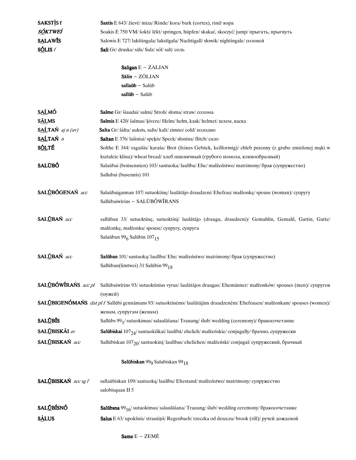|                                 | $sall\bar{u}b$ - Salūb                                                                                                                                                                                     |
|---------------------------------|------------------------------------------------------------------------------------------------------------------------------------------------------------------------------------------------------------|
| S <u>AĹ</u> MÓ                  | <b>Salme</b> Gr/ šiaudai/ salmi/ Stroh/ słoma/ straw/ солома                                                                                                                                               |
| <b>SÁLMS</b>                    | Salmis E 420/ šalmas/ kivere/ Helm/ hełm, kask/ helmet/ шлем, каска                                                                                                                                        |
| $S \triangle T A N$ aj $n (av)$ | Salta Gr/ šálta/ auksts, salts/ kalt/ zimno/ cold/ холодно                                                                                                                                                 |
| SALTAŃ n                        | Saltan E 376/lašiniai/spekis/Speck/słonina/flitch/сало                                                                                                                                                     |
| <b>SÕLTÉ</b>                    | Solthe E 344/ ragaišis/ karaša/ Brot (feines Gebäck, keilformig)/ chleb pszenny (z grubo zmielonej mąki w                                                                                                  |
|                                 | kształcie klina)/wheat bread/ хлеб пшеничный (грубого помола, клинообразный)                                                                                                                               |
| <b>SALŪBÓ</b>                   | Salaūbai (boūsennien) 103/santuoka/laulība/Ehe/małżeństwo/matrimony/брак (супружество)<br>Sallubai (busennis) 101                                                                                          |
| SALÚBÓGENAŃ acc                 | Salaūbaigannan 107/sutuoktinę/laulātājo draudzeni/Ehefrau/małżonkę/spouse (woman)/ cynpyry<br>Sallūbaiwīrins - SALŪBÓWÍRANS                                                                                |
| SALŪBAŃ acc                     | sallūban 33/ sutuoktinę, sutuoktinį/ laulātājo (draugu, draudzeni)/ Gemahlin, Gemahl, Gattin, Gatte/<br>małżonkę, małżonka/ spouse/ cynpyry, cynpyra<br>Salaūban 99 <sub>6</sub> Salūbin 107 <sub>15</sub> |
| SALŪBAŃ acc                     | Salūban 101/santuoką/laulību/Ehe/małżeństwo/matrimony/брак (супружество)<br>Sallūban(limtwei) 31 Salūbin 99 <sub>18</sub>                                                                                  |
| SALŪBÓWÍRAŃS acc pl             | Sallūbaiwīrins 93/ sutuoktinius vyrus/ laulātājos draugus/ Ehemänner/ małżonków/ spouses (men)/ супругов<br>(мужей)                                                                                        |
|                                 | SALŪBIGENÓMAŃS dat pl f Sallūbi gennāmans 93/sutuoktinėms/laulātājām draudzenēm/Ehefrauen/małżonkam/spouses (women)/                                                                                       |
|                                 | женам, супругам (женам)                                                                                                                                                                                    |
| <b>SALŪBĪS</b>                  | Sallūbs 99 <sub>1</sub> /sutuokimas/salaulāšana/Trauung/slub/wedding (сегетопу)/бракосочетание                                                                                                             |
| SAL <u>Ū</u> BISKĀI av          | Salūbiskai 107 <sub>24</sub> / santuokiškai/ laulībā/ ehelich/ małżeńskie/ conjugally/ брачно, супружески                                                                                                  |
| SAL <u>Ů</u> BISKAŃ acc         | Sallūbiskan 107 <sub>20</sub> / santuokinį/ laulības/ ehelichen/ małżeński/ conjugal/ супружеский, брачный                                                                                                 |
|                                 | Salūbiskan 99 <sub>9</sub> Salubiskan 99 <sub>18</sub>                                                                                                                                                     |
| SALÜBISKAŃ acc sg f             | sallaūbiskan 109/santuoką/laulību/Ehestand/małżeństwo/matrimony/супружество<br>salobisquan II 5                                                                                                            |
| <b>SALŪBÍSNÓ</b>                | Salūbsna 99 <sub>16</sub> /sutuokimas/salaulāšana/Trauung/slub/wedding ceremony/бракосочетание                                                                                                             |
| <b>SALUS</b>                    | Salus E 63/ upokšnis/ strautinš/ Regenbach/ rzeczka od deszczu/ brook (rill)/ ручей дождевой                                                                                                               |
|                                 |                                                                                                                                                                                                            |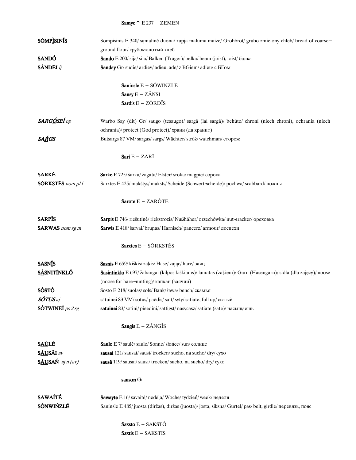## Samye  $\hat{E}$  E 237 - ZEMEN

| <b>SÕMPISINIS</b>        | Sompisinis E 340/ samalinė duona/ rupja maluma maize/ Grobbrot/ grubo zmielony chleb/ bread of coarse-       |
|--------------------------|--------------------------------------------------------------------------------------------------------------|
|                          | ground flour/ грубомолотый хлеб                                                                              |
| SANDÓ                    | Sando E 200/ sija/ sija/ Balken (Träger)/ belka/ beam (joist), joist/ балка                                  |
| SÃNDĒI ij                | Sanday Gr/ sudie/ ardiev/ adieu, ade/ z BGiem/ adieu/ с БГом                                                 |
|                          | Saninsle $E - S$ ÓWINZLE                                                                                     |
|                          | Sansy $E - Z\tilde{A}NSI$                                                                                    |
|                          | Sardis $E - Z\bar{O}RD\overline{I}S$                                                                         |
| SARGÓSEÍ op              | Warbo Say (dit) Gr/ saugo (tesaugo)/ sargā (lai sargā)/ behüte/ chroni (niech chroni), ochrania (niech       |
|                          | ochrania)/ protect (God protect)/ храни (да хранит)                                                          |
| SA <u>Ŕ</u> GS           | Butsargs 87 VM/sargas/sargs/Wächter/stróż/watchman/сторож                                                    |
|                          | Sari $E - ZARI$                                                                                              |
| <b>SARKE</b>             | Sarke E 725/ šarka/ žagata/ Elster/ sroka/ magpie/ сорока                                                    |
| <b>SORKSTES</b> nom pl f | Sarxtes E 425/ makštys/ maksts/ Scheide (Schwert-scheide)/ pochwa/ scabbard/ ножны                           |
|                          | Sarote $E - ZARÓTÉ$                                                                                          |
| <b>SARPIS</b>            | Sarpis E 746/ riešutinė/ riekstrozis/ Nußhäher/ orzechówka/ nut-eracker/ ореховка                            |
| <b>SARWAS</b> nom sg m   | <b>Sarwis</b> E 418/ šarvai/ bruņas/ Harnisch/ pancerz/ armour/ доспехи                                      |
|                          | <b>Sarxtes</b> $E - S\overline{O}RKSTES$                                                                     |
| <b>SASNIS</b>            | Sasnis E 659/ kiškis/ zakis/ Hase/ zając/ hare/ заяц                                                         |
| <b>SÀSNITÍNKLÓ</b>       | Sasintinklo E 697/ žabangai (kilpos kiškiams)/ lamatas (zaķiem)/ Garn (Hasengarn)/ sidła (dla zajęcy)/ noose |
|                          | (noose for hare hunting)/ капкан (заячий)                                                                    |
| SÓST <u>Ó</u>            | Sosto E 218/ suolas/ sols/ Bank/ ława/ bench/ скамья                                                         |
| SÓTUS aj                 | sātuinei 83 VM/ sotus/ paēdis/ satt/ syty/ satiate, full up/ сытый                                           |
| SÓTWINEÍ <i>ps 2 sg</i>  | sātuinei 83/sotini/pieēdini/sättigst/nasycasz/satiate (sate)/насыщаешь                                       |
|                          | Saugis $E - Z\tilde{A}NG\tilde{I}S$                                                                          |
| <b>SAÚLÉ</b>             | Saule E 7/ saule/ saule/ Sonne/ słońce/ sun/ солнце                                                          |
| SÃUSÃI av                | sausai 121/sausai/sausi/trocken/sucho, na sucho/dry/cyxo                                                     |
| SÃUSAŃ aj n (av)         | sausā 119/ sausai/ sausi/ trocken/ sucho, na sucho/ dry/ cyxo                                                |
|                          | sauson Gr                                                                                                    |
| <b>SAWAITÉ</b>           | Sawayte E 16/ savaitė/ nedēļa/ Woche/ tydzień/ week/ неделя                                                  |
| <b>SÓNWIŃZLÉ</b>         | Saninsle E 485/juosta (diržas), diržas (juosta)/josta, siksna/Gürtel/pas/belt, girdle/перевязь, пояс         |
|                          | Saxsto $E - SAKSTO$                                                                                          |
|                          | Saxtis E - SAKSTIS                                                                                           |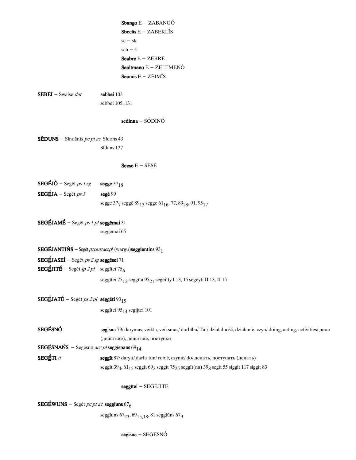|                                                                  | Sbango E - ZABANGÓ                                                                                                                                |
|------------------------------------------------------------------|---------------------------------------------------------------------------------------------------------------------------------------------------|
|                                                                  | Sbeclis $E - ZABEKL\$ IS                                                                                                                          |
|                                                                  | $sc - sk$                                                                                                                                         |
|                                                                  | $sch - \check{s}$                                                                                                                                 |
|                                                                  | Seabre $E - ZEBRE$                                                                                                                                |
|                                                                  | Sealtmeno E - ZÉLTMENÓ                                                                                                                            |
|                                                                  | <b>Seamis</b> $E - ZEIMIS$                                                                                                                        |
| <b>SEBĒI</b> – Swāise <i>dat</i>                                 | sebbei 103                                                                                                                                        |
|                                                                  | sebbei 105, 131                                                                                                                                   |
|                                                                  | $sedinna - SÓDINÓ$                                                                                                                                |
| SĒDUNS - Sīndānts pc pt ac Sīdons 43                             |                                                                                                                                                   |
|                                                                  | Sīdans 127                                                                                                                                        |
|                                                                  | Seese $E - S\bar{E}S\bar{E}$                                                                                                                      |
| $SEGEJ\acute{o}$ – Seget ps 1 sg                                 | segge $37_{18}$                                                                                                                                   |
| <b>SEGÉJA</b> – Seget ps 3                                       | segē 99                                                                                                                                           |
|                                                                  | segge 377 segge 89 <sub>13</sub> segge 61 <sub>16</sub> , 77, 89 <sub>28</sub> , 91, 95 <sub>17</sub>                                             |
| SEGÉJAMÉ – Segēt ps 1 pl seggēmai 31                             |                                                                                                                                                   |
|                                                                  | seggēmai 65                                                                                                                                       |
|                                                                  | <b>SEGÉJANTIŃS</b> – Segēt <i>pcpsacacepl</i> (wargu) <b>seggientins</b> $93_1$                                                                   |
| <b>SEGÉJASEÍ</b> – Seget <i>ps 2 sg</i> seggései 71              |                                                                                                                                                   |
| <b>SEGÉJITÉ</b> – Segēt <i>ip 2 pl</i> seggītei 75 <sub>6</sub>  |                                                                                                                                                   |
|                                                                  | seggītei 75 <sub>12</sub> seggīta 95 <sub>21</sub> segeitty I 13, 15 segeyti II 13, II 15                                                         |
| SEGÉJATÉ – Segēt ps 2 pl seggēti 93 <sub>15</sub>                |                                                                                                                                                   |
|                                                                  | seggītei 95 <sub>14</sub> segijtei 101                                                                                                            |
| SEGÉSNÓ                                                          | segisna 79/ darymas, veikla, veiksmas/ darbība/ Tat/ działalność, działanie, czyn/ doing, acting, activities/ дело                                |
|                                                                  | (действие), действие, поступки                                                                                                                    |
| <b>SEGÉSNAŃS</b> – Segesno acc pl seggisnans 69 <sub>14</sub>    |                                                                                                                                                   |
| SEGÉTI if                                                        | seggīt 87/ daryti/ darīt/ tun/ robić, czynić/ do/ делать, поступать (делать)                                                                      |
|                                                                  | seggīt 39 <sub>4</sub> , 61 <sub>15</sub> seggit 69 <sub>2</sub> seggīt 75 <sub>25</sub> seggīt(na) 39 <sub>8</sub> segīt 55 siggīt 117 siggit 83 |
|                                                                  | seggītei - SEGĒJITĒ                                                                                                                               |
| <b>SEGÉWUNS</b> – Seget pc pt ac <b>seggiuns</b> 67 <sub>6</sub> |                                                                                                                                                   |

seggīuns 67<sub>23</sub>, 69<sub>15,18</sub>, 81 seggīūns 67<sub>9</sub>

 $\text{segisna}-\text{SEG}\bar{\text{ES}}\text{N}\acute{\text{O}}$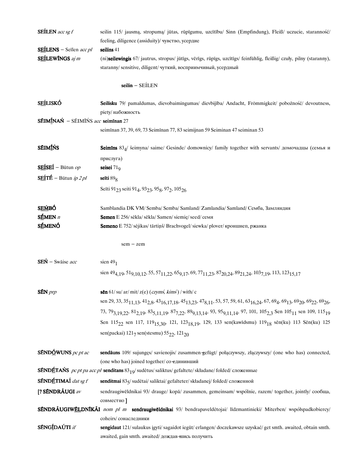| <b>SEILEN</b> acc sg $f$                  | seilin 115/ jausmą, stropumą/ jūtas, rūpīgumu, uzcītību/ Sinn (Empfindung), Fleiß/ uczucie, staranność/                                                                                                                                                           |
|-------------------------------------------|-------------------------------------------------------------------------------------------------------------------------------------------------------------------------------------------------------------------------------------------------------------------|
|                                           | feeling, diligence (assiduity)/ чувство, усердие                                                                                                                                                                                                                  |
| SEÍLENS - Seilen acc pl                   | seilins 41                                                                                                                                                                                                                                                        |
| SEÍLEWÍNGS aj m                           | (ni)seilewingis 67/ jautrus, stropus/ jūtīgs, vērīgs, rūpīgs, uzcītīgs/ feinfühlig, fleißig/ czuły, pilny (staranny),                                                                                                                                             |
|                                           | staranny/sensitive, diligent/ чуткий, восприимчивый, усердный                                                                                                                                                                                                     |
|                                           | $\text{seilin} - \text{SEÍLEN}$                                                                                                                                                                                                                                   |
|                                           |                                                                                                                                                                                                                                                                   |
| <b>SEÍLISKÓ</b>                           | Seilisku 79/ pamaldumas, dievobaimingumas/ dievbijība/ Andacht, Frömmigkeit/ pobożność/ devoutness,                                                                                                                                                               |
|                                           | piety/набожность                                                                                                                                                                                                                                                  |
| <b>SÉIMÍNAN</b> - SÉIMINS acc seiminan 27 |                                                                                                                                                                                                                                                                   |
|                                           | seimīnan 37, 39, 69, 73 Seimīnan 77, 83 seimijnan 59 Seiminan 47 seiminan 53                                                                                                                                                                                      |
| SÉIMÍŃS                                   | Seimins $83/4$ šeimyna/ saime/ Gesinde/ domownicy/ family together with servants/ домочадцы (семья и                                                                                                                                                              |
|                                           | прислуга)                                                                                                                                                                                                                                                         |
| $SE$ <b>ISEÍ</b> – Būtun op               | seisei 71 <sub>9</sub>                                                                                                                                                                                                                                            |
| $SEITE - Būtun ip2pl$                     | seīti $898$                                                                                                                                                                                                                                                       |
|                                           | Seīti 91 <sub>23</sub> seiti 91 <sub>4</sub> , 93 <sub>23</sub> , 95 <sub>8</sub> , 97 <sub>2</sub> , 105 <sub>26</sub>                                                                                                                                           |
|                                           |                                                                                                                                                                                                                                                                   |
| S <u>EM</u> BÓ                            | Samblandia DK VM/Semba/Semba/Samland/Zamlandia/Samland/Ceмба, Замляндия                                                                                                                                                                                           |
| SÉMEN <sub>n</sub>                        | Semen E 256/sekla/sekla/Samen/siemię/seed/семя                                                                                                                                                                                                                    |
| <b>SÉMENÓ</b>                             | Semeno E 752/sėjikas/tārtiņš/ Brachvogel/siewka/plover/кроншнеп, ржанка                                                                                                                                                                                           |
|                                           |                                                                                                                                                                                                                                                                   |
|                                           |                                                                                                                                                                                                                                                                   |
|                                           | $sem - zem$                                                                                                                                                                                                                                                       |
| $SEN - Swaise acc$                        | sien $491$                                                                                                                                                                                                                                                        |
|                                           | sien 49 <sub>4,19</sub> , 51 <sub>9,10,12</sub> , 55, 57 <sub>11,22</sub> , 65 <sub>9,17</sub> , 69, 77 <sub>11,23</sub> , 87 <sub>20,24</sub> , 89 <sub>21,24</sub> , 103 <sub>7,19</sub> , 113, 123 <sub>15,17</sub>                                            |
|                                           |                                                                                                                                                                                                                                                                   |
| <b>SÉN</b> prp                            | sēn 61/ su/ ar/ mit/ z(e) (czymś, kimś) / with/ c                                                                                                                                                                                                                 |
|                                           | sen 29, 33, 35 <sub>11,13</sub> , 41 <sub>2,8</sub> , 43 <sub>16,17,18</sub> , 45 <sub>13,23</sub> , 47 <sub>8,11</sub> , 53, 57, 59, 61, 63 <sub>16,24</sub> , 67, 69 <sub>4</sub> , 69 <sub>13</sub> , 69 <sub>20</sub> , 69 <sub>22</sub> , 69 <sub>26</sub> , |
|                                           | 73, 79 <sub>3,19,22</sub> , 81 <sub>2,19</sub> , 83 <sub>5,11,19</sub> , 87 <sub>7,22</sub> , 89 <sub>9,13,14</sub> , 93, 95 <sub>9,11,14</sub> , 97, 101, 105 <sub>2,3</sub> Sen 105 <sub>11</sub> sen 109, 115 <sub>19</sub>                                    |
|                                           | Sen 115 <sub>22</sub> sen 117, 119 <sub>15,30</sub> , 121, 123 <sub>18,19</sub> , 129, 133 sen(kawidsmu) 119 <sub>18</sub> sēn(ku) 113 Sēn(ku) 125                                                                                                                |
|                                           | sen(packai) $121_7$ sen(stesmu) $55_{22}$ , $121_{20}$                                                                                                                                                                                                            |
| <b>SÉNDÓWUNS</b> pc pt ac                 | sendauns 109/ sujungęs/ savienojis/ zusammen-gefügt/ połączywszy, złączywszy/ (one who has) connected,                                                                                                                                                            |
|                                           | (one who has) joined together/ $\cos$ единивший                                                                                                                                                                                                                   |
|                                           | SÉNDÉTANS pc pt pa acc pl senditans 83 <sub>19</sub> /sudetus/saliktus/gefaltete/składane/folded/сложенные                                                                                                                                                        |
| SÉNDÉTIMAÍ dat sg f                       | senditmai 835/ sudėtai/ saliktai/ gefalteter/ składanej/folded/ сложенной                                                                                                                                                                                         |
| [? SÉNDRÁUGI av                           | sendraugiwēldnikai 93/ drauge/ kopā/ zusammen, gemeinsam/ wspólnie, razem/ together, jointly/ coo6ma,                                                                                                                                                             |
|                                           | совместно]                                                                                                                                                                                                                                                        |
|                                           | SÉNDRÁUGIWÉLDNÍKÁI nom pl m sendraugiweldnikai 93/ bendrapaveldėtojai/ līdzmantinieki/ Miterben/ współspadkobiercy/                                                                                                                                               |
|                                           | coheirs/ сонаследники                                                                                                                                                                                                                                             |
| SÉNGÍDAÚTI if                             | sengidaut 121/ sulaukus įgyti/ sagaidot iegūt/ erlangen/ doczekawsze uzyskać/ get smth. awaited, obtain smth.<br>awaited, gain smth. awaited/ дождав нись получить                                                                                                |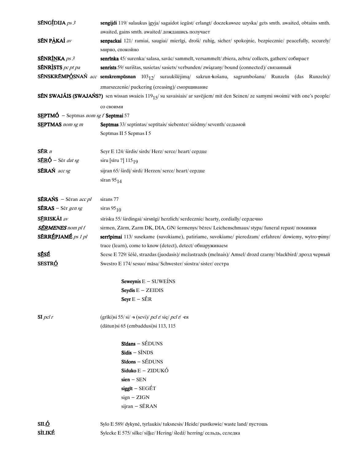| SÉNGÍDIJA $ps 3$                                   | sengijdi 119/ sulaukus įgyja/ sagaidot iegūst/ erlangt/ doczekawsze uzyska/ gets smth. awaited, obtains smth.                        |
|----------------------------------------------------|--------------------------------------------------------------------------------------------------------------------------------------|
| <b>SÉN PÀKAÍ</b> av                                | awaited, gains smth. awaited/ дождашись получает                                                                                     |
|                                                    | senpackai 121/ ramiai, saugiai/ mierīgi, droši/ ruhig, sicher/ spokojnie, bezpiecznie/ peacefully, securely/<br>мирно, спокойно      |
| <b>SÉNRÍNKA</b> ps 3                               | senrinka 45/surenka/salasa, savāc/sammelt, versammelt/zbiera, zebra/collects, gathers/coбирает                                       |
| <b>SÉNRISTS</b> pc pt pa                           | senrists 59/ surištas, susietas/ sasiets/ verbunden/ związany/ bound (connected)/ связанный                                          |
|                                                    | SÉNSKRÉMPÓSNAŃ acc senskrempūsnan 103 <sub>12</sub> / suraukšlėjimą/ sakrun košanu, sagrumbošanu/ Runzeln (das Runzeln)/             |
|                                                    |                                                                                                                                      |
|                                                    | zmarszczenie/puckering (creasing)/ сморщивание                                                                                       |
|                                                    | SÉN SWAJÁIS (SWAJAŃS?) sen wissan swaieis $119_{15}$ / su savaisiais/ ar savējiem/mit den Seinen/ze samymi swoimi/with one's people/ |
|                                                    | со своими                                                                                                                            |
| <b>SEPTMÓ</b> – Septmas nom sg f <b>Septmai</b> 57 |                                                                                                                                      |
| <b>SEPTMAS</b> nom sg m                            | Septmas 33/ septintas/ septītais/ siebenter/ siódmy/ seventh/ седьмой                                                                |
|                                                    | Septmas II 5 Sepmas I 5                                                                                                              |
| SER n                                              | Seyr E 124/ širdis/ sirds/ Herz/ serce/ heart/ сердце                                                                                |
| $S\bar{E}R\acute{Q}$ – Ser dat sg                  | siru [sīru ?] 115 <sub>19</sub>                                                                                                      |
| SÉRAŃ acc sg                                       | sijran 65/ širdį/ sirdi/ Herzen/ serce/ heart/ сердце                                                                                |
|                                                    | sīran $95_{14}$                                                                                                                      |
|                                                    |                                                                                                                                      |
| $SÉRANS - Sēran acc pl$                            | sirans 77                                                                                                                            |
| $SERAS - Sēr gen sg$                               | siras $95_{10}$                                                                                                                      |
| SÉRISKÃI av                                        | sīrisku 55/širdingai/sirsnīgi/herzlich/serdecznie/hearty, cordially/сердечно                                                         |
| <b>SÉRMENES</b> nom pl f                           | sirmen, Zärm, Zarm DK, DIA, GN/ šermenys/ bēres/ Leichenschmaus/ stypa/ funeral repast/ поминки                                      |
| <b>SÉRRÉPJAMÉ</b> ps 1 pl                          | serripimai 113/ susekame (suvokiame), patiriame, suvokiame/ pieredzam/ erfahren/ dowiemy, wytro-pimy/                                |
|                                                    | trace (learn), come to know (detect), detect/ обнаруживаем                                                                           |
| SĒSÉ                                               | Seese E 729/ šėšė, strazdas (juodasis)/ mežastrazds (melnais)/ Amsel/ drozd czarny/ blackbird/ дрозд черный                          |
| SESTRÓ                                             | Swestro E 174/sesuo/māsa/Schwester/siostra/sister/cecrpa                                                                             |
|                                                    |                                                                                                                                      |
|                                                    | Seweynis $E -$ SUWEINS                                                                                                               |
|                                                    | Seydis $E - ZEIDIS$                                                                                                                  |
|                                                    | Seyr $E - SER$                                                                                                                       |
| $SI$ pcl r                                         | (grīki)si 55/si/ $\div$ (sevi)/ pcl r/się/ pcl r/ $\div$ я                                                                           |
|                                                    | (dātun) si 65 (embaddusi) si 113, 115                                                                                                |
|                                                    | Sīdans - SÉDUNS                                                                                                                      |
|                                                    | $Sidis - SÍNDS$                                                                                                                      |
|                                                    | $Sidons - SÉDUNS$                                                                                                                    |
|                                                    | $Siduko E - ZIDUKÔ$                                                                                                                  |
|                                                    | $sien - SEN$                                                                                                                         |
|                                                    | $siggit - SEGET$                                                                                                                     |
|                                                    | $sign - ZIGN$                                                                                                                        |
|                                                    | sijran - SÉRAN                                                                                                                       |
|                                                    |                                                                                                                                      |
| SIL <u>Ó</u>                                       | Sylo E 589/ dykynė, tyrlaukis/tuksnesis/ Heide/pustkowie/waste land/пустошь                                                          |
| <b>SÌLIKÉ</b>                                      | Sylecke E 575/silke/silke/ Hering/sledz/herring/сельдь, селедка                                                                      |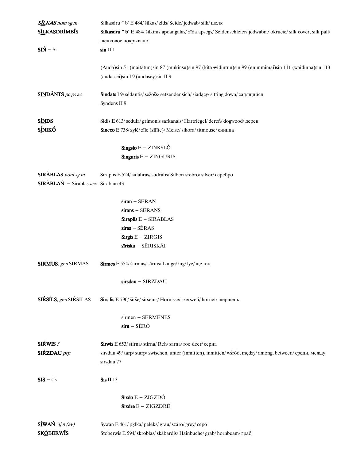| SILKAS nom sg m                                               | Silkasdru ^b' E 484/ šilkas/ zīds/ Seide/ jedwab/ silk/ шелк                                                    |
|---------------------------------------------------------------|-----------------------------------------------------------------------------------------------------------------|
| <b>SILKASDRIMBIS</b>                                          | Silkasdru ^b' E 484/ šilkinis apdangalas/ zīda apsegs/ Seidenschleier/ jedwabne okrucie/ silk cover, silk pall/ |
|                                                               | шелковое покрывало                                                                                              |
| $SIN - Si$                                                    | sin 101                                                                                                         |
|                                                               |                                                                                                                 |
|                                                               | (Audā)sin 51 (maitātun)sin 87 (mukinsu)sin 97 (kita widintun)sin 99 (enimmimai)sin 111 (waidinna)sin 113        |
|                                                               | (audassei)sin I 9 (audasey)sin II 9                                                                             |
| $S$ <i><i>MDÃNTS pc ps ac</i></i>                             | Sindats I 9/ sėdantis/ sēžošs/ setzender sich/ siadący/ sitting down/ садящийся                                 |
|                                                               | Syndens II 9                                                                                                    |
| <b>SINDS</b>                                                  | Sidis E 613/sedula/grimonis sarkanais/Hartriegel/deren/dogwood/дерен                                            |
| SÍNIKÓ                                                        | Sineco E 738/zylė/zile (zilite)/ Meise/sikora/titmouse/синица                                                   |
|                                                               |                                                                                                                 |
|                                                               | $\text{Singslo} \, \text{E} - \text{ZINKSLO}$                                                                   |
|                                                               | Singuris $E - ZINGURIS$                                                                                         |
| $SIR\triangle BLAS$ nom sg m                                  | Siraplis E 524/sidabras/sudrabs/Silber/srebro/silver/cepe6po                                                    |
| $SIR\triangle BLA\acute{N}$ - Sirablas <i>acc</i> Sirablan 43 |                                                                                                                 |
|                                                               |                                                                                                                 |
|                                                               | $siran - SERAN$                                                                                                 |
|                                                               | $sirans - SERANS$                                                                                               |
|                                                               | Siraplis $E - SIRABLAS$                                                                                         |
|                                                               | $siras - SERAS$                                                                                                 |
|                                                               | Sirgis $E - ZIRGIS$                                                                                             |
|                                                               | sīrisku - SĒRISKÃI                                                                                              |
| SIRMUS, gen SIRMAS                                            | Sirmes E 554/ šarmas/ sārms/ Lauge/ ług/ lye/ щелок                                                             |
|                                                               | sirsdau - SIRZDAU                                                                                               |
| SIŔSĪLS, gen SIŔSILAS                                         | Sirsilis E 790/ širšė/ sirsenis/ Hornisse/ szerszeń/ hornet/ шершень                                            |
|                                                               | $s$ irmen – SÉRMENES                                                                                            |
|                                                               | $s$ iru – SĒRÓ                                                                                                  |
|                                                               |                                                                                                                 |
| SIŔWIS $f$                                                    | Sirwis E 653/stirna/stirna/Reh/sarna/roe-deer/серна                                                             |
| SIŔZDAU <i>prp</i>                                            | sirsdau 49/tarp/starp/zwischen, unter (inmitten), inmitten/wśród, mędzy/among, between/среди, между             |
|                                                               | sirsdau 77                                                                                                      |
| $SIS - sis$                                                   | Sis II 13                                                                                                       |
|                                                               | $\text{Si} \text{xdo} \to -\text{ZIGZD} \hat{\bigcirc}$                                                         |
|                                                               | Sixdre $E - ZIGZDRE$                                                                                            |
| $S_{\text{I}}^{\text{f}}$ WAŃ aj n (av)                       | Sywan E 461/ pklka/ pelēks/ grau/ szaro/ grey/ cepo                                                             |
| <b>SKÓBERWÍS</b>                                              | Stoberwis E 594/skroblas/skābardis/Hainbuche/grab/hornbeam/rpa6                                                 |
|                                                               |                                                                                                                 |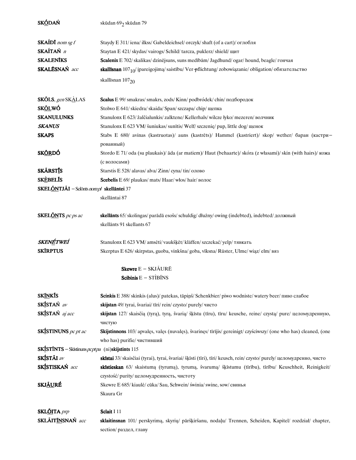| SKÓDAŃ                                                            | skūdan 69 <sub>2</sub> skūdan 79                                                                                          |
|-------------------------------------------------------------------|---------------------------------------------------------------------------------------------------------------------------|
| <b>SKAIDI</b> nom sg $f$                                          | Staydy E 311/ iena/ ilkss/ Gabeldeichsel/ orczyk/ shaft (of a cart)/ оглобля                                              |
| SKAÍTAŃ n                                                         | Staytan E 421/ skydas/vairogs/Schild/tarcza, puklerz/shield/щит                                                           |
| <b>SKALENĪKS</b>                                                  | Scalenix E 702/ skalikas/ dzinējsuns, suns medībām/ Jagdhund/ ogar/ hound, beagle/ гончая                                 |
| SKALĒSNAŃ acc                                                     | skallīsnan $107_{10}$ / įpareigojimą/saistību/ Ver-pflichtung/zobowiązanie/obligation/обязательство                       |
|                                                                   | skallisnan $107_{20}$                                                                                                     |
| <b>SKŐLS</b> , gen SKALAS                                         | Scalus E 99/ smakras/ smakrs, zods/ Kinn/ podbródek/ chin/ подбородок                                                     |
| <b>SK<u>ÕL</u>WÓ</b>                                              | Stolwo E 641/skiedra/skaida/Span/szczapa/chip/щепка                                                                       |
| <b>SKANULUNKS</b>                                                 | Stanulonx E 623/ žalčialunkis/ zalktene/ Kellerhals/ wilcze łyko/ mezeren/ волчник                                        |
| <b>SKANUS</b>                                                     | Stanulonx E 623 VM/ šuniukas/ sunītis/ Welf/ szczenię/ pup, little dog/ щенок                                             |
| <b>SKAPS</b>                                                      | Stabs E 680/ avinas (kastruotas)/ auns (kastrēts)/ Hammel (kastriert)/ skop/ wether/ баран (кастри-                       |
|                                                                   | рованный)                                                                                                                 |
| <b>SKÓRDÓ</b>                                                     | Stordo E 71/ oda (su plaukais)/ āda (ar matiem)/ Haut (behaarte)/ skóra (z własami)/ skin (with hairs)/ кожа              |
|                                                                   | (с волосами)                                                                                                              |
| <b>SKÅRSTIS</b>                                                   | Starstis E 528/ alavas/ alva/ Zinn/ супа/ tin/ олово                                                                      |
| <b>SKÈBELIS</b>                                                   | Scebelis E 69/ plaukas/ mats/ Haar/ włos/ hair/ волос                                                                     |
| SKELÕNTJÃI - Selõnts nom pl skellāntei 37                         |                                                                                                                           |
|                                                                   | skellāntai 87                                                                                                             |
| <b>SKEL<u>ÕN</u>TS</b> pc ps ac                                   | skellants 65/ skolingas/ parādā esošs/ schuldig/ dłużny/ owing (indebted), indebted/ должный<br>skellānts 91 skellants 67 |
|                                                                   |                                                                                                                           |
| SKENÉTWEÍ                                                         | Stanulonx E 623 VM/ amsėti/ vaukšķēt/ kläffen/ szczekać/ yelp/ тявкать                                                    |
| <b>SKIRPTUS</b>                                                   | Skerptus E 626/skirpstas, guoba, vinkšna/goba, vīksna/Rüster, Ulme/wiąz/elm/вяз                                           |
|                                                                   | <b>Skewre</b> $E - SKJ\tilde{A}UR\tilde{E}$                                                                               |
|                                                                   | Scibinis $E - STIBINS$                                                                                                    |
| <b>SKÍNKÍS</b>                                                    | Scinkis E 388/skinkis (alus)/patekas, tāpiņš/Schenkbier/piwo wodniste/watery beer/пиво слабое                             |
| SKÍSTAŃ av                                                        | skijstan 49/ tyrai, švariai/ tīri/ rein/ czysto/ purely/ чисто                                                            |
| SKÍSTAŃ aj acc                                                    | skijstan 127/ skaisčią (tyrą), tyrą, švarią/ šķīstu (tīru), tīru/ keusche, reine/ czystą/ pure/ целомудренную,<br>чистую  |
| <b>SKÍSTINUNS</b> pc pt ac                                        | Skijstinnons 103/ apvalęs, valęs (nuvalęs), švarinęs/ tīrījis/ gereinigt/ czyściwszy/ (one who has) cleaned, (one         |
|                                                                   | who has) purifie/ чистивший                                                                                               |
| <b>SKÍSTÍNTS</b> - Skīstinuns $pcptpa$ (ni) <b>skijstints</b> 115 |                                                                                                                           |
| SKÍSTÁI av                                                        | skīstai 33/ skaisčiai (tyrai), tyrai, švariai/ šķīsti (tīri), tīri/ keusch, rein/ czysto/ purely/ целомудренно, чисто     |
| SKÍSTISKAŃ acc                                                    | skīstieskan 63/ skaistumą (tyrumą), tyrumą, švarumą/ šķīstumu (tīrību), tīrību/ Keuschheit, Reinigkeit/                   |
|                                                                   | czystość/ purity/ целомудренность, чистоту                                                                                |
| <b>SKJ<u>ÃU</u>RÉ</b>                                             | Skewre E 685/ kiaulė/ cūka/ Sau, Schwein/ świnia/ swine, sow/ свинья                                                      |
|                                                                   | Skaura Gr                                                                                                                 |
| SKL <u>ÕI</u> TA prp                                              | Sclait I 11                                                                                                               |
| SKLÃIT <u>ÍN</u> SNAŃ acc                                         | sklaitinsnan 101/ perskyrimą, skyrių/ pāršķiršanu, nodaļu/ Trennen, Scheiden, Kapitel/ rozdział/ chapter,                 |
|                                                                   | section/ раздел, главу                                                                                                    |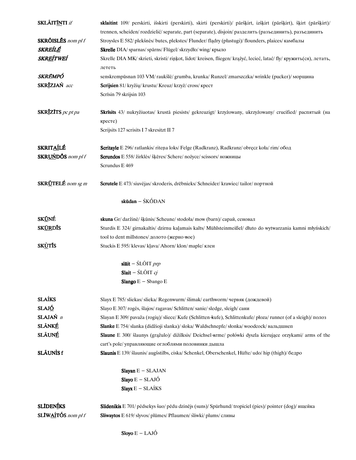| <b>SKLÃITÍNTI</b> if              | sklaitint 109/ perskirti, išskirti (perskirti), skirti (perskirti)/ pāršķirt, izšķirt (pāršķirt), šķirt (pāršķirt)/ |
|-----------------------------------|---------------------------------------------------------------------------------------------------------------------|
|                                   | trennen, scheiden/rozdzielić/separate, part (separate), disjoin/разделить (разъединить), разъединить                |
| SKRÕISLĒS nom pl f                | Stroysles E 582/ plekšnės/ butes, plekstes/ Flunder/ fladry (płastugi)/ flounders, plaices/ камбалы                 |
| <i>SKREÍLÉ</i>                    | <b>Skrelle</b> DIA/ sparnas/ spārns/ Flügel/ skrzydło/ wing/ крыло                                                  |
| <i><b>SKREÍTWEÍ</b></i>           | Skrelle DIA MK/skrieti, skristi/rinkot, lidot/kreisen, fliegen/krążyć, lecieć, latać/fly/кружить(ся), летать,       |
|                                   | лететь                                                                                                              |
| SKRÉMPÓ                           | senskrempūsnan 103 VM/ raukšlė/ grumba, krunka/ Runzel/ zmarszczka/ wrinkle (pucker)/ морщина                       |
| SKRĪZJAŃ acc                      | Scrijsien 81/ kryžių/ krustu/ Kreuz/ krzyż/ cross/ крест                                                            |
|                                   | Scrīsin 79 skrijsin 103                                                                                             |
| SKRĪZĪTS pc pt pa                 | Skrīsits 43/ nukryžiuotas/ krustā piesists/ gekreuzigt/ krzyżowany, ukrzyżowany/ crucified/ распятый (на            |
|                                   | кресте)                                                                                                             |
|                                   | Scrijsits 127 scrisits I 7 skresitzt II 7                                                                           |
| <b>SKRITAÍLÉ</b>                  | Scritayle E 296/ratlankis/ritena loks/Felge (Radkranz), Radkranz/obręcz koła/rim/обод                               |
| SKRUŃDŐS nom pl f                 | Scrundos E 558/ žirklės/ šķēres/ Schere/ nożyce/ scissors/ ножницы                                                  |
|                                   | Scrundus E 469                                                                                                      |
| SKR <u>U</u> TELÉ <i>nom sg m</i> | Scrutele E 473/ siuvėjas/ skroderis, drēbnieks/ Schneider/ krawiec/ tailor/ портной                                 |
|                                   | skūdan $ SK\acute{O}DAN$                                                                                            |
| SK <u>Ů</u> NÉ                    | skuna Gr/ daržinė/ šķūnis/ Scheune/ stodoła/ mow (barn)/ сарай, сеновал                                             |
| SK <u>ÚR</u> DÍS                  | Sturdis E 324/ girnakaltis/ dzirnu kaļamais kalts/ Mühlsteinmeißel/ dłuto do wytwarzania kamni młyńskich/           |
|                                   | tool to dent millstones/ долото (жерно-вое)                                                                         |
| SK <u>Ù</u> TÍS                   | Stuckis E 595/klevas/klava/Ahorn/klon/maple/клен                                                                    |
|                                   | slāit - $SLOIT$ prp                                                                                                 |
|                                   | Slait – $SLOIT$ cj                                                                                                  |
|                                   | Slango $E -$ Sbango $E$                                                                                             |
| <b>SLAÍKS</b>                     | Slayx E 785/sliekas/slieka/ Regenwurm/slimak/earthworm/червяк (дождевой)                                            |
| SLAJÓ                             | Slayo E 307/rogės, šlajos/ragavas/Schlitten/sanie/sledge, sleigh/сани                                               |
| SLAJAŃ n                          | Slayan E 309/ pavaža (rogių)/ sliece/ Kufe (Schlitten kufe), Schlittenkufe/ płoza/ runner (of a sleigh)/ nonos      |
| <b>SLÂNKÉ</b>                     | Slanke E 754/slanka (didžioji slanka)/sloka/Waldschnepfe/słonka/woodcock/вальдшнеп                                  |
| <b>SLÂUNÉ</b>                     | Slaune E 300/ šlaunys (grąžulo)/ dižilksis/ Deichsel-arme/ połówki dyszla kierujące orzykami/ arms of the           |
|                                   | cart's pole/ управляющие оглоблями половинки дышла                                                                  |
| <b>SLÃUNÌS f</b>                  | Slaunis E 139/ šlaunis/ augšstilbs, ciska/ Schenkel, Oberschenkel, Hüfte/ udo/ hip (thigh)/ бедро                   |
|                                   | Slayan $E - SLAJAN$                                                                                                 |
|                                   | Slayo $E - SLAJÓ$                                                                                                   |
|                                   | Slayx $E - SLAÍKS$                                                                                                  |
| <b>SLIDENÍKS</b>                  | Slidenikis E 701/ pėdsekys šuo/ pēdu dzinējs (suns)/ Spürhund/ tropiciel (pies)/ pointer (dog)/ ищейка              |
| SLIWAÍTÓS nom pl f                | Sliwaytos E 619/ slyvos/ plūmes/ Pflaumen/ śliwki/ plums/ сливы                                                     |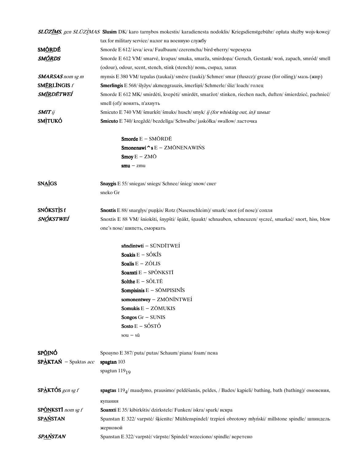|                                  | <b>SLUZĪMS</b> , gen SLUZĪMAS <b>Slusim</b> DK/ karo tarnybos mokestis/ karadienesta nodoklis/ Kriegsdienstgebühr/ opłata służby wojs kowej/ |
|----------------------------------|----------------------------------------------------------------------------------------------------------------------------------------------|
|                                  | tax for military service/ налог на военную службу                                                                                            |
| <b>SMÔRDÉ</b>                    | Smorde E 612/ ieva/ ieva/ Faulbaum/ czeremcha/ bird-eherry/ черемуха                                                                         |
| SM <u>ÕR</u> DS                  | Smorde E 612 VM/ smarvė, kvapas/ smaka, smarža, smirdona/ Geruch, Gestank/ woń, zapach, smród/ smell                                         |
|                                  | (odour), odour, scent, stench, stink (stench)/ вонь, смрад, запах                                                                            |
| <b>SMARSAS</b> nom sg m          | mynsis E 380 VM/tepalas (taukai)/smēre (tauki)/Schmer/smar (tłuszcz)/grease (for oiling)/мазь (жир)                                          |
| <b>SMÉRLÍNGIS</b> f              | <b>Smerlingis</b> E 568/ šlyžys/ akmengrauzis, šmerlinš/ Schmerle/ śliz/ loach/ голец                                                        |
| SM <u>ÍR</u> DĒTWEÍ              | Smorde E 612 MK/ smirdėti, kvepėti/ smirdēt, smaržot/ stinken, riechen nach, duften/ śmierdzieć, pachnieć/                                   |
|                                  | smell (of)/ вонять, п'ахнуть                                                                                                                 |
| <b>SMIT</b> ij                   | Smicuto E 740 VM/ šmurkšt/ šmuks/ husch/ smyk/ ij (for whisking out, in)/ шмыг                                                               |
| <b>SMITUKÓ</b>                   | Smicuto E 740/ kregždė/ bezdelīga/ Schwalbe/ jaskółka/ swallow/ ласточка                                                                     |
|                                  | Smorde $E - SM\bar{O}RD\bar{E}$                                                                                                              |
|                                  | Smonenawi $\hat{\ }$ s E – ZMŌNENAWIŃS                                                                                                       |
|                                  | $\text{Smoy } E - ZM\bar{O}$                                                                                                                 |
|                                  | $smu - zmu$                                                                                                                                  |
| <b>SNAIGS</b>                    |                                                                                                                                              |
|                                  | Snaygis E 55/sniegas/sniegs/Schnee/śnieg/snow/снег<br>sneko Gr                                                                               |
|                                  |                                                                                                                                              |
| SNÓKSTIS f                       | <b>Snoxtis</b> E 88/snarglys/punkis/Rotz (Nasenschleim)/smark/snot (of nose)/ $\text{conv1s}$                                                |
| SNÓKSTWEÍ                        | Snoxtis E 88 VM/ šniokšti, šnypšti/ šnākt, šnaukt/ schnauben, schneuzen/ syczeć, smarkać/ snort, hiss, blow                                  |
|                                  | one's nose/ шипеть, сморкать                                                                                                                 |
|                                  | sfindintwti - SŪNDĪTWEÍ                                                                                                                      |
|                                  | Soakis $E - S$ ÓKĨS                                                                                                                          |
|                                  |                                                                                                                                              |
|                                  | Soalis $E - Z\tilde{O}LIS$                                                                                                                   |
|                                  | Soanxti E - SPÕNKSTĪ                                                                                                                         |
|                                  | Solthe $E - S\tilde{O}L T\tilde{E}$                                                                                                          |
|                                  | <b>Sompisinis</b> $E - S\bar{O}MPISIN\bar{I}S$                                                                                               |
|                                  | somonentwey - ZMŌNĨNTWEÍ                                                                                                                     |
|                                  | Somukis $E - Z\bar{O}MUKIS$                                                                                                                  |
|                                  | Songos $Gr - \text{SUNIS}$                                                                                                                   |
|                                  | Sosto $E - S\acute{O}ST\acute{O}$                                                                                                            |
|                                  | $sou - s\bar{u}$                                                                                                                             |
| <b>SPÔINÓ</b>                    | Spoayno E 387/ puta/ putas/ Schaum/ piana/ foam/ пена                                                                                        |
| $SP\triangle KTAN - Spaktas acc$ | spagtan 103                                                                                                                                  |
|                                  | spagtun $119_{19}$                                                                                                                           |
| $SP\triangle K T$ ÓS gen sg f    | spagtas $1194$ / maudymo, prausimo/ peldēšanās, peldes, / Bades/ kapieli/ bathing, bath (bathing)/ омовения,                                 |
|                                  |                                                                                                                                              |
| <b>SP<u>ÓN</u>KSTI</b> nom sg f  | купания                                                                                                                                      |
| <b>SPAŃSTAN</b>                  | <b>Soanxti</b> E 35/ kibirkštis/ dzirkstele/ Funken/ iskra/ spark/ искра                                                                     |
|                                  | Spanstan E 322/ varpstė/ šķienīte/ Mühlenspindel/ trzpień obrotowy młyński/ millstone spindle/ шпиндель<br>жерновой                          |
| SPAŃSTAN                         | Spanstan E 322/ varpstė/ vārpste/ Spindel/ wrzeciono/ spindle/ веретено                                                                      |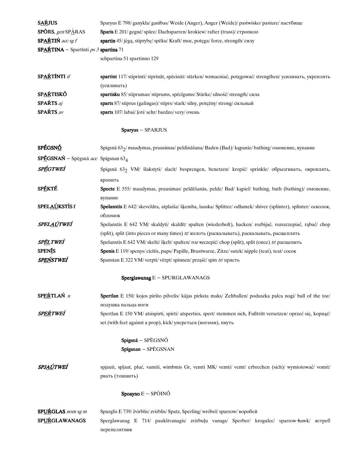| <b>SAŔJUS</b>                                             | Sparyus E 798/ ganykla/ ganības/ Weide (Anger), Anger (Weide)/ pastwisko/ pasture/ пастбище                                |
|-----------------------------------------------------------|----------------------------------------------------------------------------------------------------------------------------|
| <b>SPÓRS</b> , gen SP $\angle$ RAS                        | Sparis E 201/ gegnė/ spāre/ Dachsparren/ krokiew/ rafter (truss)/ стропило                                                 |
| $SP$ AŔTIŃ acc sg f                                       | spartin 45/ jėgą, stiprybę/ spēku/ Kraft/ moc, potęga/ force, strength/ силу                                               |
| $SPAÁTINA -$ Spartinti ps 3 spartina 71                   |                                                                                                                            |
|                                                           | schpartina 51 spartinno 129                                                                                                |
| SPAŔTĨNTI if                                              | spartint 117/ stiprinti/ stprināt, spēcināt/ stärken/ wzmacniać, potęgować/ strengthen/ усиливать, укреплять               |
|                                                           | (усиливать)                                                                                                                |
| <b>SPAŔTISKÓ</b>                                          | spartisku 85/stiprumas/stiprums, spēcīgums/Stärke/silność/strength/сила                                                    |
| SPAŔTS aj                                                 | sparts 87/ stiprus (galingas)/ stiprs/ stark/ silny, potężny/ strong/ сильный                                              |
| <b>SPAŔTS</b> av                                          | sparts 107/labai/loti/sehr/bardzo/very/очень                                                                               |
|                                                           | Sparyus - SPARJUS                                                                                                          |
| <b>SPÉGSNÓ</b>                                            | Spigsnā 63 <sub>2</sub> /maudymas, prausimas/peldināšana/Baden (Bad)/kapanie/bathing/омовение, купание                     |
| $SPÉGSNA\acute{N}$ – Spēgsnā acc Spīgsnan 63 <sub>4</sub> |                                                                                                                            |
| SPÉGTWEÍ                                                  | Spigsnā 63 <sub>2</sub> VM/ šlakstyti/ slacīt/ besprengen, benetzen/ kropić/ sprinkle/ обрызгивать, окроплять,             |
|                                                           | кропить                                                                                                                    |
| <b>SPÉKTÉ</b>                                             | Specte E 555/ maudymas, prausimas/ peldēšanās, pelde/ Bad/ kapiel/ bathing, bath (bathing)/ омовение,                      |
|                                                           | купание                                                                                                                    |
| SPELAÚKSTÌS f                                             | Spelanxtis E 642/ skeveldra, atplaiša/ šķemba, lauska/ Splitter/ odłamek/ shiver (splinter), splinter/ осколок,<br>обломок |
| SPELAÚTWEÍ                                                | Spelanxtis E 642 VM/ skaldyti/ skaldīt/ spalten (wiederholt), hacken/ rozbijać, rozszczepiać, rąbać/ chop                  |
|                                                           | (split), split (into pieces or many times) tr/ колоть (раскалывать), раскалывать, расщеплять                               |
| sp <u>él</u> tweí                                         | Spelanxtis E 642 VM/ skelti/ šķelt/ spalten/ roz szczepić/ chop (split), split (once) tr/ расщепить                        |
| <b>SPENIS</b>                                             | <b>Spenis</b> E 119/spenys/cicitis, pups/Papille, Brustwarze, Zitze/sutek/nipple (teat), teat/cocok                        |
| sp <u>eń</u> stwei                                        | Spanstan E 322 VM/ verpti/ vērpt/ spinnen/ prząść/ spin tr/ прясть                                                         |
|                                                           | Sperglawanag E - SPURGLAWANAGS                                                                                             |
| SPEŔTLAŃ n                                                | Spertlan E 150/ kojos piršto pilvelis/ kājas pirksta maks/ Zehballen/ poduszka palca nogi/ ball of the toe/                |
|                                                           | подушка пальца ноги                                                                                                        |
| SPEŔTWEÍ                                                  | Spertlan E 150 VM/ atsispirti, spirti/ atsperties, spert/ stemmen sich, Fußtritt versetzen/ oprzeć się, kopnąć/            |
|                                                           | set (with feet against a prop), kick/ упереться (ногами), пнуть                                                            |
|                                                           | Spigsnā - SPĒGSNÓ                                                                                                          |
|                                                           | Spīgsnan - SPĒGSNAN                                                                                                        |
| SPJ <u>AÚ</u> TWEÍ                                        | spjauti, splaut, pluć, vamiti, wimbmis Gr, vemti MK/ vemti/ vemt/ erbrechen (sich)/ wymiotować/ vomit/                     |
|                                                           | рвать (тошнить)                                                                                                            |
|                                                           | <b>Spoayno</b> $E - SP\tilde{O}IN\tilde{O}$                                                                                |
| <b>SPURGLAS</b> nom sg m                                  | Spurglis E 739/ žvirblis/ zvirblis/ Spatz, Sperling/ wróbel/ sparrow/ воробей                                              |
| SPUŔGLAWANAGS                                             | Sperglawanag E 714/ paukštvanagis/ zvirbuļu vanags/ Sperber/ krogulec/ sparrow-hawk/ ястреб                                |
|                                                           | перепелятник                                                                                                               |
|                                                           |                                                                                                                            |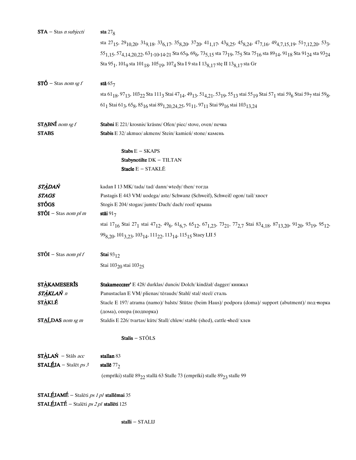| $STA - Stas n subjecti$                                | sta $278$                                                                                                                                                                                                                                                                                                                |
|--------------------------------------------------------|--------------------------------------------------------------------------------------------------------------------------------------------------------------------------------------------------------------------------------------------------------------------------------------------------------------------------|
|                                                        | sta 27 <sub>15</sub> , 29 <sub>10,20</sub> , 31 <sub>9,18</sub> , 33 <sub>6,17</sub> , 35 <sub>8,20</sub> , 37 <sub>20</sub> , 41 <sub>1,17</sub> , 43 <sub>8,25</sub> , 45 <sub>8,24</sub> , 47 <sub>7,16</sub> , 49 <sub>4,7,15,19</sub> , 51 <sub>7,12,20</sub> , 53 <sub>3</sub> ,                                   |
|                                                        | 55 <sub>1,15</sub> , 57 <sub>4,14,20,22</sub> , 63 <sub>1</sub> , <sub>10</sub> , <sub>14</sub> , <sub>21</sub> Sta 65 <sub>9</sub> , 69 <sub>6</sub> , 73 <sub>5,15</sub> sta 73 <sub>19</sub> , 75 <sub>5</sub> Sta 75 <sub>16</sub> sta 89 <sub>14</sub> , 91 <sub>18</sub> Sta 91 <sub>24</sub> sta 93 <sub>24</sub> |
|                                                        | Sta 95 <sub>1</sub> , 101 <sub>9</sub> sta 101 <sub>18</sub> , 105 <sub>19</sub> , 107 <sub>4</sub> Sta I 9 sta I 13 <sub>8,17</sub> ste II 13 <sub>8,17</sub> sta Gr                                                                                                                                                    |
| $ST\acute{O}$ – Stas nom sg f                          | stā $657$                                                                                                                                                                                                                                                                                                                |
|                                                        | sta 61 <sub>18</sub> , 97 <sub>13</sub> , 103 <sub>22</sub> Sta 111 <sub>3</sub> Stai 47 <sub>14</sub> , 49 <sub>13</sub> , 51 <sub>4, 21</sub> , 53 <sub>19</sub> , 55 <sub>13</sub> stai 55 <sub>19</sub> Stai 57 <sub>1</sub> stai 59 <sub>6</sub> Stai 59 <sub>7</sub> stai 59 <sub>7</sub>                          |
|                                                        | 61 <sub>1</sub> Stai 61 <sub>3</sub> , 65 <sub>8</sub> , 85 <sub>16</sub> stai 89 <sub>1, 20</sub> , 24, 25, 91 <sub>11</sub> , 97 <sub>11</sub> Stai 99 <sub>16</sub> stai 103 <sub>13, 24</sub>                                                                                                                        |
| $STABNf$ nom sg f                                      | Stabni E 221/ krosnis/ krāsns/ Ofen/ piec/ stove, oven/ печка                                                                                                                                                                                                                                                            |
| <b>STABS</b>                                           | Stabis E 32/ akmuo/ akmens/ Stein/ kamień/ stone/ камень                                                                                                                                                                                                                                                                 |
|                                                        | $Stabs E - SKAPS$                                                                                                                                                                                                                                                                                                        |
|                                                        | Stabynotilte DK - TILTAN                                                                                                                                                                                                                                                                                                 |
|                                                        | Stacle E - STAKLĒ                                                                                                                                                                                                                                                                                                        |
| <b>STÀDAŃ</b>                                          | kadan I 13 MK/tada/tad/dann/wtedy/then/тогда                                                                                                                                                                                                                                                                             |
| <b>STAGS</b>                                           | Pastagis E 443 VM/ uodega/ aste/ Schwanz (Schweif), Schweif/ ogon/ tail/ XBOCT                                                                                                                                                                                                                                           |
| <b>STÓGS</b>                                           | Stogis E 204/stogas/jumts/Dach/dach/roof/крыша                                                                                                                                                                                                                                                                           |
| $ST\tilde{O}I$ - Stas nom pl m                         | stāi $917$                                                                                                                                                                                                                                                                                                               |
|                                                        | stai 17 <sub>16</sub> Stai 27 <sub>1</sub> stai 47 <sub>12</sub> , 49 <sub>6</sub> , 61 <sub>6,7</sub> , 65 <sub>12</sub> , 67 <sub>1,23</sub> , 73 <sub>21</sub> , 77 <sub>2,7</sub> Stai 83 <sub>4,18</sub> , 87 <sub>13,20</sub> , 91 <sub>20</sub> , 93 <sub>19</sub> , 95 <sub>12</sub> ,                           |
|                                                        | 99 <sub>8.20</sub> , 101 <sub>3.23</sub> , 103 <sub>14</sub> , 111 <sub>22</sub> , 113 <sub>14</sub> , 115 <sub>15</sub> Staey I,II 5                                                                                                                                                                                    |
| $ST\ddot{O}I - Stas nom pIf$                           | Stai $93_{12}$                                                                                                                                                                                                                                                                                                           |
|                                                        | Stai 103 <sub>20</sub> stai 103 <sub>25</sub>                                                                                                                                                                                                                                                                            |
| <b>STÀKAMESERIS</b>                                    | Stakamecczer' E 428/ durklas/ duncis/ Dolch/ kindżał/ dagger/ кинжал                                                                                                                                                                                                                                                     |
| <b>STÀKLAŃ</b> n                                       | Panustaclan E VM/ plienas/ tērauds/ Stahl/ stal/ steel/ сталь                                                                                                                                                                                                                                                            |
| <b>STÀKLÉ</b>                                          | Stacle E 197/ atrama (namo)/ balsts/ Stütze (beim Haus)/ podpora (doma)/ support (abutment)/ под норка                                                                                                                                                                                                                   |
|                                                        | (дома), опора (подпорка)                                                                                                                                                                                                                                                                                                 |
| STALDAS nom sg m                                       | Staldis E 226/ tvartas/ kūts/ Stall/ chlew/ stable (shed), cattle shed/ хлев                                                                                                                                                                                                                                             |
|                                                        | Stalis - STÕLS                                                                                                                                                                                                                                                                                                           |
| $STÀLAN - Stāls acc$                                   | stallan 83                                                                                                                                                                                                                                                                                                               |
| <b>STALÉJA</b> – Stalet ps 3                           | stalle $772$                                                                                                                                                                                                                                                                                                             |
|                                                        | (emprīki) stallē 89 <sub>22</sub> stallā 63 Stalle 73 (emprīki) stalle 89 <sub>23</sub> stalle 99                                                                                                                                                                                                                        |
| <b>STALÉJAMÉ</b> – Stalēti <i>ps 1 pl</i> stallēmai 35 |                                                                                                                                                                                                                                                                                                                          |

**STALÉJATÉ** – Stalēti *ps 2 pl* stallēti 125

 $stalli - STALIJ$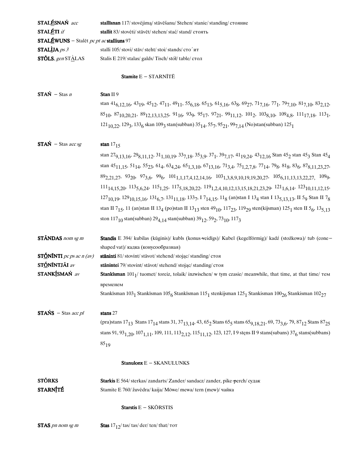| STALÉSNAŃ acc                                   | stallīsnan 117/ stovėjimą/ stāvēšanu/ Stehen/ stanie/ standing/ стояние                                                                                                                                                                                                                                                  |
|-------------------------------------------------|--------------------------------------------------------------------------------------------------------------------------------------------------------------------------------------------------------------------------------------------------------------------------------------------------------------------------|
| STALÉTI if                                      | stallit 83/ stovėti/ stāvēt/ stehen/ stać/ stand/ стоять                                                                                                                                                                                                                                                                 |
| <b>STALÉWUNS</b> – Stalēt pc pt ac stalliuns 97 |                                                                                                                                                                                                                                                                                                                          |
| STALLIJA <i>ps</i> $3$                          | stalli 105/stovi/stav/steht/stoi/stands/сто ит                                                                                                                                                                                                                                                                           |
| <b>STÕLS</b> , gen $ST\triangle$ LAS            | Stalis E 219/ stalas/ galds/ Tisch/ stół/ table/ стол                                                                                                                                                                                                                                                                    |
|                                                 | Stamite $E - STARNITE$                                                                                                                                                                                                                                                                                                   |
| $STAN - Stas n$                                 | Stan II 9                                                                                                                                                                                                                                                                                                                |
|                                                 | stan 41 <sub>6</sub> , 12, 16 <sup>, 43</sup> 19, 45 <sub>12</sub> , 47 <sub>11</sub> , 49 <sub>11</sub> , 55 <sub>6, 18</sub> , 65 <sub>13</sub> , 61 <sub>5, 16</sub> , 63 <sub>8</sub> , 69 <sub>27</sub> , 71 <sub>7, 16</sub> , 77 <sub>1</sub> , 79 <sub>7, 10</sub> , 81 <sub>7</sub> , 10, 83 <sub>2, 12</sub> , |
|                                                 | $85_{10}$ , $87_{10,20,21}$ , $89_{12,13,13,25}$ , $91_{16}$ , $93_{9}$ , $95_{17}$ , $97_{21}$ , $99_{11,12}$ , $101_{2}$ , $103_{8,10}$ , $109_{4,8}$ , $111_{17,18}$ , $113_{1}$ ,                                                                                                                                    |
|                                                 | $121_{10,22}$ , $129_3$ , $133_6$ skan $109_3$ stan(subban) $35_{14}$ , $55_7$ , $95_{21}$ , $99_{7,14}$ (No)stan(subban) $125_1$                                                                                                                                                                                        |
| $STAN - Stas accsg$                             | stan $1715$                                                                                                                                                                                                                                                                                                              |
|                                                 | stan 279, 13, 16, 298, 11, 12, 31, 10, 19, 337, 18, 353, 9, 371, 397, 17, 4119, 24, 4312, 16 Stan 452 stan 453 Stan 454                                                                                                                                                                                                  |
|                                                 | stan 45 <sub>11,15</sub> , 51 <sub>14</sub> , 55 <sub>23</sub> , 61 <sub>4</sub> , 63 <sub>4,24</sub> , 65 <sub>1,3,10</sub> , 67 <sub>13,16</sub> , 71 <sub>3,4</sub> , 75 <sub>1,2,7,8</sub> , 77 <sub>14</sub> , 79 <sub>8</sub> , 81 <sub>8</sub> , 83 <sub>6</sub> , 87 <sub>8,11,23,27</sub> ,                     |
|                                                 | $89_{2,21,27}$ , $93_{20}$ , $97_{3,6}$ , $99_{6}$ , $101_{1,1,17,4,12,14,16}$ , $103_{1,3,8,9,10,19,19,20,27}$ , $105_{6,11,13,13,22,27}$ , $109_{9}$ ,                                                                                                                                                                 |
|                                                 |                                                                                                                                                                                                                                                                                                                          |
|                                                 | $111_{14,15,20}$ , $113_{5,6,24}$ , $115_{1,25}$ , $117_{5,18,20,22}$ , $119_{1,2,4,10,12,13,15,18,21,23,29}$ , $121_{1,6,14}$ , $123_{10,11,12,15}$ ,                                                                                                                                                                   |
|                                                 | $127_{10,19}$ , $129_{10,15,16}$ , $131_{6,7}$ , $131_{11,18}$ , $133_7$ , $17_{14,15}$ , $11_8$ (an)stan I $13_4$ stan I $13_{5,13,13}$ , II 59 Stan II 7 <sub>8</sub>                                                                                                                                                  |
|                                                 | stan II 7 <sub>15</sub> , 11 (an)stan II 13 <sub>4</sub> (po)stan II 13 <sub>13</sub> sten 49 <sub>10</sub> , 117 <sub>23</sub> , 119 <sub>29</sub> sten(kijsman) 125 <sub>1</sub> sten II 5 <sub>6</sub> , 13 <sub>5.13</sub>                                                                                           |
|                                                 | ston 117 <sub>10</sub> stan(subban) $29_{4,14}$ stan(subban) $39_{12}$ , $59_2$ , $73_{10}$ , $117_3$                                                                                                                                                                                                                    |
| <b>STÂNDAS</b> nom sg m                         | Standis E 394/ kubilas (kūginis)/ kubls (konus-veidīgs)/ Kubel (kegelförmig)/ kadź (stożkowa)/ tub (cone-                                                                                                                                                                                                                |
|                                                 | shaped vat)/ кадка (конусообразная)                                                                                                                                                                                                                                                                                      |
| <b>STÓNÍNTI</b> pc ps ac n (av)                 | stāninti 81/ stovint/ stāvot/ stehend/ stojąc/ standing/ стоя                                                                                                                                                                                                                                                            |
| STÓNÍNTJÁI av                                   | stānintei 79/ stovint/ stāvot/ stehend/ stojąc/ standing/ стоя                                                                                                                                                                                                                                                           |
| STANKÍSMAŃ av                                   | <b>Stankisman</b> $1011$ tuomet/ toreiz, tolaik/ inzwischen/ w tym czasie/ meanwhile, that time, at that time/ $\tau$ em                                                                                                                                                                                                 |
|                                                 | временем                                                                                                                                                                                                                                                                                                                 |
|                                                 | Stankīsman 103 <sub>1</sub> Stankīsman 105 <sub>6</sub> Stankīsman 115 <sub>1</sub> stenkijsman 125 <sub>1</sub> Stankisman 100 <sub>26</sub> Stankisman 102 <sub>27</sub>                                                                                                                                               |
| $STANS - Stas accpl$                            | stans 27                                                                                                                                                                                                                                                                                                                 |
|                                                 | (pra)stans 17 <sub>13</sub> Stans 17 <sub>14</sub> stans 31, 37 <sub>13,14</sub> , 43, 65 <sub>2</sub> Stans 65 <sub>5</sub> stans 65 <sub>9,18,21</sub> , 69, 73 <sub>3,6</sub> , 79, 87 <sub>12</sub> Stans 87 <sub>25</sub>                                                                                           |
|                                                 | stans 91, 93 <sub>1,20</sub> , 107 <sub>1,11</sub> , 109, 111, 113 <sub>2,12</sub> , 115 <sub>11,12</sub> , 123, 127, I 9 steps II 9 stans(subans) 37 <sub>6</sub> stans(subbans)                                                                                                                                        |
|                                                 | $85_{19}$                                                                                                                                                                                                                                                                                                                |
|                                                 | Stanulonx E - SKANULUNKS                                                                                                                                                                                                                                                                                                 |
| <b>STÓRKS</b>                                   | Starkis E 564/ sterkas/ zandarts/ Zander/ sandacz/ zander, pike-perch/ судак                                                                                                                                                                                                                                             |
| <b>STARNÍTÉ</b>                                 | Stamite E 760/ žuvėdra/ kaija/ Möwe/ mewa/ tern (mew)/ чайка                                                                                                                                                                                                                                                             |
|                                                 | Starstis E - SKŌRSTIS                                                                                                                                                                                                                                                                                                    |
| STAS pn nom sg m                                | Stas $17_{12}$ / tas/ tas/ der/ ten/ that/ $\tau$ o $\tau$                                                                                                                                                                                                                                                               |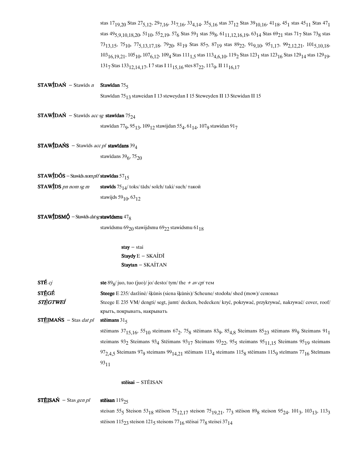stas 17<sub>19,20</sub> Stas 27<sub>5,12</sub>, 29<sub>7,16</sub>, 31<sub>7,16</sub>, 33<sub>4,14</sub>, 35<sub>5,16</sub> stas 37<sub>12</sub> Stas 39<sub>10,16</sub>, 41<sub>18</sub>, 45<sub>1</sub> stas 45<sub>11</sub> Stas 47<sub>1</sub> stas 49<sub>5,9,10,18,20</sub>, 51<sub>10</sub>, 55<sub>2,19</sub>, 57<sub>6</sub> Stas 59<sub>1</sub> stas 59<sub>8</sub>, 61<sub>11,12,16,19</sub>, 63<sub>14</sub> Stas 69<sub>21</sub> stas 71<sub>7</sub> Stas 73<sub>8</sub> stas  $73_{13,15}$ ,  $75_{10}$ ,  $77_{5,13,17,18}$ ,  $79_{20}$ ,  $81_{19}$  Stas  $85_{7}$ ,  $87_{19}$  stas  $89_{22}$ ,  $91_{9,10}$ ,  $95_{1,17}$ ,  $99_{2,12,21}$ ,  $101_{5,10,18}$ ,  $103_{16,19,21}, 105_{10}, 107_{6,12}, 109_4$  Stas $111_{1,5}$  stas  $113_{4,6,10}$ ,  $119_2$  Stas  $123_1$  stas  $123_{16}$  Stas  $129_{14}$  stas  $129_{19}$ , 131<sub>7</sub> Stas 133<sub>12,14,17</sub>, I 7 stas I 11<sub>15,16</sub> stes 87<sub>22</sub>, 117<sub>9</sub>, II 11<sub>16,17</sub>

#### **STAWÍDAŃ** - Stawīds n Stawīdan 755

Stawīdan 75<sub>13</sub> staweidan I 13 steweydan I 15 Steweyden II 13 Stewidan II 15

```
STAWÍDAŃ - Stawīds acc sg stawīdan 75_{24}
```
stawīdan 77<sub>9</sub>, 95<sub>13</sub>, 109<sub>12</sub> stawijdan 55<sub>4</sub>, 61<sub>14</sub>, 107<sub>9</sub> stawidan 91<sub>7</sub>

```
STAWIDAŃS - Stawīds acc pl stawīdans 39_4
```
stawīdans 39<sub>6</sub>, 75<sub>20</sub>

### $STAWÍDÕS - Stawīds *nomplf* stawīdas 57<sub>15</sub>$

STAW**IDS** pn nom sg m stawīds  $75_{14}$ /toks/tāds/solch/taki/such/такой stawijds 59 $_{10}$ , 63 $_{12}$ 

#### **STAW**IDSM $\acute{\textbf{Q}}$  – Stawids *dat sg* stawīdsmu 47<sub>8</sub>

stawīdsmu 69 $_{20}$ stawijdsmu 69 $_{22}$ stawidsmu 61 $_{18}$ 

### $stay - stai$ Staydy  $E - SKAÍD\overline{I}$ Staytan - SKAÍTAN

| STÉ $c\bar{f}$                       | ste 89 <sub>8</sub> /juo, tuo (juo)/jo/ desto/tym/the + av cp/ тем                                                                                                                      |
|--------------------------------------|-----------------------------------------------------------------------------------------------------------------------------------------------------------------------------------------|
| STÉGÉ                                | <b>Steege</b> E 235/daržinė/ šķūnis (siena šķūnis)/ Scheune/stodola/shed (mow)/ сеновал                                                                                                 |
| STÈGTWEÍ                             | Steege E 235 VM/ dengti/ segt, jumt/ decken, bedecken/ kryć, pokrywać, przykrywać, nakrywać/ cover, roof/                                                                               |
|                                      | крыть, покрывать, накрывать                                                                                                                                                             |
| <b>STÉIMAŃS</b> – Stas <i>dat pl</i> | stējmans $315$                                                                                                                                                                          |
|                                      | stēimans $37_{15,16}$ , $55_{10}$ steimans $67_2$ , $75_8$ stēimans $83_9$ , $85_{4,8}$ Steimans $85_{23}$ stēimans $89_9$ Steimans $91_1$                                              |
|                                      | steimans 93 <sub>2</sub> Steimans 93 <sub>4</sub> Steimans 93 <sub>17</sub> Steimans 93 <sub>22</sub> , 95 <sub>5</sub> steimans 95 <sub>11,15</sub> Steimans 95 <sub>19</sub> steimans |
|                                      | $972.4.5$ Steimans $979$ steimans $991.21$ steimans $113.4$ steimans $115_8$ steimans $115_9$ steimans $77_{16}$ Steimans                                                               |

9311

#### stēisai - STĒISAN

 $STÉISAÑ - Stas genpl$  stēisan 119<sub>25</sub> steisan 55<sub>5</sub> Steison 53<sub>18</sub> stēison 75<sub>12,17</sub> steison 75<sub>19,21</sub>, 77<sub>3</sub> stēison 89<sub>8</sub> steison 95<sub>24</sub>, 101<sub>3</sub>, 103<sub>13</sub>, 113<sub>3</sub> stēison 115 $_{23}$  steison 121 $_{5}$  steisons 77 $_{16}$  stēisai 77 $_{8}$  steisei 37 $_{14}$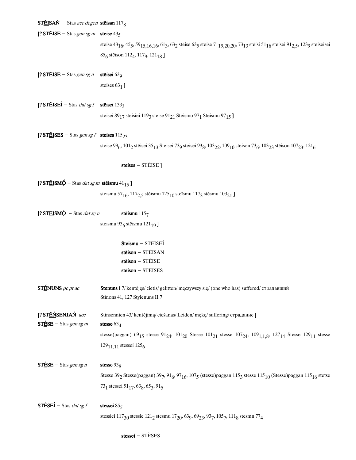$STEISAN - Stas acc degen stēisan 117<sub>8</sub>$ 

[? STÉISE – Stas gen sg m steise  $43<sub>5</sub>$ 

steise 43<sub>16</sub>, 45<sub>5</sub>, 59<sub>15,16,16</sub>, 61<sub>3</sub>, 63<sub>2</sub> stēise 63<sub>5</sub> steise 71<sub>19,20,20</sub>, 73<sub>13</sub> stēisi 51<sub>16</sub> steisei 91<sub>2,5</sub>, 123<sub>9</sub> steiseisei 85<sub>6</sub> stēison 112<sub>4</sub>, 117<sub>9</sub>, 121<sub>18</sub> ]

[? STÉISE - Stas gen sg n stēisei 63 $_9$ 

steises 63 $_1$ ]

[? STÉISEÍ – Stas dat sg f stēisei 1333 steisei 89 $_{17}$ steisiei 119 $_3$  steise 91 $_{21}$  Steismo 97 $_1$  Steismu 97 $_{15}$  ]

[? STÉISES – Stas gen sg f steises  $115_{23}$ 

steise 99<sub>6</sub>, 101<sub>2</sub> stēisei 35<sub>13</sub> Steisei 73<sub>9</sub> steisei 93<sub>8</sub>, 103<sub>22</sub>, 109<sub>10</sub> steison 73<sub>6</sub>, 103<sub>23</sub> stēison 107<sub>23</sub>, 121<sub>6</sub>

steises - STÉISE]

[? STÉISM $\acute{\textbf{Q}}$  – Stas *dat sg m* stēismu 41<sub>15</sub>]

steismu 57 $_{16}$ , 117 $_{2,5}$  stēismu 125 $_{10}$  steīsmu 117 $_3$  stēsmu 103 $_{21}$  ]

[? ST $E$ ISM $\dot{\Theta}$  – Stas *dat sg n* stēismu 115<sub>7</sub> steismu 93<sub>6</sub> stēismu 121<sub>19</sub>]

> Steismu - STÉISEÍ stēison  $-$  STÉISAN stēison - STÉISE stēison - STĒISES

STÉNUNS pc pt ac Stenuns I 7/ kentėjęs/ cietis/ gelitten/ męczywszy się/ (one who has) suffered/ страдавший Stīnons 41, 127 Styienuns II 7

[? STÉŃSENJAŃ acc Stinsennien 43/kentėjimą/ciešanas/Leiden/mękę/suffering/страдание]  $ST \triangle SE - Stas \text{gen sg } m$  stesse 63<sub>4</sub> stesse(paggan) 69<sub>15</sub> stesse 91<sub>24</sub>, 101<sub>20</sub> Stesse 101<sub>21</sub> stesse 107<sub>24</sub>, 109<sub>1,1,8</sub>, 127<sub>14</sub> Stesse 129<sub>11</sub> stesse  $129_{11,11}$  stessei  $125_{6}$ 

 $ST \triangle SE - Stas \text{gen} \text{sgn} \quad$  stesse 93<sub>8</sub> Stesse 39 $_2$  Stesse(paggan) 39 $_7$ , 91 $_6$ , 97 $_{16}$ , 107 $_5$  (stesse)paggan 115 $_3$  stesse 115 $_{10}$  (Stesse)paggan 115 $_{16}$  stetse 73<sub>1</sub> stessei 51<sub>17</sub>, 63<sub>8</sub>, 65<sub>3</sub>, 91<sub>5</sub>

 $ST \triangle SEI - Stas \, dat \, sg \, f$  stessei 85 stessei 85 stessei 85 stessei 85 stessei 85 stessei 85 stessei 85 stessei 85 stessei 85 stessei 85 stessei 85 stessei 85 stessei 85 stessei 85 stessei 85 stessei 85 stessei 85 stessei 85 ste stessiei 117 $_{30}$  stessie 121 $_{2}$  stesmu 17 $_{20}$ , 63 $_{9}$ , 69 $_{23}$ , 93 $_{7}$ , 105 $_{7}$ , 111 $_{8}$  stesmn 77 $_{4}$ 

stessei – STÈSES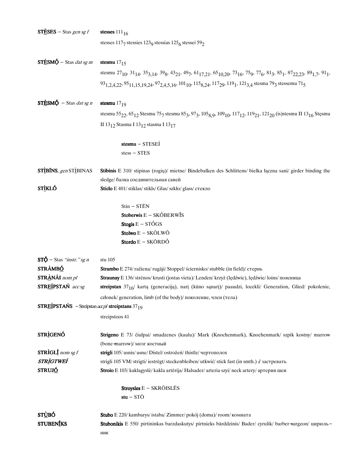| $ST \triangle SES - Stas gen sg f$                                 | stesses $111_{16}$                                                                                                                                                                                                                                                                                                          |
|--------------------------------------------------------------------|-----------------------------------------------------------------------------------------------------------------------------------------------------------------------------------------------------------------------------------------------------------------------------------------------------------------------------|
|                                                                    | stesses 1177 stessies 1239 stessias 1256 stessei 592                                                                                                                                                                                                                                                                        |
| $ST\dot{\text{ES}}M\dot{\text{Q}}$ – Stas <i>dat sg m</i>          | stesmu $17_{15}$                                                                                                                                                                                                                                                                                                            |
|                                                                    | stesmu 27 <sub>10</sub> , 31 <sub>14</sub> , 35 <sub>3,14</sub> , 39 <sub>8</sub> , 43 <sub>21</sub> , 49 <sub>7</sub> , 61 <sub>17,21</sub> , 65 <sub>10,20</sub> , 73 <sub>16</sub> , 75 <sub>9</sub> , 77 <sub>6</sub> , 81 <sub>3</sub> , 85 <sub>1</sub> , 87 <sub>22,23</sub> , 89 <sub>1,7</sub> , 91 <sub>1</sub> , |
|                                                                    | 93 <sub>1,2,4,22</sub> , 95 <sub>11,15,19,24</sub> , 97 <sub>2,4,5,16</sub> , 101 <sub>10</sub> , 115 <sub>8,24</sub> , 117 <sub>29</sub> , 119 <sub>1</sub> , 121 <sub>3,4</sub> stesma 79 <sub>3</sub> stessemu 71 <sub>5</sub>                                                                                           |
| $ST\dot{\text{ES}}M\dot{\text{Q}}$ – Stas <i>dat sg n</i>          | stesmu $17_{19}$                                                                                                                                                                                                                                                                                                            |
|                                                                    | stesmu 55 <sub>22</sub> , 65 <sub>12</sub> Stesmu 75 <sub>7</sub> stesmu 85 <sub>3</sub> , 97 <sub>3</sub> , 105 <sub>8,9</sub> , 109 <sub>10</sub> , 117 <sub>12</sub> , 119 <sub>21</sub> , 121 <sub>20</sub> (is)stesmu II 13 <sub>16</sub> Stesmu                                                                       |
|                                                                    | II 13 <sub>12</sub> Stasma I 13 <sub>12</sub> stasma I 13 <sub>17</sub>                                                                                                                                                                                                                                                     |
|                                                                    | stesmu - STESEÍ                                                                                                                                                                                                                                                                                                             |
|                                                                    | $stess - STES$                                                                                                                                                                                                                                                                                                              |
| STÌBÍNS, gen STÌBINAS                                              | Stibinis E 310/ stipinas (rogių)/ mietne/ Bindebalken des Schlittens/ bielka łączna sani/ girder binding the                                                                                                                                                                                                                |
|                                                                    | sledge/балка соединительная саней                                                                                                                                                                                                                                                                                           |
| <b>STÌKLÓ</b>                                                      | Sticlo E 401/stiklas/stikls/Glas/szkło/glass/стекло                                                                                                                                                                                                                                                                         |
|                                                                    | Stin - STÉN                                                                                                                                                                                                                                                                                                                 |
|                                                                    | <b>Stoberwis</b> $E - SKOBERW\overline{I}S$                                                                                                                                                                                                                                                                                 |
|                                                                    | Stogis $E - STÓGS$                                                                                                                                                                                                                                                                                                          |
|                                                                    | Stolwo E - SKÔLWŌ                                                                                                                                                                                                                                                                                                           |
|                                                                    | <b>Stordo</b> E – SKŌRDÓ                                                                                                                                                                                                                                                                                                    |
| $ST\acute{\phi}$ – Stas "instr." sg n                              | stu 105                                                                                                                                                                                                                                                                                                                     |
| STRÃMBÓ                                                            | Strambo E 274/ražiena/rugāji/Stoppel/ściernisko/stubble (in field)/ стернь                                                                                                                                                                                                                                                  |
| STRÀNÃI nom pl                                                     | Straunay E 136/strėnos/krusti (jostas vieta)/ Lenden/krzyż (lędźwie), lędźwie/loins/поясница                                                                                                                                                                                                                                |
| STREÍPSTAŃ acc sg                                                  | streipstan 37 <sub>16</sub> / kartą (generaciją), narį (kūno sąnarį)/ paaudzi, locekli/ Generation, Glied/ pokolenie,                                                                                                                                                                                                       |
|                                                                    | członek/ generation, limb (of the body)/ поколение, член (тела)                                                                                                                                                                                                                                                             |
| <b>STREÍPSTAŃS</b> – Streīpstan <i>accpl</i> streipstans $37_{19}$ |                                                                                                                                                                                                                                                                                                                             |
|                                                                    | streipstoos 41                                                                                                                                                                                                                                                                                                              |
| <b>STRÌGENÓ</b>                                                    | Strigeno E 73/ čiulpai/ smadzenes (kaulu)/ Mark (Knochenmark), Knochenmark/ szpik kostny/ marrow                                                                                                                                                                                                                            |
|                                                                    | (bone-marrow)/ мозг костный                                                                                                                                                                                                                                                                                                 |
| <b>STRIGLI</b> nom sg $f$                                          | strigli 105/usnis/usne/Distel/ostrożeń/thistle/чертополох                                                                                                                                                                                                                                                                   |
| <b>STRÌGTWEÍ</b>                                                   | strigli 105 VM/strigti/iestrēgt/steckenbleiben/utkwić/stick fast (in smth.) $\hat{I}$ застревать                                                                                                                                                                                                                            |
| STRUJ <u>Ó</u>                                                     | Stroio E 103/ kaklagyslė/ kakla artērija/ Halsader/ arteria szyi/ neck artery/ артерия шеи                                                                                                                                                                                                                                  |
|                                                                    | <b>Stroysles</b> $E - SKRÔISLËS$                                                                                                                                                                                                                                                                                            |
|                                                                    | $stu - ST\bar{O}$                                                                                                                                                                                                                                                                                                           |
| ST <u>Ù</u> BÓ                                                     | <b>Stubo</b> E 220/ kambarys/ istaba/ Zimmer/ pokój (doma)/ room/ комната                                                                                                                                                                                                                                                   |
| <b>STUBENIKS</b>                                                   | Stubonikis E 550/ pirtininkas barzdaskutys/ pirtnieks bārddzinis/ Bader/ cyrulik/ barber-surgeon/ цирюль-                                                                                                                                                                                                                   |
|                                                                    | НИК                                                                                                                                                                                                                                                                                                                         |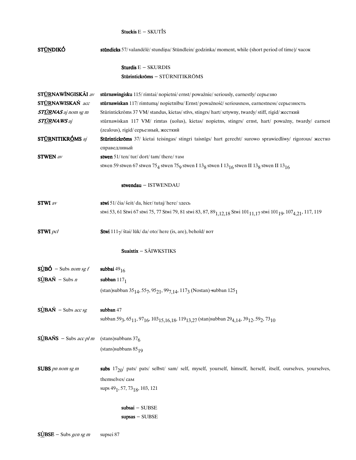### Stuckis  $E - SKUT\$ IS

| ST <u>ŨN</u> DIKÓ                    | stündicks 57/valandėlė/stundina/Stündlein/godzinka/moment, while (short period of time)/ часок                                                                                                        |
|--------------------------------------|-------------------------------------------------------------------------------------------------------------------------------------------------------------------------------------------------------|
|                                      | <b>Sturdis</b> $E - SKURDIS$                                                                                                                                                                          |
|                                      | Stūrintickrōms - STŪRNITIKRŌMS                                                                                                                                                                        |
| STÚRNAWÍNGISKÁI av                   | stūrnawingisku 115/rimtai/nopietni/ernst/poważnie/seriously, earnestly/серьезно                                                                                                                       |
| STÚRNAWISKAŃ acc                     | stūrnawiskan 117/rimtuma/nopietnību/Ernst/poważność/seriousness, earnestness/серьезность                                                                                                              |
| <b>ST<u>ÚR</u>NAS</b> aj nom sg m    | Stūrintickrōms 37 VM/ standus, kietas/ stīvs, stingrs/ hart/ sztywny, twardy/ stiff, rigid/ жесткий                                                                                                   |
| <b>ST<u>ÚR</u>NAWS</b> aj            | stūrnawiskan 117 VM/ rimtas (uolus), kietas/ nopietns, stingrs/ ernst, hart/ poważny, twardy/ earnest                                                                                                 |
|                                      | (zealous), rigid/ серьезный, жесткий                                                                                                                                                                  |
| ST <u>ÚR</u> NITIKRÓMS aj            | Stūrintickroms 37/ kietai teisingas/ stingri taisnigs/ hart gerecht/ surowo sprawiedliwy/ rigorous/ жестко                                                                                            |
|                                      | справедливый                                                                                                                                                                                          |
| <b>STWEN</b> av                      | stwen $51/$ ten/ tur/ dort/ tam/ there/ $\tau$ am                                                                                                                                                     |
|                                      | stwen 59 stwen 67 stwen $75_4$ stwen $75_9$ stwen I $13_8$ stwen I $13_{16}$ stwen II $13_8$ stwen II $13_{16}$                                                                                       |
|                                      | stwendau - ISTWENDAU                                                                                                                                                                                  |
| <b>STWI</b> av                       | stwi 51/ čia/ šeit/ da, hier/ tutaj/ here/ здесь                                                                                                                                                      |
|                                      | stwi 53, 61 Stwi 67 stwi 75, 77 Stwi 79, 81 stwi 83, 87, 89 <sub>1,12,18</sub> Stwi 101 <sub>11,17</sub> stwi 101 <sub>19</sub> , 107 <sub>4,21</sub> , 117, 119                                      |
| $STWI$ pcl                           | Stwi $111\frac{7}{3}$ štai/lūk/da/oto/here (is, are), behold/ BOT                                                                                                                                     |
|                                      | Suaixtix - SÃIWKSTIKS                                                                                                                                                                                 |
| $S\angle B\acute{O}$ – Subs nom sg f | subbai $49_{16}$                                                                                                                                                                                      |
| $S\angle BAN - Subs n$               | subban $117_1$                                                                                                                                                                                        |
|                                      | (stan)subban 35 <sub>14</sub> , 55 <sub>7</sub> , 95 <sub>21</sub> , 99 <sub>7,14</sub> , 117 <sub>3</sub> (Nostan) subban 125 <sub>1</sub>                                                           |
| $S\angle BAN$ – Subs acc sg          | subban 47                                                                                                                                                                                             |
|                                      | subban 59 <sub>3</sub> , 65 <sub>11</sub> , 97 <sub>16</sub> , 103 <sub>15,16,18</sub> , 119 <sub>13,27</sub> (stan)subban 29 <sub>4,14</sub> , 39 <sub>12</sub> , 59 <sub>2</sub> , 73 <sub>10</sub> |
| $S\angle BANS$ – Subs acc pl m       | (stans) subbans $376$                                                                                                                                                                                 |
|                                      | $(\text{stans})$ subbans 85 <sub>19</sub>                                                                                                                                                             |
| <b>SUBS</b> pn nom sg m              | subs $17_{20}$ pats/ pats/ selbst/ sam/ self, myself, yourself, himself, herself, itself, ourselves, yourselves,                                                                                      |
|                                      |                                                                                                                                                                                                       |
|                                      | themselves/cam                                                                                                                                                                                        |
|                                      | sups 49 <sub>1</sub> , 57, 73 <sub>18</sub> , 103, 121                                                                                                                                                |
|                                      | $subsai - SUBSE$                                                                                                                                                                                      |
|                                      | $supsas - SUBSE$                                                                                                                                                                                      |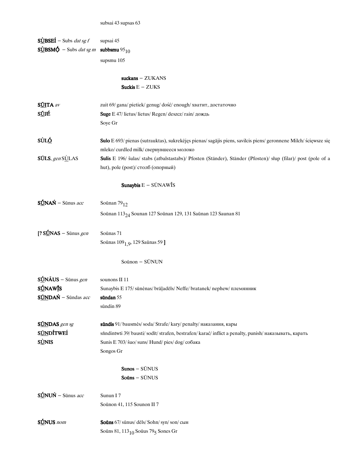subsai 43 supsas 63

| <b>SUBSEI</b> – Subs <i>dat sg f</i><br><b>S</b> UBSMQ – Subs <i>dat sg m</i> subbsmu 95 <sub>10</sub> | supsai 45<br>supsmu 105<br>$suckans - ZUKANS$<br>Suckis $E - ZUKS$                                                                                                                                                             |
|--------------------------------------------------------------------------------------------------------|--------------------------------------------------------------------------------------------------------------------------------------------------------------------------------------------------------------------------------|
| SUITA av<br>S <u>Ŭ</u> JÉ                                                                              | zuit 69/ gana/ pietiek/ genug/ dość/ enough/ хватит, достаточно<br>Suge E 47/lietus/lietus/Regen/deszcz/rain/дождь<br>Soye Gr                                                                                                  |
| SÙL <u>Ó</u>                                                                                           | Sulo E 693/ pienas (sutrauktas), sukrekėjęs pienas/ sagājis piens, savilcis piens/ geronnene Milch/ ścięwsze się                                                                                                               |
| $SÚLS$ , gen $SÚLAS$                                                                                   | mleko/curdled milk/ свернувшееся молоко<br>Sulis E 196/ šulas/ stabs (atbalstastabs)/ Pfosten (Ständer), Ständer (Pfosten)/ słup (filar)/ post (pole of a<br>hut), pole (post)/ столб (опорный)                                |
| Sunaybis $E - \overline{SUNAW}$ <sup>IS</sup>                                                          |                                                                                                                                                                                                                                |
| $S\acute{U}N\AA\acute{N}$ – Sūnus acc                                                                  | Soūnan $79_{12}$<br>Soūnan 113 <sub>24</sub> Sounan 127 Soūnan 129, 131 Saūnan 123 Saunan 81                                                                                                                                   |
| $[? S0 NAS - Sūnus gen]$                                                                               | Soūnas 71<br>Soūnas 109 <sub>1,9</sub> , 129 Saūnas 59]                                                                                                                                                                        |
|                                                                                                        | Soūnon - SŪNUN                                                                                                                                                                                                                 |
| $S\angle N\angle N =$ Sūnus gen<br><b>SÚNAWÍS</b><br>SÚNDAŃ - Sūndas acc                               | sounons II 11<br>Sunaybis E 175/sūnėnas/braļadels/Neffe/bratanek/nephew/племянник<br>sündan 55<br>sūndin 89                                                                                                                    |
| SÚNDAS gen sg<br>SÚNDÍTWEÍ<br><b>SUNIS</b>                                                             | sūndis 91/bausmės/soda/Strafe/kary/penalty/наказания, кары<br>sîndintwti 39/bausti/sodīt/strafen, bestrafen/karać/inflict a penalty, punish/наказывать, карать<br>Sunis E 703/ šuo/ suns/ Hund/ pies/ dog/ собака<br>Songos Gr |
|                                                                                                        | $Sunos - SUNUS$<br>$Souns - SUNUS$                                                                                                                                                                                             |
| $S\acute{0}NUN -$ Sūnus acc                                                                            | Sunun I 7<br>Soūnon 41, 115 Sounon II 7                                                                                                                                                                                        |
| SÚNUS nom                                                                                              | Souns 67/ sūnus/ dēls/ Sohn/ syn/ son/ сын<br>Soūns 81, $113_{10}$ Soūus 79 <sub>5</sub> Sones Gr                                                                                                                              |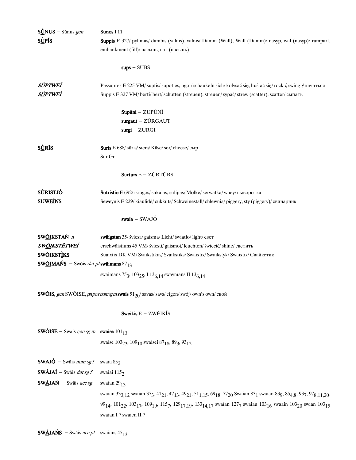| $S0$ NUS – Sūnus gen                                            | Sunos I 11                                                                                                                                                                                                                                                                         |  |  |
|-----------------------------------------------------------------|------------------------------------------------------------------------------------------------------------------------------------------------------------------------------------------------------------------------------------------------------------------------------------|--|--|
| <b>SUPIS</b>                                                    | Suppis E 327/ pylimas/ dambis (valnis), valnis/ Damm (Wall), Wall (Damm)/ nasyp, wał (nasyp)/ rampart,                                                                                                                                                                             |  |  |
|                                                                 | embankment (fill)/ насыпь, вал (насыпь)                                                                                                                                                                                                                                            |  |  |
|                                                                 |                                                                                                                                                                                                                                                                                    |  |  |
|                                                                 | $sups - SUBS$                                                                                                                                                                                                                                                                      |  |  |
| s <u>ù</u> ptwei                                                | Passupres E 225 VM/suptis/ šūpoties, līgot/schaukeln sich/kołysać się, huśtać się/rock i, swing i/ качаться                                                                                                                                                                        |  |  |
| sùptweí                                                         | Suppis E 327 VM/berti/bert/schütten (streuen), streuen/sypać/strew (scatter), scatter/сыпать                                                                                                                                                                                       |  |  |
|                                                                 | Supūni - ZUPŪNĪ                                                                                                                                                                                                                                                                    |  |  |
|                                                                 | surgaut - ZÜRGAUT                                                                                                                                                                                                                                                                  |  |  |
|                                                                 | $surgi - ZURGI$                                                                                                                                                                                                                                                                    |  |  |
| <b>SÚRÍS</b>                                                    | Suris E 688/ sūris/ siers/ Käse/ ser/ cheese/ сыр                                                                                                                                                                                                                                  |  |  |
|                                                                 | Sur Gr                                                                                                                                                                                                                                                                             |  |  |
|                                                                 | Surturs $E - Z\overline{U}RT\overline{U}RS$                                                                                                                                                                                                                                        |  |  |
| <b>SÚRISTJÓ</b>                                                 | Sutristio E 692/išrūgos/sūkalas, suliņas/Molke/serwatka/whey/сыворотка                                                                                                                                                                                                             |  |  |
| <b>SUWEINS</b>                                                  | Seweynis E 229/ kiaulidė/ cūkkūts/ Schweinestall/ chlewnia/ piggery, sty (piggery)/ свинарник                                                                                                                                                                                      |  |  |
|                                                                 | swaia $-$ SWAJÓ                                                                                                                                                                                                                                                                    |  |  |
| SW <u>ÕI</u> KSTAŃ n                                            | swäigstan 35/ šviesa/ gaisma/ Licht/ światło/ light/ свет                                                                                                                                                                                                                          |  |  |
| SW <u>ÕI</u> KSTĒTWEÍ                                           | erschwäistiuns 45 VM/ šviesti/ gaismot/ leuchten/ świecić/ shine/ светить                                                                                                                                                                                                          |  |  |
| <b>SWŐIKSTIKS</b>                                               | Suaixtix DK VM/Svaikstikas/Svaikstiks/Swaixtix/Swaikstyk/Swaixtix/Свайкстик                                                                                                                                                                                                        |  |  |
| <b>SW<u>ÕI</u>MAŃS</b> – Swōis <i>dat pl</i> swāimans $87_{13}$ |                                                                                                                                                                                                                                                                                    |  |  |
|                                                                 | swaimans 75 <sub>3</sub> , 103 <sub>25</sub> , I 13 <sub>6,14</sub> swaymans II 13 <sub>6,14</sub>                                                                                                                                                                                 |  |  |
|                                                                 | <b>SWÖIS</b> , gen SWÖISE, pnpornomsgmswais $51_{20}$ / savas/savs/eigen/swój/own's own/cBO $\tilde{u}$                                                                                                                                                                            |  |  |
|                                                                 | Sweikis $E - ZWEIK\overline{I}S$                                                                                                                                                                                                                                                   |  |  |
| <b>SW<u>ÕI</u>SE</b> – Swāis gen sg m swaise $101_{13}$         |                                                                                                                                                                                                                                                                                    |  |  |
|                                                                 | swaise 103 <sub>23</sub> , 109 <sub>10</sub> swaisei 87 <sub>18</sub> , 89 <sub>3</sub> , 93 <sub>12</sub>                                                                                                                                                                         |  |  |
| <b>SWAJÓ</b> – Swāis <i>nom sg f</i> swaia 85 <sub>2</sub>      |                                                                                                                                                                                                                                                                                    |  |  |
| $SW\triangle JAI - Swäis \, dat \, sg \, f$                     | swaiai 1152                                                                                                                                                                                                                                                                        |  |  |
| <b>SWÀJAŃ</b> – Swāis acc sg                                    | swaian $29_{13}$                                                                                                                                                                                                                                                                   |  |  |
|                                                                 | swaian 33 <sub>3,12</sub> swaian 37 <sub>3</sub> , 41 <sub>21</sub> , 47 <sub>13</sub> , 49 <sub>21</sub> , 51 <sub>1,15</sub> , 69 <sub>18</sub> , 77 <sub>20</sub> Swaian 83 <sub>1</sub> swaian 83 <sub>9</sub> , 85 <sub>4,8</sub> , 93 <sub>7</sub> , 97 <sub>8,11,20</sub> , |  |  |
|                                                                 | 99 <sub>14</sub> , 101 <sub>22</sub> , 103 <sub>17</sub> , 109 <sub>19</sub> , 115 <sub>7</sub> , 129 <sub>17,19</sub> , 133 <sub>14,17</sub> swaian 127 <sub>7</sub> swaiau 103 <sub>16</sub> swaain 103 <sub>20</sub> swian 103 <sub>15</sub>                                    |  |  |
|                                                                 | swaian I 7 swaien II 7                                                                                                                                                                                                                                                             |  |  |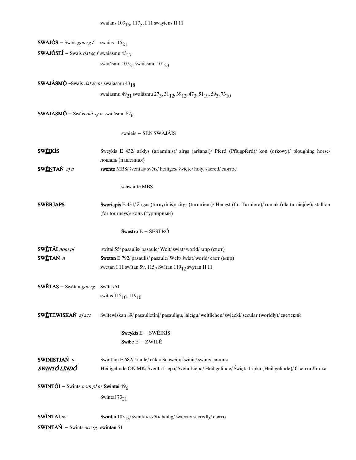| <b>SWAJÕS</b> – Swāis gen sg f swaias $115_{21}$                                                         |                                                                                                                                                                    |
|----------------------------------------------------------------------------------------------------------|--------------------------------------------------------------------------------------------------------------------------------------------------------------------|
| <b>SWAJÕSEÍ</b> – Swāis <i>dat sg f</i> swaiāsmu 43 <sub>17</sub>                                        |                                                                                                                                                                    |
|                                                                                                          | swaiāsmu 107 <sub>21</sub> swaiasmu 101 <sub>23</sub>                                                                                                              |
|                                                                                                          |                                                                                                                                                                    |
| <b>SWAJASMÓ</b> -Swāis <i>dat sg m</i> swaiasmu 43 <sub>18</sub>                                         |                                                                                                                                                                    |
|                                                                                                          | swaiasmu 49 <sub>21</sub> swaiāsmu 27 <sub>3</sub> , 31 <sub>12</sub> , 39 <sub>12</sub> , 47 <sub>3</sub> , 51 <sub>19</sub> , 59 <sub>3</sub> , 73 <sub>10</sub> |
|                                                                                                          |                                                                                                                                                                    |
| <b>SWAJ<u>À</u>SM</b> Q <sup><math>\bullet</math></sup> – Swāis <i>dat sg n</i> swaiāsmu 87 <sub>6</sub> |                                                                                                                                                                    |
|                                                                                                          | swaieis - SÉN SWAJÃIS                                                                                                                                              |
| <b>SWÉIKIS</b>                                                                                           | Sweykis E 432/ arklys (ariaminis)/ zirgs (aršanai)/ Pferd (Pflugpferd)/ koń (orkowy)/ ploughing horse/                                                             |
|                                                                                                          | лошадь (пашенная)                                                                                                                                                  |
| SWENTAŃ aj n                                                                                             | swente MBS/ šventas/ svēts/ heiliges/ święte/ holy, sacred/ святое                                                                                                 |
|                                                                                                          |                                                                                                                                                                    |
|                                                                                                          | schwante MBS                                                                                                                                                       |
| <b>SWÈRJAPS</b>                                                                                          | Sweriapis E 431/ žirgas (turnyrinis)/ zirgs (turnīriem)/ Hengst (für Turniere)/ rumak (dla turniejów)/ stallion                                                    |
|                                                                                                          | (for tourneys)/ конь (турнирный)                                                                                                                                   |
|                                                                                                          |                                                                                                                                                                    |
|                                                                                                          | Swestro E - SESTRÓ                                                                                                                                                 |
| SWĒTÃI nom pl                                                                                            | switai 55/ pasaulis/ pasaule/ Welt/ świat/ world/ мир (свет)                                                                                                       |
| SWĚTAŃ n                                                                                                 | Swetan E 792/ pasaulis/ pasaule/ Welt/ świat/ world/ свет (мир)                                                                                                    |
|                                                                                                          | swetan I 11 switan 59, $1157$ Switan $11912$ swytan II 11                                                                                                          |
| <b>SWETAS</b> – Swētan gen sg Swītas 51                                                                  |                                                                                                                                                                    |
|                                                                                                          | switas $115_{10}$ , $119_{10}$                                                                                                                                     |
|                                                                                                          |                                                                                                                                                                    |
| SWĒTEWISKAŃ aj acc                                                                                       | Swītewiskan 89/ pasaulietini/ pasaulīgu, laicīgu/weltlichen/ świecki/ secular (worldly)/ светский                                                                  |
|                                                                                                          | Sweykis $E - SWEIK\overline{I}S$                                                                                                                                   |
|                                                                                                          | Swibe $E - ZWILE$                                                                                                                                                  |
|                                                                                                          |                                                                                                                                                                    |
| SWINISTJAŃ n                                                                                             | Swintian E 682/ kiaulė/ cūka/ Schwein/ świnia/ swine/ свинья                                                                                                       |
| SWINTÓ LÍNDÓ                                                                                             | Heiligelinde ON MK/ Šventa Liepa/ Svēta Liepa/ Heiligelinde/ Święta Lipka (Heiligelinde)/ Свента Липка                                                             |
|                                                                                                          |                                                                                                                                                                    |
| <b>SWÍNT<u>ŐI</u></b> – Swints nom pl m <b>Swintai</b> 49 <sub>6</sub>                                   |                                                                                                                                                                    |
|                                                                                                          | Swintai 7321                                                                                                                                                       |
| SWÍNTÃI av                                                                                               | Swintai $103_{13}$ / šventai/ svēti/ heilig/ święcie/ sacredly/ свято                                                                                              |
| <b>SWINTAŃ</b> - Swints <i>acc sg</i> swintan 51                                                         |                                                                                                                                                                    |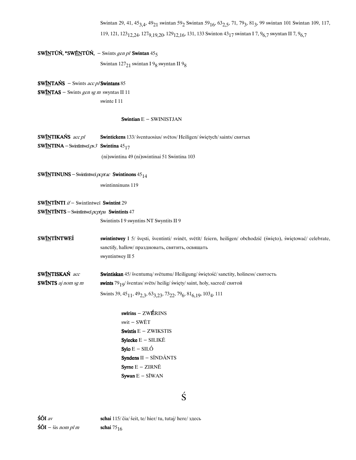Swintan 29, 41, 45<sub>3,4</sub>, 49<sub>21</sub> swintan 59<sub>2</sub> Swintan 59<sub>16</sub>, 63<sub>2,5</sub>, 71, 79<sub>3</sub>, 81<sub>3</sub>, 99 swintan 101 Swintan 109, 117, 119, 121, 123<sub>12,24</sub>, 127<sub>9,19,20</sub>, 129<sub>12,16</sub>, 131, 133 Swinton 43<sub>17</sub> swintan I 7, 9<sub>6,7</sub> swyntan II 7, 9<sub>6,7</sub>

# SWĨNTŨŃ, \*SWÉNTŨŃ, - Swints gen pl Swintan  $45<sub>5</sub>$

Swintan 127 $_{21}$  swintan I  $_{98}$  swyntan II  $_{98}$ 

SW $INTANS - Swints acc p/Swintans 85$ </u> **SWÍNTAS** - Swints gen sg m swyntas II 11 swinte I 11

#### Swintian  $E -$  SWINISTJAN

| SWINTIKAŃS acc pl                                                  | Swintickens 133/ šventuosius/ svētos/ Heiligen/ świętych/ saints/ святых                                                                                                                |
|--------------------------------------------------------------------|-----------------------------------------------------------------------------------------------------------------------------------------------------------------------------------------|
| <b>SWINTINA</b> – Swintintwei $ps3$ <b>Swintina</b> $45_{17}$      |                                                                                                                                                                                         |
|                                                                    | (ni)swintina 49 (ni)swintinai 51 Swintina 103                                                                                                                                           |
| <b>SWINTINUNS</b> – Swintintwei <i>pcptac</i> Swintinons $45_{14}$ |                                                                                                                                                                                         |
|                                                                    | swintinninuns 119                                                                                                                                                                       |
| SWINTINTI if - Swintintwei Swintint 29                             |                                                                                                                                                                                         |
| <b>SWINTINTS</b> - Swintintwei $pcptpa$ <b>Swintints</b> 47        |                                                                                                                                                                                         |
|                                                                    | Swintints I 9 swyntins NT Swyntits II 9                                                                                                                                                 |
| <b>SWINTINTWEI</b>                                                 | swintintwey I 5/ švęsti, šventinti/ svinēt, svētīt/ feiern, heiligen/ obchodzić (święto), świętować/ celebrate,<br>sanctify, hallow/ праздновать, святить, освящать<br>swyntintwey II 5 |
| SWINTISKAŃ acc                                                     | <b>Swintiskan</b> 45/ šventuma/ svētumu/ Heiligung/ świętość/ sanctity, holiness/ святость                                                                                              |
| <b>SWINTS</b> aj nom sg m                                          | swints 79 <sub>10</sub> / šventas/ svēts/ heilig/ święty/ saint, holy, sacred/ святой                                                                                                   |
|                                                                    | Swints 39, 45 <sub>11</sub> , 49 <sub>2,3</sub> , 63 <sub>3,23</sub> , 73 <sub>22</sub> , 79 <sub>6</sub> , 81 <sub>6,19</sub> , 103 <sub>4</sub> , 111                                 |
|                                                                    | $swirins - ZWÉRINS$                                                                                                                                                                     |
|                                                                    | swit - SWĒT                                                                                                                                                                             |
|                                                                    | Swixtis $E - ZWIKSTIS$                                                                                                                                                                  |
|                                                                    | Sylecke $E - SILIKE$                                                                                                                                                                    |
|                                                                    | $Sylo E - SILÓ$                                                                                                                                                                         |
|                                                                    | Syndens $II - S\tilde{I}ND\tilde{A}NTS$                                                                                                                                                 |
|                                                                    | Syrne $E - ZIRN\bar{E}$                                                                                                                                                                 |
|                                                                    | Sywan $E - SIWAN$                                                                                                                                                                       |

# Ś

 $\frac{\delta \tilde{O} I}{av}$  schai 115/čia/šeit, te/hier/tu, tutaj/here/здесь  $\mathbf{\dot{S}}\mathbf{\tilde{O}}\mathbf{I}$  - šis *nom pl m* schai  $75_{16}$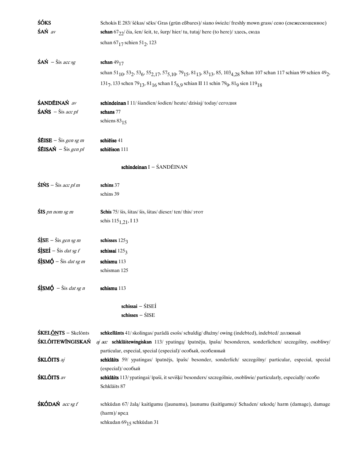| <b>ŚÓKS</b>                                                                         | Schokis E 283/ šėkas/ sēks/ Gras (grün eßbares)/ siano świeże/ freshly mown grass/ сено (свежескошенное)                                                                                                                                       |
|-------------------------------------------------------------------------------------|------------------------------------------------------------------------------------------------------------------------------------------------------------------------------------------------------------------------------------------------|
| $\hat{\mathbf{S}} \mathbf{A} \hat{\mathbf{N}}$ av                                   | schan 67 $_{22}$ / čia, šen/ šeit, te, šurp/ hier/ tu, tutaj/ here (to here)/ здесь, сюда                                                                                                                                                      |
|                                                                                     | schan $67_{17}$ schien $51_{2}$ , 123                                                                                                                                                                                                          |
|                                                                                     |                                                                                                                                                                                                                                                |
| $\angle$ <b>SAN</b> – Šis acc sg                                                    | schan $49_{17}$                                                                                                                                                                                                                                |
|                                                                                     | schan 51 <sub>10</sub> , 53 <sub>2</sub> , 53 <sub>6</sub> , 55 <sub>2,17</sub> , 57 <sub>5,10</sub> , 79 <sub>15</sub> , 81 <sub>13</sub> , 83 <sub>13</sub> , 85, 103 <sub>4,28</sub> Schan 107 schan 117 schian 99 schien 49 <sub>2</sub> , |
|                                                                                     | 1317, 133 schen 79 <sub>13</sub> , 81 <sub>16</sub> schan I 5 <sub>6,9</sub> schian II 11 schin 79 <sub>9</sub> , 81 <sub>9</sub> sien 119 <sub>18</sub>                                                                                       |
|                                                                                     |                                                                                                                                                                                                                                                |
| ŚANDĒINAŃ av                                                                        | schindeinan I 11/ šiandien/ šodien/ heute/ dzisiaj/ today/ сегодня                                                                                                                                                                             |
| $\angle$ SAŃS – Šis acc pl                                                          | schans 77                                                                                                                                                                                                                                      |
|                                                                                     | schiens $83_{15}$                                                                                                                                                                                                                              |
|                                                                                     |                                                                                                                                                                                                                                                |
| $\angle$ <b>SEISE</b> – Šis gen sg m                                                | schieise 41                                                                                                                                                                                                                                    |
| $\overrightarrow{\text{SEISAN}}$ – $\check{\text{Sis}}$ gen pl                      | schieison 111                                                                                                                                                                                                                                  |
|                                                                                     |                                                                                                                                                                                                                                                |
|                                                                                     | schindeinan I - ŚANDĒINAN                                                                                                                                                                                                                      |
| $\sin 5 - \sin ac \, \rho/m$                                                        | schins 37                                                                                                                                                                                                                                      |
|                                                                                     | schins 39                                                                                                                                                                                                                                      |
|                                                                                     |                                                                                                                                                                                                                                                |
| <b>ŚIS</b> pn nom sg m                                                              | Schis 75/ šis, šitas/ šis, šitas/ dieser/ ten/ this/ этот                                                                                                                                                                                      |
|                                                                                     | schis $115_{1,21}$ , I 13                                                                                                                                                                                                                      |
|                                                                                     |                                                                                                                                                                                                                                                |
| $\hat{\text{S} \text{S} \text{S} \text{E}}$ - Šis gen sg m                          | schisses $1253$                                                                                                                                                                                                                                |
| $\mathbf{\hat{S}}\mathbf{\hat{S}}\mathbf{E}\mathbf{\hat{I}}$ – Šis <i>dat sg f</i>  | schissai $1253$                                                                                                                                                                                                                                |
| $\frac{\hat{\text{S}}\hat{\text{S}}\text{M}}{\hat{\text{Q}}}$ – Šis <i>dat sg m</i> | schismu 113                                                                                                                                                                                                                                    |
|                                                                                     | schisman 125                                                                                                                                                                                                                                   |
|                                                                                     |                                                                                                                                                                                                                                                |
| $\hat{\text{S}}$ ISMQ $\hat{\text{S}}$ – Šis <i>dat sg n</i>                        | schismu 113                                                                                                                                                                                                                                    |
|                                                                                     | $schissai - ŠISEI$                                                                                                                                                                                                                             |
|                                                                                     | $schisses - SISE$                                                                                                                                                                                                                              |
|                                                                                     |                                                                                                                                                                                                                                                |
| <b>ŚKELŐNTS</b> – Skelőnts                                                          | schkellants 41/skolingas/parādā esošs/schuldig/dłużny/owing (indebted), indebted/ должный                                                                                                                                                      |
| ŚKLŐITEWÍNGISKAŃ                                                                    | aj acc schkläitewingiskan 113/ ypatinga/ īpatnēju, īpašu/ besonderen, sonderlichen/ szczególny, osobliwy/                                                                                                                                      |
|                                                                                     | particular, especial, special (especial)/ особый, особенный                                                                                                                                                                                    |
| <b>ŚKLÕITS</b> aj                                                                   | schkläits 59/ ypatingas/ īpatnējs, īpašs/ besonder, sonderlich/ szczególny/ particular, especial, special                                                                                                                                      |
|                                                                                     | (especial)/ особый                                                                                                                                                                                                                             |
| <b>ŚKLÕITS</b> av                                                                   | schklāits 113/ypatingai/īpaši, it sevišķi/besonders/szczególnie, osobliwie/particularly, especially/ocofio                                                                                                                                     |
|                                                                                     | Schkläits 87                                                                                                                                                                                                                                   |
|                                                                                     |                                                                                                                                                                                                                                                |
| $SKÓDAÑ$ acc sg f                                                                   | schkūdan 67/ žalą/ kaitīgumu (ļaunumu), ļaunumu (kaitīgumu)/ Schaden/ szkodę/ harm (damage), damage                                                                                                                                            |
|                                                                                     | $(harm)$ / вред                                                                                                                                                                                                                                |
|                                                                                     | schkudan 6915 schkūdan 31                                                                                                                                                                                                                      |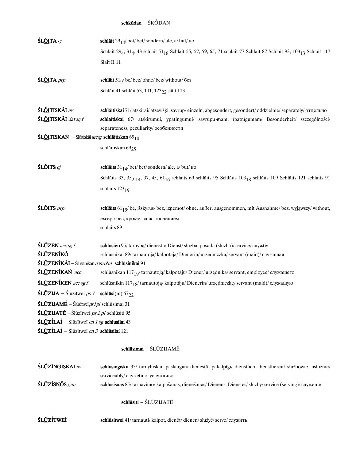### $\textbf{schkūdan} - \acute{\text{S}}\text{K\'ODAN}$

| ŚL <u>ÕI</u> TA cj                                                                       | schläit $29_{14}$ / bet/ bet/ sondern/ ale, a/ but/ $\mu$ o                                                                                                                                                   |
|------------------------------------------------------------------------------------------|---------------------------------------------------------------------------------------------------------------------------------------------------------------------------------------------------------------|
|                                                                                          | Schläit 29 <sub>4</sub> , 31 <sub>4</sub> , 43 schläit 51 <sub>18</sub> Schläit 55, 57, 59, 65, 71 schläit 77 Schläit 87 Schlait 93, 103 <sub>13</sub> Schläit 117                                            |
|                                                                                          | Slait II 11                                                                                                                                                                                                   |
|                                                                                          |                                                                                                                                                                                                               |
| ŚL <u>ÕI</u> TA <i>prp</i>                                                               | schläit $519$ / be/ bez/ ohne/ bez/ without/ без                                                                                                                                                              |
|                                                                                          | Schläit 41 schläit 53, 101, 123 <sub>22</sub> släit 113                                                                                                                                                       |
| ŚL <u>ÕI</u> TISKÃI av                                                                   |                                                                                                                                                                                                               |
| ŚL <u>ÕI</u> TISKÃI dat sg f                                                             | schläitiskai 71/atskirai/atsevišķi, savrup/einzeln, abgesondert, gesondert/oddzielnie/separately/отдельно<br>schlaītiskai 67/ atskirumui, ypatingumui/ savrupu-mam, īpatnīgumam/ Besonderheit/ szczególności/ |
|                                                                                          | separateness, peculiarity/ особенности                                                                                                                                                                        |
| <b>ŚL<u>ÕI</u>TISKAŃ</b> – Ślōitiskāi <i>accsg</i> schl <b>āitiskan</b> 69 <sub>10</sub> |                                                                                                                                                                                                               |
|                                                                                          |                                                                                                                                                                                                               |
|                                                                                          | schläitiskan 6925                                                                                                                                                                                             |
| $\mathbf{\hat{S}}$ LÕITS $c_j$                                                           | schlaits $31_{14}$ / bet/ bet/ sondern/ ale, a/ but/ Ho                                                                                                                                                       |
|                                                                                          | Schläits 33, 35 $2,14$ , 37, 45, 61 $16$ schlaits 69 schläits 95 Schläits 103 $18$ schläits 109 Schläits 121 schlaits 91                                                                                      |
|                                                                                          | schlaīts 123 <sub>19</sub>                                                                                                                                                                                    |
| <b>ŚLÕITS</b> prp                                                                        | schlaits $61_{19}$ /be, išskyrus/bez, iznemot/ohne, außer, ausgenommen, mit Ausnahme/bez, wyjąwszy/without,                                                                                                   |
|                                                                                          | except/ без, кроме, за исключением                                                                                                                                                                            |
|                                                                                          | schläits 89                                                                                                                                                                                                   |
|                                                                                          |                                                                                                                                                                                                               |
| ŚLŪZEN acc sg f                                                                          | schlusien 95/tarnybą/dienestu/Dienst/służba, posada (służba)/service/cлужбу                                                                                                                                   |
| <b>ŚLŮZENÍKÓ</b>                                                                         | schlūsnikai 89/ tarnautoja/ kalpotāja/ Dienerin/ urzędniczka/ servant (maid)/ служащая                                                                                                                        |
| ŚLŨZENÍKÃI - Ślūzenīkan nom plm schlūsinikai 91                                          |                                                                                                                                                                                                               |
| ŚLŪZENÍKAŃ acc                                                                           | schlūsnikan 117 <sub>19</sub> /tarnautoją/kalpotāju/Diener/urzędnika/servant, employee/служащего                                                                                                              |
| ŚLŪZENÍKEN acc sg f                                                                      | schlūsnikin 117 <sub>18</sub> /tarnautoją/kalpotāju/Dienerin/urzędniczkę/servant (maid)/ служащую                                                                                                             |
| $SLUZ IJA - Slūzītweī ps 3$                                                              | schlüsi(ni) $67_{22}$                                                                                                                                                                                         |
| <b>ŚLŪZIJAMÉ</b> – Ślūzītweī <i>ps 1 pl</i> schlūsimai 31                                |                                                                                                                                                                                                               |
| ŚLŪZIJATÉ – Ślūzītweī ps 2 pl schlūsiti 95                                               |                                                                                                                                                                                                               |
| ŚLŪZÍLAÍ – Ślūzītweī cn 1 sg schlusilai 43                                               |                                                                                                                                                                                                               |
| ŚLŪZÍLAÍ - Ślūzītweī cn 3 schlūsilai 121                                                 |                                                                                                                                                                                                               |
|                                                                                          | schlūsimai - ŚLŪZIJAMĒ                                                                                                                                                                                        |
|                                                                                          |                                                                                                                                                                                                               |
| ŚLŪZÍNGISKÃI av                                                                          | schlusingisku 35/ tarnybiškai, paslaugiai/ dienestā, pakalpīgi/ dienstlich, dienstbereit/ służbowie, usłużnie/<br>serviceably/ служебно, услужливо                                                            |
| ŚLŪZÍSNŌS gen                                                                            | schlusisnas 85/tarnavimo/kalpošanas, dienēšanas/Dienens, Dienstes/służby/service (serving)/ служения                                                                                                          |

#### $schlūsiti - \acute{S}L\.{U}ZIJAT\.\overline{E}$

ŚLŨZÍTWEÍ schlūsitwei 41/tarnauti/kalpot, dienēt/dienen/służyć/serve/служить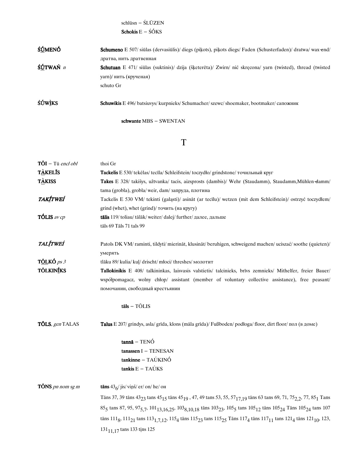$\text{schlūsn}-\text{\'{S}L}\bar{\text{U}}\text{ZEN}$ Schokis  $\mathbf{E}-\acute{\mathbf{S}}\acute{\mathbf{O}}\mathbf{KS}$ 

| <b>ŚÚMENÓ</b>   | Schumeno E 507/ siūlas (dervasiūlis)/ diegs (pikots), pikots diegs/ Faden (Schusterfaden)/ dratwa/ wax-end/       |
|-----------------|-------------------------------------------------------------------------------------------------------------------|
|                 | дратва, нить дратвенная                                                                                           |
| ŚÚTWAŃ <i>n</i> | <b>Schutuan</b> E 471/ siūlas (suktinis)/ dzija (šķeterēta)/ Zwirn/ nić skrecona/ yarn (twisted), thread (twisted |
|                 | yarn)/ нить (крученая)                                                                                            |
|                 | schuto Gr                                                                                                         |
| <b>ŚÚWÌKS</b>   | <b>Schuwikis</b> E 496/batsiuvys/kurpnieks/Schumacher/szewc/shoemaker, bootmaker/canoжник                         |

schwante MBS - SWENTAN

# $\mathbf T$

| $T\tilde{O}I$ – Tū encl obl | thoi Gr                                                                                                                                                                                                                   |
|-----------------------------|---------------------------------------------------------------------------------------------------------------------------------------------------------------------------------------------------------------------------|
| <b>TÀKELIS</b>              | Tackelis E 530/ tekėlas/ tecīla/ Schleifstein/ toczydło/ grindstone/ точильный круг                                                                                                                                       |
| <b>TÀKISS</b>               | Takes E 328/ takišys, užtvanka/ tacis, aizsprosts (dambis)/ Wehr (Staudamm), Staudamm, Mühlen-damm/                                                                                                                       |
|                             | tama (grobla), grobla/weir, dam/запруда, плотина                                                                                                                                                                          |
| <b>TAKÍTWEÍ</b>             | Tackelis E 530 VM/ tekinti (galasti)/ asināt (ar tecīlu)/ wetzen (mit dem Schleifstein)/ ostrzyć toczydłem/                                                                                                               |
|                             | grind (whet), whet (grind)/ точить (на кругу)                                                                                                                                                                             |
| <b>TÓLIS</b> av cp          | tālis 119/ toliau/ tālāk/ weiter/ dalej/ further/ далее, дальше                                                                                                                                                           |
|                             | tāls 69 Tāls 71 tals 99                                                                                                                                                                                                   |
| <b>TALÍTWEÍ</b>             | Patols DK VM/raminti, tildyti/mierināt, klusināt/beruhigen, schweigend machen/uciszać/soothe (quieten)/                                                                                                                   |
|                             | умерять                                                                                                                                                                                                                   |
| TÕLKÓ ps 3                  | tlāku 89/ kulia/ kuļ/ drischt/ młoci/ threshes/ молотит                                                                                                                                                                   |
| TÕLKINÍKS                   | Tallokinikis E 408/ talkininkas, laisvasis valstietis/ talcinieks, brīvs zemnieks/ Mithelfer, freier Bauer/                                                                                                               |
|                             | współpomagacz, wolny chłop/ assistant (member of voluntary collective assistance), free peasant/                                                                                                                          |
|                             | помочанин, свободный крестьянин                                                                                                                                                                                           |
|                             | $t\bar{a}ls - T\tilde{O}LIS$                                                                                                                                                                                              |
| <b>TÕLS</b> , gen TALAS     | Talus E 207/ grindys, asla/ grīda, klons (māla grīda)/ Fußboden/podłoga/floor, dirt floor/ non (в доме)                                                                                                                   |
|                             | $tannā - TENÓ$                                                                                                                                                                                                            |
|                             | $t$ anassen I - TENESAN                                                                                                                                                                                                   |
|                             | $tankinne - TAÚKINÓ$                                                                                                                                                                                                      |
|                             | tankis $E - TAÚKS$                                                                                                                                                                                                        |
| <b>TÔNS</b> pn nom sg m     | tāns $436$ / jis/ viņš/ er/ on/ he/ он                                                                                                                                                                                    |
|                             | Tāns 37, 39 tāns 43 <sub>23</sub> tans 45 <sub>15</sub> tāns 45 <sub>19</sub> , 47, 49 tans 53, 55, 57 <sub>17,19</sub> tāns 63 tans 69, 71, 75 <sub>2,2</sub> , 77, 85 <sub>1</sub> Tans                                 |
|                             |                                                                                                                                                                                                                           |
|                             | 85 <sub>5</sub> tans 87, 95, 97 <sub>5,7</sub> , 101 <sub>13,16,25</sub> , 103 <sub>8,10,18</sub> tāns 103 <sub>23</sub> , 105 <sub>5</sub> tans 105 <sub>12</sub> tāns 105 <sub>24</sub> Tāns 105 <sub>24</sub> tans 107 |
|                             |                                                                                                                                                                                                                           |
|                             | tāns $111_8$ , $111_{21}$ tans $113_{1,7,12}$ , $115_4$ tāns $115_{23}$ tans $115_{25}$ Tāns $117_4$ tāns $117_{11}$ tans $121_4$ tāns $121_{10}$ , $123$ ,<br>131 <sub>11,17</sub> tans 133 tins 125                     |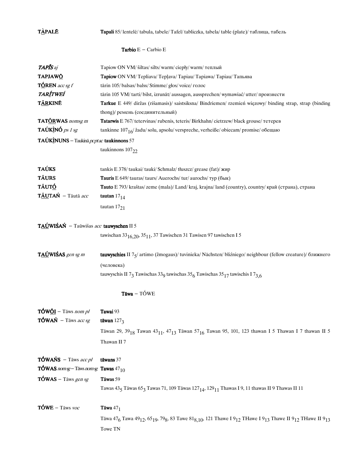**TÀPALE** 

Tapali 85/ lentelė/ tabula, tabele/ Tafel/ tabliczka, tabela/ table (plate)/ таблица, табель

**Tarbio**  $E$  – Carbio  $E$ 

| <b>TAPIS</b> aj                                      | Tapiow ON VM/ šiltas/ silts/ warm/ ciepły/ warm/ теплый                                                                                                                                                                         |
|------------------------------------------------------|---------------------------------------------------------------------------------------------------------------------------------------------------------------------------------------------------------------------------------|
| <b>TAPJAWO</b>                                       | Tapiow ON VM/Tepliava/Teplava/Tapiau/Tapiawa/Tapiau/Тапьява                                                                                                                                                                     |
| $T\acute{o}$ REN acc sg f                            | tārin 105/balsas/balss/Stimme/głos/voice/голос                                                                                                                                                                                  |
| <b>TARÍTWEÍ</b>                                      | tārin 105 VM/tarti/bilst, izrunāt/aussagen, aussprechen/wymawiać/utter/произнести                                                                                                                                               |
| <b>TÁRKINĒ</b>                                       | Tarkue E 449/ diržas (rišamasis)/ saistsiksna/ Bindriemen/ rzemień więzowy/ binding strap, strap (binding                                                                                                                       |
|                                                      | thong)/ ремень (соединительный)                                                                                                                                                                                                 |
| <b>TAT<u>ÓR</u>WAS</b> nomsg m                       | Tatarwis E 767/tetervinas/rubenis, teteris/Birkhahn/cietrzew/black grouse/тетерев                                                                                                                                               |
| TAÚKÌNÓ <i>ps 1 sg</i>                               | tankinne $107_{16}/$ žadu/solu, apsolu/verspreche, verheiße/obiecam/promise/obemano                                                                                                                                             |
| TAÚKINUNS - Taukinā pcptac taukinnons 57             |                                                                                                                                                                                                                                 |
|                                                      | taukinnons 10722                                                                                                                                                                                                                |
| <b>TAÚKS</b>                                         | tankis E 378/ taukai/ tauki/ Schmalz/ tłuszcz/ grease (fat)/ жир                                                                                                                                                                |
| <b>TÁURS</b>                                         | Tauris E 649/ tauras/ taurs/ Auerochs/ tur/ aurochs/ тур (бык)                                                                                                                                                                  |
| <b>TÃUT<u>Ó</u></b>                                  | Tauto E 793/ kraštas/ zeme (mala)/ Land/ kraj, krajna/ land (country), country/ край (страна), страна                                                                                                                           |
| TÁUTAŃ - Tāutā acc                                   | tautan $17_{14}$                                                                                                                                                                                                                |
|                                                      | tautan $17_{21}$                                                                                                                                                                                                                |
| TAÚWIŚAŃ - Taūwišas acc tauwyschen II 5              |                                                                                                                                                                                                                                 |
|                                                      | tawischan $33_{16,20}$ , $35_{11}$ , 37 Tawischen 31 Tawisch $97$ tawischen I 5                                                                                                                                                 |
| TAÚWIŚAS gen sg m                                    | tauwyschies II 75/ artimo (žmogaus)/ tuvinieka/ Nächsten/ bliźniego/ neighbour (fellow creature)/ ближнего                                                                                                                      |
|                                                      | (человека)                                                                                                                                                                                                                      |
|                                                      |                                                                                                                                                                                                                                 |
|                                                      | tauwyschis II 73 Tawischas 339 tawischas $35/6$ Tawischas $35/7$ tawischis I 73.6                                                                                                                                               |
|                                                      | $Tāwa - TÓWE$                                                                                                                                                                                                                   |
| $T\acute{O}W\acute{O}I$ – Tāws nom pl                | Tawai 93                                                                                                                                                                                                                        |
| $T\acute{o}W\acute{o}N$ – Tāws acc sg                | tāwan $127_3$                                                                                                                                                                                                                   |
|                                                      |                                                                                                                                                                                                                                 |
|                                                      | Tāwan 29, 39 <sub>18</sub> Tawan 43 <sub>11</sub> , 47 <sub>13</sub> Tāwan 57 <sub>16</sub> Tawan 95, 101, 123 thawan I 5 Thawan I 7 thawan II 5<br>Thawan II 7                                                                 |
| <b>TÓWAŃS</b> – Tāws acc pl                          | tāwans 37                                                                                                                                                                                                                       |
| <b>TÓWAS</b> nomsg-Tāws nomsg <b>Tawas</b> $47_{10}$ |                                                                                                                                                                                                                                 |
| $T$ ÓWAS – Tāws gen sg                               | Tāwas 59                                                                                                                                                                                                                        |
|                                                      | Tawas 435 Tāwas 653 Tawas 71, 109 Tāwas 127 <sub>14</sub> , 129 <sub>11</sub> Thawas I 9, 11 thawas II 9 Thawas II 11                                                                                                           |
| $T$ ÓWE – Tāws voc                                   | Tāwa $47_1$                                                                                                                                                                                                                     |
|                                                      |                                                                                                                                                                                                                                 |
|                                                      | Tāwa 47 <sub>6</sub> Tawa 49 <sub>12</sub> , 65 <sub>19</sub> , 79 <sub>8</sub> , 83 Tawe 81 <sub>8,10</sub> , 121 Thawe I 9 <sub>12</sub> THawe I 9 <sub>13</sub> Thawe II 9 <sub>12</sub> THawe II 9 <sub>13</sub><br>Towe TN |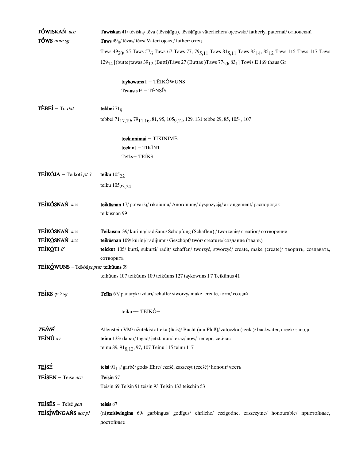| TÓWISKAŃ acc                                  | <b>Tawiskan</b> 41/ tėvišką/ tēva (tēvišķīgu), tēvišķīgu/ väterlichen/ ojcowski/ fatherly, paternal/ отцовский                                                              |
|-----------------------------------------------|-----------------------------------------------------------------------------------------------------------------------------------------------------------------------------|
| TÓWS nom sg                                   | Taws 49 <sub>8</sub> / tėvas/ tēvs/ Vater/ ojciec/ father/ отец                                                                                                             |
|                                               | Tāws 49 <sub>20</sub> , 55 Taws 57 <sub>6</sub> Tāws 67 Taws 77, 79 <sub>5,11</sub> Tāws 81 <sub>5,11</sub> Taws 83 <sub>14</sub> , 85 <sub>12</sub> Tāws 115 Taws 117 Tāws |
|                                               | $129_{14}$ [(butte) tawas $39_{12}$ (Butti) Tāws 27 (Buttas) Taws 77 <sub>20</sub> , 83 <sub>1</sub> ] Towis E 169 thaus Gr                                                 |
|                                               | taykowuns I - TÉIKÓWUNS                                                                                                                                                     |
|                                               | Teausis $E - T\tilde{E}NS\tilde{I}S$                                                                                                                                        |
| TÈBEÍ - Tū dat                                | tebbei $719$                                                                                                                                                                |
|                                               | tebbei 71 <sub>17,19</sub> , 79 <sub>11,16</sub> , 81, 95, 105 <sub>9,12</sub> , 129, 131 tebbe 29, 85, 105 <sub>1</sub> , 107                                              |
|                                               | teckinnimai - TIKINIMĒ                                                                                                                                                      |
|                                               | teckint - TIKINT                                                                                                                                                            |
|                                               | Teīks-TEÍKS                                                                                                                                                                 |
| <b>TEÍKÓJA</b> – Teīkōti pt 3                 | teikū $105_{22}$                                                                                                                                                            |
|                                               | teiku $105_{23,24}$                                                                                                                                                         |
| TEÍKÓSNAŃ acc                                 | teikūsnan 17/ potvarkį/ rīkojumu/ Anordnung/ dyspozycją/ arrangement/ распорядок                                                                                            |
|                                               | teikūsnan 99                                                                                                                                                                |
| TEÍKÓSNAŃ acc                                 | Teikūsnā 39/ kūrimą/ radīšanu/ Schöpfung (Schaffen) / tworzenie/ creation/ сотворение                                                                                       |
| TEÍKÓSNAŃ acc                                 | teikūsnan 109/ kūrinį/ radījumu/ Geschöpf/ twór/ creature/ создание (тварь)                                                                                                 |
| TEÍKÓTI if                                    | teickut 105/ kurti, sukurti/ radīt/ schaffen/ tworzyć, stworzyć/ create, make (create)/ творить, создавать,                                                                 |
|                                               | сотворить                                                                                                                                                                   |
| TEÍKÓWUNS – Teikōti <i>pcptac</i> teikūuns 39 |                                                                                                                                                                             |
|                                               | teikūuns 107 teikūuns 109 teikūuns 127 taykowuns I 7 Teikūnus 41                                                                                                            |
| <b>TEÍKS</b> ip $2sg$                         | Teīks 67/ padaryk/ izdari/ schaffe/ stworzy/ make, create, form/ создай                                                                                                     |
|                                               | teikū — TEIKÓ-                                                                                                                                                              |
| <u>TEÍNÉ</u>                                  | Allenstein VM/ užutėkis/ atteka (līcis)/ Bucht (am Fluß)/ zatoczka (rzeki)/ backwater, creek/ заводь                                                                        |
| TEÍNÚ av                                      | teinū 133/dabar/tagad/jetzt, nun/teraz/now/теперь, сейчас                                                                                                                   |
|                                               | teinu 89, 91 <sub>8,12</sub> , 97, 107 Teinu 115 teinu 117                                                                                                                  |
| T <u>eí</u> sé                                | teisi 91 $_{11}$ / garbė/ gods/ Ehre/ cześć, zaszczyt (cześć)/ honour/ честь                                                                                                |
| TEÍSEN - Teīsē acc                            | Teisin 57                                                                                                                                                                   |
|                                               | Teisin 69 Teisin 91 teisin 93 Teisin 133 teischin 53                                                                                                                        |
| TEÍSES - Teisē gen                            | teisis 87                                                                                                                                                                   |
| TEÍSÍWÍNGAŃS acc pl                           | (ni)teisīwingins 69/ garbingus/ godīgus/ ehrliche/ czcigodne, zaszczytne/ honourable/ пристойные,                                                                           |
|                                               | достойные                                                                                                                                                                   |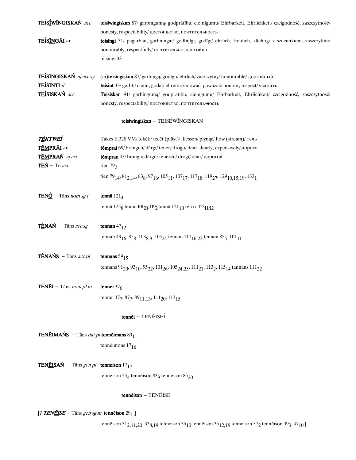| TEÍSÍWÍNGISKAŃ acc                                         | teisīwingiskan 87/ garbinguma/ godprātību, cie-nīgumu/ Ehrbarkeit, Ehrlichkeit/ czcigodność, zaszczytność/                                                                                                  |
|------------------------------------------------------------|-------------------------------------------------------------------------------------------------------------------------------------------------------------------------------------------------------------|
|                                                            | honesty, respectability/ достоинство, почтительность                                                                                                                                                        |
| TEÍSÍNGÃI av                                               | teisīngi 31/ pagarbiai, garbningai/ godbijīgi, godīgi/ ehrlich, treulich, züchtig/ z szacunkiem, zaszczytnie/                                                                                               |
|                                                            | honourably, respectfully/почтительно, достойно                                                                                                                                                              |
|                                                            | teisīngi 33                                                                                                                                                                                                 |
| TEÍSÍNGISKAŃ aj acc sg                                     | (ni)teisingiskan 87/garbingą/godīgu/ehrlich/zaszczytny/honourable/достойный                                                                                                                                 |
| TEÍSÍNTI if                                                | teisint 33/ gerbti/cienīt, godāt/ehren/szanować, poważać/honour, respect/yBaxarL                                                                                                                            |
| TEÍSISKAŃ acc                                              | Teisiskan 91/ garbinguma/ godprātību, cienīgumu/ Ehrbarkeit, Ehrlichkeit/ czcigodność, zaszczytność/                                                                                                        |
|                                                            | honesty, respectability/ достоинство, почтитель ность                                                                                                                                                       |
|                                                            | teisīwingiskan - TEÍSÉWĨNGISKAN                                                                                                                                                                             |
| <b>TÈKTWEÍ</b>                                             | Takes E 328 VM/tekėti/tecēt (plūst)/fliessen/płynąć/flow (stream)/течь                                                                                                                                      |
| TÉMPRÃI av                                                 | tēmprai 69/ brangiai/ dārgi/ teuer/ drogo/ dear, dearly, expensively/ дорого                                                                                                                                |
| TÉMPRAŃ aj acc                                             | tēmpran 43/ brangų/ dārgu/ teueren/ drogi/ dear/ дорогой                                                                                                                                                    |
| $TEN - Ti$ acc                                             | tien $792$                                                                                                                                                                                                  |
|                                                            |                                                                                                                                                                                                             |
|                                                            | tien 79 <sub>14</sub> , 81 <sub>2, 14</sub> , 83 <sub>8</sub> , 97 <sub>16</sub> , 105 <sub>11</sub> , 107 <sub>17</sub> , 117 <sub>18</sub> , 119 <sub>27</sub> , 129 <sub>10, 15</sub> , 133 <sub>1</sub> |
| <b>TENO</b> – Tāns nom sg f                                | tennā $121_4$                                                                                                                                                                                               |
|                                                            | tennā 125 <sub>8</sub> tenna 101 <sub>20</sub> , 119 <sub>2</sub> tannā 121 <sub>10</sub> ten na 123 <sub>11/12</sub>                                                                                       |
| $T \triangle N A \acute{N}$ - Tāns acc sg                  | tennan $47_{12}$                                                                                                                                                                                            |
|                                                            | tennan 49 <sub>16</sub> , 85 <sub>8</sub> , 103 <sub>8, 9</sub> , 105 <sub>24</sub> tennan 111 <sub>16, 23</sub> tennen 85 <sub>5</sub> , 101 <sub>11</sub>                                                 |
|                                                            |                                                                                                                                                                                                             |
| $T \triangle NANS$ – Tāns acc pl                           | tennans $5915$                                                                                                                                                                                              |
|                                                            | tennans 91 <sub>20</sub> , 93 <sub>10</sub> , 95 <sub>22</sub> , 101 <sub>26</sub> , 105 <sub>24, 25</sub> , 111 <sub>21</sub> , 113 <sub>2</sub> , 115 <sub>14</sub> tannans 111 <sub>22</sub>             |
| <b>TENÉI</b> - Tāns nom pl m                               | tennei $376$                                                                                                                                                                                                |
|                                                            | tennei 377, 877, 89 $11,13$ , 111 <sub>20</sub> , 113 <sub>15</sub>                                                                                                                                         |
|                                                            |                                                                                                                                                                                                             |
|                                                            | tennēi - TENĒISEÍ                                                                                                                                                                                           |
| <b>TENÉIMAŃS</b> – Tāns <i>dat pl</i> tennēimans $89_{11}$ |                                                                                                                                                                                                             |
|                                                            | tennē imons $17_{16}$                                                                                                                                                                                       |
|                                                            |                                                                                                                                                                                                             |
| <b>TENÉISAŃ</b> – Tāns gen pl <b>tenneison</b> $17_{17}$   |                                                                                                                                                                                                             |
|                                                            | tenneison $55_4$ tenneison $83_9$ tenneison $85_{20}$                                                                                                                                                       |
|                                                            | $t$ ennēisan - TENĒISE                                                                                                                                                                                      |
| [? TENEISE – Tāns gen sg m tennēison $291$ ]               |                                                                                                                                                                                                             |
|                                                            | tenneison 31 <sub>2,11,20</sub> , 33 <sub>8,19</sub> tenneison 35 <sub>10</sub> tenneison 35 <sub>12,19</sub> tenneison 37 <sub>2</sub> tenneison 39 <sub>3</sub> , 47 <sub>10</sub> ]                      |
|                                                            |                                                                                                                                                                                                             |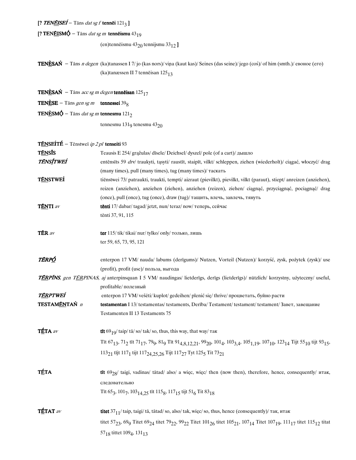### [? TENĒISEÍ – Tāns dat sg f tennēi  $121_3$ ]

## [? TENĒISM $\acute{\varphi}$  – Tāns *dat sg m* tennēismu 43<sub>19</sub>

(en)tennēismu  $43_{20}$  tennijsmu  $33_{12}$ ]

**TENÈSAŃ** – Tāns *n degen* (ka)tanassen I 7/jo (kas nors)/viņa (kaut kas)/Seines (das seine)/jego (coś)/of him (smth.)/евоное (его) (ka)tanæssen II 7 tennēisan 12513

**TENÈSAŃ** – Tāns acc sg m degen tennēisan  $125_{17}$ 

**TENÈSE** – Tāns gen sg m tennessei 39<sub>8</sub>

**TENÈSM** $\acute{\Phi}$  – Tāns *dat sg m* tennesmu 121<sub>2</sub>

tennesmu  $131<sub>9</sub>$  tenesmu  $43<sub>20</sub>$ 

**TÉNSEÍTÉ** - Tēnstweī ip 2 pl tenseiti 93

| <b>TÉNSÍS</b>    | Teausis E 254/ gražulas/ disele/ Deichsel/ dyszel/ pole (of a cart)/ дышло                                                                                                                                                                                                                         |
|------------------|----------------------------------------------------------------------------------------------------------------------------------------------------------------------------------------------------------------------------------------------------------------------------------------------------|
| <b>TÉNSÍTWEÍ</b> | entēnsīts 59 drv/ traukyti, tąsyti/ raustīt, staipīt, vilkt/ schleppen, ziehen (wiederholt)/ ciągać, włoczyć/ drag                                                                                                                                                                                 |
|                  | (many times), pull (many times), tug (many times)/ таскать                                                                                                                                                                                                                                         |
| <b>TÉNSTWEÍ</b>  | tienstwei 73/ patraukti, traukti, tempti/ aizraut (pievilkt), pievilkt, vilkt (paraut), stiept/ anreizen (anziehen),                                                                                                                                                                               |
|                  | reizen (anziehen), anziehen (ziehen), anziehen (reizen), ziehen/ ciągnąć, przyciągnąć, pociągnąć/ drag                                                                                                                                                                                             |
|                  | (once), pull (once), tug (once), draw (tug)/ тащить, влечь, завлечь, тянуть                                                                                                                                                                                                                        |
| <b>TÉNTI</b> av  | tēnti 17/ dabar/ tagad/ jetzt, nun/ teraz/ now/ теперь, сейчас                                                                                                                                                                                                                                     |
|                  | tēnti 37, 91, 115                                                                                                                                                                                                                                                                                  |
| TÉR av           | <b>ter</b> $115$ / tik/ tikai/ nur/ tylko/ only/ только, лишь                                                                                                                                                                                                                                      |
|                  | ter 59, 65, 73, 95, 121                                                                                                                                                                                                                                                                            |
| TÉRPÓ            | enterpon 17 VM/ nauda/ labums (derīgums)/ Nutzen, Vorteil (Nutzen)/ korzyść, zysk, pożytek (zysk)/ use                                                                                                                                                                                             |
|                  | (profit), profit (use)/польза, выгода                                                                                                                                                                                                                                                              |
|                  | TÉRPÍNS, gen TÉRPINAS, aj anterpinsquan I 5 VM/ naudingas/ lietderīgs, derīgs (lietderīgs)/ nützlich/ korzystny, użyteczny/ useful,                                                                                                                                                                |
|                  | profitable/полезный                                                                                                                                                                                                                                                                                |
| TÉRPTWEÍ         | enterpon 17 VM/ vešėti/ kuplot/ gedeihen/ plenić się/ thrive/ процветать, буйно расти                                                                                                                                                                                                              |
| TESTAMÉNTAŃ n    | testamentan I 13/testamentas/testaments, Derība/Testament/testament/testament/3aBeT, завещание                                                                                                                                                                                                     |
|                  | Testamenten II 13 Testaments 75                                                                                                                                                                                                                                                                    |
| TÉTA av          | <b>tīt</b> 69 <sub>10</sub> / taip/ tā/ so/ tak/ so, thus, this way, that way/ $\text{rank}$                                                                                                                                                                                                       |
|                  | Tit 67 <sub>13</sub> , 71 <sub>2</sub> tit 71 <sub>17</sub> , 79 <sub>9</sub> , 81 <sub>9</sub> Tit 91 <sub>4,8,12,21</sub> , 99 <sub>20</sub> , 101 <sub>4</sub> , 103 <sub>3,4</sub> , 105 <sub>1,19</sub> , 107 <sub>10</sub> , 123 <sub>14</sub> Tijt 55 <sub>10</sub> tijt 93 <sub>15</sub> , |
|                  | 113 <sub>21</sub> tījt 117 <sub>1</sub> tijt 117 <sub>24.25.26</sub> Tijt 117 <sub>27</sub> Tyt 125 <sub>5</sub> Tit 73 <sub>21</sub>                                                                                                                                                              |
| <b>TÉTA</b>      | tīt 69 <sub>28</sub> / taigi, vadinas/ tātad/ also/ a więc, więc/ then (now then), therefore, hence, consequently/ итак,<br>следовательно                                                                                                                                                          |
|                  | Tīt 653, 1017, 103 <sub>14.25</sub> tīt 115 <sub>8</sub> , 117 <sub>15</sub> tijt 51 <sub>6</sub> Tit 83 <sub>18</sub>                                                                                                                                                                             |
| TÉTAT av         | titet $37_{11}$ / taip, taigi/ tā, tātad/so, also/ tak, więc/so, thus, hence (consequently)/ так, итак                                                                                                                                                                                             |
|                  | titet 57 <sub>23</sub> , 69 <sub>9</sub> Titet 69 <sub>24</sub> titet 79 <sub>22</sub> , 99 <sub>22</sub> Titet 101 <sub>26</sub> titet 105 <sub>21</sub> , 107 <sub>14</sub> Titet 107 <sub>19</sub> , 111 <sub>17</sub> titet 115 <sub>12</sub> titat                                            |
|                  | 57 <sub>18</sub> tittet 109 <sub>4</sub> , 131 <sub>13</sub>                                                                                                                                                                                                                                       |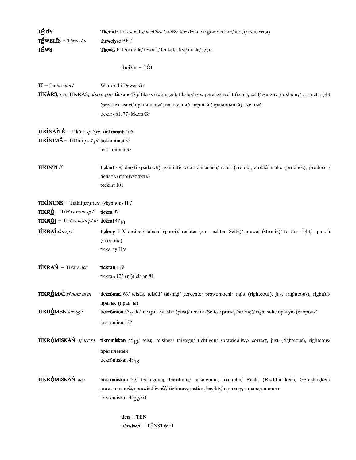| TÉTÍS                                                                  | <b>Thetis</b> E 171/senelis/vectevs/Großvater/dziadek/grandfather/дед (отец отца)                                                              |
|------------------------------------------------------------------------|------------------------------------------------------------------------------------------------------------------------------------------------|
| TÉWELÍS - Tēws dm                                                      | thewelyse BPT                                                                                                                                  |
| <b>TÉWS</b>                                                            | Thewis E 176/ dėdė/ tēvocis/ Onkel/ stryj/ uncle/ дядя                                                                                         |
|                                                                        |                                                                                                                                                |
|                                                                        | thoi $Gr - T\tilde{O}I$                                                                                                                        |
| $TI - Ti$ acc encl                                                     | Warbo thi Dewes Gr                                                                                                                             |
|                                                                        | TÌKÃRS, gen TÌKRAS, aj nom sg m tickars 470/ tikras (teisingas), tikslus/ īsts, pareizs/ recht (echt), echt/ słuszny, dokładny/ correct, right |
|                                                                        | (precise), exact/ правильный, настоящий, верный (правильный), точный                                                                           |
|                                                                        | tickars 61, 77 tickers Gr                                                                                                                      |
| <b>TIKINAÍTÉ</b> – Tikīnti <i>ip 2 pl</i> tickinnaiti 105              |                                                                                                                                                |
| TIKINIMÉ - Tikīnti ps 1 pl tickinnimai 35                              |                                                                                                                                                |
|                                                                        | teckinnimai 37                                                                                                                                 |
|                                                                        |                                                                                                                                                |
| <b>TIKÍNTI</b> if                                                      | tickint 69/ daryti (padaryti), gaminti/ izdarīt/ machen/ robić (zrobić), zrobić/ make (produce), produce /                                     |
|                                                                        | делать (производить)<br>teckint 101                                                                                                            |
|                                                                        |                                                                                                                                                |
| <b>TIKINUNS</b> – Tikint <i>pc pt ac</i> tykynnons II 7                |                                                                                                                                                |
| <b>TIKRÓ</b> – Tikārs nom sg f tickra 97                               |                                                                                                                                                |
| <b>TIKR<u>ÕI</u></b> – Tikārs nom pl m <b>tickrai</b> 47 <sub>10</sub> |                                                                                                                                                |
| TÌKRAÍ dat sg f                                                        | tickray I 9/ dešinei/ labajai (pusei)/ rechter (zur rechten Seite)/ prawej (stronie)/ to the right/ правой                                     |
|                                                                        | (стороне)                                                                                                                                      |
|                                                                        | tickaray II 9                                                                                                                                  |
| TÌKRAŃ - Tikārs acc                                                    | tickran 119                                                                                                                                    |
|                                                                        | tickran 123 (ni)tickran 81                                                                                                                     |
| TIKRÓMAÍ aj nom pl m                                                   | tickrōmai 63/ teisūs, teisėti/ taisnīgi/ gerechte/ prawomocni/ right (righteous), just (righteous), rightful/                                  |
|                                                                        | правые (прав'ы)                                                                                                                                |
| <b>TIKRÓMEN</b> acc sg f                                               | tickrōmien 43 $_4$ / dešinę (pusę)/ labo (pusi)/ rechte (Seite)/ prawą (stronę)/ right side/ правую (сторону)                                  |
|                                                                        | tickrömien 127                                                                                                                                 |
| TIKRÓMISKAŃ aj acc sg                                                  | tikrōmiskan $45_{13}$ / teisų, teisingą/ taisnīgu/ richtigen/ sprawiedliwy/ correct, just (righteous), righteous/                              |
|                                                                        |                                                                                                                                                |
|                                                                        | правильный                                                                                                                                     |
|                                                                        | tickrōmiskan 45 <sub>18</sub>                                                                                                                  |
| TIKRÓMISKAŃ acc                                                        | tickrömiskan 35/ teisingumą, teisėtumą/ taisnigumu, likumibu/ Recht (Rechtlichkeit), Gerechtigkeit/                                            |
|                                                                        | prawomocność, sprawiedliwość/ rightness, justice, legality/ правоту, справедливость                                                            |
|                                                                        | tickrōmiskan 43 <sub>22</sub> , 63                                                                                                             |
|                                                                        |                                                                                                                                                |
|                                                                        | $tien - TEN$                                                                                                                                   |

tiēnstwei - TÉNSTWEÍ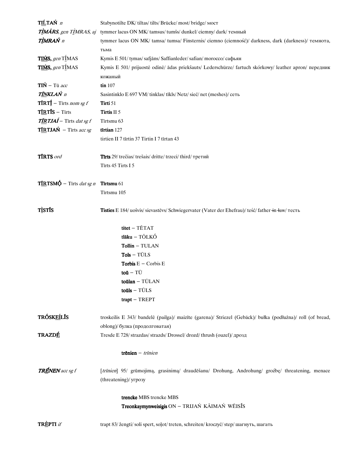| TIĹTAŃ n                                            | Stabynotilte DK/tiltas/tilts/Brücke/most/bridge/MOCT                                                       |
|-----------------------------------------------------|------------------------------------------------------------------------------------------------------------|
| TÌMÃRS, gen TÌMRAS, aj                              | tymmer lacus ON MK/ tamsus/ tumšs/ dunkel/ ciemny/ dark/ темный                                            |
| TÌMRAŃ n                                            | tymmer lacus ON MK/ tamsa/ tumsa/ Finsternis/ ciemno (ciemność)/ darkness, dark (darkness)/ темнота,       |
|                                                     | тьма                                                                                                       |
| TIMS, gen TIMAS                                     | Kymis E 501/ tymas/safjāns/Saffianleder/safian/ morocco/сафьян                                             |
| TIMS, gen TIMAS                                     | Kymis E 501/ prijuostė odinė/ ādas priekšauts/ Lederschürze/ fartuch skórkowy/ leather apron/ передник     |
|                                                     | кожаный                                                                                                    |
| $TI\acute{N}$ – Tū acc                              | $\tan 107$                                                                                                 |
| <b>TÍNKLAŃ</b> n                                    | Sasintinklo E 697 VM/tinklas/tīkls/Netz/sieć/net (meshes)/сеть                                             |
| <b>TIRT</b> $f$ – Tirts nom sg f                    | Tirti 51                                                                                                   |
| $T\bar{I}RT\bar{I}s - Tirts$                        | Tirtis II 5                                                                                                |
| $T \underline{IR} T J A \acute{I} -$ Tirts dat sg f | Tīrtsmu 63                                                                                                 |
| TIRTJAŃ – Tīrts acc sg                              | tīrtian 127                                                                                                |
|                                                     | tirtien II 7 tīrtin 37 Tirtin I 7 tīrtan 43                                                                |
|                                                     |                                                                                                            |
| <b>TIRTS</b> ord                                    | Tīrts 29/ trečias/ trešais/ dritte/ trzeci/ third/ третий                                                  |
|                                                     | Tīrts 45 Tirts I 5                                                                                         |
|                                                     |                                                                                                            |
| $TIR$ TSMQ – Tīrts <i>dat sg n</i>                  | Tīrtsmu 61                                                                                                 |
|                                                     | Tīrtsmu 105                                                                                                |
|                                                     |                                                                                                            |
| <b>T</b> ÌSTÍS                                      | Tisties E 184/ uošvis/ sievastēvs/ Schwiegervater (Vater der Ehefrau)/ teść/ father in law/ тесть          |
|                                                     |                                                                                                            |
|                                                     | titet - TĒTAT                                                                                              |
|                                                     | tlāku - TÕLKÓ                                                                                              |
|                                                     | $Tollin - TULAN$                                                                                           |
|                                                     | $Tols - TÜLS$                                                                                              |
|                                                     | <b>Torbis</b> $E -$ Corbis $E$                                                                             |
|                                                     | $\text{to}\bar{\text{u}}$ – TŪ                                                                             |
|                                                     | $\text{toülan} - \text{TULAN}$                                                                             |
|                                                     | toūls $-$ TŪLS                                                                                             |
|                                                     | $trapt - TREF$                                                                                             |
|                                                     |                                                                                                            |
| <b>TRÓSKEÍLÍS</b>                                   | troskeilis E 343/ bandelė (pailga)/ maizīte (garena)/ Striezel (Gebäck)/ bułka (podłużna)/ roll (of bread, |
|                                                     | oblong)/ булка (продолговатая)                                                                             |
| <b>TRAZDÉ</b>                                       | Tresde E 728/strazdas/strazds/Drossel/drozd/thrush (ouzel)/дрозд                                           |
|                                                     |                                                                                                            |
|                                                     | trēnien $-$ trīnien                                                                                        |
| <b>TRÉNEN</b> acc sg f                              | [trīnien] 95/ grūmojimą, grasinimą/ draudēšanu/ Drohung, Androhung/ groźbę/ threatening, menace            |
|                                                     | (threatening)/ угрозу                                                                                      |
|                                                     |                                                                                                            |
|                                                     | trencke MBS trencke MBS                                                                                    |
|                                                     | Treonkaymynweisigis ON - TRIJAŃ KÃIMAŃ WĔISĨS                                                              |
|                                                     |                                                                                                            |
| <b>TREPTI</b> if                                    | trapt 83/ žengti/ soli spert, solot/ treten, schreiten/ kroczyć/ step/ шагнуть, шагать                     |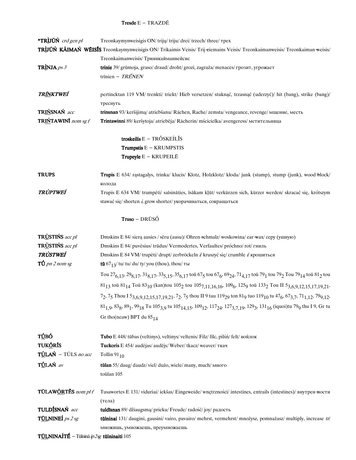### **Tresde**  $E - TRAZD\bar{E}$

| <b>*TRIJŪŃ</b> crd gen pl    | Treonkaymynweisigis ON/trijų/triju/drei/trzech/three/rpex                                                                                                                                                                    |
|------------------------------|------------------------------------------------------------------------------------------------------------------------------------------------------------------------------------------------------------------------------|
|                              | TRÌJŪŃ KĀIMAŃ WĒISĪS Treonkaymynweisigis ON/Trikaimis Veisis/Trij-eiemains Veisis/Treonkaimanweisis/Treonkaiman-weisis/                                                                                                      |
|                              | Treonkaimanweisis/ Триянкайманвейсис                                                                                                                                                                                         |
| TRÌNJA ps $3$                | trinie 39/ grūmoja, graso/ draud/ droht/ grozi, zagraża/ menaces/ грозит, угрожает                                                                                                                                           |
|                              | trinien - TRÉNEN                                                                                                                                                                                                             |
|                              |                                                                                                                                                                                                                              |
| TR <u>ĨN</u> KTWEÍ           | pertincktan 119 VM/trenkti/triekt/Hieb versetzen/stuknąć, trzasnąć (uderzyć)/ hit (bang), strike (bang)/                                                                                                                     |
|                              | треснуть                                                                                                                                                                                                                     |
| TRIŃSNAŃ acc                 | trinsnan 93/ keršijima/ atriebšanu/ Rächen, Rache/ zemsta/ vengeance, revenge/ мщение, месть                                                                                                                                 |
| TRIŃTAWINĪ nom sg f          | Trintawinni 89/ keršytoja/ atriebēja/ Rächerin/ mścicielka/ avengeress/ мстительница                                                                                                                                         |
|                              |                                                                                                                                                                                                                              |
|                              | troskeilis $E - TRÓSKEÍL\overline{I}S$                                                                                                                                                                                       |
|                              | Trumpstis E - KRUMPSTIS                                                                                                                                                                                                      |
|                              | Trupeyle E - KRUPEILĒ                                                                                                                                                                                                        |
|                              |                                                                                                                                                                                                                              |
| <b>TRUPS</b>                 | Trupis E 634/ rąstagalys, trinka/ klucis/ Klotz, Holzklotz/ kłoda/ junk (stump), stump (junk), wood block/                                                                                                                   |
|                              | колода                                                                                                                                                                                                                       |
| <b>TRÙPTWEÍ</b>              | Trupis E 634 VM/ trumpėti/ saīsināties, īsākam kļūt/ verkürzen sich, kürzer werden/ skracać się, krótszym                                                                                                                    |
|                              | stawać się/shorten i, grow shorter/укорачиваться, сокращаться                                                                                                                                                                |
|                              |                                                                                                                                                                                                                              |
|                              | Truso – DRŪSÓ                                                                                                                                                                                                                |
|                              |                                                                                                                                                                                                                              |
| <b>TRUSTINS</b> acc pl       | Dmskins E 84/ sierą ausies / sēru (ausu)/ Ohren schmalz/ woskowina/ ear wax/ cepy (ушную)                                                                                                                                    |
| <b>TRUSTINS</b> acc pl       | Dmskins E 84/ puvėsius/ trūdus/ Vermodertes, Verfaultes/ próchno/ rot/ гниль                                                                                                                                                 |
| <b>TRÙSTWEÍ</b>              | Dmskins E 84 VM/trupėti/drupt/zerbröckeln i/kruszyć się/crumble i/крошиться                                                                                                                                                  |
| $T\acute{U}$ pn 2 nom sg     | <b>tū</b> $67_{13}$ / tu/ tu/ du/ ty/ you (thou), thou/ ты                                                                                                                                                                   |
|                              | Tou $27_{6,13}$ , $29_{8,17}$ , $31_{8,17}$ , $33_{5,15}$ , $35_{6,17}$ tou $67_5$ tou $67_6$ , $69_{24}$ , $71_{4,17}$ tou $79_1$ tou $79_2$ Tou $79_{14}$ tou $81_2$ tou                                                   |
|                              | $81_{13}$ toū $81_{14}$ Toū $83_{10}$ (kan)tou $105_2$ tou $105_{7,11,16,16}$ , $109_6$ , $125_9$ toū $133_2$ Tou II $5_{3,6,9,12,15,17,19,21}$ ,                                                                            |
|                              | $7_2$ , $7_5$ Thou I $5_{3,6,9,12,15,17,19,21}$ , $7_2$ , $7_5$ thou II 9 tau 119 <sub>29</sub> ton 81 <sub>9</sub> tuo 119 <sub>10</sub> tu 47 <sub>6</sub> , 67 <sub>3,7</sub> , 71 <sub>1,12</sub> , 79 <sub>9,12</sub> , |
|                              | $81_{1,9}$ , $83_8$ , $89_1$ , $99_{18}$ Tu $105_{3,9}$ tu $105_{14,15}$ , $109_{12}$ , $117_{24}$ , $127_{3,7,19}$ , $129_3$ , $131_{16}$ (iquoi)tu 79 <sub>9</sub> thu I 9, Gr tu                                          |
|                              | Gr tho (neaw) BPT du $85_{14}$                                                                                                                                                                                               |
|                              |                                                                                                                                                                                                                              |
| TÚBÓ                         |                                                                                                                                                                                                                              |
| <b>TUK<u>Õ</u>RĪS</b>        | Tubo E 448/ tūbas (veltinys), veltinys/ veltenis/ Filz/ filc, pilsn/ felt/ войлок<br>Tuckoris E 454/ audėjas/ audējs/ Weber/ tkacz/ weaver/ ткач                                                                             |
| TÙLAŃ – TŨLS no acc          | Tollin $91_{10}$                                                                                                                                                                                                             |
|                              |                                                                                                                                                                                                                              |
| TÚLAŃ av                     | tūlan 55/ daug/ daudz/ viel/ dużo, wiele/ many, much/ много                                                                                                                                                                  |
|                              | toūlan 105                                                                                                                                                                                                                   |
| TŪLAW <u>ÕR</u> TĒS nom pl f |                                                                                                                                                                                                                              |
|                              | Tusawortes E 131/ viduriai/ iekšas/ Eingeweide/ wnętrzności/ intestines, entrails (intestines)/ внутрен ности                                                                                                                |
| TULDÍSNAŃ acc                | (тела)<br>tuldīsnan 89/ džiaugsmą/ prieku/ Freude/ radość/ joy/ радость                                                                                                                                                      |
| <b>TULNINEI</b> ps 2 sg      |                                                                                                                                                                                                                              |
|                              | tūlninai 131/ daugini, gausini/vairo, pavairo/mehrst, vermehrst/mnożysz, pomnażasz/multiply, increase tr/                                                                                                                    |
|                              | множишь, умножаешь, преумножаешь                                                                                                                                                                                             |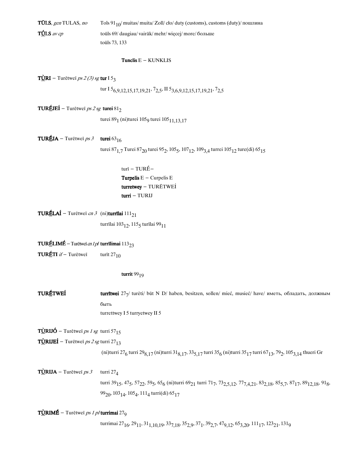| <b>TŪLS</b> , gen TULAS, no | Tols $91_{10}$ muitas/ muita/ Zoll/ clo/ duty (customs), customs (duty)/ пошлина |
|-----------------------------|----------------------------------------------------------------------------------|
| $TOLS$ av cp                | toūls 69/ daugiau/ vairāk/ mehr/ wiecej/ more/ больше                            |
|                             | toūls 73, 133                                                                    |

#### Tunclis  $E - KUNKLIS$

**TÙRI** – Turētweī *ps 2 (3) sg* tur I 5<sub>3</sub>

tur I 5<sub>6,9,12,15,17,19,21</sub>, 7<sub>2,5</sub>, II 5<sub>3,6,9</sub>,12,15,17,19,21, 7<sub>2,5</sub>

TURÉJEÍ - Turētweī ps 2 sg turei  $81_2$ 

turei 89<sub>1</sub> (ni)turei 105<sub>9</sub> turei 105<sub>11,13,17</sub>

TURÉJA – Turētweī  $ps3$  turei 63 $16$ 

turei 87 $_{\rm 1,7}$  Turei 87 $_{\rm 20}$  turei 95 $_{\rm 2}$ , 105 $_{\rm 5}$ , 107 $_{\rm 12}$ , 109 $_{\rm 3,4}$  turrei 105 $_{\rm 12}$  ture(di) 65 $_{\rm 15}$ 

turī-TURä- Turpelis  $E -$ Curpelis E turretwey - TURĒTWEÍ turri - TURIJ

TURÉLAÍ - Turētweī cn 3 (ni)turrīlai  $111_{21}$ 

turrīlai 103 $_{12}$ , 115 $_5$  turīlai 99 $_{11}$ 

TURÉLIMÉ - Turētweī *cn 1 pl* turrīlimai  $113_{23}$ 

**TURÉTI** if - Turētwei turīt 27<sub>10</sub>

turrit  $99_{19}$ 

**TURĖTWEÍ** turrītwei 27<sub>7</sub>/ turėti/ būt N D/ haben, besitzen, sollen/ mieć, musieć/ have/ иметь, обладать, должным быть turrettwey I 5 turryetwey II 5

TÙRIJÓ – Turētweī *ps 1 sg* turri 57<sub>15</sub>

TÙRIJEÍ - Turētweī ps 2 sg turri 27 $_{13}$ 

(ni)turri 27<sub>6</sub> turri 29<sub>8,17</sub> (ni)turri 31<sub>8,17</sub>, 33<sub>5,17</sub> turri 35<sub>6</sub> (ni)turri 35<sub>17</sub> turri 67<sub>13</sub>, 79<sub>2</sub>, 105<sub>3,14</sub> thueri Gr

TÙRIJA - Turētweī  $ps3$  turri 274 turri 39<sub>15</sub>, 47<sub>5</sub>, 57<sub>22</sub>, 59<sub>5</sub>, 65<sub>6</sub> (ni)turri 69<sub>21</sub> turri 71<sub>7</sub>, 73<sub>2,5,12</sub>, 77<sub>7,4,21</sub>, 83<sub>2,18</sub>, 85<sub>5,7</sub>, 87<sub>17</sub>, 89<sub>12,18</sub>, 91<sub>8</sub>, 99<sub>20</sub>, 103<sub>14</sub>, 105<sub>4</sub>, 111<sub>4</sub> turri(di) 65<sub>17</sub>

 $TÙRIMÉ - Turētweī *ps 1 pl* turrimai 27<sub>9</sub>$ 

turrimai 27<sub>16</sub>, 29<sub>11</sub>, 31<sub>1,10,1</sub>9, 33<sub>7,18</sub>, 35<sub>2,9</sub>, 37<sub>1</sub>, 39<sub>2,7</sub>, 47<sub>9,12</sub>, 65<sub>3,20</sub>, 111<sub>17</sub>, 123<sub>21</sub>, 131<sub>9</sub>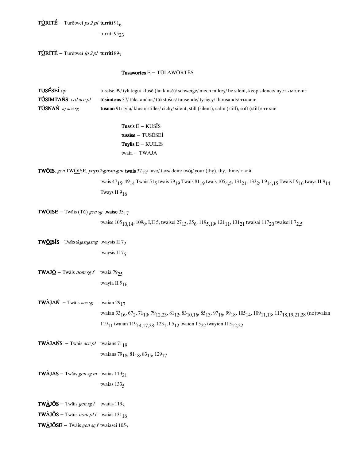$T\underline{\dot{U}}$ RITÉ – Turētweī *ps 2 pl* turriti 91<sub>6</sub>

turriti  $95<sub>23</sub>$ 

 $T\angle$ RITÉ – Turētweī *ip 2 pl* turriti 897

### Tusawortes  $E - T\overline{U}LAW\overline{O}RT\overline{E}S$

| TUSÉSEÍ op                  | tussise 99/ tyli tegu/ klusē (lai klusē)/ schweige/ niech milczy/ be silent, keep silence/ пусть молчит   |
|-----------------------------|-----------------------------------------------------------------------------------------------------------|
| <b>TÚSIMTAŃS</b> crd acc pl | <b>tūsimtons</b> 37/tūkstančius/tūkstošus/tausende/tysiecy/thousands/тысячи                               |
| $T\angle$ SNAŃ aj acc sg    | <b>tusnan</b> 91/tyly/klusu/stilles/cichy/silent, still (silent), calm (still), soft (still)/ $\tau$ ихий |

Tussis  $E - KUS\overline{I}S$ tussise - TUSĒSEÍ Tuylis  $E - KUILIS$ twaia - TWAJA

**TWŐIS**, gen TW<u>ŐI</u>SE, pnpo2sgnomsgm twais  $37_{12}$ / tavo/tavs/dein/twój/your (thy), thy, thine/ твой

twais 47<sub>15</sub>, 49<sub>14</sub> Twais 51<sub>5</sub> twais 79<sub>19</sub> Twais 81<sub>19</sub> twais 105<sub>4, 5</sub>, 131<sub>21</sub>, 133<sub>2</sub>, 19<sub>14, 15</sub> Twais I 9<sub>16</sub> tways II 9<sub>14</sub> Tways II  $9_{16}$ 

**TW<u>ÕI</u>SE** – Twāis (Tū) gen sg **twaise**  $35_{17}$ 

twaise 105<sub>10,14</sub>, 109<sub>9</sub>, I,II 5, twaisei 27<sub>13</sub>, 35<sub>6</sub>, 119<sub>5,19</sub>, 121<sub>11</sub>, 131<sub>21</sub> twaisai 117<sub>20</sub> twaisei I 7<sub>2,5</sub>

**TW<u>ÕI</u>SJS** – Twais *degengensg* twaysis II  $7<sub>2</sub>$ twaysis II  $7<sub>5</sub>$ 

**TWAJ<u>Ó</u>** – Twāis nom sg f twaiā 79<sub>25</sub> twayia II 916

**TWÀJAŃ** – Twāis *acc sg* twaian 29<sub>17</sub> twaian 33<sub>16</sub>, 67<sub>2</sub>, 71<sub>10</sub>, 79<sub>12,23</sub>, 81<sub>12</sub>, 83<sub>10,16</sub>, 85<sub>13</sub>, 97<sub>16</sub>, 99<sub>18</sub>, 105<sub>14</sub>, 109<sub>11,13</sub>, 117<sub>18,19,21,28</sub> (no)twaian 119<sub>11</sub> twaian 119<sub>14,17,28</sub>, 123<sub>1</sub>, I 5<sub>12</sub> twaien I 5<sub>22</sub> twayien II 5<sub>12,22</sub>

**TW**AJANS - Twais *acc pl* twaians 71<sub>19</sub> twaians 79<sub>18</sub>, 81<sub>18</sub>, 83<sub>15</sub>, 129<sub>17</sub>

**TWÀJAS** – Twāis gen sg m twaias  $119_{21}$ twaias  $133<sub>5</sub>$ 

**TW** $\angle$ **JŐS** – Twāis gen sg f twaias 119<sub>3</sub>

**TW** $\angle$ **JÓS** – Twāis nom pl f twaias 131<sub>16</sub>

**TW** $\angle$ **JŐSE** – Twāis gen sg f twaiasei 1057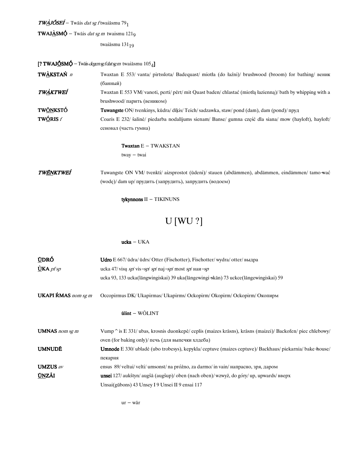$TW$  $\Delta$ JÕSEÍ – Twāis *dat sg f* twaiāsmu 79<sub>1</sub>

**TWAJ<u>À</u>SM** $\acute{\Phi}$  – Twāis *dat sg m* twaismu 121<sub>9</sub>

twaiāsmu $131_{\small 19}$ 

[? TWAJ $\underline{\text{6}}$ SM $\acute{\text{9}}$  – Twāis *degensg f datsg m* twai āsmu  $105_4$ ]

| TWÀKSTAŃ <i>n</i> | Twaxtan E 553/ vanta/ pirtsslota/ Badequast/ miotla (do łaźni)/ brushwood (broom) for bathing/ веник                                                       |
|-------------------|------------------------------------------------------------------------------------------------------------------------------------------------------------|
|                   | (банный)                                                                                                                                                   |
| TWÀKTWEÍ          | Twaxtan E 553 VM/vanoti, perti/pert/mit Quast baden/chlastać (miotha hazienna)/bath by whipping with a                                                     |
|                   | $brushwood/nap$ ить (веником)                                                                                                                              |
| TW <u>ÕN</u> KSTÓ | <b>Tuwangste</b> ON/tvenkinys, kūdra/dīķis/Teich/sadzawka, staw/pond (dam), dam (pond)/пруд                                                                |
| <b>TWÓRIS</b> $f$ | Coaris E 232/ šalinė/ piedarba nodalījums sienam/ Banse/ gumna część dla siana/ mow (hayloft), hayloft/                                                    |
|                   | сеновал (часть гумна)                                                                                                                                      |
|                   | <b>Twaxtan</b> $E - TWAKSTAN$                                                                                                                              |
|                   | $tway - twai$                                                                                                                                              |
| TWÉNKTWEÍ         | Tuwangste ON VM/ tvenkti/ aizsprostot (ūdeni)/ stauen (abdämmen), abdämmen, eindämmen/ tamo wać<br>(wode)/ dam up/ прудить (запрудить), запрудить (водоем) |

tykynnons  $II$  – TIKINUNS

# **U** [WU ?]

#### $\textbf{ucka} - \textbf{UKA}$

| <u>Ú</u> DRÓ<br>$\dot{U}$ KA <i>pf sp</i> | <b>Udro</b> E 667/ $\bar{u}$ dra/ $\bar{u}$ drs/Otter (Fischotter), Fischotter/wydra/otter/ $B$ ыдра<br>ucka 47/visų sp/vis-sp/sp/naj-sp/most sp/наи-sp |
|-------------------------------------------|---------------------------------------------------------------------------------------------------------------------------------------------------------|
|                                           | ucka 93, 133 ucka (lāngwingiskai) 39 uka (lāngewingi -skān) 73 uckce (lāngewingiskai) 59                                                                |
| <b>UKAPI ŔMAS</b> nom sg m                | Occopirmus DK/ Ukapirmas/ Ukapirms/ Ockopirm/ Okopirm/ Оскорітт/ Окопирм                                                                                |
|                                           | $\tilde{u}$ lint – WÕLINT                                                                                                                               |
| <b>UMNAS</b> nom sg m                     | Vump $\hat{\ }$ is E 331/ ubas, krosnis duonkepė/ ceplis (maizes krāsns), krāsns (maizei)/ Backofen/ piec chlebowy/                                     |
|                                           | oven (for baking only)/ печь (для выпечки хлдеба)                                                                                                       |
| <b>UMNUDĒ</b>                             | <b>Umnode</b> E 330/ ublade (ubo trobesys), kepykla/ ceptuve (maizes ceptuve)/ Backhaus/ piekarnia/ bake house/                                         |
|                                           | пекарня                                                                                                                                                 |
| <b>UMZUS</b> av                           | ensus 89/ veltui/ velti/ umsonst/ na próżno, za darmo/ in vain/ напрасно, зря, даром                                                                    |
| <b>UNZÃI</b>                              | unsei 127/aukštyn/augšā (augšup)/oben (nach oben)/wzwyż, do góry/up, upwards/ вверх                                                                     |
|                                           | Unsai(gūbons) 43 Unsey I 9 Unsei II 9 ensai 117                                                                                                         |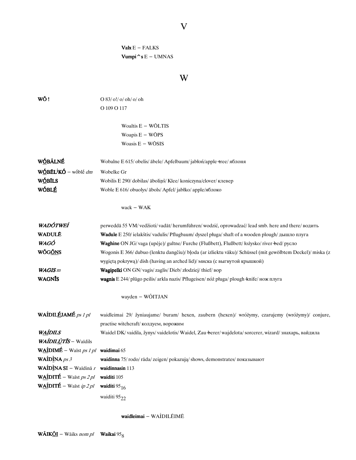# $\mathbf{V}$

 $\textbf{Valx} \, \text{E} - \text{FALKS}$ Vumpi ^ s E – UMNAS

# W

| WÕ!                                                     |                                                                                                           |
|---------------------------------------------------------|-----------------------------------------------------------------------------------------------------------|
|                                                         | O 83/ o!/ o/ oh/ o/ oh                                                                                    |
|                                                         | O 109 O 117                                                                                               |
|                                                         | Woaltis $E - W\overline{O}LTIS$                                                                           |
|                                                         | Woapis $E - W\overline{O}PS$                                                                              |
|                                                         | Woasis $E - W\overline{O}SIS$                                                                             |
|                                                         |                                                                                                           |
| WÓBÁLNÉ                                                 | Wobalne E 615/ obelis/ ābele/ Apfelbaum/jabłoń/apple +ree/ яблоня                                         |
| WÓBÉL <sup>i</sup> KÓ – wóblé dm                        | Wobelke Gr                                                                                                |
| WÓBĨLS                                                  | Wobilis E 290/dobilas/abolins/Klee/koniczyna/clover/клевер                                                |
| WÓBLÉ                                                   | Woble E 616/ obuolys/ ābols/ Apfel/ jabłko/ apple/яблоко                                                  |
|                                                         |                                                                                                           |
|                                                         | $wack - WAK$                                                                                              |
| WADÓTWEÍ                                                | perweddā 55 VM/ vedžioti/ vadāt/ herumführen/ wodzić, oprowadzać/ lead smb. here and there/ водить        |
| <b>WADULE</b>                                           | <b>Wadule</b> E 250/ ielakštis/vadulis/Pflugbaum/dyszel pługa/shaft of a wooden plough/дышло плуга        |
| WAGÓ                                                    | Waghine ON JG/vaga (upėje)/ gultne/ Furche (Flußbett), Flußbett/ łożysko/ river bed/ русло                |
| WŐG <u>ŐN</u> S                                         | Wogonis E 366/dubuo (lenktu dangčiu)/ bloda (ar izliektu vāku)/ Schüssel (mit gewölbtem Deckel)/ miska (z |
|                                                         | wygiętą pokrywą)/dish (having an arched lid)/ миска (с выгнутой крышкой)                                  |
| <b>WAGIS</b> m                                          | Wagipelki ON GN/vagis/zaglis/Dieb/złodziej/thief/Bop                                                      |
| <b>WAGNIS</b>                                           | wagnis E 244/ plūgo peilis/ arkla nazis/ Pflugeisen/ nóż pługa/ plough knife/ нож плуга                   |
|                                                         | wayden - WÕITJAN                                                                                          |
|                                                         |                                                                                                           |
| WAÍDILÉJAMÉ ps 1 pl                                     | waidleimai 29/ žyniaujame/ buram/ hexen, zaubern (hexen)/ wróżymy, czarujemy (wróżymy)/ conjure,          |
|                                                         | practise witchcraft/ колдуем, ворожим                                                                     |
| <b>WAÍDILS</b>                                          | Waidel DK/ vaidila, žynys/ vaidelotis/ Waidel, Zau-berer/ wajdelota/ sorcerer, wizard/ знахарь, вайдила   |
| WAÍDILÙTÍS - Waīdils                                    |                                                                                                           |
| WAÍDIMÉ – Waīst ps 1 pl waidimai 65                     |                                                                                                           |
| <b>WAÍDÌNA</b> $ps 3$                                   | waidinna 75/rodo/rāda/zeigen/pokazują/shows, demonstrates/показывают                                      |
| <b>WAÍDÌNA SI</b> – Waīdinā r <b>waidinnasin</b> 113    |                                                                                                           |
| <b>WAÍDITÉ</b> – Waist <i>ps 2 pl</i> waiditi 105       |                                                                                                           |
| WAÍDITÉ – Waīst <i>ip 2 pl</i> waiditi 95 <sub>16</sub> |                                                                                                           |

waidleimai - WAÍDILÉIMĒ

waiditi  $95_{22}$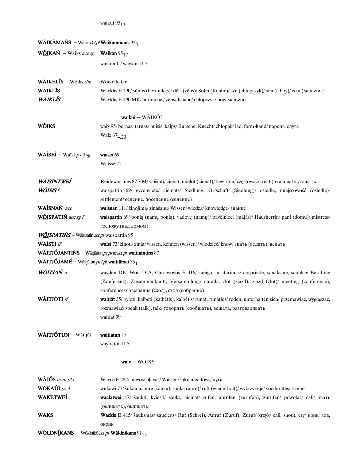| <b>WÃIKAMAŃS</b> – Wāiks <i>dat pl</i> <b>Waikammans</b> $95_5$               |                                                                                                                    |
|-------------------------------------------------------------------------------|--------------------------------------------------------------------------------------------------------------------|
| <b>W<u>ÕI</u>KAŃ</b> – Wāiks <i>acc sg</i> <b>Waikan</b> 95 <sub>17</sub>     |                                                                                                                    |
|                                                                               | waikan I 7 waykan II 7                                                                                             |
| WÃIKELĪS - Wõiks dm                                                           | Woikello Gr                                                                                                        |
| <b>WÃIKLĪS</b>                                                                | Wayklis E 190/sūnus (berniukas)/dēls (zēns)/Sohn (Knabe)/syn (chłopczyk)/son (a boy)/сын (мальчик)                 |
| WÃIKLĪS                                                                       | Wayklis E 190 MK/ berniukas/ zēns/ Knabe/ chłopczyk/ boy/ мальчик                                                  |
|                                                                               | waikui - WÃIKÕI                                                                                                    |
| WÕIKS                                                                         | waix 95/bernas, tarnas/puisis, kalps/Bursche, Knecht/chłopak/lad, farm-hand/парень, слуга                          |
|                                                                               | Waix 67 <sub>4,20</sub>                                                                                            |
| <b>WAÍSEÍ</b> – Waīst <i>ps 2 sg</i>                                          | waisei 69                                                                                                          |
|                                                                               | Waisse 71                                                                                                          |
| WÃIS <u>ÍN</u> TWEÍ                                                           | Reidewaisines 87 VM/ vaišinti/ cienāt, mielot (cienāt)/ bewirten/ częstować/ treat (to a meal)/ угощать            |
| W <u>ÕI</u> SIS f                                                             | waispattin 69/ gyvenvietė/ ciemats/ Siedlung, Ortschaft (Siedlung)/ osiedle, miejscowość (osiedle)/                |
|                                                                               | settlement/ селение, поселение (селение)                                                                           |
| WAÍSNAŃ acc                                                                   | waisnan 111/ žinojimą/ zināšanu/ Wissen/ wiedza/ knowledge/ знание                                                 |
| WÕISPATIŃ acc sg f                                                            | waispattin 69/ ponią (namų ponią), vadovę (namų)/ pavēlnieci (mājās)/ Hausherrin/ pani (domu)/ mistress/           |
|                                                                               | госпожу (над домом)                                                                                                |
| WÕISPATIŃS – Wäispatin accpl waispattin 95                                    |                                                                                                                    |
| WAÍSTI <i>if</i>                                                              | waist 73/ žinoti/zināt/wissen, kennen (wissen)/wiedzieć/know/знать (ведать), ведать                                |
|                                                                               | <b>WÃITJÓJANTIŃS</b> – Wāitjātun $pc$ ps acaccpl <b>waitiaintins</b> 87                                            |
| <b>WÃITJÓJAMÉ</b> – Wāitjātun <i>ps 1 pl</i> <b>waitiāmai</b> 35 <sub>1</sub> |                                                                                                                    |
| <b>WŐITJAŃ</b> n                                                              | wayden DK, Woit DIA, Cariawoytis E 416/ sueiga, pasitarimas/ apspriede, sanāksme, sapulce/ Beratung                |
|                                                                               | (Konferenz), Zusammenkunft, Versammlung/ narada, zlot (zjazd), zjazd (zlot)/ meeting (conference),                 |
|                                                                               | conference/ совещание (сход), сход (собрание)                                                                      |
| WÃITJÓTI if                                                                   | waitiāt 35/ byloti, kalbėti (kalbėtis), kalbėtis/ runāt, runāties/ reden, unterhalten sich/ przemawiać, wygłaszać, |
|                                                                               | rozmawiać/speak (talk), talk/говорить (сообщать), вещать, разговаривать                                            |
|                                                                               | waitiat 99                                                                                                         |
| WÃITJÓTUN - Wāitjāt                                                           | waitiatun I 5                                                                                                      |
|                                                                               | waytiaton II 5                                                                                                     |
|                                                                               | $\text{waix} - \text{WÕIKS}$                                                                                       |
| $W$ $\Delta J$ ŐS nom pl f                                                    | Wayos E 282/ pievos/ plavas/ Wiesen/ łąki/ meadows/ луга                                                           |
| <b>WÖKAÚI</b> $ps 3$                                                          | wūkawi 77/ šūkauja/ aurē (saukā), saukā (aurē)/ ruft (wiederholt)/ wykrzykuje/ vociferates/ кличет                 |
| WAKĒTWEÍ                                                                      | wackītwei 47/ šaukti, kviesti/ saukt, aicināt/ rufen, anrufen (zurufen), zurufen/ powołać/ call/ звать             |
|                                                                               | (окликать), окликать                                                                                               |
| <b>WAKS</b>                                                                   | Wackis E 415/ šauksmas/ sauciens/ Ruf (Schrei), Anruf (Zuruf), Zuruf/ krzyk/ call, shout, сту/ крик, зов,          |
|                                                                               | окрик                                                                                                              |
|                                                                               |                                                                                                                    |

WÕLDNÍKAŃS - Wōldnīkō accpl Wāldnikans 91 $_{15}$ 

waikui $95_{13}$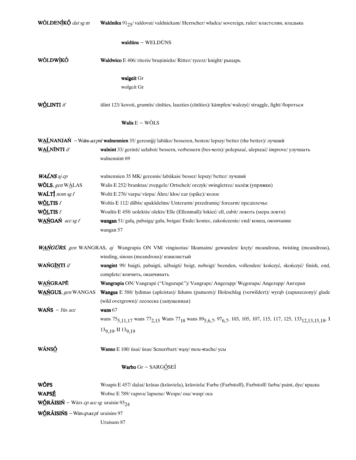| WŐLDENÍKÓ dat sg m                                        | Waldniku 91 <sub>25</sub> /valdovui/valdniekam/ Herrscher/władca/sovereign, ruler/властелин, владыка                                                                                                           |
|-----------------------------------------------------------|----------------------------------------------------------------------------------------------------------------------------------------------------------------------------------------------------------------|
|                                                           | $waldūns - WELDŪNS$                                                                                                                                                                                            |
| <b>WŐLDWÌKÓ</b>                                           | Waldwico E 406/ riteris/ bruninieks/ Ritter/ rycerz/ knight/ рыцарь                                                                                                                                            |
|                                                           | walgeit Gr                                                                                                                                                                                                     |
|                                                           | wolgeit Gr                                                                                                                                                                                                     |
| WÓLINTI if                                                | ūlint 123/ kovoti, grumtis/ cīnīties, lauzties (cīnīties)/ kämpfen/ walczyć/ struggle, fight/ бороться                                                                                                         |
|                                                           | Walis $E - W\tilde{O}LS$                                                                                                                                                                                       |
|                                                           | WALNANJAŃ – Walns accpnl walnennien 35/ geresniji/ labāko/ besseren, besten/ lepszy/ better (the better)/ лучший                                                                                               |
| WAĹNÍNTI if                                               | walnint 33/ gerinti/ uzlabot/ bessern, verbessern (bes-sern)/ polepszać, ulepszać/ improve/ улучшать<br>walnennint 69                                                                                          |
| WAĹNS aj cp                                               | walnennien 35 MK/ geresnis/ labākais/ besser/ lepszy/ better/ лучший                                                                                                                                           |
| <b>WŐLS</b> , gen WALAS                                   | Walis E 252/branktas/zvengele/Ortscheit/orczyk/swingletree/валёж (упряжки)                                                                                                                                     |
| WALT $\underline{\mathbf{f}}$ nom sg f                    | Wolti E 276/varpa/vārpa/Ähre/kłos/ear (spike)/колос                                                                                                                                                            |
| WÕLTIS $f$                                                | Woltis E 112/ dilbis/ apakšdelms/ Unterarm/ przedramię/ forearm/ предплечье                                                                                                                                    |
| WÕLTIS $f$                                                | Woaltis E 458/ uolektis/ olekts/ Elle (Ellenmaß)/ łokieć/ ell, cubit/ локоть (мера локтя)                                                                                                                      |
| WAŃGAŃ acc sg f                                           | wangan 51/ galą, pabaigą/ galu, beigas/ Ende/ koniec, zakończenie/ end/ конец, окончание<br>wangan 57                                                                                                          |
|                                                           | WAŃGŮRS, gen WANGRAS, aj Wangrapia ON VM/ vingiuotas/ līkumains/ gewunden/ kręty/ meandrous, twisting (meandrous),<br>winding, sinous (meandrous)/ извилистый                                                  |
| WAŃGĨNTI if                                               | wangint 99/ baigti, pabaigti, užbaigti/ beigt, nobeigt/ beenden, vollenden/ kończyć, skończyć/ finish, end,<br>complete/ кончить, оканчивать                                                                   |
| <b>WAŃGRAPĒ</b>                                           | Wangrapia ON/Vangrapė ("Ungurupė")/Vangrape/Angerapp/Węgorapa/Angerapp/Ангерап                                                                                                                                 |
| WAŃGUS, gen WANGAS                                        | Wangus E 588/ lydimas (apleistas)/ līdums (pamests)/ Holzschlag (verwildert)/ wyrąb (zapuszczony)/ glade<br>(wild overgrown)/ лесосека (запущенная)                                                            |
| <b>WAŃS</b> $-$ Jūs <i>acc</i>                            | wans $67$                                                                                                                                                                                                      |
|                                                           | wans 75 <sub>5,11,17</sub> wans 77 <sub>2,15</sub> Wans 77 <sub>18</sub> wans 89 <sub>5,6,7</sub> , 97 <sub>6,7</sub> , 103, 105, 107, 115, 117, 125, 133 <sub>12,13,15,18</sub> , I<br>$139.19$ , II $139.19$ |
| WÃNSÓ                                                     | Wanso E 100/ ūsai/ ūsas/ Scnurrbart/ wasy/ mou-stache/ усы                                                                                                                                                     |
|                                                           | Warbo Gr - SARGÓSEÍ                                                                                                                                                                                            |
| WÕPS                                                      | Woapis E 457/dažai/krāsas (krāsviela), krāsviela/Farbe (Farbstoff), Farbstoff/farba/paint, dye/краска                                                                                                          |
| WAPSÉ                                                     | Wobse E 789/vapsva/lapsene/Wespe/osa/wasp/oca                                                                                                                                                                  |
| <b>WÓRÁISIŃ</b> – Wārs cp acc sg uraisin 93 <sub>24</sub> |                                                                                                                                                                                                                |
| WÓRÃISIŃS – Wārs cpaccpl uraisins 97                      |                                                                                                                                                                                                                |
|                                                           | Uraisans 87                                                                                                                                                                                                    |
|                                                           |                                                                                                                                                                                                                |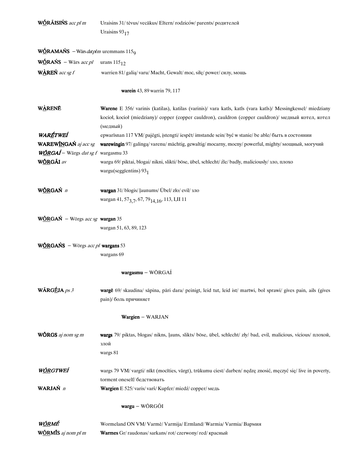| WÓRÃISIŃS acc pl m                                   | Uraisins 31/ tėvus/ vecākus/ Eltern/ rodziców/ parents/ родителей                                                                                                                                                     |
|------------------------------------------------------|-----------------------------------------------------------------------------------------------------------------------------------------------------------------------------------------------------------------------|
|                                                      | Uraisins $93_{17}$                                                                                                                                                                                                    |
| <b>WÓRAMAŃS</b> – Wārs <i>datplm</i> uremmans $1159$ |                                                                                                                                                                                                                       |
| <b>WÓRAŃS</b> – Wārs <i>acc pl</i> urans $115_{12}$  |                                                                                                                                                                                                                       |
| WAREN acc sg $f$                                     | warrien 81/ galią/ varu/ Macht, Gewalt/ moc, siłę/ power/ силу, мощь                                                                                                                                                  |
|                                                      | warein 43, 89 warrin 79, 117                                                                                                                                                                                          |
| <b>WARENE</b>                                        | Warene E 356/ varinis (katilas), katilas (varinis)/ vara katls, katls (vara katls)/ Messingkessel/ miedziany<br>kocioł, kocioł (miedziany)/ copper (copper cauldron), cauldron (copper cauldron)/ медный котел, котел |
| <b>WARÉTWEÍ</b>                                      | (медный)<br>epwarīsnan 117 VM/ pajėgti, įstengti/iespēt/imstande sein/być w stanie/be able/быть в состоянии                                                                                                           |
| WAREWINGAN aj acc sg                                 | warewingin 97/ galinga/ varenu/ mächtig, gewaltig/ mocarny, mocny/ powerful, mighty/ мощный, могучий                                                                                                                  |
| $W\sim{ORGA1}$ – Wārgs <i>dat sg f</i> wargasmu 33   |                                                                                                                                                                                                                       |
| WÓRGÁI av                                            | wargu 69/ piktai, blogai/ nikni, slikti/ böse, übel, schlecht/ źle/ badly, maliciously/ 3no, плохо<br>wargu(seggīentins) $93_1$                                                                                       |
| WÓRGAŃ n                                             | wargan 31/blogis/ ļaunums/ Übel/zło/ evil/ зло                                                                                                                                                                        |
|                                                      | wargan 41, 57 <sub>3, 7</sub> , 67, 79 <sub>14, 16</sub> , 113, I, II 11                                                                                                                                              |
| WÓRGAŃ – Wörgs acc sg wargan 35                      |                                                                                                                                                                                                                       |
|                                                      | wargan 51, 63, 89, 123                                                                                                                                                                                                |
| <b>WÖRGAŃS</b> – Wörgs acc pl <b>wargans</b> 53      |                                                                                                                                                                                                                       |
|                                                      | wargans 69                                                                                                                                                                                                            |
|                                                      | wargasmu - WŌRGAÍ                                                                                                                                                                                                     |
| WÃRGÉJA ps 3                                         | wargē 69/ skaudina/ sāpina, pāri dara/ peinigt, leid tut, leid ist/ martwi, bol sprawi/ gives pain, ails (gives<br>pain)/ боль причиняет                                                                              |
|                                                      | Wargien - WARJAN                                                                                                                                                                                                      |
| WÕRGS aj nom sg m                                    | wargs 79/ piktas, blogas/ nikns, ļauns, slikts/ böse, übel, schlecht/ zły/ bad, evil, malicious, vicious/ плохой,<br>злой<br>wargs 81                                                                                 |
| W <u>ŐR</u> GTWEÍ                                    | wargs 79 VM/ vargti/ nīkt (mocīties, vārgt), trūkumu ciest/ darben/ nędzę znosić, męczyć się/ live in poverty,<br>torment oneself/ бедствовать                                                                        |
| WARJAŃ n                                             | Wargien E 525/varis/varš/Kupfer/miedź/copper/медь                                                                                                                                                                     |
|                                                      | wargu – WŌRGÕI                                                                                                                                                                                                        |
| W <u>ŐRMÉ</u>                                        | Wormeland ON VM/Varmė/Varmija/Ermland/Warmia/Varmia/Вармия                                                                                                                                                            |
| WÕRMĨS aj nom pl m                                   | Warmes Gr/raudonas/sarkans/rot/czerwony/red/красный                                                                                                                                                                   |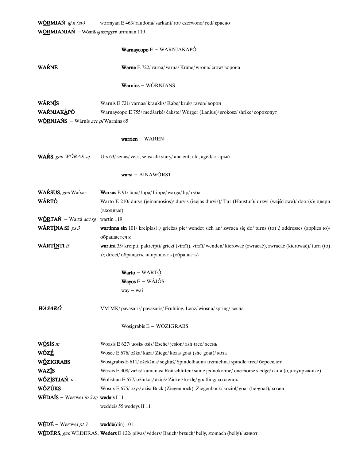| <b>W<u>ÕR</u>MJAŃ</b> aj $n$ (av)           | wormyan E 463/raudona/sarkani/rot/czerwono/red/красно                                                                   |  |  |
|---------------------------------------------|-------------------------------------------------------------------------------------------------------------------------|--|--|
| WÓRMJANJAŃ - Wōrmīs ajaccsgpnl urminan 119  |                                                                                                                         |  |  |
|                                             |                                                                                                                         |  |  |
|                                             | Warnaycopo E - WARNJAKAPÓ                                                                                               |  |  |
| <b>WAŔNĒ</b>                                | Warne E 722/ varna/ vārna/ Krähe/ wrona/ crow/ ворона                                                                   |  |  |
|                                             | <b>Warnins</b> – WORNJANS                                                                                               |  |  |
| WÃRNIS                                      | Warnis E 721/varnas/krauklis/Rabe/kruk/raven/ворон                                                                      |  |  |
| WAŔNJAKÀPÓ                                  | Warnaycopo E 755/ medšarkė/ čakste/ Würger (Lanius)/ srokosz/ shrike/ сорокопут                                         |  |  |
| <b>WÕRNJAŃS</b> – Wārnīs $acc$ p/Warnins 85 |                                                                                                                         |  |  |
|                                             |                                                                                                                         |  |  |
|                                             | warrien - WAREN                                                                                                         |  |  |
| WAŔS, gen WÓRAS, aj                         | Urs 63/ senas/ vecs, sens/ alt/ stary/ ancient, old, aged/ старый                                                       |  |  |
|                                             | warst - AÍNAWŌRST                                                                                                       |  |  |
| WARSUS, gen Warsas                          | Warsus E 91/lūpa/lūpa/Lippe/warga/lip/ryбa                                                                              |  |  |
| WÃRT <u>Ó</u>                               | Warto E 210/ durys (ieinamosios)/ durvis (ieejas durvis)/ Tür (Haustür)/ drzwi (wejściowe)/ door(s)/ двери              |  |  |
|                                             | (входные)                                                                                                               |  |  |
| WÓRTAŃ – Wartā acc sg wartin 119            |                                                                                                                         |  |  |
| WÃRTÌNA SI $ps3$                            | <b>wartinna sin</b> 101/ kreipiasi j/ griežas pie/ wendet sich an/ zwraca się do/ turns (to) i, addresses (applies to)/ |  |  |
|                                             | обращается к                                                                                                            |  |  |
| WÃRT <u>ĨN</u> TI if                        | wartint 35/ kreipti, pakreipti/ griezt (virzīt), virzīt/ wenden/ kierować (zwracać), zwracać (kierować)/ turn (to)      |  |  |
|                                             | tr, direct/ обращать, направлять (обращать)                                                                             |  |  |
|                                             | Warto - WARTÓ                                                                                                           |  |  |
|                                             | <b>Wayos</b> $E - W\angle AJ\angle S$                                                                                   |  |  |
|                                             | $way - wai$                                                                                                             |  |  |
|                                             |                                                                                                                         |  |  |
| W <u>À</u> SARÓ                             | VM MK/ pavasaris/ pavasaris/ Frühling, Lenz/ wiosna/ spring/ весна                                                      |  |  |
|                                             | Wosigrabis E - WŌZIGRABS                                                                                                |  |  |
| $W\acute{\text{Q}}$ sis m                   | Woasis E 627/ uosis/ osis/ Esche/ jesion/ ash-tree/ ясень                                                               |  |  |
| wózé                                        | Wosee E 676/ ožka/ kaza/ Ziege/ koza/ goat (she-goat)/ коза                                                             |  |  |
| WÓZIGRABS                                   | Wosigrabis E 611/ ožekšnis/ segliņš/ Spindelbaum/ trzmielina/ spindle +ree/ бересклет                                   |  |  |
| WAZĪS                                       | Wessis E 308/važis/kamanas/Reitschlitten/sanie jednokonne/one horse sledge/сани (одноупряжные)                          |  |  |
| WÓZ <u>Ì</u> STJAŃ n                        | Wolistian E 677/ ožiukas/ āziņš/ Zickel/ koźlę/ goatling/ козленок                                                      |  |  |
| <b>WÓZÙKS</b>                               | Wosux E 675/ ožys/ āzis/ Bock (Ziegenbock), Ziegenbock/ kozioł/ goat (he-goat)/ козел                                   |  |  |
| WÈDAÍS - Westwei ip 2 sg wedais I 11        |                                                                                                                         |  |  |
|                                             | weddeis 55 wedeys II 11                                                                                                 |  |  |
|                                             |                                                                                                                         |  |  |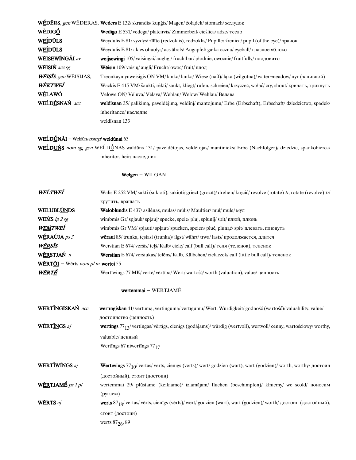|                       | WÉDÉRS, gen WEDERAS, Weders E 132/skrandis/kungis/Magen/żołądek/stomach/желудок                                   |
|-----------------------|-------------------------------------------------------------------------------------------------------------------|
| WÈDIGÓ                | <b>Wedigo</b> E 531/vedega/platcirvis/Zimmerbeil/cieślica/adze/тесло                                              |
| WEÍDÚLS               | Weydulis E 81/ vyzdys/ zilite (redzoklis), redzoklis/ Pupille/ źrenica/ pupil (of the eye)/ зрачок                |
| <b>WEIDULS</b>        | Weydulis E 81/akies obuolys/acs abols/Augapfel/gałka oczna/eyeball/глазное яблоко                                 |
| WÉISEWÍNGÃI av        | <b>weijsewingi</b> 105/vaisingai/augligi/fruchtbar/płodnie, owocnie/fruitfully/плодовито                          |
| WÉISIŃ acc sg         | <b>Wēisin</b> 109/ vaisiu/ augli/ Frucht/ owoc/ fruit/ плод                                                       |
| WÉISÍS, gen WÉISIJAS, | Treonkaymynweisigis ON VM/lanka/lanka/Wiese (naß)/łaka (wilgotna)/water-meadow/луг (заливной)                     |
| WÈKTWEÍ               | Wackis E 415 VM/ šaukti, rėkti/ saukt, kliegt/ rufen, schreien/ krzyczeć, wołać/ cry, shout/ кричать, крикнуть    |
| WÉLAWÓ                | Velowe ON/Vėluva/Vėlava/Wehlau/Welow/Wehlau/Велава                                                                |
| WEĹDÉSNAŃ acc         | <b>weldīsnan</b> 35/ palikima, paveldėjima, veldini/ mantojumu/ Erbe (Erbschaft), Erbschaft/ dziedzictwo, spadek/ |
|                       | inheritance/наследие                                                                                              |
|                       | weldisnan 133                                                                                                     |

## WEĹDÚNÃI - Weldūns nompl weldūnai 63

WEĹDUŃS nom sg, gen WEĹDÚNAS waldūns 131/ paveldėtojas, veldėtojas/ mantinieks/ Erbe (Nachfolger)/ dziedzic, spadkobierca/ inheritor, heir/наследник

### Welgen - WILGAN

| WEĹTWEÍ                                                                         | Walis E 252 VM/sukti (sukioti), sukioti/ griezt (grozīt)/ drehen/krecić/ revolve (rotate) tr, rotate (revolve) tr/    |
|---------------------------------------------------------------------------------|-----------------------------------------------------------------------------------------------------------------------|
|                                                                                 | крутить, вращать                                                                                                      |
| WELUBLÚNDS                                                                      | <b>Weloblundis</b> $E$ 437/ asilenas, mulas/ mūlis/ Maultier/ mul/ mule/ $M$                                          |
| <b>WEMS</b> ip $2$ sg                                                           | wimbmis Gr/spjauk/splauj/spucke, speie/pluj, splunij/spit/плюй, плюнь                                                 |
| WEMTWEI                                                                         | wimbmis Gr VM/spjauti/splaut/spucken, speien/pluć, plunać/spit/плевать, плюнуть                                       |
| $\mathbf{W} \mathbf{\acute{E}} \mathbf{RA} \mathbf{\acute{U}} \mathbf{JA}$ ps 3 | <b>wēraui</b> $85$ / trunka, tęsiasi (trunka)/ $\frac{1}{1}$ gst/währt/ trwa/ $\frac{1}{1}$ asts/продолжается, длится |
| WÉRSÍS                                                                          | Werstian E 674/ veršis/ telš/ Kalb/ ciele/ calf (bull calf)/ теля (теленок), теленок                                  |
| W <u>ér</u> stjań <i>n</i>                                                      | <b>Werstian</b> E 674/veršiukas/telēns/Kalb, Kälbchen/cielaczek/calf (little bull calf)/теленок                       |
| <b>WÉRT<u>ŐI</u></b> – Wērts nom pl m <b>wertei</b> 55                          |                                                                                                                       |
| WÉRTÉ                                                                           | Wertīwings 77 MK/ vertė/ vērtība/ Wert/ wartość/ worth (valuation), value/ ценность                                   |

### wertemmai - W $E$ RTJAMÉ

| WÉRT <u>ĨN</u> GISKAŃ acc        | wertingiskan 41/vertuma, vertinguma/vērtīgumu/Wert, Würdigkeit/godność (wartość)/valuability, value/                |
|----------------------------------|---------------------------------------------------------------------------------------------------------------------|
|                                  | достоинство (ценность)                                                                                              |
| WÉRT <u>ĨN</u> GS aj             | wertings $77_1\sqrt{2}$ vertings/vērtīgs, cienīgs (godājams)/würdig (wertvoll), wertvoll/cenny, wartościowy/worthy, |
|                                  | valuable/ценный                                                                                                     |
|                                  | Wertings 67 niwertings $77_{17}$                                                                                    |
|                                  |                                                                                                                     |
| WÉRTĬWÍNGS aj                    | Wertīwings $77_{10}$ / vertas/ vērts, cienīgs (vērts)/ wert/ godzien (wart), wart (godzien)/ worth, worthy/ достоин |
|                                  | (достойный), стоит (достоин)                                                                                        |
| W <u>ĔR</u> TJAMÉ <i>ps 1 pl</i> | wertemmai 29/ plūstame (keikiame)/ izlamājam/ fluchen (beschimpfen)/ klniemy/ we scold/ поносим                     |
|                                  | (pyraem)                                                                                                            |
| WÉRTS aj                         | werts $87_{18}$ / vertas/ vērts, cienīgs (vērts)/ wert/ godzien (wart), wart (godzien)/ worth/ достоин (достойный), |
|                                  | стоит (достоин)                                                                                                     |
|                                  | werts $87_{26}$ , 89                                                                                                |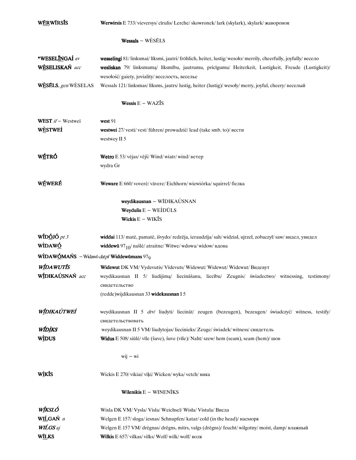| W <u>ĔR</u> WÍRSÍS                                            | Werwirsis E 733/ vieversys/ cīrulis/ Lerche/ skowronek/ lark (skylark), skylark/ жаворонок                  |
|---------------------------------------------------------------|-------------------------------------------------------------------------------------------------------------|
|                                                               | $Wessals - WESÉLS$                                                                                          |
| *WESELĪNGAÍ av                                                | wesselingi 81/linksmai/liksmi, jautri/fröhlich, heiter, lustig/wesolo/merrily, cheerfully, joyfully/ весело |
| WÈSELISKAŃ acc                                                | wesliskan 79/ linksmumą/ līksmību, jautrumu, pricīgumu/ Heiterkeit, Lustigkeit, Freude (Lustigkeit)/        |
|                                                               | wesołość/ gaiety, joviality/ веселость, веселье                                                             |
| WESELS, gen WESELAS                                           | Wessals 121/linksmas/līksms, jautrs/lustig, heiter (lustig)/wesoly/merry, joyful, cheery/веселый            |
|                                                               | Wessis $E - WAZ\overline{I}S$                                                                               |
| WEST $if$ – Westwei                                           | west $91$                                                                                                   |
| <b>WESTWEI</b>                                                | westwei 27/ vesti/ vest/ führen/ prowadzić/ lead (take smb. to)/ вести                                      |
|                                                               | westwey II 5                                                                                                |
| WÉTRÓ                                                         | Wetro E 53/vėjas/vējš/Wind/wiatr/wind/ветер                                                                 |
|                                                               | wydra Gr                                                                                                    |
| WÉWERÉ                                                        | Weware E 660/voverė/vāvere/Eichhorn/wiewiórka/squirrel/белка                                                |
|                                                               | weydikausnan - WĪDIKAÚSNAN                                                                                  |
|                                                               | <b>Weydulis</b> $E - WEÍDÜLS$                                                                               |
|                                                               | Wickis $E - WIK\$ IS                                                                                        |
| $WID\'oJ\'opt3$                                               | widdai 113/ matė, pamatė, išvydo/ redzēja, ieraudzīja/ sah/ widział, ujrzeł, zobaczył/ saw/ видел, увидел   |
| WÌDAWÓ                                                        | widdewū 97 $_{10}$ / našlė/ atraitne/ Witwe/ wdowa/ widow/ вдова                                            |
| WIDAWÓMAŃS – Widawō <i>dat pl</i> Widdewūmans 97 <sub>0</sub> |                                                                                                             |
| <b>WIDAWUTIS</b>                                              | Widewut DK VM/ Vydevutis/ Videvuts/ Widewut/ Widewut/ Widewut/ Видевут                                      |
| WÍDIKAÚSNAŃ acc                                               | weydikausnan II 5/ liudijima/ liecināšanu, liecību/ Zeugnis/ świadectwo/ witnessing, testimony/             |
|                                                               | свидетельство                                                                                               |
|                                                               | (redde)wijdikausnan 33 widekausnan I 5                                                                      |
| WÍDIKAÚTWEÍ                                                   | weydikausnan II 5 drv/ liudyti/ liecināt/ zeugen (bezeugen), bezeugen/ świadczyć/ witness, testify/         |
|                                                               | свидетельствовать                                                                                           |
| WÍDÌKS                                                        | weydikausnan II 5 VM/liudytojas/liecinieks/Zeuge/swiadek/witness/свидетель                                  |
| <b>WIDUS</b>                                                  | <b>Widus</b> E 508/siūlė/vīle (šuve), šuve (vīle)/ Naht/szew/hem (seam), seam (hem)/ $\mu$                  |
|                                                               | $wij - wi$                                                                                                  |
| <b>WIKIS</b>                                                  | Wickis E 270/ vikiai/ vīķi/ Wicken/ wyka/ vetch/ вика                                                       |
|                                                               | Wilenikis $E - WINENIKS$                                                                                    |
| WÍKSLÓ                                                        | Wixla DK VM/ Vysla/ Visla/ Weichsel/ Wisła/ Vistula/ Висла                                                  |
| WIĹGAŃ n                                                      | Welgen E 157/sloga/iesnas/Schnupfen/katar/cold (in the head)/насморк                                        |
| WILGS aj                                                      | Welgen E 157 VM/ drėgnas/ drėgns, mitrs, valgs (drėgns)/ feucht/ wilgotny/ moist, damp/ влажный             |
| <b>WILKS</b>                                                  | Wilkis E 657/vilkas/vilks/Wolf/wilk/wolf/волк                                                               |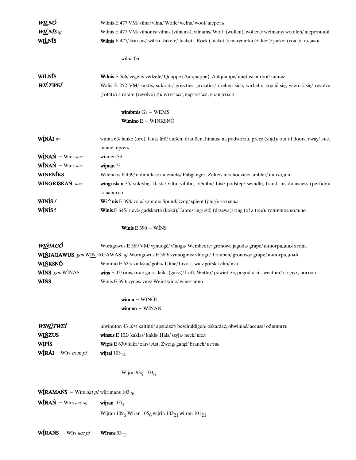| W <u>IĹ</u> NÓ                                                  | Wilnis E 477 VM/ vilna/ vilna/ Wolle/ wełna/ wool/ шерсть                                                        |
|-----------------------------------------------------------------|------------------------------------------------------------------------------------------------------------------|
| WILNIS aj                                                       | Wilnis E 477 VM/ vilnonis/ vilnas (vilnains), vilnains/ Woll-(wollen), wollen)/ wełniany/ woollen/ шерстяной     |
| WILNIS                                                          | Wilnis E 477/ švarkas/ svārki, žakete/ Jackett, Rock (Jackett)/ marynarka (zakiet)/ jacket (coat)/ пиджак        |
|                                                                 |                                                                                                                  |
|                                                                 | wilna Gr                                                                                                         |
| WIĹNĪS                                                          | Wilnis E 566/ vėgėlė/ vēdzele/ Quappe (Aalquappe), Aalquappe/ miętus/ burbot/ налим                              |
| W <u>IĹ</u> TWEÍ                                                | Walis E 252 VM/ suktis, sukiotis/ griezties, grozīties/ drehen sich, wirbeln/ kręcić się, wiercić się/ revolve   |
|                                                                 | (rotate) $i$ , rotate (revolve) $j$ крутиться, вертеться, вращаться                                              |
|                                                                 | wimbmis $Gr - WEMS$                                                                                              |
|                                                                 | Wimino $E - WINKSNO$                                                                                             |
| WÌNÃI av                                                        | winna 63/ lauke (ore), lauk/ ārā/ außen, draußen, hinaus/ na podwórzu, precz (stąd)/ out of doors, away/ вне,    |
|                                                                 | вовне, прочь                                                                                                     |
| $\mathbf{W}\mathbf{I}\mathbf{N}\mathbf{A}\mathbf{N}$ – Wins acc | winnen 53                                                                                                        |
| $W_{\text{INAN}}^{\dagger}$ – Wins acc                          | wijnan 73                                                                                                        |
| WINENIKS                                                        | Wilenikis E 439/ eidininkas/ aidenieks/ Paßgänger, Zelter/ inochodziec/ ambler/ иноходец                         |
| WINGRISKAŃ acc                                                  | wingriskan 35/ suktybę, klastą/ viltu, viltību, blēdību/ List/ podstęp/ swindle, fraud, insidiousness (perfidy)/ |
|                                                                 | коварство                                                                                                        |
| WIN $\mathbf{\dot{S}}$ f                                        | Wi^nis E 398/volė/spunde/Spund/czop/spigot (plug)/затычка                                                        |
| WÍNÌS f                                                         | Winis E 645/rievė/gadskārta (kokā)/Jahresring/słój (drzewa)/ring (of a tree)/годичное кольцо                     |
|                                                                 | <b>Winis</b> $E$ 390 – WINS                                                                                      |
| W <u>IŃ</u> JAGÓ                                                | Woragowus E 389 VM/vynuogė/vinoga/Weinbeere/gronowa jagoda/grape/виноградная ягода                               |
|                                                                 | WIŃJAGAWUS, gen WIŃJAGAWAS, aj Woragowus E 389/ vynuoginis/ vīnogu/ Trauben/ gronowy/ grape/ виноградный         |
| <b>WIŃKSNÓ</b>                                                  | Wimino E 625/vinkšna/goba/Ulme/brzost, wiąz górski/elm/вяз                                                       |
| <b>WINS</b> , gen WINAS                                         | wins E 45/oras, orai/gaiss, laiks (gaiss)/Luft, Wetter/powietrze, pogoda/air, weather/воздух, погода             |
| <b>WIŃS</b>                                                     | Winis E 390/ vynas/ vīns/ Wein/ wino/ wine/ вино                                                                 |
|                                                                 | $winna - WINÕI$                                                                                                  |
|                                                                 | winnen - WINAN                                                                                                   |
|                                                                 |                                                                                                                  |
| WINÚTWEÍ                                                        | niwinūton 43 drv/ kaltinti/ apsūdzēt/ beschuldigen/ oskarżać, obwiniać/ accuse/ обвинять                         |
| <b>WIŃZUS</b>                                                   | winsus E 102/ kaklas/ kakls/ Hals/ szyja/ neck/ шея                                                              |
| WIPIS                                                           | Wipis E 630/ šaka/zars/ Ast, Zweig/ gałąź/ branch/ ветвь                                                         |
| $W_{\text{IR}}^{\text{f}}$ RÃI – Wīrs nom pl                    | wijrai $103_{14}$                                                                                                |
|                                                                 | Wijrai 935, 1036                                                                                                 |
| <b>WIRAMAŃS</b> – Wirs <i>dat pl</i> wijrimans $103_{26}$       |                                                                                                                  |
|                                                                 |                                                                                                                  |
| $Wf$ RAŃ – Wīrs acc sg                                          | wijran $105_4$<br>Wijran $1096$ Wiran $1056$ wijrin $10321$ wijrau $10121$                                       |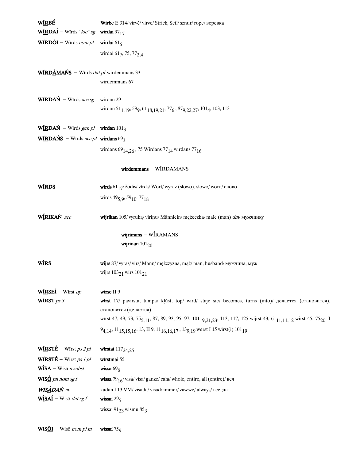| WIRBÉ                                                             | Wirbe E 314/ virvė/ virve/ Strick, Seil/ sznur/ rope/ веревка                                                                                                                                |
|-------------------------------------------------------------------|----------------------------------------------------------------------------------------------------------------------------------------------------------------------------------------------|
| <b>WIRDAI</b> – Wirds "loc" sg <b>wirdai</b> 97 <sub>17</sub>     |                                                                                                                                                                                              |
| <b>WĪRD<u>ÕI</u></b> – Wīrds nom pl <b>wirdai</b> 61 <sub>6</sub> |                                                                                                                                                                                              |
|                                                                   | wirdai 617, 75, 77 <sub>2,4</sub>                                                                                                                                                            |
| <b>WÍRDÀMAŃS</b> – Wirds <i>dat pl</i> wirdemmans 33              |                                                                                                                                                                                              |
|                                                                   | wirdemmans 67                                                                                                                                                                                |
| $W$ IRDAŃ – Wīrds acc sg                                          | wirdan 29                                                                                                                                                                                    |
|                                                                   | wirdan 51 <sub>1,19</sub> , 59 <sub>9</sub> , 61 <sub>18,19,21</sub> , 77 <sub>6</sub> , 87 <sub>9,22,27</sub> , 101 <sub>4</sub> , 103, 113                                                 |
| WIRDAŃ – Wirds gen pl wirdan $101_3$                              |                                                                                                                                                                                              |
| <b>WIRDAŃS</b> – Wirds <i>acc pl</i> wirdans $69_3$               |                                                                                                                                                                                              |
|                                                                   | wirdans $69_{14,26}$ , 75 Wirdans 77 $_{14}$ wirdans 77 $_{16}$                                                                                                                              |
|                                                                   | wirdemmans - WIRDAMANS                                                                                                                                                                       |
| <b>WIRDS</b>                                                      | wirds $6117$ / žodis/virds/Wort/wyraz (słowo), słowo/word/ слово                                                                                                                             |
|                                                                   | wirds $49_{5,9}$ , $59_{10}$ , $77_{18}$                                                                                                                                                     |
| WÍRIKAŃ acc                                                       | wijrikan 105/ vyruką/ vīriņu/ Männlein/ mężeczka/ male (man) dm/ мужчинку                                                                                                                    |
|                                                                   | wijrimans - WIRAMANS                                                                                                                                                                         |
|                                                                   | wijrinan $101_{20}$                                                                                                                                                                          |
| WIRS                                                              | wijrs 87/ vyras/ vīrs/ Mann/ mężczyzna, mąż/ man, husband/ мужчина, муж                                                                                                                      |
|                                                                   | wijrs $103_{21}$ wirs $101_{21}$                                                                                                                                                             |
| WIRSEI – Wirst op                                                 | wirse II 9                                                                                                                                                                                   |
| WIRST $ps 3$                                                      | wirst 17/ pavirsta, tampa/ kļūst, top/ wird/ staje się/ becomes, turns (into)/ делается (становится),                                                                                        |
|                                                                   | становится (делается)<br>wirst 47, 49, 73, 75 <sub>5,11</sub> , 87, 89, 93, 95, 97, 101 <sub>19,21,23</sub> , 113, 117, 125 wijrst 43, 61 <sub>11,11,12</sub> wirst 45, 75 <sub>20</sub> , I |
|                                                                   | $9_{4,14}$ , 11 <sub>15,15,16</sub> , 13, II 9, 11 <sub>16,16,17</sub> , 13 <sub>9,19</sub> werst I 15 wirst(i) 101 <sub>19</sub>                                                            |
| $W \times T \times F$ – Wirst <i>ps 2 pl</i>                      | wīrstai $117_{24,25}$                                                                                                                                                                        |
| $W \times T \times T$ – Wirst <i>ps 1 pl</i>                      | wīrstmai 55                                                                                                                                                                                  |
| $W$ <sup><math>\dot{S}</math></sup> $A$ – Wisā <i>n subst</i>     | wissa $696$                                                                                                                                                                                  |
| WIS $\mathbf{\underline{6}}$ pn nom sg f                          | wissa 79 <sub>16</sub> /visà/visa/ganze/cała/whole, entire, all (entire)/вся                                                                                                                 |
| <b>WISADAŃ</b> av                                                 | kadan I 13 VM/visada/visad/immer/zawsze/always/всегда                                                                                                                                        |
| $W$ <i>isAÍ</i> – Wisō <i>dat sg f</i>                            | wissai $295$                                                                                                                                                                                 |
|                                                                   | wissai 91 $23$ wismu 85 $3$                                                                                                                                                                  |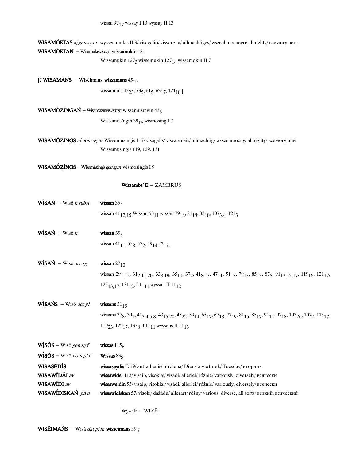WISAMÓKJAS aj gen sg m wyssen mukis II 9/visagalio/visvarenā/allmächtiges/wszechmocnego/almighty/всемогущего WISAMÓKJAŃ - Wisamākīs  $acsg$  wissemukin 131

Wissemukin 127<sub>3</sub> wissemukin 127<sub>14</sub> wissemokin II 7

[? WÌSAMAŃS – Wisēimans wissamans  $45_{19}$ 

wissamans  $45_{23}$ , 53<sub>5</sub>, 61<sub>5</sub>, 63<sub>17</sub>, 121<sub>10</sub>]

WISAMÓZĨNGAŃ - Wisamāzīngīs  $acsg$  wissemusīngin  $43<sub>5</sub>$ 

Wissemusīngin 39<sub>18</sub> wismosing I7

WISAMÓZĨNGS aj nom sg m Wissemusīngis 117/visagalis/visvarenais/allmächtig/wszechmocny/almighty/всемогущий Wissemusīngis 119, 129, 131

WISAMÓZĨNGS - Wisamāzīngis gensgm wismosingis I 9

## Wissambs'  $E - ZAMBRUS$

| $W$ <i>isA</i> $\acute{N}$ – Wisō <i>n</i> subst             | wissan $354$                                                                                                                                                                                                                                                                                                   |
|--------------------------------------------------------------|----------------------------------------------------------------------------------------------------------------------------------------------------------------------------------------------------------------------------------------------------------------------------------------------------------------|
|                                                              | wissan 41 <sub>12,15</sub> Wissan 53 <sub>11</sub> wissan 79 <sub>18</sub> , 81 <sub>18</sub> , 83 <sub>10</sub> , 107 <sub>3,4</sub> , 121 <sub>3</sub>                                                                                                                                                       |
| $W$ <i>js</i> AŃ – Wisō <i>n</i>                             | wissan $395$                                                                                                                                                                                                                                                                                                   |
|                                                              | wissan $41_{11}$ , 55 <sub>8</sub> , 57 <sub>2</sub> , 59 <sub>14</sub> , 79 <sub>16</sub>                                                                                                                                                                                                                     |
| $W$ ISAŃ – Wisō acc sg                                       | wissan $27_{10}$                                                                                                                                                                                                                                                                                               |
|                                                              | wissan 29 <sub>1,12</sub> , 31 <sub>2,11,20</sub> , 33 <sub>8,19</sub> , 35 <sub>10</sub> , 37 <sub>2</sub> , 41 <sub>8</sub> , <sub>13</sub> , 47 <sub>11</sub> , 51 <sub>13</sub> , 79 <sub>13</sub> , 85 <sub>13</sub> , 87 <sub>8</sub> , 91 <sub>12,15,17</sub> , 119 <sub>16</sub> , 121 <sub>17</sub> , |
|                                                              | $125_{13,17}$ , $131_{12}$ , I $11_{11}$ wyssan II $11_{12}$                                                                                                                                                                                                                                                   |
| $W$ <sub>I</sub> SAŃS – Wisō acc pl                          | wissans $3115$                                                                                                                                                                                                                                                                                                 |
|                                                              | wissans 378, 391, 413, 4,5,8, 4315,20, 4522, 5914, 6517, 6718, 7719, 8115, 8517, 9114, 9718, 10326, 1072, 11517,                                                                                                                                                                                               |
|                                                              | $119_{23}$ , $129_{17}$ , $133_{8}$ , I $11_{11}$ wyssens II $11_{13}$                                                                                                                                                                                                                                         |
| $W \simeq S - W$ isō <i>gen sg f</i>                         | wissas $1156$                                                                                                                                                                                                                                                                                                  |
| $W$ <sub>1</sub> $\tilde{\text{SOS}}$ – Wisō <i>nom pl f</i> | Wissas $838$                                                                                                                                                                                                                                                                                                   |
| WISASÉDÍS                                                    | wissaseydis E 19/ antradienis/ otrdiena/ Dienstag/ wtorek/ Tuesday/ вторник                                                                                                                                                                                                                                    |
| WISAWÍDÃI av                                                 | wissawidei 113/ visaip, visokiai/ visādi/ allerlei/ różnie/ variously, diversely/ всячески                                                                                                                                                                                                                     |
| WISAWIDI av                                                  | wissaweidin 55/visaip, visokiai/visādi/allerlei/różnie/variously, diversely/всячески                                                                                                                                                                                                                           |
| WISAW <b>ÍDISKAŃ</b> pn n                                    | wissawidiskan 57/visoki/dažādu/allerart/różny/various, diverse, all sorts/всякий, всяческий                                                                                                                                                                                                                    |

Wyse E - WIZĒ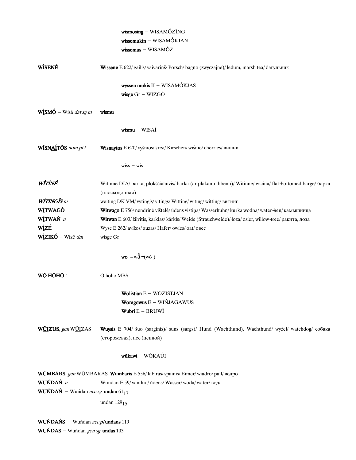|                                                                         | wismosing - WISAMÓZĨNG                                                                                     |
|-------------------------------------------------------------------------|------------------------------------------------------------------------------------------------------------|
|                                                                         | $wissemukin - WISAMÓKJAN$                                                                                  |
|                                                                         | $wissemus - WISAMÓZ$                                                                                       |
| WISENÉ                                                                  | Wissene E 622/ gailis/vaivariņš/ Porsch/bagno (zwyczajne)/ledum, marsh tea/багульник                       |
|                                                                         |                                                                                                            |
|                                                                         | wyssen mukis II - WISAMÓKJAS                                                                               |
|                                                                         | wisge $Gr - WIZG\acute{O}$                                                                                 |
| $W$ <sup><math>\dot{I}</math></sup> SM $\dot{Q}$ – Wisā <i>dat sg m</i> | wismu                                                                                                      |
|                                                                         | $wismu - WISAI$                                                                                            |
| WĪSNAÍTÕS nom pl f                                                      | Wisnaytos E 620/ vyšnios/ kirši/ Kirschen/ wiśnie/ cherries/ вишни                                         |
|                                                                         | $wiss - wis$                                                                                               |
| WÍTÌNÉ                                                                  | Witinne DIA/ barka, plokščialaivis/ barka (ar plakanu dibenu)/ Witinne/ wicina/ flat bottomed barge/ барка |
|                                                                         | (плоскодонная)                                                                                             |
| <b>WÍTÍNGÍS</b> m                                                       | weiting DK VM/ vytingis/ vītings/ Witting/ witing/ witting/ витинг                                         |
| WITWAGÓ                                                                 | Witwago E 756/ nendrinė vištelė/ ūdens vistina/ Wasserhuhn/ kurka wodna/ water + hen/ камышница            |
| WĪTWAŃ n                                                                | Witwan E 603/ žilvitis, karklas/ kārkls/ Weide (Strauchweide)/ łoza/ osier, willow +ree/ ракита, лоза      |
| <u>wìzé</u>                                                             | Wyse E 262/ avižos/ auzas/ Hafer/ owies/ oat/ овес                                                         |
| WÌZIKÓ – Wizē dm                                                        | wisge Gr                                                                                                   |
|                                                                         | $wo-w\ddot{a}$ $(w\ddot{o} +$                                                                              |
| WỘ HỘHỘ!                                                                | O hoho MBS                                                                                                 |
|                                                                         | Wolistian E - WŌZISTJAN                                                                                    |
|                                                                         | Woragowus E - WĪŃJAGAWUS                                                                                   |
|                                                                         | Wubri $E - BRUWI$                                                                                          |
| WÜIZUS, gen WÜIZAS                                                      | Wuysis E 704/ šuo (sarginis)/ suns (sargs)/ Hund (Wachthund), Wachthund/ wyżeł/ watchdog/ собака           |
|                                                                         | (сторожевая), пес (цепной)                                                                                 |
|                                                                         | wūkawi - WŌKAÚI                                                                                            |
|                                                                         | WÚMBÁRS, gen WÚMBARAS Wumbaris E 556/kibiras/spainis/Eimer/wiadro/pail/ведро                               |
| WUŃDAŃ $n$                                                              | Wundan E 59/vanduo/ ūdens/ Wasser/woda/water/вода                                                          |
| <b>WUŃDAŃ</b> – Wuńdan acc sg <b>undan</b> 61 <sub>17</sub>             |                                                                                                            |
|                                                                         | undan $129_{15}$                                                                                           |
| WUŃDAŃS – Wuńdan acc plundans 119                                       |                                                                                                            |

**WUŃDAS** – Wuńdan gen sg **undas** 103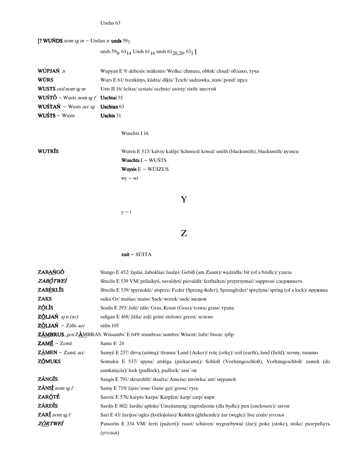Undas 63

[? WUŃDS nom sg  $m -$  Undan n unds 597

unds 59<sub>8</sub>, 61<sub>14</sub> Unds 61<sub>16</sub> unds 61<sub>20,20</sub>, 63<sub>1</sub>]

| WÙPJAŃ n                          | Wupyan E 9/ debesis/ mākonis/ Wolke/ chmura, obłok/ cloud/ облако, туча                                                                                                                                                                                                                                                                                                                                                                        |
|-----------------------------------|------------------------------------------------------------------------------------------------------------------------------------------------------------------------------------------------------------------------------------------------------------------------------------------------------------------------------------------------------------------------------------------------------------------------------------------------|
| <b>WŪRS</b>                       | Wurs E 61/ tvenkinys, kūdra/ dīķis/ Teich/ sadzawka, staw/ pond/ пруд                                                                                                                                                                                                                                                                                                                                                                          |
| <b>WUSTS</b> ord nom sg m         | Usts II $16$ / $\frac{\text{Sekas}}{\text{Sekas}}$ / $\frac{\text{Sekas}}{\text{Sekas}}$ / $\frac{\text{Sekas}}{\text{Sekas}}$ / $\frac{\text{Sekas}}{\text{Sekas}}$ / $\frac{\text{Sekas}}{\text{Sekas}}$ / $\frac{\text{Sekas}}{\text{Sekas}}$ / $\frac{\text{Sekas}}{\text{Sekas}}$ / $\frac{\text{Sekas}}{\text{Sekas}}$ / $\frac{\text{Sekas}}{\text{Sekas}}$ / $\frac{\text{Sekas}}{\text{Sekas}}$ / $\frac{\text{Sekas}}{\text{Sekas}}$ |
| WUŚTÓ – Wusts nom sg f Uschtai 55 |                                                                                                                                                                                                                                                                                                                                                                                                                                                |
| WUŚTAŃ – Wusts acc sg Uschtan 63  |                                                                                                                                                                                                                                                                                                                                                                                                                                                |
| $WUSTS - Wusts$                   | Uschts $31$                                                                                                                                                                                                                                                                                                                                                                                                                                    |

## Wuschts I 16

WUTRĪS

Wutris E 513/kalvis/kalējs/Schmied/kowal/smith (blacksmith), blacksmith/кузнец Wuschts  $I - WU\acute{s}TS$ **Wuysis E** – WŪIZUS  $wy - wi$ 

Y

 $y - i$ 

 $Z$ 

## $zuit - S\tilde{U}ITA$

| ZABAŃGÓ                                                                     | Slango E 452/ žąslai, žabokliai/ laužņi/ Gebiß (am Zaum)/ wędzidła/ bit (of a bridle)/ удила            |
|-----------------------------------------------------------------------------|---------------------------------------------------------------------------------------------------------|
| ZABÓTWEÍ                                                                    | Sbeclis E 539 VM/ prilaikyti, suvaldyti/ pievaldīt/ festhalten/ przytrzymać/ suppress/ сдерживать       |
| <b>ZABEKLIS</b>                                                             | Sbeclis E 539/spyruoklė/atspere/Feder (Sprung feder), Sprungfeder/sprężyna/spring (of a lock)/ пружина  |
| <b>ZAKS</b>                                                                 | saika Gr/ maišas/ maiss/ Sack/worek/ sack/ мешок                                                        |
| Z <u>Õ</u> LĪS                                                              | Soalis E 293/ žolė/ zāle/ Gras, Kraut (Gras)/ trawa/ grass/ трава                                       |
| <b>ZÕLJAŃ</b> $ajn (av)$                                                    | saligan E 468/ žālia/ zaļi/ grün/ zielono/ green/ зелено                                                |
| $Z\tilde{O}LJAN - Z\tilde{a}$ līs acc                                       | sālin 105                                                                                               |
| ZÁMBRUS, gen ZÁMBRAS Wissambs' E 649/stumbras/sumbrs/Wisent/zubr/bison/3y6p |                                                                                                         |
| $ZAME - Zem\bar{e}$                                                         | Same E 24                                                                                               |
| ZÀMEN - Zamē acc                                                            | Samyê E 237/dirva (arima)/tīrumu/Land (Acker)/rolę (orkę)/soil (earth), land (field)/почву, пашню       |
| <b>ZŐMUKS</b>                                                               | Somukis E 537/ spyna/ atslēga (piekaramā)/ Schloß (Vorhängeschloß), Vorhängeschloß/ zamek (do           |
|                                                                             | zamknięcia)/lock (padlock), padlock/зам'ок                                                              |
| ZÃNGĪS                                                                      | Saugis E 791/skruzdēlē/skudra/Ameise/mrówka/ant/муравей                                                 |
| $Z\tilde{A}NSI$ nom sg f                                                    | Sansy E 719/ žąsis/ zoss/ Gans/ gęś/ goose/ гусь                                                        |
| <b>ZARÓTÉ</b>                                                               | Sarote E 576/ karpis/ karpa/ Karpfen/ karp/ carp/ карп                                                  |
| <b>ZÁRDÍS</b>                                                               | Sardis E 802/ žardis/ aploks/ Umzäunung/ zagrodzenie (dla bydła)/ pen (enclosure)/ загон                |
| <b>ZARI</b> nom sg f                                                        | Sari E 43/ žarijos/ ogles (kvēlojošas)/ Kohlen (glühende)/ żar (węgle)/ live coals/ уголья              |
| Z <u>őr</u> tweí                                                            | Passortis E 334 VM/ žerti (pažerti)/ raust/ schüren/ wygrzebywać (żar)/ poke (stoke), stoke/ разгребать |
|                                                                             | (уголья)                                                                                                |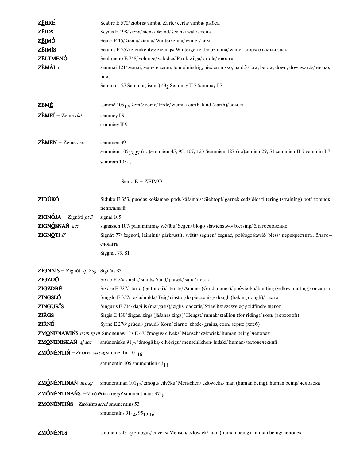| ZĒBRÉ                                                  | Seabre E 570/ žiobris/vimba/ Zärte/ certa/vimba/ рыбец                                                          |
|--------------------------------------------------------|-----------------------------------------------------------------------------------------------------------------|
| <b>ZÉIDS</b>                                           | Seydis E 198/siena/siena/Wand/sciana/wall/стена                                                                 |
| Z <u>ÉI</u> MÓ                                         | Semo E 15/ žiema/ ziema/ Winter/ zima/ winter/ зима                                                             |
| ZĒIMĪS                                                 | Seamis E 257/ žiemkentys/ ziemājs/ Wintergetreide/ ozimina/ winter crops/ озимый злак                           |
| ZĚLTMENÓ                                               | Sealtmeno E 748/volungė/vālodze/Pirol/wilga/oriole/иволга                                                       |
| ZÈMÃI av                                               | semmai 121/ žemai, žemyn/ zemu, lejup/ niedrig, nieder/ nisko, na dół/ low, below, down, downwards/ низко,      |
|                                                        | ВНИЗ                                                                                                            |
|                                                        | Semmai 127 Semmai(lisons) 432 Semmay II 7 Sammay I 7                                                            |
|                                                        |                                                                                                                 |
| <b>ZEMÉ</b>                                            | semmē $10517$ / žemė/ zeme/ Erde/ ziemia/ earth, land (earth)/ земля                                            |
| ZÈMEÍ - Zemē dat                                       | semmey I 9                                                                                                      |
|                                                        | semmiey II 9                                                                                                    |
|                                                        |                                                                                                                 |
| ZÈMEN - Zemē acc                                       | semmien 39                                                                                                      |
|                                                        | semmien 105 <sub>17.27</sub> (no)semmien 45, 95, 107, 123 Semmien 127 (no)semien 29, 51 semmien II 7 semmin I 7 |
|                                                        | semman $105_{15}$                                                                                               |
|                                                        |                                                                                                                 |
|                                                        | Semo E - ZÉIMÓ                                                                                                  |
| ZID <u>Ù</u> KÓ                                        | Siduko E 353/ puodas košiamas/ pods kāšamais/ Siebtopf/ garnek cedzidło/ filtering (straining) pot/ ropmok      |
|                                                        | цедильный                                                                                                       |
| <b>ZIGNÓJA</b> – Zignōti pt 3                          | signai 105                                                                                                      |
| ZIGNÓSNAŃ acc                                          | signassen 107/palaiminima/svētību/Segen/błogo-sławieństwo/blessing/благословение                                |
| ZIGNÓTI if                                             | Signāt 77/ žegnoti, laiminti/ pārkrustīt, svētīt/ segnen/ żegnać, pobłogosławić/ bless/ перекрестить, благо-    |
|                                                        | словить                                                                                                         |
|                                                        | Siggnat 79, 81                                                                                                  |
|                                                        |                                                                                                                 |
| <b>ZÌGNAÍS</b> – Zignōti <i>ip</i> 2 sg Signāts 83     |                                                                                                                 |
| ZIGZDÓ                                                 | Sixdo E 26/ smėlis/ smilts/ Sand/ piasek/ sand/ πecoκ                                                           |
| ZIGZDRÉ                                                | Sixdre E 737/starta (geltonoji)/stērste/Ammer (Goldammer)/poświerka/bunting (yellow bunting)/овсянка            |
| <b>ZÍNGSLÓ</b>                                         | Singslo E 337/tešla/mīkla/Teig/ciasto (do pieczenia)/dough (baking dough)/ recro                                |
| <b>ZINGURIS</b>                                        | Singuris E 734/ dagilis (margasis)/ ciglis, dadzītis/ Stieglitz/ szczygieł/ goldfinch/ щегол                    |
| <b>ZIŔGS</b>                                           | Sirgis E 430/ žirgas/ zirgs (jāšanas zirgs)/ Hengst/ rumak/ stallion (for riding)/ конь (верховой)              |
| <b>ZIŔNÉ</b>                                           | Syrne E 278/ grūdai/ graudi/ Korn/ ziarno, zboże/ grains, corn/ зерно (хлеб)                                    |
|                                                        | ZMÓNENAWIŃS nom sg m Smonenawi ^ s E 67/ žmogus/ cilvēks/ Mensch/ człowiek/ human being/ человек                |
| ZMÓNENISKAŃ aj acc                                     | smūnenisku 91 <sub>23</sub> / žmogišką/ cilvēcīgu/ menschlichen/ ludzki/ human/ человеческий                    |
| <b>ZMÓNÉNTIŃ</b> – Zmōnēnts accsg smunentin $101_{16}$ |                                                                                                                 |
|                                                        | smunentin 105 smunentien $43_{14}$                                                                              |
| ZMÓNÉNTINAŃ acc sg                                     | smunentinan $101_{12}/\text{zmogu/cilvēku/Menschen/czbwieka/ man (human being), human being/$ человека          |
|                                                        | <b>ZMÓNÉNTINAŃS</b> – Zmōnēntinan <i>accpl</i> smunentiuaus 97 <sub>18</sub>                                    |
|                                                        |                                                                                                                 |
| <b>ZMÓNÉNTIŃS</b> – Zmōnēnts $acpl$ smunentins 53      |                                                                                                                 |

smunentins  $91_{14}$ ,  $95_{12,16}$ 

**ZMÓNÉNTS**